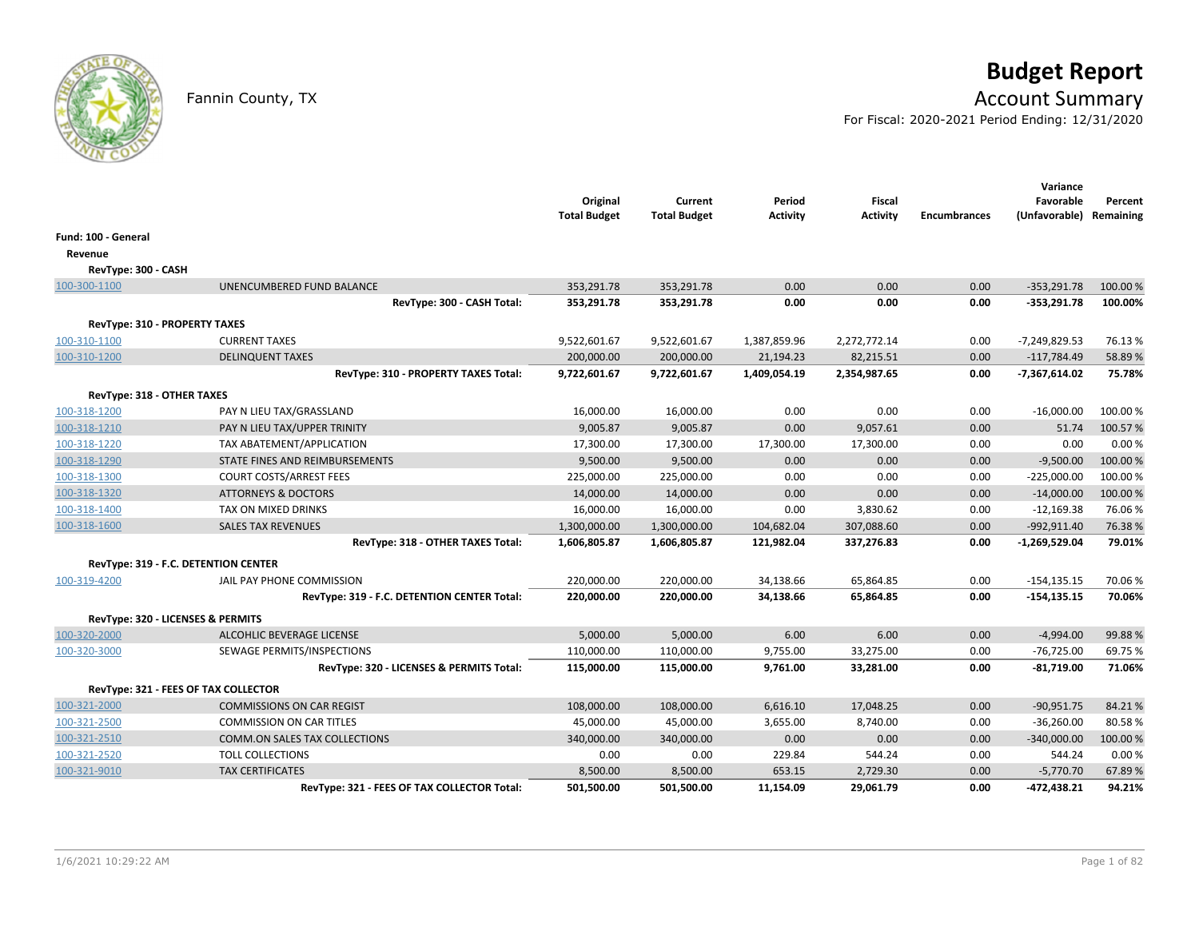

# **Budget Report**

## Fannin County, TX **Account Summary**

For Fiscal: 2020-2021 Period Ending: 12/31/2020

|                               |                                             | Original<br><b>Total Budget</b> | Current<br><b>Total Budget</b> | Period<br><b>Activity</b> | <b>Fiscal</b><br><b>Activity</b> | <b>Encumbrances</b> | Variance<br>Favorable<br>(Unfavorable) | Percent<br>Remaining |
|-------------------------------|---------------------------------------------|---------------------------------|--------------------------------|---------------------------|----------------------------------|---------------------|----------------------------------------|----------------------|
| Fund: 100 - General           |                                             |                                 |                                |                           |                                  |                     |                                        |                      |
| Revenue                       |                                             |                                 |                                |                           |                                  |                     |                                        |                      |
| RevType: 300 - CASH           |                                             |                                 |                                |                           |                                  |                     |                                        |                      |
| 100-300-1100                  | UNENCUMBERED FUND BALANCE                   | 353,291.78                      | 353,291.78                     | 0.00                      | 0.00                             | 0.00                | $-353,291.78$                          | 100.00 %             |
|                               | RevType: 300 - CASH Total:                  | 353,291.78                      | 353,291.78                     | 0.00                      | 0.00                             | 0.00                | $-353,291.78$                          | 100.00%              |
| RevType: 310 - PROPERTY TAXES |                                             |                                 |                                |                           |                                  |                     |                                        |                      |
| 100-310-1100                  | <b>CURRENT TAXES</b>                        | 9,522,601.67                    | 9,522,601.67                   | 1,387,859.96              | 2,272,772.14                     | 0.00                | -7,249,829.53                          | 76.13%               |
| 100-310-1200                  | <b>DELINQUENT TAXES</b>                     | 200,000.00                      | 200,000.00                     | 21,194.23                 | 82,215.51                        | 0.00                | $-117,784.49$                          | 58.89%               |
|                               | RevType: 310 - PROPERTY TAXES Total:        | 9,722,601.67                    | 9,722,601.67                   | 1,409,054.19              | 2,354,987.65                     | 0.00                | $-7,367,614.02$                        | 75.78%               |
| RevType: 318 - OTHER TAXES    |                                             |                                 |                                |                           |                                  |                     |                                        |                      |
| 100-318-1200                  | PAY N LIEU TAX/GRASSLAND                    | 16,000.00                       | 16,000.00                      | 0.00                      | 0.00                             | 0.00                | $-16,000.00$                           | 100.00 %             |
| 100-318-1210                  | PAY N LIEU TAX/UPPER TRINITY                | 9,005.87                        | 9,005.87                       | 0.00                      | 9,057.61                         | 0.00                | 51.74                                  | 100.57%              |
| 100-318-1220                  | TAX ABATEMENT/APPLICATION                   | 17,300.00                       | 17,300.00                      | 17,300.00                 | 17,300.00                        | 0.00                | 0.00                                   | 0.00%                |
| 100-318-1290                  | STATE FINES AND REIMBURSEMENTS              | 9,500.00                        | 9,500.00                       | 0.00                      | 0.00                             | 0.00                | $-9,500.00$                            | 100.00%              |
| 100-318-1300                  | <b>COURT COSTS/ARREST FEES</b>              | 225,000.00                      | 225,000.00                     | 0.00                      | 0.00                             | 0.00                | $-225,000.00$                          | 100.00%              |
| 100-318-1320                  | <b>ATTORNEYS &amp; DOCTORS</b>              | 14,000.00                       | 14,000.00                      | 0.00                      | 0.00                             | 0.00                | $-14,000.00$                           | 100.00 %             |
| 100-318-1400                  | TAX ON MIXED DRINKS                         | 16,000.00                       | 16,000.00                      | 0.00                      | 3,830.62                         | 0.00                | $-12,169.38$                           | 76.06%               |
| 100-318-1600                  | <b>SALES TAX REVENUES</b>                   | 1,300,000.00                    | 1,300,000.00                   | 104,682.04                | 307,088.60                       | 0.00                | $-992,911.40$                          | 76.38%               |
|                               | RevType: 318 - OTHER TAXES Total:           | 1,606,805.87                    | 1,606,805.87                   | 121,982.04                | 337,276.83                       | 0.00                | $-1,269,529.04$                        | 79.01%               |
|                               | RevType: 319 - F.C. DETENTION CENTER        |                                 |                                |                           |                                  |                     |                                        |                      |
| 100-319-4200                  | JAIL PAY PHONE COMMISSION                   | 220,000.00                      | 220,000.00                     | 34,138.66                 | 65,864.85                        | 0.00                | $-154, 135.15$                         | 70.06%               |
|                               | RevType: 319 - F.C. DETENTION CENTER Total: | 220,000.00                      | 220,000.00                     | 34,138.66                 | 65,864.85                        | 0.00                | $-154, 135.15$                         | 70.06%               |
|                               | RevType: 320 - LICENSES & PERMITS           |                                 |                                |                           |                                  |                     |                                        |                      |
| 100-320-2000                  | ALCOHLIC BEVERAGE LICENSE                   | 5,000.00                        | 5,000.00                       | 6.00                      | 6.00                             | 0.00                | $-4,994.00$                            | 99.88%               |
| 100-320-3000                  | SEWAGE PERMITS/INSPECTIONS                  | 110,000.00                      | 110,000.00                     | 9,755.00                  | 33,275.00                        | 0.00                | $-76,725.00$                           | 69.75%               |
|                               | RevType: 320 - LICENSES & PERMITS Total:    | 115,000.00                      | 115,000.00                     | 9,761.00                  | 33,281.00                        | 0.00                | -81,719.00                             | 71.06%               |
|                               | RevType: 321 - FEES OF TAX COLLECTOR        |                                 |                                |                           |                                  |                     |                                        |                      |
| 100-321-2000                  | <b>COMMISSIONS ON CAR REGIST</b>            | 108,000.00                      | 108,000.00                     | 6,616.10                  | 17,048.25                        | 0.00                | $-90,951.75$                           | 84.21%               |
| 100-321-2500                  | <b>COMMISSION ON CAR TITLES</b>             | 45,000.00                       | 45,000.00                      | 3,655.00                  | 8,740.00                         | 0.00                | $-36,260.00$                           | 80.58%               |
| 100-321-2510                  | <b>COMM.ON SALES TAX COLLECTIONS</b>        | 340,000.00                      | 340,000.00                     | 0.00                      | 0.00                             | 0.00                | $-340,000.00$                          | 100.00%              |
| 100-321-2520                  | <b>TOLL COLLECTIONS</b>                     | 0.00                            | 0.00                           | 229.84                    | 544.24                           | 0.00                | 544.24                                 | 0.00%                |
| 100-321-9010                  | <b>TAX CERTIFICATES</b>                     | 8,500.00                        | 8,500.00                       | 653.15                    | 2,729.30                         | 0.00                | $-5,770.70$                            | 67.89%               |
|                               | RevType: 321 - FEES OF TAX COLLECTOR Total: | 501,500.00                      | 501,500.00                     | 11,154.09                 | 29,061.79                        | 0.00                | -472,438.21                            | 94.21%               |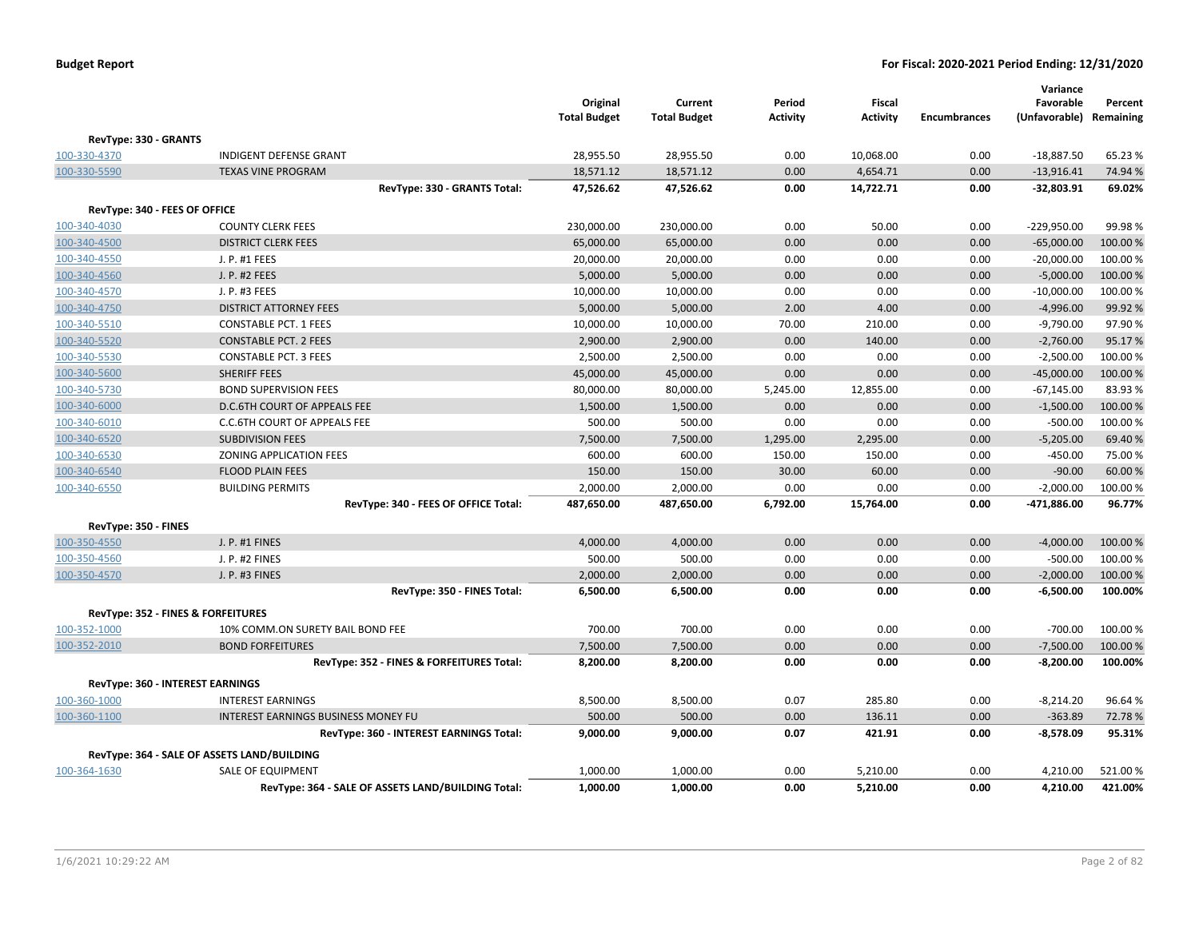|                               |                                                    | Original<br><b>Total Budget</b> | Current<br><b>Total Budget</b> | Period<br><b>Activity</b> | <b>Fiscal</b><br><b>Activity</b> | <b>Encumbrances</b> | Variance<br>Favorable<br>(Unfavorable) | Percent<br>Remaining |
|-------------------------------|----------------------------------------------------|---------------------------------|--------------------------------|---------------------------|----------------------------------|---------------------|----------------------------------------|----------------------|
| RevType: 330 - GRANTS         |                                                    |                                 |                                |                           |                                  |                     |                                        |                      |
| 100-330-4370                  | <b>INDIGENT DEFENSE GRANT</b>                      | 28,955.50                       | 28,955.50                      | 0.00                      | 10,068.00                        | 0.00                | $-18,887.50$                           | 65.23%               |
| 100-330-5590                  | <b>TEXAS VINE PROGRAM</b>                          | 18,571.12                       | 18,571.12                      | 0.00                      | 4,654.71                         | 0.00                | $-13,916.41$                           | 74.94 %              |
|                               | RevType: 330 - GRANTS Total:                       | 47,526.62                       | 47,526.62                      | 0.00                      | 14,722.71                        | 0.00                | $-32,803.91$                           | 69.02%               |
| RevType: 340 - FEES OF OFFICE |                                                    |                                 |                                |                           |                                  |                     |                                        |                      |
| 100-340-4030                  | <b>COUNTY CLERK FEES</b>                           | 230,000.00                      | 230,000.00                     | 0.00                      | 50.00                            | 0.00                | -229,950.00                            | 99.98%               |
| 100-340-4500                  | <b>DISTRICT CLERK FEES</b>                         | 65,000.00                       | 65,000.00                      | 0.00                      | 0.00                             | 0.00                | $-65,000.00$                           | 100.00 %             |
| 100-340-4550                  | J. P. #1 FEES                                      | 20,000.00                       | 20,000.00                      | 0.00                      | 0.00                             | 0.00                | $-20,000.00$                           | 100.00%              |
| 100-340-4560                  | J. P. #2 FEES                                      | 5,000.00                        | 5,000.00                       | 0.00                      | 0.00                             | 0.00                | $-5,000.00$                            | 100.00%              |
| 100-340-4570                  | J. P. #3 FEES                                      | 10,000.00                       | 10,000.00                      | 0.00                      | 0.00                             | 0.00                | $-10,000.00$                           | 100.00%              |
| 100-340-4750                  | <b>DISTRICT ATTORNEY FEES</b>                      | 5,000.00                        | 5,000.00                       | 2.00                      | 4.00                             | 0.00                | $-4,996.00$                            | 99.92 %              |
| 100-340-5510                  | <b>CONSTABLE PCT. 1 FEES</b>                       | 10,000.00                       | 10,000.00                      | 70.00                     | 210.00                           | 0.00                | $-9,790.00$                            | 97.90%               |
| 100-340-5520                  | <b>CONSTABLE PCT. 2 FEES</b>                       | 2,900.00                        | 2,900.00                       | 0.00                      | 140.00                           | 0.00                | $-2,760.00$                            | 95.17%               |
| 100-340-5530                  | <b>CONSTABLE PCT. 3 FEES</b>                       | 2,500.00                        | 2,500.00                       | 0.00                      | 0.00                             | 0.00                | $-2,500.00$                            | 100.00%              |
| 100-340-5600                  | SHERIFF FEES                                       | 45,000.00                       | 45,000.00                      | 0.00                      | 0.00                             | 0.00                | $-45,000.00$                           | 100.00%              |
| 100-340-5730                  | <b>BOND SUPERVISION FEES</b>                       | 80,000.00                       | 80,000.00                      | 5,245.00                  | 12,855.00                        | 0.00                | $-67,145.00$                           | 83.93%               |
| 100-340-6000                  | D.C.6TH COURT OF APPEALS FEE                       | 1,500.00                        | 1,500.00                       | 0.00                      | 0.00                             | 0.00                | $-1,500.00$                            | 100.00 %             |
| 100-340-6010                  | C.C.6TH COURT OF APPEALS FEE                       | 500.00                          | 500.00                         | 0.00                      | 0.00                             | 0.00                | $-500.00$                              | 100.00 %             |
| 100-340-6520                  | <b>SUBDIVISION FEES</b>                            | 7,500.00                        | 7,500.00                       | 1,295.00                  | 2,295.00                         | 0.00                | $-5,205.00$                            | 69.40%               |
| 100-340-6530                  | <b>ZONING APPLICATION FEES</b>                     | 600.00                          | 600.00                         | 150.00                    | 150.00                           | 0.00                | $-450.00$                              | 75.00 %              |
| 100-340-6540                  | <b>FLOOD PLAIN FEES</b>                            | 150.00                          | 150.00                         | 30.00                     | 60.00                            | 0.00                | $-90.00$                               | 60.00 %              |
| 100-340-6550                  | <b>BUILDING PERMITS</b>                            | 2,000.00                        | 2,000.00                       | 0.00                      | 0.00                             | 0.00                | $-2,000.00$                            | 100.00%              |
|                               | RevType: 340 - FEES OF OFFICE Total:               | 487,650.00                      | 487,650.00                     | 6,792.00                  | 15,764.00                        | 0.00                | -471,886.00                            | 96.77%               |
| RevType: 350 - FINES          |                                                    |                                 |                                |                           |                                  |                     |                                        |                      |
| 100-350-4550                  | J. P. #1 FINES                                     | 4,000.00                        | 4,000.00                       | 0.00                      | 0.00                             | 0.00                | $-4,000.00$                            | 100.00%              |
| 100-350-4560                  | J. P. #2 FINES                                     | 500.00                          | 500.00                         | 0.00                      | 0.00                             | 0.00                | $-500.00$                              | 100.00%              |
| 100-350-4570                  | J. P. #3 FINES                                     | 2,000.00                        | 2,000.00                       | 0.00                      | 0.00                             | 0.00                | $-2,000.00$                            | 100.00%              |
|                               | RevType: 350 - FINES Total:                        | 6,500.00                        | 6,500.00                       | 0.00                      | 0.00                             | 0.00                | $-6,500.00$                            | 100.00%              |
|                               | RevType: 352 - FINES & FORFEITURES                 |                                 |                                |                           |                                  |                     |                                        |                      |
| 100-352-1000                  | 10% COMM.ON SURETY BAIL BOND FEE                   | 700.00                          | 700.00                         | 0.00                      | 0.00                             | 0.00                | $-700.00$                              | 100.00%              |
| 100-352-2010                  | <b>BOND FORFEITURES</b>                            | 7,500.00                        | 7,500.00                       | 0.00                      | 0.00                             | 0.00                | $-7,500.00$                            | 100.00 %             |
|                               | RevType: 352 - FINES & FORFEITURES Total:          | 8,200.00                        | 8,200.00                       | 0.00                      | 0.00                             | 0.00                | $-8,200.00$                            | 100.00%              |
|                               | <b>RevType: 360 - INTEREST EARNINGS</b>            |                                 |                                |                           |                                  |                     |                                        |                      |
| 100-360-1000                  | <b>INTEREST EARNINGS</b>                           | 8,500.00                        | 8,500.00                       | 0.07                      | 285.80                           | 0.00                | $-8,214.20$                            | 96.64%               |
| 100-360-1100                  | <b>INTEREST EARNINGS BUSINESS MONEY FU</b>         | 500.00                          | 500.00                         | 0.00                      | 136.11                           | 0.00                | $-363.89$                              | 72.78%               |
|                               | RevType: 360 - INTEREST EARNINGS Total:            | 9,000.00                        | 9,000.00                       | 0.07                      | 421.91                           | 0.00                | $-8,578.09$                            | 95.31%               |
|                               | RevType: 364 - SALE OF ASSETS LAND/BUILDING        |                                 |                                |                           |                                  |                     |                                        |                      |
| 100-364-1630                  | SALE OF EQUIPMENT                                  | 1,000.00                        | 1,000.00                       | 0.00                      | 5,210.00                         | 0.00                | 4,210.00                               | 521.00%              |
|                               | RevType: 364 - SALE OF ASSETS LAND/BUILDING Total: | 1,000.00                        | 1,000.00                       | 0.00                      | 5,210.00                         | 0.00                | 4,210.00                               | 421.00%              |
|                               |                                                    |                                 |                                |                           |                                  |                     |                                        |                      |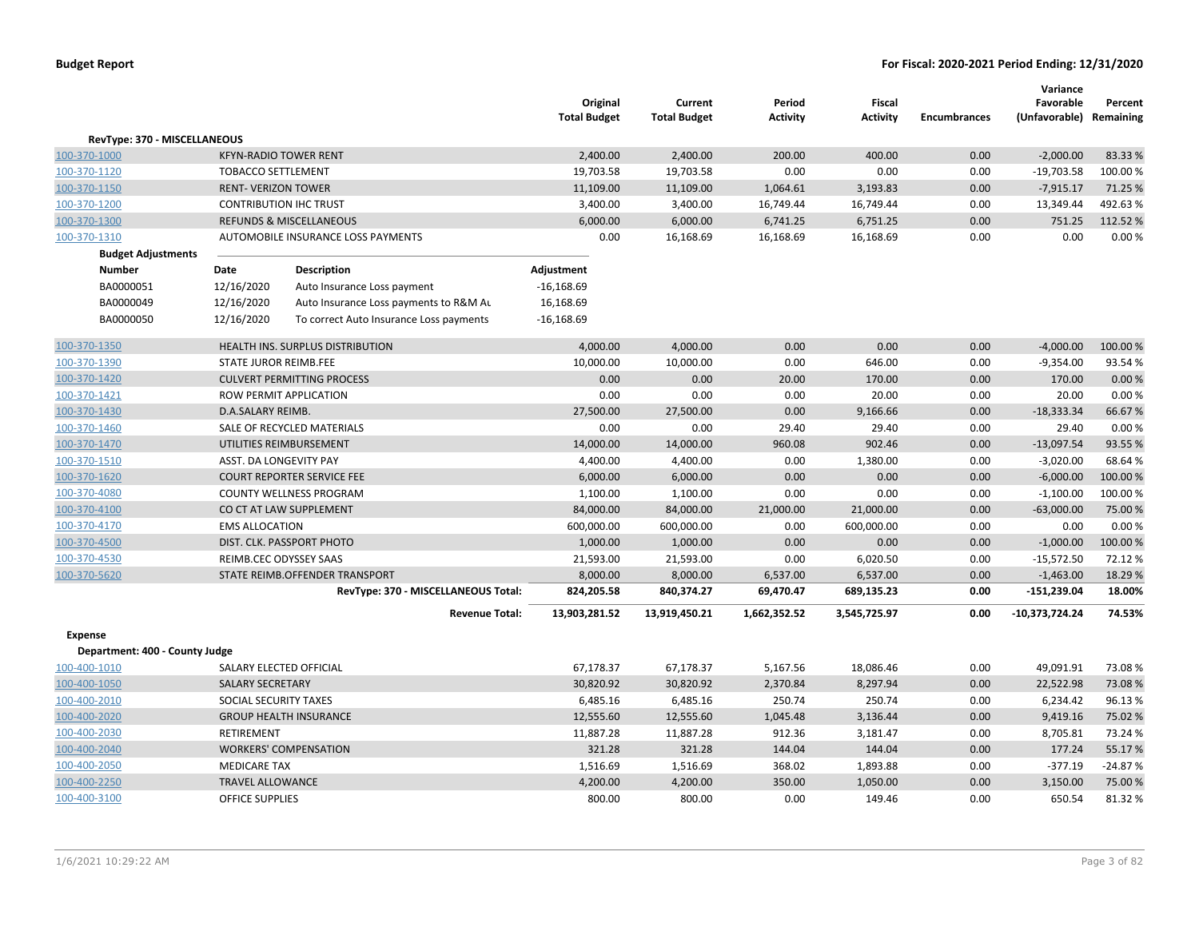|                                                  |                              |                                         | Original<br><b>Total Budget</b> | Current<br><b>Total Budget</b> | Period<br><b>Activity</b> | <b>Fiscal</b><br><b>Activity</b> | <b>Encumbrances</b> | Variance<br>Favorable<br>(Unfavorable) Remaining | Percent   |
|--------------------------------------------------|------------------------------|-----------------------------------------|---------------------------------|--------------------------------|---------------------------|----------------------------------|---------------------|--------------------------------------------------|-----------|
| RevType: 370 - MISCELLANEOUS                     |                              |                                         |                                 |                                |                           |                                  |                     |                                                  |           |
| 100-370-1000                                     | <b>KFYN-RADIO TOWER RENT</b> |                                         | 2,400.00                        | 2,400.00                       | 200.00                    | 400.00                           | 0.00                | $-2,000.00$                                      | 83.33 %   |
| 100-370-1120                                     | <b>TOBACCO SETTLEMENT</b>    |                                         | 19,703.58                       | 19,703.58                      | 0.00                      | 0.00                             | 0.00                | $-19,703.58$                                     | 100.00%   |
| 100-370-1150                                     | <b>RENT- VERIZON TOWER</b>   |                                         | 11,109.00                       | 11,109.00                      | 1,064.61                  | 3,193.83                         | 0.00                | $-7,915.17$                                      | 71.25 %   |
| 100-370-1200                                     |                              | <b>CONTRIBUTION IHC TRUST</b>           | 3,400.00                        | 3,400.00                       | 16,749.44                 | 16,749.44                        | 0.00                | 13,349.44                                        | 492.63%   |
| 100-370-1300                                     |                              | <b>REFUNDS &amp; MISCELLANEOUS</b>      | 6,000.00                        | 6,000.00                       | 6,741.25                  | 6,751.25                         | 0.00                | 751.25                                           | 112.52%   |
| 100-370-1310                                     |                              | AUTOMOBILE INSURANCE LOSS PAYMENTS      | 0.00                            | 16,168.69                      | 16,168.69                 | 16,168.69                        | 0.00                | 0.00                                             | 0.00%     |
| <b>Budget Adjustments</b>                        |                              |                                         |                                 |                                |                           |                                  |                     |                                                  |           |
| <b>Number</b>                                    | Date                         | Description                             | Adjustment                      |                                |                           |                                  |                     |                                                  |           |
| BA0000051                                        | 12/16/2020                   | Auto Insurance Loss payment             | $-16,168.69$                    |                                |                           |                                  |                     |                                                  |           |
| BA0000049                                        | 12/16/2020                   | Auto Insurance Loss payments to R&M Au  | 16,168.69                       |                                |                           |                                  |                     |                                                  |           |
| BA0000050                                        | 12/16/2020                   | To correct Auto Insurance Loss payments | $-16,168.69$                    |                                |                           |                                  |                     |                                                  |           |
| 100-370-1350                                     |                              | HEALTH INS. SURPLUS DISTRIBUTION        | 4,000.00                        | 4,000.00                       | 0.00                      | 0.00                             | 0.00                | $-4,000.00$                                      | 100.00%   |
| 100-370-1390                                     | STATE JUROR REIMB.FEE        |                                         | 10,000.00                       | 10,000.00                      | 0.00                      | 646.00                           | 0.00                | $-9,354.00$                                      | 93.54%    |
| 100-370-1420                                     |                              | <b>CULVERT PERMITTING PROCESS</b>       | 0.00                            | 0.00                           | 20.00                     | 170.00                           | 0.00                | 170.00                                           | 0.00%     |
| 100-370-1421                                     |                              | ROW PERMIT APPLICATION                  | 0.00                            | 0.00                           | 0.00                      | 20.00                            | 0.00                | 20.00                                            | 0.00%     |
| 100-370-1430                                     | D.A.SALARY REIMB.            |                                         | 27,500.00                       | 27,500.00                      | 0.00                      | 9,166.66                         | 0.00                | $-18,333.34$                                     | 66.67%    |
| 100-370-1460                                     |                              | SALE OF RECYCLED MATERIALS              | 0.00                            | 0.00                           | 29.40                     | 29.40                            | 0.00                | 29.40                                            | 0.00%     |
| 100-370-1470                                     |                              | UTILITIES REIMBURSEMENT                 | 14,000.00                       | 14,000.00                      | 960.08                    | 902.46                           | 0.00                | $-13,097.54$                                     | 93.55%    |
| 100-370-1510                                     | ASST. DA LONGEVITY PAY       |                                         | 4,400.00                        | 4,400.00                       | 0.00                      | 1,380.00                         | 0.00                | $-3,020.00$                                      | 68.64 %   |
| 100-370-1620                                     |                              | <b>COURT REPORTER SERVICE FEE</b>       | 6,000.00                        | 6,000.00                       | 0.00                      | 0.00                             | 0.00                | $-6,000.00$                                      | 100.00%   |
| 100-370-4080                                     |                              | COUNTY WELLNESS PROGRAM                 | 1,100.00                        | 1,100.00                       | 0.00                      | 0.00                             | 0.00                | $-1,100.00$                                      | 100.00%   |
| 100-370-4100                                     |                              | CO CT AT LAW SUPPLEMENT                 | 84,000.00                       | 84,000.00                      | 21,000.00                 | 21,000.00                        | 0.00                | $-63,000.00$                                     | 75.00 %   |
| 100-370-4170                                     | <b>EMS ALLOCATION</b>        |                                         | 600,000.00                      | 600,000.00                     | 0.00                      | 600,000.00                       | 0.00                | 0.00                                             | 0.00%     |
| 100-370-4500                                     |                              | DIST. CLK. PASSPORT PHOTO               | 1,000.00                        | 1,000.00                       | 0.00                      | 0.00                             | 0.00                | $-1,000.00$                                      | 100.00%   |
| 100-370-4530                                     | REIMB.CEC ODYSSEY SAAS       |                                         | 21,593.00                       | 21,593.00                      | 0.00                      | 6,020.50                         | 0.00                | $-15,572.50$                                     | 72.12%    |
| 100-370-5620                                     |                              | STATE REIMB.OFFENDER TRANSPORT          | 8,000.00                        | 8,000.00                       | 6,537.00                  | 6,537.00                         | 0.00                | $-1,463.00$                                      | 18.29 %   |
|                                                  |                              | RevType: 370 - MISCELLANEOUS Total:     | 824,205.58                      | 840,374.27                     | 69,470.47                 | 689,135.23                       | 0.00                | $-151,239.04$                                    | 18.00%    |
|                                                  |                              | <b>Revenue Total:</b>                   | 13,903,281.52                   | 13,919,450.21                  | 1,662,352.52              | 3,545,725.97                     | 0.00                | $-10,373,724.24$                                 | 74.53%    |
| <b>Expense</b><br>Department: 400 - County Judge |                              |                                         |                                 |                                |                           |                                  |                     |                                                  |           |
| 100-400-1010                                     | SALARY ELECTED OFFICIAL      |                                         | 67,178.37                       | 67,178.37                      | 5,167.56                  | 18,086.46                        | 0.00                | 49,091.91                                        | 73.08%    |
| 100-400-1050                                     | <b>SALARY SECRETARY</b>      |                                         | 30,820.92                       | 30,820.92                      | 2,370.84                  | 8,297.94                         | 0.00                | 22,522.98                                        | 73.08%    |
| 100-400-2010                                     | SOCIAL SECURITY TAXES        |                                         | 6,485.16                        | 6,485.16                       | 250.74                    | 250.74                           | 0.00                | 6,234.42                                         | 96.13%    |
| 100-400-2020                                     |                              | <b>GROUP HEALTH INSURANCE</b>           | 12,555.60                       | 12,555.60                      | 1,045.48                  | 3,136.44                         | 0.00                | 9,419.16                                         | 75.02 %   |
| 100-400-2030                                     | RETIREMENT                   |                                         |                                 | 11,887.28                      | 912.36                    |                                  | 0.00                |                                                  | 73.24 %   |
| 100-400-2040                                     |                              | <b>WORKERS' COMPENSATION</b>            | 11,887.28<br>321.28             | 321.28                         | 144.04                    | 3,181.47<br>144.04               | 0.00                | 8,705.81<br>177.24                               | 55.17%    |
| 100-400-2050                                     | <b>MEDICARE TAX</b>          |                                         | 1,516.69                        | 1,516.69                       | 368.02                    | 1,893.88                         | 0.00                | $-377.19$                                        | $-24.87%$ |
| 100-400-2250                                     | <b>TRAVEL ALLOWANCE</b>      |                                         | 4,200.00                        | 4,200.00                       | 350.00                    | 1,050.00                         | 0.00                | 3,150.00                                         | 75.00 %   |
| 100-400-3100                                     | <b>OFFICE SUPPLIES</b>       |                                         | 800.00                          | 800.00                         | 0.00                      | 149.46                           | 0.00                | 650.54                                           | 81.32%    |
|                                                  |                              |                                         |                                 |                                |                           |                                  |                     |                                                  |           |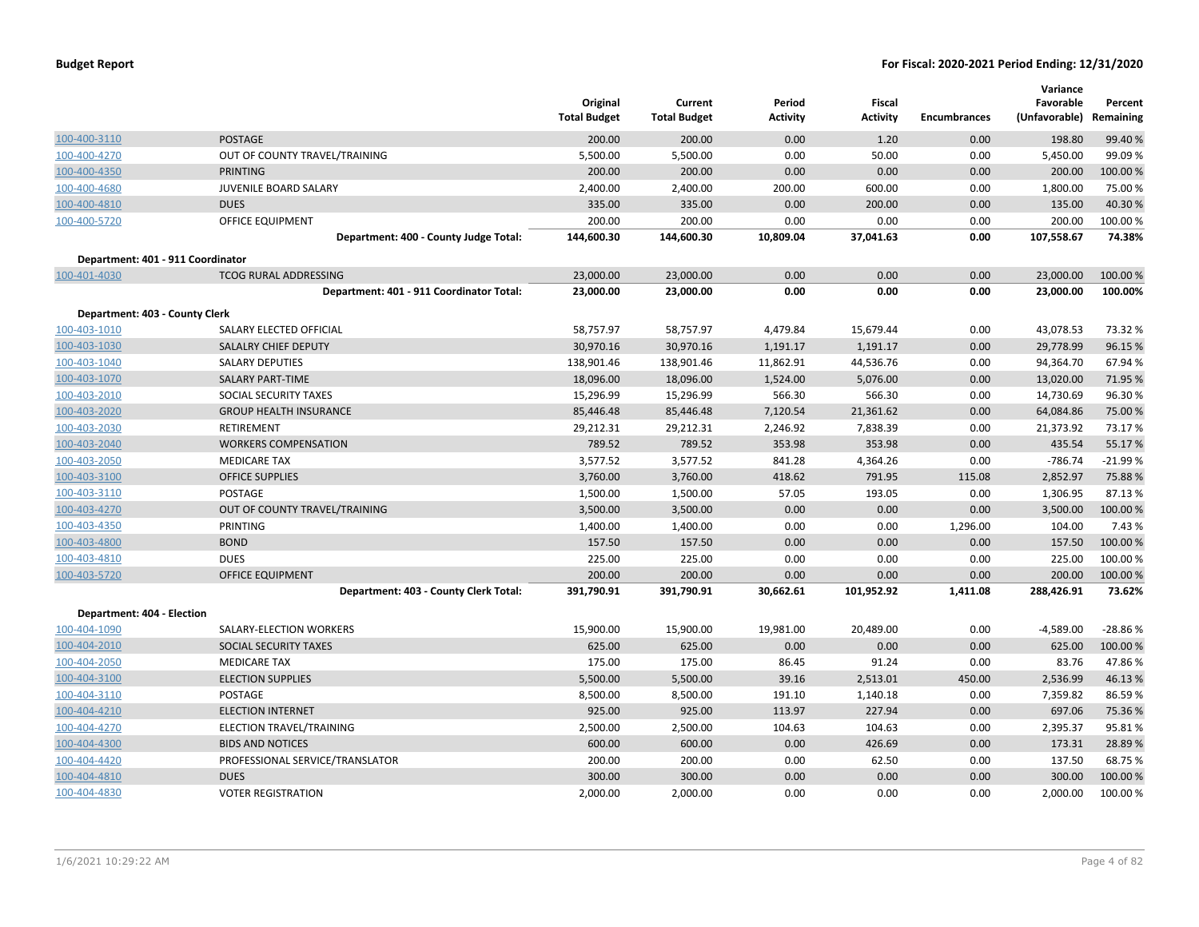|                                   |                                          | Original<br><b>Total Budget</b> | Current<br><b>Total Budget</b> | Period<br>Activity | Fiscal<br>Activity | <b>Encumbrances</b> | Variance<br>Favorable<br>(Unfavorable) | Percent<br>Remaining |
|-----------------------------------|------------------------------------------|---------------------------------|--------------------------------|--------------------|--------------------|---------------------|----------------------------------------|----------------------|
| 100-400-3110                      | <b>POSTAGE</b>                           | 200.00                          | 200.00                         | 0.00               | 1.20               | 0.00                | 198.80                                 | 99.40 %              |
| 100-400-4270                      | OUT OF COUNTY TRAVEL/TRAINING            | 5,500.00                        | 5,500.00                       | 0.00               | 50.00              | 0.00                | 5,450.00                               | 99.09 %              |
| 100-400-4350                      | <b>PRINTING</b>                          | 200.00                          | 200.00                         | 0.00               | 0.00               | 0.00                | 200.00                                 | 100.00 %             |
| 100-400-4680                      | JUVENILE BOARD SALARY                    | 2,400.00                        | 2,400.00                       | 200.00             | 600.00             | 0.00                | 1,800.00                               | 75.00 %              |
| 100-400-4810                      | <b>DUES</b>                              | 335.00                          | 335.00                         | 0.00               | 200.00             | 0.00                | 135.00                                 | 40.30%               |
| 100-400-5720                      | <b>OFFICE EQUIPMENT</b>                  | 200.00                          | 200.00                         | 0.00               | 0.00               | 0.00                | 200.00                                 | 100.00%              |
|                                   | Department: 400 - County Judge Total:    | 144,600.30                      | 144,600.30                     | 10,809.04          | 37,041.63          | 0.00                | 107,558.67                             | 74.38%               |
| Department: 401 - 911 Coordinator |                                          |                                 |                                |                    |                    |                     |                                        |                      |
| 100-401-4030                      | <b>TCOG RURAL ADDRESSING</b>             | 23,000.00                       | 23,000.00                      | 0.00               | 0.00               | 0.00                | 23,000.00                              | 100.00%              |
|                                   | Department: 401 - 911 Coordinator Total: | 23,000.00                       | 23,000.00                      | 0.00               | 0.00               | 0.00                | 23,000.00                              | 100.00%              |
| Department: 403 - County Clerk    |                                          |                                 |                                |                    |                    |                     |                                        |                      |
| 100-403-1010                      | SALARY ELECTED OFFICIAL                  | 58,757.97                       | 58,757.97                      | 4,479.84           | 15,679.44          | 0.00                | 43,078.53                              | 73.32 %              |
| 100-403-1030                      | SALALRY CHIEF DEPUTY                     | 30,970.16                       | 30,970.16                      | 1,191.17           | 1,191.17           | 0.00                | 29,778.99                              | 96.15 %              |
| 100-403-1040                      | <b>SALARY DEPUTIES</b>                   | 138,901.46                      | 138,901.46                     | 11,862.91          | 44,536.76          | 0.00                | 94,364.70                              | 67.94 %              |
| 100-403-1070                      | <b>SALARY PART-TIME</b>                  | 18,096.00                       | 18,096.00                      | 1,524.00           | 5,076.00           | 0.00                | 13,020.00                              | 71.95 %              |
| 100-403-2010                      | SOCIAL SECURITY TAXES                    | 15,296.99                       | 15,296.99                      | 566.30             | 566.30             | 0.00                | 14,730.69                              | 96.30%               |
| 100-403-2020                      | <b>GROUP HEALTH INSURANCE</b>            | 85,446.48                       | 85,446.48                      | 7,120.54           | 21,361.62          | 0.00                | 64,084.86                              | 75.00 %              |
| 100-403-2030                      | <b>RETIREMENT</b>                        | 29,212.31                       | 29,212.31                      | 2,246.92           | 7,838.39           | 0.00                | 21,373.92                              | 73.17%               |
| 100-403-2040                      | <b>WORKERS COMPENSATION</b>              | 789.52                          | 789.52                         | 353.98             | 353.98             | 0.00                | 435.54                                 | 55.17%               |
| 100-403-2050                      | <b>MEDICARE TAX</b>                      | 3,577.52                        | 3,577.52                       | 841.28             | 4,364.26           | 0.00                | $-786.74$                              | $-21.99%$            |
| 100-403-3100                      | <b>OFFICE SUPPLIES</b>                   | 3,760.00                        | 3,760.00                       | 418.62             | 791.95             | 115.08              | 2,852.97                               | 75.88%               |
| 100-403-3110                      | <b>POSTAGE</b>                           | 1,500.00                        | 1,500.00                       | 57.05              | 193.05             | 0.00                | 1,306.95                               | 87.13%               |
| 100-403-4270                      | OUT OF COUNTY TRAVEL/TRAINING            | 3,500.00                        | 3,500.00                       | 0.00               | 0.00               | 0.00                | 3,500.00                               | 100.00%              |
| 100-403-4350                      | PRINTING                                 | 1,400.00                        | 1,400.00                       | 0.00               | 0.00               | 1,296.00            | 104.00                                 | 7.43 %               |
| 100-403-4800                      | <b>BOND</b>                              | 157.50                          | 157.50                         | 0.00               | 0.00               | 0.00                | 157.50                                 | 100.00%              |
| 100-403-4810                      | <b>DUES</b>                              | 225.00                          | 225.00                         | 0.00               | 0.00               | 0.00                | 225.00                                 | 100.00 %             |
| 100-403-5720                      | <b>OFFICE EQUIPMENT</b>                  | 200.00                          | 200.00                         | 0.00               | 0.00               | 0.00                | 200.00                                 | 100.00 %             |
|                                   | Department: 403 - County Clerk Total:    | 391,790.91                      | 391,790.91                     | 30,662.61          | 101,952.92         | 1,411.08            | 288,426.91                             | 73.62%               |
| Department: 404 - Election        |                                          |                                 |                                |                    |                    |                     |                                        |                      |
| 100-404-1090                      | SALARY-ELECTION WORKERS                  | 15,900.00                       | 15,900.00                      | 19,981.00          | 20,489.00          | 0.00                | $-4,589.00$                            | $-28.86%$            |
| 100-404-2010                      | SOCIAL SECURITY TAXES                    | 625.00                          | 625.00                         | 0.00               | 0.00               | 0.00                | 625.00                                 | 100.00 %             |
| 100-404-2050                      | <b>MEDICARE TAX</b>                      | 175.00                          | 175.00                         | 86.45              | 91.24              | 0.00                | 83.76                                  | 47.86%               |
| 100-404-3100                      | <b>ELECTION SUPPLIES</b>                 | 5,500.00                        | 5,500.00                       | 39.16              | 2,513.01           | 450.00              | 2,536.99                               | 46.13%               |
| 100-404-3110                      | POSTAGE                                  | 8,500.00                        | 8,500.00                       | 191.10             | 1,140.18           | 0.00                | 7,359.82                               | 86.59%               |
| 100-404-4210                      | <b>ELECTION INTERNET</b>                 | 925.00                          | 925.00                         | 113.97             | 227.94             | 0.00                | 697.06                                 | 75.36 %              |
| 100-404-4270                      | ELECTION TRAVEL/TRAINING                 | 2,500.00                        | 2,500.00                       | 104.63             | 104.63             | 0.00                | 2,395.37                               | 95.81%               |
| 100-404-4300                      | <b>BIDS AND NOTICES</b>                  | 600.00                          | 600.00                         | 0.00               | 426.69             | 0.00                | 173.31                                 | 28.89%               |
| 100-404-4420                      | PROFESSIONAL SERVICE/TRANSLATOR          | 200.00                          | 200.00                         | 0.00               | 62.50              | 0.00                | 137.50                                 | 68.75 %              |
| 100-404-4810                      | <b>DUES</b>                              | 300.00                          | 300.00                         | 0.00               | 0.00               | 0.00                | 300.00                                 | 100.00 %             |
| 100-404-4830                      | <b>VOTER REGISTRATION</b>                | 2,000.00                        | 2,000.00                       | 0.00               | 0.00               | 0.00                | 2,000.00                               | 100.00%              |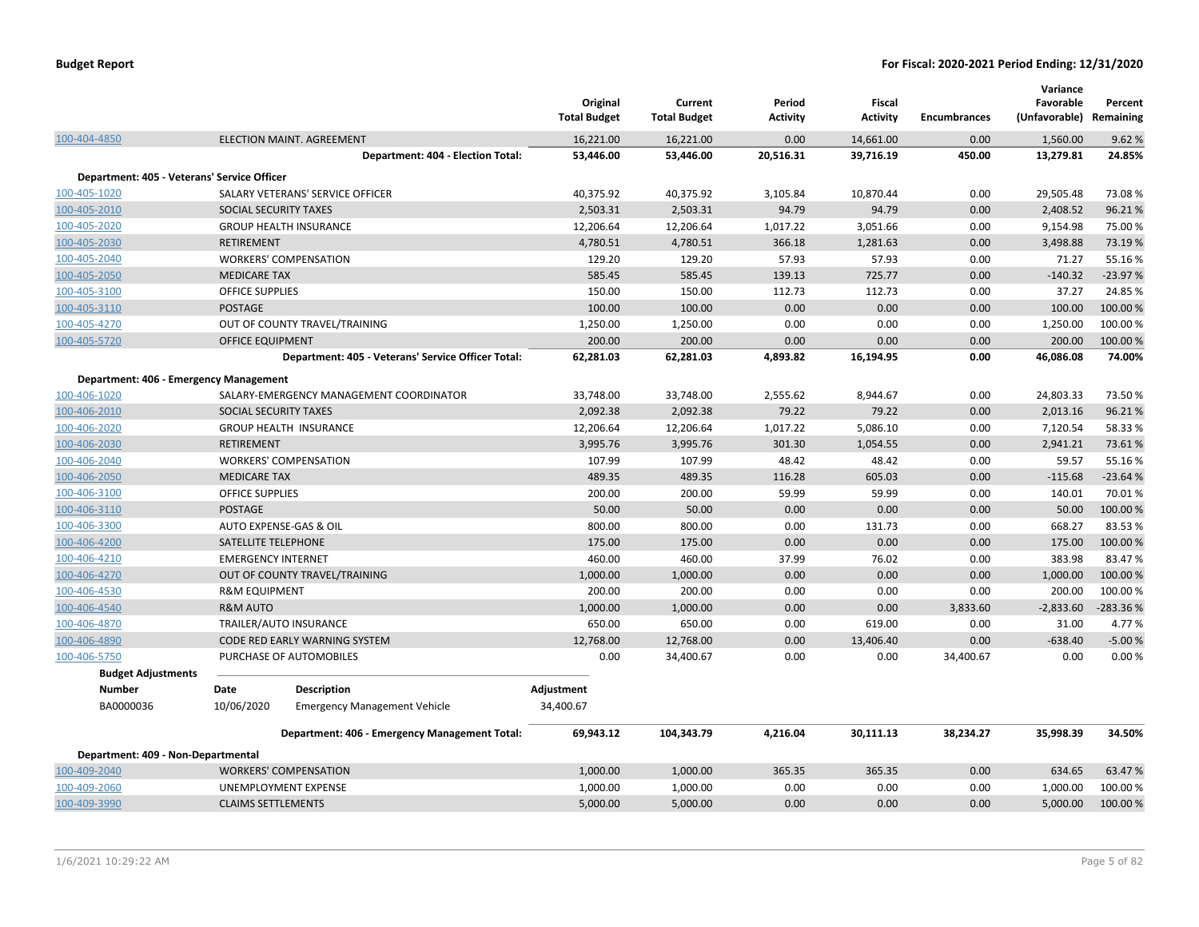|                                             |                                                    | Original<br><b>Total Budget</b> | Current<br><b>Total Budget</b> | Period<br><b>Activity</b> | Fiscal<br><b>Activity</b> | <b>Encumbrances</b> | Variance<br>Favorable<br>(Unfavorable) Remaining | Percent   |
|---------------------------------------------|----------------------------------------------------|---------------------------------|--------------------------------|---------------------------|---------------------------|---------------------|--------------------------------------------------|-----------|
| 100-404-4850                                | <b>ELECTION MAINT. AGREEMENT</b>                   | 16,221.00                       | 16,221.00                      | 0.00                      | 14,661.00                 | 0.00                | 1,560.00                                         | 9.62%     |
|                                             | Department: 404 - Election Total:                  | 53,446.00                       | 53,446.00                      | 20,516.31                 | 39,716.19                 | 450.00              | 13,279.81                                        | 24.85%    |
| Department: 405 - Veterans' Service Officer |                                                    |                                 |                                |                           |                           |                     |                                                  |           |
| 100-405-1020                                | SALARY VETERANS' SERVICE OFFICER                   | 40,375.92                       | 40,375.92                      | 3,105.84                  | 10,870.44                 | 0.00                | 29,505.48                                        | 73.08%    |
| 100-405-2010                                | SOCIAL SECURITY TAXES                              | 2,503.31                        | 2,503.31                       | 94.79                     | 94.79                     | 0.00                | 2,408.52                                         | 96.21%    |
| 100-405-2020                                | <b>GROUP HEALTH INSURANCE</b>                      | 12,206.64                       | 12,206.64                      | 1,017.22                  | 3,051.66                  | 0.00                | 9,154.98                                         | 75.00 %   |
| 100-405-2030                                | <b>RETIREMENT</b>                                  | 4,780.51                        | 4,780.51                       | 366.18                    | 1,281.63                  | 0.00                | 3,498.88                                         | 73.19 %   |
| 100-405-2040                                | <b>WORKERS' COMPENSATION</b>                       | 129.20                          | 129.20                         | 57.93                     | 57.93                     | 0.00                | 71.27                                            | 55.16%    |
| 100-405-2050                                | <b>MEDICARE TAX</b>                                | 585.45                          | 585.45                         | 139.13                    | 725.77                    | 0.00                | $-140.32$                                        | $-23.97%$ |
| 100-405-3100                                | <b>OFFICE SUPPLIES</b>                             | 150.00                          | 150.00                         | 112.73                    | 112.73                    | 0.00                | 37.27                                            | 24.85%    |
| 100-405-3110                                | <b>POSTAGE</b>                                     | 100.00                          | 100.00                         | 0.00                      | 0.00                      | 0.00                | 100.00                                           | 100.00 %  |
| 100-405-4270                                | OUT OF COUNTY TRAVEL/TRAINING                      | 1,250.00                        | 1,250.00                       | 0.00                      | 0.00                      | 0.00                | 1,250.00                                         | 100.00%   |
| 100-405-5720                                | <b>OFFICE EQUIPMENT</b>                            | 200.00                          | 200.00                         | 0.00                      | 0.00                      | 0.00                | 200.00                                           | 100.00 %  |
|                                             | Department: 405 - Veterans' Service Officer Total: | 62,281.03                       | 62,281.03                      | 4,893.82                  | 16,194.95                 | 0.00                | 46,086.08                                        | 74.00%    |
| Department: 406 - Emergency Management      |                                                    |                                 |                                |                           |                           |                     |                                                  |           |
| 100-406-1020                                | SALARY-EMERGENCY MANAGEMENT COORDINATOR            | 33,748.00                       | 33,748.00                      | 2,555.62                  | 8,944.67                  | 0.00                | 24,803.33                                        | 73.50%    |
| 100-406-2010                                | SOCIAL SECURITY TAXES                              | 2,092.38                        | 2,092.38                       | 79.22                     | 79.22                     | 0.00                | 2,013.16                                         | 96.21%    |
| 100-406-2020                                | <b>GROUP HEALTH INSURANCE</b>                      | 12,206.64                       | 12,206.64                      | 1,017.22                  | 5,086.10                  | 0.00                | 7,120.54                                         | 58.33%    |
| 100-406-2030                                | <b>RETIREMENT</b>                                  | 3,995.76                        | 3,995.76                       | 301.30                    | 1,054.55                  | 0.00                | 2,941.21                                         | 73.61%    |
| 100-406-2040                                | <b>WORKERS' COMPENSATION</b>                       | 107.99                          | 107.99                         | 48.42                     | 48.42                     | 0.00                | 59.57                                            | 55.16%    |
| 100-406-2050                                | <b>MEDICARE TAX</b>                                | 489.35                          | 489.35                         | 116.28                    | 605.03                    | 0.00                | $-115.68$                                        | $-23.64%$ |
| 100-406-3100                                | <b>OFFICE SUPPLIES</b>                             | 200.00                          | 200.00                         | 59.99                     | 59.99                     | 0.00                | 140.01                                           | 70.01%    |
| 100-406-3110                                | POSTAGE                                            | 50.00                           | 50.00                          | 0.00                      | 0.00                      | 0.00                | 50.00                                            | 100.00%   |
| 100-406-3300                                | AUTO EXPENSE-GAS & OIL                             | 800.00                          | 800.00                         | 0.00                      | 131.73                    | 0.00                | 668.27                                           | 83.53%    |
| 100-406-4200                                | SATELLITE TELEPHONE                                | 175.00                          | 175.00                         | 0.00                      | 0.00                      | 0.00                | 175.00                                           | 100.00 %  |
| 100-406-4210                                | <b>EMERGENCY INTERNET</b>                          | 460.00                          | 460.00                         | 37.99                     | 76.02                     | 0.00                | 383.98                                           | 83.47%    |
| 100-406-4270                                | OUT OF COUNTY TRAVEL/TRAINING                      | 1,000.00                        | 1,000.00                       | 0.00                      | 0.00                      | 0.00                | 1,000.00                                         | 100.00 %  |
| 100-406-4530                                | <b>R&amp;M EQUIPMENT</b>                           | 200.00                          | 200.00                         | 0.00                      | 0.00                      | 0.00                | 200.00                                           | 100.00 %  |
| 100-406-4540                                | <b>R&amp;M AUTO</b>                                | 1,000.00                        | 1,000.00                       | 0.00                      | 0.00                      | 3,833.60            | $-2,833.60$                                      | -283.36%  |
| 100-406-4870                                | TRAILER/AUTO INSURANCE                             | 650.00                          | 650.00                         | 0.00                      | 619.00                    | 0.00                | 31.00                                            | 4.77 %    |
| 100-406-4890                                | CODE RED EARLY WARNING SYSTEM                      | 12,768.00                       | 12,768.00                      | 0.00                      | 13,406.40                 | 0.00                | $-638.40$                                        | $-5.00%$  |
| 100-406-5750                                | PURCHASE OF AUTOMOBILES                            | 0.00                            | 34,400.67                      | 0.00                      | 0.00                      | 34,400.67           | 0.00                                             | 0.00%     |
| <b>Budget Adjustments</b>                   |                                                    |                                 |                                |                           |                           |                     |                                                  |           |
| <b>Number</b>                               | Date<br><b>Description</b>                         | Adjustment                      |                                |                           |                           |                     |                                                  |           |
| BA0000036                                   | 10/06/2020<br><b>Emergency Management Vehicle</b>  | 34,400.67                       |                                |                           |                           |                     |                                                  |           |
|                                             | Department: 406 - Emergency Management Total:      | 69,943.12                       | 104,343.79                     | 4,216.04                  | 30,111.13                 | 38,234.27           | 35,998.39                                        | 34.50%    |
| Department: 409 - Non-Departmental          |                                                    |                                 |                                |                           |                           |                     |                                                  |           |
| 100-409-2040                                | <b>WORKERS' COMPENSATION</b>                       | 1,000.00                        | 1,000.00                       | 365.35                    | 365.35                    | 0.00                | 634.65                                           | 63.47%    |
| 100-409-2060                                | UNEMPLOYMENT EXPENSE                               | 1,000.00                        | 1,000.00                       | 0.00                      | 0.00                      | 0.00                | 1,000.00                                         | 100.00%   |
| 100-409-3990                                | <b>CLAIMS SETTLEMENTS</b>                          | 5,000.00                        | 5,000.00                       | 0.00                      | 0.00                      | 0.00                | 5,000.00                                         | 100.00 %  |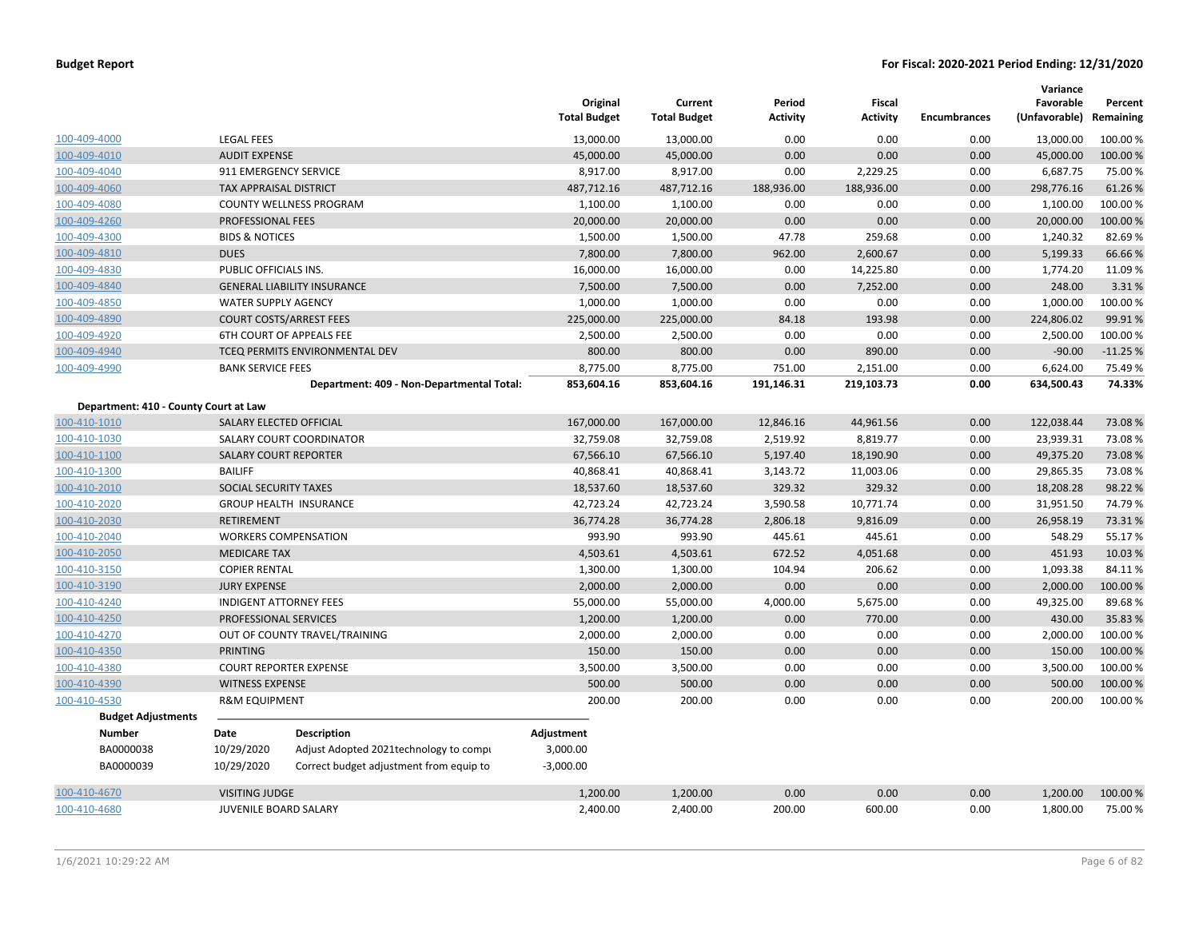| <b>Budget Report</b> |  |
|----------------------|--|
|----------------------|--|

|                                       |                               |                                           | Original<br><b>Total Budget</b> | Current<br><b>Total Budget</b> | Period<br><b>Activity</b> | <b>Fiscal</b><br><b>Activity</b> | <b>Encumbrances</b> | Variance<br>Favorable<br>(Unfavorable) Remaining | Percent   |
|---------------------------------------|-------------------------------|-------------------------------------------|---------------------------------|--------------------------------|---------------------------|----------------------------------|---------------------|--------------------------------------------------|-----------|
| 100-409-4000                          | <b>LEGAL FEES</b>             |                                           | 13,000.00                       | 13,000.00                      | 0.00                      | 0.00                             | 0.00                | 13,000.00                                        | 100.00 %  |
| 100-409-4010                          | <b>AUDIT EXPENSE</b>          |                                           | 45,000.00                       | 45,000.00                      | 0.00                      | 0.00                             | 0.00                | 45,000.00                                        | 100.00 %  |
| 100-409-4040                          |                               | 911 EMERGENCY SERVICE                     | 8,917.00                        | 8,917.00                       | 0.00                      | 2,229.25                         | 0.00                | 6,687.75                                         | 75.00 %   |
| 100-409-4060                          | <b>TAX APPRAISAL DISTRICT</b> |                                           | 487,712.16                      | 487,712.16                     | 188,936.00                | 188,936.00                       | 0.00                | 298,776.16                                       | 61.26%    |
| 100-409-4080                          |                               | <b>COUNTY WELLNESS PROGRAM</b>            | 1,100.00                        | 1,100.00                       | 0.00                      | 0.00                             | 0.00                | 1,100.00                                         | 100.00 %  |
| 100-409-4260                          | PROFESSIONAL FEES             |                                           | 20,000.00                       | 20,000.00                      | 0.00                      | 0.00                             | 0.00                | 20,000.00                                        | 100.00%   |
| 100-409-4300                          | <b>BIDS &amp; NOTICES</b>     |                                           | 1,500.00                        | 1,500.00                       | 47.78                     | 259.68                           | 0.00                | 1,240.32                                         | 82.69%    |
| 100-409-4810                          | <b>DUES</b>                   |                                           | 7,800.00                        | 7,800.00                       | 962.00                    | 2,600.67                         | 0.00                | 5,199.33                                         | 66.66%    |
| 100-409-4830                          | PUBLIC OFFICIALS INS.         |                                           | 16,000.00                       | 16,000.00                      | 0.00                      | 14,225.80                        | 0.00                | 1,774.20                                         | 11.09%    |
| 100-409-4840                          |                               | <b>GENERAL LIABILITY INSURANCE</b>        | 7,500.00                        | 7,500.00                       | 0.00                      | 7,252.00                         | 0.00                | 248.00                                           | 3.31%     |
| 100-409-4850                          | <b>WATER SUPPLY AGENCY</b>    |                                           | 1,000.00                        | 1,000.00                       | 0.00                      | 0.00                             | 0.00                | 1,000.00                                         | 100.00%   |
| 100-409-4890                          |                               | <b>COURT COSTS/ARREST FEES</b>            | 225,000.00                      | 225,000.00                     | 84.18                     | 193.98                           | 0.00                | 224,806.02                                       | 99.91%    |
| 100-409-4920                          |                               | 6TH COURT OF APPEALS FEE                  | 2,500.00                        | 2,500.00                       | 0.00                      | 0.00                             | 0.00                | 2,500.00                                         | 100.00%   |
| 100-409-4940                          |                               | TCEQ PERMITS ENVIRONMENTAL DEV            | 800.00                          | 800.00                         | 0.00                      | 890.00                           | 0.00                | $-90.00$                                         | $-11.25%$ |
| 100-409-4990                          | <b>BANK SERVICE FEES</b>      |                                           | 8,775.00                        | 8,775.00                       | 751.00                    | 2,151.00                         | 0.00                | 6,624.00                                         | 75.49 %   |
|                                       |                               | Department: 409 - Non-Departmental Total: | 853,604.16                      | 853,604.16                     | 191,146.31                | 219,103.73                       | 0.00                | 634,500.43                                       | 74.33%    |
| Department: 410 - County Court at Law |                               |                                           |                                 |                                |                           |                                  |                     |                                                  |           |
| 100-410-1010                          |                               | SALARY ELECTED OFFICIAL                   | 167,000.00                      | 167,000.00                     | 12,846.16                 | 44,961.56                        | 0.00                | 122,038.44                                       | 73.08%    |
| 100-410-1030                          |                               | SALARY COURT COORDINATOR                  | 32,759.08                       | 32,759.08                      | 2,519.92                  | 8,819.77                         | 0.00                | 23,939.31                                        | 73.08%    |
| 100-410-1100                          |                               | <b>SALARY COURT REPORTER</b>              | 67,566.10                       | 67,566.10                      | 5,197.40                  | 18,190.90                        | 0.00                | 49,375.20                                        | 73.08%    |
| 100-410-1300                          | <b>BAILIFF</b>                |                                           | 40,868.41                       | 40,868.41                      | 3,143.72                  | 11,003.06                        | 0.00                | 29,865.35                                        | 73.08%    |
| 100-410-2010                          | SOCIAL SECURITY TAXES         |                                           | 18,537.60                       | 18,537.60                      | 329.32                    | 329.32                           | 0.00                | 18,208.28                                        | 98.22%    |
| 100-410-2020                          |                               | <b>GROUP HEALTH INSURANCE</b>             | 42,723.24                       | 42,723.24                      | 3,590.58                  | 10,771.74                        | 0.00                | 31,951.50                                        | 74.79%    |
| 100-410-2030                          | <b>RETIREMENT</b>             |                                           | 36,774.28                       | 36,774.28                      | 2,806.18                  | 9,816.09                         | 0.00                | 26,958.19                                        | 73.31%    |
| 100-410-2040                          |                               | <b>WORKERS COMPENSATION</b>               | 993.90                          | 993.90                         | 445.61                    | 445.61                           | 0.00                | 548.29                                           | 55.17%    |
| 100-410-2050                          | <b>MEDICARE TAX</b>           |                                           | 4,503.61                        | 4,503.61                       | 672.52                    | 4,051.68                         | 0.00                | 451.93                                           | 10.03%    |
| 100-410-3150                          | <b>COPIER RENTAL</b>          |                                           | 1,300.00                        | 1,300.00                       | 104.94                    | 206.62                           | 0.00                | 1,093.38                                         | 84.11%    |
| 100-410-3190                          | <b>JURY EXPENSE</b>           |                                           | 2,000.00                        | 2,000.00                       | 0.00                      | 0.00                             | 0.00                | 2,000.00                                         | 100.00%   |
| 100-410-4240                          |                               | <b>INDIGENT ATTORNEY FEES</b>             | 55,000.00                       | 55,000.00                      | 4,000.00                  | 5,675.00                         | 0.00                | 49,325.00                                        | 89.68%    |
| 100-410-4250                          | PROFESSIONAL SERVICES         |                                           | 1,200.00                        | 1,200.00                       | 0.00                      | 770.00                           | 0.00                | 430.00                                           | 35.83 %   |
| 100-410-4270                          |                               | OUT OF COUNTY TRAVEL/TRAINING             | 2,000.00                        | 2,000.00                       | 0.00                      | 0.00                             | 0.00                | 2,000.00                                         | 100.00%   |
| 100-410-4350                          | <b>PRINTING</b>               |                                           | 150.00                          | 150.00                         | 0.00                      | 0.00                             | 0.00                | 150.00                                           | 100.00 %  |
| 100-410-4380                          |                               | <b>COURT REPORTER EXPENSE</b>             | 3,500.00                        | 3,500.00                       | 0.00                      | 0.00                             | 0.00                | 3,500.00                                         | 100.00 %  |
| 100-410-4390                          | <b>WITNESS EXPENSE</b>        |                                           | 500.00                          | 500.00                         | 0.00                      | 0.00                             | 0.00                | 500.00                                           | 100.00%   |
| 100-410-4530                          | <b>R&amp;M EQUIPMENT</b>      |                                           | 200.00                          | 200.00                         | 0.00                      | 0.00                             | 0.00                | 200.00                                           | 100.00 %  |
| <b>Budget Adjustments</b>             |                               |                                           |                                 |                                |                           |                                  |                     |                                                  |           |
| <b>Number</b>                         | Date                          | <b>Description</b>                        | Adjustment                      |                                |                           |                                  |                     |                                                  |           |
| BA0000038                             | 10/29/2020                    | Adjust Adopted 2021technology to compi    | 3,000.00                        |                                |                           |                                  |                     |                                                  |           |
| BA0000039                             | 10/29/2020                    | Correct budget adjustment from equip to   | $-3,000.00$                     |                                |                           |                                  |                     |                                                  |           |
| 100-410-4670                          | <b>VISITING JUDGE</b>         |                                           | 1,200.00                        | 1,200.00                       | 0.00                      | 0.00                             | 0.00                | 1,200.00                                         | 100.00 %  |
| 100-410-4680                          | <b>JUVENILE BOARD SALARY</b>  |                                           | 2,400.00                        | 2,400.00                       | 200.00                    | 600.00                           | 0.00                | 1,800.00                                         | 75.00 %   |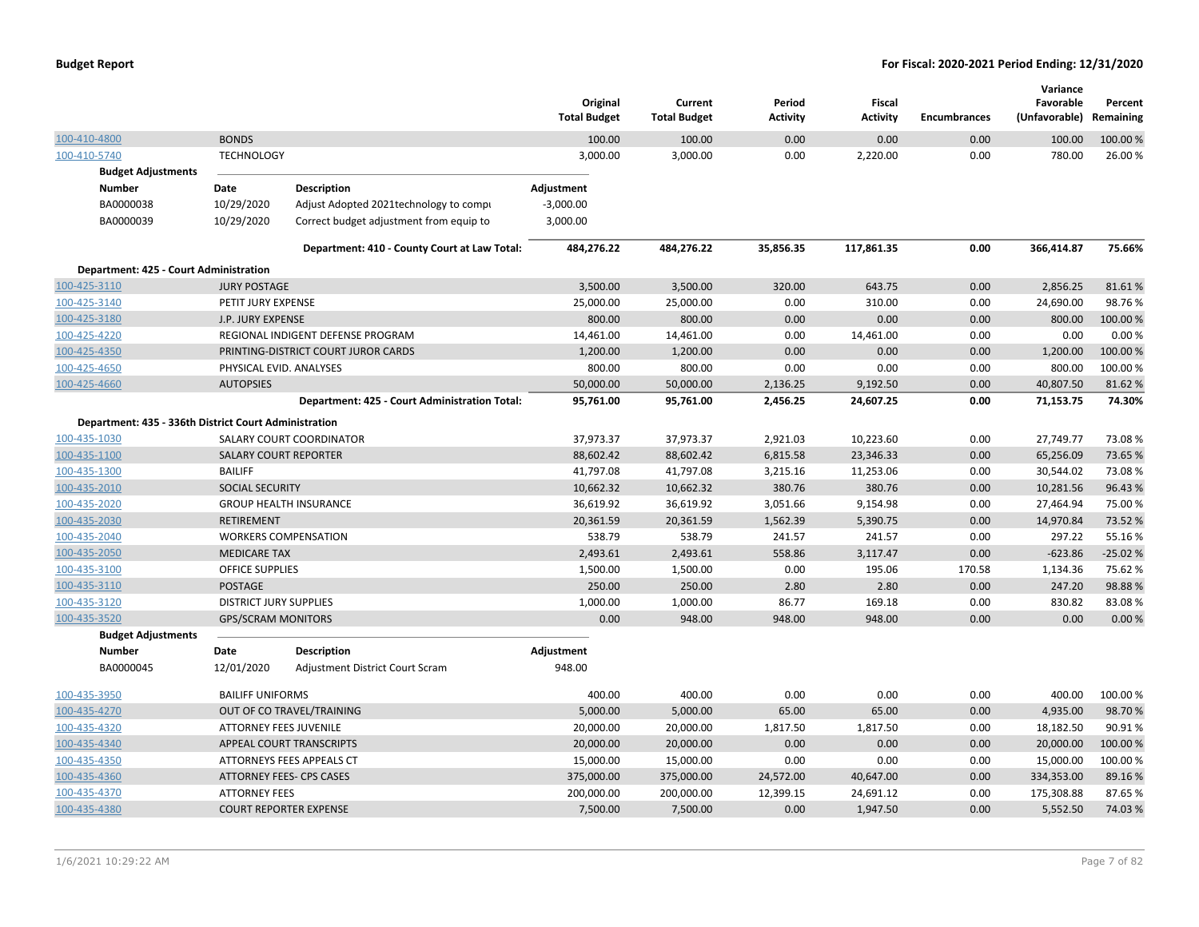|                                                       |                               |                                               | Original<br><b>Total Budget</b> | Current<br><b>Total Budget</b> | Period<br><b>Activity</b> | Fiscal<br><b>Activity</b> | <b>Encumbrances</b> | Variance<br>Favorable<br>(Unfavorable) Remaining | Percent   |
|-------------------------------------------------------|-------------------------------|-----------------------------------------------|---------------------------------|--------------------------------|---------------------------|---------------------------|---------------------|--------------------------------------------------|-----------|
| 100-410-4800                                          | <b>BONDS</b>                  |                                               | 100.00                          | 100.00                         | 0.00                      | 0.00                      | 0.00                | 100.00                                           | 100.00 %  |
| 100-410-5740                                          | <b>TECHNOLOGY</b>             |                                               | 3,000.00                        | 3,000.00                       | 0.00                      | 2,220.00                  | 0.00                | 780.00                                           | 26.00%    |
| <b>Budget Adjustments</b>                             |                               |                                               |                                 |                                |                           |                           |                     |                                                  |           |
| Number                                                | Date                          | Description                                   | Adjustment                      |                                |                           |                           |                     |                                                  |           |
| BA0000038                                             | 10/29/2020                    | Adjust Adopted 2021technology to compi        | $-3,000.00$                     |                                |                           |                           |                     |                                                  |           |
| BA0000039                                             | 10/29/2020                    | Correct budget adjustment from equip to       | 3,000.00                        |                                |                           |                           |                     |                                                  |           |
|                                                       |                               | Department: 410 - County Court at Law Total:  | 484,276.22                      | 484,276.22                     | 35,856.35                 | 117,861.35                | 0.00                | 366,414.87                                       | 75.66%    |
| Department: 425 - Court Administration                |                               |                                               |                                 |                                |                           |                           |                     |                                                  |           |
| 100-425-3110                                          | <b>JURY POSTAGE</b>           |                                               | 3,500.00                        | 3,500.00                       | 320.00                    | 643.75                    | 0.00                | 2,856.25                                         | 81.61%    |
| 100-425-3140                                          | PETIT JURY EXPENSE            |                                               | 25,000.00                       | 25,000.00                      | 0.00                      | 310.00                    | 0.00                | 24,690.00                                        | 98.76%    |
| 100-425-3180                                          | J.P. JURY EXPENSE             |                                               | 800.00                          | 800.00                         | 0.00                      | 0.00                      | 0.00                | 800.00                                           | 100.00%   |
| 100-425-4220                                          |                               | REGIONAL INDIGENT DEFENSE PROGRAM             | 14,461.00                       | 14,461.00                      | 0.00                      | 14,461.00                 | 0.00                | 0.00                                             | 0.00%     |
| 100-425-4350                                          |                               | PRINTING-DISTRICT COURT JUROR CARDS           | 1,200.00                        | 1,200.00                       | 0.00                      | 0.00                      | 0.00                | 1,200.00                                         | 100.00 %  |
| 100-425-4650                                          | PHYSICAL EVID. ANALYSES       |                                               | 800.00                          | 800.00                         | 0.00                      | 0.00                      | 0.00                | 800.00                                           | 100.00%   |
| 100-425-4660                                          | <b>AUTOPSIES</b>              |                                               | 50,000.00                       | 50,000.00                      | 2,136.25                  | 9,192.50                  | 0.00                | 40,807.50                                        | 81.62%    |
|                                                       |                               | Department: 425 - Court Administration Total: | 95,761.00                       | 95,761.00                      | 2,456.25                  | 24,607.25                 | 0.00                | 71,153.75                                        | 74.30%    |
| Department: 435 - 336th District Court Administration |                               |                                               |                                 |                                |                           |                           |                     |                                                  |           |
| 100-435-1030                                          |                               | SALARY COURT COORDINATOR                      | 37,973.37                       | 37,973.37                      | 2,921.03                  | 10,223.60                 | 0.00                | 27,749.77                                        | 73.08%    |
| 100-435-1100                                          | <b>SALARY COURT REPORTER</b>  |                                               | 88,602.42                       | 88,602.42                      | 6,815.58                  | 23,346.33                 | 0.00                | 65,256.09                                        | 73.65%    |
| 100-435-1300                                          | <b>BAILIFF</b>                |                                               | 41,797.08                       | 41,797.08                      | 3,215.16                  | 11,253.06                 | 0.00                | 30,544.02                                        | 73.08%    |
| 100-435-2010                                          | SOCIAL SECURITY               |                                               | 10,662.32                       | 10,662.32                      | 380.76                    | 380.76                    | 0.00                | 10,281.56                                        | 96.43%    |
| 100-435-2020                                          |                               | <b>GROUP HEALTH INSURANCE</b>                 | 36,619.92                       | 36,619.92                      | 3,051.66                  | 9,154.98                  | 0.00                | 27,464.94                                        | 75.00 %   |
| 100-435-2030                                          | <b>RETIREMENT</b>             |                                               | 20,361.59                       | 20,361.59                      | 1,562.39                  | 5,390.75                  | 0.00                | 14,970.84                                        | 73.52 %   |
| 100-435-2040                                          |                               | <b>WORKERS COMPENSATION</b>                   | 538.79                          | 538.79                         | 241.57                    | 241.57                    | 0.00                | 297.22                                           | 55.16%    |
| 100-435-2050                                          | <b>MEDICARE TAX</b>           |                                               | 2,493.61                        | 2,493.61                       | 558.86                    | 3,117.47                  | 0.00                | $-623.86$                                        | $-25.02%$ |
| 100-435-3100                                          | OFFICE SUPPLIES               |                                               | 1,500.00                        | 1,500.00                       | 0.00                      | 195.06                    | 170.58              | 1,134.36                                         | 75.62%    |
| 100-435-3110                                          | POSTAGE                       |                                               | 250.00                          | 250.00                         | 2.80                      | 2.80                      | 0.00                | 247.20                                           | 98.88%    |
| 100-435-3120                                          | <b>DISTRICT JURY SUPPLIES</b> |                                               | 1,000.00                        | 1,000.00                       | 86.77                     | 169.18                    | 0.00                | 830.82                                           | 83.08%    |
| 100-435-3520                                          | <b>GPS/SCRAM MONITORS</b>     |                                               | 0.00                            | 948.00                         | 948.00                    | 948.00                    | 0.00                | 0.00                                             | 0.00%     |
| <b>Budget Adjustments</b>                             |                               |                                               |                                 |                                |                           |                           |                     |                                                  |           |
| <b>Number</b>                                         | Date                          | <b>Description</b>                            | Adjustment                      |                                |                           |                           |                     |                                                  |           |
| BA0000045                                             | 12/01/2020                    | <b>Adjustment District Court Scram</b>        | 948.00                          |                                |                           |                           |                     |                                                  |           |
| 100-435-3950                                          | <b>BAILIFF UNIFORMS</b>       |                                               | 400.00                          | 400.00                         | 0.00                      | 0.00                      | 0.00                | 400.00                                           | 100.00%   |
| 100-435-4270                                          |                               | OUT OF CO TRAVEL/TRAINING                     | 5,000.00                        | 5,000.00                       | 65.00                     | 65.00                     | 0.00                | 4,935.00                                         | 98.70%    |
| 100-435-4320                                          | <b>ATTORNEY FEES JUVENILE</b> |                                               | 20,000.00                       | 20,000.00                      | 1,817.50                  | 1,817.50                  | 0.00                | 18,182.50                                        | 90.91%    |
| 100-435-4340                                          |                               | <b>APPEAL COURT TRANSCRIPTS</b>               | 20,000.00                       | 20,000.00                      | 0.00                      | 0.00                      | 0.00                | 20,000.00                                        | 100.00 %  |
| 100-435-4350                                          |                               | ATTORNEYS FEES APPEALS CT                     | 15,000.00                       | 15,000.00                      | 0.00                      | 0.00                      | 0.00                | 15,000.00                                        | 100.00 %  |
| 100-435-4360                                          |                               | ATTORNEY FEES- CPS CASES                      | 375,000.00                      | 375,000.00                     | 24,572.00                 | 40,647.00                 | 0.00                | 334,353.00                                       | 89.16%    |
| 100-435-4370                                          | <b>ATTORNEY FEES</b>          |                                               | 200,000.00                      | 200,000.00                     | 12,399.15                 | 24,691.12                 | 0.00                | 175,308.88                                       | 87.65%    |
| 100-435-4380                                          |                               | <b>COURT REPORTER EXPENSE</b>                 | 7,500.00                        | 7,500.00                       | 0.00                      | 1,947.50                  | 0.00                | 5,552.50                                         | 74.03%    |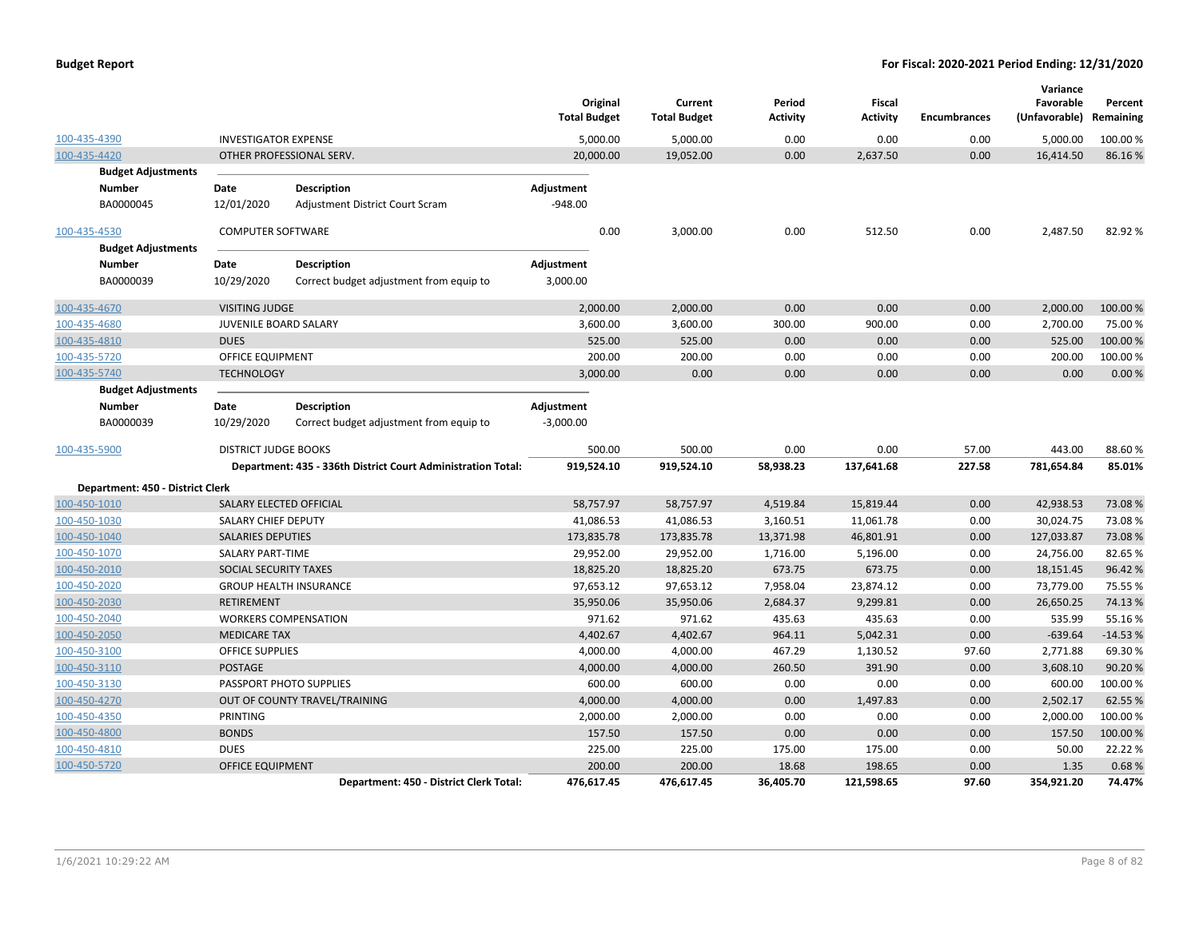|                                  |                             |                                                              | Original<br><b>Total Budget</b> | Current<br><b>Total Budget</b> | Period<br><b>Activity</b> | Fiscal<br><b>Activity</b> | <b>Encumbrances</b> | Variance<br>Favorable<br>(Unfavorable) Remaining | Percent   |
|----------------------------------|-----------------------------|--------------------------------------------------------------|---------------------------------|--------------------------------|---------------------------|---------------------------|---------------------|--------------------------------------------------|-----------|
| 100-435-4390                     | <b>INVESTIGATOR EXPENSE</b> |                                                              | 5,000.00                        | 5,000.00                       | 0.00                      | 0.00                      | 0.00                | 5,000.00                                         | 100.00%   |
| 100-435-4420                     |                             | OTHER PROFESSIONAL SERV.                                     | 20,000.00                       | 19,052.00                      | 0.00                      | 2,637.50                  | 0.00                | 16,414.50                                        | 86.16%    |
| <b>Budget Adjustments</b>        |                             |                                                              |                                 |                                |                           |                           |                     |                                                  |           |
| Number                           | Date                        | <b>Description</b>                                           | Adjustment                      |                                |                           |                           |                     |                                                  |           |
| BA0000045                        | 12/01/2020                  | <b>Adjustment District Court Scram</b>                       | $-948.00$                       |                                |                           |                           |                     |                                                  |           |
| 100-435-4530                     | <b>COMPUTER SOFTWARE</b>    |                                                              | 0.00                            | 3,000.00                       | 0.00                      | 512.50                    | 0.00                | 2,487.50                                         | 82.92%    |
| <b>Budget Adjustments</b>        |                             |                                                              |                                 |                                |                           |                           |                     |                                                  |           |
| <b>Number</b>                    | Date                        | <b>Description</b>                                           | Adjustment                      |                                |                           |                           |                     |                                                  |           |
| BA0000039                        | 10/29/2020                  | Correct budget adjustment from equip to                      | 3,000.00                        |                                |                           |                           |                     |                                                  |           |
| 100-435-4670                     | <b>VISITING JUDGE</b>       |                                                              | 2,000.00                        | 2,000.00                       | 0.00                      | 0.00                      | 0.00                | 2,000.00                                         | 100.00 %  |
| 100-435-4680                     | JUVENILE BOARD SALARY       |                                                              | 3,600.00                        | 3,600.00                       | 300.00                    | 900.00                    | 0.00                | 2,700.00                                         | 75.00%    |
| 100-435-4810                     | <b>DUES</b>                 |                                                              | 525.00                          | 525.00                         | 0.00                      | 0.00                      | 0.00                | 525.00                                           | 100.00 %  |
| 100-435-5720                     | <b>OFFICE EQUIPMENT</b>     |                                                              | 200.00                          | 200.00                         | 0.00                      | 0.00                      | 0.00                | 200.00                                           | 100.00%   |
| 100-435-5740                     | <b>TECHNOLOGY</b>           |                                                              | 3,000.00                        | 0.00                           | 0.00                      | 0.00                      | 0.00                | 0.00                                             | 0.00%     |
| <b>Budget Adjustments</b>        |                             |                                                              |                                 |                                |                           |                           |                     |                                                  |           |
| Number                           | Date                        | <b>Description</b>                                           | Adjustment                      |                                |                           |                           |                     |                                                  |           |
| BA0000039                        | 10/29/2020                  | Correct budget adjustment from equip to                      | $-3,000.00$                     |                                |                           |                           |                     |                                                  |           |
| 100-435-5900                     | <b>DISTRICT JUDGE BOOKS</b> |                                                              | 500.00                          | 500.00                         | 0.00                      | 0.00                      | 57.00               | 443.00                                           | 88.60%    |
|                                  |                             | Department: 435 - 336th District Court Administration Total: | 919,524.10                      | 919,524.10                     | 58,938.23                 | 137,641.68                | 227.58              | 781,654.84                                       | 85.01%    |
| Department: 450 - District Clerk |                             |                                                              |                                 |                                |                           |                           |                     |                                                  |           |
| 100-450-1010                     |                             | SALARY ELECTED OFFICIAL                                      | 58,757.97                       | 58,757.97                      | 4,519.84                  | 15,819.44                 | 0.00                | 42,938.53                                        | 73.08%    |
| 100-450-1030                     | SALARY CHIEF DEPUTY         |                                                              | 41,086.53                       | 41,086.53                      | 3,160.51                  | 11,061.78                 | 0.00                | 30,024.75                                        | 73.08%    |
| 100-450-1040                     | <b>SALARIES DEPUTIES</b>    |                                                              | 173,835.78                      | 173,835.78                     | 13,371.98                 | 46,801.91                 | 0.00                | 127,033.87                                       | 73.08%    |
| 100-450-1070                     | <b>SALARY PART-TIME</b>     |                                                              | 29,952.00                       | 29,952.00                      | 1,716.00                  | 5,196.00                  | 0.00                | 24,756.00                                        | 82.65 %   |
| 100-450-2010                     | SOCIAL SECURITY TAXES       |                                                              | 18,825.20                       | 18,825.20                      | 673.75                    | 673.75                    | 0.00                | 18,151.45                                        | 96.42%    |
| 100-450-2020                     |                             | <b>GROUP HEALTH INSURANCE</b>                                | 97,653.12                       | 97,653.12                      | 7,958.04                  | 23,874.12                 | 0.00                | 73,779.00                                        | 75.55 %   |
| 100-450-2030                     | <b>RETIREMENT</b>           |                                                              | 35,950.06                       | 35,950.06                      | 2,684.37                  | 9,299.81                  | 0.00                | 26,650.25                                        | 74.13 %   |
| 100-450-2040                     |                             | <b>WORKERS COMPENSATION</b>                                  | 971.62                          | 971.62                         | 435.63                    | 435.63                    | 0.00                | 535.99                                           | 55.16%    |
| 100-450-2050                     | <b>MEDICARE TAX</b>         |                                                              | 4,402.67                        | 4,402.67                       | 964.11                    | 5,042.31                  | 0.00                | $-639.64$                                        | $-14.53%$ |
| 100-450-3100                     | <b>OFFICE SUPPLIES</b>      |                                                              | 4,000.00                        | 4,000.00                       | 467.29                    | 1,130.52                  | 97.60               | 2,771.88                                         | 69.30%    |
| 100-450-3110                     | <b>POSTAGE</b>              |                                                              | 4,000.00                        | 4,000.00                       | 260.50                    | 391.90                    | 0.00                | 3,608.10                                         | 90.20%    |
| 100-450-3130                     |                             | PASSPORT PHOTO SUPPLIES                                      | 600.00                          | 600.00                         | 0.00                      | 0.00                      | 0.00                | 600.00                                           | 100.00%   |
| 100-450-4270                     |                             | OUT OF COUNTY TRAVEL/TRAINING                                | 4,000.00                        | 4,000.00                       | 0.00                      | 1,497.83                  | 0.00                | 2,502.17                                         | 62.55 %   |
| 100-450-4350                     | PRINTING                    |                                                              | 2,000.00                        | 2,000.00                       | 0.00                      | 0.00                      | 0.00                | 2,000.00                                         | 100.00%   |
| 100-450-4800                     | <b>BONDS</b>                |                                                              | 157.50                          | 157.50                         | 0.00                      | 0.00                      | 0.00                | 157.50                                           | 100.00 %  |
| 100-450-4810                     | <b>DUES</b>                 |                                                              | 225.00                          | 225.00                         | 175.00                    | 175.00                    | 0.00                | 50.00                                            | 22.22 %   |
| 100-450-5720                     | <b>OFFICE EQUIPMENT</b>     |                                                              | 200.00                          | 200.00                         | 18.68                     | 198.65                    | 0.00                | 1.35                                             | 0.68%     |
|                                  |                             | Department: 450 - District Clerk Total:                      | 476,617.45                      | 476,617.45                     | 36,405.70                 | 121,598.65                | 97.60               | 354,921.20                                       | 74.47%    |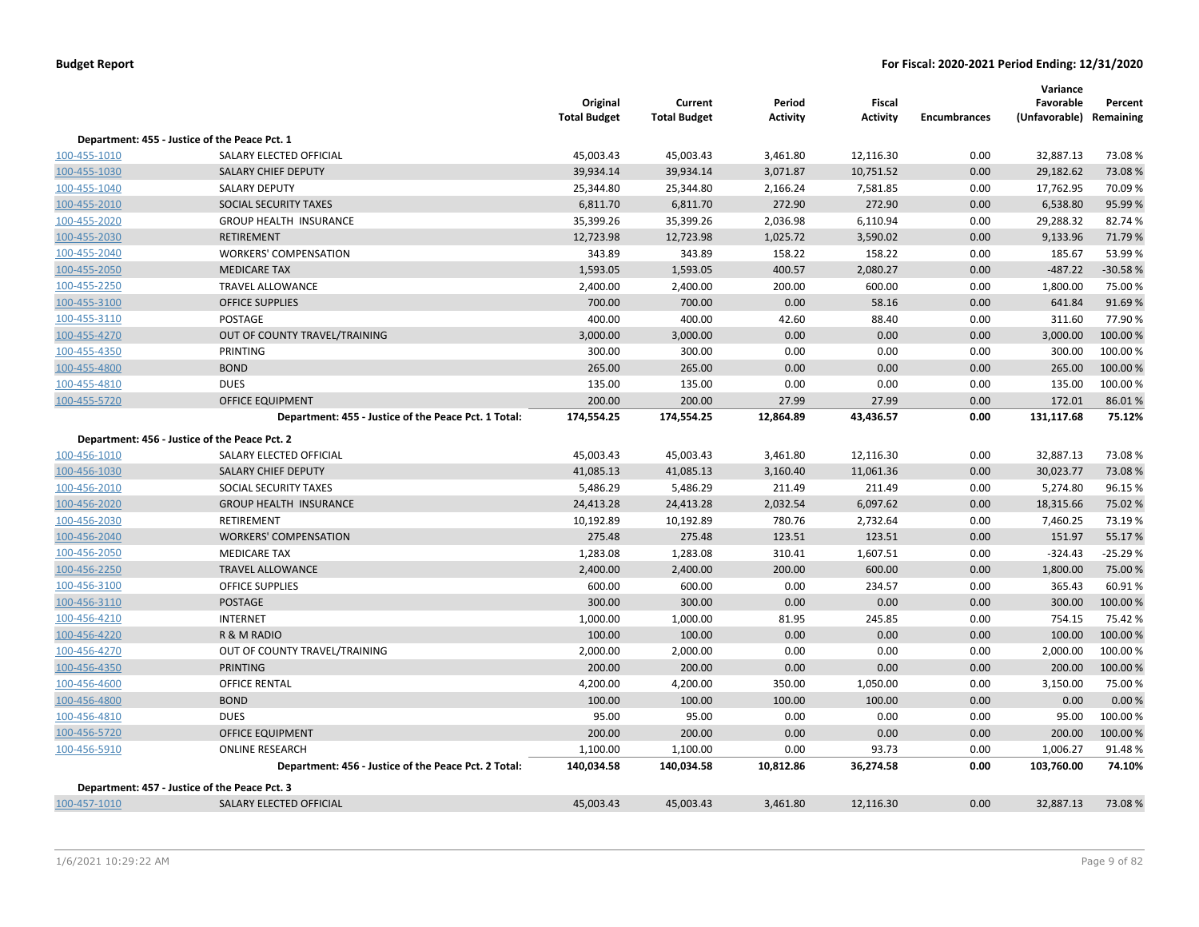|                                               |                                                      | Original<br><b>Total Budget</b> | Current<br><b>Total Budget</b> | Period<br><b>Activity</b> | Fiscal<br><b>Activity</b> | <b>Encumbrances</b> | Variance<br>Favorable<br>(Unfavorable) | Percent<br>Remaining |
|-----------------------------------------------|------------------------------------------------------|---------------------------------|--------------------------------|---------------------------|---------------------------|---------------------|----------------------------------------|----------------------|
| Department: 455 - Justice of the Peace Pct. 1 |                                                      |                                 |                                |                           |                           |                     |                                        |                      |
| 100-455-1010                                  | SALARY ELECTED OFFICIAL                              | 45,003.43                       | 45,003.43                      | 3,461.80                  | 12,116.30                 | 0.00                | 32,887.13                              | 73.08%               |
| 100-455-1030                                  | SALARY CHIEF DEPUTY                                  | 39,934.14                       | 39,934.14                      | 3,071.87                  | 10,751.52                 | 0.00                | 29,182.62                              | 73.08%               |
| 100-455-1040                                  | <b>SALARY DEPUTY</b>                                 | 25,344.80                       | 25,344.80                      | 2,166.24                  | 7,581.85                  | 0.00                | 17,762.95                              | 70.09%               |
| 100-455-2010                                  | SOCIAL SECURITY TAXES                                | 6,811.70                        | 6,811.70                       | 272.90                    | 272.90                    | 0.00                | 6,538.80                               | 95.99 %              |
| 100-455-2020                                  | <b>GROUP HEALTH INSURANCE</b>                        | 35,399.26                       | 35,399.26                      | 2,036.98                  | 6,110.94                  | 0.00                | 29,288.32                              | 82.74 %              |
| 100-455-2030                                  | <b>RETIREMENT</b>                                    | 12,723.98                       | 12,723.98                      | 1,025.72                  | 3,590.02                  | 0.00                | 9,133.96                               | 71.79 %              |
| 100-455-2040                                  | <b>WORKERS' COMPENSATION</b>                         | 343.89                          | 343.89                         | 158.22                    | 158.22                    | 0.00                | 185.67                                 | 53.99%               |
| 100-455-2050                                  | <b>MEDICARE TAX</b>                                  | 1,593.05                        | 1,593.05                       | 400.57                    | 2,080.27                  | 0.00                | $-487.22$                              | $-30.58%$            |
| 100-455-2250                                  | <b>TRAVEL ALLOWANCE</b>                              | 2,400.00                        | 2,400.00                       | 200.00                    | 600.00                    | 0.00                | 1,800.00                               | 75.00 %              |
| 100-455-3100                                  | <b>OFFICE SUPPLIES</b>                               | 700.00                          | 700.00                         | 0.00                      | 58.16                     | 0.00                | 641.84                                 | 91.69%               |
| 100-455-3110                                  | <b>POSTAGE</b>                                       | 400.00                          | 400.00                         | 42.60                     | 88.40                     | 0.00                | 311.60                                 | 77.90%               |
| 100-455-4270                                  | OUT OF COUNTY TRAVEL/TRAINING                        | 3,000.00                        | 3,000.00                       | 0.00                      | 0.00                      | 0.00                | 3,000.00                               | 100.00%              |
| 100-455-4350                                  | PRINTING                                             | 300.00                          | 300.00                         | 0.00                      | 0.00                      | 0.00                | 300.00                                 | 100.00%              |
| 100-455-4800                                  | <b>BOND</b>                                          | 265.00                          | 265.00                         | 0.00                      | 0.00                      | 0.00                | 265.00                                 | 100.00%              |
| 100-455-4810                                  | <b>DUES</b>                                          | 135.00                          | 135.00                         | 0.00                      | 0.00                      | 0.00                | 135.00                                 | 100.00%              |
| 100-455-5720                                  | <b>OFFICE EQUIPMENT</b>                              | 200.00                          | 200.00                         | 27.99                     | 27.99                     | 0.00                | 172.01                                 | 86.01%               |
|                                               | Department: 455 - Justice of the Peace Pct. 1 Total: | 174,554.25                      | 174,554.25                     | 12,864.89                 | 43,436.57                 | 0.00                | 131,117.68                             | 75.12%               |
| Department: 456 - Justice of the Peace Pct. 2 |                                                      |                                 |                                |                           |                           |                     |                                        |                      |
| 100-456-1010                                  | SALARY ELECTED OFFICIAL                              | 45,003.43                       | 45,003.43                      | 3,461.80                  | 12,116.30                 | 0.00                | 32,887.13                              | 73.08%               |
| 100-456-1030                                  | SALARY CHIEF DEPUTY                                  | 41,085.13                       | 41,085.13                      | 3,160.40                  | 11,061.36                 | 0.00                | 30,023.77                              | 73.08%               |
| 100-456-2010                                  | SOCIAL SECURITY TAXES                                | 5,486.29                        | 5,486.29                       | 211.49                    | 211.49                    | 0.00                | 5,274.80                               | 96.15%               |
| 100-456-2020                                  | <b>GROUP HEALTH INSURANCE</b>                        | 24,413.28                       | 24,413.28                      | 2,032.54                  | 6,097.62                  | 0.00                | 18,315.66                              | 75.02 %              |
| 100-456-2030                                  | <b>RETIREMENT</b>                                    | 10,192.89                       | 10,192.89                      | 780.76                    | 2,732.64                  | 0.00                | 7,460.25                               | 73.19%               |
| 100-456-2040                                  | <b>WORKERS' COMPENSATION</b>                         | 275.48                          | 275.48                         | 123.51                    | 123.51                    | 0.00                | 151.97                                 | 55.17%               |
| 100-456-2050                                  | <b>MEDICARE TAX</b>                                  | 1,283.08                        | 1,283.08                       | 310.41                    | 1,607.51                  | 0.00                | $-324.43$                              | $-25.29%$            |
| 100-456-2250                                  | <b>TRAVEL ALLOWANCE</b>                              | 2,400.00                        | 2,400.00                       | 200.00                    | 600.00                    | 0.00                | 1,800.00                               | 75.00 %              |
| 100-456-3100                                  | <b>OFFICE SUPPLIES</b>                               | 600.00                          | 600.00                         | 0.00                      | 234.57                    | 0.00                | 365.43                                 | 60.91%               |
| 100-456-3110                                  | <b>POSTAGE</b>                                       | 300.00                          | 300.00                         | 0.00                      | 0.00                      | 0.00                | 300.00                                 | 100.00 %             |
| 100-456-4210                                  | <b>INTERNET</b>                                      | 1,000.00                        | 1,000.00                       | 81.95                     | 245.85                    | 0.00                | 754.15                                 | 75.42 %              |
| 100-456-4220                                  | R & M RADIO                                          | 100.00                          | 100.00                         | 0.00                      | 0.00                      | 0.00                | 100.00                                 | 100.00%              |
| 100-456-4270                                  | OUT OF COUNTY TRAVEL/TRAINING                        | 2,000.00                        | 2,000.00                       | 0.00                      | 0.00                      | 0.00                | 2,000.00                               | 100.00%              |
| 100-456-4350                                  | <b>PRINTING</b>                                      | 200.00                          | 200.00                         | 0.00                      | 0.00                      | 0.00                | 200.00                                 | 100.00%              |
| 100-456-4600                                  | <b>OFFICE RENTAL</b>                                 | 4,200.00                        | 4,200.00                       | 350.00                    | 1,050.00                  | 0.00                | 3,150.00                               | 75.00 %              |
| 100-456-4800                                  | <b>BOND</b>                                          | 100.00                          | 100.00                         | 100.00                    | 100.00                    | 0.00                | 0.00                                   | 0.00%                |
| 100-456-4810                                  | <b>DUES</b>                                          | 95.00                           | 95.00                          | 0.00                      | 0.00                      | 0.00                | 95.00                                  | 100.00%              |
| 100-456-5720                                  | <b>OFFICE EQUIPMENT</b>                              | 200.00                          | 200.00                         | 0.00                      | 0.00                      | 0.00                | 200.00                                 | 100.00 %             |
| 100-456-5910                                  | <b>ONLINE RESEARCH</b>                               | 1,100.00                        | 1,100.00                       | 0.00                      | 93.73                     | 0.00                | 1,006.27                               | 91.48%               |
|                                               | Department: 456 - Justice of the Peace Pct. 2 Total: | 140,034.58                      | 140,034.58                     | 10,812.86                 | 36,274.58                 | 0.00                | 103,760.00                             | 74.10%               |
| Department: 457 - Justice of the Peace Pct. 3 |                                                      |                                 |                                |                           |                           |                     |                                        |                      |
| 100-457-1010                                  | SALARY ELECTED OFFICIAL                              | 45,003.43                       | 45,003.43                      | 3,461.80                  | 12,116.30                 | 0.00                | 32,887.13                              | 73.08%               |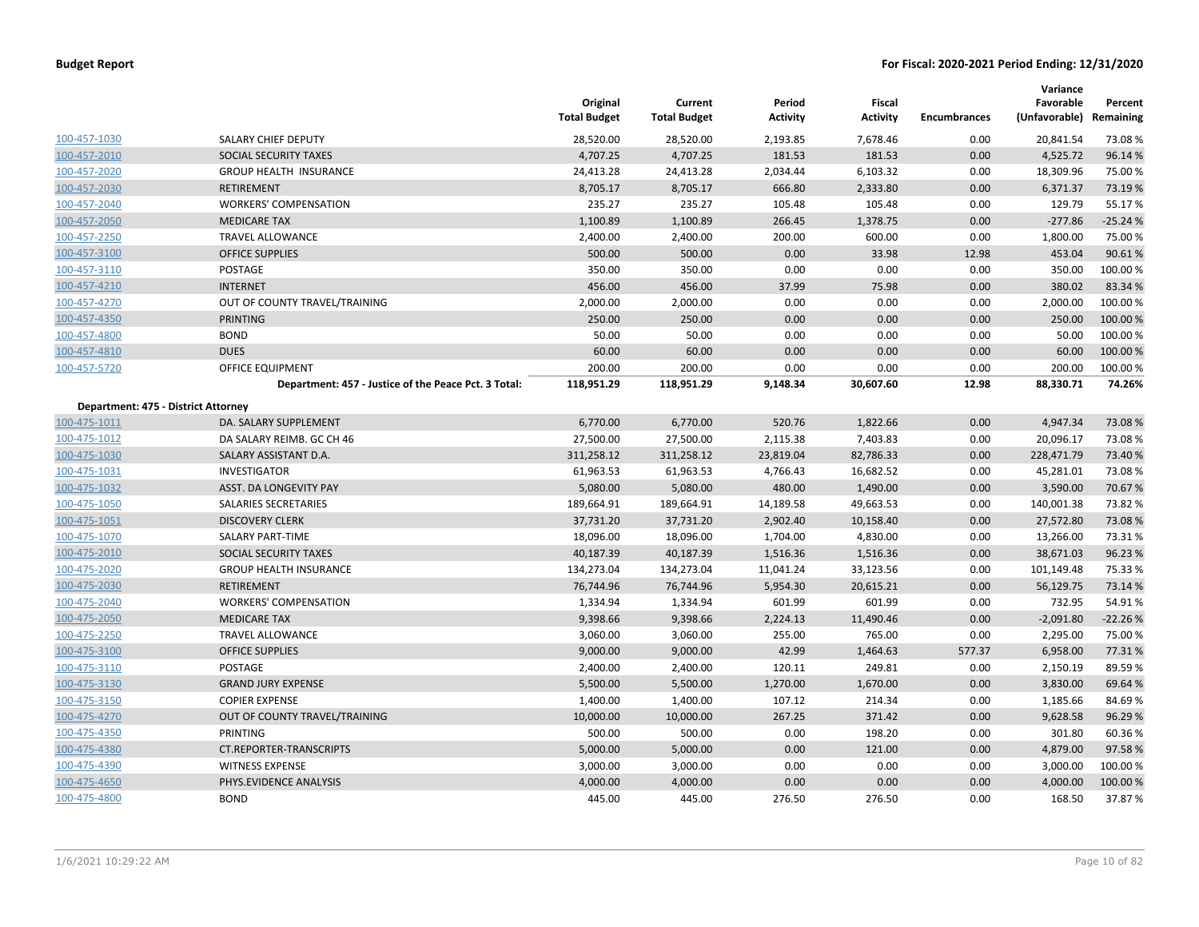|                                     |                                                      | Original<br><b>Total Budget</b> | Current<br><b>Total Budget</b> | Period<br><b>Activity</b> | <b>Fiscal</b><br><b>Activity</b> | <b>Encumbrances</b> | Variance<br>Favorable<br>(Unfavorable) | Percent<br>Remaining |
|-------------------------------------|------------------------------------------------------|---------------------------------|--------------------------------|---------------------------|----------------------------------|---------------------|----------------------------------------|----------------------|
| 100-457-1030                        | SALARY CHIEF DEPUTY                                  | 28,520.00                       | 28,520.00                      | 2,193.85                  | 7,678.46                         | 0.00                | 20,841.54                              | 73.08%               |
| 100-457-2010                        | SOCIAL SECURITY TAXES                                | 4,707.25                        | 4,707.25                       | 181.53                    | 181.53                           | 0.00                | 4,525.72                               | 96.14 %              |
| 100-457-2020                        | <b>GROUP HEALTH INSURANCE</b>                        | 24,413.28                       | 24,413.28                      | 2,034.44                  | 6,103.32                         | 0.00                | 18,309.96                              | 75.00 %              |
| 100-457-2030                        | <b>RETIREMENT</b>                                    | 8,705.17                        | 8,705.17                       | 666.80                    | 2,333.80                         | 0.00                | 6,371.37                               | 73.19%               |
| 100-457-2040                        | <b>WORKERS' COMPENSATION</b>                         | 235.27                          | 235.27                         | 105.48                    | 105.48                           | 0.00                | 129.79                                 | 55.17%               |
| 100-457-2050                        | <b>MEDICARE TAX</b>                                  | 1,100.89                        | 1,100.89                       | 266.45                    | 1,378.75                         | 0.00                | $-277.86$                              | $-25.24%$            |
| 100-457-2250                        | <b>TRAVEL ALLOWANCE</b>                              | 2,400.00                        | 2,400.00                       | 200.00                    | 600.00                           | 0.00                | 1,800.00                               | 75.00 %              |
| 100-457-3100                        | <b>OFFICE SUPPLIES</b>                               | 500.00                          | 500.00                         | 0.00                      | 33.98                            | 12.98               | 453.04                                 | 90.61%               |
| 100-457-3110                        | POSTAGE                                              | 350.00                          | 350.00                         | 0.00                      | 0.00                             | 0.00                | 350.00                                 | 100.00%              |
| 100-457-4210                        | <b>INTERNET</b>                                      | 456.00                          | 456.00                         | 37.99                     | 75.98                            | 0.00                | 380.02                                 | 83.34 %              |
| 100-457-4270                        | OUT OF COUNTY TRAVEL/TRAINING                        | 2,000.00                        | 2,000.00                       | 0.00                      | 0.00                             | 0.00                | 2,000.00                               | 100.00%              |
| 100-457-4350                        | <b>PRINTING</b>                                      | 250.00                          | 250.00                         | 0.00                      | 0.00                             | 0.00                | 250.00                                 | 100.00 %             |
| 100-457-4800                        | <b>BOND</b>                                          | 50.00                           | 50.00                          | 0.00                      | 0.00                             | 0.00                | 50.00                                  | 100.00%              |
| 100-457-4810                        | <b>DUES</b>                                          | 60.00                           | 60.00                          | 0.00                      | 0.00                             | 0.00                | 60.00                                  | 100.00%              |
| 100-457-5720                        | OFFICE EQUIPMENT                                     | 200.00                          | 200.00                         | 0.00                      | 0.00                             | 0.00                | 200.00                                 | 100.00%              |
|                                     | Department: 457 - Justice of the Peace Pct. 3 Total: | 118,951.29                      | 118,951.29                     | 9,148.34                  | 30,607.60                        | 12.98               | 88,330.71                              | 74.26%               |
| Department: 475 - District Attorney |                                                      |                                 |                                |                           |                                  |                     |                                        |                      |
| 100-475-1011                        | DA. SALARY SUPPLEMENT                                | 6,770.00                        | 6,770.00                       | 520.76                    | 1,822.66                         | 0.00                | 4,947.34                               | 73.08%               |
| 100-475-1012                        | DA SALARY REIMB. GC CH 46                            | 27,500.00                       | 27,500.00                      | 2,115.38                  | 7,403.83                         | 0.00                | 20,096.17                              | 73.08%               |
| 100-475-1030                        | SALARY ASSISTANT D.A.                                | 311,258.12                      | 311,258.12                     | 23,819.04                 | 82,786.33                        | 0.00                | 228,471.79                             | 73.40 %              |
| 100-475-1031                        | <b>INVESTIGATOR</b>                                  | 61,963.53                       | 61,963.53                      | 4,766.43                  | 16,682.52                        | 0.00                | 45,281.01                              | 73.08%               |
| 100-475-1032                        | ASST. DA LONGEVITY PAY                               | 5,080.00                        | 5,080.00                       | 480.00                    | 1,490.00                         | 0.00                | 3,590.00                               | 70.67%               |
| 100-475-1050                        | SALARIES SECRETARIES                                 | 189,664.91                      | 189,664.91                     | 14,189.58                 | 49,663.53                        | 0.00                | 140,001.38                             | 73.82 %              |
| 100-475-1051                        | <b>DISCOVERY CLERK</b>                               | 37,731.20                       | 37,731.20                      | 2,902.40                  | 10,158.40                        | 0.00                | 27,572.80                              | 73.08%               |
| 100-475-1070                        | SALARY PART-TIME                                     | 18,096.00                       | 18,096.00                      | 1,704.00                  | 4,830.00                         | 0.00                | 13,266.00                              | 73.31%               |
| 100-475-2010                        | SOCIAL SECURITY TAXES                                | 40,187.39                       | 40,187.39                      | 1,516.36                  | 1,516.36                         | 0.00                | 38,671.03                              | 96.23%               |
| 100-475-2020                        | <b>GROUP HEALTH INSURANCE</b>                        | 134,273.04                      | 134,273.04                     | 11,041.24                 | 33,123.56                        | 0.00                | 101,149.48                             | 75.33 %              |
| 100-475-2030                        | RETIREMENT                                           | 76,744.96                       | 76,744.96                      | 5,954.30                  | 20,615.21                        | 0.00                | 56,129.75                              | 73.14 %              |
| 100-475-2040                        | <b>WORKERS' COMPENSATION</b>                         | 1,334.94                        | 1,334.94                       | 601.99                    | 601.99                           | 0.00                | 732.95                                 | 54.91%               |
| 100-475-2050                        | <b>MEDICARE TAX</b>                                  | 9,398.66                        | 9,398.66                       | 2,224.13                  | 11,490.46                        | 0.00                | $-2,091.80$                            | $-22.26%$            |
| 100-475-2250                        | <b>TRAVEL ALLOWANCE</b>                              | 3,060.00                        | 3,060.00                       | 255.00                    | 765.00                           | 0.00                | 2,295.00                               | 75.00 %              |
| 100-475-3100                        | <b>OFFICE SUPPLIES</b>                               | 9,000.00                        | 9,000.00                       | 42.99                     | 1,464.63                         | 577.37              | 6,958.00                               | 77.31%               |
| 100-475-3110                        | POSTAGE                                              | 2,400.00                        | 2,400.00                       | 120.11                    | 249.81                           | 0.00                | 2,150.19                               | 89.59%               |
| 100-475-3130                        | <b>GRAND JURY EXPENSE</b>                            | 5,500.00                        | 5,500.00                       | 1,270.00                  | 1,670.00                         | 0.00                | 3,830.00                               | 69.64 %              |
| 100-475-3150                        | <b>COPIER EXPENSE</b>                                | 1,400.00                        | 1,400.00                       | 107.12                    | 214.34                           | 0.00                | 1,185.66                               | 84.69%               |
| 100-475-4270                        | OUT OF COUNTY TRAVEL/TRAINING                        | 10,000.00                       | 10,000.00                      | 267.25                    | 371.42                           | 0.00                | 9,628.58                               | 96.29 %              |
| 100-475-4350                        | PRINTING                                             | 500.00                          | 500.00                         | 0.00                      | 198.20                           | 0.00                | 301.80                                 | 60.36%               |
| 100-475-4380                        | <b>CT.REPORTER-TRANSCRIPTS</b>                       | 5,000.00                        | 5,000.00                       | 0.00                      | 121.00                           | 0.00                | 4,879.00                               | 97.58%               |
| 100-475-4390                        | <b>WITNESS EXPENSE</b>                               | 3,000.00                        | 3,000.00                       | 0.00                      | 0.00                             | 0.00                | 3,000.00                               | 100.00%              |
| 100-475-4650                        | PHYS.EVIDENCE ANALYSIS                               | 4,000.00                        | 4,000.00                       | 0.00                      | 0.00                             | 0.00                | 4,000.00                               | 100.00 %             |
| 100-475-4800                        | <b>BOND</b>                                          | 445.00                          | 445.00                         | 276.50                    | 276.50                           | 0.00                | 168.50                                 | 37.87%               |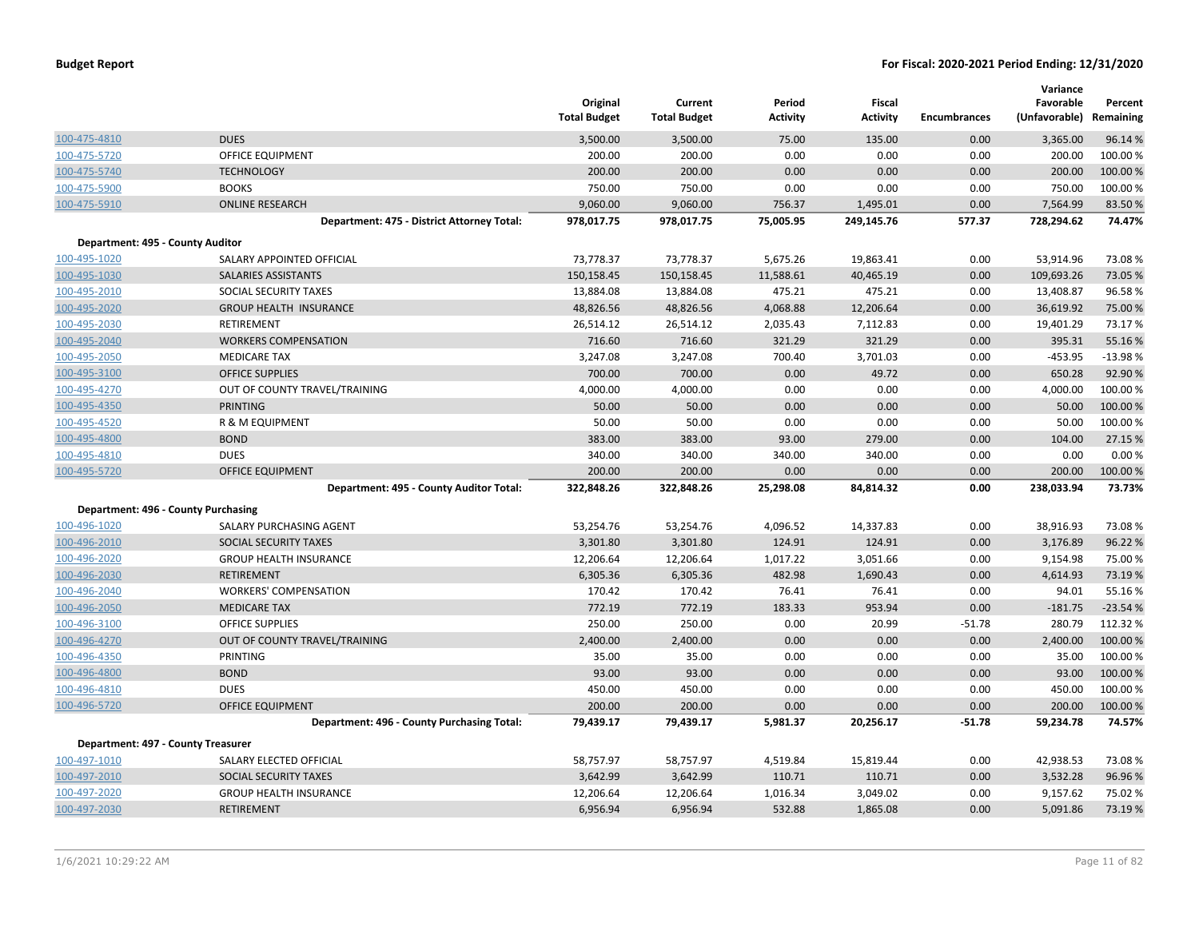| <b>Budget Report</b> |  |
|----------------------|--|
|----------------------|--|

|                                     |                                            | Original<br><b>Total Budget</b> | Current<br><b>Total Budget</b> | Period<br><b>Activity</b> | Fiscal<br><b>Activity</b> | <b>Encumbrances</b> | Variance<br>Favorable<br>(Unfavorable) | Percent<br>Remaining |
|-------------------------------------|--------------------------------------------|---------------------------------|--------------------------------|---------------------------|---------------------------|---------------------|----------------------------------------|----------------------|
| 100-475-4810                        | <b>DUES</b>                                | 3,500.00                        | 3,500.00                       | 75.00                     | 135.00                    | 0.00                | 3,365.00                               | 96.14%               |
| 100-475-5720                        | OFFICE EQUIPMENT                           | 200.00                          | 200.00                         | 0.00                      | 0.00                      | 0.00                | 200.00                                 | 100.00%              |
| 100-475-5740                        | <b>TECHNOLOGY</b>                          | 200.00                          | 200.00                         | 0.00                      | 0.00                      | 0.00                | 200.00                                 | 100.00%              |
| 100-475-5900                        | <b>BOOKS</b>                               | 750.00                          | 750.00                         | 0.00                      | 0.00                      | 0.00                | 750.00                                 | 100.00%              |
| 100-475-5910                        | <b>ONLINE RESEARCH</b>                     | 9,060.00                        | 9,060.00                       | 756.37                    | 1,495.01                  | 0.00                | 7,564.99                               | 83.50%               |
|                                     | Department: 475 - District Attorney Total: | 978,017.75                      | 978,017.75                     | 75,005.95                 | 249,145.76                | 577.37              | 728,294.62                             | 74.47%               |
| Department: 495 - County Auditor    |                                            |                                 |                                |                           |                           |                     |                                        |                      |
| 100-495-1020                        | SALARY APPOINTED OFFICIAL                  | 73,778.37                       | 73,778.37                      | 5,675.26                  | 19,863.41                 | 0.00                | 53,914.96                              | 73.08%               |
| 100-495-1030                        | SALARIES ASSISTANTS                        | 150,158.45                      | 150,158.45                     | 11,588.61                 | 40,465.19                 | 0.00                | 109,693.26                             | 73.05 %              |
| 100-495-2010                        | SOCIAL SECURITY TAXES                      | 13,884.08                       | 13,884.08                      | 475.21                    | 475.21                    | 0.00                | 13,408.87                              | 96.58%               |
| 100-495-2020                        | <b>GROUP HEALTH INSURANCE</b>              | 48,826.56                       | 48,826.56                      | 4,068.88                  | 12,206.64                 | 0.00                | 36,619.92                              | 75.00 %              |
| 100-495-2030                        | <b>RETIREMENT</b>                          | 26,514.12                       | 26,514.12                      | 2,035.43                  | 7,112.83                  | 0.00                | 19,401.29                              | 73.17%               |
| 100-495-2040                        | <b>WORKERS COMPENSATION</b>                | 716.60                          | 716.60                         | 321.29                    | 321.29                    | 0.00                | 395.31                                 | 55.16 %              |
| 100-495-2050                        | <b>MEDICARE TAX</b>                        | 3,247.08                        | 3,247.08                       | 700.40                    | 3,701.03                  | 0.00                | $-453.95$                              | $-13.98%$            |
| 100-495-3100                        | <b>OFFICE SUPPLIES</b>                     | 700.00                          | 700.00                         | 0.00                      | 49.72                     | 0.00                | 650.28                                 | 92.90%               |
| 100-495-4270                        | OUT OF COUNTY TRAVEL/TRAINING              | 4,000.00                        | 4,000.00                       | 0.00                      | 0.00                      | 0.00                | 4,000.00                               | 100.00%              |
| 100-495-4350                        | <b>PRINTING</b>                            | 50.00                           | 50.00                          | 0.00                      | 0.00                      | 0.00                | 50.00                                  | 100.00%              |
| 100-495-4520                        | R & M EQUIPMENT                            | 50.00                           | 50.00                          | 0.00                      | 0.00                      | 0.00                | 50.00                                  | 100.00%              |
| 100-495-4800                        | <b>BOND</b>                                | 383.00                          | 383.00                         | 93.00                     | 279.00                    | 0.00                | 104.00                                 | 27.15 %              |
| 100-495-4810                        | <b>DUES</b>                                | 340.00                          | 340.00                         | 340.00                    | 340.00                    | 0.00                | 0.00                                   | 0.00%                |
| 100-495-5720                        | <b>OFFICE EQUIPMENT</b>                    | 200.00                          | 200.00                         | 0.00                      | 0.00                      | 0.00                | 200.00                                 | 100.00%              |
|                                     | Department: 495 - County Auditor Total:    | 322,848.26                      | 322,848.26                     | 25,298.08                 | 84,814.32                 | 0.00                | 238,033.94                             | 73.73%               |
| Department: 496 - County Purchasing |                                            |                                 |                                |                           |                           |                     |                                        |                      |
| 100-496-1020                        | SALARY PURCHASING AGENT                    | 53,254.76                       | 53,254.76                      | 4,096.52                  | 14,337.83                 | 0.00                | 38,916.93                              | 73.08%               |
| 100-496-2010                        | <b>SOCIAL SECURITY TAXES</b>               | 3,301.80                        | 3,301.80                       | 124.91                    | 124.91                    | 0.00                | 3,176.89                               | 96.22%               |
| 100-496-2020                        | <b>GROUP HEALTH INSURANCE</b>              | 12,206.64                       | 12,206.64                      | 1,017.22                  | 3,051.66                  | 0.00                | 9,154.98                               | 75.00 %              |
| 100-496-2030                        | <b>RETIREMENT</b>                          | 6,305.36                        | 6,305.36                       | 482.98                    | 1,690.43                  | 0.00                | 4,614.93                               | 73.19 %              |
| 100-496-2040                        | <b>WORKERS' COMPENSATION</b>               | 170.42                          | 170.42                         | 76.41                     | 76.41                     | 0.00                | 94.01                                  | 55.16%               |
| 100-496-2050                        | <b>MEDICARE TAX</b>                        | 772.19                          | 772.19                         | 183.33                    | 953.94                    | 0.00                | $-181.75$                              | $-23.54%$            |
| 100-496-3100                        | <b>OFFICE SUPPLIES</b>                     | 250.00                          | 250.00                         | 0.00                      | 20.99                     | $-51.78$            | 280.79                                 | 112.32 %             |
| 100-496-4270                        | OUT OF COUNTY TRAVEL/TRAINING              | 2,400.00                        | 2,400.00                       | 0.00                      | 0.00                      | 0.00                | 2,400.00                               | 100.00 %             |
| 100-496-4350                        | <b>PRINTING</b>                            | 35.00                           | 35.00                          | 0.00                      | 0.00                      | 0.00                | 35.00                                  | 100.00%              |
| 100-496-4800                        | <b>BOND</b>                                | 93.00                           | 93.00                          | 0.00                      | 0.00                      | 0.00                | 93.00                                  | 100.00%              |
| 100-496-4810                        | <b>DUES</b>                                | 450.00                          | 450.00                         | 0.00                      | 0.00                      | 0.00                | 450.00                                 | 100.00%              |
| 100-496-5720                        | <b>OFFICE EQUIPMENT</b>                    | 200.00                          | 200.00                         | 0.00                      | 0.00                      | 0.00                | 200.00                                 | 100.00%              |
|                                     | Department: 496 - County Purchasing Total: | 79,439.17                       | 79,439.17                      | 5,981.37                  | 20,256.17                 | $-51.78$            | 59,234.78                              | 74.57%               |
| Department: 497 - County Treasurer  |                                            |                                 |                                |                           |                           |                     |                                        |                      |
| 100-497-1010                        | SALARY ELECTED OFFICIAL                    | 58,757.97                       | 58,757.97                      | 4,519.84                  | 15,819.44                 | 0.00                | 42,938.53                              | 73.08%               |
| 100-497-2010                        | <b>SOCIAL SECURITY TAXES</b>               | 3,642.99                        | 3,642.99                       | 110.71                    | 110.71                    | 0.00                | 3,532.28                               | 96.96%               |
| 100-497-2020                        | <b>GROUP HEALTH INSURANCE</b>              | 12,206.64                       | 12,206.64                      | 1,016.34                  | 3,049.02                  | 0.00                | 9,157.62                               | 75.02 %              |
| 100-497-2030                        | <b>RETIREMENT</b>                          | 6,956.94                        | 6,956.94                       | 532.88                    | 1,865.08                  | 0.00                | 5,091.86                               | 73.19%               |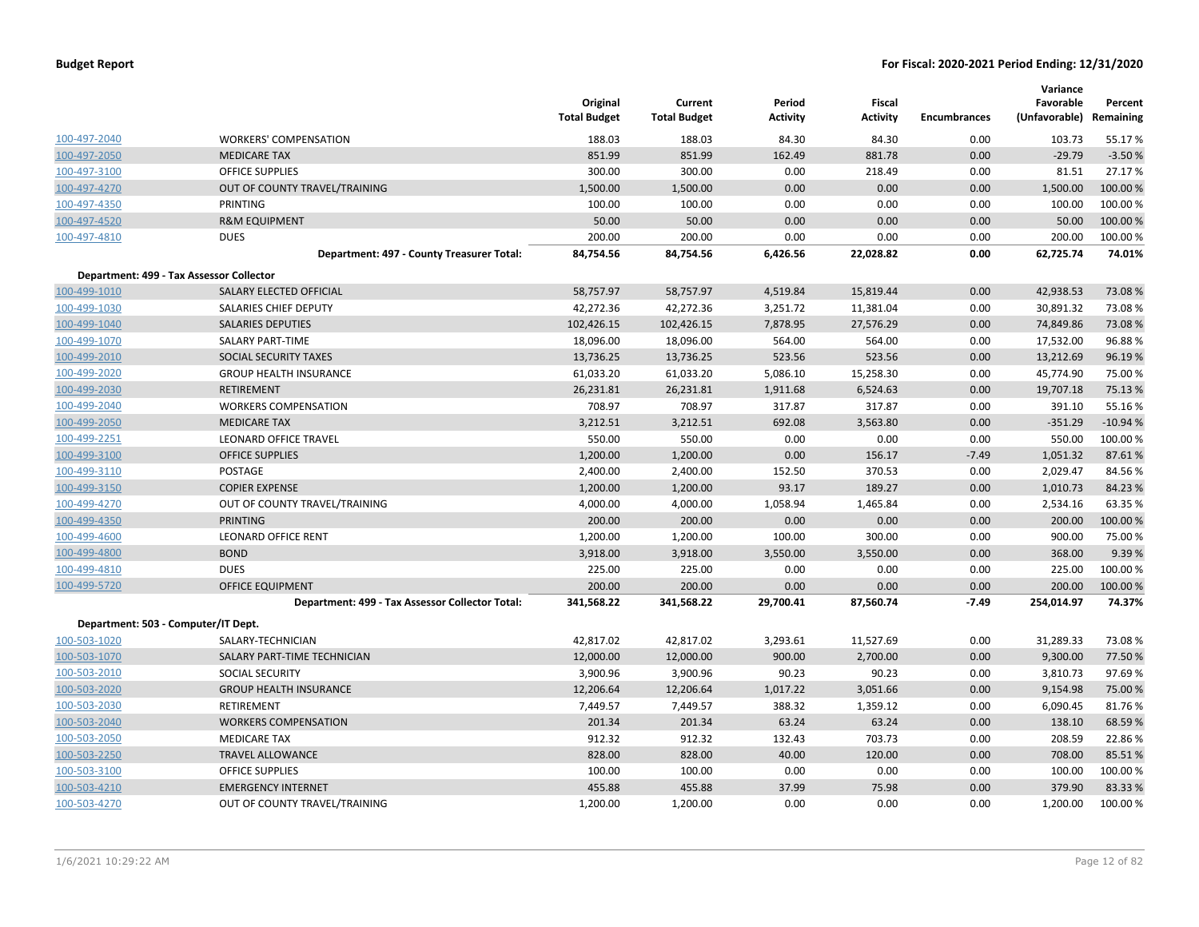|              |                                                 | Original<br><b>Total Budget</b> | Current<br><b>Total Budget</b> | Period<br><b>Activity</b> | Fiscal<br><b>Activity</b> | <b>Encumbrances</b> | Variance<br>Favorable<br>(Unfavorable) | Percent<br>Remaining |
|--------------|-------------------------------------------------|---------------------------------|--------------------------------|---------------------------|---------------------------|---------------------|----------------------------------------|----------------------|
| 100-497-2040 | <b>WORKERS' COMPENSATION</b>                    | 188.03                          | 188.03                         | 84.30                     | 84.30                     | 0.00                | 103.73                                 | 55.17%               |
| 100-497-2050 | <b>MEDICARE TAX</b>                             | 851.99                          | 851.99                         | 162.49                    | 881.78                    | 0.00                | $-29.79$                               | $-3.50%$             |
| 100-497-3100 | OFFICE SUPPLIES                                 | 300.00                          | 300.00                         | 0.00                      | 218.49                    | 0.00                | 81.51                                  | 27.17%               |
| 100-497-4270 | OUT OF COUNTY TRAVEL/TRAINING                   | 1,500.00                        | 1,500.00                       | 0.00                      | 0.00                      | 0.00                | 1,500.00                               | 100.00%              |
| 100-497-4350 | PRINTING                                        | 100.00                          | 100.00                         | 0.00                      | 0.00                      | 0.00                | 100.00                                 | 100.00%              |
| 100-497-4520 | <b>R&amp;M EQUIPMENT</b>                        | 50.00                           | 50.00                          | 0.00                      | 0.00                      | 0.00                | 50.00                                  | 100.00%              |
| 100-497-4810 | <b>DUES</b>                                     | 200.00                          | 200.00                         | 0.00                      | 0.00                      | 0.00                | 200.00                                 | 100.00%              |
|              | Department: 497 - County Treasurer Total:       | 84,754.56                       | 84,754.56                      | 6,426.56                  | 22,028.82                 | 0.00                | 62,725.74                              | 74.01%               |
|              | Department: 499 - Tax Assessor Collector        |                                 |                                |                           |                           |                     |                                        |                      |
| 100-499-1010 | SALARY ELECTED OFFICIAL                         | 58,757.97                       | 58,757.97                      | 4,519.84                  | 15,819.44                 | 0.00                | 42,938.53                              | 73.08%               |
| 100-499-1030 | SALARIES CHIEF DEPUTY                           | 42,272.36                       | 42,272.36                      | 3,251.72                  | 11,381.04                 | 0.00                | 30,891.32                              | 73.08%               |
| 100-499-1040 | <b>SALARIES DEPUTIES</b>                        | 102,426.15                      | 102,426.15                     | 7,878.95                  | 27,576.29                 | 0.00                | 74,849.86                              | 73.08%               |
| 100-499-1070 | <b>SALARY PART-TIME</b>                         | 18,096.00                       | 18,096.00                      | 564.00                    | 564.00                    | 0.00                | 17,532.00                              | 96.88%               |
| 100-499-2010 | SOCIAL SECURITY TAXES                           | 13,736.25                       | 13,736.25                      | 523.56                    | 523.56                    | 0.00                | 13,212.69                              | 96.19%               |
| 100-499-2020 | <b>GROUP HEALTH INSURANCE</b>                   | 61,033.20                       | 61,033.20                      | 5,086.10                  | 15,258.30                 | 0.00                | 45,774.90                              | 75.00 %              |
| 100-499-2030 | <b>RETIREMENT</b>                               | 26,231.81                       | 26,231.81                      | 1,911.68                  | 6,524.63                  | 0.00                | 19,707.18                              | 75.13 %              |
| 100-499-2040 | <b>WORKERS COMPENSATION</b>                     | 708.97                          | 708.97                         | 317.87                    | 317.87                    | 0.00                | 391.10                                 | 55.16%               |
| 100-499-2050 | <b>MEDICARE TAX</b>                             | 3,212.51                        | 3,212.51                       | 692.08                    | 3,563.80                  | 0.00                | $-351.29$                              | $-10.94%$            |
| 100-499-2251 | LEONARD OFFICE TRAVEL                           | 550.00                          | 550.00                         | 0.00                      | 0.00                      | 0.00                | 550.00                                 | 100.00%              |
| 100-499-3100 | <b>OFFICE SUPPLIES</b>                          | 1,200.00                        | 1,200.00                       | 0.00                      | 156.17                    | $-7.49$             | 1,051.32                               | 87.61%               |
| 100-499-3110 | POSTAGE                                         | 2,400.00                        | 2,400.00                       | 152.50                    | 370.53                    | 0.00                | 2,029.47                               | 84.56%               |
| 100-499-3150 | <b>COPIER EXPENSE</b>                           | 1,200.00                        | 1,200.00                       | 93.17                     | 189.27                    | 0.00                | 1,010.73                               | 84.23 %              |
| 100-499-4270 | OUT OF COUNTY TRAVEL/TRAINING                   | 4,000.00                        | 4,000.00                       | 1,058.94                  | 1,465.84                  | 0.00                | 2,534.16                               | 63.35 %              |
| 100-499-4350 | <b>PRINTING</b>                                 | 200.00                          | 200.00                         | 0.00                      | 0.00                      | 0.00                | 200.00                                 | 100.00%              |
| 100-499-4600 | <b>LEONARD OFFICE RENT</b>                      | 1,200.00                        | 1,200.00                       | 100.00                    | 300.00                    | 0.00                | 900.00                                 | 75.00 %              |
| 100-499-4800 | <b>BOND</b>                                     | 3,918.00                        | 3,918.00                       | 3,550.00                  | 3,550.00                  | 0.00                | 368.00                                 | 9.39%                |
| 100-499-4810 | <b>DUES</b>                                     | 225.00                          | 225.00                         | 0.00                      | 0.00                      | 0.00                | 225.00                                 | 100.00%              |
| 100-499-5720 | <b>OFFICE EQUIPMENT</b>                         | 200.00                          | 200.00                         | 0.00                      | 0.00                      | 0.00                | 200.00                                 | 100.00 %             |
|              | Department: 499 - Tax Assessor Collector Total: | 341,568.22                      | 341,568.22                     | 29,700.41                 | 87,560.74                 | $-7.49$             | 254,014.97                             | 74.37%               |
|              | Department: 503 - Computer/IT Dept.             |                                 |                                |                           |                           |                     |                                        |                      |
| 100-503-1020 | SALARY-TECHNICIAN                               | 42,817.02                       | 42,817.02                      | 3,293.61                  | 11,527.69                 | 0.00                | 31,289.33                              | 73.08%               |
| 100-503-1070 | SALARY PART-TIME TECHNICIAN                     | 12,000.00                       | 12,000.00                      | 900.00                    | 2,700.00                  | 0.00                | 9,300.00                               | 77.50 %              |
| 100-503-2010 | SOCIAL SECURITY                                 | 3,900.96                        | 3,900.96                       | 90.23                     | 90.23                     | 0.00                | 3,810.73                               | 97.69%               |
| 100-503-2020 | <b>GROUP HEALTH INSURANCE</b>                   | 12,206.64                       | 12,206.64                      | 1,017.22                  | 3,051.66                  | 0.00                | 9,154.98                               | 75.00 %              |
| 100-503-2030 | RETIREMENT                                      | 7,449.57                        | 7,449.57                       | 388.32                    | 1,359.12                  | 0.00                | 6,090.45                               | 81.76%               |
| 100-503-2040 | <b>WORKERS COMPENSATION</b>                     | 201.34                          | 201.34                         | 63.24                     | 63.24                     | 0.00                | 138.10                                 | 68.59 %              |
| 100-503-2050 | <b>MEDICARE TAX</b>                             | 912.32                          | 912.32                         | 132.43                    | 703.73                    | 0.00                | 208.59                                 | 22.86%               |
| 100-503-2250 | <b>TRAVEL ALLOWANCE</b>                         | 828.00                          | 828.00                         | 40.00                     | 120.00                    | 0.00                | 708.00                                 | 85.51%               |
| 100-503-3100 | OFFICE SUPPLIES                                 | 100.00                          | 100.00                         | 0.00                      | 0.00                      | 0.00                | 100.00                                 | 100.00%              |
| 100-503-4210 | <b>EMERGENCY INTERNET</b>                       | 455.88                          | 455.88                         | 37.99                     | 75.98                     | 0.00                | 379.90                                 | 83.33 %              |
| 100-503-4270 | OUT OF COUNTY TRAVEL/TRAINING                   | 1,200.00                        | 1,200.00                       | 0.00                      | 0.00                      | 0.00                | 1,200.00                               | 100.00%              |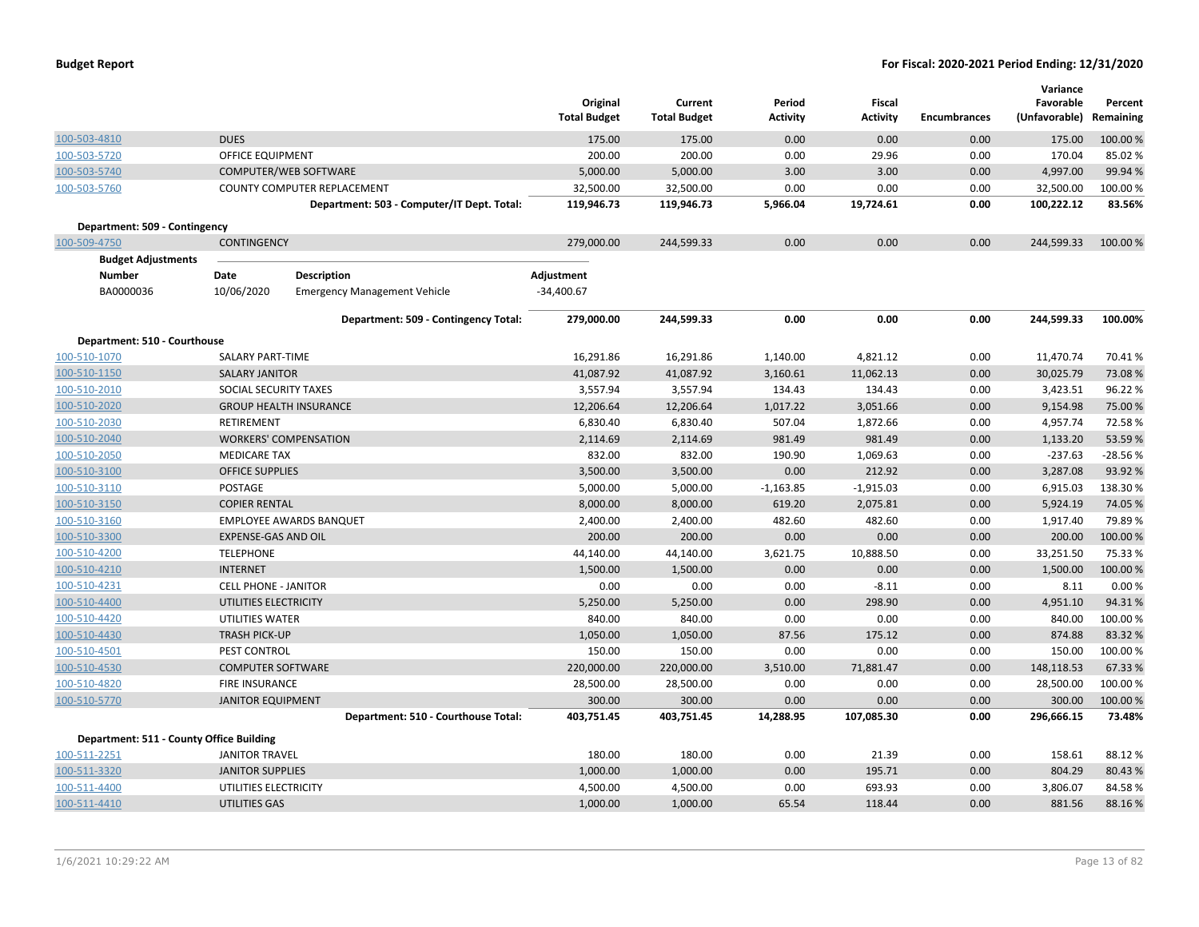| <b>Budget Report</b> |  |
|----------------------|--|
|----------------------|--|

|                                          |                             |                                            |                     |                     |                 |                 |                     | Variance      |           |
|------------------------------------------|-----------------------------|--------------------------------------------|---------------------|---------------------|-----------------|-----------------|---------------------|---------------|-----------|
|                                          |                             |                                            | Original            | Current             | Period          | Fiscal          |                     | Favorable     | Percent   |
|                                          |                             |                                            | <b>Total Budget</b> | <b>Total Budget</b> | <b>Activity</b> | <b>Activity</b> | <b>Encumbrances</b> | (Unfavorable) | Remaining |
| 100-503-4810                             | <b>DUES</b>                 |                                            | 175.00              | 175.00              | 0.00            | 0.00            | 0.00                | 175.00        | 100.00%   |
| 100-503-5720                             | <b>OFFICE EQUIPMENT</b>     |                                            | 200.00              | 200.00              | 0.00            | 29.96           | 0.00                | 170.04        | 85.02%    |
| 100-503-5740                             |                             | COMPUTER/WEB SOFTWARE                      | 5,000.00            | 5,000.00            | 3.00            | 3.00            | 0.00                | 4,997.00      | 99.94%    |
| 100-503-5760                             |                             | COUNTY COMPUTER REPLACEMENT                | 32,500.00           | 32,500.00           | 0.00            | 0.00            | 0.00                | 32,500.00     | 100.00%   |
|                                          |                             | Department: 503 - Computer/IT Dept. Total: | 119,946.73          | 119,946.73          | 5,966.04        | 19,724.61       | 0.00                | 100,222.12    | 83.56%    |
| Department: 509 - Contingency            |                             |                                            |                     |                     |                 |                 |                     |               |           |
| 100-509-4750                             | <b>CONTINGENCY</b>          |                                            | 279,000.00          | 244,599.33          | 0.00            | 0.00            | 0.00                | 244,599.33    | 100.00%   |
| <b>Budget Adjustments</b>                |                             |                                            |                     |                     |                 |                 |                     |               |           |
| <b>Number</b>                            | Date                        | <b>Description</b>                         | Adjustment          |                     |                 |                 |                     |               |           |
| BA0000036                                | 10/06/2020                  | <b>Emergency Management Vehicle</b>        | $-34,400.67$        |                     |                 |                 |                     |               |           |
|                                          |                             |                                            |                     |                     |                 |                 |                     |               |           |
|                                          |                             | Department: 509 - Contingency Total:       | 279,000.00          | 244,599.33          | 0.00            | 0.00            | 0.00                | 244,599.33    | 100.00%   |
| Department: 510 - Courthouse             |                             |                                            |                     |                     |                 |                 |                     |               |           |
| 100-510-1070                             | <b>SALARY PART-TIME</b>     |                                            | 16,291.86           | 16,291.86           | 1,140.00        | 4,821.12        | 0.00                | 11,470.74     | 70.41%    |
| 100-510-1150                             | <b>SALARY JANITOR</b>       |                                            | 41,087.92           | 41,087.92           | 3,160.61        | 11,062.13       | 0.00                | 30,025.79     | 73.08%    |
| 100-510-2010                             | SOCIAL SECURITY TAXES       |                                            | 3,557.94            | 3,557.94            | 134.43          | 134.43          | 0.00                | 3,423.51      | 96.22%    |
| 100-510-2020                             |                             | <b>GROUP HEALTH INSURANCE</b>              | 12,206.64           | 12,206.64           | 1,017.22        | 3,051.66        | 0.00                | 9,154.98      | 75.00 %   |
| 100-510-2030                             | <b>RETIREMENT</b>           |                                            | 6,830.40            | 6,830.40            | 507.04          | 1,872.66        | 0.00                | 4,957.74      | 72.58%    |
| 100-510-2040                             |                             | <b>WORKERS' COMPENSATION</b>               | 2,114.69            | 2,114.69            | 981.49          | 981.49          | 0.00                | 1,133.20      | 53.59%    |
| 100-510-2050                             | <b>MEDICARE TAX</b>         |                                            | 832.00              | 832.00              | 190.90          | 1,069.63        | 0.00                | $-237.63$     | $-28.56%$ |
| 100-510-3100                             | <b>OFFICE SUPPLIES</b>      |                                            | 3,500.00            | 3,500.00            | 0.00            | 212.92          | 0.00                | 3,287.08      | 93.92 %   |
| 100-510-3110                             | POSTAGE                     |                                            | 5,000.00            | 5,000.00            | $-1,163.85$     | $-1,915.03$     | 0.00                | 6,915.03      | 138.30%   |
| 100-510-3150                             | <b>COPIER RENTAL</b>        |                                            | 8,000.00            | 8,000.00            | 619.20          | 2,075.81        | 0.00                | 5,924.19      | 74.05 %   |
| 100-510-3160                             |                             | <b>EMPLOYEE AWARDS BANQUET</b>             | 2,400.00            | 2,400.00            | 482.60          | 482.60          | 0.00                | 1,917.40      | 79.89%    |
| 100-510-3300                             | <b>EXPENSE-GAS AND OIL</b>  |                                            | 200.00              | 200.00              | 0.00            | 0.00            | 0.00                | 200.00        | 100.00%   |
| 100-510-4200                             | <b>TELEPHONE</b>            |                                            | 44,140.00           | 44,140.00           | 3,621.75        | 10,888.50       | 0.00                | 33,251.50     | 75.33 %   |
| 100-510-4210                             | <b>INTERNET</b>             |                                            | 1,500.00            | 1,500.00            | 0.00            | 0.00            | 0.00                | 1,500.00      | 100.00%   |
| 100-510-4231                             | <b>CELL PHONE - JANITOR</b> |                                            | 0.00                | 0.00                | 0.00            | $-8.11$         | 0.00                | 8.11          | 0.00%     |
| 100-510-4400                             | UTILITIES ELECTRICITY       |                                            | 5,250.00            | 5,250.00            | 0.00            | 298.90          | 0.00                | 4,951.10      | 94.31%    |
| 100-510-4420                             | UTILITIES WATER             |                                            | 840.00              | 840.00              | 0.00            | 0.00            | 0.00                | 840.00        | 100.00%   |
| 100-510-4430                             | <b>TRASH PICK-UP</b>        |                                            | 1,050.00            | 1,050.00            | 87.56           | 175.12          | 0.00                | 874.88        | 83.32 %   |
| 100-510-4501                             | PEST CONTROL                |                                            | 150.00              | 150.00              | 0.00            | 0.00            | 0.00                | 150.00        | 100.00%   |
| 100-510-4530                             | <b>COMPUTER SOFTWARE</b>    |                                            | 220,000.00          | 220,000.00          | 3,510.00        | 71,881.47       | 0.00                | 148,118.53    | 67.33 %   |
| 100-510-4820                             | <b>FIRE INSURANCE</b>       |                                            | 28,500.00           | 28,500.00           | 0.00            | 0.00            | 0.00                | 28,500.00     | 100.00%   |
| 100-510-5770                             | <b>JANITOR EQUIPMENT</b>    |                                            | 300.00              | 300.00              | 0.00            | 0.00            | 0.00                | 300.00        | 100.00%   |
|                                          |                             | Department: 510 - Courthouse Total:        | 403,751.45          | 403,751.45          | 14,288.95       | 107,085.30      | 0.00                | 296,666.15    | 73.48%    |
| Department: 511 - County Office Building |                             |                                            |                     |                     |                 |                 |                     |               |           |
| 100-511-2251                             | <b>JANITOR TRAVEL</b>       |                                            | 180.00              | 180.00              | 0.00            | 21.39           | 0.00                | 158.61        | 88.12%    |
| 100-511-3320                             | <b>JANITOR SUPPLIES</b>     |                                            | 1,000.00            | 1,000.00            | 0.00            | 195.71          | 0.00                | 804.29        | 80.43%    |
| 100-511-4400                             | UTILITIES ELECTRICITY       |                                            | 4,500.00            | 4,500.00            | 0.00            | 693.93          | 0.00                | 3,806.07      | 84.58%    |
| 100-511-4410                             | UTILITIES GAS               |                                            | 1,000.00            | 1,000.00            | 65.54           | 118.44          | 0.00                | 881.56        | 88.16%    |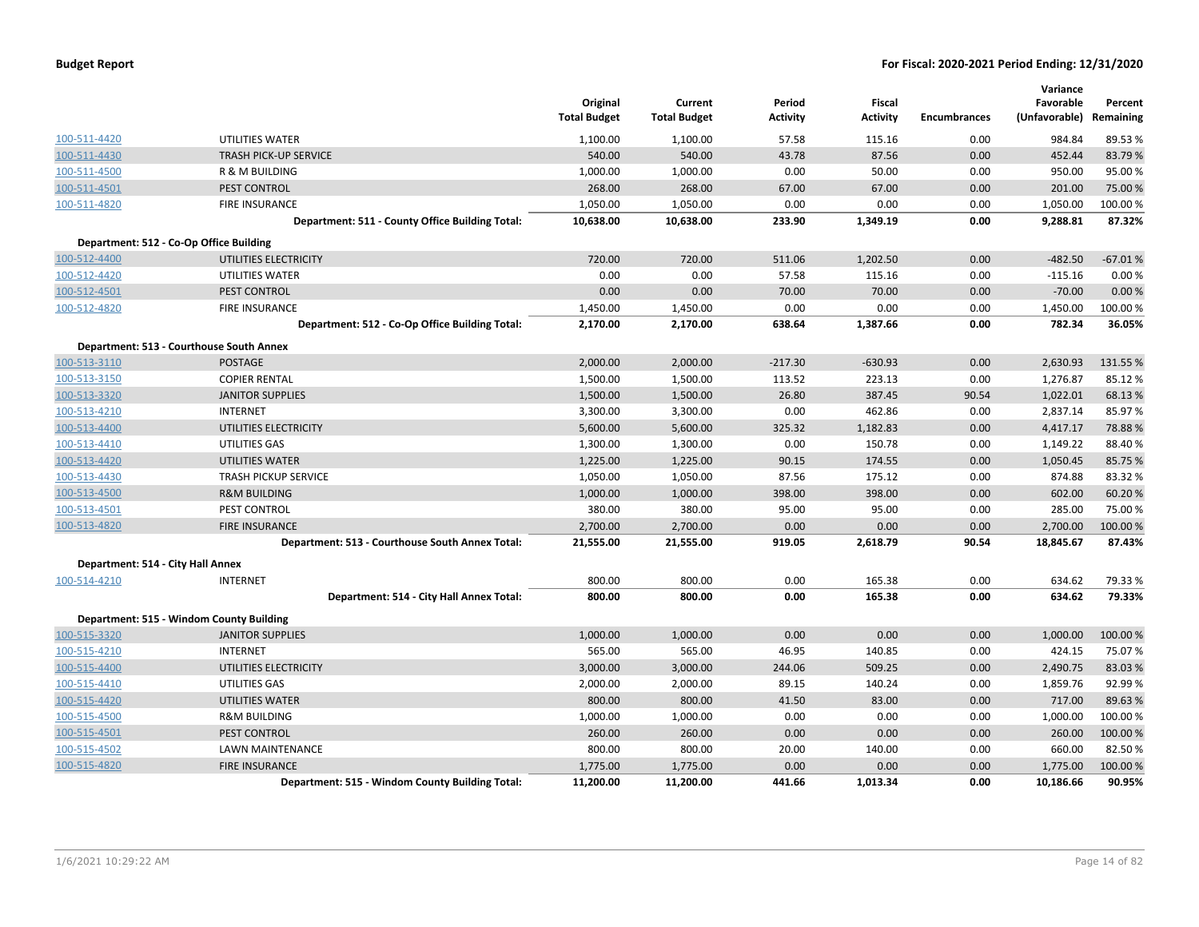| <b>Budget Report</b> |  |
|----------------------|--|
|----------------------|--|

|                                   |                                                 |                                 |                                |                           |                           |                     | Variance                   |                      |
|-----------------------------------|-------------------------------------------------|---------------------------------|--------------------------------|---------------------------|---------------------------|---------------------|----------------------------|----------------------|
|                                   |                                                 | Original<br><b>Total Budget</b> | Current<br><b>Total Budget</b> | Period<br><b>Activity</b> | Fiscal<br><b>Activity</b> | <b>Encumbrances</b> | Favorable<br>(Unfavorable) | Percent<br>Remaining |
|                                   |                                                 |                                 |                                |                           |                           |                     |                            |                      |
| 100-511-4420                      | UTILITIES WATER                                 | 1,100.00                        | 1,100.00                       | 57.58                     | 115.16                    | 0.00                | 984.84                     | 89.53%               |
| 100-511-4430                      | <b>TRASH PICK-UP SERVICE</b>                    | 540.00                          | 540.00                         | 43.78                     | 87.56                     | 0.00                | 452.44                     | 83.79%               |
| 100-511-4500                      | R & M BUILDING                                  | 1,000.00                        | 1,000.00                       | 0.00                      | 50.00                     | 0.00                | 950.00                     | 95.00 %              |
| 100-511-4501                      | PEST CONTROL                                    | 268.00                          | 268.00                         | 67.00                     | 67.00                     | 0.00                | 201.00                     | 75.00 %              |
| 100-511-4820                      | FIRE INSURANCE                                  | 1,050.00                        | 1,050.00                       | 0.00                      | 0.00                      | 0.00                | 1,050.00                   | 100.00%              |
|                                   | Department: 511 - County Office Building Total: | 10,638.00                       | 10,638.00                      | 233.90                    | 1,349.19                  | 0.00                | 9,288.81                   | 87.32%               |
|                                   | Department: 512 - Co-Op Office Building         |                                 |                                |                           |                           |                     |                            |                      |
| 100-512-4400                      | UTILITIES ELECTRICITY                           | 720.00                          | 720.00                         | 511.06                    | 1,202.50                  | 0.00                | $-482.50$                  | $-67.01%$            |
| 100-512-4420                      | UTILITIES WATER                                 | 0.00                            | 0.00                           | 57.58                     | 115.16                    | 0.00                | $-115.16$                  | 0.00%                |
| 100-512-4501                      | PEST CONTROL                                    | 0.00                            | 0.00                           | 70.00                     | 70.00                     | 0.00                | $-70.00$                   | 0.00%                |
| 100-512-4820                      | FIRE INSURANCE                                  | 1,450.00                        | 1,450.00                       | 0.00                      | 0.00                      | 0.00                | 1,450.00                   | 100.00%              |
|                                   | Department: 512 - Co-Op Office Building Total:  | 2,170.00                        | 2,170.00                       | 638.64                    | 1,387.66                  | 0.00                | 782.34                     | 36.05%               |
|                                   | Department: 513 - Courthouse South Annex        |                                 |                                |                           |                           |                     |                            |                      |
| 100-513-3110                      | <b>POSTAGE</b>                                  | 2,000.00                        | 2,000.00                       | $-217.30$                 | $-630.93$                 | 0.00                | 2,630.93                   | 131.55 %             |
| 100-513-3150                      | <b>COPIER RENTAL</b>                            | 1,500.00                        | 1,500.00                       | 113.52                    | 223.13                    | 0.00                | 1,276.87                   | 85.12%               |
| 100-513-3320                      | <b>JANITOR SUPPLIES</b>                         | 1,500.00                        | 1,500.00                       | 26.80                     | 387.45                    | 90.54               | 1,022.01                   | 68.13%               |
| 100-513-4210                      | <b>INTERNET</b>                                 | 3,300.00                        | 3,300.00                       | 0.00                      | 462.86                    | 0.00                | 2,837.14                   | 85.97%               |
| 100-513-4400                      | UTILITIES ELECTRICITY                           | 5,600.00                        | 5,600.00                       | 325.32                    | 1,182.83                  | 0.00                | 4,417.17                   | 78.88%               |
| 100-513-4410                      | UTILITIES GAS                                   | 1,300.00                        | 1,300.00                       | 0.00                      | 150.78                    | 0.00                | 1,149.22                   | 88.40%               |
| 100-513-4420                      | UTILITIES WATER                                 | 1,225.00                        | 1,225.00                       | 90.15                     | 174.55                    | 0.00                | 1,050.45                   | 85.75%               |
| 100-513-4430                      | <b>TRASH PICKUP SERVICE</b>                     | 1,050.00                        | 1,050.00                       | 87.56                     | 175.12                    | 0.00                | 874.88                     | 83.32%               |
| 100-513-4500                      | <b>R&amp;M BUILDING</b>                         | 1,000.00                        | 1,000.00                       | 398.00                    | 398.00                    | 0.00                | 602.00                     | 60.20%               |
| 100-513-4501                      | PEST CONTROL                                    | 380.00                          | 380.00                         | 95.00                     | 95.00                     | 0.00                | 285.00                     | 75.00 %              |
| 100-513-4820                      | <b>FIRE INSURANCE</b>                           | 2,700.00                        | 2,700.00                       | 0.00                      | 0.00                      | 0.00                | 2,700.00                   | 100.00%              |
|                                   | Department: 513 - Courthouse South Annex Total: | 21,555.00                       | 21,555.00                      | 919.05                    | 2,618.79                  | 90.54               | 18,845.67                  | 87.43%               |
| Department: 514 - City Hall Annex |                                                 |                                 |                                |                           |                           |                     |                            |                      |
| 100-514-4210                      | <b>INTERNET</b>                                 | 800.00                          | 800.00                         | 0.00                      | 165.38                    | 0.00                | 634.62                     | 79.33 %              |
|                                   | Department: 514 - City Hall Annex Total:        | 800.00                          | 800.00                         | 0.00                      | 165.38                    | 0.00                | 634.62                     | 79.33%               |
|                                   | Department: 515 - Windom County Building        |                                 |                                |                           |                           |                     |                            |                      |
| 100-515-3320                      | <b>JANITOR SUPPLIES</b>                         | 1,000.00                        | 1,000.00                       | 0.00                      | 0.00                      | 0.00                | 1,000.00                   | 100.00%              |
| 100-515-4210                      | <b>INTERNET</b>                                 | 565.00                          | 565.00                         | 46.95                     | 140.85                    | 0.00                | 424.15                     | 75.07%               |
| 100-515-4400                      | UTILITIES ELECTRICITY                           | 3,000.00                        | 3,000.00                       | 244.06                    | 509.25                    | 0.00                | 2,490.75                   | 83.03%               |
| 100-515-4410                      | UTILITIES GAS                                   | 2,000.00                        | 2,000.00                       | 89.15                     | 140.24                    | 0.00                | 1,859.76                   | 92.99%               |
| 100-515-4420                      | UTILITIES WATER                                 | 800.00                          | 800.00                         | 41.50                     | 83.00                     | 0.00                | 717.00                     | 89.63%               |
| 100-515-4500                      | <b>R&amp;M BUILDING</b>                         | 1,000.00                        | 1,000.00                       | 0.00                      | 0.00                      | 0.00                | 1,000.00                   | 100.00 %             |
| 100-515-4501                      | PEST CONTROL                                    | 260.00                          | 260.00                         | 0.00                      | 0.00                      | 0.00                | 260.00                     | 100.00 %             |
| 100-515-4502                      | LAWN MAINTENANCE                                | 800.00                          | 800.00                         | 20.00                     | 140.00                    | 0.00                | 660.00                     | 82.50%               |
| 100-515-4820                      | <b>FIRE INSURANCE</b>                           | 1,775.00                        | 1,775.00                       | 0.00                      | 0.00                      | 0.00                | 1,775.00                   | 100.00 %             |
|                                   | Department: 515 - Windom County Building Total: | 11,200.00                       | 11,200.00                      | 441.66                    | 1.013.34                  | 0.00                | 10.186.66                  | 90.95%               |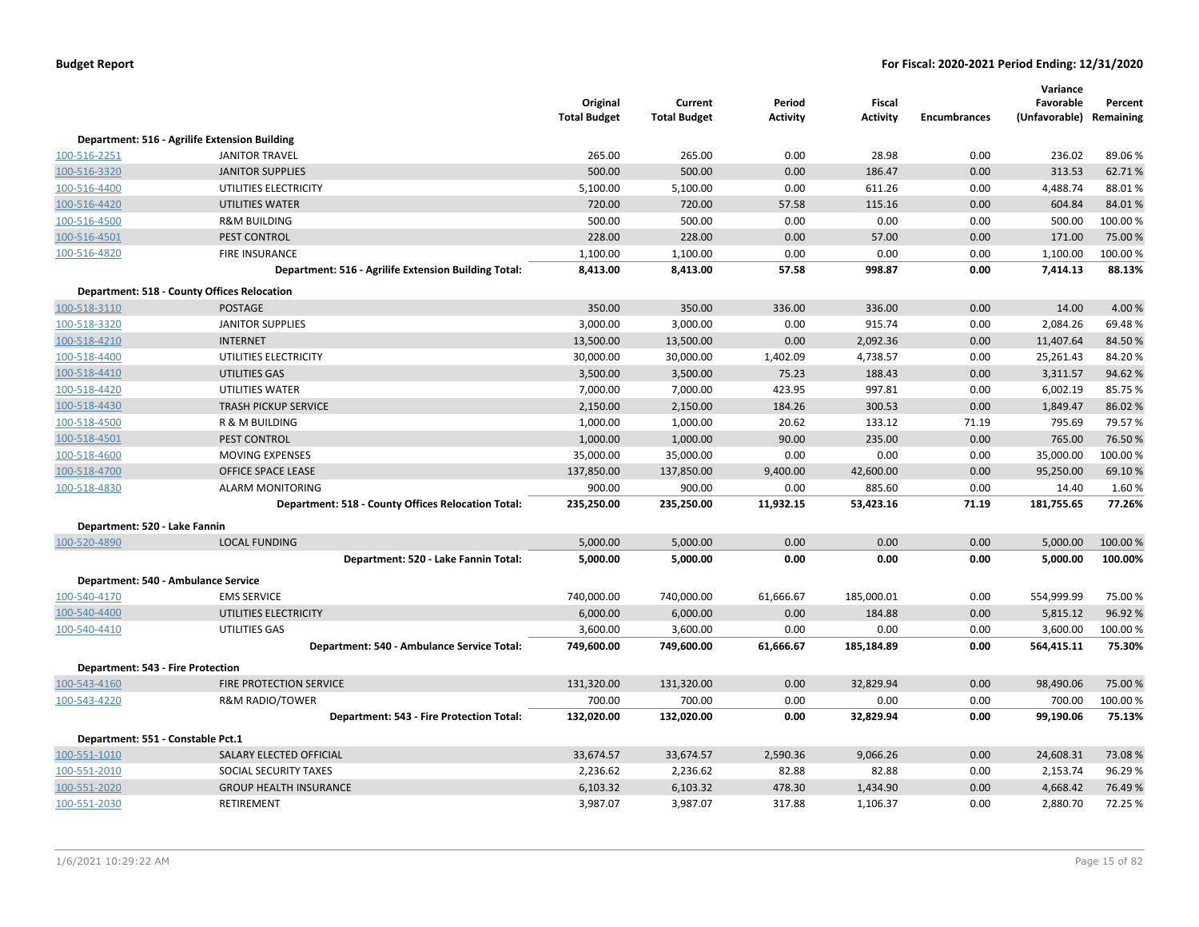|                                   |                                                      | Original<br><b>Total Budget</b> | Current<br><b>Total Budget</b> | Period<br><b>Activity</b> | <b>Fiscal</b><br><b>Activity</b> | <b>Encumbrances</b> | Variance<br>Favorable<br>(Unfavorable) Remaining | Percent  |
|-----------------------------------|------------------------------------------------------|---------------------------------|--------------------------------|---------------------------|----------------------------------|---------------------|--------------------------------------------------|----------|
|                                   | Department: 516 - Agrilife Extension Building        |                                 |                                |                           |                                  |                     |                                                  |          |
| 100-516-2251                      | <b>JANITOR TRAVEL</b>                                | 265.00                          | 265.00                         | 0.00                      | 28.98                            | 0.00                | 236.02                                           | 89.06%   |
| 100-516-3320                      | <b>JANITOR SUPPLIES</b>                              | 500.00                          | 500.00                         | 0.00                      | 186.47                           | 0.00                | 313.53                                           | 62.71%   |
| 100-516-4400                      | UTILITIES ELECTRICITY                                | 5,100.00                        | 5,100.00                       | 0.00                      | 611.26                           | 0.00                | 4,488.74                                         | 88.01%   |
| 100-516-4420                      | UTILITIES WATER                                      | 720.00                          | 720.00                         | 57.58                     | 115.16                           | 0.00                | 604.84                                           | 84.01%   |
| 100-516-4500                      | <b>R&amp;M BUILDING</b>                              | 500.00                          | 500.00                         | 0.00                      | 0.00                             | 0.00                | 500.00                                           | 100.00%  |
| 100-516-4501                      | PEST CONTROL                                         | 228.00                          | 228.00                         | 0.00                      | 57.00                            | 0.00                | 171.00                                           | 75.00 %  |
| 100-516-4820                      | <b>FIRE INSURANCE</b>                                | 1,100.00                        | 1,100.00                       | 0.00                      | 0.00                             | 0.00                | 1,100.00                                         | 100.00%  |
|                                   | Department: 516 - Agrilife Extension Building Total: | 8,413.00                        | 8,413.00                       | 57.58                     | 998.87                           | 0.00                | 7,414.13                                         | 88.13%   |
|                                   | <b>Department: 518 - County Offices Relocation</b>   |                                 |                                |                           |                                  |                     |                                                  |          |
| 100-518-3110                      | <b>POSTAGE</b>                                       | 350.00                          | 350.00                         | 336.00                    | 336.00                           | 0.00                | 14.00                                            | 4.00 %   |
| 100-518-3320                      | <b>JANITOR SUPPLIES</b>                              | 3,000.00                        | 3,000.00                       | 0.00                      | 915.74                           | 0.00                | 2,084.26                                         | 69.48%   |
| 100-518-4210                      | <b>INTERNET</b>                                      | 13,500.00                       | 13,500.00                      | 0.00                      | 2,092.36                         | 0.00                | 11,407.64                                        | 84.50%   |
| 100-518-4400                      | UTILITIES ELECTRICITY                                | 30,000.00                       | 30,000.00                      | 1,402.09                  | 4,738.57                         | 0.00                | 25,261.43                                        | 84.20%   |
| 100-518-4410                      | UTILITIES GAS                                        | 3,500.00                        | 3,500.00                       | 75.23                     | 188.43                           | 0.00                | 3,311.57                                         | 94.62%   |
| 100-518-4420                      | UTILITIES WATER                                      | 7,000.00                        | 7,000.00                       | 423.95                    | 997.81                           | 0.00                | 6,002.19                                         | 85.75%   |
| 100-518-4430                      | <b>TRASH PICKUP SERVICE</b>                          | 2,150.00                        | 2,150.00                       | 184.26                    | 300.53                           | 0.00                | 1,849.47                                         | 86.02 %  |
| 100-518-4500                      | R & M BUILDING                                       | 1,000.00                        | 1,000.00                       | 20.62                     | 133.12                           | 71.19               | 795.69                                           | 79.57 %  |
| 100-518-4501                      | PEST CONTROL                                         | 1,000.00                        | 1,000.00                       | 90.00                     | 235.00                           | 0.00                | 765.00                                           | 76.50 %  |
| 100-518-4600                      | <b>MOVING EXPENSES</b>                               | 35,000.00                       | 35,000.00                      | 0.00                      | 0.00                             | 0.00                | 35,000.00                                        | 100.00%  |
| 100-518-4700                      | OFFICE SPACE LEASE                                   | 137,850.00                      | 137,850.00                     | 9,400.00                  | 42,600.00                        | 0.00                | 95,250.00                                        | 69.10%   |
| 100-518-4830                      | <b>ALARM MONITORING</b>                              | 900.00                          | 900.00                         | 0.00                      | 885.60                           | 0.00                | 14.40                                            | 1.60%    |
|                                   | Department: 518 - County Offices Relocation Total:   | 235,250.00                      | 235,250.00                     | 11,932.15                 | 53,423.16                        | 71.19               | 181,755.65                                       | 77.26%   |
| Department: 520 - Lake Fannin     |                                                      |                                 |                                |                           |                                  |                     |                                                  |          |
| 100-520-4890                      | <b>LOCAL FUNDING</b>                                 | 5,000.00                        | 5,000.00                       | 0.00                      | 0.00                             | 0.00                | 5,000.00                                         | 100.00 % |
|                                   | Department: 520 - Lake Fannin Total:                 | 5,000.00                        | 5,000.00                       | 0.00                      | 0.00                             | 0.00                | 5,000.00                                         | 100.00%  |
|                                   | Department: 540 - Ambulance Service                  |                                 |                                |                           |                                  |                     |                                                  |          |
| 100-540-4170                      | <b>EMS SERVICE</b>                                   | 740,000.00                      | 740,000.00                     | 61,666.67                 | 185,000.01                       | 0.00                | 554,999.99                                       | 75.00 %  |
| 100-540-4400                      | UTILITIES ELECTRICITY                                | 6,000.00                        | 6,000.00                       | 0.00                      | 184.88                           | 0.00                | 5,815.12                                         | 96.92%   |
| 100-540-4410                      | UTILITIES GAS                                        | 3,600.00                        | 3,600.00                       | 0.00                      | 0.00                             | 0.00                | 3,600.00                                         | 100.00%  |
|                                   | Department: 540 - Ambulance Service Total:           | 749,600.00                      | 749,600.00                     | 61,666.67                 | 185,184.89                       | 0.00                | 564,415.11                                       | 75.30%   |
| Department: 543 - Fire Protection |                                                      |                                 |                                |                           |                                  |                     |                                                  |          |
| 100-543-4160                      | <b>FIRE PROTECTION SERVICE</b>                       | 131,320.00                      | 131,320.00                     | 0.00                      | 32,829.94                        | 0.00                | 98,490.06                                        | 75.00 %  |
| 100-543-4220                      | <b>R&amp;M RADIO/TOWER</b>                           | 700.00                          | 700.00                         | 0.00                      | 0.00                             | 0.00                | 700.00                                           | 100.00%  |
|                                   | Department: 543 - Fire Protection Total:             | 132,020.00                      | 132,020.00                     | 0.00                      | 32,829.94                        | 0.00                | 99,190.06                                        | 75.13%   |
| Department: 551 - Constable Pct.1 |                                                      |                                 |                                |                           |                                  |                     |                                                  |          |
| 100-551-1010                      | SALARY ELECTED OFFICIAL                              | 33,674.57                       | 33,674.57                      | 2,590.36                  | 9,066.26                         | 0.00                | 24,608.31                                        | 73.08%   |
| 100-551-2010                      | SOCIAL SECURITY TAXES                                | 2,236.62                        | 2,236.62                       | 82.88                     | 82.88                            | 0.00                | 2,153.74                                         | 96.29%   |
| 100-551-2020                      | <b>GROUP HEALTH INSURANCE</b>                        | 6,103.32                        | 6,103.32                       | 478.30                    | 1,434.90                         | 0.00                | 4,668.42                                         | 76.49%   |
| 100-551-2030                      | RETIREMENT                                           | 3,987.07                        | 3,987.07                       | 317.88                    | 1,106.37                         | 0.00                | 2,880.70                                         | 72.25 %  |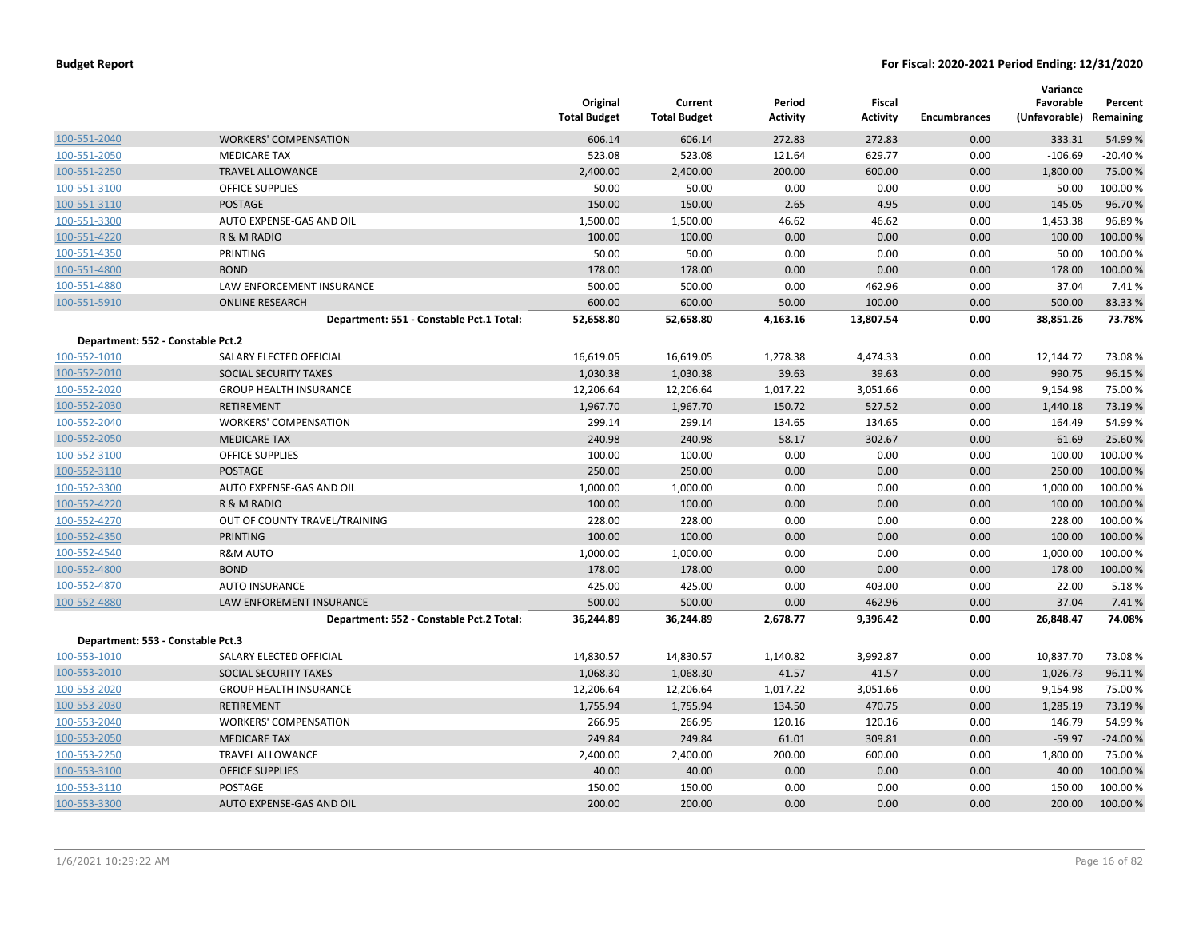|                                   |                                          | Original<br><b>Total Budget</b> | Current<br><b>Total Budget</b> | Period<br><b>Activity</b> | Fiscal<br><b>Activity</b> | <b>Encumbrances</b> | Variance<br>Favorable<br>(Unfavorable) Remaining | Percent   |
|-----------------------------------|------------------------------------------|---------------------------------|--------------------------------|---------------------------|---------------------------|---------------------|--------------------------------------------------|-----------|
| 100-551-2040                      | <b>WORKERS' COMPENSATION</b>             | 606.14                          | 606.14                         | 272.83                    | 272.83                    | 0.00                | 333.31                                           | 54.99 %   |
| 100-551-2050                      | <b>MEDICARE TAX</b>                      | 523.08                          | 523.08                         | 121.64                    | 629.77                    | 0.00                | $-106.69$                                        | $-20.40%$ |
| 100-551-2250                      | <b>TRAVEL ALLOWANCE</b>                  | 2,400.00                        | 2,400.00                       | 200.00                    | 600.00                    | 0.00                | 1,800.00                                         | 75.00 %   |
| 100-551-3100                      | <b>OFFICE SUPPLIES</b>                   | 50.00                           | 50.00                          | 0.00                      | 0.00                      | 0.00                | 50.00                                            | 100.00%   |
| 100-551-3110                      | POSTAGE                                  | 150.00                          | 150.00                         | 2.65                      | 4.95                      | 0.00                | 145.05                                           | 96.70%    |
| 100-551-3300                      | AUTO EXPENSE-GAS AND OIL                 | 1,500.00                        | 1,500.00                       | 46.62                     | 46.62                     | 0.00                | 1,453.38                                         | 96.89%    |
| 100-551-4220                      | R & M RADIO                              | 100.00                          | 100.00                         | 0.00                      | 0.00                      | 0.00                | 100.00                                           | 100.00 %  |
| 100-551-4350                      | PRINTING                                 | 50.00                           | 50.00                          | 0.00                      | 0.00                      | 0.00                | 50.00                                            | 100.00%   |
| 100-551-4800                      | <b>BOND</b>                              | 178.00                          | 178.00                         | 0.00                      | 0.00                      | 0.00                | 178.00                                           | 100.00 %  |
| 100-551-4880                      | LAW ENFORCEMENT INSURANCE                | 500.00                          | 500.00                         | 0.00                      | 462.96                    | 0.00                | 37.04                                            | 7.41%     |
| 100-551-5910                      | <b>ONLINE RESEARCH</b>                   | 600.00                          | 600.00                         | 50.00                     | 100.00                    | 0.00                | 500.00                                           | 83.33 %   |
|                                   | Department: 551 - Constable Pct.1 Total: | 52,658.80                       | 52,658.80                      | 4,163.16                  | 13,807.54                 | 0.00                | 38,851.26                                        | 73.78%    |
| Department: 552 - Constable Pct.2 |                                          |                                 |                                |                           |                           |                     |                                                  |           |
| 100-552-1010                      | SALARY ELECTED OFFICIAL                  | 16,619.05                       | 16,619.05                      | 1,278.38                  | 4,474.33                  | 0.00                | 12,144.72                                        | 73.08%    |
| 100-552-2010                      | SOCIAL SECURITY TAXES                    | 1,030.38                        | 1,030.38                       | 39.63                     | 39.63                     | 0.00                | 990.75                                           | 96.15 %   |
| 100-552-2020                      | <b>GROUP HEALTH INSURANCE</b>            | 12,206.64                       | 12,206.64                      | 1,017.22                  | 3,051.66                  | 0.00                | 9,154.98                                         | 75.00 %   |
| 100-552-2030                      | <b>RETIREMENT</b>                        | 1,967.70                        | 1,967.70                       | 150.72                    | 527.52                    | 0.00                | 1,440.18                                         | 73.19 %   |
| 100-552-2040                      | <b>WORKERS' COMPENSATION</b>             | 299.14                          | 299.14                         | 134.65                    | 134.65                    | 0.00                | 164.49                                           | 54.99%    |
| 100-552-2050                      | <b>MEDICARE TAX</b>                      | 240.98                          | 240.98                         | 58.17                     | 302.67                    | 0.00                | $-61.69$                                         | $-25.60%$ |
| 100-552-3100                      | <b>OFFICE SUPPLIES</b>                   | 100.00                          | 100.00                         | 0.00                      | 0.00                      | 0.00                | 100.00                                           | 100.00%   |
| 100-552-3110                      | <b>POSTAGE</b>                           | 250.00                          | 250.00                         | 0.00                      | 0.00                      | 0.00                | 250.00                                           | 100.00 %  |
| 100-552-3300                      | AUTO EXPENSE-GAS AND OIL                 | 1,000.00                        | 1,000.00                       | 0.00                      | 0.00                      | 0.00                | 1,000.00                                         | 100.00%   |
| 100-552-4220                      | R & M RADIO                              | 100.00                          | 100.00                         | 0.00                      | 0.00                      | 0.00                | 100.00                                           | 100.00 %  |
| 100-552-4270                      | OUT OF COUNTY TRAVEL/TRAINING            | 228.00                          | 228.00                         | 0.00                      | 0.00                      | 0.00                | 228.00                                           | 100.00%   |
| 100-552-4350                      | <b>PRINTING</b>                          | 100.00                          | 100.00                         | 0.00                      | 0.00                      | 0.00                | 100.00                                           | 100.00 %  |
| 100-552-4540                      | <b>R&amp;M AUTO</b>                      | 1,000.00                        | 1,000.00                       | 0.00                      | 0.00                      | 0.00                | 1,000.00                                         | 100.00 %  |
| 100-552-4800                      | <b>BOND</b>                              | 178.00                          | 178.00                         | 0.00                      | 0.00                      | 0.00                | 178.00                                           | 100.00%   |
| 100-552-4870                      | <b>AUTO INSURANCE</b>                    | 425.00                          | 425.00                         | 0.00                      | 403.00                    | 0.00                | 22.00                                            | 5.18%     |
| 100-552-4880                      | LAW ENFOREMENT INSURANCE                 | 500.00                          | 500.00                         | 0.00                      | 462.96                    | 0.00                | 37.04                                            | 7.41%     |
|                                   | Department: 552 - Constable Pct.2 Total: | 36,244.89                       | 36,244.89                      | 2,678.77                  | 9,396.42                  | 0.00                | 26,848.47                                        | 74.08%    |
| Department: 553 - Constable Pct.3 |                                          |                                 |                                |                           |                           |                     |                                                  |           |
| 100-553-1010                      | SALARY ELECTED OFFICIAL                  | 14,830.57                       | 14,830.57                      | 1,140.82                  | 3,992.87                  | 0.00                | 10,837.70                                        | 73.08%    |
| 100-553-2010                      | SOCIAL SECURITY TAXES                    | 1,068.30                        | 1,068.30                       | 41.57                     | 41.57                     | 0.00                | 1,026.73                                         | 96.11%    |
| 100-553-2020                      | <b>GROUP HEALTH INSURANCE</b>            | 12,206.64                       | 12,206.64                      | 1,017.22                  | 3,051.66                  | 0.00                | 9,154.98                                         | 75.00 %   |
| 100-553-2030                      | <b>RETIREMENT</b>                        | 1,755.94                        | 1,755.94                       | 134.50                    | 470.75                    | 0.00                | 1,285.19                                         | 73.19 %   |
| 100-553-2040                      | <b>WORKERS' COMPENSATION</b>             | 266.95                          | 266.95                         | 120.16                    | 120.16                    | 0.00                | 146.79                                           | 54.99%    |
| 100-553-2050                      | <b>MEDICARE TAX</b>                      | 249.84                          | 249.84                         | 61.01                     | 309.81                    | 0.00                | $-59.97$                                         | $-24.00%$ |
| 100-553-2250                      | TRAVEL ALLOWANCE                         | 2,400.00                        | 2,400.00                       | 200.00                    | 600.00                    | 0.00                | 1,800.00                                         | 75.00 %   |
| 100-553-3100                      | <b>OFFICE SUPPLIES</b>                   | 40.00                           | 40.00                          | 0.00                      | 0.00                      | 0.00                | 40.00                                            | 100.00 %  |
| 100-553-3110                      | <b>POSTAGE</b>                           | 150.00                          | 150.00                         | 0.00                      | 0.00                      | 0.00                | 150.00                                           | 100.00%   |
| 100-553-3300                      | AUTO EXPENSE-GAS AND OIL                 | 200.00                          | 200.00                         | 0.00                      | 0.00                      | 0.00                | 200.00                                           | 100.00 %  |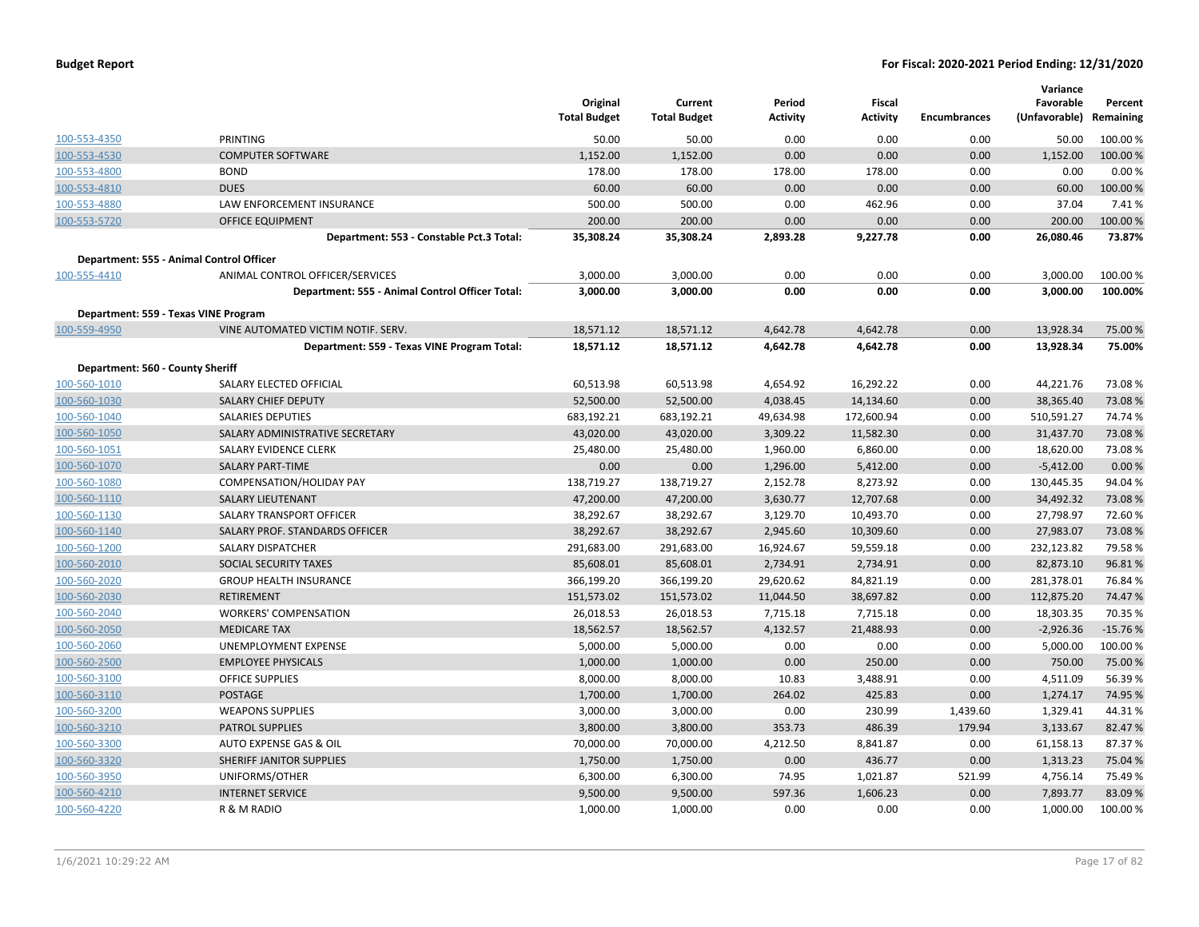|                                  |                                                 | Original<br><b>Total Budget</b> | Current<br><b>Total Budget</b> | Period<br>Activity | Fiscal<br><b>Activity</b> | <b>Encumbrances</b> | Variance<br>Favorable<br>(Unfavorable) Remaining | Percent   |
|----------------------------------|-------------------------------------------------|---------------------------------|--------------------------------|--------------------|---------------------------|---------------------|--------------------------------------------------|-----------|
| 100-553-4350                     | PRINTING                                        | 50.00                           | 50.00                          | 0.00               | 0.00                      | 0.00                | 50.00                                            | 100.00%   |
| 100-553-4530                     | <b>COMPUTER SOFTWARE</b>                        | 1,152.00                        | 1,152.00                       | 0.00               | 0.00                      | 0.00                | 1,152.00                                         | 100.00%   |
| 100-553-4800                     | <b>BOND</b>                                     | 178.00                          | 178.00                         | 178.00             | 178.00                    | 0.00                | 0.00                                             | 0.00%     |
| 100-553-4810                     | <b>DUES</b>                                     | 60.00                           | 60.00                          | 0.00               | 0.00                      | 0.00                | 60.00                                            | 100.00%   |
| 100-553-4880                     | LAW ENFORCEMENT INSURANCE                       | 500.00                          | 500.00                         | 0.00               | 462.96                    | 0.00                | 37.04                                            | 7.41%     |
| 100-553-5720                     | <b>OFFICE EQUIPMENT</b>                         | 200.00                          | 200.00                         | 0.00               | 0.00                      | 0.00                | 200.00                                           | 100.00%   |
|                                  | Department: 553 - Constable Pct.3 Total:        | 35,308.24                       | 35,308.24                      | 2,893.28           | 9,227.78                  | 0.00                | 26,080.46                                        | 73.87%    |
|                                  | Department: 555 - Animal Control Officer        |                                 |                                |                    |                           |                     |                                                  |           |
| 100-555-4410                     | ANIMAL CONTROL OFFICER/SERVICES                 | 3,000.00                        | 3,000.00                       | 0.00               | 0.00                      | 0.00                | 3,000.00                                         | 100.00%   |
|                                  | Department: 555 - Animal Control Officer Total: | 3,000.00                        | 3,000.00                       | 0.00               | 0.00                      | 0.00                | 3,000.00                                         | 100.00%   |
|                                  | Department: 559 - Texas VINE Program            |                                 |                                |                    |                           |                     |                                                  |           |
| 100-559-4950                     | VINE AUTOMATED VICTIM NOTIF. SERV.              | 18,571.12                       | 18,571.12                      | 4,642.78           | 4,642.78                  | 0.00                | 13,928.34                                        | 75.00 %   |
|                                  | Department: 559 - Texas VINE Program Total:     | 18,571.12                       | 18,571.12                      | 4,642.78           | 4,642.78                  | 0.00                | 13,928.34                                        | 75.00%    |
| Department: 560 - County Sheriff |                                                 |                                 |                                |                    |                           |                     |                                                  |           |
| 100-560-1010                     | SALARY ELECTED OFFICIAL                         | 60,513.98                       | 60,513.98                      | 4,654.92           | 16,292.22                 | 0.00                | 44,221.76                                        | 73.08%    |
| 100-560-1030                     | <b>SALARY CHIEF DEPUTY</b>                      | 52,500.00                       | 52,500.00                      | 4,038.45           | 14,134.60                 | 0.00                | 38,365.40                                        | 73.08%    |
| 100-560-1040                     | <b>SALARIES DEPUTIES</b>                        | 683,192.21                      | 683,192.21                     | 49,634.98          | 172,600.94                | 0.00                | 510,591.27                                       | 74.74 %   |
| 100-560-1050                     | SALARY ADMINISTRATIVE SECRETARY                 | 43,020.00                       | 43,020.00                      | 3,309.22           | 11,582.30                 | 0.00                | 31,437.70                                        | 73.08%    |
| 100-560-1051                     | SALARY EVIDENCE CLERK                           | 25,480.00                       | 25,480.00                      | 1,960.00           | 6,860.00                  | 0.00                | 18,620.00                                        | 73.08%    |
| 100-560-1070                     | <b>SALARY PART-TIME</b>                         | 0.00                            | 0.00                           | 1,296.00           | 5,412.00                  | 0.00                | $-5,412.00$                                      | 0.00 %    |
| 100-560-1080                     | COMPENSATION/HOLIDAY PAY                        | 138,719.27                      | 138,719.27                     | 2,152.78           | 8,273.92                  | 0.00                | 130,445.35                                       | 94.04%    |
| 100-560-1110                     | <b>SALARY LIEUTENANT</b>                        | 47,200.00                       | 47,200.00                      | 3,630.77           | 12,707.68                 | 0.00                | 34,492.32                                        | 73.08%    |
| 100-560-1130                     | SALARY TRANSPORT OFFICER                        | 38,292.67                       | 38,292.67                      | 3,129.70           | 10,493.70                 | 0.00                | 27,798.97                                        | 72.60%    |
| 100-560-1140                     | SALARY PROF. STANDARDS OFFICER                  | 38,292.67                       | 38,292.67                      | 2,945.60           | 10,309.60                 | 0.00                | 27,983.07                                        | 73.08%    |
| 100-560-1200                     | <b>SALARY DISPATCHER</b>                        | 291,683.00                      | 291,683.00                     | 16,924.67          | 59,559.18                 | 0.00                | 232,123.82                                       | 79.58%    |
| 100-560-2010                     | <b>SOCIAL SECURITY TAXES</b>                    | 85,608.01                       | 85,608.01                      | 2,734.91           | 2,734.91                  | 0.00                | 82,873.10                                        | 96.81%    |
| 100-560-2020                     | <b>GROUP HEALTH INSURANCE</b>                   | 366,199.20                      | 366,199.20                     | 29,620.62          | 84,821.19                 | 0.00                | 281,378.01                                       | 76.84%    |
| 100-560-2030                     | <b>RETIREMENT</b>                               | 151,573.02                      | 151,573.02                     | 11,044.50          | 38,697.82                 | 0.00                | 112,875.20                                       | 74.47%    |
| 100-560-2040                     | <b>WORKERS' COMPENSATION</b>                    | 26,018.53                       | 26,018.53                      | 7,715.18           | 7,715.18                  | 0.00                | 18,303.35                                        | 70.35 %   |
| 100-560-2050                     | <b>MEDICARE TAX</b>                             | 18,562.57                       | 18,562.57                      | 4,132.57           | 21,488.93                 | 0.00                | $-2,926.36$                                      | $-15.76%$ |
| 100-560-2060                     | <b>UNEMPLOYMENT EXPENSE</b>                     | 5,000.00                        | 5,000.00                       | 0.00               | 0.00                      | 0.00                | 5,000.00                                         | 100.00%   |
| 100-560-2500                     | <b>EMPLOYEE PHYSICALS</b>                       | 1,000.00                        | 1,000.00                       | 0.00               | 250.00                    | 0.00                | 750.00                                           | 75.00 %   |
| 100-560-3100                     | OFFICE SUPPLIES                                 | 8,000.00                        | 8,000.00                       | 10.83              | 3,488.91                  | 0.00                | 4,511.09                                         | 56.39%    |
| 100-560-3110                     | <b>POSTAGE</b>                                  | 1,700.00                        | 1,700.00                       | 264.02             | 425.83                    | 0.00                | 1,274.17                                         | 74.95 %   |
| 100-560-3200                     | <b>WEAPONS SUPPLIES</b>                         | 3,000.00                        | 3,000.00                       | 0.00               | 230.99                    | 1,439.60            | 1,329.41                                         | 44.31%    |
| 100-560-3210                     | <b>PATROL SUPPLIES</b>                          | 3,800.00                        | 3,800.00                       | 353.73             | 486.39                    | 179.94              | 3,133.67                                         | 82.47%    |
| 100-560-3300                     | AUTO EXPENSE GAS & OIL                          | 70,000.00                       | 70,000.00                      | 4,212.50           | 8,841.87                  | 0.00                | 61,158.13                                        | 87.37%    |
| 100-560-3320                     | SHERIFF JANITOR SUPPLIES                        | 1,750.00                        | 1,750.00                       | 0.00               | 436.77                    | 0.00                | 1,313.23                                         | 75.04 %   |
| 100-560-3950                     | UNIFORMS/OTHER                                  | 6,300.00                        | 6,300.00                       | 74.95              | 1,021.87                  | 521.99              | 4,756.14                                         | 75.49%    |
| 100-560-4210                     | <b>INTERNET SERVICE</b>                         | 9,500.00                        | 9,500.00                       | 597.36             | 1,606.23                  | 0.00                | 7,893.77                                         | 83.09%    |
| 100-560-4220                     | R & M RADIO                                     | 1,000.00                        | 1,000.00                       | 0.00               | 0.00                      | 0.00                | 1,000.00                                         | 100.00%   |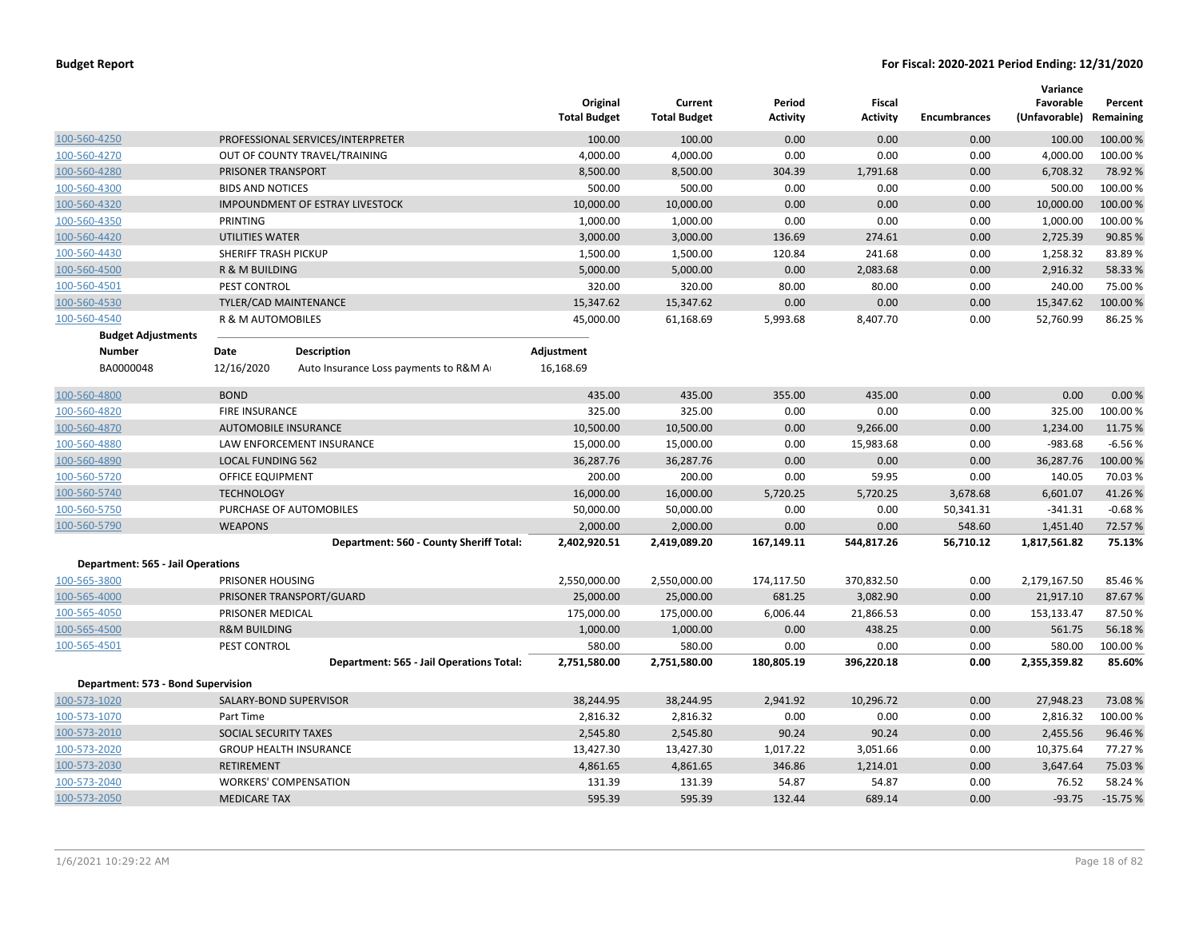|                                          |                             |                                          | Original<br><b>Total Budget</b> | Current<br><b>Total Budget</b> | Period<br><b>Activity</b> | <b>Fiscal</b><br><b>Activity</b> | <b>Encumbrances</b> | Variance<br>Favorable<br>(Unfavorable) | Percent<br>Remaining |
|------------------------------------------|-----------------------------|------------------------------------------|---------------------------------|--------------------------------|---------------------------|----------------------------------|---------------------|----------------------------------------|----------------------|
| 100-560-4250                             |                             | PROFESSIONAL SERVICES/INTERPRETER        | 100.00                          | 100.00                         | 0.00                      | 0.00                             | 0.00                | 100.00                                 | 100.00 %             |
| 100-560-4270                             |                             | OUT OF COUNTY TRAVEL/TRAINING            | 4,000.00                        | 4,000.00                       | 0.00                      | 0.00                             | 0.00                | 4,000.00                               | 100.00 %             |
| 100-560-4280                             | PRISONER TRANSPORT          |                                          | 8,500.00                        | 8,500.00                       | 304.39                    | 1,791.68                         | 0.00                | 6,708.32                               | 78.92 %              |
| 100-560-4300                             | <b>BIDS AND NOTICES</b>     |                                          | 500.00                          | 500.00                         | 0.00                      | 0.00                             | 0.00                | 500.00                                 | 100.00%              |
| 100-560-4320                             |                             | <b>IMPOUNDMENT OF ESTRAY LIVESTOCK</b>   | 10,000.00                       | 10,000.00                      | 0.00                      | 0.00                             | 0.00                | 10,000.00                              | 100.00 %             |
| 100-560-4350                             | PRINTING                    |                                          | 1,000.00                        | 1,000.00                       | 0.00                      | 0.00                             | 0.00                | 1,000.00                               | 100.00%              |
| 100-560-4420                             | <b>UTILITIES WATER</b>      |                                          | 3,000.00                        | 3,000.00                       | 136.69                    | 274.61                           | 0.00                | 2,725.39                               | 90.85 %              |
| 100-560-4430                             | SHERIFF TRASH PICKUP        |                                          | 1,500.00                        | 1,500.00                       | 120.84                    | 241.68                           | 0.00                | 1,258.32                               | 83.89%               |
| 100-560-4500                             | R & M BUILDING              |                                          | 5,000.00                        | 5,000.00                       | 0.00                      | 2,083.68                         | 0.00                | 2,916.32                               | 58.33 %              |
| 100-560-4501                             | PEST CONTROL                |                                          | 320.00                          | 320.00                         | 80.00                     | 80.00                            | 0.00                | 240.00                                 | 75.00 %              |
| 100-560-4530                             | TYLER/CAD MAINTENANCE       |                                          | 15,347.62                       | 15,347.62                      | 0.00                      | 0.00                             | 0.00                | 15,347.62                              | 100.00 %             |
| 100-560-4540                             | R & M AUTOMOBILES           |                                          | 45,000.00                       | 61,168.69                      | 5,993.68                  | 8,407.70                         | 0.00                | 52,760.99                              | 86.25 %              |
| <b>Budget Adjustments</b>                |                             |                                          |                                 |                                |                           |                                  |                     |                                        |                      |
| <b>Number</b>                            | Date                        | <b>Description</b>                       | Adjustment                      |                                |                           |                                  |                     |                                        |                      |
| BA0000048                                | 12/16/2020                  | Auto Insurance Loss payments to R&M A    | 16,168.69                       |                                |                           |                                  |                     |                                        |                      |
| 100-560-4800                             | <b>BOND</b>                 |                                          | 435.00                          | 435.00                         | 355.00                    | 435.00                           | 0.00                | 0.00                                   | 0.00%                |
| 100-560-4820                             | <b>FIRE INSURANCE</b>       |                                          | 325.00                          | 325.00                         | 0.00                      | 0.00                             | 0.00                | 325.00                                 | 100.00%              |
| 100-560-4870                             | <b>AUTOMOBILE INSURANCE</b> |                                          | 10,500.00                       | 10,500.00                      | 0.00                      | 9,266.00                         | 0.00                | 1,234.00                               | 11.75 %              |
| 100-560-4880                             |                             | LAW ENFORCEMENT INSURANCE                | 15,000.00                       | 15,000.00                      | 0.00                      | 15,983.68                        | 0.00                | $-983.68$                              | $-6.56%$             |
| 100-560-4890                             | <b>LOCAL FUNDING 562</b>    |                                          | 36,287.76                       | 36,287.76                      | 0.00                      | 0.00                             | 0.00                | 36,287.76                              | 100.00%              |
| 100-560-5720                             | <b>OFFICE EQUIPMENT</b>     |                                          | 200.00                          | 200.00                         | 0.00                      | 59.95                            | 0.00                | 140.05                                 | 70.03%               |
| 100-560-5740                             | <b>TECHNOLOGY</b>           |                                          | 16,000.00                       | 16,000.00                      | 5,720.25                  | 5,720.25                         | 3,678.68            | 6,601.07                               | 41.26%               |
| 100-560-5750                             |                             | PURCHASE OF AUTOMOBILES                  | 50,000.00                       | 50,000.00                      | 0.00                      | 0.00                             | 50,341.31           | $-341.31$                              | $-0.68%$             |
| 100-560-5790                             | <b>WEAPONS</b>              |                                          | 2,000.00                        | 2,000.00                       | 0.00                      | 0.00                             | 548.60              | 1,451.40                               | 72.57%               |
|                                          |                             | Department: 560 - County Sheriff Total:  | 2,402,920.51                    | 2,419,089.20                   | 167,149.11                | 544,817.26                       | 56,710.12           | 1,817,561.82                           | 75.13%               |
| <b>Department: 565 - Jail Operations</b> |                             |                                          |                                 |                                |                           |                                  |                     |                                        |                      |
| 100-565-3800                             | PRISONER HOUSING            |                                          | 2,550,000.00                    | 2,550,000.00                   | 174,117.50                | 370,832.50                       | 0.00                | 2,179,167.50                           | 85.46%               |
| 100-565-4000                             |                             | PRISONER TRANSPORT/GUARD                 | 25,000.00                       | 25,000.00                      | 681.25                    | 3,082.90                         | 0.00                | 21,917.10                              | 87.67%               |
| 100-565-4050                             | PRISONER MEDICAL            |                                          | 175,000.00                      | 175,000.00                     | 6,006.44                  | 21,866.53                        | 0.00                | 153,133.47                             | 87.50%               |
| 100-565-4500                             | <b>R&amp;M BUILDING</b>     |                                          | 1,000.00                        | 1,000.00                       | 0.00                      | 438.25                           | 0.00                | 561.75                                 | 56.18%               |
| 100-565-4501                             | PEST CONTROL                |                                          | 580.00                          | 580.00                         | 0.00                      | 0.00                             | 0.00                | 580.00                                 | 100.00%              |
|                                          |                             | Department: 565 - Jail Operations Total: | 2,751,580.00                    | 2,751,580.00                   | 180,805.19                | 396,220.18                       | 0.00                | 2,355,359.82                           | 85.60%               |
| Department: 573 - Bond Supervision       |                             |                                          |                                 |                                |                           |                                  |                     |                                        |                      |
| 100-573-1020                             |                             | SALARY-BOND SUPERVISOR                   | 38,244.95                       | 38,244.95                      | 2,941.92                  | 10,296.72                        | 0.00                | 27,948.23                              | 73.08%               |
| 100-573-1070                             | Part Time                   |                                          | 2,816.32                        | 2,816.32                       | 0.00                      | 0.00                             | 0.00                | 2,816.32                               | 100.00 %             |
| 100-573-2010                             | SOCIAL SECURITY TAXES       |                                          | 2,545.80                        | 2,545.80                       | 90.24                     | 90.24                            | 0.00                | 2,455.56                               | 96.46 %              |
| 100-573-2020                             |                             | <b>GROUP HEALTH INSURANCE</b>            | 13,427.30                       | 13,427.30                      | 1,017.22                  | 3,051.66                         | 0.00                | 10,375.64                              | 77.27 %              |
| 100-573-2030                             | <b>RETIREMENT</b>           |                                          | 4,861.65                        | 4,861.65                       | 346.86                    | 1,214.01                         | 0.00                | 3,647.64                               | 75.03 %              |
| 100-573-2040                             |                             | <b>WORKERS' COMPENSATION</b>             | 131.39                          | 131.39                         | 54.87                     | 54.87                            | 0.00                | 76.52                                  | 58.24 %              |
| 100-573-2050                             | <b>MEDICARE TAX</b>         |                                          | 595.39                          | 595.39                         | 132.44                    | 689.14                           | 0.00                | $-93.75$                               | $-15.75%$            |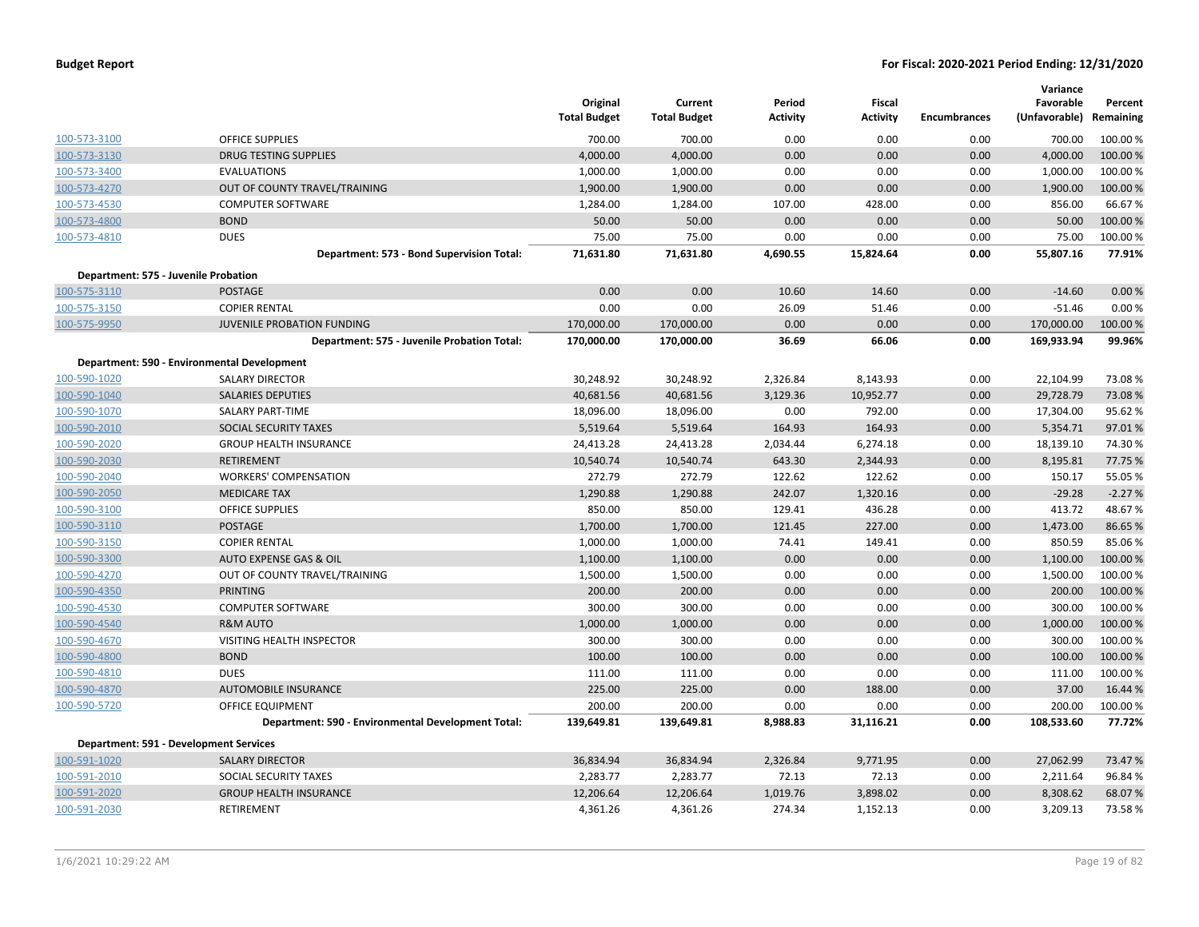|              |                                                    | Original<br><b>Total Budget</b> | Current<br><b>Total Budget</b> | Period<br><b>Activity</b> | Fiscal<br><b>Activity</b> | <b>Encumbrances</b> | Variance<br>Favorable<br>(Unfavorable) Remaining | Percent  |
|--------------|----------------------------------------------------|---------------------------------|--------------------------------|---------------------------|---------------------------|---------------------|--------------------------------------------------|----------|
| 100-573-3100 | <b>OFFICE SUPPLIES</b>                             | 700.00                          | 700.00                         | 0.00                      | 0.00                      | 0.00                | 700.00                                           | 100.00 % |
| 100-573-3130 | <b>DRUG TESTING SUPPLIES</b>                       | 4,000.00                        | 4,000.00                       | 0.00                      | 0.00                      | 0.00                | 4,000.00                                         | 100.00 % |
| 100-573-3400 | <b>EVALUATIONS</b>                                 | 1,000.00                        | 1,000.00                       | 0.00                      | 0.00                      | 0.00                | 1,000.00                                         | 100.00%  |
| 100-573-4270 | OUT OF COUNTY TRAVEL/TRAINING                      | 1,900.00                        | 1,900.00                       | 0.00                      | 0.00                      | 0.00                | 1,900.00                                         | 100.00 % |
| 100-573-4530 | <b>COMPUTER SOFTWARE</b>                           | 1,284.00                        | 1,284.00                       | 107.00                    | 428.00                    | 0.00                | 856.00                                           | 66.67%   |
| 100-573-4800 | <b>BOND</b>                                        | 50.00                           | 50.00                          | 0.00                      | 0.00                      | 0.00                | 50.00                                            | 100.00 % |
| 100-573-4810 | <b>DUES</b>                                        | 75.00                           | 75.00                          | 0.00                      | 0.00                      | 0.00                | 75.00                                            | 100.00 % |
|              | Department: 573 - Bond Supervision Total:          | 71,631.80                       | 71,631.80                      | 4,690.55                  | 15,824.64                 | 0.00                | 55,807.16                                        | 77.91%   |
|              | Department: 575 - Juvenile Probation               |                                 |                                |                           |                           |                     |                                                  |          |
| 100-575-3110 | <b>POSTAGE</b>                                     | 0.00                            | 0.00                           | 10.60                     | 14.60                     | 0.00                | $-14.60$                                         | 0.00%    |
| 100-575-3150 | <b>COPIER RENTAL</b>                               | 0.00                            | 0.00                           | 26.09                     | 51.46                     | 0.00                | $-51.46$                                         | 0.00%    |
| 100-575-9950 | <b>JUVENILE PROBATION FUNDING</b>                  | 170,000.00                      | 170,000.00                     | 0.00                      | 0.00                      | 0.00                | 170,000.00                                       | 100.00 % |
|              | Department: 575 - Juvenile Probation Total:        | 170,000.00                      | 170,000.00                     | 36.69                     | 66.06                     | 0.00                | 169,933.94                                       | 99.96%   |
|              | Department: 590 - Environmental Development        |                                 |                                |                           |                           |                     |                                                  |          |
| 100-590-1020 | <b>SALARY DIRECTOR</b>                             | 30,248.92                       | 30,248.92                      | 2,326.84                  | 8,143.93                  | 0.00                | 22,104.99                                        | 73.08%   |
| 100-590-1040 | <b>SALARIES DEPUTIES</b>                           | 40,681.56                       | 40,681.56                      | 3,129.36                  | 10,952.77                 | 0.00                | 29,728.79                                        | 73.08%   |
| 100-590-1070 | <b>SALARY PART-TIME</b>                            | 18,096.00                       | 18,096.00                      | 0.00                      | 792.00                    | 0.00                | 17,304.00                                        | 95.62 %  |
| 100-590-2010 | SOCIAL SECURITY TAXES                              | 5,519.64                        | 5,519.64                       | 164.93                    | 164.93                    | 0.00                | 5,354.71                                         | 97.01%   |
| 100-590-2020 | <b>GROUP HEALTH INSURANCE</b>                      | 24,413.28                       | 24,413.28                      | 2,034.44                  | 6,274.18                  | 0.00                | 18,139.10                                        | 74.30%   |
| 100-590-2030 | <b>RETIREMENT</b>                                  | 10,540.74                       | 10,540.74                      | 643.30                    | 2,344.93                  | 0.00                | 8,195.81                                         | 77.75 %  |
| 100-590-2040 | <b>WORKERS' COMPENSATION</b>                       | 272.79                          | 272.79                         | 122.62                    | 122.62                    | 0.00                | 150.17                                           | 55.05 %  |
| 100-590-2050 | <b>MEDICARE TAX</b>                                | 1,290.88                        | 1,290.88                       | 242.07                    | 1,320.16                  | 0.00                | $-29.28$                                         | $-2.27%$ |
| 100-590-3100 | <b>OFFICE SUPPLIES</b>                             | 850.00                          | 850.00                         | 129.41                    | 436.28                    | 0.00                | 413.72                                           | 48.67%   |
| 100-590-3110 | <b>POSTAGE</b>                                     | 1,700.00                        | 1,700.00                       | 121.45                    | 227.00                    | 0.00                | 1,473.00                                         | 86.65 %  |
| 100-590-3150 | <b>COPIER RENTAL</b>                               | 1,000.00                        | 1,000.00                       | 74.41                     | 149.41                    | 0.00                | 850.59                                           | 85.06%   |
| 100-590-3300 | AUTO EXPENSE GAS & OIL                             | 1,100.00                        | 1,100.00                       | 0.00                      | 0.00                      | 0.00                | 1,100.00                                         | 100.00 % |
| 100-590-4270 | OUT OF COUNTY TRAVEL/TRAINING                      | 1,500.00                        | 1,500.00                       | 0.00                      | 0.00                      | 0.00                | 1,500.00                                         | 100.00%  |
| 100-590-4350 | <b>PRINTING</b>                                    | 200.00                          | 200.00                         | 0.00                      | 0.00                      | 0.00                | 200.00                                           | 100.00 % |
| 100-590-4530 | <b>COMPUTER SOFTWARE</b>                           | 300.00                          | 300.00                         | 0.00                      | 0.00                      | 0.00                | 300.00                                           | 100.00 % |
| 100-590-4540 | <b>R&amp;M AUTO</b>                                | 1,000.00                        | 1,000.00                       | 0.00                      | 0.00                      | 0.00                | 1,000.00                                         | 100.00 % |
| 100-590-4670 | VISITING HEALTH INSPECTOR                          | 300.00                          | 300.00                         | 0.00                      | 0.00                      | 0.00                | 300.00                                           | 100.00%  |
| 100-590-4800 | <b>BOND</b>                                        | 100.00                          | 100.00                         | 0.00                      | 0.00                      | 0.00                | 100.00                                           | 100.00 % |
| 100-590-4810 | <b>DUES</b>                                        | 111.00                          | 111.00                         | 0.00                      | 0.00                      | 0.00                | 111.00                                           | 100.00%  |
| 100-590-4870 | <b>AUTOMOBILE INSURANCE</b>                        | 225.00                          | 225.00                         | 0.00                      | 188.00                    | 0.00                | 37.00                                            | 16.44 %  |
| 100-590-5720 | OFFICE EQUIPMENT                                   | 200.00                          | 200.00                         | 0.00                      | 0.00                      | 0.00                | 200.00                                           | 100.00 % |
|              | Department: 590 - Environmental Development Total: | 139,649.81                      | 139,649.81                     | 8,988.83                  | 31,116.21                 | 0.00                | 108,533.60                                       | 77.72%   |
|              | Department: 591 - Development Services             |                                 |                                |                           |                           |                     |                                                  |          |
| 100-591-1020 | <b>SALARY DIRECTOR</b>                             | 36,834.94                       | 36,834.94                      | 2,326.84                  | 9,771.95                  | 0.00                | 27,062.99                                        | 73.47%   |
| 100-591-2010 | SOCIAL SECURITY TAXES                              | 2,283.77                        | 2,283.77                       | 72.13                     | 72.13                     | 0.00                | 2,211.64                                         | 96.84 %  |
| 100-591-2020 | <b>GROUP HEALTH INSURANCE</b>                      | 12,206.64                       | 12,206.64                      | 1,019.76                  | 3,898.02                  | 0.00                | 8,308.62                                         | 68.07%   |
| 100-591-2030 | RETIREMENT                                         | 4,361.26                        | 4,361.26                       | 274.34                    | 1,152.13                  | 0.00                | 3,209.13                                         | 73.58%   |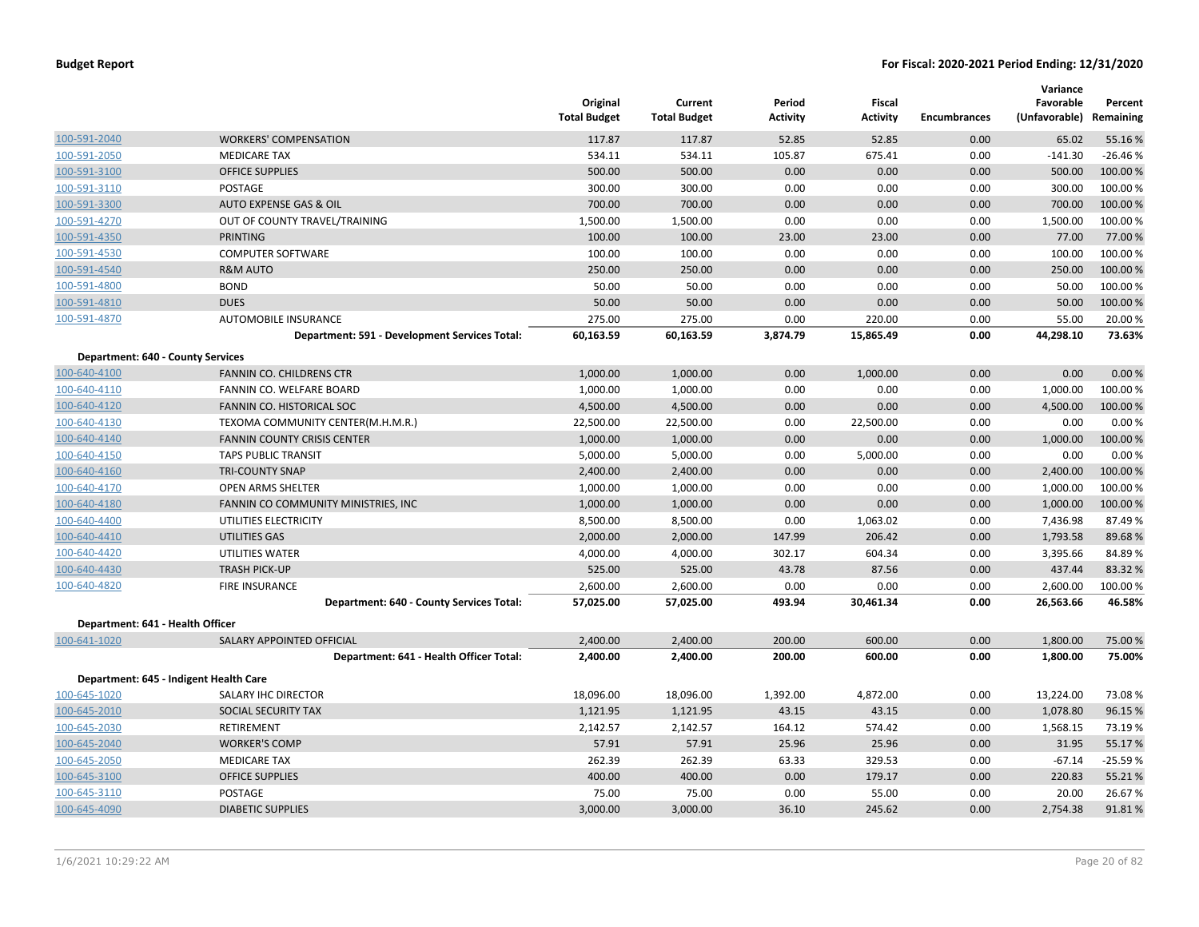|                                   |                                               | Original<br><b>Total Budget</b> | Current<br><b>Total Budget</b> | Period<br><b>Activity</b> | Fiscal<br><b>Activity</b> | <b>Encumbrances</b> | Variance<br>Favorable<br>(Unfavorable) | Percent<br>Remaining |
|-----------------------------------|-----------------------------------------------|---------------------------------|--------------------------------|---------------------------|---------------------------|---------------------|----------------------------------------|----------------------|
| 100-591-2040                      | <b>WORKERS' COMPENSATION</b>                  | 117.87                          | 117.87                         | 52.85                     | 52.85                     | 0.00                | 65.02                                  | 55.16%               |
| 100-591-2050                      | <b>MEDICARE TAX</b>                           | 534.11                          | 534.11                         | 105.87                    | 675.41                    | 0.00                | $-141.30$                              | $-26.46%$            |
| 100-591-3100                      | <b>OFFICE SUPPLIES</b>                        | 500.00                          | 500.00                         | 0.00                      | 0.00                      | 0.00                | 500.00                                 | 100.00%              |
| 100-591-3110                      | POSTAGE                                       | 300.00                          | 300.00                         | 0.00                      | 0.00                      | 0.00                | 300.00                                 | 100.00%              |
| 100-591-3300                      | <b>AUTO EXPENSE GAS &amp; OIL</b>             | 700.00                          | 700.00                         | 0.00                      | 0.00                      | 0.00                | 700.00                                 | 100.00%              |
| 100-591-4270                      | OUT OF COUNTY TRAVEL/TRAINING                 | 1,500.00                        | 1,500.00                       | 0.00                      | 0.00                      | 0.00                | 1,500.00                               | 100.00%              |
| 100-591-4350                      | <b>PRINTING</b>                               | 100.00                          | 100.00                         | 23.00                     | 23.00                     | 0.00                | 77.00                                  | 77.00 %              |
| 100-591-4530                      | <b>COMPUTER SOFTWARE</b>                      | 100.00                          | 100.00                         | 0.00                      | 0.00                      | 0.00                | 100.00                                 | 100.00%              |
| 100-591-4540                      | <b>R&amp;M AUTO</b>                           | 250.00                          | 250.00                         | 0.00                      | 0.00                      | 0.00                | 250.00                                 | 100.00%              |
| 100-591-4800                      | <b>BOND</b>                                   | 50.00                           | 50.00                          | 0.00                      | 0.00                      | 0.00                | 50.00                                  | 100.00%              |
| 100-591-4810                      | <b>DUES</b>                                   | 50.00                           | 50.00                          | 0.00                      | 0.00                      | 0.00                | 50.00                                  | 100.00 %             |
| 100-591-4870                      | AUTOMOBILE INSURANCE                          | 275.00                          | 275.00                         | 0.00                      | 220.00                    | 0.00                | 55.00                                  | 20.00 %              |
|                                   | Department: 591 - Development Services Total: | 60,163.59                       | 60,163.59                      | 3,874.79                  | 15,865.49                 | 0.00                | 44,298.10                              | 73.63%               |
| Department: 640 - County Services |                                               |                                 |                                |                           |                           |                     |                                        |                      |
| 100-640-4100                      | FANNIN CO. CHILDRENS CTR                      | 1,000.00                        | 1,000.00                       | 0.00                      | 1,000.00                  | 0.00                | 0.00                                   | 0.00%                |
| 100-640-4110                      | FANNIN CO. WELFARE BOARD                      | 1,000.00                        | 1,000.00                       | 0.00                      | 0.00                      | 0.00                | 1,000.00                               | 100.00 %             |
| 100-640-4120                      | FANNIN CO. HISTORICAL SOC                     | 4,500.00                        | 4,500.00                       | 0.00                      | 0.00                      | 0.00                | 4,500.00                               | 100.00 %             |
| 100-640-4130                      | TEXOMA COMMUNITY CENTER(M.H.M.R.)             | 22,500.00                       | 22,500.00                      | 0.00                      | 22,500.00                 | 0.00                | 0.00                                   | 0.00%                |
| 100-640-4140                      | <b>FANNIN COUNTY CRISIS CENTER</b>            | 1,000.00                        | 1,000.00                       | 0.00                      | 0.00                      | 0.00                | 1,000.00                               | 100.00%              |
| 100-640-4150                      | <b>TAPS PUBLIC TRANSIT</b>                    | 5,000.00                        | 5,000.00                       | 0.00                      | 5,000.00                  | 0.00                | 0.00                                   | 0.00%                |
| 100-640-4160                      | <b>TRI-COUNTY SNAP</b>                        | 2,400.00                        | 2,400.00                       | 0.00                      | 0.00                      | 0.00                | 2,400.00                               | 100.00%              |
| 100-640-4170                      | OPEN ARMS SHELTER                             | 1,000.00                        | 1,000.00                       | 0.00                      | 0.00                      | 0.00                | 1,000.00                               | 100.00%              |
| 100-640-4180                      | FANNIN CO COMMUNITY MINISTRIES, INC           | 1,000.00                        | 1,000.00                       | 0.00                      | 0.00                      | 0.00                | 1,000.00                               | 100.00%              |
| 100-640-4400                      | UTILITIES ELECTRICITY                         | 8,500.00                        | 8,500.00                       | 0.00                      | 1,063.02                  | 0.00                | 7,436.98                               | 87.49%               |
| 100-640-4410                      | UTILITIES GAS                                 | 2,000.00                        | 2,000.00                       | 147.99                    | 206.42                    | 0.00                | 1,793.58                               | 89.68%               |
| 100-640-4420                      | UTILITIES WATER                               | 4,000.00                        | 4,000.00                       | 302.17                    | 604.34                    | 0.00                | 3,395.66                               | 84.89%               |
| 100-640-4430                      | <b>TRASH PICK-UP</b>                          | 525.00                          | 525.00                         | 43.78                     | 87.56                     | 0.00                | 437.44                                 | 83.32 %              |
| 100-640-4820                      | <b>FIRE INSURANCE</b>                         | 2,600.00                        | 2,600.00                       | 0.00                      | 0.00                      | 0.00                | 2,600.00                               | 100.00 %             |
|                                   | Department: 640 - County Services Total:      | 57,025.00                       | 57,025.00                      | 493.94                    | 30,461.34                 | 0.00                | 26,563.66                              | 46.58%               |
| Department: 641 - Health Officer  |                                               |                                 |                                |                           |                           |                     |                                        |                      |
| 100-641-1020                      | SALARY APPOINTED OFFICIAL                     | 2,400.00                        | 2,400.00                       | 200.00                    | 600.00                    | 0.00                | 1,800.00                               | 75.00 %              |
|                                   | Department: 641 - Health Officer Total:       | 2,400.00                        | 2,400.00                       | 200.00                    | 600.00                    | 0.00                | 1,800.00                               | 75.00%               |
|                                   | Department: 645 - Indigent Health Care        |                                 |                                |                           |                           |                     |                                        |                      |
| 100-645-1020                      | SALARY IHC DIRECTOR                           | 18,096.00                       | 18,096.00                      | 1,392.00                  | 4,872.00                  | 0.00                | 13,224.00                              | 73.08%               |
| 100-645-2010                      | SOCIAL SECURITY TAX                           | 1,121.95                        | 1,121.95                       | 43.15                     | 43.15                     | 0.00                | 1,078.80                               | 96.15 %              |
| 100-645-2030                      | RETIREMENT                                    | 2,142.57                        | 2,142.57                       | 164.12                    | 574.42                    | 0.00                | 1,568.15                               | 73.19%               |
| 100-645-2040                      | <b>WORKER'S COMP</b>                          | 57.91                           | 57.91                          | 25.96                     | 25.96                     | 0.00                | 31.95                                  | 55.17 %              |
| 100-645-2050                      | <b>MEDICARE TAX</b>                           | 262.39                          | 262.39                         | 63.33                     | 329.53                    | 0.00                | $-67.14$                               | $-25.59%$            |
| 100-645-3100                      | <b>OFFICE SUPPLIES</b>                        | 400.00                          | 400.00                         | 0.00                      | 179.17                    | 0.00                | 220.83                                 | 55.21%               |
| 100-645-3110                      | <b>POSTAGE</b>                                | 75.00                           | 75.00                          | 0.00                      | 55.00                     | 0.00                | 20.00                                  | 26.67%               |
| 100-645-4090                      | <b>DIABETIC SUPPLIES</b>                      | 3,000.00                        | 3,000.00                       | 36.10                     | 245.62                    | 0.00                | 2,754.38                               | 91.81%               |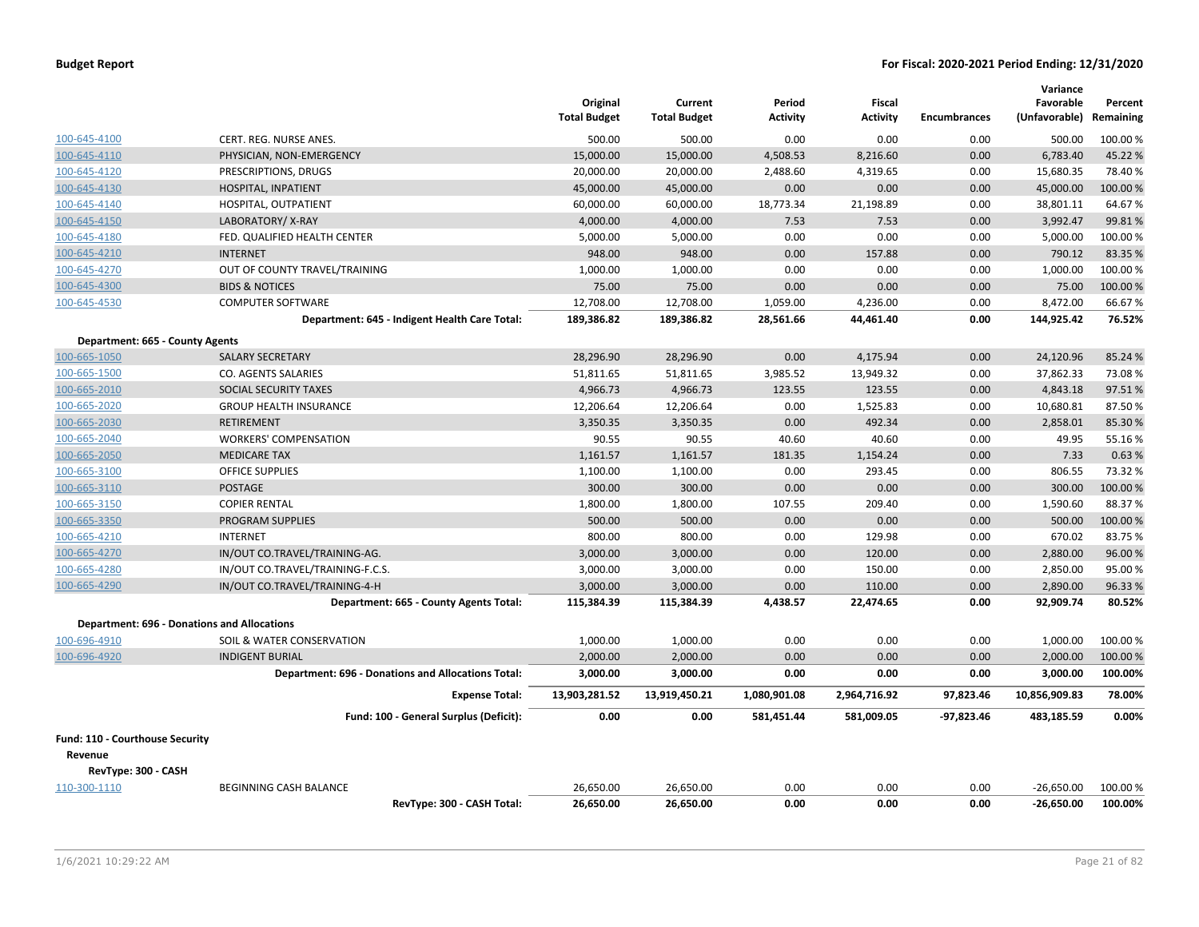|                                                    |                                                           | Original<br><b>Total Budget</b> | Current<br><b>Total Budget</b> | Period<br><b>Activity</b> | <b>Fiscal</b><br><b>Activity</b> | <b>Encumbrances</b> | Variance<br>Favorable<br>(Unfavorable) Remaining | Percent  |
|----------------------------------------------------|-----------------------------------------------------------|---------------------------------|--------------------------------|---------------------------|----------------------------------|---------------------|--------------------------------------------------|----------|
| 100-645-4100                                       | CERT. REG. NURSE ANES.                                    | 500.00                          | 500.00                         | 0.00                      | 0.00                             | 0.00                | 500.00                                           | 100.00 % |
| 100-645-4110                                       | PHYSICIAN, NON-EMERGENCY                                  | 15,000.00                       | 15,000.00                      | 4,508.53                  | 8,216.60                         | 0.00                | 6,783.40                                         | 45.22%   |
| 100-645-4120                                       | PRESCRIPTIONS, DRUGS                                      | 20,000.00                       | 20,000.00                      | 2,488.60                  | 4,319.65                         | 0.00                | 15,680.35                                        | 78.40%   |
| 100-645-4130                                       | HOSPITAL, INPATIENT                                       | 45,000.00                       | 45,000.00                      | 0.00                      | 0.00                             | 0.00                | 45,000.00                                        | 100.00 % |
| 100-645-4140                                       | HOSPITAL, OUTPATIENT                                      | 60,000.00                       | 60,000.00                      | 18,773.34                 | 21,198.89                        | 0.00                | 38,801.11                                        | 64.67%   |
| 100-645-4150                                       | LABORATORY/X-RAY                                          | 4,000.00                        | 4,000.00                       | 7.53                      | 7.53                             | 0.00                | 3,992.47                                         | 99.81%   |
| 100-645-4180                                       | FED. QUALIFIED HEALTH CENTER                              | 5,000.00                        | 5,000.00                       | 0.00                      | 0.00                             | 0.00                | 5,000.00                                         | 100.00%  |
| 100-645-4210                                       | <b>INTERNET</b>                                           | 948.00                          | 948.00                         | 0.00                      | 157.88                           | 0.00                | 790.12                                           | 83.35 %  |
| 100-645-4270                                       | OUT OF COUNTY TRAVEL/TRAINING                             | 1,000.00                        | 1,000.00                       | 0.00                      | 0.00                             | 0.00                | 1,000.00                                         | 100.00%  |
| 100-645-4300                                       | <b>BIDS &amp; NOTICES</b>                                 | 75.00                           | 75.00                          | 0.00                      | 0.00                             | 0.00                | 75.00                                            | 100.00%  |
| 100-645-4530                                       | <b>COMPUTER SOFTWARE</b>                                  | 12,708.00                       | 12,708.00                      | 1,059.00                  | 4,236.00                         | 0.00                | 8,472.00                                         | 66.67%   |
|                                                    | Department: 645 - Indigent Health Care Total:             | 189,386.82                      | 189,386.82                     | 28,561.66                 | 44,461.40                        | 0.00                | 144,925.42                                       | 76.52%   |
| Department: 665 - County Agents                    |                                                           |                                 |                                |                           |                                  |                     |                                                  |          |
| 100-665-1050                                       | <b>SALARY SECRETARY</b>                                   | 28,296.90                       | 28,296.90                      | 0.00                      | 4,175.94                         | 0.00                | 24,120.96                                        | 85.24 %  |
| 100-665-1500                                       | CO. AGENTS SALARIES                                       | 51,811.65                       | 51,811.65                      | 3,985.52                  | 13,949.32                        | 0.00                | 37,862.33                                        | 73.08%   |
| 100-665-2010                                       | <b>SOCIAL SECURITY TAXES</b>                              | 4,966.73                        | 4,966.73                       | 123.55                    | 123.55                           | 0.00                | 4,843.18                                         | 97.51%   |
| 100-665-2020                                       | <b>GROUP HEALTH INSURANCE</b>                             | 12,206.64                       | 12,206.64                      | 0.00                      | 1,525.83                         | 0.00                | 10,680.81                                        | 87.50%   |
| 100-665-2030                                       | <b>RETIREMENT</b>                                         | 3,350.35                        | 3,350.35                       | 0.00                      | 492.34                           | 0.00                | 2,858.01                                         | 85.30%   |
| 100-665-2040                                       | <b>WORKERS' COMPENSATION</b>                              | 90.55                           | 90.55                          | 40.60                     | 40.60                            | 0.00                | 49.95                                            | 55.16%   |
| 100-665-2050                                       | <b>MEDICARE TAX</b>                                       | 1,161.57                        | 1,161.57                       | 181.35                    | 1,154.24                         | 0.00                | 7.33                                             | 0.63%    |
| 100-665-3100                                       | <b>OFFICE SUPPLIES</b>                                    | 1,100.00                        | 1,100.00                       | 0.00                      | 293.45                           | 0.00                | 806.55                                           | 73.32 %  |
| 100-665-3110                                       | <b>POSTAGE</b>                                            | 300.00                          | 300.00                         | 0.00                      | 0.00                             | 0.00                | 300.00                                           | 100.00%  |
| 100-665-3150                                       | <b>COPIER RENTAL</b>                                      | 1,800.00                        | 1,800.00                       | 107.55                    | 209.40                           | 0.00                | 1,590.60                                         | 88.37%   |
| 100-665-3350                                       | <b>PROGRAM SUPPLIES</b>                                   | 500.00                          | 500.00                         | 0.00                      | 0.00                             | 0.00                | 500.00                                           | 100.00 % |
| 100-665-4210                                       | <b>INTERNET</b>                                           | 800.00                          | 800.00                         | 0.00                      | 129.98                           | 0.00                | 670.02                                           | 83.75%   |
| 100-665-4270                                       | IN/OUT CO.TRAVEL/TRAINING-AG.                             | 3,000.00                        | 3,000.00                       | 0.00                      | 120.00                           | 0.00                | 2,880.00                                         | 96.00%   |
| 100-665-4280                                       | IN/OUT CO.TRAVEL/TRAINING-F.C.S.                          | 3,000.00                        | 3,000.00                       | 0.00                      | 150.00                           | 0.00                | 2,850.00                                         | 95.00%   |
| 100-665-4290                                       | IN/OUT CO.TRAVEL/TRAINING-4-H                             | 3,000.00                        | 3,000.00                       | 0.00                      | 110.00                           | 0.00                | 2,890.00                                         | 96.33%   |
|                                                    | Department: 665 - County Agents Total:                    | 115,384.39                      | 115,384.39                     | 4,438.57                  | 22,474.65                        | 0.00                | 92,909.74                                        | 80.52%   |
| <b>Department: 696 - Donations and Allocations</b> |                                                           |                                 |                                |                           |                                  |                     |                                                  |          |
| 100-696-4910                                       | SOIL & WATER CONSERVATION                                 | 1,000.00                        | 1,000.00                       | 0.00                      | 0.00                             | 0.00                | 1.000.00                                         | 100.00%  |
| 100-696-4920                                       | <b>INDIGENT BURIAL</b>                                    | 2,000.00                        | 2,000.00                       | 0.00                      | 0.00                             | 0.00                | 2,000.00                                         | 100.00 % |
|                                                    | <b>Department: 696 - Donations and Allocations Total:</b> | 3,000.00                        | 3,000.00                       | 0.00                      | 0.00                             | 0.00                | 3,000.00                                         | 100.00%  |
|                                                    | <b>Expense Total:</b>                                     | 13,903,281.52                   | 13,919,450.21                  | 1,080,901.08              | 2,964,716.92                     | 97,823.46           | 10,856,909.83                                    | 78.00%   |
|                                                    | Fund: 100 - General Surplus (Deficit):                    | 0.00                            | 0.00                           | 581,451.44                | 581,009.05                       | $-97,823.46$        | 483,185.59                                       | 0.00%    |
| Fund: 110 - Courthouse Security                    |                                                           |                                 |                                |                           |                                  |                     |                                                  |          |
| Revenue                                            |                                                           |                                 |                                |                           |                                  |                     |                                                  |          |
| RevType: 300 - CASH                                |                                                           |                                 |                                |                           |                                  |                     |                                                  |          |
| 110-300-1110                                       | BEGINNING CASH BALANCE                                    | 26,650.00                       | 26,650.00                      | 0.00                      | 0.00                             | 0.00                | $-26,650.00$                                     | 100.00 % |
|                                                    | RevType: 300 - CASH Total:                                | 26,650.00                       | 26,650.00                      | 0.00                      | 0.00                             | 0.00                | $-26,650.00$                                     | 100.00%  |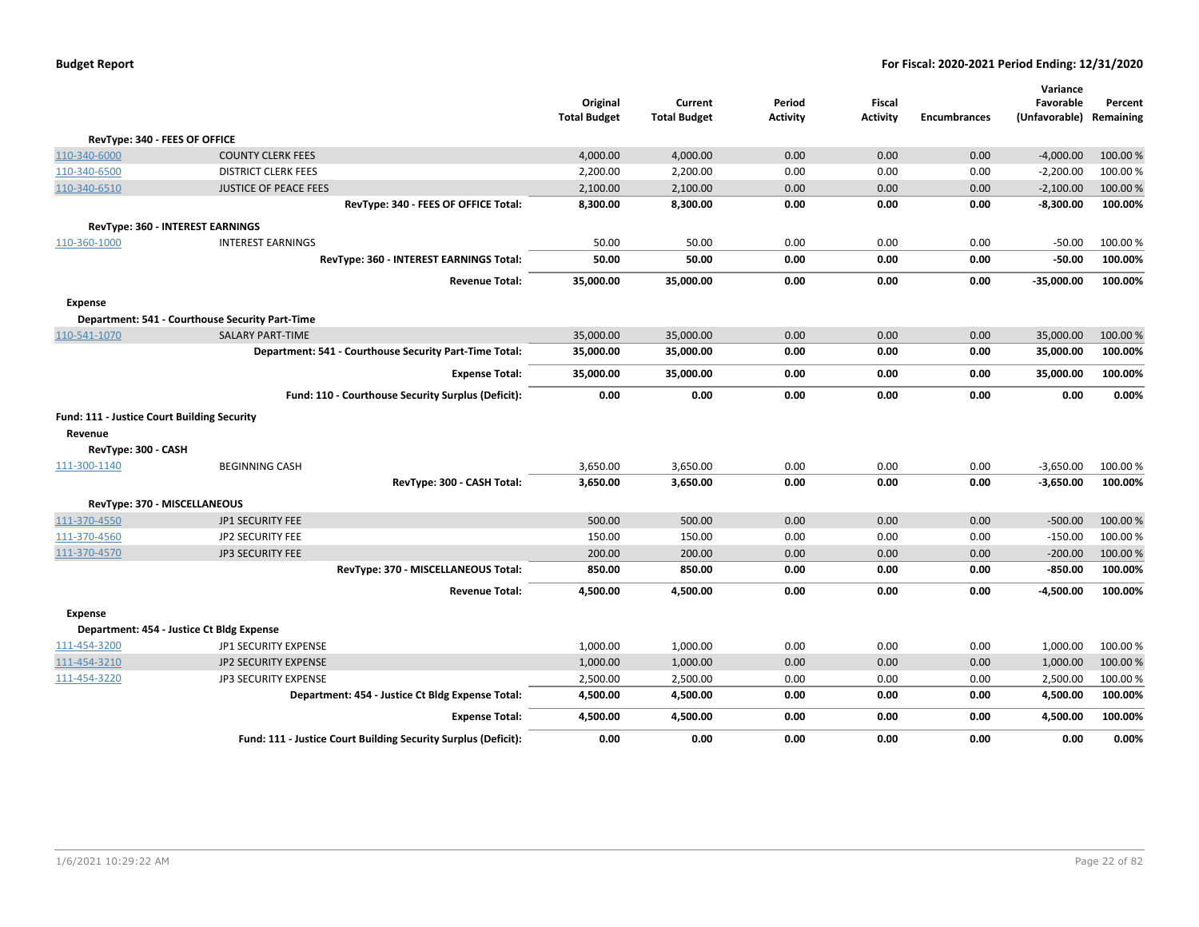|                                             |                                                                | Original<br><b>Total Budget</b> | Current<br><b>Total Budget</b> | Period<br><b>Activity</b> | Fiscal<br><b>Activity</b> | <b>Encumbrances</b> | Variance<br>Favorable<br>(Unfavorable) | Percent<br>Remaining |
|---------------------------------------------|----------------------------------------------------------------|---------------------------------|--------------------------------|---------------------------|---------------------------|---------------------|----------------------------------------|----------------------|
|                                             | RevType: 340 - FEES OF OFFICE                                  |                                 |                                |                           |                           |                     |                                        |                      |
| 110-340-6000                                | <b>COUNTY CLERK FEES</b>                                       | 4,000.00                        | 4,000.00                       | 0.00                      | 0.00                      | 0.00                | $-4,000.00$                            | 100.00 %             |
| 110-340-6500                                | <b>DISTRICT CLERK FEES</b>                                     | 2,200.00                        | 2,200.00                       | 0.00                      | 0.00                      | 0.00                | $-2,200.00$                            | 100.00%              |
| 110-340-6510                                | <b>JUSTICE OF PEACE FEES</b>                                   | 2,100.00                        | 2,100.00                       | 0.00                      | 0.00                      | 0.00                | $-2,100.00$                            | 100.00 %             |
|                                             | RevType: 340 - FEES OF OFFICE Total:                           | 8,300.00                        | 8,300.00                       | 0.00                      | 0.00                      | 0.00                | $-8,300.00$                            | 100.00%              |
|                                             | RevType: 360 - INTEREST EARNINGS                               |                                 |                                |                           |                           |                     |                                        |                      |
| 110-360-1000                                | <b>INTEREST EARNINGS</b>                                       | 50.00                           | 50.00                          | 0.00                      | 0.00                      | 0.00                | $-50.00$                               | 100.00%              |
|                                             | RevType: 360 - INTEREST EARNINGS Total:                        | 50.00                           | 50.00                          | 0.00                      | 0.00                      | 0.00                | $-50.00$                               | 100.00%              |
|                                             | <b>Revenue Total:</b>                                          | 35,000.00                       | 35,000.00                      | 0.00                      | 0.00                      | 0.00                | $-35,000.00$                           | 100.00%              |
| <b>Expense</b>                              |                                                                |                                 |                                |                           |                           |                     |                                        |                      |
|                                             | Department: 541 - Courthouse Security Part-Time                |                                 |                                |                           |                           |                     |                                        |                      |
| 110-541-1070                                | <b>SALARY PART-TIME</b>                                        | 35,000.00                       | 35,000.00                      | 0.00                      | 0.00                      | 0.00                | 35,000.00                              | 100.00%              |
|                                             | Department: 541 - Courthouse Security Part-Time Total:         | 35,000.00                       | 35,000.00                      | 0.00                      | 0.00                      | 0.00                | 35,000.00                              | 100.00%              |
|                                             | <b>Expense Total:</b>                                          | 35,000.00                       | 35,000.00                      | 0.00                      | 0.00                      | 0.00                | 35,000.00                              | 100.00%              |
|                                             | Fund: 110 - Courthouse Security Surplus (Deficit):             | 0.00                            | 0.00                           | 0.00                      | 0.00                      | 0.00                | 0.00                                   | 0.00%                |
| Fund: 111 - Justice Court Building Security |                                                                |                                 |                                |                           |                           |                     |                                        |                      |
| Revenue                                     |                                                                |                                 |                                |                           |                           |                     |                                        |                      |
| RevType: 300 - CASH                         |                                                                |                                 |                                |                           |                           |                     |                                        |                      |
| 111-300-1140                                | <b>BEGINNING CASH</b>                                          | 3,650.00                        | 3,650.00                       | 0.00                      | 0.00                      | 0.00                | $-3,650.00$                            | 100.00 %             |
|                                             | RevType: 300 - CASH Total:                                     | 3,650.00                        | 3,650.00                       | 0.00                      | 0.00                      | 0.00                | $-3,650.00$                            | 100.00%              |
|                                             | RevType: 370 - MISCELLANEOUS                                   |                                 |                                |                           |                           |                     |                                        |                      |
| 111-370-4550                                | <b>JP1 SECURITY FEE</b>                                        | 500.00                          | 500.00                         | 0.00                      | 0.00                      | 0.00                | $-500.00$                              | 100.00 %             |
| 111-370-4560                                | JP2 SECURITY FEE                                               | 150.00                          | 150.00                         | 0.00                      | 0.00                      | 0.00                | $-150.00$                              | 100.00%              |
| 111-370-4570                                | JP3 SECURITY FEE                                               | 200.00                          | 200.00                         | 0.00                      | 0.00                      | 0.00                | $-200.00$                              | 100.00%              |
|                                             | RevType: 370 - MISCELLANEOUS Total:                            | 850.00                          | 850.00                         | 0.00                      | 0.00                      | 0.00                | $-850.00$                              | 100.00%              |
|                                             | <b>Revenue Total:</b>                                          | 4,500.00                        | 4,500.00                       | 0.00                      | 0.00                      | 0.00                | $-4.500.00$                            | 100.00%              |
| Expense                                     |                                                                |                                 |                                |                           |                           |                     |                                        |                      |
|                                             | Department: 454 - Justice Ct Bldg Expense                      |                                 |                                |                           |                           |                     |                                        |                      |
| 111-454-3200                                | JP1 SECURITY EXPENSE                                           | 1,000.00                        | 1,000.00                       | 0.00                      | 0.00                      | 0.00                | 1,000.00                               | 100.00%              |
| 111-454-3210                                | JP2 SECURITY EXPENSE                                           | 1,000.00                        | 1,000.00                       | 0.00                      | 0.00                      | 0.00                | 1,000.00                               | 100.00 %             |
| 111-454-3220                                | JP3 SECURITY EXPENSE                                           | 2,500.00                        | 2,500.00                       | 0.00                      | 0.00                      | 0.00                | 2,500.00                               | 100.00%              |
|                                             | Department: 454 - Justice Ct Bldg Expense Total:               | 4,500.00                        | 4,500.00                       | 0.00                      | 0.00                      | 0.00                | 4,500.00                               | 100.00%              |
|                                             | <b>Expense Total:</b>                                          | 4,500.00                        | 4,500.00                       | 0.00                      | 0.00                      | 0.00                | 4,500.00                               | 100.00%              |
|                                             | Fund: 111 - Justice Court Building Security Surplus (Deficit): | 0.00                            | 0.00                           | 0.00                      | 0.00                      | 0.00                | 0.00                                   | 0.00%                |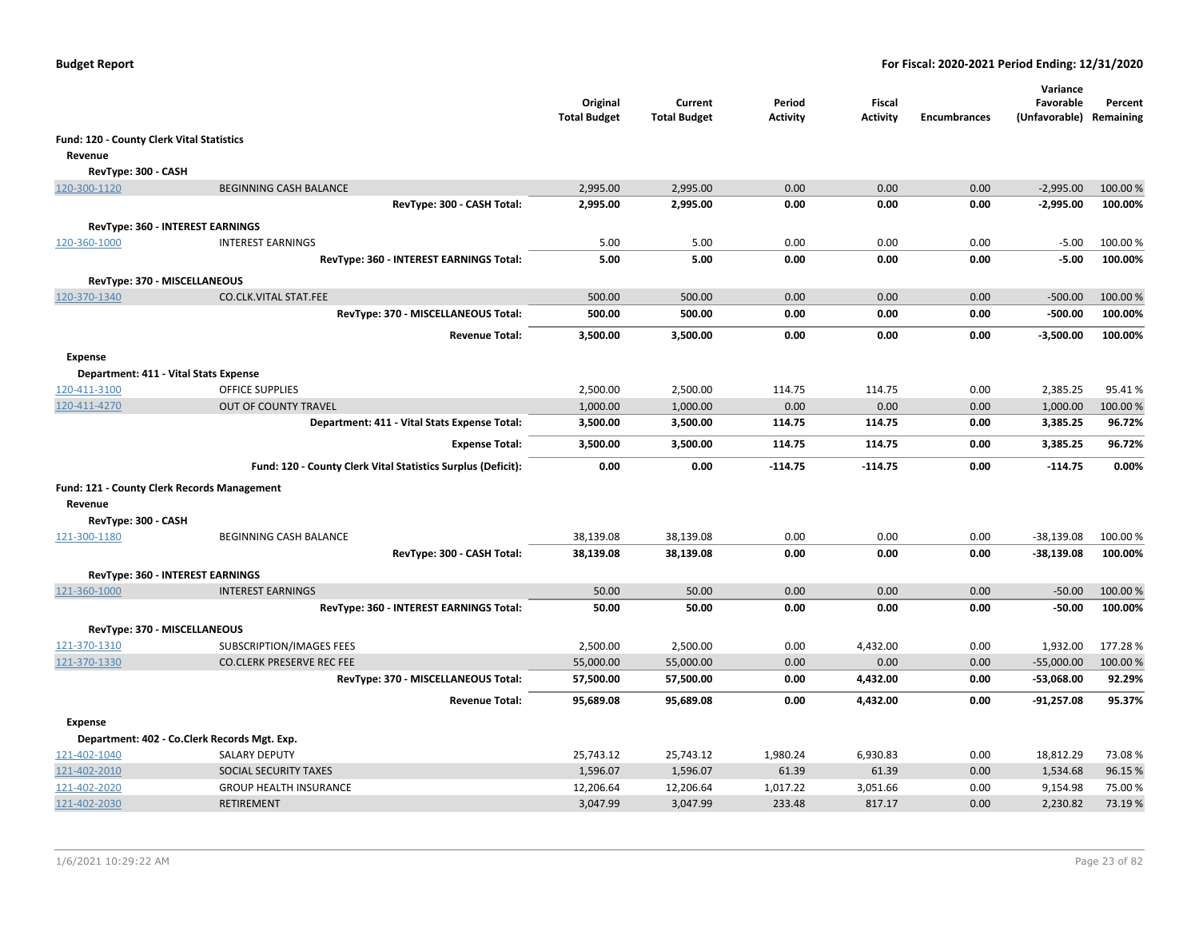|                                           |                                                              | Original<br><b>Total Budget</b> | Current<br><b>Total Budget</b> | Period<br><b>Activity</b> | <b>Fiscal</b><br><b>Activity</b> | <b>Encumbrances</b> | Variance<br>Favorable<br>(Unfavorable) Remaining | Percent  |
|-------------------------------------------|--------------------------------------------------------------|---------------------------------|--------------------------------|---------------------------|----------------------------------|---------------------|--------------------------------------------------|----------|
| Fund: 120 - County Clerk Vital Statistics |                                                              |                                 |                                |                           |                                  |                     |                                                  |          |
| Revenue                                   |                                                              |                                 |                                |                           |                                  |                     |                                                  |          |
| RevType: 300 - CASH                       |                                                              |                                 |                                |                           |                                  |                     |                                                  |          |
| 120-300-1120                              | <b>BEGINNING CASH BALANCE</b>                                | 2,995.00                        | 2,995.00                       | 0.00                      | 0.00                             | 0.00                | $-2,995.00$                                      | 100.00 % |
|                                           | RevType: 300 - CASH Total:                                   | 2,995.00                        | 2,995.00                       | 0.00                      | 0.00                             | 0.00                | $-2,995.00$                                      | 100.00%  |
|                                           | RevType: 360 - INTEREST EARNINGS                             |                                 |                                |                           |                                  |                     |                                                  |          |
| 120-360-1000                              | <b>INTEREST EARNINGS</b>                                     | 5.00                            | 5.00                           | 0.00                      | 0.00                             | 0.00                | $-5.00$                                          | 100.00 % |
|                                           | RevType: 360 - INTEREST EARNINGS Total:                      | 5.00                            | 5.00                           | 0.00                      | 0.00                             | 0.00                | $-5.00$                                          | 100.00%  |
|                                           |                                                              |                                 |                                |                           |                                  |                     |                                                  |          |
| 120-370-1340                              | RevType: 370 - MISCELLANEOUS<br><b>CO.CLK.VITAL STAT.FEE</b> | 500.00                          | 500.00                         | 0.00                      | 0.00                             | 0.00                | $-500.00$                                        | 100.00 % |
|                                           | RevType: 370 - MISCELLANEOUS Total:                          | 500.00                          | 500.00                         | 0.00                      | 0.00                             | 0.00                | $-500.00$                                        | 100.00%  |
|                                           |                                                              |                                 |                                |                           |                                  |                     |                                                  |          |
|                                           | <b>Revenue Total:</b>                                        | 3,500.00                        | 3,500.00                       | 0.00                      | 0.00                             | 0.00                | $-3,500.00$                                      | 100.00%  |
| <b>Expense</b>                            |                                                              |                                 |                                |                           |                                  |                     |                                                  |          |
|                                           | Department: 411 - Vital Stats Expense                        |                                 |                                |                           |                                  |                     |                                                  |          |
| 120-411-3100                              | <b>OFFICE SUPPLIES</b>                                       | 2,500.00                        | 2,500.00                       | 114.75                    | 114.75                           | 0.00                | 2,385.25                                         | 95.41%   |
| 120-411-4270                              | <b>OUT OF COUNTY TRAVEL</b>                                  | 1,000.00                        | 1,000.00                       | 0.00                      | 0.00                             | 0.00                | 1,000.00                                         | 100.00%  |
|                                           | Department: 411 - Vital Stats Expense Total:                 | 3,500.00                        | 3,500.00                       | 114.75                    | 114.75                           | 0.00                | 3,385.25                                         | 96.72%   |
|                                           | <b>Expense Total:</b>                                        | 3,500.00                        | 3,500.00                       | 114.75                    | 114.75                           | 0.00                | 3,385.25                                         | 96.72%   |
|                                           | Fund: 120 - County Clerk Vital Statistics Surplus (Deficit): | 0.00                            | 0.00                           | $-114.75$                 | $-114.75$                        | 0.00                | $-114.75$                                        | 0.00%    |
|                                           | Fund: 121 - County Clerk Records Management                  |                                 |                                |                           |                                  |                     |                                                  |          |
| Revenue                                   |                                                              |                                 |                                |                           |                                  |                     |                                                  |          |
| RevType: 300 - CASH                       |                                                              |                                 |                                |                           |                                  |                     |                                                  |          |
| 121-300-1180                              | BEGINNING CASH BALANCE                                       | 38,139.08                       | 38,139.08                      | 0.00                      | 0.00                             | 0.00                | $-38,139.08$                                     | 100.00 % |
|                                           | RevType: 300 - CASH Total:                                   | 38,139.08                       | 38,139.08                      | 0.00                      | 0.00                             | 0.00                | $-38,139.08$                                     | 100.00%  |
|                                           | RevType: 360 - INTEREST EARNINGS                             |                                 |                                |                           |                                  |                     |                                                  |          |
| 121-360-1000                              | <b>INTEREST EARNINGS</b>                                     | 50.00                           | 50.00                          | 0.00                      | 0.00                             | 0.00                | $-50.00$                                         | 100.00 % |
|                                           | RevType: 360 - INTEREST EARNINGS Total:                      | 50.00                           | 50.00                          | 0.00                      | 0.00                             | 0.00                | $-50.00$                                         | 100.00%  |
|                                           | RevType: 370 - MISCELLANEOUS                                 |                                 |                                |                           |                                  |                     |                                                  |          |
| 121-370-1310                              | SUBSCRIPTION/IMAGES FEES                                     | 2,500.00                        | 2,500.00                       | 0.00                      | 4,432.00                         | 0.00                | 1,932.00                                         | 177.28%  |
| 121-370-1330                              | <b>CO.CLERK PRESERVE REC FEE</b>                             | 55,000.00                       | 55,000.00                      | 0.00                      | 0.00                             | 0.00                | $-55,000.00$                                     | 100.00 % |
|                                           | RevType: 370 - MISCELLANEOUS Total:                          | 57,500.00                       | 57,500.00                      | 0.00                      | 4,432.00                         | 0.00                | -53,068.00                                       | 92.29%   |
|                                           | <b>Revenue Total:</b>                                        | 95,689.08                       | 95,689.08                      | 0.00                      | 4,432.00                         | 0.00                | $-91,257.08$                                     | 95.37%   |
| <b>Expense</b>                            |                                                              |                                 |                                |                           |                                  |                     |                                                  |          |
|                                           | Department: 402 - Co.Clerk Records Mgt. Exp.                 |                                 |                                |                           |                                  |                     |                                                  |          |
| 121-402-1040                              | <b>SALARY DEPUTY</b>                                         | 25,743.12                       | 25,743.12                      | 1,980.24                  | 6,930.83                         | 0.00                | 18,812.29                                        | 73.08%   |
| 121-402-2010                              | SOCIAL SECURITY TAXES                                        | 1,596.07                        | 1,596.07                       | 61.39                     | 61.39                            | 0.00                | 1,534.68                                         | 96.15%   |
| 121-402-2020                              | <b>GROUP HEALTH INSURANCE</b>                                | 12,206.64                       | 12,206.64                      | 1,017.22                  | 3,051.66                         | 0.00                | 9,154.98                                         | 75.00%   |
| 121-402-2030                              | <b>RETIREMENT</b>                                            | 3,047.99                        | 3,047.99                       | 233.48                    | 817.17                           | 0.00                | 2,230.82                                         | 73.19%   |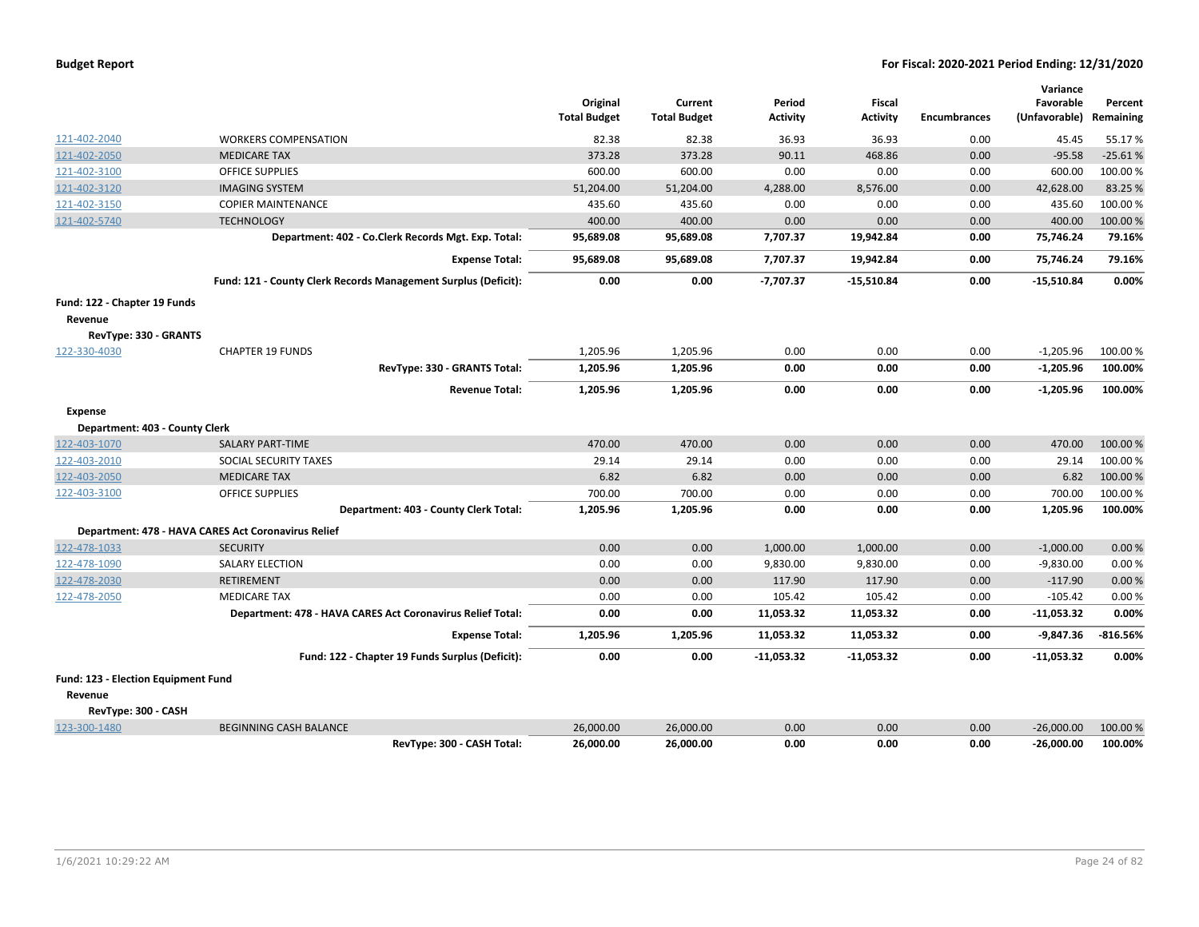| <b>Budget Report</b> |  |
|----------------------|--|
|----------------------|--|

|                                     |                                                                |                     |                     |                 |                 |                     | Variance      |            |
|-------------------------------------|----------------------------------------------------------------|---------------------|---------------------|-----------------|-----------------|---------------------|---------------|------------|
|                                     |                                                                | Original            | Current             | Period          | Fiscal          |                     | Favorable     | Percent    |
|                                     |                                                                | <b>Total Budget</b> | <b>Total Budget</b> | <b>Activity</b> | <b>Activity</b> | <b>Encumbrances</b> | (Unfavorable) | Remaining  |
| 121-402-2040                        | <b>WORKERS COMPENSATION</b>                                    | 82.38               | 82.38               | 36.93           | 36.93           | 0.00                | 45.45         | 55.17 %    |
| 121-402-2050                        | <b>MEDICARE TAX</b>                                            | 373.28              | 373.28              | 90.11           | 468.86          | 0.00                | $-95.58$      | $-25.61%$  |
| 121-402-3100                        | <b>OFFICE SUPPLIES</b>                                         | 600.00              | 600.00              | 0.00            | 0.00            | 0.00                | 600.00        | 100.00%    |
| 121-402-3120                        | <b>IMAGING SYSTEM</b>                                          | 51,204.00           | 51,204.00           | 4,288.00        | 8,576.00        | 0.00                | 42,628.00     | 83.25 %    |
| 121-402-3150                        | <b>COPIER MAINTENANCE</b>                                      | 435.60              | 435.60              | 0.00            | 0.00            | 0.00                | 435.60        | 100.00%    |
| 121-402-5740                        | <b>TECHNOLOGY</b>                                              | 400.00              | 400.00              | 0.00            | 0.00            | 0.00                | 400.00        | 100.00%    |
|                                     | Department: 402 - Co.Clerk Records Mgt. Exp. Total:            | 95,689.08           | 95,689.08           | 7,707.37        | 19,942.84       | 0.00                | 75,746.24     | 79.16%     |
|                                     | <b>Expense Total:</b>                                          | 95,689.08           | 95,689.08           | 7,707.37        | 19,942.84       | 0.00                | 75,746.24     | 79.16%     |
|                                     | Fund: 121 - County Clerk Records Management Surplus (Deficit): | 0.00                | 0.00                | $-7,707.37$     | $-15,510.84$    | 0.00                | $-15,510.84$  | 0.00%      |
| Fund: 122 - Chapter 19 Funds        |                                                                |                     |                     |                 |                 |                     |               |            |
| Revenue                             |                                                                |                     |                     |                 |                 |                     |               |            |
| RevType: 330 - GRANTS               |                                                                |                     |                     |                 |                 |                     |               |            |
| 122-330-4030                        | <b>CHAPTER 19 FUNDS</b>                                        | 1,205.96            | 1,205.96            | 0.00            | 0.00            | 0.00                | $-1,205.96$   | 100.00%    |
|                                     | RevType: 330 - GRANTS Total:                                   | 1,205.96            | 1,205.96            | 0.00            | 0.00            | 0.00                | -1,205.96     | 100.00%    |
|                                     | <b>Revenue Total:</b>                                          | 1,205.96            | 1,205.96            | 0.00            | 0.00            | 0.00                | -1,205.96     | 100.00%    |
| Expense                             |                                                                |                     |                     |                 |                 |                     |               |            |
| Department: 403 - County Clerk      |                                                                |                     |                     |                 |                 |                     |               |            |
| 122-403-1070                        | <b>SALARY PART-TIME</b>                                        | 470.00              | 470.00              | 0.00            | 0.00            | 0.00                | 470.00        | 100.00%    |
| 122-403-2010                        | SOCIAL SECURITY TAXES                                          | 29.14               | 29.14               | 0.00            | 0.00            | 0.00                | 29.14         | 100.00%    |
| 122-403-2050                        | <b>MEDICARE TAX</b>                                            | 6.82                | 6.82                | 0.00            | 0.00            | 0.00                | 6.82          | 100.00%    |
| 122-403-3100                        | <b>OFFICE SUPPLIES</b>                                         | 700.00              | 700.00              | 0.00            | 0.00            | 0.00                | 700.00        | 100.00%    |
|                                     | Department: 403 - County Clerk Total:                          | 1,205.96            | 1,205.96            | 0.00            | 0.00            | 0.00                | 1,205.96      | 100.00%    |
|                                     | Department: 478 - HAVA CARES Act Coronavirus Relief            |                     |                     |                 |                 |                     |               |            |
| 122-478-1033                        | <b>SECURITY</b>                                                | 0.00                | 0.00                | 1,000.00        | 1,000.00        | 0.00                | $-1,000.00$   | 0.00%      |
| 122-478-1090                        | <b>SALARY ELECTION</b>                                         | 0.00                | 0.00                | 9,830.00        | 9,830.00        | 0.00                | $-9,830.00$   | 0.00%      |
| 122-478-2030                        | RETIREMENT                                                     | 0.00                | 0.00                | 117.90          | 117.90          | 0.00                | $-117.90$     | 0.00%      |
| 122-478-2050                        | <b>MEDICARE TAX</b>                                            | 0.00                | 0.00                | 105.42          | 105.42          | 0.00                | $-105.42$     | 0.00%      |
|                                     | Department: 478 - HAVA CARES Act Coronavirus Relief Total:     | 0.00                | 0.00                | 11,053.32       | 11,053.32       | 0.00                | $-11,053.32$  | 0.00%      |
|                                     | <b>Expense Total:</b>                                          | 1,205.96            | 1,205.96            | 11,053.32       | 11,053.32       | 0.00                | -9,847.36     | $-816.56%$ |
|                                     | Fund: 122 - Chapter 19 Funds Surplus (Deficit):                | 0.00                | 0.00                | $-11,053.32$    | $-11,053.32$    | 0.00                | $-11,053.32$  | 0.00%      |
| Fund: 123 - Election Equipment Fund |                                                                |                     |                     |                 |                 |                     |               |            |
| Revenue                             |                                                                |                     |                     |                 |                 |                     |               |            |
| RevType: 300 - CASH                 |                                                                |                     |                     |                 |                 |                     |               |            |
| 123-300-1480                        | <b>BEGINNING CASH BALANCE</b>                                  | 26,000.00           | 26,000.00           | 0.00            | 0.00            | 0.00                | $-26,000.00$  | 100.00%    |
|                                     | RevType: 300 - CASH Total:                                     | 26,000.00           | 26,000.00           | 0.00            | 0.00            | 0.00                | $-26,000.00$  | 100.00%    |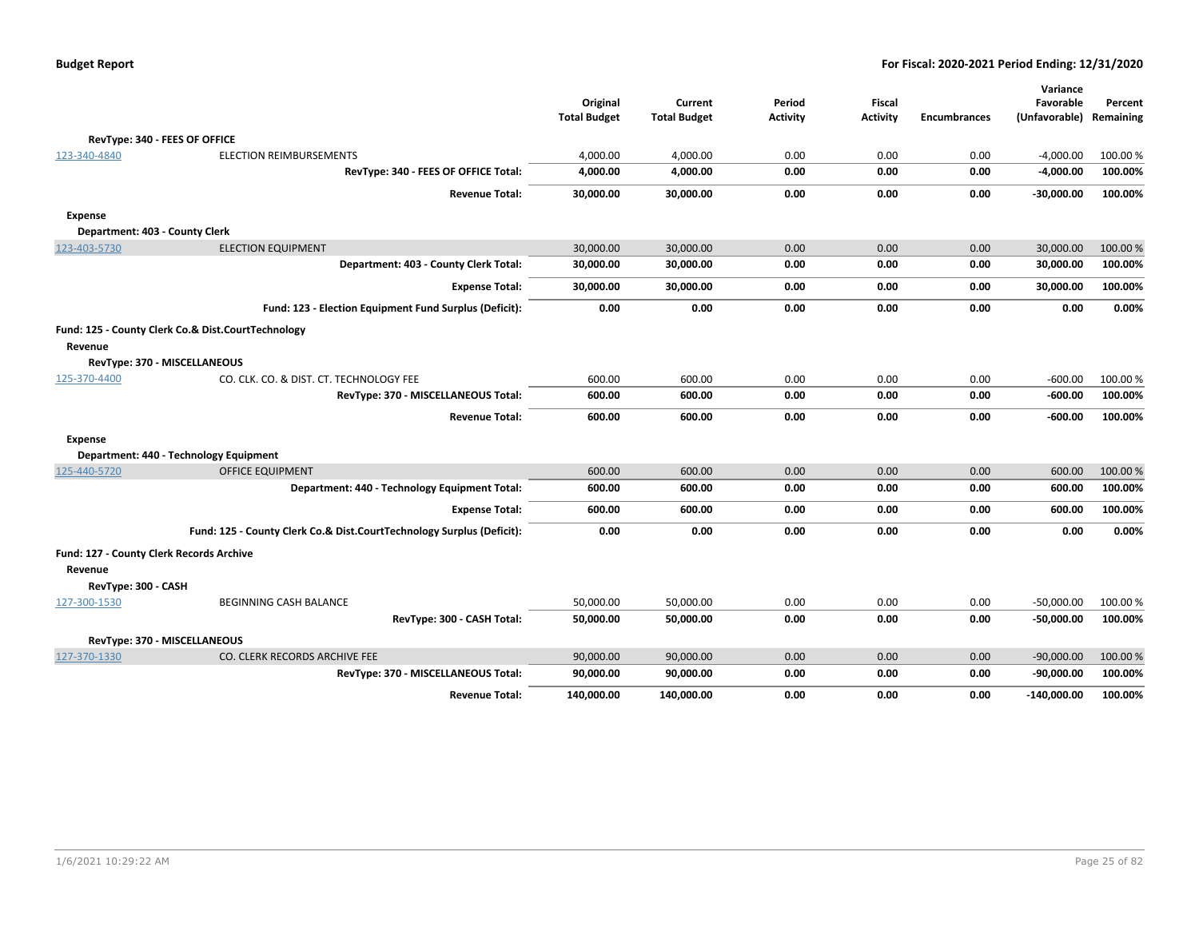|                     |                                                                       |                     |                     |                 |                 |                     | Variance                |          |
|---------------------|-----------------------------------------------------------------------|---------------------|---------------------|-----------------|-----------------|---------------------|-------------------------|----------|
|                     |                                                                       | Original            | Current             | Period          | <b>Fiscal</b>   |                     | Favorable               | Percent  |
|                     |                                                                       | <b>Total Budget</b> | <b>Total Budget</b> | <b>Activity</b> | <b>Activity</b> | <b>Encumbrances</b> | (Unfavorable) Remaining |          |
|                     | RevType: 340 - FEES OF OFFICE                                         |                     |                     |                 |                 |                     |                         |          |
| 123-340-4840        | <b>ELECTION REIMBURSEMENTS</b>                                        | 4,000.00            | 4,000.00            | 0.00            | 0.00            | 0.00                | $-4,000.00$             | 100.00 % |
|                     | RevType: 340 - FEES OF OFFICE Total:                                  | 4,000.00            | 4,000.00            | 0.00            | 0.00            | 0.00                | $-4,000.00$             | 100.00%  |
|                     | <b>Revenue Total:</b>                                                 | 30,000.00           | 30,000.00           | 0.00            | 0.00            | 0.00                | $-30,000.00$            | 100.00%  |
| Expense             |                                                                       |                     |                     |                 |                 |                     |                         |          |
|                     | Department: 403 - County Clerk                                        |                     |                     |                 |                 |                     |                         |          |
| 123-403-5730        | <b>ELECTION EQUIPMENT</b>                                             | 30,000.00           | 30,000.00           | 0.00            | 0.00            | 0.00                | 30,000.00               | 100.00 % |
|                     | Department: 403 - County Clerk Total:                                 | 30,000.00           | 30,000.00           | 0.00            | 0.00            | 0.00                | 30,000.00               | 100.00%  |
|                     | <b>Expense Total:</b>                                                 | 30,000.00           | 30,000.00           | 0.00            | 0.00            | 0.00                | 30,000.00               | 100.00%  |
|                     | Fund: 123 - Election Equipment Fund Surplus (Deficit):                | 0.00                | 0.00                | 0.00            | 0.00            | 0.00                | 0.00                    | 0.00%    |
|                     | Fund: 125 - County Clerk Co.& Dist.CourtTechnology                    |                     |                     |                 |                 |                     |                         |          |
| Revenue             |                                                                       |                     |                     |                 |                 |                     |                         |          |
|                     | RevType: 370 - MISCELLANEOUS                                          |                     |                     |                 |                 |                     |                         |          |
| 125-370-4400        | CO. CLK. CO. & DIST. CT. TECHNOLOGY FEE                               | 600.00              | 600.00              | 0.00            | 0.00            | 0.00                | $-600.00$               | 100.00 % |
|                     | RevType: 370 - MISCELLANEOUS Total:                                   | 600.00              | 600.00              | 0.00            | 0.00            | 0.00                | $-600.00$               | 100.00%  |
|                     | <b>Revenue Total:</b>                                                 | 600.00              | 600.00              | 0.00            | 0.00            | 0.00                | $-600.00$               | 100.00%  |
| <b>Expense</b>      |                                                                       |                     |                     |                 |                 |                     |                         |          |
|                     | Department: 440 - Technology Equipment                                |                     |                     |                 |                 |                     |                         |          |
| 125-440-5720        | <b>OFFICE EQUIPMENT</b>                                               | 600.00              | 600.00              | 0.00            | 0.00            | 0.00                | 600.00                  | 100.00%  |
|                     | Department: 440 - Technology Equipment Total:                         | 600.00              | 600.00              | 0.00            | 0.00            | 0.00                | 600.00                  | 100.00%  |
|                     | <b>Expense Total:</b>                                                 | 600.00              | 600.00              | 0.00            | 0.00            | 0.00                | 600.00                  | 100.00%  |
|                     | Fund: 125 - County Clerk Co.& Dist.CourtTechnology Surplus (Deficit): | 0.00                | 0.00                | 0.00            | 0.00            | 0.00                | 0.00                    | 0.00%    |
|                     | Fund: 127 - County Clerk Records Archive                              |                     |                     |                 |                 |                     |                         |          |
| Revenue             |                                                                       |                     |                     |                 |                 |                     |                         |          |
| RevType: 300 - CASH |                                                                       |                     |                     |                 |                 |                     |                         |          |
| 127-300-1530        | BEGINNING CASH BALANCE                                                | 50,000.00           | 50,000.00           | 0.00            | 0.00            | 0.00                | $-50,000.00$            | 100.00%  |
|                     | RevType: 300 - CASH Total:                                            | 50,000.00           | 50,000.00           | 0.00            | 0.00            | 0.00                | $-50,000.00$            | 100.00%  |
|                     | RevType: 370 - MISCELLANEOUS                                          |                     |                     |                 |                 |                     |                         |          |
| 127-370-1330        | CO. CLERK RECORDS ARCHIVE FEE                                         | 90,000.00           | 90,000.00           | 0.00            | 0.00            | 0.00                | $-90,000.00$            | 100.00 % |
|                     | RevType: 370 - MISCELLANEOUS Total:                                   | 90,000.00           | 90,000.00           | 0.00            | 0.00            | 0.00                | $-90,000.00$            | 100.00%  |
|                     | <b>Revenue Total:</b>                                                 | 140.000.00          | 140,000.00          | 0.00            | 0.00            | 0.00                | $-140.000.00$           | 100.00%  |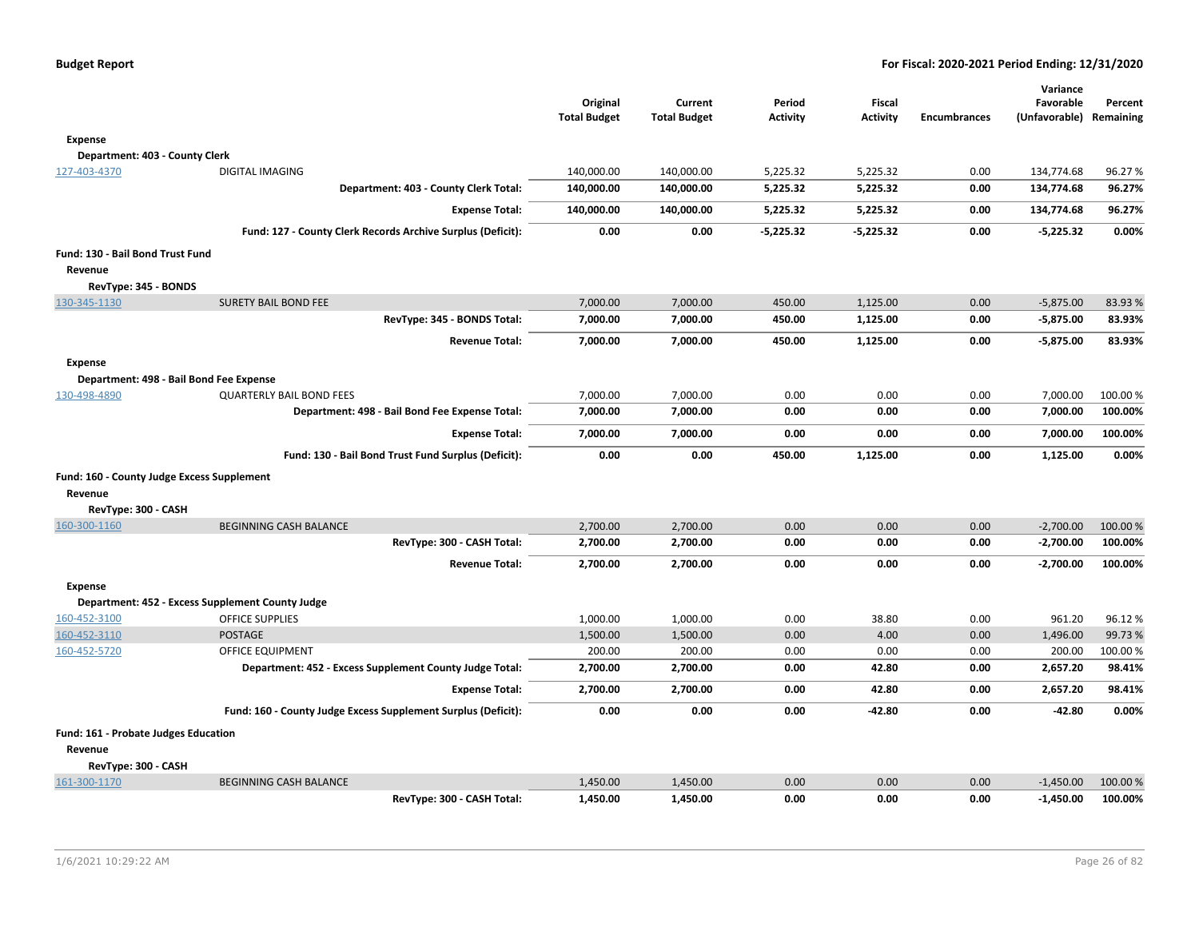|                                            |                                                               | Original<br><b>Total Budget</b> | Current<br><b>Total Budget</b> | Period<br><b>Activity</b> | Fiscal<br><b>Activity</b> | <b>Encumbrances</b> | Variance<br>Favorable<br>(Unfavorable) Remaining | Percent  |
|--------------------------------------------|---------------------------------------------------------------|---------------------------------|--------------------------------|---------------------------|---------------------------|---------------------|--------------------------------------------------|----------|
| Expense                                    |                                                               |                                 |                                |                           |                           |                     |                                                  |          |
| Department: 403 - County Clerk             |                                                               |                                 |                                |                           |                           |                     |                                                  |          |
| 127-403-4370                               | <b>DIGITAL IMAGING</b>                                        | 140,000.00                      | 140,000.00                     | 5,225.32                  | 5,225.32                  | 0.00                | 134,774.68                                       | 96.27%   |
|                                            | Department: 403 - County Clerk Total:                         | 140,000.00                      | 140,000.00                     | 5,225.32                  | 5,225.32                  | 0.00                | 134,774.68                                       | 96.27%   |
|                                            | <b>Expense Total:</b>                                         | 140,000.00                      | 140,000.00                     | 5,225.32                  | 5,225.32                  | 0.00                | 134,774.68                                       | 96.27%   |
|                                            | Fund: 127 - County Clerk Records Archive Surplus (Deficit):   | 0.00                            | 0.00                           | $-5,225.32$               | $-5,225.32$               | 0.00                | $-5,225.32$                                      | 0.00%    |
| Fund: 130 - Bail Bond Trust Fund           |                                                               |                                 |                                |                           |                           |                     |                                                  |          |
| Revenue                                    |                                                               |                                 |                                |                           |                           |                     |                                                  |          |
| RevType: 345 - BONDS                       |                                                               |                                 |                                |                           |                           |                     |                                                  |          |
| 130-345-1130                               | <b>SURETY BAIL BOND FEE</b>                                   | 7,000.00                        | 7,000.00                       | 450.00                    | 1.125.00                  | 0.00                | $-5,875.00$                                      | 83.93%   |
|                                            | RevType: 345 - BONDS Total:                                   | 7,000.00                        | 7,000.00                       | 450.00                    | 1,125.00                  | 0.00                | $-5,875.00$                                      | 83.93%   |
|                                            | <b>Revenue Total:</b>                                         | 7,000.00                        | 7,000.00                       | 450.00                    | 1,125.00                  | 0.00                | $-5,875.00$                                      | 83.93%   |
| <b>Expense</b>                             |                                                               |                                 |                                |                           |                           |                     |                                                  |          |
|                                            | Department: 498 - Bail Bond Fee Expense                       |                                 |                                |                           |                           |                     |                                                  |          |
| 130-498-4890                               | <b>QUARTERLY BAIL BOND FEES</b>                               | 7,000.00                        | 7,000.00                       | 0.00                      | 0.00                      | 0.00                | 7,000.00                                         | 100.00%  |
|                                            | Department: 498 - Bail Bond Fee Expense Total:                | 7,000.00                        | 7,000.00                       | 0.00                      | 0.00                      | 0.00                | 7,000.00                                         | 100.00%  |
|                                            | <b>Expense Total:</b>                                         | 7,000.00                        | 7,000.00                       | 0.00                      | 0.00                      | 0.00                | 7,000.00                                         | 100.00%  |
|                                            | Fund: 130 - Bail Bond Trust Fund Surplus (Deficit):           | 0.00                            | 0.00                           | 450.00                    | 1,125.00                  | 0.00                | 1,125.00                                         | 0.00%    |
| Fund: 160 - County Judge Excess Supplement |                                                               |                                 |                                |                           |                           |                     |                                                  |          |
| Revenue                                    |                                                               |                                 |                                |                           |                           |                     |                                                  |          |
| RevType: 300 - CASH                        |                                                               |                                 |                                |                           |                           |                     |                                                  |          |
| 160-300-1160                               | <b>BEGINNING CASH BALANCE</b>                                 | 2,700.00                        | 2,700.00                       | 0.00                      | 0.00                      | 0.00                | $-2,700.00$                                      | 100.00%  |
|                                            | RevType: 300 - CASH Total:                                    | 2,700.00                        | 2,700.00                       | 0.00                      | 0.00                      | 0.00                | $-2,700.00$                                      | 100.00%  |
|                                            | <b>Revenue Total:</b>                                         | 2,700.00                        | 2,700.00                       | 0.00                      | 0.00                      | 0.00                | $-2,700.00$                                      | 100.00%  |
| <b>Expense</b>                             |                                                               |                                 |                                |                           |                           |                     |                                                  |          |
|                                            | Department: 452 - Excess Supplement County Judge              |                                 |                                |                           |                           |                     |                                                  |          |
| 160-452-3100                               | <b>OFFICE SUPPLIES</b>                                        | 1,000.00                        | 1,000.00                       | 0.00                      | 38.80                     | 0.00                | 961.20                                           | 96.12%   |
| 160-452-3110                               | <b>POSTAGE</b>                                                | 1,500.00                        | 1,500.00                       | 0.00                      | 4.00                      | 0.00                | 1,496.00                                         | 99.73%   |
| 160-452-5720                               | <b>OFFICE EQUIPMENT</b>                                       | 200.00                          | 200.00                         | 0.00                      | 0.00                      | 0.00                | 200.00                                           | 100.00%  |
|                                            | Department: 452 - Excess Supplement County Judge Total:       | 2,700.00                        | 2,700.00                       | 0.00                      | 42.80                     | 0.00                | 2,657.20                                         | 98.41%   |
|                                            | <b>Expense Total:</b>                                         | 2,700.00                        | 2,700.00                       | 0.00                      | 42.80                     | 0.00                | 2,657.20                                         | 98.41%   |
|                                            | Fund: 160 - County Judge Excess Supplement Surplus (Deficit): | 0.00                            | 0.00                           | 0.00                      | -42.80                    | 0.00                | $-42.80$                                         | 0.00%    |
| Fund: 161 - Probate Judges Education       |                                                               |                                 |                                |                           |                           |                     |                                                  |          |
| Revenue                                    |                                                               |                                 |                                |                           |                           |                     |                                                  |          |
| RevType: 300 - CASH                        |                                                               |                                 |                                |                           |                           |                     |                                                  |          |
| 161-300-1170                               | <b>BEGINNING CASH BALANCE</b>                                 | 1,450.00                        | 1,450.00                       | 0.00                      | 0.00                      | 0.00                | $-1,450.00$                                      | 100.00 % |
|                                            | RevType: 300 - CASH Total:                                    | 1,450.00                        | 1,450.00                       | 0.00                      | 0.00                      | 0.00                | $-1,450.00$                                      | 100.00%  |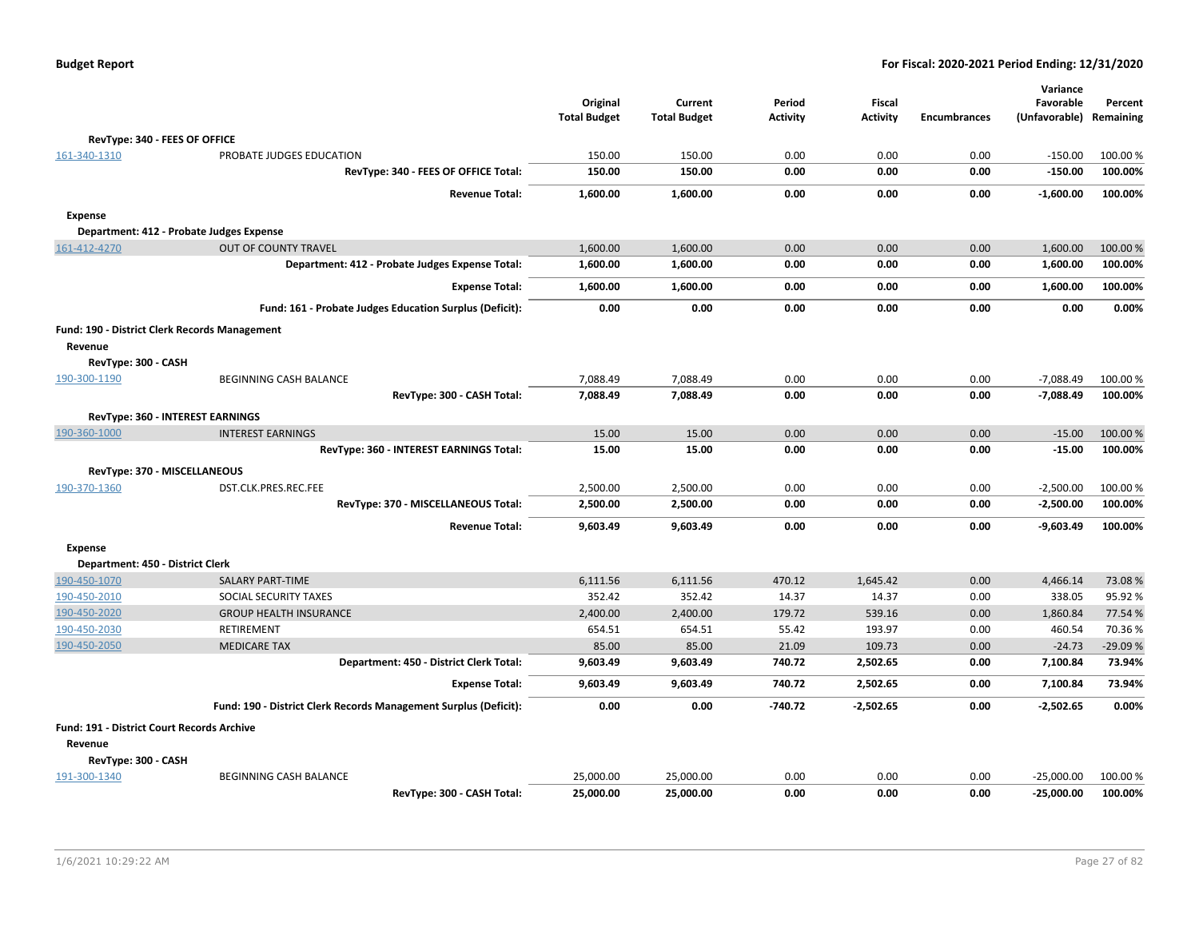|                                                   |                                                                  | Original<br><b>Total Budget</b> | Current<br><b>Total Budget</b> | Period<br><b>Activity</b> | Fiscal<br><b>Activity</b> | <b>Encumbrances</b> | Variance<br>Favorable<br>(Unfavorable) Remaining | Percent          |
|---------------------------------------------------|------------------------------------------------------------------|---------------------------------|--------------------------------|---------------------------|---------------------------|---------------------|--------------------------------------------------|------------------|
| RevType: 340 - FEES OF OFFICE                     |                                                                  |                                 |                                |                           |                           |                     |                                                  |                  |
| 161-340-1310                                      | PROBATE JUDGES EDUCATION                                         | 150.00                          | 150.00                         | 0.00                      | 0.00                      | 0.00                | $-150.00$                                        | 100.00 %         |
|                                                   | RevType: 340 - FEES OF OFFICE Total:                             | 150.00                          | 150.00                         | 0.00                      | 0.00                      | 0.00                | $-150.00$                                        | 100.00%          |
|                                                   | <b>Revenue Total:</b>                                            | 1,600.00                        | 1,600.00                       | 0.00                      | 0.00                      | 0.00                | $-1,600.00$                                      | 100.00%          |
| Expense                                           |                                                                  |                                 |                                |                           |                           |                     |                                                  |                  |
| Department: 412 - Probate Judges Expense          |                                                                  |                                 |                                |                           |                           |                     |                                                  |                  |
| 161-412-4270                                      | <b>OUT OF COUNTY TRAVEL</b>                                      | 1,600.00                        | 1,600.00                       | 0.00                      | 0.00                      | 0.00                | 1,600.00                                         | 100.00 %         |
|                                                   | Department: 412 - Probate Judges Expense Total:                  | 1,600.00                        | 1,600.00                       | 0.00                      | 0.00                      | 0.00                | 1,600.00                                         | 100.00%          |
|                                                   | <b>Expense Total:</b>                                            | 1,600.00                        | 1,600.00                       | 0.00                      | 0.00                      | 0.00                | 1,600.00                                         | 100.00%          |
|                                                   | Fund: 161 - Probate Judges Education Surplus (Deficit):          | 0.00                            | 0.00                           | 0.00                      | 0.00                      | 0.00                | 0.00                                             | 0.00%            |
| Fund: 190 - District Clerk Records Management     |                                                                  |                                 |                                |                           |                           |                     |                                                  |                  |
| Revenue                                           |                                                                  |                                 |                                |                           |                           |                     |                                                  |                  |
| RevType: 300 - CASH                               |                                                                  |                                 |                                |                           |                           |                     |                                                  |                  |
| 190-300-1190                                      | BEGINNING CASH BALANCE                                           | 7,088.49                        | 7,088.49                       | 0.00                      | 0.00                      | 0.00                | $-7,088.49$                                      | 100.00%          |
|                                                   | RevType: 300 - CASH Total:                                       | 7,088.49                        | 7,088.49                       | 0.00                      | 0.00                      | 0.00                | $-7,088.49$                                      | 100.00%          |
| RevType: 360 - INTEREST EARNINGS                  |                                                                  |                                 |                                |                           |                           |                     |                                                  |                  |
| 190-360-1000                                      | <b>INTEREST EARNINGS</b>                                         | 15.00                           | 15.00                          | 0.00                      | 0.00                      | 0.00                | $-15.00$                                         | 100.00%          |
|                                                   | RevType: 360 - INTEREST EARNINGS Total:                          | 15.00                           | 15.00                          | 0.00                      | 0.00                      | 0.00                | $-15.00$                                         | 100.00%          |
|                                                   |                                                                  |                                 |                                |                           |                           |                     |                                                  |                  |
| RevType: 370 - MISCELLANEOUS<br>190-370-1360      | DST.CLK.PRES.REC.FEE                                             | 2,500.00                        | 2,500.00                       | 0.00                      | 0.00                      | 0.00                | $-2,500.00$                                      | 100.00 %         |
|                                                   | RevType: 370 - MISCELLANEOUS Total:                              | 2,500.00                        | 2,500.00                       | 0.00                      | 0.00                      | 0.00                | $-2,500.00$                                      | 100.00%          |
|                                                   |                                                                  |                                 |                                |                           |                           |                     |                                                  |                  |
|                                                   | <b>Revenue Total:</b>                                            | 9,603.49                        | 9,603.49                       | 0.00                      | 0.00                      | 0.00                | $-9,603.49$                                      | 100.00%          |
| <b>Expense</b>                                    |                                                                  |                                 |                                |                           |                           |                     |                                                  |                  |
| Department: 450 - District Clerk                  |                                                                  |                                 |                                |                           |                           |                     |                                                  |                  |
| 190-450-1070<br>190-450-2010                      | <b>SALARY PART-TIME</b><br>SOCIAL SECURITY TAXES                 | 6.111.56<br>352.42              | 6,111.56<br>352.42             | 470.12<br>14.37           | 1.645.42<br>14.37         | 0.00<br>0.00        | 4,466.14<br>338.05                               | 73.08%<br>95.92% |
| 190-450-2020                                      | <b>GROUP HEALTH INSURANCE</b>                                    | 2,400.00                        | 2,400.00                       | 179.72                    | 539.16                    | 0.00                | 1,860.84                                         | 77.54 %          |
| 190-450-2030                                      | RETIREMENT                                                       | 654.51                          | 654.51                         | 55.42                     | 193.97                    | 0.00                | 460.54                                           | 70.36%           |
| 190-450-2050                                      | <b>MEDICARE TAX</b>                                              | 85.00                           | 85.00                          | 21.09                     | 109.73                    | 0.00                | $-24.73$                                         | $-29.09%$        |
|                                                   | Department: 450 - District Clerk Total:                          | 9,603.49                        | 9,603.49                       | 740.72                    | 2,502.65                  | 0.00                | 7,100.84                                         | 73.94%           |
|                                                   | <b>Expense Total:</b>                                            | 9,603.49                        | 9,603.49                       | 740.72                    | 2,502.65                  | 0.00                | 7,100.84                                         | 73.94%           |
|                                                   | Fund: 190 - District Clerk Records Management Surplus (Deficit): | 0.00                            | 0.00                           | $-740.72$                 | $-2,502.65$               | 0.00                | $-2,502.65$                                      | 0.00%            |
| <b>Fund: 191 - District Court Records Archive</b> |                                                                  |                                 |                                |                           |                           |                     |                                                  |                  |
| Revenue                                           |                                                                  |                                 |                                |                           |                           |                     |                                                  |                  |
| RevType: 300 - CASH                               |                                                                  |                                 |                                |                           |                           |                     |                                                  |                  |
| 191-300-1340                                      | <b>BEGINNING CASH BALANCE</b>                                    | 25,000.00                       | 25,000.00                      | 0.00                      | 0.00                      | 0.00                | $-25,000.00$                                     | 100.00 %         |
|                                                   | RevType: 300 - CASH Total:                                       | 25,000.00                       | 25,000.00                      | 0.00                      | 0.00                      | 0.00                | $-25,000.00$                                     | 100.00%          |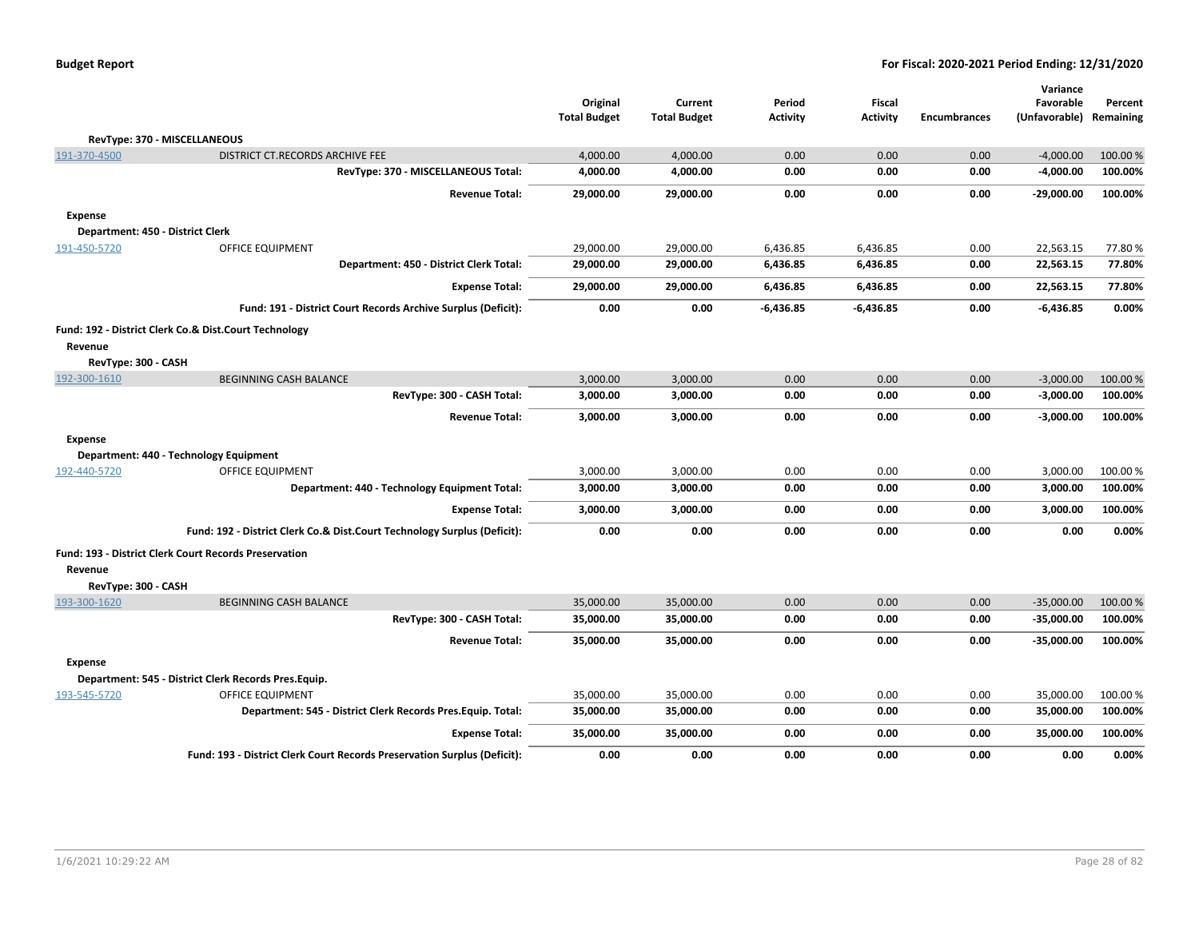|                                  |                                                                          | Original<br><b>Total Budget</b> | Current<br><b>Total Budget</b> | Period<br><b>Activity</b> | Fiscal<br><b>Activity</b> | <b>Encumbrances</b> | Variance<br>Favorable<br>(Unfavorable) Remaining | Percent  |
|----------------------------------|--------------------------------------------------------------------------|---------------------------------|--------------------------------|---------------------------|---------------------------|---------------------|--------------------------------------------------|----------|
|                                  | RevType: 370 - MISCELLANEOUS                                             |                                 |                                |                           |                           |                     |                                                  |          |
| 191-370-4500                     | DISTRICT CT.RECORDS ARCHIVE FEE                                          | 4,000.00                        | 4,000.00                       | 0.00                      | 0.00                      | 0.00                | $-4,000.00$                                      | 100.00 % |
|                                  | RevType: 370 - MISCELLANEOUS Total:                                      | 4,000.00                        | 4,000.00                       | 0.00                      | 0.00                      | 0.00                | $-4,000.00$                                      | 100.00%  |
|                                  | <b>Revenue Total:</b>                                                    | 29,000.00                       | 29,000.00                      | 0.00                      | 0.00                      | 0.00                | -29,000.00                                       | 100.00%  |
| <b>Expense</b>                   |                                                                          |                                 |                                |                           |                           |                     |                                                  |          |
| Department: 450 - District Clerk |                                                                          |                                 |                                |                           |                           |                     |                                                  |          |
| 191-450-5720                     | OFFICE EQUIPMENT                                                         | 29,000.00                       | 29,000.00                      | 6,436.85                  | 6,436.85                  | 0.00                | 22,563.15                                        | 77.80%   |
|                                  | Department: 450 - District Clerk Total:                                  | 29,000.00                       | 29,000.00                      | 6,436.85                  | 6,436.85                  | 0.00                | 22,563.15                                        | 77.80%   |
|                                  | <b>Expense Total:</b>                                                    | 29,000.00                       | 29,000.00                      | 6,436.85                  | 6,436.85                  | 0.00                | 22,563.15                                        | 77.80%   |
|                                  | Fund: 191 - District Court Records Archive Surplus (Deficit):            | 0.00                            | 0.00                           | $-6,436.85$               | $-6,436.85$               | 0.00                | $-6,436.85$                                      | 0.00%    |
|                                  | Fund: 192 - District Clerk Co.& Dist.Court Technology                    |                                 |                                |                           |                           |                     |                                                  |          |
| Revenue                          |                                                                          |                                 |                                |                           |                           |                     |                                                  |          |
| RevType: 300 - CASH              |                                                                          |                                 |                                |                           |                           |                     |                                                  |          |
| 192-300-1610                     | BEGINNING CASH BALANCE                                                   | 3,000.00                        | 3,000.00                       | 0.00                      | 0.00                      | 0.00                | $-3,000.00$                                      | 100.00 % |
|                                  | RevType: 300 - CASH Total:                                               | 3,000.00                        | 3,000.00                       | 0.00                      | 0.00                      | 0.00                | $-3,000.00$                                      | 100.00%  |
|                                  | <b>Revenue Total:</b>                                                    | 3,000.00                        | 3,000.00                       | 0.00                      | 0.00                      | 0.00                | $-3,000.00$                                      | 100.00%  |
| <b>Expense</b>                   |                                                                          |                                 |                                |                           |                           |                     |                                                  |          |
|                                  | Department: 440 - Technology Equipment                                   |                                 |                                |                           |                           |                     |                                                  |          |
| 192-440-5720                     | OFFICE EQUIPMENT                                                         | 3,000.00                        | 3,000.00                       | 0.00                      | 0.00                      | 0.00                | 3,000.00                                         | 100.00 % |
|                                  | Department: 440 - Technology Equipment Total:                            | 3,000.00                        | 3,000.00                       | 0.00                      | 0.00                      | 0.00                | 3,000.00                                         | 100.00%  |
|                                  | <b>Expense Total:</b>                                                    | 3,000.00                        | 3,000.00                       | 0.00                      | 0.00                      | 0.00                | 3,000.00                                         | 100.00%  |
|                                  | Fund: 192 - District Clerk Co.& Dist.Court Technology Surplus (Deficit): | 0.00                            | 0.00                           | 0.00                      | 0.00                      | 0.00                | 0.00                                             | 0.00%    |
|                                  | Fund: 193 - District Clerk Court Records Preservation                    |                                 |                                |                           |                           |                     |                                                  |          |
| Revenue                          |                                                                          |                                 |                                |                           |                           |                     |                                                  |          |
| RevType: 300 - CASH              |                                                                          |                                 |                                |                           |                           |                     |                                                  |          |
| 193-300-1620                     | <b>BEGINNING CASH BALANCE</b>                                            | 35,000.00                       | 35,000.00                      | 0.00                      | 0.00                      | 0.00                | $-35,000.00$                                     | 100.00%  |
|                                  | RevType: 300 - CASH Total:                                               | 35,000.00                       | 35,000.00                      | 0.00                      | 0.00                      | 0.00                | $-35,000.00$                                     | 100.00%  |
|                                  | <b>Revenue Total:</b>                                                    | 35,000.00                       | 35,000.00                      | 0.00                      | 0.00                      | 0.00                | -35,000.00                                       | 100.00%  |
| <b>Expense</b>                   |                                                                          |                                 |                                |                           |                           |                     |                                                  |          |
|                                  | Department: 545 - District Clerk Records Pres.Equip.                     |                                 |                                |                           |                           |                     |                                                  |          |
| 193-545-5720                     | <b>OFFICE EQUIPMENT</b>                                                  | 35,000.00                       | 35,000.00                      | 0.00                      | 0.00                      | 0.00                | 35,000.00                                        | 100.00%  |
|                                  | Department: 545 - District Clerk Records Pres. Equip. Total:             | 35,000.00                       | 35,000.00                      | 0.00                      | 0.00                      | 0.00                | 35,000.00                                        | 100.00%  |
|                                  | <b>Expense Total:</b>                                                    | 35,000.00                       | 35,000.00                      | 0.00                      | 0.00                      | 0.00                | 35,000.00                                        | 100.00%  |
|                                  | Fund: 193 - District Clerk Court Records Preservation Surplus (Deficit): | 0.00                            | 0.00                           | 0.00                      | 0.00                      | 0.00                | 0.00                                             | 0.00%    |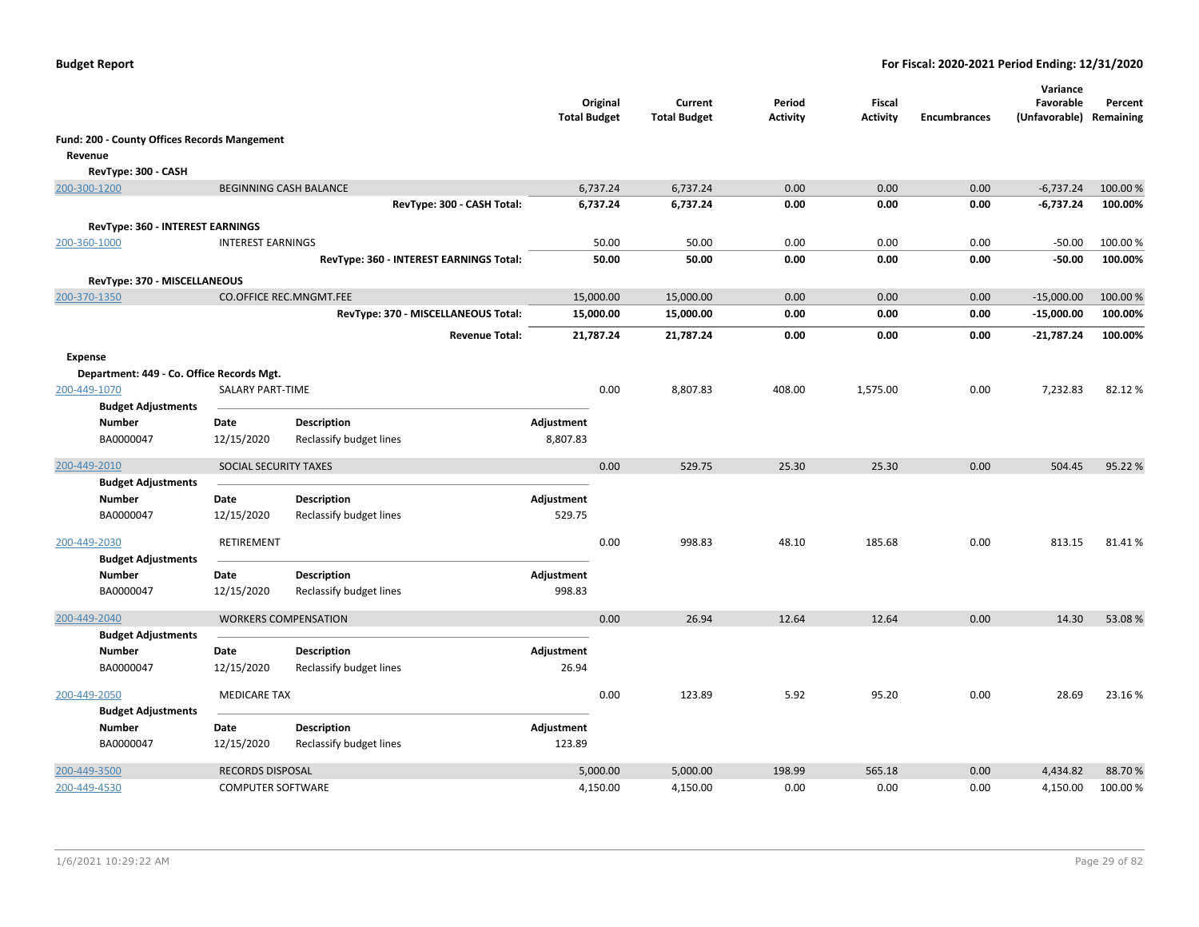|                |                                                     |                                                     |                                         | <b>Total Budget</b> | Original             | Current<br><b>Total Budget</b> | Period<br><b>Activity</b> | Fiscal<br><b>Activity</b> | <b>Encumbrances</b> | Variance<br>Favorable<br>(Unfavorable) Remaining | Percent           |
|----------------|-----------------------------------------------------|-----------------------------------------------------|-----------------------------------------|---------------------|----------------------|--------------------------------|---------------------------|---------------------------|---------------------|--------------------------------------------------|-------------------|
|                | <b>Fund: 200 - County Offices Records Mangement</b> |                                                     |                                         |                     |                      |                                |                           |                           |                     |                                                  |                   |
| Revenue        |                                                     |                                                     |                                         |                     |                      |                                |                           |                           |                     |                                                  |                   |
|                | RevType: 300 - CASH                                 |                                                     |                                         |                     |                      |                                |                           |                           |                     |                                                  |                   |
|                | 200-300-1200                                        | <b>BEGINNING CASH BALANCE</b>                       |                                         |                     | 6,737.24             | 6,737.24                       | 0.00                      | 0.00                      | 0.00                | $-6,737.24$                                      | 100.00%           |
|                |                                                     |                                                     | RevType: 300 - CASH Total:              |                     | 6,737.24             | 6,737.24                       | 0.00                      | 0.00                      | 0.00                | $-6,737.24$                                      | 100.00%           |
|                | RevType: 360 - INTEREST EARNINGS                    |                                                     |                                         |                     |                      |                                |                           |                           |                     |                                                  |                   |
|                | 200-360-1000                                        | <b>INTEREST EARNINGS</b>                            |                                         |                     | 50.00                | 50.00                          | 0.00                      | 0.00                      | 0.00                | $-50.00$                                         | 100.00%           |
|                |                                                     |                                                     | RevType: 360 - INTEREST EARNINGS Total: |                     | 50.00                | 50.00                          | 0.00                      | 0.00                      | 0.00                | $-50.00$                                         | 100.00%           |
|                |                                                     |                                                     |                                         |                     |                      |                                |                           |                           |                     |                                                  |                   |
|                | RevType: 370 - MISCELLANEOUS<br>200-370-1350        |                                                     | <b>CO.OFFICE REC.MNGMT.FEE</b>          | 15,000.00           |                      | 15,000.00                      | 0.00                      | 0.00                      | 0.00                | $-15,000.00$                                     | 100.00 %          |
|                |                                                     |                                                     | RevType: 370 - MISCELLANEOUS Total:     | 15,000.00           |                      | 15,000.00                      | 0.00                      | 0.00                      | 0.00                | $-15,000.00$                                     | 100.00%           |
|                |                                                     |                                                     |                                         |                     |                      |                                |                           |                           |                     |                                                  |                   |
|                |                                                     |                                                     | <b>Revenue Total:</b>                   | 21,787.24           |                      | 21,787.24                      | 0.00                      | 0.00                      | 0.00                | $-21,787.24$                                     | 100.00%           |
| <b>Expense</b> |                                                     |                                                     |                                         |                     |                      |                                |                           |                           |                     |                                                  |                   |
|                | Department: 449 - Co. Office Records Mgt.           |                                                     |                                         |                     |                      |                                |                           |                           |                     |                                                  |                   |
|                | 200-449-1070                                        | <b>SALARY PART-TIME</b>                             |                                         |                     | 0.00                 | 8,807.83                       | 408.00                    | 1,575.00                  | 0.00                | 7,232.83                                         | 82.12%            |
|                | <b>Budget Adjustments</b>                           |                                                     |                                         |                     |                      |                                |                           |                           |                     |                                                  |                   |
|                | Number                                              | Date                                                | <b>Description</b>                      | Adjustment          |                      |                                |                           |                           |                     |                                                  |                   |
|                | BA0000047                                           | 12/15/2020                                          | Reclassify budget lines                 | 8,807.83            |                      |                                |                           |                           |                     |                                                  |                   |
|                | 200-449-2010                                        | SOCIAL SECURITY TAXES                               |                                         |                     | 0.00                 | 529.75                         | 25.30                     | 25.30                     | 0.00                | 504.45                                           | 95.22%            |
|                | <b>Budget Adjustments</b>                           |                                                     |                                         |                     |                      |                                |                           |                           |                     |                                                  |                   |
|                | <b>Number</b>                                       | Date                                                | <b>Description</b>                      | Adjustment          |                      |                                |                           |                           |                     |                                                  |                   |
|                | BA0000047                                           | 12/15/2020                                          | Reclassify budget lines                 | 529.75              |                      |                                |                           |                           |                     |                                                  |                   |
|                |                                                     | RETIREMENT                                          |                                         |                     |                      | 998.83                         |                           |                           | 0.00                |                                                  | 81.41%            |
|                | 200-449-2030<br><b>Budget Adjustments</b>           |                                                     |                                         |                     | 0.00                 |                                | 48.10                     | 185.68                    |                     | 813.15                                           |                   |
|                | Number                                              | Date                                                | <b>Description</b>                      | Adjustment          |                      |                                |                           |                           |                     |                                                  |                   |
|                | BA0000047                                           | 12/15/2020                                          | Reclassify budget lines                 | 998.83              |                      |                                |                           |                           |                     |                                                  |                   |
|                |                                                     |                                                     |                                         |                     |                      |                                |                           |                           |                     |                                                  |                   |
|                | 200-449-2040                                        | <b>WORKERS COMPENSATION</b>                         |                                         |                     | 0.00                 | 26.94                          | 12.64                     | 12.64                     | 0.00                | 14.30                                            | 53.08%            |
|                | <b>Budget Adjustments</b>                           |                                                     |                                         |                     |                      |                                |                           |                           |                     |                                                  |                   |
|                | <b>Number</b>                                       | Date                                                | <b>Description</b>                      | Adjustment          |                      |                                |                           |                           |                     |                                                  |                   |
|                | BA0000047                                           | 12/15/2020                                          | Reclassify budget lines                 | 26.94               |                      |                                |                           |                           |                     |                                                  |                   |
|                | 200-449-2050                                        | <b>MEDICARE TAX</b>                                 |                                         |                     | 0.00                 | 123.89                         | 5.92                      | 95.20                     | 0.00                | 28.69                                            | 23.16%            |
|                | <b>Budget Adjustments</b>                           |                                                     |                                         |                     |                      |                                |                           |                           |                     |                                                  |                   |
|                | Number                                              | Date                                                | <b>Description</b>                      | Adjustment          |                      |                                |                           |                           |                     |                                                  |                   |
|                | BA0000047                                           | 12/15/2020                                          | Reclassify budget lines                 | 123.89              |                      |                                |                           |                           |                     |                                                  |                   |
|                |                                                     |                                                     |                                         |                     |                      |                                |                           |                           |                     |                                                  |                   |
|                | 200-449-3500<br>200-449-4530                        | <b>RECORDS DISPOSAL</b><br><b>COMPUTER SOFTWARE</b> |                                         |                     | 5,000.00<br>4,150.00 | 5,000.00<br>4,150.00           | 198.99<br>0.00            | 565.18<br>0.00            | 0.00<br>0.00        | 4,434.82<br>4,150.00                             | 88.70%<br>100.00% |
|                |                                                     |                                                     |                                         |                     |                      |                                |                           |                           |                     |                                                  |                   |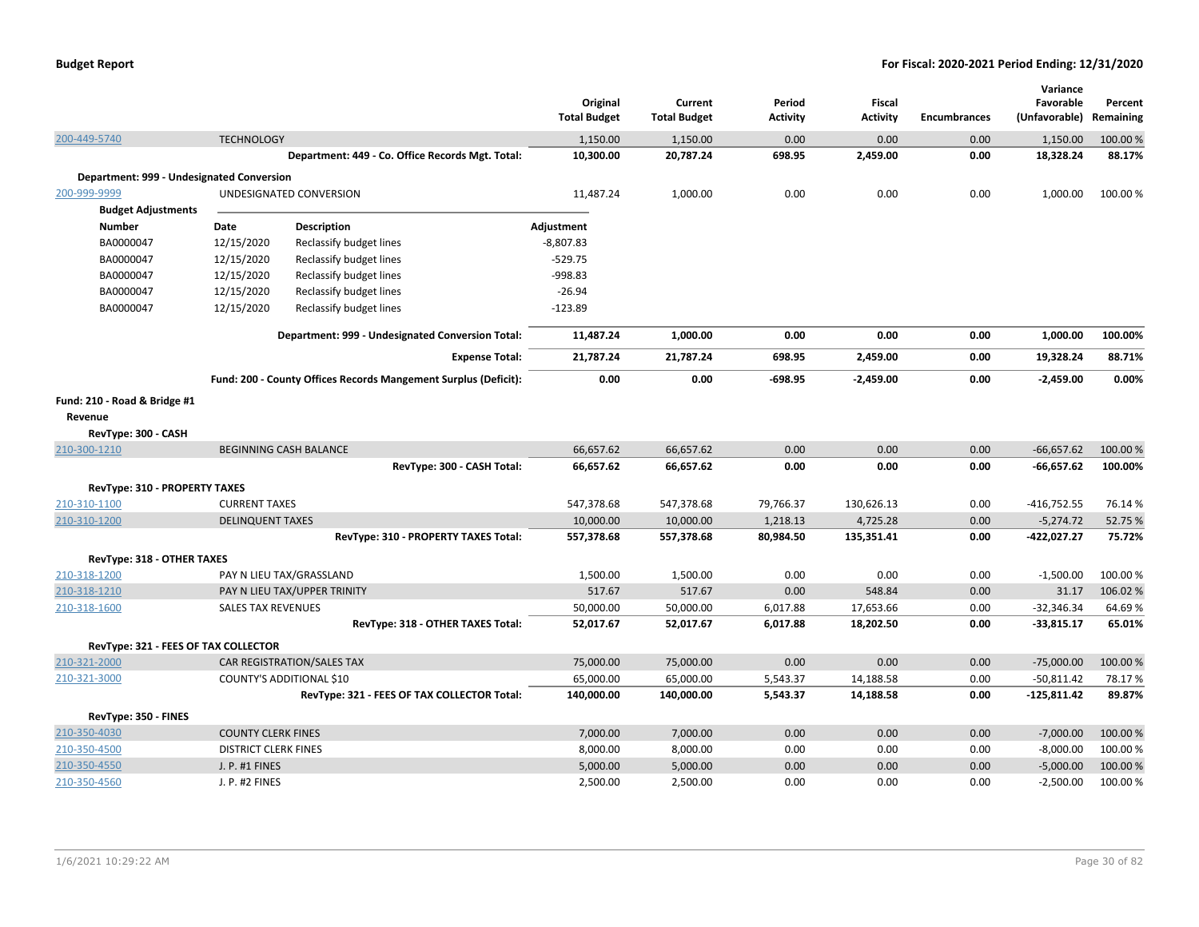| <b>Budget Report</b> |  |
|----------------------|--|
|----------------------|--|

|                                                                |                             |                                                                 | Original<br><b>Total Budget</b> | Current<br><b>Total Budget</b> | Period<br><b>Activity</b> | <b>Fiscal</b><br><b>Activity</b> | <b>Encumbrances</b> | Variance<br>Favorable<br>(Unfavorable) | Percent<br>Remaining |
|----------------------------------------------------------------|-----------------------------|-----------------------------------------------------------------|---------------------------------|--------------------------------|---------------------------|----------------------------------|---------------------|----------------------------------------|----------------------|
| 200-449-5740                                                   | <b>TECHNOLOGY</b>           |                                                                 | 1,150.00                        | 1,150.00                       | 0.00                      | 0.00                             | 0.00                | 1,150.00                               | 100.00 %             |
|                                                                |                             | Department: 449 - Co. Office Records Mgt. Total:                | 10,300.00                       | 20,787.24                      | 698.95                    | 2,459.00                         | 0.00                | 18,328.24                              | 88.17%               |
| Department: 999 - Undesignated Conversion                      |                             |                                                                 |                                 |                                |                           |                                  |                     |                                        |                      |
| 200-999-9999                                                   |                             | UNDESIGNATED CONVERSION                                         | 11,487.24                       | 1,000.00                       | 0.00                      | 0.00                             | 0.00                | 1,000.00                               | 100.00 %             |
| <b>Budget Adjustments</b>                                      |                             |                                                                 |                                 |                                |                           |                                  |                     |                                        |                      |
| <b>Number</b>                                                  | Date                        | <b>Description</b>                                              | Adjustment                      |                                |                           |                                  |                     |                                        |                      |
| BA0000047                                                      | 12/15/2020                  | Reclassify budget lines                                         | $-8,807.83$                     |                                |                           |                                  |                     |                                        |                      |
| BA0000047                                                      | 12/15/2020                  | Reclassify budget lines                                         | $-529.75$                       |                                |                           |                                  |                     |                                        |                      |
| BA0000047                                                      | 12/15/2020                  | Reclassify budget lines                                         | -998.83                         |                                |                           |                                  |                     |                                        |                      |
| BA0000047                                                      | 12/15/2020                  | Reclassify budget lines                                         | $-26.94$                        |                                |                           |                                  |                     |                                        |                      |
| BA0000047                                                      | 12/15/2020                  | Reclassify budget lines                                         | $-123.89$                       |                                |                           |                                  |                     |                                        |                      |
|                                                                |                             | Department: 999 - Undesignated Conversion Total:                | 11,487.24                       | 1,000.00                       | 0.00                      | 0.00                             | 0.00                | 1,000.00                               | 100.00%              |
|                                                                |                             | <b>Expense Total:</b>                                           | 21,787.24                       | 21,787.24                      | 698.95                    | 2,459.00                         | 0.00                | 19,328.24                              | 88.71%               |
|                                                                |                             | Fund: 200 - County Offices Records Mangement Surplus (Deficit): | 0.00                            | 0.00                           | $-698.95$                 | $-2,459.00$                      | 0.00                | $-2,459.00$                            | 0.00%                |
| Fund: 210 - Road & Bridge #1<br>Revenue<br>RevType: 300 - CASH |                             |                                                                 |                                 |                                |                           |                                  |                     |                                        |                      |
| 210-300-1210                                                   |                             | <b>BEGINNING CASH BALANCE</b>                                   | 66,657.62                       | 66,657.62                      | 0.00                      | 0.00                             | 0.00                | $-66,657.62$                           | 100.00%              |
|                                                                |                             | RevType: 300 - CASH Total:                                      | 66,657.62                       | 66,657.62                      | 0.00                      | 0.00                             | 0.00                | -66,657.62                             | 100.00%              |
| RevType: 310 - PROPERTY TAXES                                  |                             |                                                                 |                                 |                                |                           |                                  |                     |                                        |                      |
| 210-310-1100                                                   | <b>CURRENT TAXES</b>        |                                                                 | 547,378.68                      | 547,378.68                     | 79,766.37                 | 130,626.13                       | 0.00                | $-416,752.55$                          | 76.14%               |
| 210-310-1200                                                   | <b>DELINQUENT TAXES</b>     |                                                                 | 10,000.00                       | 10,000.00                      | 1,218.13                  | 4,725.28                         | 0.00                | $-5,274.72$                            | 52.75 %              |
|                                                                |                             | RevType: 310 - PROPERTY TAXES Total:                            | 557,378.68                      | 557,378.68                     | 80,984.50                 | 135,351.41                       | 0.00                | -422,027.27                            | 75.72%               |
| <b>RevType: 318 - OTHER TAXES</b>                              |                             |                                                                 |                                 |                                |                           |                                  |                     |                                        |                      |
| 210-318-1200                                                   |                             | PAY N LIEU TAX/GRASSLAND                                        | 1,500.00                        | 1,500.00                       | 0.00                      | 0.00                             | 0.00                | $-1,500.00$                            | 100.00 %             |
| 210-318-1210                                                   |                             | PAY N LIEU TAX/UPPER TRINITY                                    | 517.67                          | 517.67                         | 0.00                      | 548.84                           | 0.00                | 31.17                                  | 106.02%              |
| 210-318-1600                                                   | <b>SALES TAX REVENUES</b>   |                                                                 | 50,000.00                       | 50,000.00                      | 6,017.88                  | 17,653.66                        | 0.00                | $-32,346.34$                           | 64.69%               |
|                                                                |                             | RevType: 318 - OTHER TAXES Total:                               | 52,017.67                       | 52,017.67                      | 6,017.88                  | 18,202.50                        | 0.00                | $-33,815.17$                           | 65.01%               |
| RevType: 321 - FEES OF TAX COLLECTOR                           |                             |                                                                 |                                 |                                |                           |                                  |                     |                                        |                      |
| 210-321-2000                                                   |                             |                                                                 | 75,000.00                       | 75,000.00                      | 0.00                      | 0.00                             | 0.00                | $-75,000.00$                           | 100.00 %             |
| 210-321-3000                                                   |                             | CAR REGISTRATION/SALES TAX<br>COUNTY'S ADDITIONAL \$10          | 65,000.00                       | 65,000.00                      | 5,543.37                  | 14,188.58                        | 0.00                | $-50,811.42$                           | 78.17%               |
|                                                                |                             | RevType: 321 - FEES OF TAX COLLECTOR Total:                     | 140,000.00                      | 140,000.00                     | 5,543.37                  | 14,188.58                        | 0.00                | $-125,811.42$                          | 89.87%               |
|                                                                |                             |                                                                 |                                 |                                |                           |                                  |                     |                                        |                      |
| RevType: 350 - FINES                                           |                             |                                                                 |                                 |                                |                           |                                  |                     |                                        |                      |
| 210-350-4030                                                   | <b>COUNTY CLERK FINES</b>   |                                                                 | 7,000.00                        | 7,000.00                       | 0.00                      | 0.00                             | 0.00                | $-7,000.00$                            | 100.00%              |
| 210-350-4500                                                   | <b>DISTRICT CLERK FINES</b> |                                                                 | 8,000.00                        | 8,000.00                       | 0.00                      | 0.00                             | 0.00                | $-8,000.00$                            | 100.00%              |
| 210-350-4550                                                   | J. P. #1 FINES              |                                                                 | 5,000.00                        | 5,000.00                       | 0.00                      | 0.00                             | 0.00                | $-5,000.00$                            | 100.00 %             |
| 210-350-4560                                                   | J. P. #2 FINES              |                                                                 | 2,500.00                        | 2,500.00                       | 0.00                      | 0.00                             | 0.00                | $-2,500.00$                            | 100.00 %             |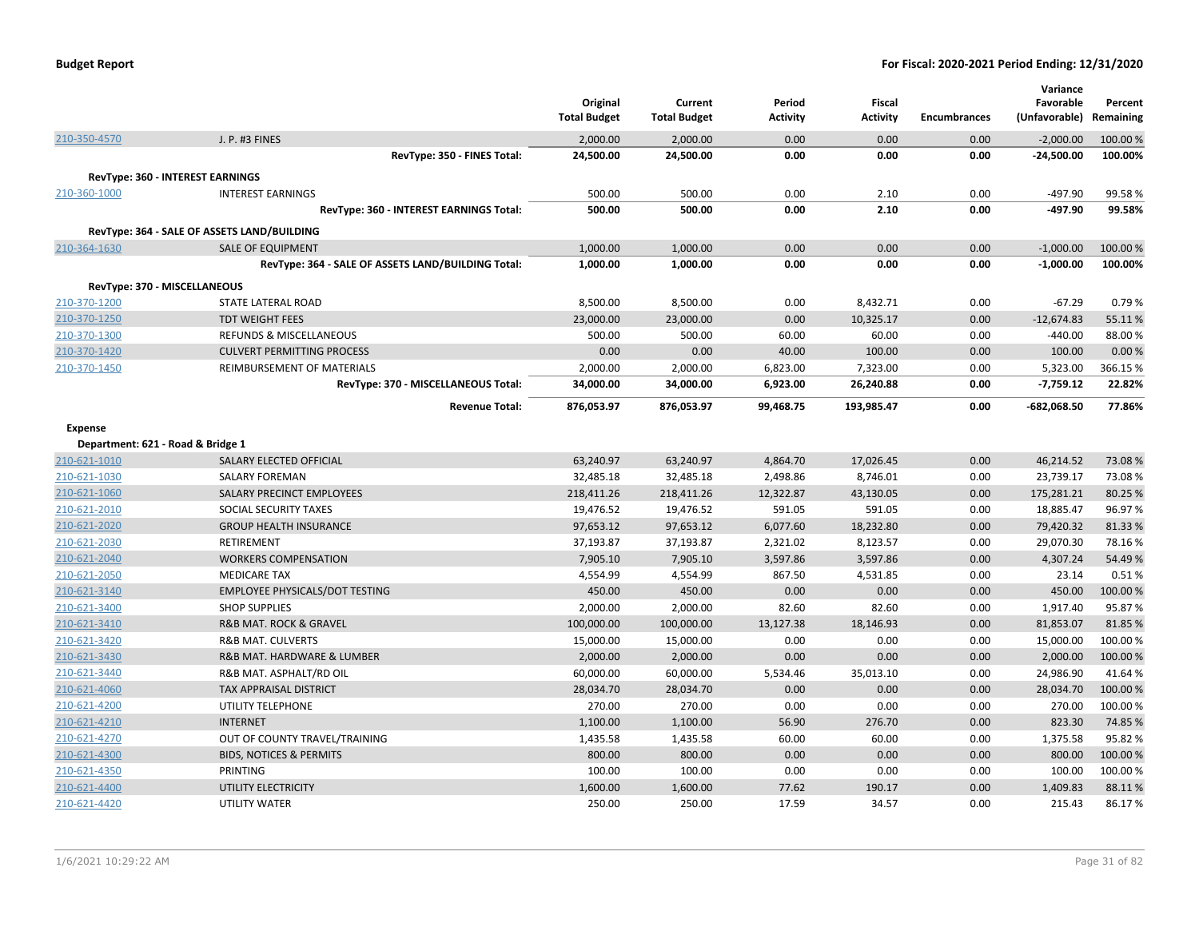| <b>Budget Report</b> |  |
|----------------------|--|
|----------------------|--|

|                |                                                    | Original<br><b>Total Budget</b> | Current<br><b>Total Budget</b> | Period<br>Activity | <b>Fiscal</b><br><b>Activity</b> | <b>Encumbrances</b> | Variance<br>Favorable<br>(Unfavorable) | Percent<br>Remaining |
|----------------|----------------------------------------------------|---------------------------------|--------------------------------|--------------------|----------------------------------|---------------------|----------------------------------------|----------------------|
| 210-350-4570   | J. P. #3 FINES                                     | 2,000.00                        | 2,000.00                       | 0.00               | 0.00                             | 0.00                | $-2,000.00$                            | 100.00 %             |
|                | RevType: 350 - FINES Total:                        | 24,500.00                       | 24,500.00                      | 0.00               | 0.00                             | 0.00                | $-24,500.00$                           | 100.00%              |
|                | <b>RevType: 360 - INTEREST EARNINGS</b>            |                                 |                                |                    |                                  |                     |                                        |                      |
| 210-360-1000   | <b>INTEREST EARNINGS</b>                           | 500.00                          | 500.00                         | 0.00               | 2.10                             | 0.00                | -497.90                                | 99.58%               |
|                | RevType: 360 - INTEREST EARNINGS Total:            | 500.00                          | 500.00                         | 0.00               | 2.10                             | 0.00                | -497.90                                | 99.58%               |
|                | RevType: 364 - SALE OF ASSETS LAND/BUILDING        |                                 |                                |                    |                                  |                     |                                        |                      |
| 210-364-1630   | <b>SALE OF EQUIPMENT</b>                           | 1,000.00                        | 1,000.00                       | 0.00               | 0.00                             | 0.00                | $-1,000.00$                            | 100.00 %             |
|                | RevType: 364 - SALE OF ASSETS LAND/BUILDING Total: | 1,000.00                        | 1,000.00                       | 0.00               | 0.00                             | 0.00                | $-1,000.00$                            | 100.00%              |
|                | RevType: 370 - MISCELLANEOUS                       |                                 |                                |                    |                                  |                     |                                        |                      |
| 210-370-1200   | STATE LATERAL ROAD                                 | 8,500.00                        | 8,500.00                       | 0.00               | 8,432.71                         | 0.00                | $-67.29$                               | 0.79%                |
| 210-370-1250   | <b>TDT WEIGHT FEES</b>                             | 23,000.00                       | 23,000.00                      | 0.00               | 10,325.17                        | 0.00                | $-12,674.83$                           | 55.11%               |
| 210-370-1300   | <b>REFUNDS &amp; MISCELLANEOUS</b>                 | 500.00                          | 500.00                         | 60.00              | 60.00                            | 0.00                | $-440.00$                              | 88.00%               |
| 210-370-1420   | <b>CULVERT PERMITTING PROCESS</b>                  | 0.00                            | 0.00                           | 40.00              | 100.00                           | 0.00                | 100.00                                 | 0.00%                |
| 210-370-1450   | REIMBURSEMENT OF MATERIALS                         | 2,000.00                        | 2,000.00                       | 6,823.00           | 7,323.00                         | 0.00                | 5,323.00                               | 366.15%              |
|                | RevType: 370 - MISCELLANEOUS Total:                | 34,000.00                       | 34,000.00                      | 6,923.00           | 26,240.88                        | 0.00                | $-7,759.12$                            | 22.82%               |
|                | <b>Revenue Total:</b>                              | 876,053.97                      | 876,053.97                     | 99,468.75          | 193,985.47                       | 0.00                | -682,068.50                            | 77.86%               |
| <b>Expense</b> |                                                    |                                 |                                |                    |                                  |                     |                                        |                      |
|                | Department: 621 - Road & Bridge 1                  |                                 |                                |                    |                                  |                     |                                        |                      |
| 210-621-1010   | SALARY ELECTED OFFICIAL                            | 63,240.97                       | 63,240.97                      | 4,864.70           | 17,026.45                        | 0.00                | 46,214.52                              | 73.08%               |
| 210-621-1030   | <b>SALARY FOREMAN</b>                              | 32,485.18                       | 32,485.18                      | 2,498.86           | 8,746.01                         | 0.00                | 23,739.17                              | 73.08%               |
| 210-621-1060   | SALARY PRECINCT EMPLOYEES                          | 218,411.26                      | 218,411.26                     | 12,322.87          | 43,130.05                        | 0.00                | 175,281.21                             | 80.25 %              |
| 210-621-2010   | SOCIAL SECURITY TAXES                              | 19,476.52                       | 19,476.52                      | 591.05             | 591.05                           | 0.00                | 18,885.47                              | 96.97%               |
| 210-621-2020   | <b>GROUP HEALTH INSURANCE</b>                      | 97,653.12                       | 97,653.12                      | 6,077.60           | 18,232.80                        | 0.00                | 79,420.32                              | 81.33%               |
| 210-621-2030   | <b>RETIREMENT</b>                                  | 37,193.87                       | 37,193.87                      | 2,321.02           | 8,123.57                         | 0.00                | 29,070.30                              | 78.16%               |
| 210-621-2040   | <b>WORKERS COMPENSATION</b>                        | 7,905.10                        | 7,905.10                       | 3,597.86           | 3,597.86                         | 0.00                | 4,307.24                               | 54.49%               |
| 210-621-2050   | <b>MEDICARE TAX</b>                                | 4,554.99                        | 4,554.99                       | 867.50             | 4,531.85                         | 0.00                | 23.14                                  | 0.51%                |
| 210-621-3140   | <b>EMPLOYEE PHYSICALS/DOT TESTING</b>              | 450.00                          | 450.00                         | 0.00               | 0.00                             | 0.00                | 450.00                                 | 100.00 %             |
| 210-621-3400   | <b>SHOP SUPPLIES</b>                               | 2,000.00                        | 2,000.00                       | 82.60              | 82.60                            | 0.00                | 1,917.40                               | 95.87%               |
| 210-621-3410   | <b>R&amp;B MAT. ROCK &amp; GRAVEL</b>              | 100,000.00                      | 100,000.00                     | 13,127.38          | 18,146.93                        | 0.00                | 81,853.07                              | 81.85%               |
| 210-621-3420   | <b>R&amp;B MAT. CULVERTS</b>                       | 15,000.00                       | 15,000.00                      | 0.00               | 0.00                             | 0.00                | 15,000.00                              | 100.00%              |
| 210-621-3430   | R&B MAT. HARDWARE & LUMBER                         | 2,000.00                        | 2,000.00                       | 0.00               | 0.00                             | 0.00                | 2,000.00                               | 100.00%              |
| 210-621-3440   | R&B MAT. ASPHALT/RD OIL                            | 60,000.00                       | 60,000.00                      | 5,534.46           | 35,013.10                        | 0.00                | 24,986.90                              | 41.64%               |
| 210-621-4060   | <b>TAX APPRAISAL DISTRICT</b>                      | 28,034.70                       | 28,034.70                      | 0.00               | 0.00                             | 0.00                | 28,034.70                              | 100.00 %             |
| 210-621-4200   | UTILITY TELEPHONE                                  | 270.00                          | 270.00                         | 0.00               | 0.00                             | 0.00                | 270.00                                 | 100.00%              |
| 210-621-4210   | <b>INTERNET</b>                                    | 1,100.00                        | 1,100.00                       | 56.90              | 276.70                           | 0.00                | 823.30                                 | 74.85%               |
| 210-621-4270   | OUT OF COUNTY TRAVEL/TRAINING                      | 1,435.58                        | 1,435.58                       | 60.00              | 60.00                            | 0.00                | 1,375.58                               | 95.82%               |
| 210-621-4300   | <b>BIDS, NOTICES &amp; PERMITS</b>                 | 800.00                          | 800.00                         | 0.00               | 0.00                             | 0.00                | 800.00                                 | 100.00%              |
| 210-621-4350   | <b>PRINTING</b>                                    | 100.00                          | 100.00                         | 0.00               | 0.00                             | 0.00                | 100.00                                 | 100.00%              |
| 210-621-4400   | UTILITY ELECTRICITY                                | 1,600.00                        | 1,600.00                       | 77.62              | 190.17                           | 0.00                | 1,409.83                               | 88.11%               |
| 210-621-4420   | UTILITY WATER                                      | 250.00                          | 250.00                         | 17.59              | 34.57                            | 0.00                | 215.43                                 | 86.17%               |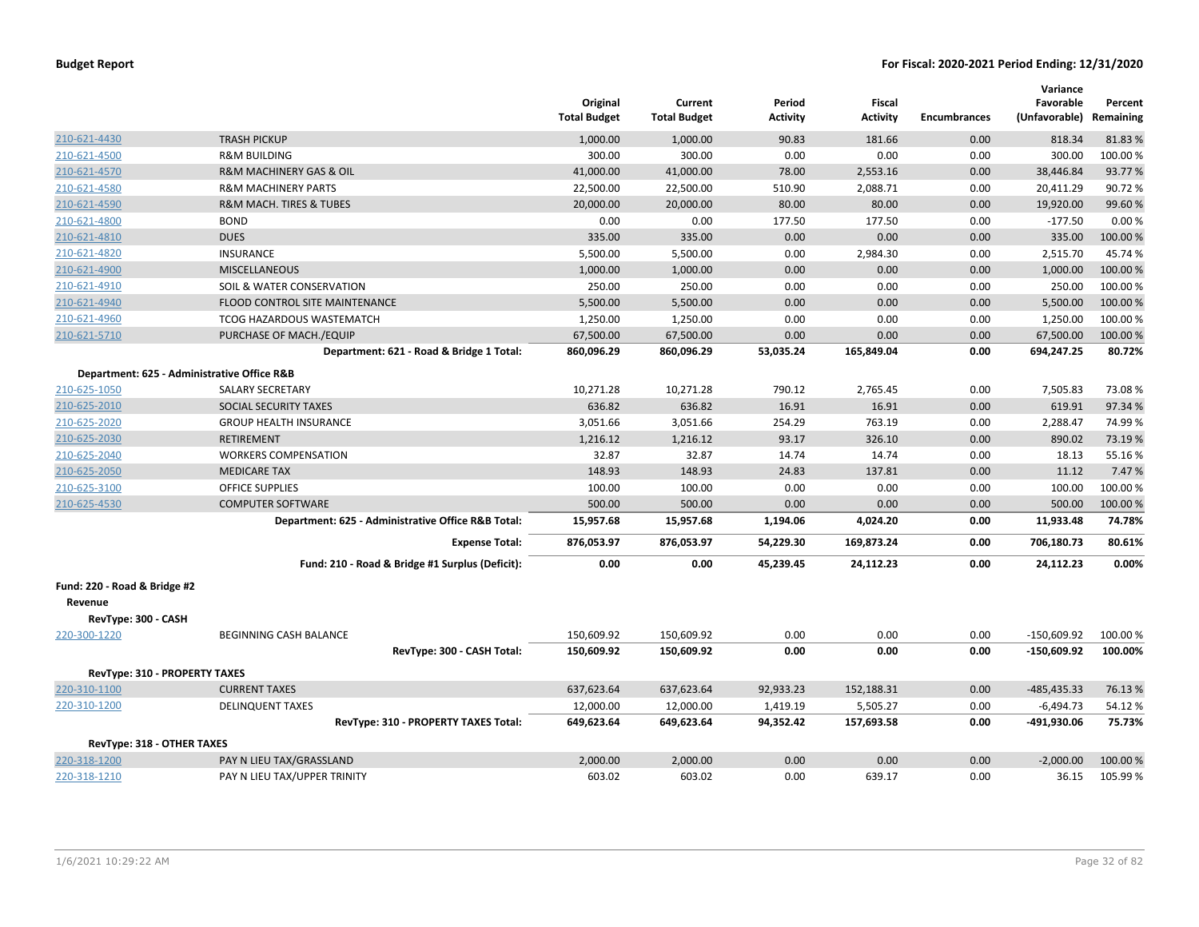|                               |                                                    | Original<br><b>Total Budget</b> | Current<br><b>Total Budget</b> | Period<br><b>Activity</b> | Fiscal<br><b>Activity</b> | <b>Encumbrances</b> | Variance<br>Favorable<br>(Unfavorable) Remaining | Percent  |
|-------------------------------|----------------------------------------------------|---------------------------------|--------------------------------|---------------------------|---------------------------|---------------------|--------------------------------------------------|----------|
| 210-621-4430                  | <b>TRASH PICKUP</b>                                | 1,000.00                        | 1,000.00                       | 90.83                     | 181.66                    | 0.00                | 818.34                                           | 81.83%   |
| 210-621-4500                  | <b>R&amp;M BUILDING</b>                            | 300.00                          | 300.00                         | 0.00                      | 0.00                      | 0.00                | 300.00                                           | 100.00%  |
| 210-621-4570                  | R&M MACHINERY GAS & OIL                            | 41,000.00                       | 41,000.00                      | 78.00                     | 2,553.16                  | 0.00                | 38,446.84                                        | 93.77%   |
| 210-621-4580                  | <b>R&amp;M MACHINERY PARTS</b>                     | 22,500.00                       | 22,500.00                      | 510.90                    | 2,088.71                  | 0.00                | 20,411.29                                        | 90.72%   |
| 210-621-4590                  | <b>R&amp;M MACH. TIRES &amp; TUBES</b>             | 20,000.00                       | 20,000.00                      | 80.00                     | 80.00                     | 0.00                | 19,920.00                                        | 99.60%   |
| 210-621-4800                  | <b>BOND</b>                                        | 0.00                            | 0.00                           | 177.50                    | 177.50                    | 0.00                | $-177.50$                                        | 0.00%    |
| 210-621-4810                  | <b>DUES</b>                                        | 335.00                          | 335.00                         | 0.00                      | 0.00                      | 0.00                | 335.00                                           | 100.00 % |
| 210-621-4820                  | <b>INSURANCE</b>                                   | 5,500.00                        | 5,500.00                       | 0.00                      | 2,984.30                  | 0.00                | 2,515.70                                         | 45.74%   |
| 210-621-4900                  | <b>MISCELLANEOUS</b>                               | 1,000.00                        | 1,000.00                       | 0.00                      | 0.00                      | 0.00                | 1,000.00                                         | 100.00 % |
| 210-621-4910                  | SOIL & WATER CONSERVATION                          | 250.00                          | 250.00                         | 0.00                      | 0.00                      | 0.00                | 250.00                                           | 100.00%  |
| 210-621-4940                  | FLOOD CONTROL SITE MAINTENANCE                     | 5,500.00                        | 5,500.00                       | 0.00                      | 0.00                      | 0.00                | 5,500.00                                         | 100.00%  |
| 210-621-4960                  | TCOG HAZARDOUS WASTEMATCH                          | 1,250.00                        | 1,250.00                       | 0.00                      | 0.00                      | 0.00                | 1,250.00                                         | 100.00%  |
| 210-621-5710                  | PURCHASE OF MACH./EQUIP                            | 67,500.00                       | 67,500.00                      | 0.00                      | 0.00                      | 0.00                | 67,500.00                                        | 100.00 % |
|                               | Department: 621 - Road & Bridge 1 Total:           | 860,096.29                      | 860,096.29                     | 53,035.24                 | 165,849.04                | 0.00                | 694,247.25                                       | 80.72%   |
|                               | Department: 625 - Administrative Office R&B        |                                 |                                |                           |                           |                     |                                                  |          |
| 210-625-1050                  | <b>SALARY SECRETARY</b>                            | 10,271.28                       | 10,271.28                      | 790.12                    | 2,765.45                  | 0.00                | 7,505.83                                         | 73.08%   |
| 210-625-2010                  | <b>SOCIAL SECURITY TAXES</b>                       | 636.82                          | 636.82                         | 16.91                     | 16.91                     | 0.00                | 619.91                                           | 97.34 %  |
| 210-625-2020                  | <b>GROUP HEALTH INSURANCE</b>                      | 3,051.66                        | 3,051.66                       | 254.29                    | 763.19                    | 0.00                | 2,288.47                                         | 74.99%   |
| 210-625-2030                  | <b>RETIREMENT</b>                                  | 1,216.12                        | 1,216.12                       | 93.17                     | 326.10                    | 0.00                | 890.02                                           | 73.19%   |
| 210-625-2040                  | <b>WORKERS COMPENSATION</b>                        | 32.87                           | 32.87                          | 14.74                     | 14.74                     | 0.00                | 18.13                                            | 55.16%   |
| 210-625-2050                  | <b>MEDICARE TAX</b>                                | 148.93                          | 148.93                         | 24.83                     | 137.81                    | 0.00                | 11.12                                            | 7.47%    |
| 210-625-3100                  | <b>OFFICE SUPPLIES</b>                             | 100.00                          | 100.00                         | 0.00                      | 0.00                      | 0.00                | 100.00                                           | 100.00%  |
| 210-625-4530                  | <b>COMPUTER SOFTWARE</b>                           | 500.00                          | 500.00                         | 0.00                      | 0.00                      | 0.00                | 500.00                                           | 100.00%  |
|                               | Department: 625 - Administrative Office R&B Total: | 15,957.68                       | 15,957.68                      | 1,194.06                  | 4,024.20                  | 0.00                | 11,933.48                                        | 74.78%   |
|                               | <b>Expense Total:</b>                              | 876,053.97                      | 876,053.97                     | 54,229.30                 | 169,873.24                | 0.00                | 706,180.73                                       | 80.61%   |
|                               | Fund: 210 - Road & Bridge #1 Surplus (Deficit):    | 0.00                            | 0.00                           | 45,239.45                 | 24,112.23                 | 0.00                | 24,112.23                                        | $0.00\%$ |
| Fund: 220 - Road & Bridge #2  |                                                    |                                 |                                |                           |                           |                     |                                                  |          |
| Revenue                       |                                                    |                                 |                                |                           |                           |                     |                                                  |          |
| RevType: 300 - CASH           |                                                    |                                 |                                |                           |                           |                     |                                                  |          |
| 220-300-1220                  | BEGINNING CASH BALANCE                             | 150,609.92                      | 150,609.92                     | 0.00                      | 0.00                      | 0.00                | $-150,609.92$                                    | 100.00%  |
|                               | RevType: 300 - CASH Total:                         | 150,609.92                      | 150,609.92                     | 0.00                      | 0.00                      | 0.00                | $-150,609.92$                                    | 100.00%  |
| RevType: 310 - PROPERTY TAXES |                                                    |                                 |                                |                           |                           |                     |                                                  |          |
| 220-310-1100                  | <b>CURRENT TAXES</b>                               | 637,623.64                      | 637,623.64                     | 92,933.23                 | 152,188.31                | 0.00                | -485,435.33                                      | 76.13%   |
| 220-310-1200                  | <b>DELINQUENT TAXES</b>                            | 12,000.00                       | 12,000.00                      | 1,419.19                  | 5,505.27                  | 0.00                | $-6,494.73$                                      | 54.12%   |
|                               | RevType: 310 - PROPERTY TAXES Total:               | 649,623.64                      | 649,623.64                     | 94,352.42                 | 157,693.58                | 0.00                | -491,930.06                                      | 75.73%   |
|                               |                                                    |                                 |                                |                           |                           |                     |                                                  |          |
| RevType: 318 - OTHER TAXES    |                                                    |                                 |                                |                           |                           |                     |                                                  |          |
| 220-318-1200                  | PAY N LIEU TAX/GRASSLAND                           | 2,000.00                        | 2,000.00                       | 0.00                      | 0.00                      | 0.00                | $-2,000.00$                                      | 100.00%  |
| 220-318-1210                  | PAY N LIEU TAX/UPPER TRINITY                       | 603.02                          | 603.02                         | 0.00                      | 639.17                    | 0.00                | 36.15                                            | 105.99%  |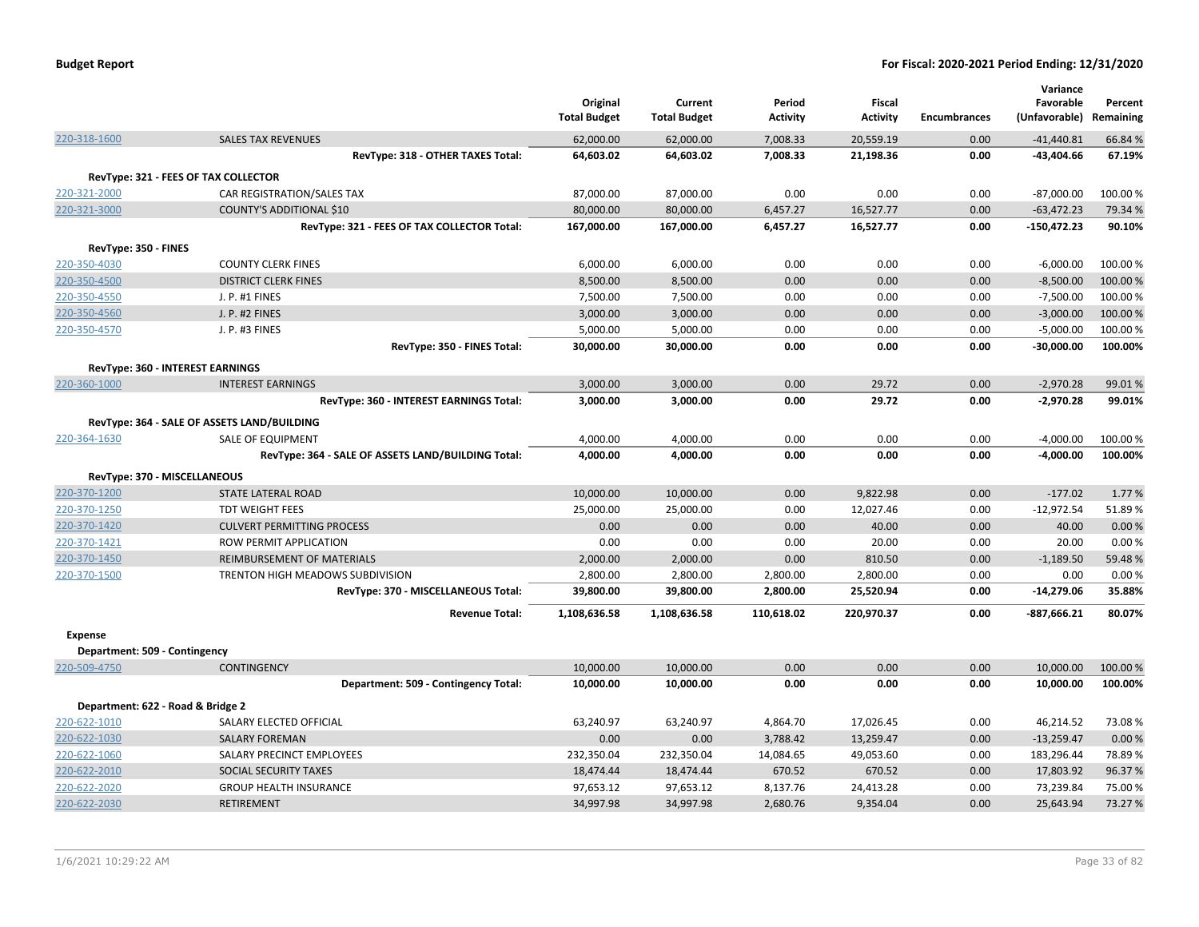| <b>Budget Report</b> |  |
|----------------------|--|
|----------------------|--|

|                               |                                                    | Original            | Current             | Period          | Fiscal          |                     | Variance<br>Favorable   | Percent |
|-------------------------------|----------------------------------------------------|---------------------|---------------------|-----------------|-----------------|---------------------|-------------------------|---------|
|                               |                                                    | <b>Total Budget</b> | <b>Total Budget</b> | <b>Activity</b> | <b>Activity</b> | <b>Encumbrances</b> | (Unfavorable) Remaining |         |
| 220-318-1600                  | <b>SALES TAX REVENUES</b>                          | 62,000.00           | 62,000.00           | 7,008.33        | 20,559.19       | 0.00                | $-41,440.81$            | 66.84 % |
|                               | RevType: 318 - OTHER TAXES Total:                  | 64,603.02           | 64,603.02           | 7,008.33        | 21,198.36       | 0.00                | $-43,404.66$            | 67.19%  |
|                               | RevType: 321 - FEES OF TAX COLLECTOR               |                     |                     |                 |                 |                     |                         |         |
| 220-321-2000                  | CAR REGISTRATION/SALES TAX                         | 87,000.00           | 87,000.00           | 0.00            | 0.00            | 0.00                | $-87,000.00$            | 100.00% |
| 220-321-3000                  | COUNTY'S ADDITIONAL \$10                           | 80,000.00           | 80,000.00           | 6,457.27        | 16,527.77       | 0.00                | $-63,472.23$            | 79.34 % |
|                               | RevType: 321 - FEES OF TAX COLLECTOR Total:        | 167,000.00          | 167,000.00          | 6,457.27        | 16,527.77       | 0.00                | $-150,472.23$           | 90.10%  |
| RevType: 350 - FINES          |                                                    |                     |                     |                 |                 |                     |                         |         |
| 220-350-4030                  | <b>COUNTY CLERK FINES</b>                          | 6,000.00            | 6,000.00            | 0.00            | 0.00            | 0.00                | $-6,000.00$             | 100.00% |
| 220-350-4500                  | <b>DISTRICT CLERK FINES</b>                        | 8,500.00            | 8,500.00            | 0.00            | 0.00            | 0.00                | $-8,500.00$             | 100.00% |
| 220-350-4550                  | J. P. #1 FINES                                     | 7,500.00            | 7,500.00            | 0.00            | 0.00            | 0.00                | $-7,500.00$             | 100.00% |
| 220-350-4560                  | J. P. #2 FINES                                     | 3,000.00            | 3,000.00            | 0.00            | 0.00            | 0.00                | $-3,000.00$             | 100.00% |
| 220-350-4570                  | J. P. #3 FINES                                     | 5,000.00            | 5,000.00            | 0.00            | 0.00            | 0.00                | $-5,000.00$             | 100.00% |
|                               | RevType: 350 - FINES Total:                        | 30,000.00           | 30,000.00           | 0.00            | 0.00            | 0.00                | $-30,000.00$            | 100.00% |
|                               | RevType: 360 - INTEREST EARNINGS                   |                     |                     |                 |                 |                     |                         |         |
| 220-360-1000                  | <b>INTEREST EARNINGS</b>                           | 3,000.00            | 3,000.00            | 0.00            | 29.72           | 0.00                | $-2,970.28$             | 99.01%  |
|                               | RevType: 360 - INTEREST EARNINGS Total:            | 3,000.00            | 3,000.00            | 0.00            | 29.72           | 0.00                | $-2,970.28$             | 99.01%  |
|                               | RevType: 364 - SALE OF ASSETS LAND/BUILDING        |                     |                     |                 |                 |                     |                         |         |
| 220-364-1630                  | <b>SALE OF EQUIPMENT</b>                           | 4,000.00            | 4,000.00            | 0.00            | 0.00            | 0.00                | $-4,000.00$             | 100.00% |
|                               | RevType: 364 - SALE OF ASSETS LAND/BUILDING Total: | 4,000.00            | 4,000.00            | 0.00            | 0.00            | 0.00                | -4,000.00               | 100.00% |
|                               | RevType: 370 - MISCELLANEOUS                       |                     |                     |                 |                 |                     |                         |         |
| 220-370-1200                  | STATE LATERAL ROAD                                 | 10,000.00           | 10,000.00           | 0.00            | 9,822.98        | 0.00                | $-177.02$               | 1.77%   |
| 220-370-1250                  | <b>TDT WEIGHT FEES</b>                             | 25,000.00           | 25,000.00           | 0.00            | 12,027.46       | 0.00                | $-12,972.54$            | 51.89%  |
| 220-370-1420                  | <b>CULVERT PERMITTING PROCESS</b>                  | 0.00                | 0.00                | 0.00            | 40.00           | 0.00                | 40.00                   | 0.00%   |
| 220-370-1421                  | ROW PERMIT APPLICATION                             | 0.00                | 0.00                | 0.00            | 20.00           | 0.00                | 20.00                   | 0.00%   |
| 220-370-1450                  | REIMBURSEMENT OF MATERIALS                         | 2,000.00            | 2,000.00            | 0.00            | 810.50          | 0.00                | $-1,189.50$             | 59.48%  |
| 220-370-1500                  | TRENTON HIGH MEADOWS SUBDIVISION                   | 2,800.00            | 2,800.00            | 2,800.00        | 2,800.00        | 0.00                | 0.00                    | 0.00%   |
|                               | RevType: 370 - MISCELLANEOUS Total:                | 39,800.00           | 39,800.00           | 2,800.00        | 25,520.94       | 0.00                | $-14,279.06$            | 35.88%  |
|                               | <b>Revenue Total:</b>                              | 1,108,636.58        | 1,108,636.58        | 110,618.02      | 220,970.37      | 0.00                | -887,666.21             | 80.07%  |
| <b>Expense</b>                |                                                    |                     |                     |                 |                 |                     |                         |         |
| Department: 509 - Contingency |                                                    |                     |                     |                 |                 |                     |                         |         |
| 220-509-4750                  | <b>CONTINGENCY</b>                                 | 10,000.00           | 10,000.00           | 0.00            | 0.00            | 0.00                | 10,000.00               | 100.00% |
|                               | Department: 509 - Contingency Total:               | 10,000.00           | 10,000.00           | 0.00            | 0.00            | 0.00                | 10,000.00               | 100.00% |
|                               | Department: 622 - Road & Bridge 2                  |                     |                     |                 |                 |                     |                         |         |
| 220-622-1010                  | SALARY ELECTED OFFICIAL                            | 63,240.97           | 63,240.97           | 4,864.70        | 17,026.45       | 0.00                | 46,214.52               | 73.08%  |
| 220-622-1030                  | <b>SALARY FOREMAN</b>                              | 0.00                | 0.00                | 3,788.42        | 13,259.47       | 0.00                | $-13,259.47$            | 0.00%   |
| 220-622-1060                  | SALARY PRECINCT EMPLOYEES                          | 232,350.04          | 232,350.04          | 14,084.65       | 49,053.60       | 0.00                | 183,296.44              | 78.89%  |
| 220-622-2010                  | SOCIAL SECURITY TAXES                              | 18,474.44           | 18,474.44           | 670.52          | 670.52          | 0.00                | 17,803.92               | 96.37%  |
| 220-622-2020                  | <b>GROUP HEALTH INSURANCE</b>                      | 97,653.12           | 97,653.12           | 8,137.76        | 24,413.28       | 0.00                | 73,239.84               | 75.00 % |
| 220-622-2030                  | <b>RETIREMENT</b>                                  | 34,997.98           | 34,997.98           | 2.680.76        | 9.354.04        | 0.00                | 25.643.94               | 73.27 % |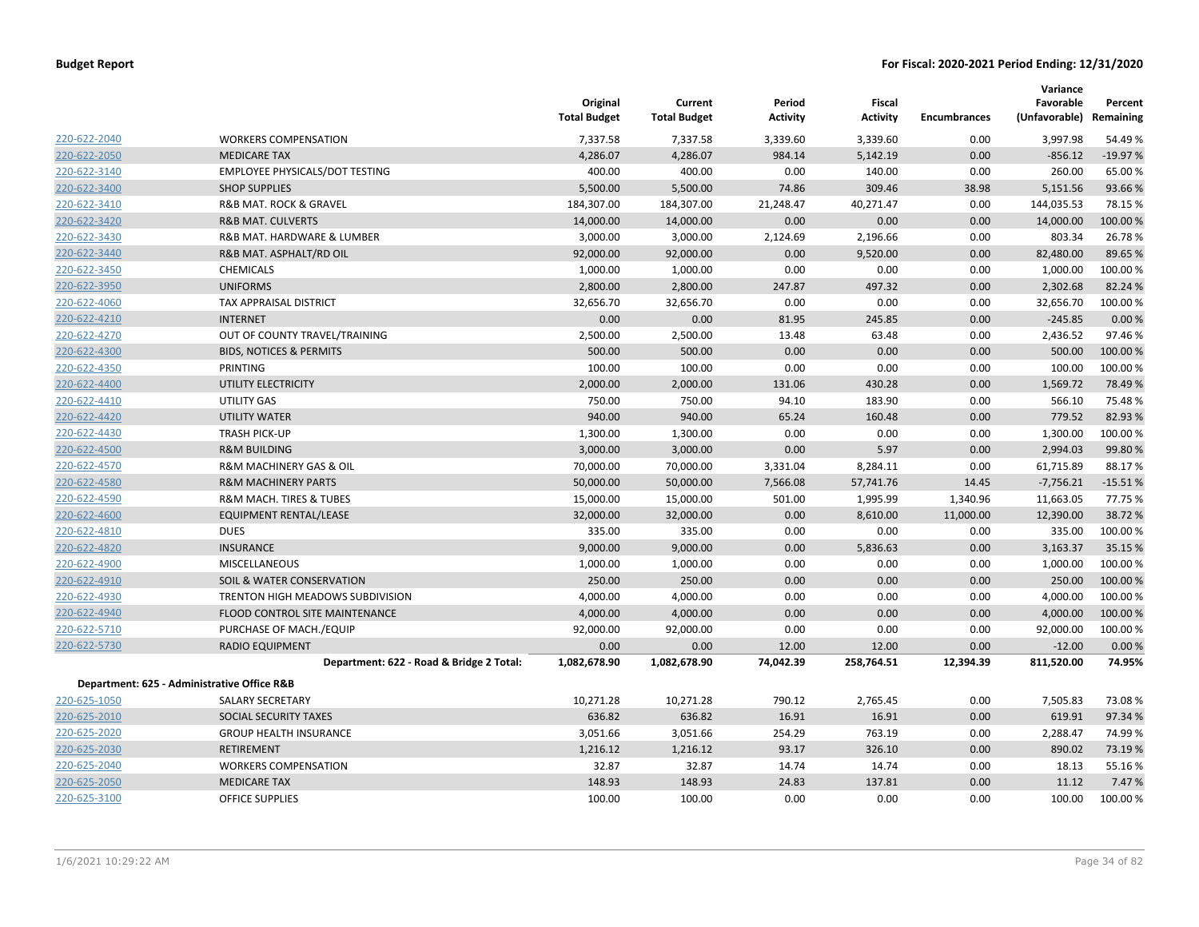|              |                                             | Original<br><b>Total Budget</b> | Current<br><b>Total Budget</b> | Period<br><b>Activity</b> | Fiscal<br><b>Activity</b> | <b>Encumbrances</b> | Variance<br>Favorable<br>(Unfavorable) | Percent<br>Remaining |
|--------------|---------------------------------------------|---------------------------------|--------------------------------|---------------------------|---------------------------|---------------------|----------------------------------------|----------------------|
| 220-622-2040 | <b>WORKERS COMPENSATION</b>                 | 7,337.58                        | 7,337.58                       | 3,339.60                  | 3,339.60                  | 0.00                | 3,997.98                               | 54.49 %              |
| 220-622-2050 | <b>MEDICARE TAX</b>                         | 4,286.07                        | 4,286.07                       | 984.14                    | 5,142.19                  | 0.00                | $-856.12$                              | $-19.97%$            |
| 220-622-3140 | EMPLOYEE PHYSICALS/DOT TESTING              | 400.00                          | 400.00                         | 0.00                      | 140.00                    | 0.00                | 260.00                                 | 65.00 %              |
| 220-622-3400 | <b>SHOP SUPPLIES</b>                        | 5,500.00                        | 5,500.00                       | 74.86                     | 309.46                    | 38.98               | 5,151.56                               | 93.66%               |
| 220-622-3410 | <b>R&amp;B MAT, ROCK &amp; GRAVEL</b>       | 184,307.00                      | 184,307.00                     | 21,248.47                 | 40,271.47                 | 0.00                | 144,035.53                             | 78.15 %              |
| 220-622-3420 | <b>R&amp;B MAT. CULVERTS</b>                | 14,000.00                       | 14,000.00                      | 0.00                      | 0.00                      | 0.00                | 14,000.00                              | 100.00%              |
| 220-622-3430 | R&B MAT. HARDWARE & LUMBER                  | 3,000.00                        | 3,000.00                       | 2,124.69                  | 2,196.66                  | 0.00                | 803.34                                 | 26.78%               |
| 220-622-3440 | R&B MAT. ASPHALT/RD OIL                     | 92,000.00                       | 92,000.00                      | 0.00                      | 9,520.00                  | 0.00                | 82,480.00                              | 89.65 %              |
| 220-622-3450 | <b>CHEMICALS</b>                            | 1,000.00                        | 1,000.00                       | 0.00                      | 0.00                      | 0.00                | 1,000.00                               | 100.00%              |
| 220-622-3950 | <b>UNIFORMS</b>                             | 2,800.00                        | 2,800.00                       | 247.87                    | 497.32                    | 0.00                | 2,302.68                               | 82.24 %              |
| 220-622-4060 | TAX APPRAISAL DISTRICT                      | 32,656.70                       | 32,656.70                      | 0.00                      | 0.00                      | 0.00                | 32,656.70                              | 100.00%              |
| 220-622-4210 | <b>INTERNET</b>                             | 0.00                            | 0.00                           | 81.95                     | 245.85                    | 0.00                | $-245.85$                              | 0.00%                |
| 220-622-4270 | OUT OF COUNTY TRAVEL/TRAINING               | 2,500.00                        | 2,500.00                       | 13.48                     | 63.48                     | 0.00                | 2,436.52                               | 97.46%               |
| 220-622-4300 | <b>BIDS, NOTICES &amp; PERMITS</b>          | 500.00                          | 500.00                         | 0.00                      | 0.00                      | 0.00                | 500.00                                 | 100.00%              |
| 220-622-4350 | PRINTING                                    | 100.00                          | 100.00                         | 0.00                      | 0.00                      | 0.00                | 100.00                                 | 100.00%              |
| 220-622-4400 | UTILITY ELECTRICITY                         | 2,000.00                        | 2,000.00                       | 131.06                    | 430.28                    | 0.00                | 1,569.72                               | 78.49 %              |
| 220-622-4410 | UTILITY GAS                                 | 750.00                          | 750.00                         | 94.10                     | 183.90                    | 0.00                | 566.10                                 | 75.48%               |
| 220-622-4420 | <b>UTILITY WATER</b>                        | 940.00                          | 940.00                         | 65.24                     | 160.48                    | 0.00                | 779.52                                 | 82.93 %              |
| 220-622-4430 | <b>TRASH PICK-UP</b>                        | 1,300.00                        | 1,300.00                       | 0.00                      | 0.00                      | 0.00                | 1,300.00                               | 100.00 %             |
| 220-622-4500 | <b>R&amp;M BUILDING</b>                     | 3,000.00                        | 3,000.00                       | 0.00                      | 5.97                      | 0.00                | 2,994.03                               | 99.80%               |
| 220-622-4570 | R&M MACHINERY GAS & OIL                     | 70,000.00                       | 70,000.00                      | 3,331.04                  | 8,284.11                  | 0.00                | 61,715.89                              | 88.17%               |
| 220-622-4580 | <b>R&amp;M MACHINERY PARTS</b>              | 50,000.00                       | 50,000.00                      | 7,566.08                  | 57,741.76                 | 14.45               | $-7,756.21$                            | $-15.51%$            |
| 220-622-4590 | R&M MACH. TIRES & TUBES                     | 15,000.00                       | 15,000.00                      | 501.00                    | 1,995.99                  | 1,340.96            | 11,663.05                              | 77.75 %              |
| 220-622-4600 | EQUIPMENT RENTAL/LEASE                      | 32,000.00                       | 32,000.00                      | 0.00                      | 8,610.00                  | 11,000.00           | 12,390.00                              | 38.72 %              |
| 220-622-4810 | <b>DUES</b>                                 | 335.00                          | 335.00                         | 0.00                      | 0.00                      | 0.00                | 335.00                                 | 100.00%              |
| 220-622-4820 | <b>INSURANCE</b>                            | 9,000.00                        | 9,000.00                       | 0.00                      | 5,836.63                  | 0.00                | 3,163.37                               | 35.15 %              |
| 220-622-4900 | <b>MISCELLANEOUS</b>                        | 1,000.00                        | 1,000.00                       | 0.00                      | 0.00                      | 0.00                | 1,000.00                               | 100.00 %             |
| 220-622-4910 | SOIL & WATER CONSERVATION                   | 250.00                          | 250.00                         | 0.00                      | 0.00                      | 0.00                | 250.00                                 | 100.00 %             |
| 220-622-4930 | TRENTON HIGH MEADOWS SUBDIVISION            | 4,000.00                        | 4,000.00                       | 0.00                      | 0.00                      | 0.00                | 4,000.00                               | 100.00%              |
| 220-622-4940 | FLOOD CONTROL SITE MAINTENANCE              | 4,000.00                        | 4,000.00                       | 0.00                      | 0.00                      | 0.00                | 4,000.00                               | 100.00 %             |
| 220-622-5710 | PURCHASE OF MACH./EQUIP                     | 92,000.00                       | 92,000.00                      | 0.00                      | 0.00                      | 0.00                | 92,000.00                              | 100.00%              |
| 220-622-5730 | <b>RADIO EQUIPMENT</b>                      | 0.00                            | 0.00                           | 12.00                     | 12.00                     | 0.00                | $-12.00$                               | 0.00%                |
|              | Department: 622 - Road & Bridge 2 Total:    | 1,082,678.90                    | 1,082,678.90                   | 74,042.39                 | 258,764.51                | 12,394.39           | 811,520.00                             | 74.95%               |
|              | Department: 625 - Administrative Office R&B |                                 |                                |                           |                           |                     |                                        |                      |
| 220-625-1050 | <b>SALARY SECRETARY</b>                     | 10,271.28                       | 10,271.28                      | 790.12                    | 2,765.45                  | 0.00                | 7,505.83                               | 73.08%               |
| 220-625-2010 | SOCIAL SECURITY TAXES                       | 636.82                          | 636.82                         | 16.91                     | 16.91                     | 0.00                | 619.91                                 | 97.34 %              |
| 220-625-2020 | <b>GROUP HEALTH INSURANCE</b>               | 3,051.66                        | 3,051.66                       | 254.29                    | 763.19                    | 0.00                | 2,288.47                               | 74.99%               |
| 220-625-2030 | <b>RETIREMENT</b>                           | 1,216.12                        | 1,216.12                       | 93.17                     | 326.10                    | 0.00                | 890.02                                 | 73.19 %              |
| 220-625-2040 | <b>WORKERS COMPENSATION</b>                 | 32.87                           | 32.87                          | 14.74                     | 14.74                     | 0.00                | 18.13                                  | 55.16%               |
| 220-625-2050 | <b>MEDICARE TAX</b>                         | 148.93                          | 148.93                         | 24.83                     | 137.81                    | 0.00                | 11.12                                  | 7.47%                |
| 220-625-3100 | OFFICE SUPPLIES                             | 100.00                          | 100.00                         | 0.00                      | 0.00                      | 0.00                | 100.00                                 | 100.00 %             |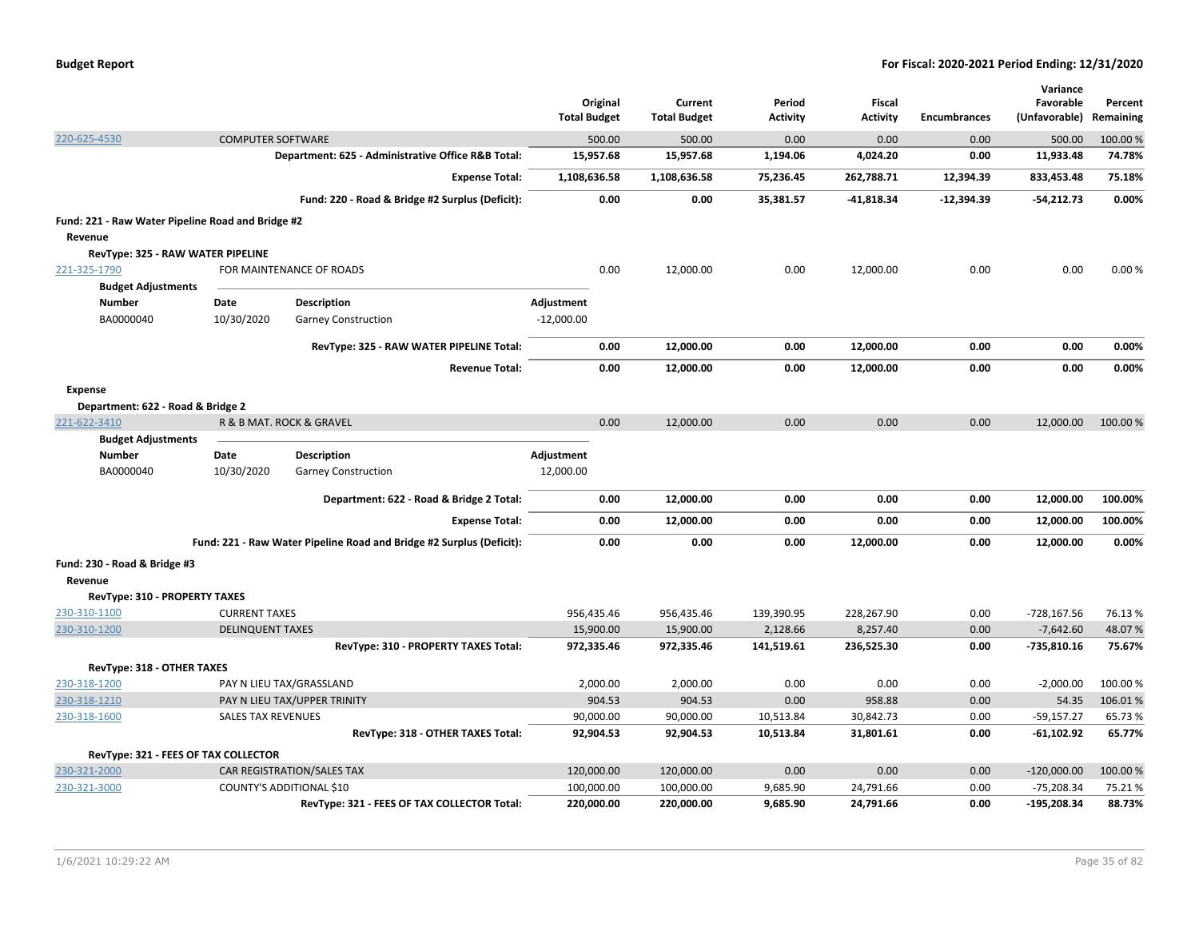|                                                   |                          |                                                                      | Original<br><b>Total Budget</b> | Current<br><b>Total Budget</b> | Period<br><b>Activity</b> | Fiscal<br><b>Activity</b> | <b>Encumbrances</b> | Variance<br>Favorable<br>(Unfavorable) | Percent<br>Remaining |
|---------------------------------------------------|--------------------------|----------------------------------------------------------------------|---------------------------------|--------------------------------|---------------------------|---------------------------|---------------------|----------------------------------------|----------------------|
| 220-625-4530                                      | <b>COMPUTER SOFTWARE</b> |                                                                      | 500.00                          | 500.00                         | 0.00                      | 0.00                      | 0.00                | 500.00                                 | 100.00 %             |
|                                                   |                          | Department: 625 - Administrative Office R&B Total:                   | 15,957.68                       | 15,957.68                      | 1,194.06                  | 4,024.20                  | 0.00                | 11,933.48                              | 74.78%               |
|                                                   |                          | <b>Expense Total:</b>                                                | 1,108,636.58                    | 1,108,636.58                   | 75,236.45                 | 262,788.71                | 12,394.39           | 833,453.48                             | 75.18%               |
|                                                   |                          | Fund: 220 - Road & Bridge #2 Surplus (Deficit):                      | 0.00                            | 0.00                           | 35,381.57                 | $-41,818.34$              | $-12,394.39$        | $-54,212.73$                           | 0.00%                |
| Fund: 221 - Raw Water Pipeline Road and Bridge #2 |                          |                                                                      |                                 |                                |                           |                           |                     |                                        |                      |
| Revenue                                           |                          |                                                                      |                                 |                                |                           |                           |                     |                                        |                      |
| RevType: 325 - RAW WATER PIPELINE                 |                          |                                                                      |                                 |                                |                           |                           |                     |                                        |                      |
| 221-325-1790                                      |                          | FOR MAINTENANCE OF ROADS                                             | 0.00                            | 12,000.00                      | 0.00                      | 12,000.00                 | 0.00                | 0.00                                   | 0.00%                |
| <b>Budget Adjustments</b>                         |                          |                                                                      |                                 |                                |                           |                           |                     |                                        |                      |
| Number                                            | <b>Date</b>              | <b>Description</b>                                                   | Adjustment                      |                                |                           |                           |                     |                                        |                      |
| BA0000040                                         | 10/30/2020               | <b>Garney Construction</b>                                           | $-12,000.00$                    |                                |                           |                           |                     |                                        |                      |
|                                                   |                          | RevType: 325 - RAW WATER PIPELINE Total:                             | 0.00                            | 12,000.00                      | 0.00                      | 12,000.00                 | 0.00                | 0.00                                   | 0.00%                |
|                                                   |                          | <b>Revenue Total:</b>                                                | 0.00                            | 12,000.00                      | 0.00                      | 12,000.00                 | 0.00                | 0.00                                   | 0.00%                |
| <b>Expense</b>                                    |                          |                                                                      |                                 |                                |                           |                           |                     |                                        |                      |
| Department: 622 - Road & Bridge 2                 |                          |                                                                      |                                 |                                |                           |                           |                     |                                        |                      |
| 221-622-3410                                      |                          | R & B MAT. ROCK & GRAVEL                                             | 0.00                            | 12,000.00                      | 0.00                      | 0.00                      | 0.00                | 12,000.00                              | 100.00 %             |
| <b>Budget Adjustments</b>                         |                          |                                                                      |                                 |                                |                           |                           |                     |                                        |                      |
| <b>Number</b>                                     | Date                     | <b>Description</b>                                                   | Adjustment                      |                                |                           |                           |                     |                                        |                      |
| BA0000040                                         | 10/30/2020               | <b>Garney Construction</b>                                           | 12,000.00                       |                                |                           |                           |                     |                                        |                      |
|                                                   |                          | Department: 622 - Road & Bridge 2 Total:                             | 0.00                            | 12,000.00                      | 0.00                      | 0.00                      | 0.00                | 12,000.00                              | 100.00%              |
|                                                   |                          | <b>Expense Total:</b>                                                | 0.00                            | 12,000.00                      | 0.00                      | 0.00                      | 0.00                | 12,000.00                              | 100.00%              |
|                                                   |                          | Fund: 221 - Raw Water Pipeline Road and Bridge #2 Surplus (Deficit): | 0.00                            | 0.00                           | 0.00                      | 12,000.00                 | 0.00                | 12,000.00                              | 0.00%                |
| Fund: 230 - Road & Bridge #3                      |                          |                                                                      |                                 |                                |                           |                           |                     |                                        |                      |
| Revenue                                           |                          |                                                                      |                                 |                                |                           |                           |                     |                                        |                      |
| RevType: 310 - PROPERTY TAXES                     |                          |                                                                      |                                 |                                |                           |                           |                     |                                        |                      |
| 230-310-1100                                      | <b>CURRENT TAXES</b>     |                                                                      | 956,435.46                      | 956,435.46                     | 139,390.95                | 228,267.90                | 0.00                | $-728, 167.56$                         | 76.13%               |
| 230-310-1200                                      | <b>DELINQUENT TAXES</b>  |                                                                      | 15,900.00                       | 15,900.00                      | 2,128.66                  | 8,257.40                  | 0.00                | $-7,642.60$                            | 48.07%               |
|                                                   |                          | RevType: 310 - PROPERTY TAXES Total:                                 | 972,335.46                      | 972,335.46                     | 141,519.61                | 236,525.30                | 0.00                | -735,810.16                            | 75.67%               |
| RevType: 318 - OTHER TAXES                        |                          |                                                                      |                                 |                                |                           |                           |                     |                                        |                      |
| 230-318-1200                                      |                          | PAY N LIEU TAX/GRASSLAND                                             | 2,000.00                        | 2,000.00                       | 0.00                      | 0.00                      | 0.00                | $-2,000.00$                            | 100.00 %             |
| 230-318-1210                                      |                          | PAY N LIEU TAX/UPPER TRINITY                                         | 904.53                          | 904.53                         | 0.00                      | 958.88                    | 0.00                | 54.35                                  | 106.01%              |
| 230-318-1600                                      | SALES TAX REVENUES       |                                                                      | 90,000.00                       | 90,000.00                      | 10,513.84                 | 30,842.73                 | 0.00                | $-59,157.27$                           | 65.73%               |
|                                                   |                          | RevType: 318 - OTHER TAXES Total:                                    | 92,904.53                       | 92,904.53                      | 10,513.84                 | 31,801.61                 | 0.00                | $-61,102.92$                           | 65.77%               |
| RevType: 321 - FEES OF TAX COLLECTOR              |                          |                                                                      |                                 |                                |                           |                           |                     |                                        |                      |
| 230-321-2000                                      |                          | CAR REGISTRATION/SALES TAX                                           | 120,000.00                      | 120,000.00                     | 0.00                      | 0.00                      | 0.00                | $-120,000.00$                          | 100.00%              |
| 230-321-3000                                      |                          | <b>COUNTY'S ADDITIONAL \$10</b>                                      | 100,000.00                      | 100,000.00                     | 9,685.90                  | 24,791.66                 | 0.00                | $-75,208.34$                           | 75.21%               |
|                                                   |                          | RevType: 321 - FEES OF TAX COLLECTOR Total:                          | 220,000.00                      | 220,000.00                     | 9,685.90                  | 24,791.66                 | 0.00                | $-195,208.34$                          | 88.73%               |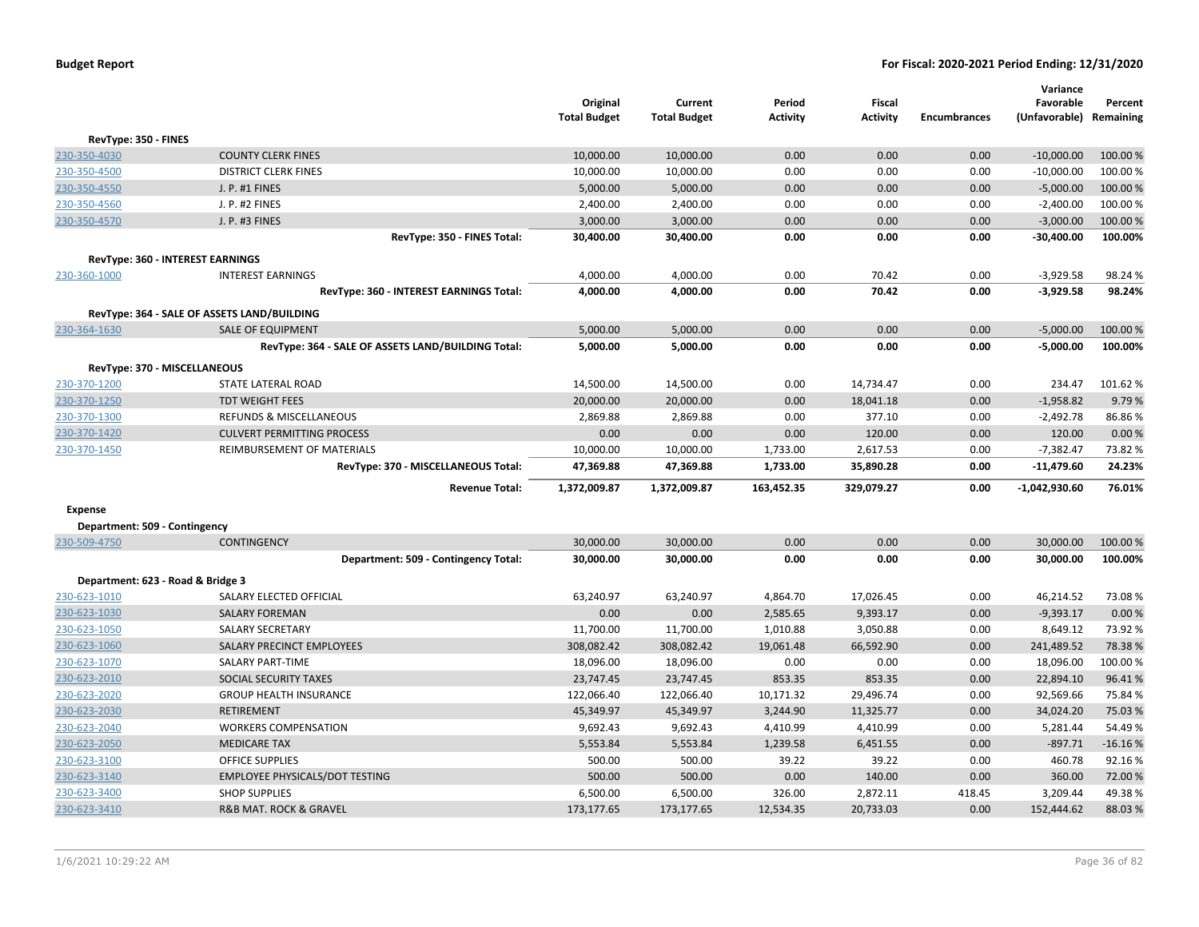|                                   |                                                    | Original<br><b>Total Budget</b> | Current<br><b>Total Budget</b> | Period<br><b>Activity</b> | <b>Fiscal</b><br><b>Activity</b> | <b>Encumbrances</b> | Variance<br>Favorable<br>(Unfavorable) | Percent<br>Remaining |
|-----------------------------------|----------------------------------------------------|---------------------------------|--------------------------------|---------------------------|----------------------------------|---------------------|----------------------------------------|----------------------|
| RevType: 350 - FINES              |                                                    |                                 |                                |                           |                                  |                     |                                        |                      |
| 230-350-4030                      | <b>COUNTY CLERK FINES</b>                          | 10,000.00                       | 10,000.00                      | 0.00                      | 0.00                             | 0.00                | $-10,000.00$                           | 100.00 %             |
| 230-350-4500                      | <b>DISTRICT CLERK FINES</b>                        | 10,000.00                       | 10,000.00                      | 0.00                      | 0.00                             | 0.00                | $-10,000.00$                           | 100.00 %             |
| 230-350-4550                      | J. P. #1 FINES                                     | 5,000.00                        | 5,000.00                       | 0.00                      | 0.00                             | 0.00                | $-5,000.00$                            | 100.00 %             |
| 230-350-4560                      | J. P. #2 FINES                                     | 2,400.00                        | 2,400.00                       | 0.00                      | 0.00                             | 0.00                | $-2,400.00$                            | 100.00%              |
| 230-350-4570                      | J. P. #3 FINES                                     | 3,000.00                        | 3,000.00                       | 0.00                      | 0.00                             | 0.00                | $-3,000.00$                            | 100.00 %             |
|                                   | RevType: 350 - FINES Total:                        | 30,400.00                       | 30,400.00                      | 0.00                      | 0.00                             | 0.00                | $-30,400.00$                           | 100.00%              |
|                                   | RevType: 360 - INTEREST EARNINGS                   |                                 |                                |                           |                                  |                     |                                        |                      |
| 230-360-1000                      | <b>INTEREST EARNINGS</b>                           | 4,000.00                        | 4,000.00                       | 0.00                      | 70.42                            | 0.00                | $-3,929.58$                            | 98.24%               |
|                                   | RevType: 360 - INTEREST EARNINGS Total:            | 4,000.00                        | 4,000.00                       | 0.00                      | 70.42                            | 0.00                | $-3,929.58$                            | 98.24%               |
|                                   | RevType: 364 - SALE OF ASSETS LAND/BUILDING        |                                 |                                |                           |                                  |                     |                                        |                      |
| 230-364-1630                      | <b>SALE OF EQUIPMENT</b>                           | 5,000.00                        | 5,000.00                       | 0.00                      | 0.00                             | 0.00                | $-5,000.00$                            | 100.00%              |
|                                   | RevType: 364 - SALE OF ASSETS LAND/BUILDING Total: | 5,000.00                        | 5,000.00                       | 0.00                      | 0.00                             | 0.00                | $-5,000.00$                            | 100.00%              |
|                                   | RevType: 370 - MISCELLANEOUS                       |                                 |                                |                           |                                  |                     |                                        |                      |
| 230-370-1200                      | STATE LATERAL ROAD                                 | 14,500.00                       | 14,500.00                      | 0.00                      | 14,734.47                        | 0.00                | 234.47                                 | 101.62%              |
| 230-370-1250                      | <b>TDT WEIGHT FEES</b>                             | 20,000.00                       | 20,000.00                      | 0.00                      | 18,041.18                        | 0.00                | $-1,958.82$                            | 9.79%                |
| 230-370-1300                      | REFUNDS & MISCELLANEOUS                            | 2,869.88                        | 2,869.88                       | 0.00                      | 377.10                           | 0.00                | $-2,492.78$                            | 86.86%               |
| 230-370-1420                      | <b>CULVERT PERMITTING PROCESS</b>                  | 0.00                            | 0.00                           | 0.00                      | 120.00                           | 0.00                | 120.00                                 | 0.00%                |
| 230-370-1450                      | REIMBURSEMENT OF MATERIALS                         | 10,000.00                       | 10,000.00                      | 1,733.00                  | 2,617.53                         | 0.00                | $-7,382.47$                            |                      |
|                                   | RevType: 370 - MISCELLANEOUS Total:                | 47,369.88                       | 47,369.88                      | 1,733.00                  | 35,890.28                        | 0.00                | -11,479.60                             | 24.23%               |
|                                   | <b>Revenue Total:</b>                              | 1,372,009.87                    | 1,372,009.87                   | 163,452.35                | 329,079.27                       | 0.00                | $-1,042,930.60$                        | 76.01%               |
| <b>Expense</b>                    |                                                    |                                 |                                |                           |                                  |                     |                                        |                      |
| Department: 509 - Contingency     |                                                    |                                 |                                |                           |                                  |                     |                                        |                      |
| 230-509-4750                      | <b>CONTINGENCY</b>                                 | 30,000.00                       | 30,000.00                      | 0.00                      | 0.00                             | 0.00                | 30,000.00                              | 100.00 %             |
|                                   | Department: 509 - Contingency Total:               | 30,000.00                       | 30,000.00                      | 0.00                      | 0.00                             | 0.00                | 30,000.00                              | 100.00%              |
| Department: 623 - Road & Bridge 3 |                                                    |                                 |                                |                           |                                  |                     |                                        |                      |
| 230-623-1010                      | SALARY ELECTED OFFICIAL                            | 63,240.97                       | 63,240.97                      | 4,864.70                  | 17,026.45                        | 0.00                | 46,214.52                              | 73.08%               |
| 230-623-1030                      | <b>SALARY FOREMAN</b>                              | 0.00                            | 0.00                           | 2,585.65                  | 9,393.17                         | 0.00                | $-9,393.17$                            | 0.00%                |
| 230-623-1050                      | <b>SALARY SECRETARY</b>                            | 11,700.00                       | 11,700.00                      | 1,010.88                  | 3,050.88                         | 0.00                | 8,649.12                               | 73.92%               |
| 230-623-1060                      | SALARY PRECINCT EMPLOYEES                          | 308,082.42                      | 308,082.42                     | 19,061.48                 | 66,592.90                        | 0.00                | 241,489.52                             | 78.38%               |
| 230-623-1070                      | SALARY PART-TIME                                   | 18,096.00                       | 18,096.00                      | 0.00                      | 0.00                             | 0.00                | 18,096.00                              | 100.00%              |
| 230-623-2010                      | SOCIAL SECURITY TAXES                              | 23,747.45                       | 23,747.45                      | 853.35                    | 853.35                           | 0.00                | 22,894.10                              | 96.41%               |
| 230-623-2020                      | <b>GROUP HEALTH INSURANCE</b>                      | 122,066.40                      | 122,066.40                     | 10,171.32                 | 29,496.74                        | 0.00                | 92,569.66                              | 75.84 %              |
| 230-623-2030                      | <b>RETIREMENT</b>                                  | 45,349.97                       | 45,349.97                      | 3,244.90                  | 11,325.77                        | 0.00                | 34,024.20                              | 75.03 %              |
| 230-623-2040                      | <b>WORKERS COMPENSATION</b>                        | 9,692.43                        | 9,692.43                       | 4,410.99                  | 4,410.99                         | 0.00                | 5,281.44                               | 54.49%               |
| 230-623-2050                      | <b>MEDICARE TAX</b>                                | 5,553.84                        | 5,553.84                       | 1,239.58                  | 6,451.55                         | 0.00                | $-897.71$                              | $-16.16%$            |
| 230-623-3100                      | <b>OFFICE SUPPLIES</b>                             | 500.00                          | 500.00                         | 39.22                     | 39.22                            | 0.00                | 460.78                                 | 92.16%               |
| 230-623-3140                      | <b>EMPLOYEE PHYSICALS/DOT TESTING</b>              | 500.00                          | 500.00                         | 0.00                      | 140.00                           | 0.00                | 360.00                                 | 72.00%               |
| 230-623-3400                      | <b>SHOP SUPPLIES</b>                               | 6,500.00                        | 6,500.00                       | 326.00                    | 2,872.11                         | 418.45              | 3,209.44                               | 49.38%               |
| 230-623-3410                      | <b>R&amp;B MAT. ROCK &amp; GRAVEL</b>              | 173,177.65                      | 173,177.65                     | 12,534.35                 | 20,733.03                        | 0.00                | 152,444.62                             | 88.03%               |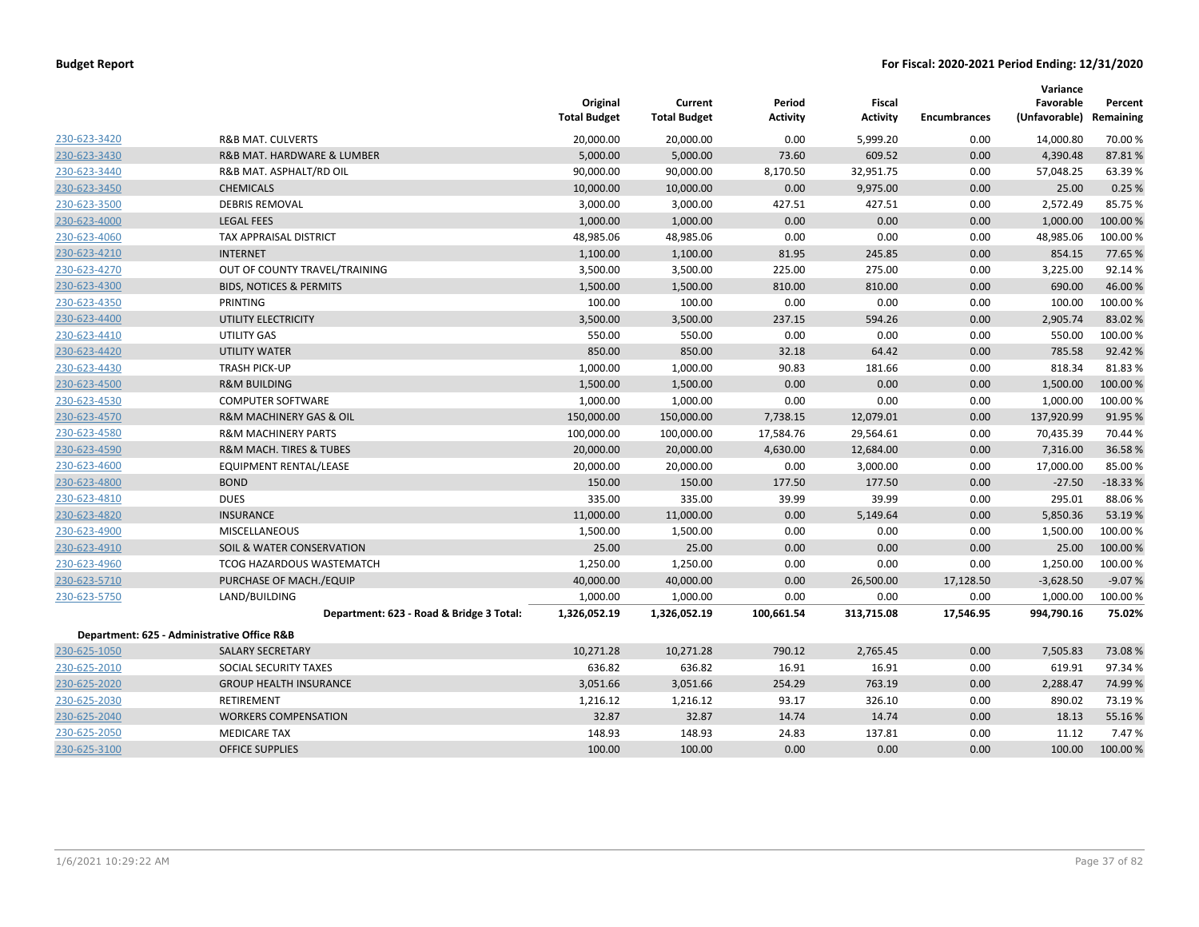|              |                                             | Original<br><b>Total Budget</b> | Current<br><b>Total Budget</b> | Period<br><b>Activity</b> | <b>Fiscal</b><br><b>Activity</b> | <b>Encumbrances</b> | Variance<br>Favorable<br>(Unfavorable) | Percent<br>Remaining |
|--------------|---------------------------------------------|---------------------------------|--------------------------------|---------------------------|----------------------------------|---------------------|----------------------------------------|----------------------|
| 230-623-3420 | <b>R&amp;B MAT. CULVERTS</b>                | 20,000.00                       | 20,000.00                      | 0.00                      | 5,999.20                         | 0.00                | 14,000.80                              | 70.00%               |
| 230-623-3430 | R&B MAT. HARDWARE & LUMBER                  | 5,000.00                        | 5,000.00                       | 73.60                     | 609.52                           | 0.00                | 4,390.48                               | 87.81%               |
| 230-623-3440 | R&B MAT. ASPHALT/RD OIL                     | 90,000.00                       | 90,000.00                      | 8,170.50                  | 32,951.75                        | 0.00                | 57,048.25                              | 63.39%               |
| 230-623-3450 | <b>CHEMICALS</b>                            | 10,000.00                       | 10,000.00                      | 0.00                      | 9,975.00                         | 0.00                | 25.00                                  | 0.25%                |
| 230-623-3500 | <b>DEBRIS REMOVAL</b>                       | 3,000.00                        | 3,000.00                       | 427.51                    | 427.51                           | 0.00                | 2,572.49                               | 85.75%               |
| 230-623-4000 | <b>LEGAL FEES</b>                           | 1,000.00                        | 1,000.00                       | 0.00                      | 0.00                             | 0.00                | 1,000.00                               | 100.00%              |
| 230-623-4060 | TAX APPRAISAL DISTRICT                      | 48,985.06                       | 48,985.06                      | 0.00                      | 0.00                             | 0.00                | 48,985.06                              | 100.00%              |
| 230-623-4210 | <b>INTERNET</b>                             | 1,100.00                        | 1,100.00                       | 81.95                     | 245.85                           | 0.00                | 854.15                                 | 77.65 %              |
| 230-623-4270 | OUT OF COUNTY TRAVEL/TRAINING               | 3,500.00                        | 3,500.00                       | 225.00                    | 275.00                           | 0.00                | 3,225.00                               | 92.14%               |
| 230-623-4300 | <b>BIDS, NOTICES &amp; PERMITS</b>          | 1,500.00                        | 1,500.00                       | 810.00                    | 810.00                           | 0.00                | 690.00                                 | 46.00%               |
| 230-623-4350 | PRINTING                                    | 100.00                          | 100.00                         | 0.00                      | 0.00                             | 0.00                | 100.00                                 | 100.00%              |
| 230-623-4400 | UTILITY ELECTRICITY                         | 3,500.00                        | 3,500.00                       | 237.15                    | 594.26                           | 0.00                | 2,905.74                               | 83.02 %              |
| 230-623-4410 | UTILITY GAS                                 | 550.00                          | 550.00                         | 0.00                      | 0.00                             | 0.00                | 550.00                                 | 100.00%              |
| 230-623-4420 | <b>UTILITY WATER</b>                        | 850.00                          | 850.00                         | 32.18                     | 64.42                            | 0.00                | 785.58                                 | 92.42%               |
| 230-623-4430 | <b>TRASH PICK-UP</b>                        | 1,000.00                        | 1,000.00                       | 90.83                     | 181.66                           | 0.00                | 818.34                                 | 81.83%               |
| 230-623-4500 | <b>R&amp;M BUILDING</b>                     | 1,500.00                        | 1,500.00                       | 0.00                      | 0.00                             | 0.00                | 1,500.00                               | 100.00 %             |
| 230-623-4530 | <b>COMPUTER SOFTWARE</b>                    | 1,000.00                        | 1,000.00                       | 0.00                      | 0.00                             | 0.00                | 1,000.00                               | 100.00%              |
| 230-623-4570 | R&M MACHINERY GAS & OIL                     | 150,000.00                      | 150,000.00                     | 7,738.15                  | 12,079.01                        | 0.00                | 137,920.99                             | 91.95 %              |
| 230-623-4580 | <b>R&amp;M MACHINERY PARTS</b>              | 100,000.00                      | 100,000.00                     | 17,584.76                 | 29,564.61                        | 0.00                | 70,435.39                              | 70.44 %              |
| 230-623-4590 | <b>R&amp;M MACH. TIRES &amp; TUBES</b>      | 20,000.00                       | 20,000.00                      | 4,630.00                  | 12,684.00                        | 0.00                | 7,316.00                               | 36.58%               |
| 230-623-4600 | <b>EQUIPMENT RENTAL/LEASE</b>               | 20,000.00                       | 20,000.00                      | 0.00                      | 3,000.00                         | 0.00                | 17,000.00                              | 85.00%               |
| 230-623-4800 | <b>BOND</b>                                 | 150.00                          | 150.00                         | 177.50                    | 177.50                           | 0.00                | $-27.50$                               | $-18.33%$            |
| 230-623-4810 | <b>DUES</b>                                 | 335.00                          | 335.00                         | 39.99                     | 39.99                            | 0.00                | 295.01                                 | 88.06%               |
| 230-623-4820 | <b>INSURANCE</b>                            | 11,000.00                       | 11,000.00                      | 0.00                      | 5,149.64                         | 0.00                | 5,850.36                               | 53.19%               |
| 230-623-4900 | <b>MISCELLANEOUS</b>                        | 1,500.00                        | 1,500.00                       | 0.00                      | 0.00                             | 0.00                | 1,500.00                               | 100.00 %             |
| 230-623-4910 | SOIL & WATER CONSERVATION                   | 25.00                           | 25.00                          | 0.00                      | 0.00                             | 0.00                | 25.00                                  | 100.00 %             |
| 230-623-4960 | TCOG HAZARDOUS WASTEMATCH                   | 1,250.00                        | 1,250.00                       | 0.00                      | 0.00                             | 0.00                | 1,250.00                               | 100.00%              |
| 230-623-5710 | PURCHASE OF MACH./EQUIP                     | 40,000.00                       | 40,000.00                      | 0.00                      | 26,500.00                        | 17,128.50           | $-3,628.50$                            | $-9.07%$             |
| 230-623-5750 | LAND/BUILDING                               | 1,000.00                        | 1,000.00                       | 0.00                      | 0.00                             | 0.00                | 1,000.00                               | 100.00%              |
|              | Department: 623 - Road & Bridge 3 Total:    | 1,326,052.19                    | 1,326,052.19                   | 100,661.54                | 313,715.08                       | 17,546.95           | 994,790.16                             | 75.02%               |
|              | Department: 625 - Administrative Office R&B |                                 |                                |                           |                                  |                     |                                        |                      |
| 230-625-1050 | <b>SALARY SECRETARY</b>                     | 10,271.28                       | 10,271.28                      | 790.12                    | 2,765.45                         | 0.00                | 7,505.83                               | 73.08%               |
| 230-625-2010 | SOCIAL SECURITY TAXES                       | 636.82                          | 636.82                         | 16.91                     | 16.91                            | 0.00                | 619.91                                 | 97.34%               |
| 230-625-2020 | <b>GROUP HEALTH INSURANCE</b>               | 3,051.66                        | 3,051.66                       | 254.29                    | 763.19                           | 0.00                | 2,288.47                               | 74.99%               |
| 230-625-2030 | <b>RETIREMENT</b>                           | 1,216.12                        | 1,216.12                       | 93.17                     | 326.10                           | 0.00                | 890.02                                 | 73.19%               |
| 230-625-2040 | <b>WORKERS COMPENSATION</b>                 | 32.87                           | 32.87                          | 14.74                     | 14.74                            | 0.00                | 18.13                                  | 55.16%               |
| 230-625-2050 | <b>MEDICARE TAX</b>                         | 148.93                          | 148.93                         | 24.83                     | 137.81                           | 0.00                | 11.12                                  | 7.47%                |
| 230-625-3100 | <b>OFFICE SUPPLIES</b>                      | 100.00                          | 100.00                         | 0.00                      | 0.00                             | 0.00                | 100.00                                 | 100.00 %             |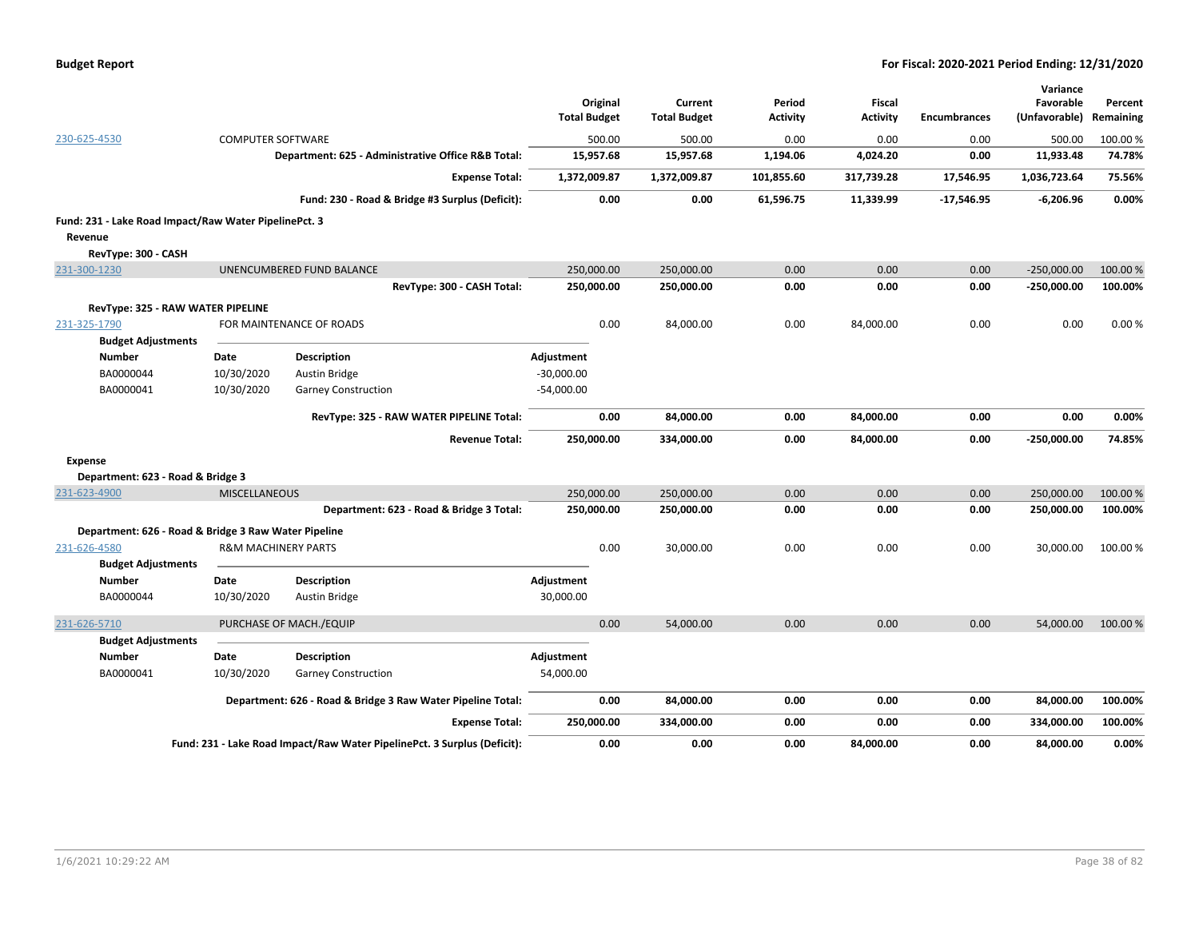|                                                       |                                |                                                                          | Original<br><b>Total Budget</b> | Current<br><b>Total Budget</b> | Period<br><b>Activity</b> | <b>Fiscal</b><br><b>Activity</b> | <b>Encumbrances</b> | Variance<br>Favorable<br>(Unfavorable) | Percent<br>Remaining |
|-------------------------------------------------------|--------------------------------|--------------------------------------------------------------------------|---------------------------------|--------------------------------|---------------------------|----------------------------------|---------------------|----------------------------------------|----------------------|
| 230-625-4530                                          | <b>COMPUTER SOFTWARE</b>       |                                                                          | 500.00                          | 500.00                         | 0.00                      | 0.00                             | 0.00                | 500.00                                 | 100.00 %             |
|                                                       |                                | Department: 625 - Administrative Office R&B Total:                       | 15,957.68                       | 15,957.68                      | 1,194.06                  | 4,024.20                         | 0.00                | 11,933.48                              | 74.78%               |
|                                                       |                                | <b>Expense Total:</b>                                                    | 1,372,009.87                    | 1,372,009.87                   | 101,855.60                | 317,739.28                       | 17,546.95           | 1,036,723.64                           | 75.56%               |
|                                                       |                                | Fund: 230 - Road & Bridge #3 Surplus (Deficit):                          | 0.00                            | 0.00                           | 61,596.75                 | 11,339.99                        | $-17,546.95$        | $-6,206.96$                            | 0.00%                |
| Fund: 231 - Lake Road Impact/Raw Water PipelinePct. 3 |                                |                                                                          |                                 |                                |                           |                                  |                     |                                        |                      |
| Revenue                                               |                                |                                                                          |                                 |                                |                           |                                  |                     |                                        |                      |
| RevType: 300 - CASH                                   |                                |                                                                          |                                 |                                |                           |                                  |                     |                                        |                      |
| 231-300-1230                                          |                                | UNENCUMBERED FUND BALANCE                                                | 250,000.00                      | 250,000.00                     | 0.00                      | 0.00                             | 0.00                | $-250,000.00$                          | 100.00 %             |
|                                                       |                                | RevType: 300 - CASH Total:                                               | 250,000.00                      | 250,000.00                     | 0.00                      | 0.00                             | 0.00                | $-250,000.00$                          | 100.00%              |
| RevType: 325 - RAW WATER PIPELINE                     |                                |                                                                          |                                 |                                |                           |                                  |                     |                                        |                      |
| 231-325-1790<br><b>Budget Adjustments</b>             |                                | FOR MAINTENANCE OF ROADS                                                 | 0.00                            | 84,000.00                      | 0.00                      | 84,000.00                        | 0.00                | 0.00                                   | 0.00%                |
| Number                                                | Date                           | <b>Description</b>                                                       | Adjustment                      |                                |                           |                                  |                     |                                        |                      |
| BA0000044                                             | 10/30/2020                     | Austin Bridge                                                            | $-30,000.00$                    |                                |                           |                                  |                     |                                        |                      |
| BA0000041                                             | 10/30/2020                     | <b>Garney Construction</b>                                               | $-54,000.00$                    |                                |                           |                                  |                     |                                        |                      |
|                                                       |                                | RevType: 325 - RAW WATER PIPELINE Total:                                 | 0.00                            | 84,000.00                      | 0.00                      | 84,000.00                        | 0.00                | 0.00                                   | 0.00%                |
|                                                       |                                | <b>Revenue Total:</b>                                                    | 250,000.00                      | 334,000.00                     | 0.00                      | 84,000.00                        | 0.00                | $-250,000.00$                          | 74.85%               |
| <b>Expense</b>                                        |                                |                                                                          |                                 |                                |                           |                                  |                     |                                        |                      |
| Department: 623 - Road & Bridge 3                     |                                |                                                                          |                                 |                                |                           |                                  |                     |                                        |                      |
| 231-623-4900                                          | <b>MISCELLANEOUS</b>           |                                                                          | 250,000.00                      | 250,000.00                     | 0.00                      | 0.00                             | 0.00                | 250,000.00                             | 100.00 %             |
|                                                       |                                | Department: 623 - Road & Bridge 3 Total:                                 | 250,000.00                      | 250,000.00                     | 0.00                      | 0.00                             | 0.00                | 250,000.00                             | 100.00%              |
| Department: 626 - Road & Bridge 3 Raw Water Pipeline  |                                |                                                                          |                                 |                                |                           |                                  |                     |                                        |                      |
| 231-626-4580<br><b>Budget Adjustments</b>             | <b>R&amp;M MACHINERY PARTS</b> |                                                                          | 0.00                            | 30,000.00                      | 0.00                      | 0.00                             | 0.00                | 30,000.00                              | 100.00%              |
| Number                                                | Date                           | Description                                                              | Adjustment                      |                                |                           |                                  |                     |                                        |                      |
| BA0000044                                             | 10/30/2020                     | Austin Bridge                                                            | 30,000.00                       |                                |                           |                                  |                     |                                        |                      |
| 231-626-5710                                          |                                | PURCHASE OF MACH./EQUIP                                                  | 0.00                            | 54,000.00                      | 0.00                      | 0.00                             | 0.00                | 54,000.00                              | 100.00 %             |
| <b>Budget Adjustments</b>                             |                                |                                                                          |                                 |                                |                           |                                  |                     |                                        |                      |
| <b>Number</b>                                         | <b>Date</b>                    | <b>Description</b>                                                       | Adjustment                      |                                |                           |                                  |                     |                                        |                      |
| BA0000041                                             | 10/30/2020                     | <b>Garney Construction</b>                                               | 54,000.00                       |                                |                           |                                  |                     |                                        |                      |
|                                                       |                                | Department: 626 - Road & Bridge 3 Raw Water Pipeline Total:              | 0.00                            | 84,000.00                      | 0.00                      | 0.00                             | 0.00                | 84,000.00                              | 100.00%              |
|                                                       |                                | <b>Expense Total:</b>                                                    | 250,000.00                      | 334,000.00                     | 0.00                      | 0.00                             | 0.00                | 334,000.00                             | 100.00%              |
|                                                       |                                | Fund: 231 - Lake Road Impact/Raw Water PipelinePct. 3 Surplus (Deficit): | 0.00                            | 0.00                           | 0.00                      | 84,000.00                        | 0.00                | 84,000.00                              | 0.00%                |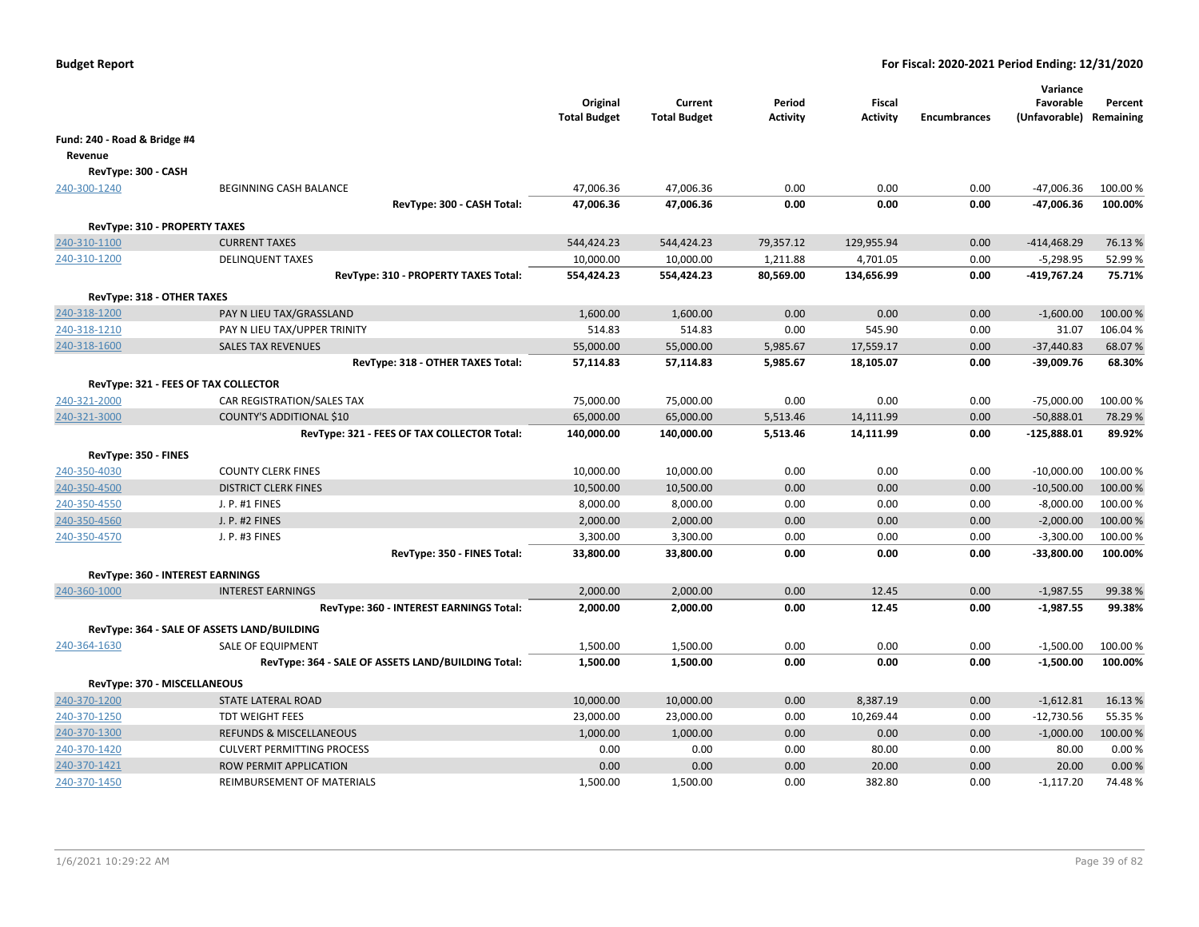|                                               |                                                    | Original<br><b>Total Budget</b> | Current<br><b>Total Budget</b> | Period<br><b>Activity</b> | <b>Fiscal</b><br><b>Activity</b> | <b>Encumbrances</b> | Variance<br>Favorable<br>(Unfavorable) Remaining | Percent  |
|-----------------------------------------------|----------------------------------------------------|---------------------------------|--------------------------------|---------------------------|----------------------------------|---------------------|--------------------------------------------------|----------|
| Fund: 240 - Road & Bridge #4                  |                                                    |                                 |                                |                           |                                  |                     |                                                  |          |
| Revenue                                       |                                                    |                                 |                                |                           |                                  |                     |                                                  |          |
| RevType: 300 - CASH                           |                                                    |                                 |                                |                           |                                  |                     |                                                  |          |
| 240-300-1240                                  | BEGINNING CASH BALANCE                             | 47,006.36                       | 47,006.36                      | 0.00                      | 0.00                             | 0.00                | -47,006.36                                       | 100.00%  |
|                                               | RevType: 300 - CASH Total:                         | 47,006.36                       | 47,006.36                      | 0.00                      | 0.00                             | 0.00                | -47,006.36                                       | 100.00%  |
|                                               |                                                    |                                 |                                |                           |                                  |                     |                                                  |          |
| RevType: 310 - PROPERTY TAXES<br>240-310-1100 | <b>CURRENT TAXES</b>                               | 544,424.23                      | 544,424.23                     | 79,357.12                 | 129,955.94                       | 0.00                | $-414,468.29$                                    | 76.13%   |
| 240-310-1200                                  | <b>DELINQUENT TAXES</b>                            | 10,000.00                       | 10,000.00                      | 1,211.88                  | 4,701.05                         | 0.00                | $-5,298.95$                                      | 52.99%   |
|                                               | RevType: 310 - PROPERTY TAXES Total:               | 554,424.23                      | 554,424.23                     | 80,569.00                 | 134,656.99                       | 0.00                | $-419,767.24$                                    | 75.71%   |
|                                               |                                                    |                                 |                                |                           |                                  |                     |                                                  |          |
| RevType: 318 - OTHER TAXES                    |                                                    |                                 |                                |                           |                                  |                     |                                                  |          |
| 240-318-1200                                  | PAY N LIEU TAX/GRASSLAND                           | 1,600.00                        | 1,600.00                       | 0.00                      | 0.00                             | 0.00                | $-1,600.00$                                      | 100.00%  |
| 240-318-1210                                  | PAY N LIEU TAX/UPPER TRINITY                       | 514.83                          | 514.83                         | 0.00                      | 545.90                           | 0.00                | 31.07                                            | 106.04 % |
| 240-318-1600                                  | <b>SALES TAX REVENUES</b>                          | 55,000.00                       | 55,000.00                      | 5,985.67                  | 17,559.17                        | 0.00                | $-37,440.83$                                     | 68.07%   |
|                                               | RevType: 318 - OTHER TAXES Total:                  | 57,114.83                       | 57,114.83                      | 5,985.67                  | 18,105.07                        | 0.00                | -39,009.76                                       | 68.30%   |
|                                               | RevType: 321 - FEES OF TAX COLLECTOR               |                                 |                                |                           |                                  |                     |                                                  |          |
| 240-321-2000                                  | CAR REGISTRATION/SALES TAX                         | 75,000.00                       | 75,000.00                      | 0.00                      | 0.00                             | 0.00                | $-75,000.00$                                     | 100.00%  |
| 240-321-3000                                  | <b>COUNTY'S ADDITIONAL \$10</b>                    | 65,000.00                       | 65,000.00                      | 5,513.46                  | 14,111.99                        | 0.00                | $-50,888.01$                                     | 78.29 %  |
|                                               | RevType: 321 - FEES OF TAX COLLECTOR Total:        | 140,000.00                      | 140,000.00                     | 5,513.46                  | 14,111.99                        | 0.00                | $-125,888.01$                                    | 89.92%   |
| RevType: 350 - FINES                          |                                                    |                                 |                                |                           |                                  |                     |                                                  |          |
| 240-350-4030                                  | <b>COUNTY CLERK FINES</b>                          | 10,000.00                       | 10,000.00                      | 0.00                      | 0.00                             | 0.00                | $-10,000.00$                                     | 100.00 % |
| 240-350-4500                                  | <b>DISTRICT CLERK FINES</b>                        | 10,500.00                       | 10,500.00                      | 0.00                      | 0.00                             | 0.00                | $-10,500.00$                                     | 100.00 % |
| 240-350-4550                                  | J. P. #1 FINES                                     | 8,000.00                        | 8,000.00                       | 0.00                      | 0.00                             | 0.00                | $-8,000.00$                                      | 100.00 % |
| 240-350-4560                                  | J. P. #2 FINES                                     | 2,000.00                        | 2,000.00                       | 0.00                      | 0.00                             | 0.00                | $-2,000.00$                                      | 100.00%  |
| 240-350-4570                                  | J. P. #3 FINES                                     | 3,300.00                        | 3,300.00                       | 0.00                      | 0.00                             | 0.00                | $-3,300.00$                                      | 100.00 % |
|                                               | RevType: 350 - FINES Total:                        | 33,800.00                       | 33,800.00                      | 0.00                      | 0.00                             | 0.00                | -33,800.00                                       | 100.00%  |
| RevType: 360 - INTEREST EARNINGS              |                                                    |                                 |                                |                           |                                  |                     |                                                  |          |
| 240-360-1000                                  | <b>INTEREST EARNINGS</b>                           | 2,000.00                        | 2,000.00                       | 0.00                      | 12.45                            | 0.00                | $-1,987.55$                                      | 99.38%   |
|                                               | RevType: 360 - INTEREST EARNINGS Total:            | 2,000.00                        | 2,000.00                       | 0.00                      | 12.45                            | 0.00                | $-1,987.55$                                      | 99.38%   |
|                                               |                                                    |                                 |                                |                           |                                  |                     |                                                  |          |
|                                               | RevType: 364 - SALE OF ASSETS LAND/BUILDING        |                                 |                                |                           |                                  |                     |                                                  |          |
| 240-364-1630                                  | <b>SALE OF EQUIPMENT</b>                           | 1,500.00                        | 1,500.00                       | 0.00                      | 0.00                             | 0.00                | $-1,500.00$                                      | 100.00%  |
|                                               | RevType: 364 - SALE OF ASSETS LAND/BUILDING Total: | 1,500.00                        | 1,500.00                       | 0.00                      | 0.00                             | 0.00                | $-1,500.00$                                      | 100.00%  |
| RevType: 370 - MISCELLANEOUS                  |                                                    |                                 |                                |                           |                                  |                     |                                                  |          |
| 240-370-1200                                  | <b>STATE LATERAL ROAD</b>                          | 10,000.00                       | 10,000.00                      | 0.00                      | 8,387.19                         | 0.00                | $-1,612.81$                                      | 16.13%   |
| 240-370-1250                                  | <b>TDT WEIGHT FEES</b>                             | 23,000.00                       | 23,000.00                      | 0.00                      | 10,269.44                        | 0.00                | $-12,730.56$                                     | 55.35 %  |
| 240-370-1300                                  | <b>REFUNDS &amp; MISCELLANEOUS</b>                 | 1,000.00                        | 1,000.00                       | 0.00                      | 0.00                             | 0.00                | $-1,000.00$                                      | 100.00%  |
| 240-370-1420                                  | <b>CULVERT PERMITTING PROCESS</b>                  | 0.00                            | 0.00                           | 0.00                      | 80.00                            | 0.00                | 80.00                                            | 0.00%    |
| 240-370-1421                                  | ROW PERMIT APPLICATION                             | 0.00                            | 0.00                           | 0.00                      | 20.00                            | 0.00                | 20.00                                            | 0.00%    |
| 240-370-1450                                  | REIMBURSEMENT OF MATERIALS                         | 1,500.00                        | 1,500.00                       | 0.00                      | 382.80                           | 0.00                | $-1,117.20$                                      | 74.48%   |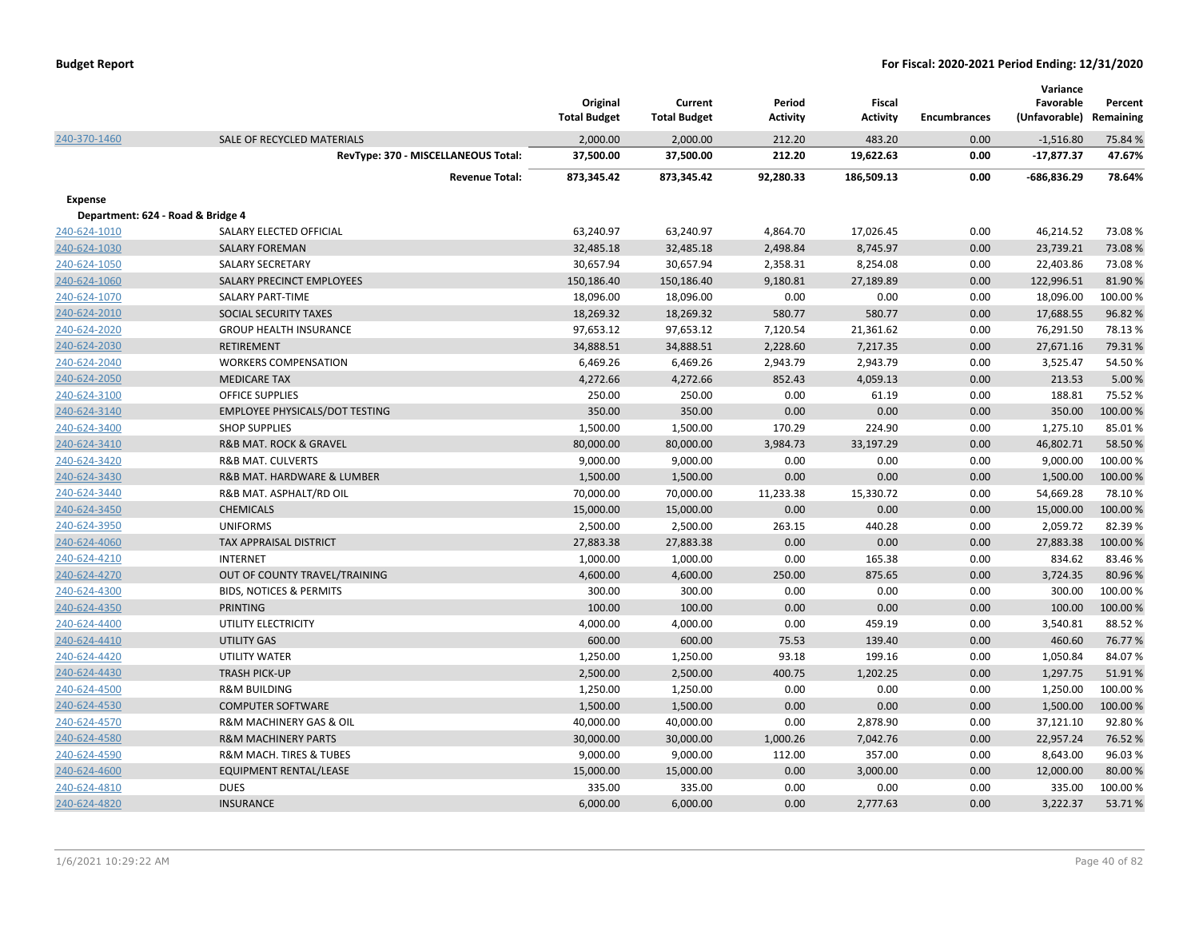|                                   |                                       | Original<br><b>Total Budget</b> | Current<br><b>Total Budget</b> | Period<br><b>Activity</b> | Fiscal<br><b>Activity</b> | <b>Encumbrances</b> | Variance<br>Favorable<br>(Unfavorable) | Percent<br>Remaining |
|-----------------------------------|---------------------------------------|---------------------------------|--------------------------------|---------------------------|---------------------------|---------------------|----------------------------------------|----------------------|
| 240-370-1460                      | SALE OF RECYCLED MATERIALS            | 2,000.00                        | 2,000.00                       | 212.20                    | 483.20                    | 0.00                | $-1,516.80$                            | 75.84 %              |
|                                   | RevType: 370 - MISCELLANEOUS Total:   | 37,500.00                       | 37,500.00                      | 212.20                    | 19,622.63                 | 0.00                | $-17,877.37$                           | 47.67%               |
|                                   | <b>Revenue Total:</b>                 | 873,345.42                      | 873,345.42                     | 92,280.33                 | 186,509.13                | 0.00                | $-686,836.29$                          | 78.64%               |
| <b>Expense</b>                    |                                       |                                 |                                |                           |                           |                     |                                        |                      |
| Department: 624 - Road & Bridge 4 |                                       |                                 |                                |                           |                           |                     |                                        |                      |
| 240-624-1010                      | SALARY ELECTED OFFICIAL               | 63,240.97                       | 63,240.97                      | 4,864.70                  | 17,026.45                 | 0.00                | 46,214.52                              | 73.08%               |
| 240-624-1030                      | <b>SALARY FOREMAN</b>                 | 32,485.18                       | 32,485.18                      | 2,498.84                  | 8,745.97                  | 0.00                | 23,739.21                              | 73.08%               |
| 240-624-1050                      | <b>SALARY SECRETARY</b>               | 30,657.94                       | 30,657.94                      | 2,358.31                  | 8,254.08                  | 0.00                | 22,403.86                              | 73.08%               |
| 240-624-1060                      | SALARY PRECINCT EMPLOYEES             | 150,186.40                      | 150,186.40                     | 9,180.81                  | 27,189.89                 | 0.00                | 122,996.51                             | 81.90%               |
| 240-624-1070                      | <b>SALARY PART-TIME</b>               | 18,096.00                       | 18,096.00                      | 0.00                      | 0.00                      | 0.00                | 18,096.00                              | 100.00%              |
| 240-624-2010                      | SOCIAL SECURITY TAXES                 | 18,269.32                       | 18,269.32                      | 580.77                    | 580.77                    | 0.00                | 17,688.55                              | 96.82%               |
| 240-624-2020                      | <b>GROUP HEALTH INSURANCE</b>         | 97,653.12                       | 97,653.12                      | 7,120.54                  | 21,361.62                 | 0.00                | 76,291.50                              | 78.13%               |
| 240-624-2030                      | <b>RETIREMENT</b>                     | 34,888.51                       | 34,888.51                      | 2,228.60                  | 7,217.35                  | 0.00                | 27,671.16                              | 79.31%               |
| 240-624-2040                      | <b>WORKERS COMPENSATION</b>           | 6,469.26                        | 6,469.26                       | 2,943.79                  | 2,943.79                  | 0.00                | 3,525.47                               | 54.50%               |
| 240-624-2050                      | <b>MEDICARE TAX</b>                   | 4,272.66                        | 4,272.66                       | 852.43                    | 4,059.13                  | 0.00                | 213.53                                 | 5.00 %               |
| 240-624-3100                      | <b>OFFICE SUPPLIES</b>                | 250.00                          | 250.00                         | 0.00                      | 61.19                     | 0.00                | 188.81                                 | 75.52 %              |
| 240-624-3140                      | EMPLOYEE PHYSICALS/DOT TESTING        | 350.00                          | 350.00                         | 0.00                      | 0.00                      | 0.00                | 350.00                                 | 100.00 %             |
| 240-624-3400                      | <b>SHOP SUPPLIES</b>                  | 1,500.00                        | 1,500.00                       | 170.29                    | 224.90                    | 0.00                | 1,275.10                               | 85.01%               |
| 240-624-3410                      | <b>R&amp;B MAT. ROCK &amp; GRAVEL</b> | 80,000.00                       | 80,000.00                      | 3,984.73                  | 33,197.29                 | 0.00                | 46,802.71                              | 58.50 %              |
| 240-624-3420                      | <b>R&amp;B MAT. CULVERTS</b>          | 9,000.00                        | 9,000.00                       | 0.00                      | 0.00                      | 0.00                | 9,000.00                               | 100.00%              |
| 240-624-3430                      | R&B MAT. HARDWARE & LUMBER            | 1,500.00                        | 1,500.00                       | 0.00                      | 0.00                      | 0.00                | 1,500.00                               | 100.00%              |
| 240-624-3440                      | R&B MAT. ASPHALT/RD OIL               | 70,000.00                       | 70,000.00                      | 11,233.38                 | 15,330.72                 | 0.00                | 54,669.28                              | 78.10%               |
| 240-624-3450                      | <b>CHEMICALS</b>                      | 15,000.00                       | 15,000.00                      | 0.00                      | 0.00                      | 0.00                | 15,000.00                              | 100.00 %             |
| 240-624-3950                      | <b>UNIFORMS</b>                       | 2,500.00                        | 2,500.00                       | 263.15                    | 440.28                    | 0.00                | 2,059.72                               | 82.39%               |
| 240-624-4060                      | TAX APPRAISAL DISTRICT                | 27,883.38                       | 27,883.38                      | 0.00                      | 0.00                      | 0.00                | 27,883.38                              | 100.00 %             |
| 240-624-4210                      | <b>INTERNET</b>                       | 1,000.00                        | 1,000.00                       | 0.00                      | 165.38                    | 0.00                | 834.62                                 | 83.46%               |
| 240-624-4270                      | OUT OF COUNTY TRAVEL/TRAINING         | 4,600.00                        | 4,600.00                       | 250.00                    | 875.65                    | 0.00                | 3,724.35                               | 80.96%               |
| 240-624-4300                      | <b>BIDS, NOTICES &amp; PERMITS</b>    | 300.00                          | 300.00                         | 0.00                      | 0.00                      | 0.00                | 300.00                                 | 100.00 %             |
| 240-624-4350                      | PRINTING                              | 100.00                          | 100.00                         | 0.00                      | 0.00                      | 0.00                | 100.00                                 | 100.00 %             |
| 240-624-4400                      | UTILITY ELECTRICITY                   | 4,000.00                        | 4,000.00                       | 0.00                      | 459.19                    | 0.00                | 3,540.81                               | 88.52%               |
| 240-624-4410                      | <b>UTILITY GAS</b>                    | 600.00                          | 600.00                         | 75.53                     | 139.40                    | 0.00                | 460.60                                 | 76.77 %              |
| 240-624-4420                      | UTILITY WATER                         | 1,250.00                        | 1,250.00                       | 93.18                     | 199.16                    | 0.00                | 1,050.84                               | 84.07%               |
| 240-624-4430                      | <b>TRASH PICK-UP</b>                  | 2,500.00                        | 2,500.00                       | 400.75                    | 1,202.25                  | 0.00                | 1,297.75                               | 51.91%               |
| 240-624-4500                      | <b>R&amp;M BUILDING</b>               | 1,250.00                        | 1,250.00                       | 0.00                      | 0.00                      | 0.00                | 1,250.00                               | 100.00 %             |
| 240-624-4530                      | <b>COMPUTER SOFTWARE</b>              | 1,500.00                        | 1,500.00                       | 0.00                      | 0.00                      | 0.00                | 1,500.00                               | 100.00 %             |
| 240-624-4570                      | R&M MACHINERY GAS & OIL               | 40,000.00                       | 40,000.00                      | 0.00                      | 2,878.90                  | 0.00                | 37,121.10                              | 92.80%               |
| 240-624-4580                      | <b>R&amp;M MACHINERY PARTS</b>        | 30,000.00                       | 30,000.00                      | 1,000.26                  | 7,042.76                  | 0.00                | 22,957.24                              | 76.52 %              |
| 240-624-4590                      | R&M MACH. TIRES & TUBES               | 9,000.00                        | 9,000.00                       | 112.00                    | 357.00                    | 0.00                | 8,643.00                               | 96.03%               |
| 240-624-4600                      | <b>EQUIPMENT RENTAL/LEASE</b>         | 15,000.00                       | 15,000.00                      | 0.00                      | 3,000.00                  | 0.00                | 12,000.00                              | 80.00%               |
| 240-624-4810                      | <b>DUES</b>                           | 335.00                          | 335.00                         | 0.00                      | 0.00                      | 0.00                | 335.00                                 | 100.00 %             |
| 240-624-4820                      | <b>INSURANCE</b>                      | 6,000.00                        | 6,000.00                       | 0.00                      | 2,777.63                  | 0.00                | 3,222.37                               | 53.71%               |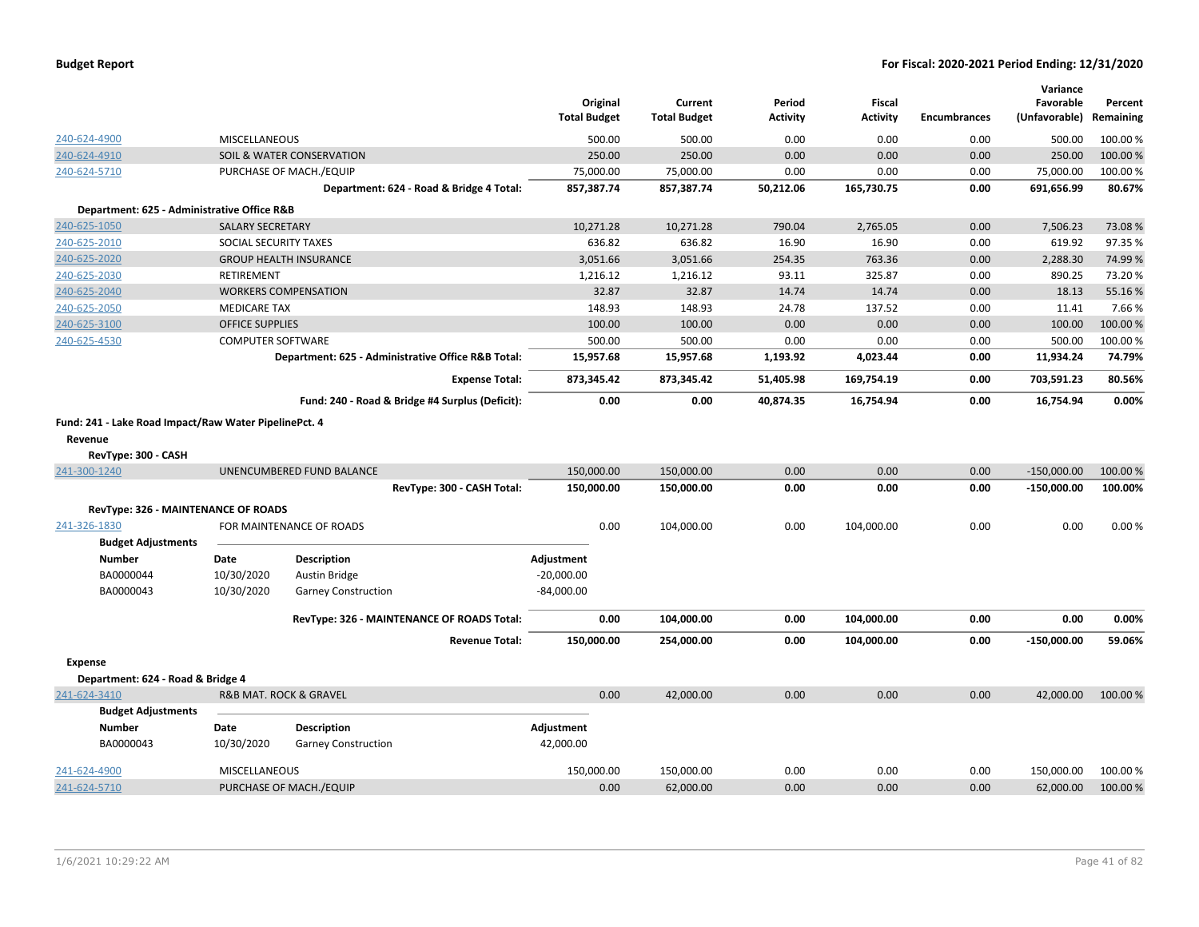|                                                       |                          |                                                    | Original            | Current             | Period          | <b>Fiscal</b>   |                     | Variance<br>Favorable | Percent   |
|-------------------------------------------------------|--------------------------|----------------------------------------------------|---------------------|---------------------|-----------------|-----------------|---------------------|-----------------------|-----------|
|                                                       |                          |                                                    | <b>Total Budget</b> | <b>Total Budget</b> | <b>Activity</b> | <b>Activity</b> | <b>Encumbrances</b> | (Unfavorable)         | Remaining |
| 240-624-4900                                          | <b>MISCELLANEOUS</b>     |                                                    | 500.00              | 500.00              | 0.00            | 0.00            | 0.00                | 500.00                | 100.00%   |
| 240-624-4910                                          |                          | SOIL & WATER CONSERVATION                          | 250.00              | 250.00              | 0.00            | 0.00            | 0.00                | 250.00                | 100.00%   |
| 240-624-5710                                          |                          | PURCHASE OF MACH./EQUIP                            | 75,000.00           | 75,000.00           | 0.00            | 0.00            | 0.00                | 75,000.00             | 100.00%   |
|                                                       |                          | Department: 624 - Road & Bridge 4 Total:           | 857,387.74          | 857,387.74          | 50,212.06       | 165,730.75      | 0.00                | 691,656.99            | 80.67%    |
| Department: 625 - Administrative Office R&B           |                          |                                                    |                     |                     |                 |                 |                     |                       |           |
| 240-625-1050                                          | <b>SALARY SECRETARY</b>  |                                                    | 10,271.28           | 10,271.28           | 790.04          | 2,765.05        | 0.00                | 7,506.23              | 73.08%    |
| 240-625-2010                                          | SOCIAL SECURITY TAXES    |                                                    | 636.82              | 636.82              | 16.90           | 16.90           | 0.00                | 619.92                | 97.35%    |
| 240-625-2020                                          |                          | <b>GROUP HEALTH INSURANCE</b>                      | 3,051.66            | 3,051.66            | 254.35          | 763.36          | 0.00                | 2,288.30              | 74.99%    |
| 240-625-2030                                          | <b>RETIREMENT</b>        |                                                    | 1,216.12            | 1,216.12            | 93.11           | 325.87          | 0.00                | 890.25                | 73.20%    |
| 240-625-2040                                          |                          | <b>WORKERS COMPENSATION</b>                        | 32.87               | 32.87               | 14.74           | 14.74           | 0.00                | 18.13                 | 55.16%    |
| 240-625-2050                                          | <b>MEDICARE TAX</b>      |                                                    | 148.93              | 148.93              | 24.78           | 137.52          | 0.00                | 11.41                 | 7.66%     |
| 240-625-3100                                          | <b>OFFICE SUPPLIES</b>   |                                                    | 100.00              | 100.00              | 0.00            | 0.00            | 0.00                | 100.00                | 100.00%   |
| 240-625-4530                                          | <b>COMPUTER SOFTWARE</b> |                                                    | 500.00              | 500.00              | 0.00            | 0.00            | 0.00                | 500.00                | 100.00%   |
|                                                       |                          | Department: 625 - Administrative Office R&B Total: | 15,957.68           | 15,957.68           | 1,193.92        | 4,023.44        | 0.00                | 11,934.24             | 74.79%    |
|                                                       |                          | <b>Expense Total:</b>                              | 873,345.42          | 873,345.42          | 51,405.98       | 169,754.19      | 0.00                | 703,591.23            | 80.56%    |
|                                                       |                          | Fund: 240 - Road & Bridge #4 Surplus (Deficit):    | 0.00                | 0.00                | 40,874.35       | 16,754.94       | 0.00                | 16,754.94             | 0.00%     |
| Fund: 241 - Lake Road Impact/Raw Water PipelinePct. 4 |                          |                                                    |                     |                     |                 |                 |                     |                       |           |
| Revenue                                               |                          |                                                    |                     |                     |                 |                 |                     |                       |           |
| RevType: 300 - CASH                                   |                          |                                                    |                     |                     |                 |                 |                     |                       |           |
| 241-300-1240                                          |                          | UNENCUMBERED FUND BALANCE                          | 150,000.00          | 150,000.00          | 0.00            | 0.00            | 0.00                | $-150,000.00$         | 100.00 %  |
|                                                       |                          | RevType: 300 - CASH Total:                         | 150,000.00          | 150,000.00          | 0.00            | 0.00            | 0.00                | $-150,000.00$         | 100.00%   |
| RevType: 326 - MAINTENANCE OF ROADS                   |                          |                                                    |                     |                     |                 |                 |                     |                       |           |
| 241-326-1830                                          |                          | FOR MAINTENANCE OF ROADS                           | 0.00                | 104,000.00          | 0.00            | 104,000.00      | 0.00                | 0.00                  | 0.00%     |
| <b>Budget Adjustments</b>                             |                          |                                                    |                     |                     |                 |                 |                     |                       |           |
| <b>Number</b>                                         | Date                     | <b>Description</b>                                 | Adjustment          |                     |                 |                 |                     |                       |           |
| BA0000044                                             | 10/30/2020               | Austin Bridge                                      | $-20,000.00$        |                     |                 |                 |                     |                       |           |
| BA0000043                                             | 10/30/2020               | <b>Garney Construction</b>                         | $-84,000.00$        |                     |                 |                 |                     |                       |           |
|                                                       |                          |                                                    |                     |                     |                 |                 |                     |                       |           |
|                                                       |                          | RevType: 326 - MAINTENANCE OF ROADS Total:         | 0.00                | 104,000.00          | 0.00            | 104,000.00      | 0.00                | 0.00                  | 0.00%     |
|                                                       |                          | <b>Revenue Total:</b>                              | 150,000.00          | 254,000.00          | 0.00            | 104,000.00      | 0.00                | $-150,000.00$         | 59.06%    |
| <b>Expense</b>                                        |                          |                                                    |                     |                     |                 |                 |                     |                       |           |
| Department: 624 - Road & Bridge 4                     |                          |                                                    |                     |                     |                 |                 |                     |                       |           |
| 241-624-3410                                          |                          | <b>R&amp;B MAT. ROCK &amp; GRAVEL</b>              | 0.00                | 42,000.00           | 0.00            | 0.00            | 0.00                | 42,000.00             | 100.00 %  |
| <b>Budget Adjustments</b>                             |                          |                                                    |                     |                     |                 |                 |                     |                       |           |
| <b>Number</b>                                         | Date                     | <b>Description</b>                                 | Adjustment          |                     |                 |                 |                     |                       |           |
| BA0000043                                             | 10/30/2020               |                                                    |                     |                     |                 |                 |                     |                       |           |
|                                                       |                          | Garney Construction                                | 42,000.00           |                     |                 |                 |                     |                       |           |
| 241-624-4900                                          | MISCELLANEOUS            |                                                    | 150,000.00          | 150,000.00          | 0.00            | 0.00            | 0.00                | 150,000.00            | 100.00%   |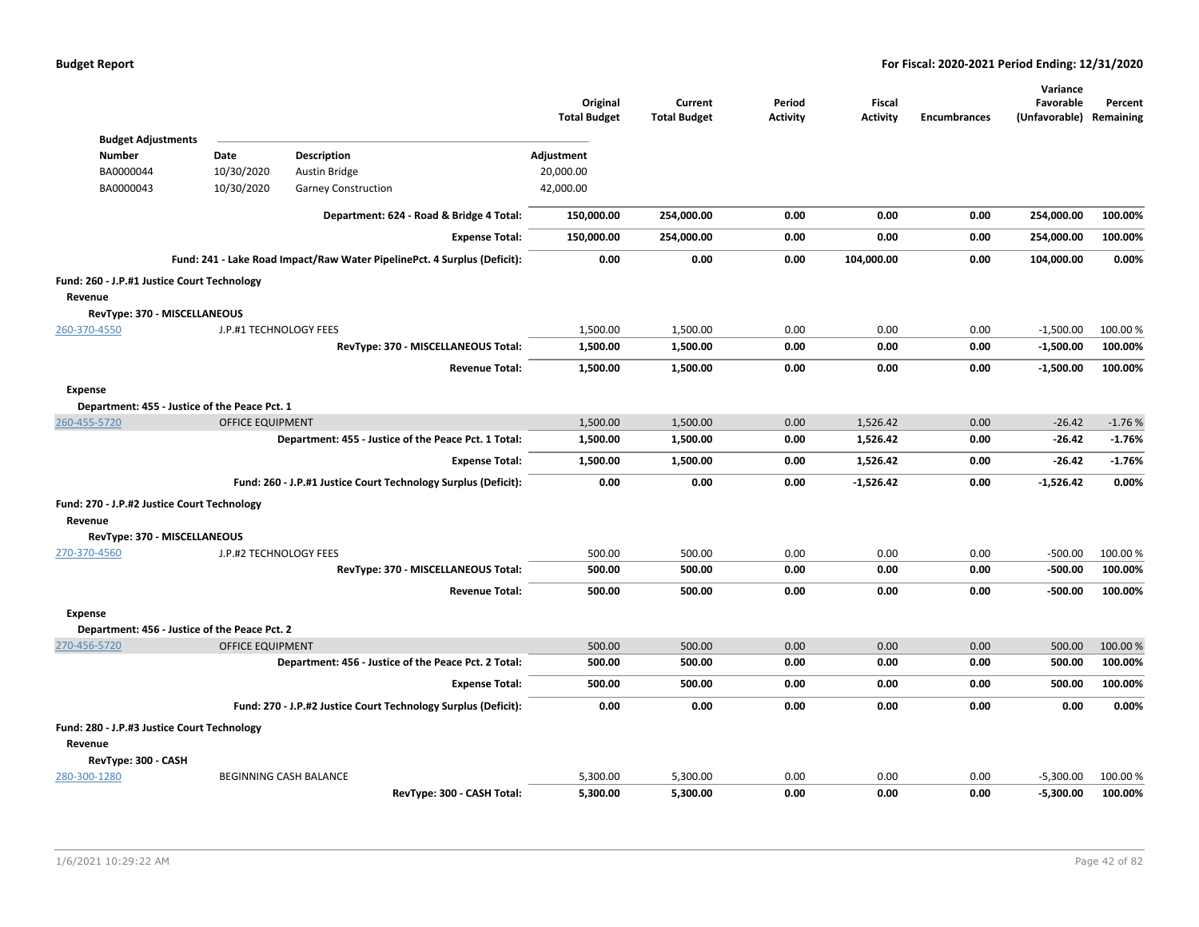|                                               |                         |                                                                          | Original<br><b>Total Budget</b> | Current<br><b>Total Budget</b> | Period<br><b>Activity</b> | Fiscal<br><b>Activity</b> | <b>Encumbrances</b> | Variance<br>Favorable<br>(Unfavorable) Remaining | Percent             |
|-----------------------------------------------|-------------------------|--------------------------------------------------------------------------|---------------------------------|--------------------------------|---------------------------|---------------------------|---------------------|--------------------------------------------------|---------------------|
| <b>Budget Adjustments</b>                     |                         |                                                                          |                                 |                                |                           |                           |                     |                                                  |                     |
| <b>Number</b>                                 | Date                    | <b>Description</b>                                                       | Adjustment                      |                                |                           |                           |                     |                                                  |                     |
| BA0000044                                     | 10/30/2020              | <b>Austin Bridge</b>                                                     | 20,000.00                       |                                |                           |                           |                     |                                                  |                     |
| BA0000043                                     | 10/30/2020              | Garney Construction                                                      | 42,000.00                       |                                |                           |                           |                     |                                                  |                     |
|                                               |                         | Department: 624 - Road & Bridge 4 Total:                                 | 150,000.00                      | 254,000.00                     | 0.00                      | 0.00                      | 0.00                | 254,000.00                                       | 100.00%             |
|                                               |                         | <b>Expense Total:</b>                                                    | 150,000.00                      | 254,000.00                     | 0.00                      | 0.00                      | 0.00                | 254,000.00                                       | 100.00%             |
|                                               |                         | Fund: 241 - Lake Road Impact/Raw Water PipelinePct. 4 Surplus (Deficit): | 0.00                            | 0.00                           | 0.00                      | 104,000.00                | 0.00                | 104,000.00                                       | 0.00%               |
| Fund: 260 - J.P.#1 Justice Court Technology   |                         |                                                                          |                                 |                                |                           |                           |                     |                                                  |                     |
| Revenue                                       |                         |                                                                          |                                 |                                |                           |                           |                     |                                                  |                     |
| RevType: 370 - MISCELLANEOUS                  |                         |                                                                          |                                 |                                |                           |                           |                     |                                                  |                     |
| 260-370-4550                                  | J.P.#1 TECHNOLOGY FEES  |                                                                          | 1,500.00                        | 1,500.00                       | 0.00                      | 0.00                      | 0.00                | $-1,500.00$                                      | 100.00 %            |
|                                               |                         | RevType: 370 - MISCELLANEOUS Total:                                      | 1,500.00                        | 1,500.00                       | 0.00                      | 0.00                      | 0.00                | $-1,500.00$                                      | 100.00%             |
|                                               |                         | <b>Revenue Total:</b>                                                    | 1,500.00                        | 1,500.00                       | 0.00                      | 0.00                      | 0.00                | $-1,500.00$                                      | 100.00%             |
| Expense                                       |                         |                                                                          |                                 |                                |                           |                           |                     |                                                  |                     |
| Department: 455 - Justice of the Peace Pct. 1 |                         |                                                                          |                                 |                                |                           |                           |                     |                                                  |                     |
| 260-455-5720                                  | <b>OFFICE EQUIPMENT</b> |                                                                          | 1,500.00                        | 1,500.00                       | 0.00                      | 1,526.42                  | 0.00                | $-26.42$                                         | $-1.76%$            |
|                                               |                         | Department: 455 - Justice of the Peace Pct. 1 Total:                     | 1,500.00                        | 1,500.00                       | 0.00                      | 1,526.42                  | 0.00                | $-26.42$                                         | $-1.76%$            |
|                                               |                         | <b>Expense Total:</b>                                                    | 1,500.00                        | 1,500.00                       | 0.00                      | 1,526.42                  | 0.00                | $-26.42$                                         | $-1.76%$            |
|                                               |                         | Fund: 260 - J.P.#1 Justice Court Technology Surplus (Deficit):           | 0.00                            | 0.00                           | 0.00                      | $-1,526.42$               | 0.00                | $-1,526.42$                                      | 0.00%               |
| Fund: 270 - J.P.#2 Justice Court Technology   |                         |                                                                          |                                 |                                |                           |                           |                     |                                                  |                     |
| Revenue                                       |                         |                                                                          |                                 |                                |                           |                           |                     |                                                  |                     |
| RevType: 370 - MISCELLANEOUS                  |                         |                                                                          |                                 |                                |                           |                           |                     |                                                  |                     |
| 270-370-4560                                  | J.P.#2 TECHNOLOGY FEES  |                                                                          | 500.00                          | 500.00                         | 0.00                      | 0.00                      | 0.00                | $-500.00$                                        | 100.00%             |
|                                               |                         | RevType: 370 - MISCELLANEOUS Total:                                      | 500.00                          | 500.00                         | 0.00                      | 0.00                      | 0.00                | $-500.00$                                        | 100.00%             |
|                                               |                         | <b>Revenue Total:</b>                                                    | 500.00                          | 500.00                         | 0.00                      | 0.00                      | 0.00                | $-500.00$                                        | 100.00%             |
| <b>Expense</b>                                |                         |                                                                          |                                 |                                |                           |                           |                     |                                                  |                     |
| Department: 456 - Justice of the Peace Pct. 2 |                         |                                                                          |                                 |                                |                           |                           |                     |                                                  |                     |
| 270-456-5720                                  | <b>OFFICE EQUIPMENT</b> |                                                                          | 500.00                          | 500.00                         | 0.00                      | 0.00                      | 0.00                | 500.00                                           | 100.00%             |
|                                               |                         | Department: 456 - Justice of the Peace Pct. 2 Total:                     | 500.00                          | 500.00                         | 0.00                      | 0.00                      | 0.00                | 500.00                                           | 100.00%             |
|                                               |                         | <b>Expense Total:</b>                                                    | 500.00                          | 500.00                         | 0.00                      | 0.00                      | 0.00                | 500.00                                           | 100.00%             |
|                                               |                         | Fund: 270 - J.P.#2 Justice Court Technology Surplus (Deficit):           | 0.00                            | 0.00                           | 0.00                      | 0.00                      | 0.00                | 0.00                                             | 0.00%               |
| Fund: 280 - J.P.#3 Justice Court Technology   |                         |                                                                          |                                 |                                |                           |                           |                     |                                                  |                     |
| Revenue                                       |                         |                                                                          |                                 |                                |                           |                           |                     |                                                  |                     |
| RevType: 300 - CASH                           |                         |                                                                          |                                 |                                |                           |                           |                     |                                                  |                     |
| 280-300-1280                                  |                         | BEGINNING CASH BALANCE                                                   | 5,300.00                        | 5,300.00<br>5.300.00           | 0.00<br>0.00              | 0.00                      | 0.00<br>0.00        | $-5,300.00$                                      | 100.00 %<br>100.00% |
|                                               |                         | RevType: 300 - CASH Total:                                               | 5,300.00                        |                                |                           | 0.00                      |                     | $-5,300.00$                                      |                     |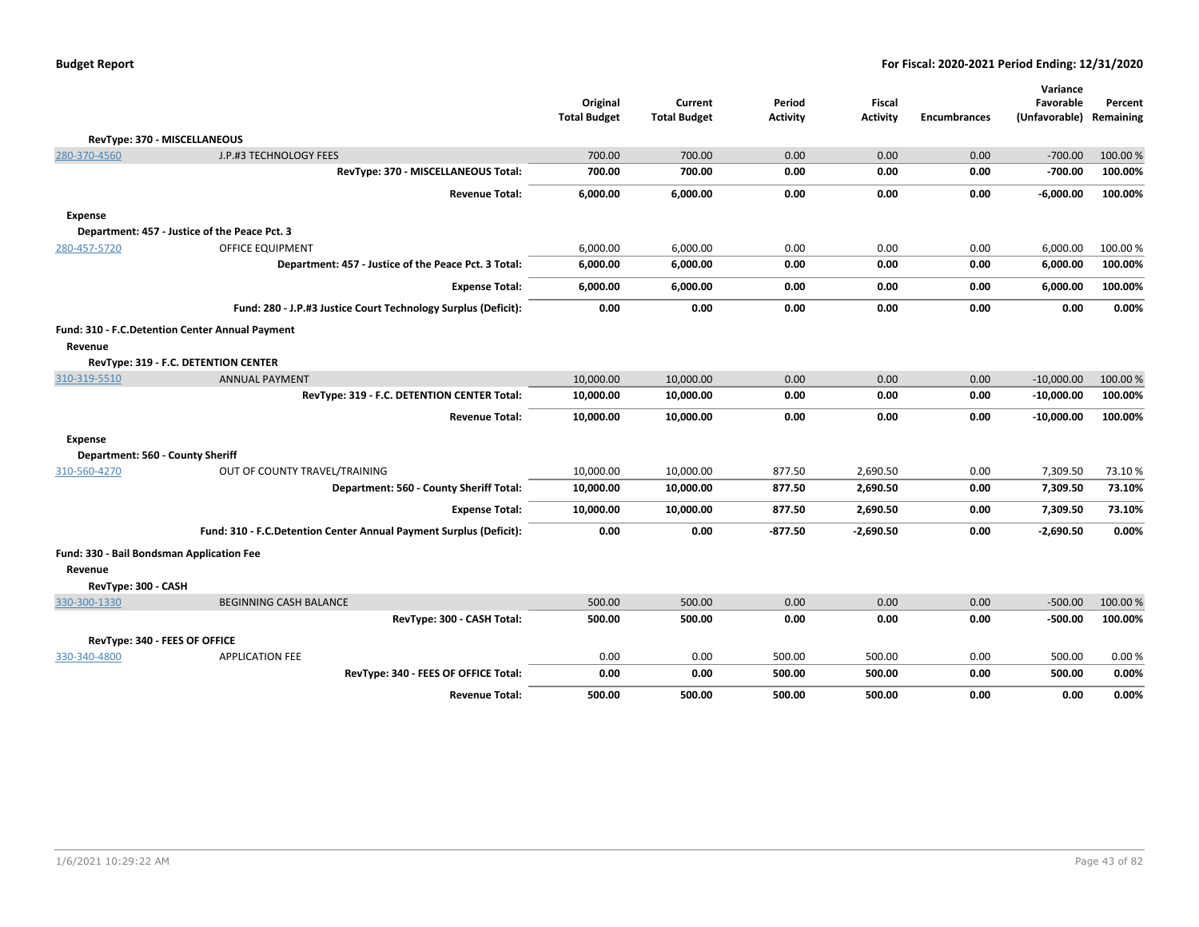|                                                 |                                                                    |                                 |                                |                           |                           |                     | Variance                   |                      |
|-------------------------------------------------|--------------------------------------------------------------------|---------------------------------|--------------------------------|---------------------------|---------------------------|---------------------|----------------------------|----------------------|
|                                                 |                                                                    | Original<br><b>Total Budget</b> | Current<br><b>Total Budget</b> | Period<br><b>Activity</b> | Fiscal<br><b>Activity</b> | <b>Encumbrances</b> | Favorable<br>(Unfavorable) | Percent<br>Remaining |
|                                                 |                                                                    |                                 |                                |                           |                           |                     |                            |                      |
| RevType: 370 - MISCELLANEOUS<br>280-370-4560    | J.P.#3 TECHNOLOGY FEES                                             | 700.00                          | 700.00                         | 0.00                      | 0.00                      | 0.00                | $-700.00$                  | 100.00%              |
|                                                 | RevType: 370 - MISCELLANEOUS Total:                                | 700.00                          | 700.00                         | 0.00                      | 0.00                      | 0.00                | $-700.00$                  | 100.00%              |
|                                                 |                                                                    |                                 |                                |                           |                           |                     |                            |                      |
|                                                 | <b>Revenue Total:</b>                                              | 6,000.00                        | 6,000.00                       | 0.00                      | 0.00                      | 0.00                | $-6,000.00$                | 100.00%              |
| <b>Expense</b>                                  |                                                                    |                                 |                                |                           |                           |                     |                            |                      |
|                                                 | Department: 457 - Justice of the Peace Pct. 3                      |                                 |                                |                           |                           |                     |                            |                      |
| 280-457-5720                                    | OFFICE EQUIPMENT                                                   | 6,000.00                        | 6,000.00                       | 0.00                      | 0.00                      | 0.00                | 6,000.00                   | 100.00 %             |
|                                                 | Department: 457 - Justice of the Peace Pct. 3 Total:               | 6,000.00                        | 6,000.00                       | 0.00                      | 0.00                      | 0.00                | 6,000.00                   | 100.00%              |
|                                                 | <b>Expense Total:</b>                                              | 6,000.00                        | 6,000.00                       | 0.00                      | 0.00                      | 0.00                | 6,000.00                   | 100.00%              |
|                                                 | Fund: 280 - J.P.#3 Justice Court Technology Surplus (Deficit):     | 0.00                            | 0.00                           | 0.00                      | 0.00                      | 0.00                | 0.00                       | 0.00%                |
| Fund: 310 - F.C.Detention Center Annual Payment |                                                                    |                                 |                                |                           |                           |                     |                            |                      |
| Revenue                                         |                                                                    |                                 |                                |                           |                           |                     |                            |                      |
|                                                 | RevType: 319 - F.C. DETENTION CENTER                               |                                 |                                |                           |                           |                     |                            |                      |
| 310-319-5510                                    | <b>ANNUAL PAYMENT</b>                                              | 10,000.00                       | 10,000.00                      | 0.00                      | 0.00                      | 0.00                | $-10,000.00$               | 100.00%              |
|                                                 | RevType: 319 - F.C. DETENTION CENTER Total:                        | 10,000.00                       | 10,000.00                      | 0.00                      | 0.00                      | 0.00                | $-10,000.00$               | 100.00%              |
|                                                 | <b>Revenue Total:</b>                                              | 10,000.00                       | 10,000.00                      | 0.00                      | 0.00                      | 0.00                | $-10,000.00$               | 100.00%              |
| <b>Expense</b>                                  |                                                                    |                                 |                                |                           |                           |                     |                            |                      |
| Department: 560 - County Sheriff                |                                                                    |                                 |                                |                           |                           |                     |                            |                      |
| 310-560-4270                                    | OUT OF COUNTY TRAVEL/TRAINING                                      | 10,000.00                       | 10,000.00                      | 877.50                    | 2,690.50                  | 0.00                | 7,309.50                   | 73.10%               |
|                                                 | Department: 560 - County Sheriff Total:                            | 10,000.00                       | 10,000.00                      | 877.50                    | 2,690.50                  | 0.00                | 7,309.50                   | 73.10%               |
|                                                 | <b>Expense Total:</b>                                              | 10,000.00                       | 10,000.00                      | 877.50                    | 2,690.50                  | 0.00                | 7,309.50                   | 73.10%               |
|                                                 | Fund: 310 - F.C.Detention Center Annual Payment Surplus (Deficit): | 0.00                            | 0.00                           | $-877.50$                 | $-2,690.50$               | 0.00                | $-2,690.50$                | 0.00%                |
| Fund: 330 - Bail Bondsman Application Fee       |                                                                    |                                 |                                |                           |                           |                     |                            |                      |
| Revenue                                         |                                                                    |                                 |                                |                           |                           |                     |                            |                      |
| RevType: 300 - CASH                             |                                                                    |                                 |                                |                           |                           |                     |                            |                      |
| 330-300-1330                                    | <b>BEGINNING CASH BALANCE</b>                                      | 500.00                          | 500.00                         | 0.00                      | 0.00                      | 0.00                | $-500.00$                  | 100.00%              |
|                                                 | RevType: 300 - CASH Total:                                         | 500.00                          | 500.00                         | 0.00                      | 0.00                      | 0.00                | $-500.00$                  | 100.00%              |
| RevType: 340 - FEES OF OFFICE                   |                                                                    |                                 |                                |                           |                           |                     |                            |                      |
| 330-340-4800                                    | <b>APPLICATION FEE</b>                                             | 0.00                            | 0.00                           | 500.00                    | 500.00                    | 0.00                | 500.00                     | 0.00%                |
|                                                 | RevType: 340 - FEES OF OFFICE Total:                               | 0.00                            | 0.00                           | 500.00                    | 500.00                    | 0.00                | 500.00                     | 0.00%                |
|                                                 | <b>Revenue Total:</b>                                              | 500.00                          | 500.00                         | 500.00                    | 500.00                    | 0.00                | 0.00                       | 0.00%                |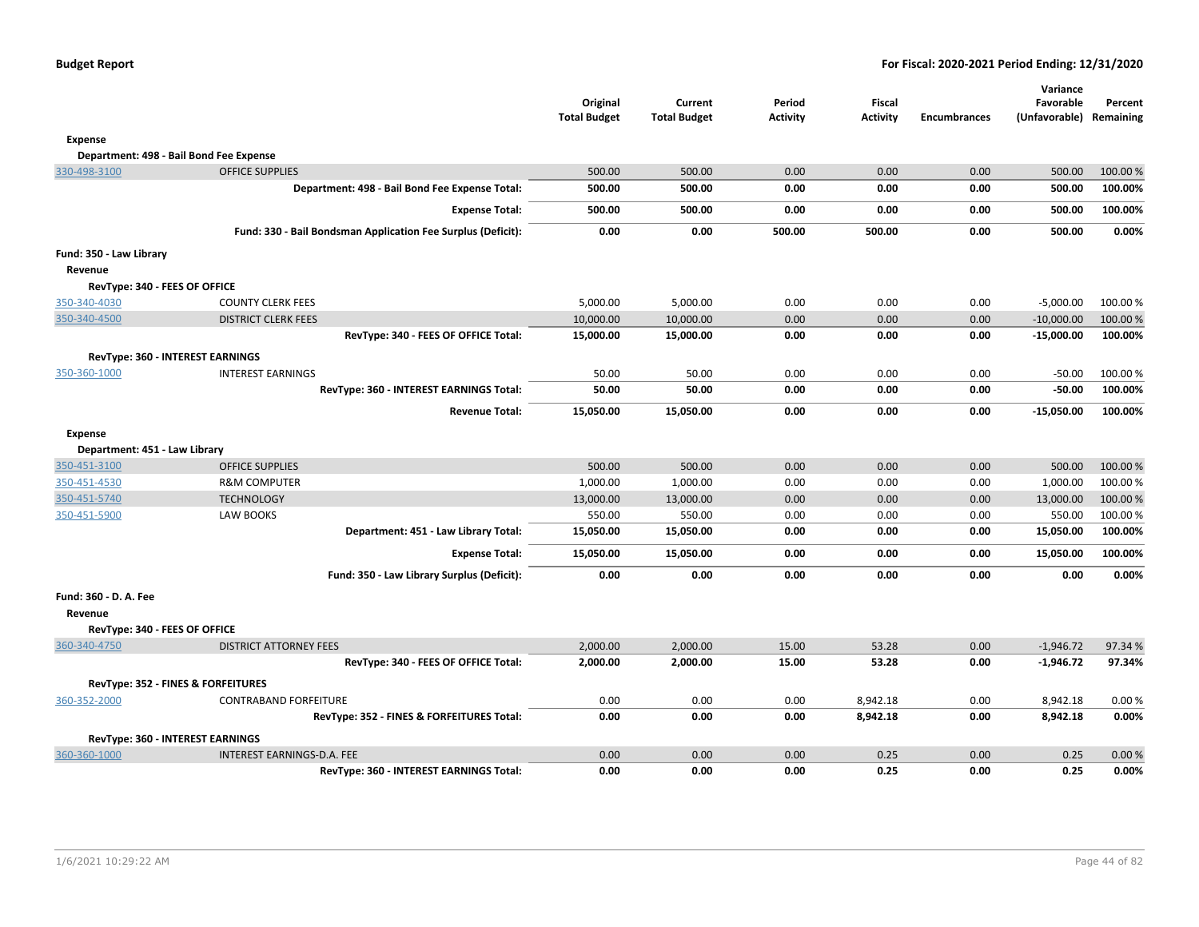| <b>Budget Report</b> |  |
|----------------------|--|
|----------------------|--|

|                                               |                                                              | Original<br><b>Total Budget</b> | Current<br><b>Total Budget</b> | Period<br><b>Activity</b> | <b>Fiscal</b><br><b>Activity</b> | <b>Encumbrances</b> | Variance<br>Favorable<br>(Unfavorable) Remaining | Percent  |
|-----------------------------------------------|--------------------------------------------------------------|---------------------------------|--------------------------------|---------------------------|----------------------------------|---------------------|--------------------------------------------------|----------|
| <b>Expense</b>                                |                                                              |                                 |                                |                           |                                  |                     |                                                  |          |
| Department: 498 - Bail Bond Fee Expense       |                                                              |                                 |                                |                           |                                  |                     |                                                  |          |
| 330-498-3100                                  | <b>OFFICE SUPPLIES</b>                                       | 500.00                          | 500.00                         | 0.00                      | 0.00                             | 0.00                | 500.00                                           | 100.00%  |
|                                               | Department: 498 - Bail Bond Fee Expense Total:               | 500.00                          | 500.00                         | 0.00                      | 0.00                             | 0.00                | 500.00                                           | 100.00%  |
|                                               | <b>Expense Total:</b>                                        | 500.00                          | 500.00                         | 0.00                      | 0.00                             | 0.00                | 500.00                                           | 100.00%  |
|                                               | Fund: 330 - Bail Bondsman Application Fee Surplus (Deficit): | 0.00                            | 0.00                           | 500.00                    | 500.00                           | 0.00                | 500.00                                           | 0.00%    |
| Fund: 350 - Law Library                       |                                                              |                                 |                                |                           |                                  |                     |                                                  |          |
| Revenue                                       |                                                              |                                 |                                |                           |                                  |                     |                                                  |          |
| RevType: 340 - FEES OF OFFICE                 |                                                              |                                 |                                |                           |                                  |                     |                                                  |          |
| 350-340-4030                                  | <b>COUNTY CLERK FEES</b>                                     | 5,000.00                        | 5,000.00                       | 0.00                      | 0.00                             | 0.00                | $-5,000.00$                                      | 100.00%  |
| 350-340-4500                                  | <b>DISTRICT CLERK FEES</b>                                   | 10,000.00                       | 10,000.00                      | 0.00                      | 0.00                             | 0.00                | $-10,000.00$                                     | 100.00 % |
|                                               | RevType: 340 - FEES OF OFFICE Total:                         | 15,000.00                       | 15,000.00                      | 0.00                      | 0.00                             | 0.00                | $-15,000.00$                                     | 100.00%  |
| RevType: 360 - INTEREST EARNINGS              |                                                              |                                 |                                |                           |                                  |                     |                                                  |          |
| 350-360-1000                                  | <b>INTEREST EARNINGS</b>                                     | 50.00                           | 50.00                          | 0.00                      | 0.00                             | 0.00                | $-50.00$                                         | 100.00%  |
|                                               | RevType: 360 - INTEREST EARNINGS Total:                      | 50.00                           | 50.00                          | 0.00                      | 0.00                             | 0.00                | $-50.00$                                         | 100.00%  |
|                                               | <b>Revenue Total:</b>                                        | 15,050.00                       | 15,050.00                      | 0.00                      | 0.00                             | 0.00                | $-15,050.00$                                     | 100.00%  |
| <b>Expense</b>                                |                                                              |                                 |                                |                           |                                  |                     |                                                  |          |
| Department: 451 - Law Library                 |                                                              |                                 |                                |                           |                                  |                     |                                                  |          |
| 350-451-3100                                  | <b>OFFICE SUPPLIES</b>                                       | 500.00                          | 500.00                         | 0.00                      | 0.00                             | 0.00                | 500.00                                           | 100.00%  |
| 350-451-4530                                  | <b>R&amp;M COMPUTER</b>                                      | 1,000.00                        | 1,000.00                       | 0.00                      | 0.00                             | 0.00                | 1,000.00                                         | 100.00%  |
| 350-451-5740                                  | <b>TECHNOLOGY</b>                                            | 13,000.00                       | 13,000.00                      | 0.00                      | 0.00                             | 0.00                | 13,000.00                                        | 100.00%  |
| 350-451-5900                                  | <b>LAW BOOKS</b>                                             | 550.00                          | 550.00                         | 0.00                      | 0.00                             | 0.00                | 550.00                                           | 100.00%  |
|                                               | Department: 451 - Law Library Total:                         | 15,050.00                       | 15,050.00                      | 0.00                      | 0.00                             | 0.00                | 15,050.00                                        | 100.00%  |
|                                               | <b>Expense Total:</b>                                        | 15,050.00                       | 15,050.00                      | 0.00                      | 0.00                             | 0.00                | 15,050.00                                        | 100.00%  |
|                                               | Fund: 350 - Law Library Surplus (Deficit):                   | 0.00                            | 0.00                           | 0.00                      | 0.00                             | 0.00                | 0.00                                             | $0.00\%$ |
| Fund: 360 - D. A. Fee                         |                                                              |                                 |                                |                           |                                  |                     |                                                  |          |
| Revenue                                       |                                                              |                                 |                                |                           |                                  |                     |                                                  |          |
| RevType: 340 - FEES OF OFFICE                 |                                                              |                                 |                                |                           |                                  |                     |                                                  |          |
| 360-340-4750                                  | <b>DISTRICT ATTORNEY FEES</b>                                | 2,000.00                        | 2,000.00                       | 15.00                     | 53.28                            | 0.00                | $-1,946.72$                                      | 97.34 %  |
|                                               | RevType: 340 - FEES OF OFFICE Total:                         | 2,000.00                        | 2,000.00                       | 15.00                     | 53.28                            | 0.00                | $-1,946.72$                                      | 97.34%   |
| <b>RevType: 352 - FINES &amp; FORFEITURES</b> |                                                              |                                 |                                |                           |                                  |                     |                                                  |          |
| 360-352-2000                                  | <b>CONTRABAND FORFEITURE</b>                                 | 0.00                            | 0.00                           | 0.00                      | 8,942.18                         | 0.00                | 8,942.18                                         | 0.00%    |
|                                               | RevType: 352 - FINES & FORFEITURES Total:                    | 0.00                            | 0.00                           | 0.00                      | 8,942.18                         | 0.00                | 8,942.18                                         | 0.00%    |
| RevType: 360 - INTEREST EARNINGS              |                                                              |                                 |                                |                           |                                  |                     |                                                  |          |
| 360-360-1000                                  | INTEREST EARNINGS-D.A. FEE                                   | 0.00                            | 0.00                           | 0.00                      | 0.25                             | 0.00                | 0.25                                             | 0.00%    |
|                                               | RevType: 360 - INTEREST EARNINGS Total:                      | 0.00                            | 0.00                           | 0.00                      | 0.25                             | 0.00                | 0.25                                             | 0.00%    |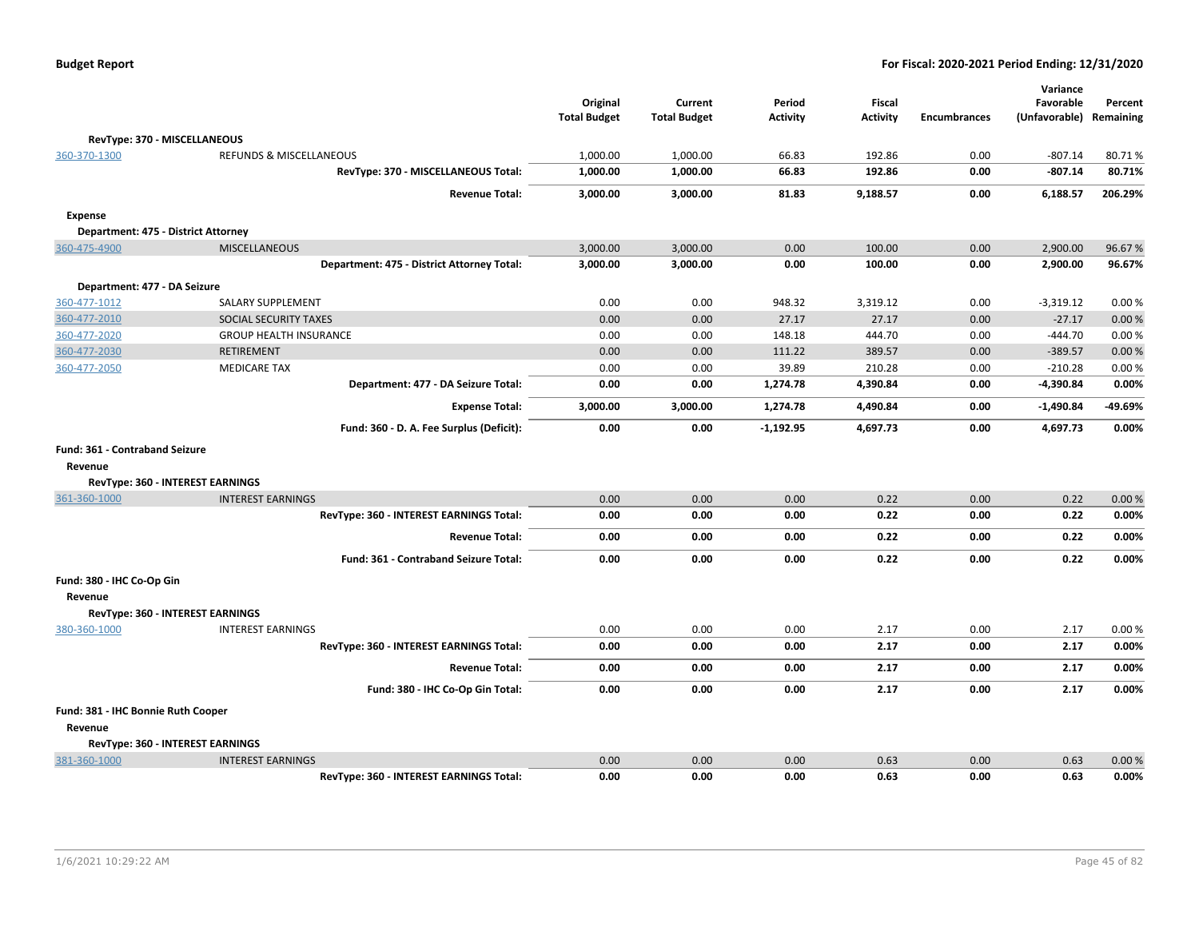|                                     |                                            | Original<br><b>Total Budget</b> | Current<br><b>Total Budget</b> | Period<br><b>Activity</b> | <b>Fiscal</b><br><b>Activity</b> | <b>Encumbrances</b> | Variance<br>Favorable<br>(Unfavorable) | Percent<br>Remaining |
|-------------------------------------|--------------------------------------------|---------------------------------|--------------------------------|---------------------------|----------------------------------|---------------------|----------------------------------------|----------------------|
| RevType: 370 - MISCELLANEOUS        |                                            |                                 |                                |                           |                                  |                     |                                        |                      |
| 360-370-1300                        | REFUNDS & MISCELLANEOUS                    | 1,000.00                        | 1,000.00                       | 66.83                     | 192.86                           | 0.00                | $-807.14$                              | 80.71%               |
|                                     | RevType: 370 - MISCELLANEOUS Total:        | 1,000.00                        | 1,000.00                       | 66.83                     | 192.86                           | 0.00                | $-807.14$                              | 80.71%               |
|                                     | <b>Revenue Total:</b>                      | 3,000.00                        | 3,000.00                       | 81.83                     | 9,188.57                         | 0.00                | 6,188.57                               | 206.29%              |
| Expense                             |                                            |                                 |                                |                           |                                  |                     |                                        |                      |
| Department: 475 - District Attorney |                                            |                                 |                                |                           |                                  |                     |                                        |                      |
| 360-475-4900                        | MISCELLANEOUS                              | 3,000.00                        | 3,000.00                       | 0.00                      | 100.00                           | 0.00                | 2,900.00                               | 96.67%               |
|                                     | Department: 475 - District Attorney Total: | 3,000.00                        | 3,000.00                       | 0.00                      | 100.00                           | 0.00                | 2,900.00                               | 96.67%               |
| Department: 477 - DA Seizure        |                                            |                                 |                                |                           |                                  |                     |                                        |                      |
| 360-477-1012                        | <b>SALARY SUPPLEMENT</b>                   | 0.00                            | 0.00                           | 948.32                    | 3,319.12                         | 0.00                | $-3,319.12$                            | 0.00%                |
| 360-477-2010                        | SOCIAL SECURITY TAXES                      | 0.00                            | 0.00                           | 27.17                     | 27.17                            | 0.00                | $-27.17$                               | 0.00%                |
| 360-477-2020                        | <b>GROUP HEALTH INSURANCE</b>              | 0.00                            | 0.00                           | 148.18                    | 444.70                           | 0.00                | $-444.70$                              | 0.00%                |
| 360-477-2030                        | <b>RETIREMENT</b>                          | 0.00                            | 0.00                           | 111.22                    | 389.57                           | 0.00                | $-389.57$                              | 0.00%                |
| 360-477-2050                        | <b>MEDICARE TAX</b>                        | 0.00                            | 0.00                           | 39.89                     | 210.28                           | 0.00                | $-210.28$                              | 0.00%                |
|                                     | Department: 477 - DA Seizure Total:        | 0.00                            | 0.00                           | 1,274.78                  | 4,390.84                         | 0.00                | $-4,390.84$                            | 0.00%                |
|                                     | <b>Expense Total:</b>                      | 3,000.00                        | 3,000.00                       | 1,274.78                  | 4,490.84                         | 0.00                | $-1,490.84$                            | -49.69%              |
|                                     | Fund: 360 - D. A. Fee Surplus (Deficit):   | 0.00                            | 0.00                           | $-1,192.95$               | 4,697.73                         | 0.00                | 4,697.73                               | 0.00%                |
| Fund: 361 - Contraband Seizure      |                                            |                                 |                                |                           |                                  |                     |                                        |                      |
| Revenue                             |                                            |                                 |                                |                           |                                  |                     |                                        |                      |
|                                     | RevType: 360 - INTEREST EARNINGS           |                                 |                                |                           |                                  |                     |                                        |                      |
| 361-360-1000                        | <b>INTEREST EARNINGS</b>                   | 0.00                            | 0.00                           | 0.00                      | 0.22                             | 0.00                | 0.22                                   | 0.00%                |
|                                     | RevType: 360 - INTEREST EARNINGS Total:    | 0.00                            | 0.00                           | 0.00                      | 0.22                             | 0.00                | 0.22                                   | 0.00%                |
|                                     | <b>Revenue Total:</b>                      | 0.00                            | 0.00                           | 0.00                      | 0.22                             | 0.00                | 0.22                                   | 0.00%                |
|                                     | Fund: 361 - Contraband Seizure Total:      | 0.00                            | 0.00                           | 0.00                      | 0.22                             | 0.00                | 0.22                                   | 0.00%                |
| Fund: 380 - IHC Co-Op Gin           |                                            |                                 |                                |                           |                                  |                     |                                        |                      |
| Revenue                             |                                            |                                 |                                |                           |                                  |                     |                                        |                      |
|                                     | RevType: 360 - INTEREST EARNINGS           |                                 |                                |                           |                                  |                     |                                        |                      |
| 380-360-1000                        | <b>INTEREST EARNINGS</b>                   | 0.00                            | 0.00                           | 0.00                      | 2.17                             | 0.00                | 2.17                                   | 0.00%                |
|                                     | RevType: 360 - INTEREST EARNINGS Total:    | 0.00                            | 0.00                           | 0.00                      | 2.17                             | 0.00                | 2.17                                   | 0.00%                |
|                                     | <b>Revenue Total:</b>                      | 0.00                            | 0.00                           | 0.00                      | 2.17                             | 0.00                | 2.17                                   | 0.00%                |
|                                     | Fund: 380 - IHC Co-Op Gin Total:           | 0.00                            | 0.00                           | 0.00                      | 2.17                             | 0.00                | 2.17                                   | 0.00%                |
| Fund: 381 - IHC Bonnie Ruth Cooper  |                                            |                                 |                                |                           |                                  |                     |                                        |                      |
| Revenue                             |                                            |                                 |                                |                           |                                  |                     |                                        |                      |
|                                     | RevType: 360 - INTEREST EARNINGS           |                                 |                                |                           |                                  |                     |                                        |                      |
| 381-360-1000                        | <b>INTEREST EARNINGS</b>                   | 0.00                            | 0.00                           | 0.00                      | 0.63                             | 0.00                | 0.63                                   | 0.00%                |
|                                     | RevType: 360 - INTEREST EARNINGS Total:    | 0.00                            | 0.00                           | 0.00                      | 0.63                             | 0.00                | 0.63                                   | 0.00%                |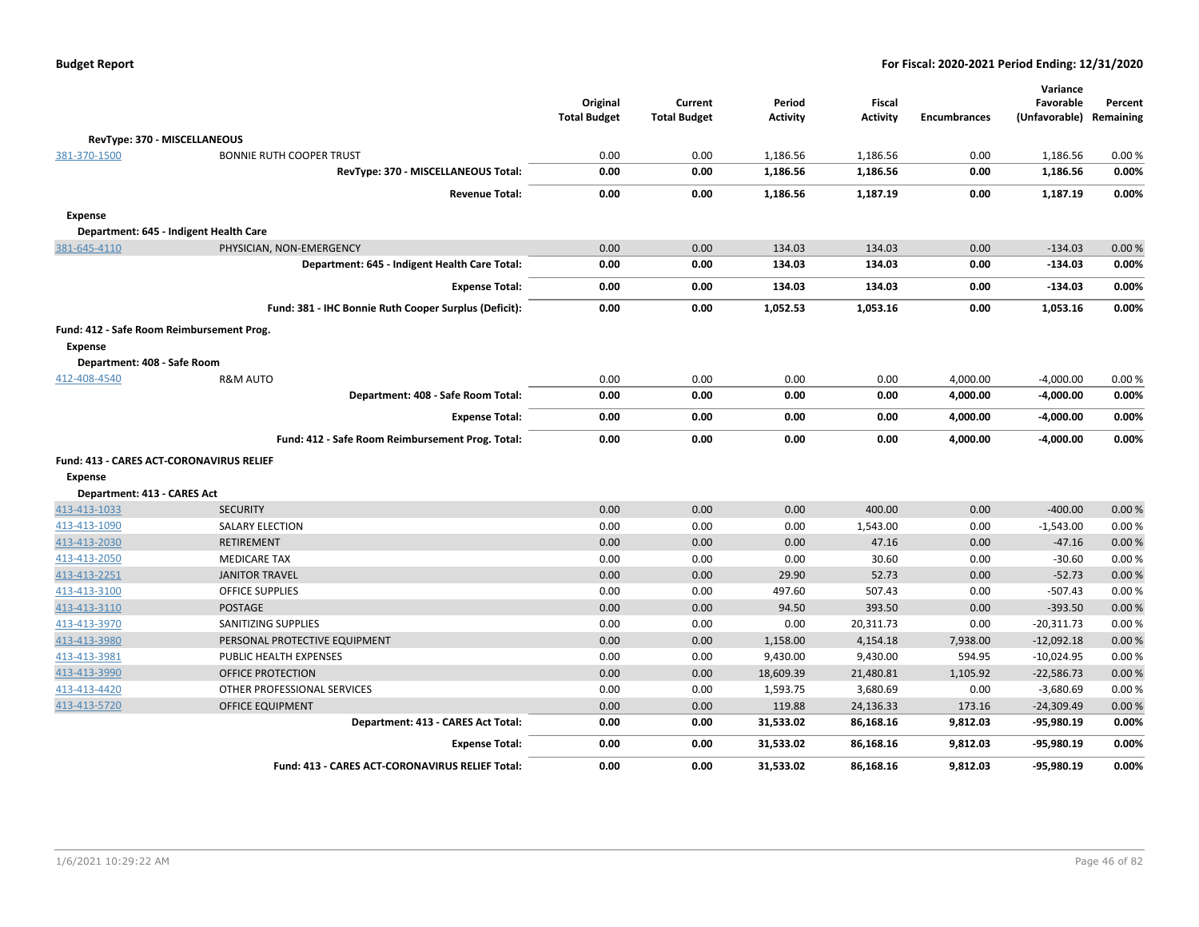|  | <b>Budget Report</b> |
|--|----------------------|
|--|----------------------|

|                             |                                                       | Original<br><b>Total Budget</b> | Current<br><b>Total Budget</b> | Period<br><b>Activity</b> | Fiscal<br><b>Activity</b> | <b>Encumbrances</b> | Variance<br>Favorable<br>(Unfavorable) | Percent<br>Remaining |
|-----------------------------|-------------------------------------------------------|---------------------------------|--------------------------------|---------------------------|---------------------------|---------------------|----------------------------------------|----------------------|
|                             | RevType: 370 - MISCELLANEOUS                          |                                 |                                |                           |                           |                     |                                        |                      |
| 381-370-1500                | <b>BONNIE RUTH COOPER TRUST</b>                       | 0.00                            | 0.00                           | 1,186.56                  | 1,186.56                  | 0.00                | 1,186.56                               | 0.00%                |
|                             | RevType: 370 - MISCELLANEOUS Total:                   | 0.00                            | 0.00                           | 1,186.56                  | 1,186.56                  | 0.00                | 1,186.56                               | 0.00%                |
|                             | <b>Revenue Total:</b>                                 | 0.00                            | 0.00                           | 1,186.56                  | 1,187.19                  | 0.00                | 1,187.19                               | 0.00%                |
| <b>Expense</b>              |                                                       |                                 |                                |                           |                           |                     |                                        |                      |
|                             | Department: 645 - Indigent Health Care                |                                 |                                |                           |                           |                     |                                        |                      |
| 381-645-4110                | PHYSICIAN, NON-EMERGENCY                              | 0.00                            | 0.00                           | 134.03                    | 134.03                    | 0.00                | $-134.03$                              | 0.00%                |
|                             | Department: 645 - Indigent Health Care Total:         | 0.00                            | 0.00                           | 134.03                    | 134.03                    | 0.00                | $-134.03$                              | 0.00%                |
|                             | <b>Expense Total:</b>                                 | 0.00                            | 0.00                           | 134.03                    | 134.03                    | 0.00                | $-134.03$                              | 0.00%                |
|                             | Fund: 381 - IHC Bonnie Ruth Cooper Surplus (Deficit): | 0.00                            | 0.00                           | 1,052.53                  | 1,053.16                  | 0.00                | 1,053.16                               | 0.00%                |
| <b>Expense</b>              | Fund: 412 - Safe Room Reimbursement Prog.             |                                 |                                |                           |                           |                     |                                        |                      |
| Department: 408 - Safe Room |                                                       |                                 |                                |                           |                           |                     |                                        |                      |
| 412-408-4540                | <b>R&amp;M AUTO</b>                                   | 0.00                            | 0.00                           | 0.00                      | 0.00                      | 4,000.00            | $-4,000.00$                            | 0.00%                |
|                             | Department: 408 - Safe Room Total:                    | 0.00                            | 0.00                           | 0.00                      | 0.00                      | 4,000.00            | $-4,000.00$                            | 0.00%                |
|                             | <b>Expense Total:</b>                                 | 0.00                            | 0.00                           | 0.00                      | 0.00                      | 4,000.00            | $-4,000.00$                            | 0.00%                |
|                             | Fund: 412 - Safe Room Reimbursement Prog. Total:      | 0.00                            | 0.00                           | 0.00                      | 0.00                      | 4,000.00            | $-4,000.00$                            | 0.00%                |
|                             | Fund: 413 - CARES ACT-CORONAVIRUS RELIEF              |                                 |                                |                           |                           |                     |                                        |                      |
| <b>Expense</b>              |                                                       |                                 |                                |                           |                           |                     |                                        |                      |
| Department: 413 - CARES Act |                                                       |                                 |                                |                           |                           |                     |                                        |                      |
| 413-413-1033                | <b>SECURITY</b>                                       | 0.00                            | 0.00                           | 0.00                      | 400.00                    | 0.00                | $-400.00$                              | 0.00%                |
| 413-413-1090                | <b>SALARY ELECTION</b>                                | 0.00                            | 0.00                           | 0.00                      | 1,543.00                  | 0.00                | $-1,543.00$                            | 0.00%                |
| 413-413-2030                | <b>RETIREMENT</b>                                     | 0.00                            | 0.00                           | 0.00                      | 47.16                     | 0.00                | $-47.16$                               | 0.00%                |
| 413-413-2050                | <b>MEDICARE TAX</b>                                   | 0.00                            | 0.00                           | 0.00                      | 30.60                     | 0.00                | $-30.60$                               | 0.00%                |
| 413-413-2251                | <b>JANITOR TRAVEL</b>                                 | 0.00                            | 0.00                           | 29.90                     | 52.73                     | 0.00                | $-52.73$                               | 0.00 %               |
| 413-413-3100                | <b>OFFICE SUPPLIES</b>                                | 0.00                            | 0.00                           | 497.60                    | 507.43                    | 0.00                | $-507.43$                              | 0.00%                |
| 413-413-3110                | POSTAGE                                               | 0.00                            | 0.00                           | 94.50                     | 393.50                    | 0.00                | $-393.50$                              | 0.00 %               |
| 413-413-3970                | SANITIZING SUPPLIES                                   | 0.00                            | 0.00                           | 0.00                      | 20,311.73                 | 0.00                | $-20,311.73$                           | 0.00%                |
| 413-413-3980                | PERSONAL PROTECTIVE EQUIPMENT                         | 0.00                            | 0.00                           | 1,158.00                  | 4,154.18                  | 7,938.00            | $-12,092.18$                           | 0.00 %               |
| 413-413-3981                | PUBLIC HEALTH EXPENSES                                | 0.00                            | 0.00                           | 9,430.00                  | 9,430.00                  | 594.95              | $-10,024.95$                           | 0.00%                |
| 413-413-3990                | <b>OFFICE PROTECTION</b>                              | 0.00                            | 0.00                           | 18,609.39                 | 21,480.81                 | 1,105.92            | $-22,586.73$                           | 0.00 %               |
| 413-413-4420                | OTHER PROFESSIONAL SERVICES                           | 0.00                            | 0.00                           | 1,593.75                  | 3,680.69                  | 0.00                | $-3,680.69$                            | 0.00%                |
| 413-413-5720                | OFFICE EQUIPMENT                                      | 0.00                            | 0.00                           | 119.88                    | 24,136.33                 | 173.16              | $-24,309.49$                           | 0.00%                |
|                             | Department: 413 - CARES Act Total:                    | 0.00                            | 0.00                           | 31,533.02                 | 86,168.16                 | 9,812.03            | -95,980.19                             | 0.00%                |
|                             | <b>Expense Total:</b>                                 | 0.00                            | 0.00                           | 31,533.02                 | 86,168.16                 | 9,812.03            | $-95,980.19$                           | 0.00%                |
|                             | Fund: 413 - CARES ACT-CORONAVIRUS RELIEF Total:       | 0.00                            | 0.00                           | 31.533.02                 | 86.168.16                 | 9.812.03            | -95.980.19                             | 0.00%                |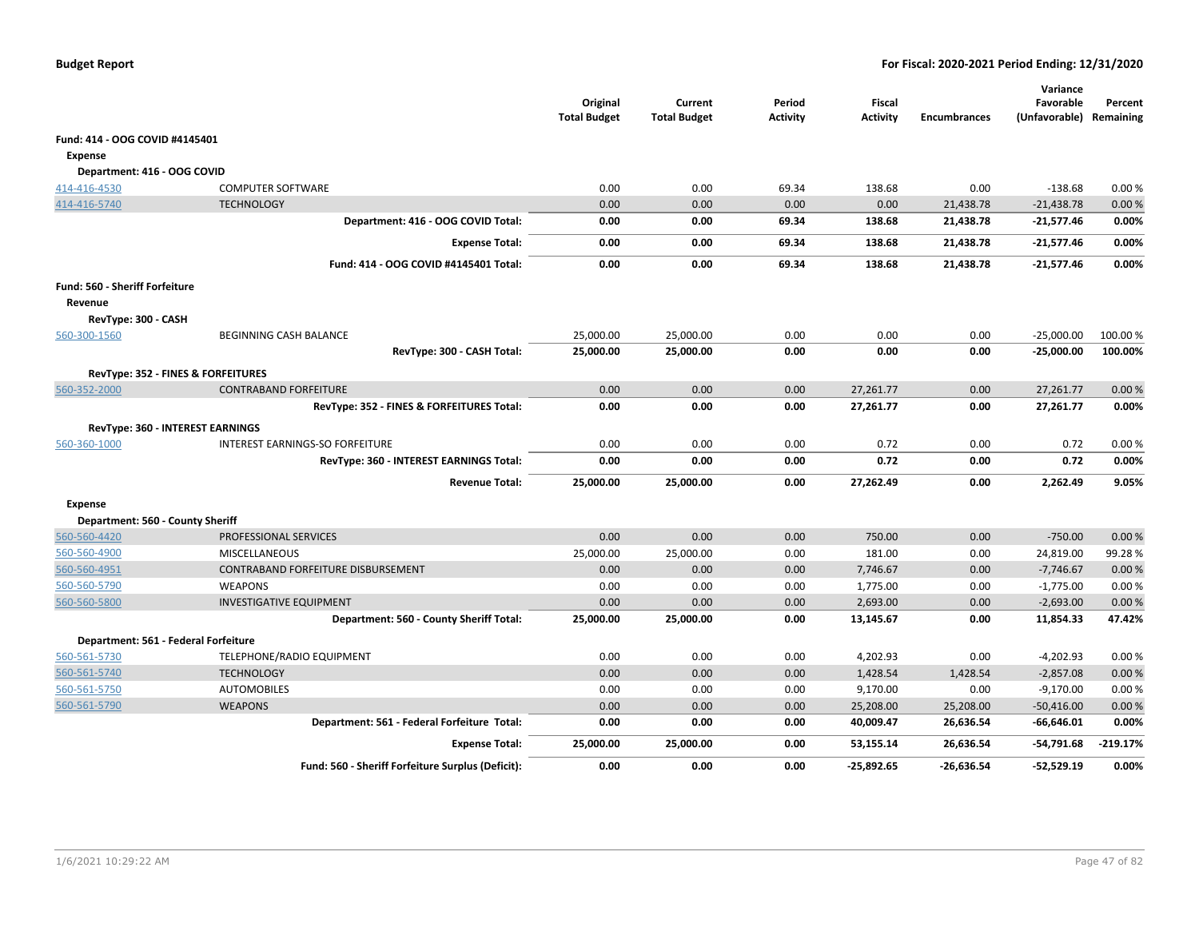|                                           |                                                   | Original<br><b>Total Budget</b> | Current<br><b>Total Budget</b> | Period<br><b>Activity</b> | <b>Fiscal</b><br><b>Activity</b> | <b>Encumbrances</b> | Variance<br>Favorable<br>(Unfavorable) Remaining | Percent  |
|-------------------------------------------|---------------------------------------------------|---------------------------------|--------------------------------|---------------------------|----------------------------------|---------------------|--------------------------------------------------|----------|
| Fund: 414 - OOG COVID #4145401            |                                                   |                                 |                                |                           |                                  |                     |                                                  |          |
| Expense                                   |                                                   |                                 |                                |                           |                                  |                     |                                                  |          |
| Department: 416 - OOG COVID               |                                                   |                                 |                                |                           |                                  |                     |                                                  |          |
| 414-416-4530                              | <b>COMPUTER SOFTWARE</b>                          | 0.00                            | 0.00                           | 69.34                     | 138.68                           | 0.00                | $-138.68$                                        | 0.00%    |
| 414-416-5740                              | <b>TECHNOLOGY</b>                                 | 0.00                            | 0.00                           | 0.00                      | 0.00                             | 21,438.78           | $-21,438.78$                                     | 0.00%    |
|                                           | Department: 416 - OOG COVID Total:                | 0.00                            | 0.00                           | 69.34                     | 138.68                           | 21,438.78           | $-21,577.46$                                     | 0.00%    |
|                                           | <b>Expense Total:</b>                             | 0.00                            | 0.00                           | 69.34                     | 138.68                           | 21,438.78           | $-21,577.46$                                     | 0.00%    |
|                                           | Fund: 414 - OOG COVID #4145401 Total:             | 0.00                            | 0.00                           | 69.34                     | 138.68                           | 21,438.78           | $-21,577.46$                                     | 0.00%    |
| Fund: 560 - Sheriff Forfeiture<br>Revenue |                                                   |                                 |                                |                           |                                  |                     |                                                  |          |
| RevType: 300 - CASH                       |                                                   |                                 |                                |                           |                                  |                     |                                                  |          |
| 560-300-1560                              | BEGINNING CASH BALANCE                            | 25,000.00                       | 25,000.00                      | 0.00                      | 0.00<br>0.00                     | 0.00                | $-25,000.00$                                     | 100.00 % |
|                                           | RevType: 300 - CASH Total:                        | 25,000.00                       | 25,000.00                      | 0.00                      |                                  | 0.00                | $-25,000.00$                                     | 100.00%  |
|                                           | RevType: 352 - FINES & FORFEITURES                |                                 |                                |                           |                                  |                     |                                                  |          |
| 560-352-2000                              | <b>CONTRABAND FORFEITURE</b>                      | 0.00                            | 0.00                           | 0.00                      | 27,261.77                        | 0.00                | 27,261.77                                        | 0.00%    |
|                                           | RevType: 352 - FINES & FORFEITURES Total:         | 0.00                            | 0.00                           | 0.00                      | 27,261.77                        | 0.00                | 27,261.77                                        | 0.00%    |
|                                           | RevType: 360 - INTEREST EARNINGS                  |                                 |                                |                           |                                  |                     |                                                  |          |
| 560-360-1000                              | INTEREST EARNINGS-SO FORFEITURE                   | 0.00                            | 0.00                           | 0.00                      | 0.72                             | 0.00                | 0.72                                             | 0.00%    |
|                                           | RevType: 360 - INTEREST EARNINGS Total:           | 0.00                            | 0.00                           | 0.00                      | 0.72                             | 0.00                | 0.72                                             | 0.00%    |
|                                           | <b>Revenue Total:</b>                             | 25,000.00                       | 25,000.00                      | 0.00                      | 27,262.49                        | 0.00                | 2,262.49                                         | 9.05%    |
| <b>Expense</b>                            |                                                   |                                 |                                |                           |                                  |                     |                                                  |          |
| Department: 560 - County Sheriff          |                                                   |                                 |                                |                           |                                  |                     |                                                  |          |
| 560-560-4420                              | PROFESSIONAL SERVICES                             | 0.00                            | 0.00                           | 0.00                      | 750.00                           | 0.00                | $-750.00$                                        | 0.00%    |
| 560-560-4900                              | MISCELLANEOUS                                     | 25,000.00                       | 25,000.00                      | 0.00                      | 181.00                           | 0.00                | 24,819.00                                        | 99.28%   |
| 560-560-4951                              | CONTRABAND FORFEITURE DISBURSEMENT                | 0.00                            | 0.00                           | 0.00                      | 7,746.67                         | 0.00                | $-7,746.67$                                      | 0.00%    |
| 560-560-5790                              | <b>WEAPONS</b>                                    | 0.00                            | 0.00                           | 0.00                      | 1,775.00                         | 0.00                | $-1,775.00$                                      | 0.00%    |
| 560-560-5800                              | <b>INVESTIGATIVE EQUIPMENT</b>                    | 0.00                            | 0.00                           | 0.00                      | 2,693.00                         | 0.00                | $-2,693.00$                                      | 0.00%    |
|                                           | Department: 560 - County Sheriff Total:           | 25,000.00                       | 25,000.00                      | 0.00                      | 13,145.67                        | 0.00                | 11,854.33                                        | 47.42%   |
| Department: 561 - Federal Forfeiture      |                                                   |                                 |                                |                           |                                  |                     |                                                  |          |
| 560-561-5730                              | TELEPHONE/RADIO EQUIPMENT                         | 0.00                            | 0.00                           | 0.00                      | 4,202.93                         | 0.00                | -4,202.93                                        | 0.00%    |
| 560-561-5740                              | <b>TECHNOLOGY</b>                                 | 0.00                            | 0.00                           | 0.00                      | 1,428.54                         | 1,428.54            | $-2,857.08$                                      | 0.00%    |
| 560-561-5750                              | <b>AUTOMOBILES</b>                                | 0.00                            | 0.00                           | 0.00                      | 9,170.00                         | 0.00                | $-9,170.00$                                      | 0.00%    |
| 560-561-5790                              | <b>WEAPONS</b>                                    | 0.00                            | 0.00                           | 0.00                      | 25,208.00                        | 25,208.00           | $-50,416.00$                                     | 0.00%    |
|                                           | Department: 561 - Federal Forfeiture Total:       | 0.00                            | 0.00                           | 0.00                      | 40,009.47                        | 26,636.54           | $-66,646.01$                                     | 0.00%    |
|                                           | <b>Expense Total:</b>                             | 25,000.00                       | 25,000.00                      | 0.00                      | 53,155.14                        | 26,636.54           | -54,791.68                                       | -219.17% |
|                                           | Fund: 560 - Sheriff Forfeiture Surplus (Deficit): | 0.00                            | 0.00                           | 0.00                      | $-25,892.65$                     | $-26.636.54$        | $-52,529.19$                                     | 0.00%    |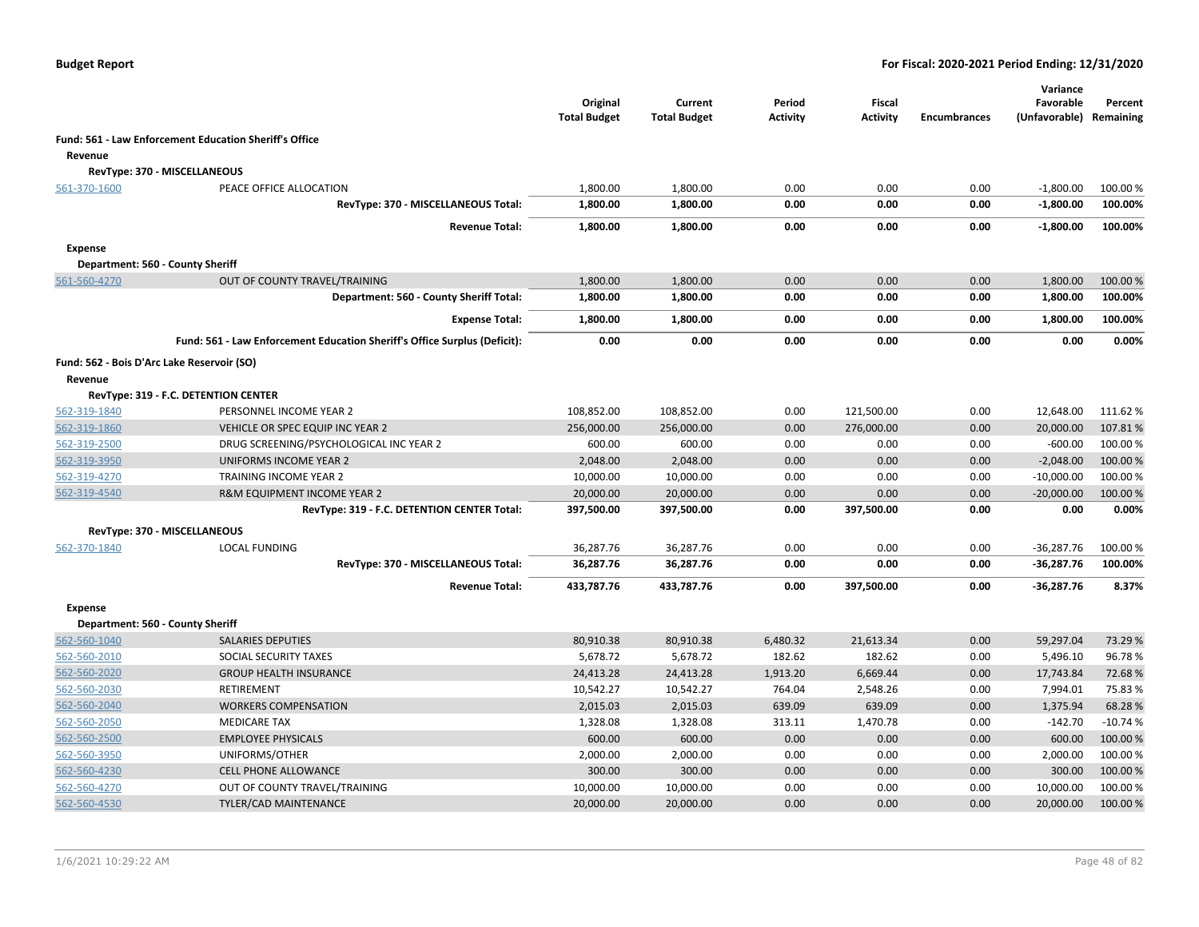|                |                                                                           | Original<br><b>Total Budget</b> | Current<br><b>Total Budget</b> | Period<br><b>Activity</b> | Fiscal<br><b>Activity</b> | <b>Encumbrances</b> | Variance<br>Favorable<br>(Unfavorable) | Percent<br>Remaining |
|----------------|---------------------------------------------------------------------------|---------------------------------|--------------------------------|---------------------------|---------------------------|---------------------|----------------------------------------|----------------------|
|                | Fund: 561 - Law Enforcement Education Sheriff's Office                    |                                 |                                |                           |                           |                     |                                        |                      |
| Revenue        |                                                                           |                                 |                                |                           |                           |                     |                                        |                      |
|                | RevType: 370 - MISCELLANEOUS                                              |                                 |                                |                           |                           |                     |                                        |                      |
| 561-370-1600   | PEACE OFFICE ALLOCATION                                                   | 1,800.00                        | 1,800.00                       | 0.00                      | 0.00                      | 0.00                | $-1,800.00$                            | 100.00 %             |
|                | RevType: 370 - MISCELLANEOUS Total:                                       | 1,800.00                        | 1,800.00                       | 0.00                      | 0.00                      | 0.00                | $-1,800.00$                            | 100.00%              |
|                | <b>Revenue Total:</b>                                                     | 1,800.00                        | 1,800.00                       | 0.00                      | 0.00                      | 0.00                | $-1,800.00$                            | 100.00%              |
| <b>Expense</b> |                                                                           |                                 |                                |                           |                           |                     |                                        |                      |
|                | Department: 560 - County Sheriff                                          |                                 |                                |                           |                           |                     |                                        |                      |
| 561-560-4270   | OUT OF COUNTY TRAVEL/TRAINING                                             | 1,800.00                        | 1,800.00                       | 0.00                      | 0.00                      | 0.00                | 1,800.00                               | 100.00 %             |
|                | Department: 560 - County Sheriff Total:                                   | 1,800.00                        | 1,800.00                       | 0.00                      | 0.00                      | 0.00                | 1,800.00                               | 100.00%              |
|                | <b>Expense Total:</b>                                                     | 1,800.00                        | 1,800.00                       | 0.00                      | 0.00                      | 0.00                | 1,800.00                               | 100.00%              |
|                | Fund: 561 - Law Enforcement Education Sheriff's Office Surplus (Deficit): | 0.00                            | 0.00                           | 0.00                      | 0.00                      | 0.00                | 0.00                                   | 0.00%                |
|                | Fund: 562 - Bois D'Arc Lake Reservoir (SO)                                |                                 |                                |                           |                           |                     |                                        |                      |
| Revenue        |                                                                           |                                 |                                |                           |                           |                     |                                        |                      |
|                | RevType: 319 - F.C. DETENTION CENTER                                      |                                 |                                |                           |                           |                     |                                        |                      |
| 562-319-1840   | PERSONNEL INCOME YEAR 2                                                   | 108,852.00                      | 108,852.00                     | 0.00                      | 121,500.00                | 0.00                | 12,648.00                              | 111.62 %             |
| 562-319-1860   | VEHICLE OR SPEC EQUIP INC YEAR 2                                          | 256,000.00                      | 256,000.00                     | 0.00                      | 276,000.00                | 0.00                | 20,000.00                              | 107.81%              |
| 562-319-2500   | DRUG SCREENING/PSYCHOLOGICAL INC YEAR 2                                   | 600.00                          | 600.00                         | 0.00                      | 0.00                      | 0.00                | $-600.00$                              | 100.00 %             |
| 562-319-3950   | UNIFORMS INCOME YEAR 2                                                    | 2,048.00                        | 2,048.00                       | 0.00                      | 0.00                      | 0.00                | $-2,048.00$                            | 100.00 %             |
| 562-319-4270   | TRAINING INCOME YEAR 2                                                    | 10,000.00                       | 10,000.00                      | 0.00                      | 0.00                      | 0.00                | $-10,000.00$                           | 100.00%              |
| 562-319-4540   | R&M EQUIPMENT INCOME YEAR 2                                               | 20,000.00                       | 20,000.00                      | 0.00                      | 0.00                      | 0.00                | $-20,000.00$                           | 100.00 %             |
|                | RevType: 319 - F.C. DETENTION CENTER Total:                               | 397,500.00                      | 397,500.00                     | 0.00                      | 397,500.00                | 0.00                | 0.00                                   | 0.00%                |
|                | RevType: 370 - MISCELLANEOUS                                              |                                 |                                |                           |                           |                     |                                        |                      |
| 562-370-1840   | <b>LOCAL FUNDING</b>                                                      | 36,287.76                       | 36,287.76                      | 0.00                      | 0.00                      | 0.00                | $-36,287.76$                           | 100.00 %             |
|                | RevType: 370 - MISCELLANEOUS Total:                                       | 36,287.76                       | 36,287.76                      | 0.00                      | 0.00                      | 0.00                | $-36,287.76$                           | 100.00%              |
|                | <b>Revenue Total:</b>                                                     | 433,787.76                      | 433,787.76                     | 0.00                      | 397,500.00                | 0.00                | $-36,287.76$                           | 8.37%                |
| Expense        |                                                                           |                                 |                                |                           |                           |                     |                                        |                      |
|                | Department: 560 - County Sheriff                                          |                                 |                                |                           |                           |                     |                                        |                      |
| 562-560-1040   | <b>SALARIES DEPUTIES</b>                                                  | 80,910.38                       | 80,910.38                      | 6,480.32                  | 21,613.34                 | 0.00                | 59,297.04                              | 73.29 %              |
| 562-560-2010   | SOCIAL SECURITY TAXES                                                     | 5,678.72                        | 5,678.72                       | 182.62                    | 182.62                    | 0.00                | 5,496.10                               | 96.78%               |
| 562-560-2020   | <b>GROUP HEALTH INSURANCE</b>                                             | 24,413.28                       | 24,413.28                      | 1,913.20                  | 6,669.44                  | 0.00                | 17,743.84                              | 72.68%               |
| 562-560-2030   | <b>RETIREMENT</b>                                                         | 10,542.27                       | 10,542.27                      | 764.04                    | 2,548.26                  | 0.00                | 7,994.01                               | 75.83%               |
| 562-560-2040   | <b>WORKERS COMPENSATION</b>                                               | 2,015.03                        | 2,015.03                       | 639.09                    | 639.09                    | 0.00                | 1,375.94                               | 68.28%               |
| 562-560-2050   | <b>MEDICARE TAX</b>                                                       | 1,328.08                        | 1,328.08                       | 313.11                    | 1,470.78                  | 0.00                | $-142.70$                              | $-10.74%$            |
| 562-560-2500   | <b>EMPLOYEE PHYSICALS</b>                                                 | 600.00                          | 600.00                         | 0.00                      | 0.00                      | 0.00                | 600.00                                 | 100.00 %             |
| 562-560-3950   | UNIFORMS/OTHER                                                            | 2,000.00                        | 2,000.00                       | 0.00                      | 0.00                      | 0.00                | 2,000.00                               | 100.00 %             |
| 562-560-4230   | <b>CELL PHONE ALLOWANCE</b>                                               | 300.00                          | 300.00                         | 0.00                      | 0.00                      | 0.00                | 300.00                                 | 100.00 %             |
| 562-560-4270   | OUT OF COUNTY TRAVEL/TRAINING                                             | 10,000.00                       | 10,000.00                      | 0.00                      | 0.00                      | 0.00                | 10,000.00                              | 100.00%              |
| 562-560-4530   | <b>TYLER/CAD MAINTENANCE</b>                                              | 20,000.00                       | 20,000.00                      | 0.00                      | 0.00                      | 0.00                | 20,000.00                              | 100.00 %             |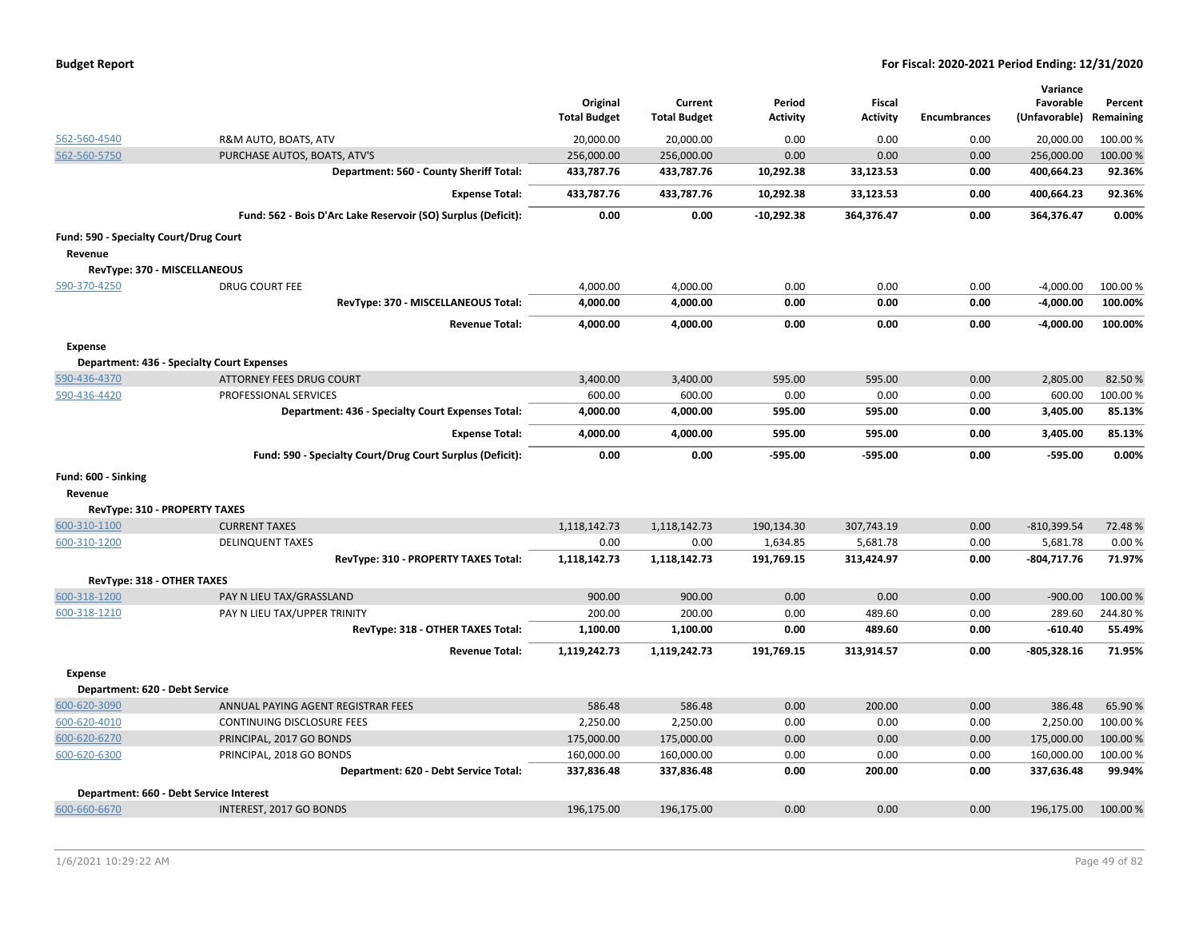| <b>Budget Report</b> |  |
|----------------------|--|
|----------------------|--|

| 20,000.00<br>0.00<br>562-560-4540<br>R&M AUTO, BOATS, ATV<br>20,000.00<br>0.00<br>0.00<br>20,000.00<br>100.00 %<br>562-560-5750<br>PURCHASE AUTOS, BOATS, ATV'S<br>256,000.00<br>256,000.00<br>0.00<br>0.00<br>0.00<br>256,000.00<br>100.00 %<br>Department: 560 - County Sheriff Total:<br>433,787.76<br>433,787.76<br>10,292.38<br>400,664.23<br>92.36%<br>33,123.53<br>0.00<br>92.36%<br>433,787.76<br>433,787.76<br>10,292.38<br>33,123.53<br>0.00<br>400,664.23<br><b>Expense Total:</b><br>0.00%<br>Fund: 562 - Bois D'Arc Lake Reservoir (SO) Surplus (Deficit):<br>0.00<br>0.00<br>$-10,292.38$<br>364,376.47<br>0.00<br>364,376.47<br>Fund: 590 - Specialty Court/Drug Court<br>Revenue<br>RevType: 370 - MISCELLANEOUS<br>DRUG COURT FEE<br>4,000.00<br>4,000.00<br>0.00<br>0.00<br>0.00<br>$-4,000.00$<br>100.00 %<br>590-370-4250<br>RevType: 370 - MISCELLANEOUS Total:<br>4,000.00<br>4,000.00<br>0.00<br>0.00<br>0.00<br>$-4,000.00$<br>100.00%<br>0.00<br>0.00<br>0.00<br>$-4,000.00$<br>100.00%<br><b>Revenue Total:</b><br>4,000.00<br>4,000.00<br><b>Expense</b><br><b>Department: 436 - Specialty Court Expenses</b><br>3,400.00<br>595.00<br>595.00<br>0.00<br>2,805.00<br>82.50%<br>590-436-4370<br><b>ATTORNEY FEES DRUG COURT</b><br>3,400.00<br>PROFESSIONAL SERVICES<br>600.00<br>600.00<br>0.00<br>0.00<br>0.00<br>600.00<br>100.00%<br>590-436-4420<br>Department: 436 - Specialty Court Expenses Total:<br>595.00<br>3,405.00<br>85.13%<br>4,000.00<br>4,000.00<br>595.00<br>0.00<br>85.13%<br>4,000.00<br>595.00<br>595.00<br>0.00<br><b>Expense Total:</b><br>4,000.00<br>3,405.00<br>0.00%<br>Fund: 590 - Specialty Court/Drug Court Surplus (Deficit):<br>0.00<br>0.00<br>$-595.00$<br>-595.00<br>0.00<br>$-595.00$<br>Fund: 600 - Sinking<br>Revenue<br>RevType: 310 - PROPERTY TAXES<br>600-310-1100<br>0.00<br>$-810,399.54$<br>72.48%<br><b>CURRENT TAXES</b><br>1,118,142.73<br>1,118,142.73<br>190,134.30<br>307,743.19<br>5,681.78<br>5,681.78<br>0.00%<br><b>DELINQUENT TAXES</b><br>0.00<br>0.00<br>1,634.85<br>0.00<br>600-310-1200<br>RevType: 310 - PROPERTY TAXES Total:<br>1,118,142.73<br>1,118,142.73<br>191,769.15<br>313,424.97<br>0.00<br>$-804,717.76$<br>71.97%<br>RevType: 318 - OTHER TAXES<br>0.00<br>0.00<br>0.00<br>$-900.00$<br>100.00%<br>600-318-1200<br>PAY N LIEU TAX/GRASSLAND<br>900.00<br>900.00<br>PAY N LIEU TAX/UPPER TRINITY<br>200.00<br>200.00<br>0.00<br>489.60<br>0.00<br>289.60<br>244.80%<br>600-318-1210<br>RevType: 318 - OTHER TAXES Total:<br>1,100.00<br>1,100.00<br>0.00<br>489.60<br>0.00<br>$-610.40$<br>55.49%<br>71.95%<br><b>Revenue Total:</b><br>1,119,242.73<br>1,119,242.73<br>191,769.15<br>313,914.57<br>0.00<br>$-805,328.16$<br><b>Expense</b><br>Department: 620 - Debt Service<br>586.48<br>586.48<br>0.00<br>200.00<br>0.00<br>386.48<br>600-620-3090<br>ANNUAL PAYING AGENT REGISTRAR FEES<br>65.90%<br>0.00<br>2,250.00<br>100.00%<br>600-620-4010<br>CONTINUING DISCLOSURE FEES<br>2,250.00<br>2,250.00<br>0.00<br>0.00<br>175,000.00<br>0.00<br>0.00<br>0.00<br>175,000.00<br>100.00%<br>600-620-6270<br>PRINCIPAL, 2017 GO BONDS<br>175,000.00<br>160,000.00<br>160,000.00<br>0.00<br>0.00<br>0.00<br>160,000.00<br>100.00%<br>600-620-6300<br>PRINCIPAL, 2018 GO BONDS<br>200.00<br>337,636.48<br>99.94%<br>Department: 620 - Debt Service Total:<br>337,836.48<br>337,836.48<br>0.00<br>0.00<br>Department: 660 - Debt Service Interest |              |                         | Original<br><b>Total Budget</b> | Current<br><b>Total Budget</b> | Period<br><b>Activity</b> | <b>Fiscal</b><br><b>Activity</b> | <b>Encumbrances</b> | Variance<br>Favorable<br>(Unfavorable) | Percent<br>Remaining |
|---------------------------------------------------------------------------------------------------------------------------------------------------------------------------------------------------------------------------------------------------------------------------------------------------------------------------------------------------------------------------------------------------------------------------------------------------------------------------------------------------------------------------------------------------------------------------------------------------------------------------------------------------------------------------------------------------------------------------------------------------------------------------------------------------------------------------------------------------------------------------------------------------------------------------------------------------------------------------------------------------------------------------------------------------------------------------------------------------------------------------------------------------------------------------------------------------------------------------------------------------------------------------------------------------------------------------------------------------------------------------------------------------------------------------------------------------------------------------------------------------------------------------------------------------------------------------------------------------------------------------------------------------------------------------------------------------------------------------------------------------------------------------------------------------------------------------------------------------------------------------------------------------------------------------------------------------------------------------------------------------------------------------------------------------------------------------------------------------------------------------------------------------------------------------------------------------------------------------------------------------------------------------------------------------------------------------------------------------------------------------------------------------------------------------------------------------------------------------------------------------------------------------------------------------------------------------------------------------------------------------------------------------------------------------------------------------------------------------------------------------------------------------------------------------------------------------------------------------------------------------------------------------------------------------------------------------------------------------------------------------------------------------------------------------------------------------------------------------------------------------------------------------------------------------------------------------------------------------------------------------------------------------------------------------------------------------------------------------------------------------------------------------------------------------------------------------|--------------|-------------------------|---------------------------------|--------------------------------|---------------------------|----------------------------------|---------------------|----------------------------------------|----------------------|
|                                                                                                                                                                                                                                                                                                                                                                                                                                                                                                                                                                                                                                                                                                                                                                                                                                                                                                                                                                                                                                                                                                                                                                                                                                                                                                                                                                                                                                                                                                                                                                                                                                                                                                                                                                                                                                                                                                                                                                                                                                                                                                                                                                                                                                                                                                                                                                                                                                                                                                                                                                                                                                                                                                                                                                                                                                                                                                                                                                                                                                                                                                                                                                                                                                                                                                                                                                                                                                                   |              |                         |                                 |                                |                           |                                  |                     |                                        |                      |
|                                                                                                                                                                                                                                                                                                                                                                                                                                                                                                                                                                                                                                                                                                                                                                                                                                                                                                                                                                                                                                                                                                                                                                                                                                                                                                                                                                                                                                                                                                                                                                                                                                                                                                                                                                                                                                                                                                                                                                                                                                                                                                                                                                                                                                                                                                                                                                                                                                                                                                                                                                                                                                                                                                                                                                                                                                                                                                                                                                                                                                                                                                                                                                                                                                                                                                                                                                                                                                                   |              |                         |                                 |                                |                           |                                  |                     |                                        |                      |
|                                                                                                                                                                                                                                                                                                                                                                                                                                                                                                                                                                                                                                                                                                                                                                                                                                                                                                                                                                                                                                                                                                                                                                                                                                                                                                                                                                                                                                                                                                                                                                                                                                                                                                                                                                                                                                                                                                                                                                                                                                                                                                                                                                                                                                                                                                                                                                                                                                                                                                                                                                                                                                                                                                                                                                                                                                                                                                                                                                                                                                                                                                                                                                                                                                                                                                                                                                                                                                                   |              |                         |                                 |                                |                           |                                  |                     |                                        |                      |
|                                                                                                                                                                                                                                                                                                                                                                                                                                                                                                                                                                                                                                                                                                                                                                                                                                                                                                                                                                                                                                                                                                                                                                                                                                                                                                                                                                                                                                                                                                                                                                                                                                                                                                                                                                                                                                                                                                                                                                                                                                                                                                                                                                                                                                                                                                                                                                                                                                                                                                                                                                                                                                                                                                                                                                                                                                                                                                                                                                                                                                                                                                                                                                                                                                                                                                                                                                                                                                                   |              |                         |                                 |                                |                           |                                  |                     |                                        |                      |
|                                                                                                                                                                                                                                                                                                                                                                                                                                                                                                                                                                                                                                                                                                                                                                                                                                                                                                                                                                                                                                                                                                                                                                                                                                                                                                                                                                                                                                                                                                                                                                                                                                                                                                                                                                                                                                                                                                                                                                                                                                                                                                                                                                                                                                                                                                                                                                                                                                                                                                                                                                                                                                                                                                                                                                                                                                                                                                                                                                                                                                                                                                                                                                                                                                                                                                                                                                                                                                                   |              |                         |                                 |                                |                           |                                  |                     |                                        |                      |
|                                                                                                                                                                                                                                                                                                                                                                                                                                                                                                                                                                                                                                                                                                                                                                                                                                                                                                                                                                                                                                                                                                                                                                                                                                                                                                                                                                                                                                                                                                                                                                                                                                                                                                                                                                                                                                                                                                                                                                                                                                                                                                                                                                                                                                                                                                                                                                                                                                                                                                                                                                                                                                                                                                                                                                                                                                                                                                                                                                                                                                                                                                                                                                                                                                                                                                                                                                                                                                                   |              |                         |                                 |                                |                           |                                  |                     |                                        |                      |
|                                                                                                                                                                                                                                                                                                                                                                                                                                                                                                                                                                                                                                                                                                                                                                                                                                                                                                                                                                                                                                                                                                                                                                                                                                                                                                                                                                                                                                                                                                                                                                                                                                                                                                                                                                                                                                                                                                                                                                                                                                                                                                                                                                                                                                                                                                                                                                                                                                                                                                                                                                                                                                                                                                                                                                                                                                                                                                                                                                                                                                                                                                                                                                                                                                                                                                                                                                                                                                                   |              |                         |                                 |                                |                           |                                  |                     |                                        |                      |
|                                                                                                                                                                                                                                                                                                                                                                                                                                                                                                                                                                                                                                                                                                                                                                                                                                                                                                                                                                                                                                                                                                                                                                                                                                                                                                                                                                                                                                                                                                                                                                                                                                                                                                                                                                                                                                                                                                                                                                                                                                                                                                                                                                                                                                                                                                                                                                                                                                                                                                                                                                                                                                                                                                                                                                                                                                                                                                                                                                                                                                                                                                                                                                                                                                                                                                                                                                                                                                                   |              |                         |                                 |                                |                           |                                  |                     |                                        |                      |
|                                                                                                                                                                                                                                                                                                                                                                                                                                                                                                                                                                                                                                                                                                                                                                                                                                                                                                                                                                                                                                                                                                                                                                                                                                                                                                                                                                                                                                                                                                                                                                                                                                                                                                                                                                                                                                                                                                                                                                                                                                                                                                                                                                                                                                                                                                                                                                                                                                                                                                                                                                                                                                                                                                                                                                                                                                                                                                                                                                                                                                                                                                                                                                                                                                                                                                                                                                                                                                                   |              |                         |                                 |                                |                           |                                  |                     |                                        |                      |
|                                                                                                                                                                                                                                                                                                                                                                                                                                                                                                                                                                                                                                                                                                                                                                                                                                                                                                                                                                                                                                                                                                                                                                                                                                                                                                                                                                                                                                                                                                                                                                                                                                                                                                                                                                                                                                                                                                                                                                                                                                                                                                                                                                                                                                                                                                                                                                                                                                                                                                                                                                                                                                                                                                                                                                                                                                                                                                                                                                                                                                                                                                                                                                                                                                                                                                                                                                                                                                                   |              |                         |                                 |                                |                           |                                  |                     |                                        |                      |
|                                                                                                                                                                                                                                                                                                                                                                                                                                                                                                                                                                                                                                                                                                                                                                                                                                                                                                                                                                                                                                                                                                                                                                                                                                                                                                                                                                                                                                                                                                                                                                                                                                                                                                                                                                                                                                                                                                                                                                                                                                                                                                                                                                                                                                                                                                                                                                                                                                                                                                                                                                                                                                                                                                                                                                                                                                                                                                                                                                                                                                                                                                                                                                                                                                                                                                                                                                                                                                                   |              |                         |                                 |                                |                           |                                  |                     |                                        |                      |
|                                                                                                                                                                                                                                                                                                                                                                                                                                                                                                                                                                                                                                                                                                                                                                                                                                                                                                                                                                                                                                                                                                                                                                                                                                                                                                                                                                                                                                                                                                                                                                                                                                                                                                                                                                                                                                                                                                                                                                                                                                                                                                                                                                                                                                                                                                                                                                                                                                                                                                                                                                                                                                                                                                                                                                                                                                                                                                                                                                                                                                                                                                                                                                                                                                                                                                                                                                                                                                                   |              |                         |                                 |                                |                           |                                  |                     |                                        |                      |
|                                                                                                                                                                                                                                                                                                                                                                                                                                                                                                                                                                                                                                                                                                                                                                                                                                                                                                                                                                                                                                                                                                                                                                                                                                                                                                                                                                                                                                                                                                                                                                                                                                                                                                                                                                                                                                                                                                                                                                                                                                                                                                                                                                                                                                                                                                                                                                                                                                                                                                                                                                                                                                                                                                                                                                                                                                                                                                                                                                                                                                                                                                                                                                                                                                                                                                                                                                                                                                                   |              |                         |                                 |                                |                           |                                  |                     |                                        |                      |
|                                                                                                                                                                                                                                                                                                                                                                                                                                                                                                                                                                                                                                                                                                                                                                                                                                                                                                                                                                                                                                                                                                                                                                                                                                                                                                                                                                                                                                                                                                                                                                                                                                                                                                                                                                                                                                                                                                                                                                                                                                                                                                                                                                                                                                                                                                                                                                                                                                                                                                                                                                                                                                                                                                                                                                                                                                                                                                                                                                                                                                                                                                                                                                                                                                                                                                                                                                                                                                                   |              |                         |                                 |                                |                           |                                  |                     |                                        |                      |
|                                                                                                                                                                                                                                                                                                                                                                                                                                                                                                                                                                                                                                                                                                                                                                                                                                                                                                                                                                                                                                                                                                                                                                                                                                                                                                                                                                                                                                                                                                                                                                                                                                                                                                                                                                                                                                                                                                                                                                                                                                                                                                                                                                                                                                                                                                                                                                                                                                                                                                                                                                                                                                                                                                                                                                                                                                                                                                                                                                                                                                                                                                                                                                                                                                                                                                                                                                                                                                                   |              |                         |                                 |                                |                           |                                  |                     |                                        |                      |
|                                                                                                                                                                                                                                                                                                                                                                                                                                                                                                                                                                                                                                                                                                                                                                                                                                                                                                                                                                                                                                                                                                                                                                                                                                                                                                                                                                                                                                                                                                                                                                                                                                                                                                                                                                                                                                                                                                                                                                                                                                                                                                                                                                                                                                                                                                                                                                                                                                                                                                                                                                                                                                                                                                                                                                                                                                                                                                                                                                                                                                                                                                                                                                                                                                                                                                                                                                                                                                                   |              |                         |                                 |                                |                           |                                  |                     |                                        |                      |
|                                                                                                                                                                                                                                                                                                                                                                                                                                                                                                                                                                                                                                                                                                                                                                                                                                                                                                                                                                                                                                                                                                                                                                                                                                                                                                                                                                                                                                                                                                                                                                                                                                                                                                                                                                                                                                                                                                                                                                                                                                                                                                                                                                                                                                                                                                                                                                                                                                                                                                                                                                                                                                                                                                                                                                                                                                                                                                                                                                                                                                                                                                                                                                                                                                                                                                                                                                                                                                                   |              |                         |                                 |                                |                           |                                  |                     |                                        |                      |
|                                                                                                                                                                                                                                                                                                                                                                                                                                                                                                                                                                                                                                                                                                                                                                                                                                                                                                                                                                                                                                                                                                                                                                                                                                                                                                                                                                                                                                                                                                                                                                                                                                                                                                                                                                                                                                                                                                                                                                                                                                                                                                                                                                                                                                                                                                                                                                                                                                                                                                                                                                                                                                                                                                                                                                                                                                                                                                                                                                                                                                                                                                                                                                                                                                                                                                                                                                                                                                                   |              |                         |                                 |                                |                           |                                  |                     |                                        |                      |
|                                                                                                                                                                                                                                                                                                                                                                                                                                                                                                                                                                                                                                                                                                                                                                                                                                                                                                                                                                                                                                                                                                                                                                                                                                                                                                                                                                                                                                                                                                                                                                                                                                                                                                                                                                                                                                                                                                                                                                                                                                                                                                                                                                                                                                                                                                                                                                                                                                                                                                                                                                                                                                                                                                                                                                                                                                                                                                                                                                                                                                                                                                                                                                                                                                                                                                                                                                                                                                                   |              |                         |                                 |                                |                           |                                  |                     |                                        |                      |
|                                                                                                                                                                                                                                                                                                                                                                                                                                                                                                                                                                                                                                                                                                                                                                                                                                                                                                                                                                                                                                                                                                                                                                                                                                                                                                                                                                                                                                                                                                                                                                                                                                                                                                                                                                                                                                                                                                                                                                                                                                                                                                                                                                                                                                                                                                                                                                                                                                                                                                                                                                                                                                                                                                                                                                                                                                                                                                                                                                                                                                                                                                                                                                                                                                                                                                                                                                                                                                                   |              |                         |                                 |                                |                           |                                  |                     |                                        |                      |
|                                                                                                                                                                                                                                                                                                                                                                                                                                                                                                                                                                                                                                                                                                                                                                                                                                                                                                                                                                                                                                                                                                                                                                                                                                                                                                                                                                                                                                                                                                                                                                                                                                                                                                                                                                                                                                                                                                                                                                                                                                                                                                                                                                                                                                                                                                                                                                                                                                                                                                                                                                                                                                                                                                                                                                                                                                                                                                                                                                                                                                                                                                                                                                                                                                                                                                                                                                                                                                                   |              |                         |                                 |                                |                           |                                  |                     |                                        |                      |
|                                                                                                                                                                                                                                                                                                                                                                                                                                                                                                                                                                                                                                                                                                                                                                                                                                                                                                                                                                                                                                                                                                                                                                                                                                                                                                                                                                                                                                                                                                                                                                                                                                                                                                                                                                                                                                                                                                                                                                                                                                                                                                                                                                                                                                                                                                                                                                                                                                                                                                                                                                                                                                                                                                                                                                                                                                                                                                                                                                                                                                                                                                                                                                                                                                                                                                                                                                                                                                                   |              |                         |                                 |                                |                           |                                  |                     |                                        |                      |
|                                                                                                                                                                                                                                                                                                                                                                                                                                                                                                                                                                                                                                                                                                                                                                                                                                                                                                                                                                                                                                                                                                                                                                                                                                                                                                                                                                                                                                                                                                                                                                                                                                                                                                                                                                                                                                                                                                                                                                                                                                                                                                                                                                                                                                                                                                                                                                                                                                                                                                                                                                                                                                                                                                                                                                                                                                                                                                                                                                                                                                                                                                                                                                                                                                                                                                                                                                                                                                                   |              |                         |                                 |                                |                           |                                  |                     |                                        |                      |
|                                                                                                                                                                                                                                                                                                                                                                                                                                                                                                                                                                                                                                                                                                                                                                                                                                                                                                                                                                                                                                                                                                                                                                                                                                                                                                                                                                                                                                                                                                                                                                                                                                                                                                                                                                                                                                                                                                                                                                                                                                                                                                                                                                                                                                                                                                                                                                                                                                                                                                                                                                                                                                                                                                                                                                                                                                                                                                                                                                                                                                                                                                                                                                                                                                                                                                                                                                                                                                                   |              |                         |                                 |                                |                           |                                  |                     |                                        |                      |
|                                                                                                                                                                                                                                                                                                                                                                                                                                                                                                                                                                                                                                                                                                                                                                                                                                                                                                                                                                                                                                                                                                                                                                                                                                                                                                                                                                                                                                                                                                                                                                                                                                                                                                                                                                                                                                                                                                                                                                                                                                                                                                                                                                                                                                                                                                                                                                                                                                                                                                                                                                                                                                                                                                                                                                                                                                                                                                                                                                                                                                                                                                                                                                                                                                                                                                                                                                                                                                                   |              |                         |                                 |                                |                           |                                  |                     |                                        |                      |
|                                                                                                                                                                                                                                                                                                                                                                                                                                                                                                                                                                                                                                                                                                                                                                                                                                                                                                                                                                                                                                                                                                                                                                                                                                                                                                                                                                                                                                                                                                                                                                                                                                                                                                                                                                                                                                                                                                                                                                                                                                                                                                                                                                                                                                                                                                                                                                                                                                                                                                                                                                                                                                                                                                                                                                                                                                                                                                                                                                                                                                                                                                                                                                                                                                                                                                                                                                                                                                                   |              |                         |                                 |                                |                           |                                  |                     |                                        |                      |
|                                                                                                                                                                                                                                                                                                                                                                                                                                                                                                                                                                                                                                                                                                                                                                                                                                                                                                                                                                                                                                                                                                                                                                                                                                                                                                                                                                                                                                                                                                                                                                                                                                                                                                                                                                                                                                                                                                                                                                                                                                                                                                                                                                                                                                                                                                                                                                                                                                                                                                                                                                                                                                                                                                                                                                                                                                                                                                                                                                                                                                                                                                                                                                                                                                                                                                                                                                                                                                                   |              |                         |                                 |                                |                           |                                  |                     |                                        |                      |
|                                                                                                                                                                                                                                                                                                                                                                                                                                                                                                                                                                                                                                                                                                                                                                                                                                                                                                                                                                                                                                                                                                                                                                                                                                                                                                                                                                                                                                                                                                                                                                                                                                                                                                                                                                                                                                                                                                                                                                                                                                                                                                                                                                                                                                                                                                                                                                                                                                                                                                                                                                                                                                                                                                                                                                                                                                                                                                                                                                                                                                                                                                                                                                                                                                                                                                                                                                                                                                                   |              |                         |                                 |                                |                           |                                  |                     |                                        |                      |
|                                                                                                                                                                                                                                                                                                                                                                                                                                                                                                                                                                                                                                                                                                                                                                                                                                                                                                                                                                                                                                                                                                                                                                                                                                                                                                                                                                                                                                                                                                                                                                                                                                                                                                                                                                                                                                                                                                                                                                                                                                                                                                                                                                                                                                                                                                                                                                                                                                                                                                                                                                                                                                                                                                                                                                                                                                                                                                                                                                                                                                                                                                                                                                                                                                                                                                                                                                                                                                                   |              |                         |                                 |                                |                           |                                  |                     |                                        |                      |
|                                                                                                                                                                                                                                                                                                                                                                                                                                                                                                                                                                                                                                                                                                                                                                                                                                                                                                                                                                                                                                                                                                                                                                                                                                                                                                                                                                                                                                                                                                                                                                                                                                                                                                                                                                                                                                                                                                                                                                                                                                                                                                                                                                                                                                                                                                                                                                                                                                                                                                                                                                                                                                                                                                                                                                                                                                                                                                                                                                                                                                                                                                                                                                                                                                                                                                                                                                                                                                                   |              |                         |                                 |                                |                           |                                  |                     |                                        |                      |
|                                                                                                                                                                                                                                                                                                                                                                                                                                                                                                                                                                                                                                                                                                                                                                                                                                                                                                                                                                                                                                                                                                                                                                                                                                                                                                                                                                                                                                                                                                                                                                                                                                                                                                                                                                                                                                                                                                                                                                                                                                                                                                                                                                                                                                                                                                                                                                                                                                                                                                                                                                                                                                                                                                                                                                                                                                                                                                                                                                                                                                                                                                                                                                                                                                                                                                                                                                                                                                                   |              |                         |                                 |                                |                           |                                  |                     |                                        |                      |
|                                                                                                                                                                                                                                                                                                                                                                                                                                                                                                                                                                                                                                                                                                                                                                                                                                                                                                                                                                                                                                                                                                                                                                                                                                                                                                                                                                                                                                                                                                                                                                                                                                                                                                                                                                                                                                                                                                                                                                                                                                                                                                                                                                                                                                                                                                                                                                                                                                                                                                                                                                                                                                                                                                                                                                                                                                                                                                                                                                                                                                                                                                                                                                                                                                                                                                                                                                                                                                                   |              |                         |                                 |                                |                           |                                  |                     |                                        |                      |
|                                                                                                                                                                                                                                                                                                                                                                                                                                                                                                                                                                                                                                                                                                                                                                                                                                                                                                                                                                                                                                                                                                                                                                                                                                                                                                                                                                                                                                                                                                                                                                                                                                                                                                                                                                                                                                                                                                                                                                                                                                                                                                                                                                                                                                                                                                                                                                                                                                                                                                                                                                                                                                                                                                                                                                                                                                                                                                                                                                                                                                                                                                                                                                                                                                                                                                                                                                                                                                                   |              |                         |                                 |                                |                           |                                  |                     |                                        |                      |
|                                                                                                                                                                                                                                                                                                                                                                                                                                                                                                                                                                                                                                                                                                                                                                                                                                                                                                                                                                                                                                                                                                                                                                                                                                                                                                                                                                                                                                                                                                                                                                                                                                                                                                                                                                                                                                                                                                                                                                                                                                                                                                                                                                                                                                                                                                                                                                                                                                                                                                                                                                                                                                                                                                                                                                                                                                                                                                                                                                                                                                                                                                                                                                                                                                                                                                                                                                                                                                                   |              |                         |                                 |                                |                           |                                  |                     |                                        |                      |
|                                                                                                                                                                                                                                                                                                                                                                                                                                                                                                                                                                                                                                                                                                                                                                                                                                                                                                                                                                                                                                                                                                                                                                                                                                                                                                                                                                                                                                                                                                                                                                                                                                                                                                                                                                                                                                                                                                                                                                                                                                                                                                                                                                                                                                                                                                                                                                                                                                                                                                                                                                                                                                                                                                                                                                                                                                                                                                                                                                                                                                                                                                                                                                                                                                                                                                                                                                                                                                                   |              |                         |                                 |                                |                           |                                  |                     |                                        |                      |
|                                                                                                                                                                                                                                                                                                                                                                                                                                                                                                                                                                                                                                                                                                                                                                                                                                                                                                                                                                                                                                                                                                                                                                                                                                                                                                                                                                                                                                                                                                                                                                                                                                                                                                                                                                                                                                                                                                                                                                                                                                                                                                                                                                                                                                                                                                                                                                                                                                                                                                                                                                                                                                                                                                                                                                                                                                                                                                                                                                                                                                                                                                                                                                                                                                                                                                                                                                                                                                                   |              |                         |                                 |                                |                           |                                  |                     |                                        |                      |
|                                                                                                                                                                                                                                                                                                                                                                                                                                                                                                                                                                                                                                                                                                                                                                                                                                                                                                                                                                                                                                                                                                                                                                                                                                                                                                                                                                                                                                                                                                                                                                                                                                                                                                                                                                                                                                                                                                                                                                                                                                                                                                                                                                                                                                                                                                                                                                                                                                                                                                                                                                                                                                                                                                                                                                                                                                                                                                                                                                                                                                                                                                                                                                                                                                                                                                                                                                                                                                                   |              |                         |                                 |                                |                           |                                  |                     |                                        |                      |
|                                                                                                                                                                                                                                                                                                                                                                                                                                                                                                                                                                                                                                                                                                                                                                                                                                                                                                                                                                                                                                                                                                                                                                                                                                                                                                                                                                                                                                                                                                                                                                                                                                                                                                                                                                                                                                                                                                                                                                                                                                                                                                                                                                                                                                                                                                                                                                                                                                                                                                                                                                                                                                                                                                                                                                                                                                                                                                                                                                                                                                                                                                                                                                                                                                                                                                                                                                                                                                                   | 600-660-6670 | INTEREST, 2017 GO BONDS | 196,175.00                      | 196,175.00                     | 0.00                      | 0.00                             | 0.00                | 196,175.00                             | 100.00 %             |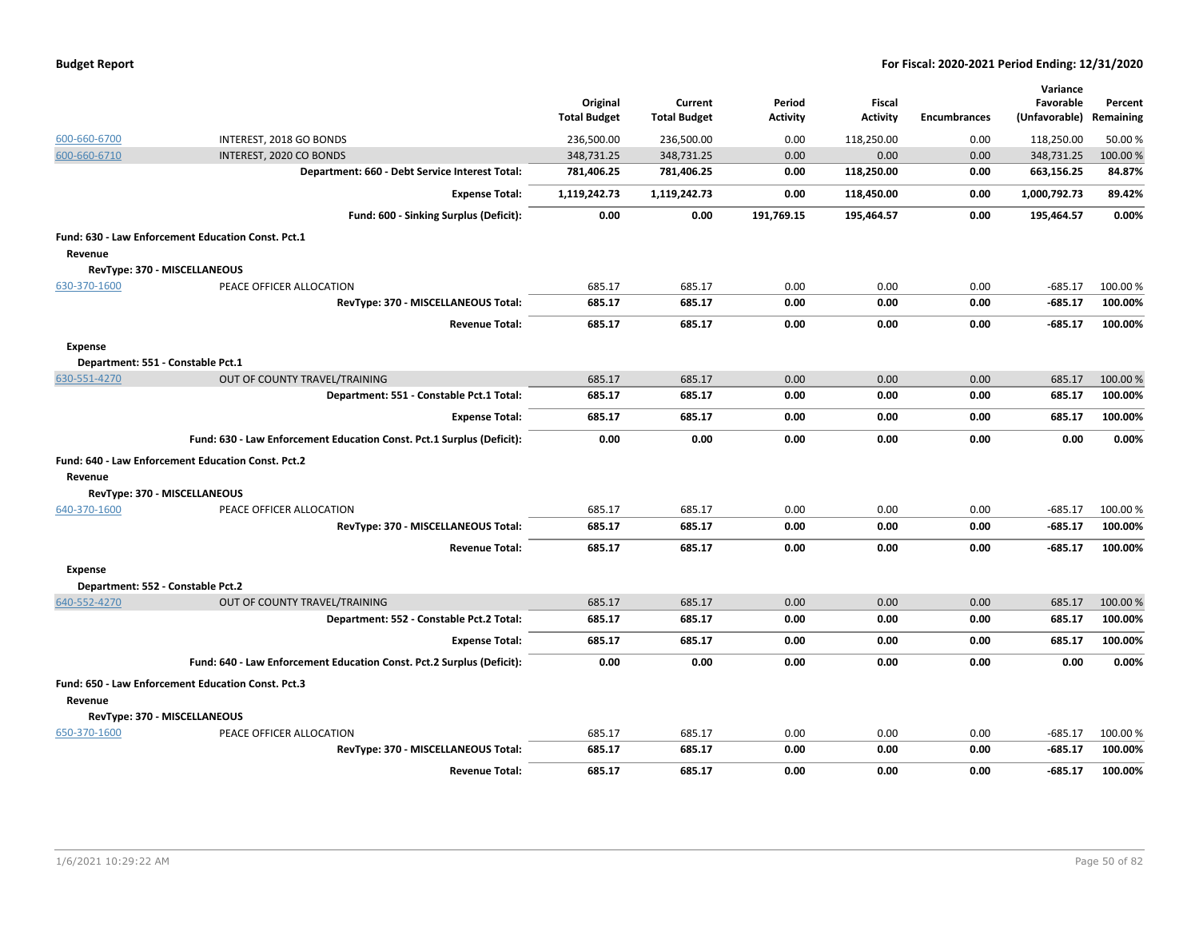|                |                                                                       | Original<br><b>Total Budget</b> | Current<br><b>Total Budget</b> | Period<br><b>Activity</b> | Fiscal<br><b>Activity</b> | <b>Encumbrances</b> | Variance<br>Favorable<br>(Unfavorable) | Percent<br>Remaining |
|----------------|-----------------------------------------------------------------------|---------------------------------|--------------------------------|---------------------------|---------------------------|---------------------|----------------------------------------|----------------------|
| 600-660-6700   | INTEREST, 2018 GO BONDS                                               | 236,500.00                      | 236,500.00                     | 0.00                      | 118,250.00                | 0.00                | 118,250.00                             | 50.00 %              |
| 600-660-6710   | INTEREST, 2020 CO BONDS                                               | 348,731.25                      | 348,731.25                     | 0.00                      | 0.00                      | 0.00                | 348,731.25                             | 100.00%              |
|                | Department: 660 - Debt Service Interest Total:                        | 781,406.25                      | 781,406.25                     | 0.00                      | 118,250.00                | 0.00                | 663,156.25                             | 84.87%               |
|                | <b>Expense Total:</b>                                                 | 1,119,242.73                    | 1,119,242.73                   | 0.00                      | 118,450.00                | 0.00                | 1,000,792.73                           | 89.42%               |
|                | Fund: 600 - Sinking Surplus (Deficit):                                | 0.00                            | 0.00                           | 191.769.15                | 195,464.57                | 0.00                | 195,464.57                             | 0.00%                |
|                | Fund: 630 - Law Enforcement Education Const. Pct.1                    |                                 |                                |                           |                           |                     |                                        |                      |
| Revenue        |                                                                       |                                 |                                |                           |                           |                     |                                        |                      |
|                | RevType: 370 - MISCELLANEOUS                                          |                                 |                                |                           |                           |                     |                                        |                      |
| 630-370-1600   | PEACE OFFICER ALLOCATION                                              | 685.17                          | 685.17                         | 0.00                      | 0.00                      | 0.00                | $-685.17$                              | 100.00%              |
|                | RevType: 370 - MISCELLANEOUS Total:                                   | 685.17                          | 685.17                         | 0.00                      | 0.00                      | 0.00                | $-685.17$                              | 100.00%              |
|                | <b>Revenue Total:</b>                                                 | 685.17                          | 685.17                         | 0.00                      | 0.00                      | 0.00                | -685.17                                | 100.00%              |
| <b>Expense</b> |                                                                       |                                 |                                |                           |                           |                     |                                        |                      |
|                | Department: 551 - Constable Pct.1                                     |                                 |                                |                           |                           |                     |                                        |                      |
| 630-551-4270   | OUT OF COUNTY TRAVEL/TRAINING                                         | 685.17                          | 685.17                         | 0.00                      | 0.00                      | 0.00                | 685.17                                 | 100.00 %             |
|                | Department: 551 - Constable Pct.1 Total:                              | 685.17                          | 685.17                         | 0.00                      | 0.00                      | 0.00                | 685.17                                 | 100.00%              |
|                | <b>Expense Total:</b>                                                 | 685.17                          | 685.17                         | 0.00                      | 0.00                      | 0.00                | 685.17                                 | 100.00%              |
|                | Fund: 630 - Law Enforcement Education Const. Pct.1 Surplus (Deficit): | 0.00                            | 0.00                           | 0.00                      | 0.00                      | 0.00                | 0.00                                   | 0.00%                |
|                | Fund: 640 - Law Enforcement Education Const. Pct.2                    |                                 |                                |                           |                           |                     |                                        |                      |
| Revenue        |                                                                       |                                 |                                |                           |                           |                     |                                        |                      |
|                | RevType: 370 - MISCELLANEOUS                                          |                                 |                                |                           |                           |                     |                                        |                      |
| 640-370-1600   | PEACE OFFICER ALLOCATION                                              | 685.17                          | 685.17                         | 0.00                      | 0.00                      | 0.00                | $-685.17$                              | 100.00%              |
|                | RevType: 370 - MISCELLANEOUS Total:                                   | 685.17                          | 685.17                         | 0.00                      | 0.00                      | 0.00                | $-685.17$                              | 100.00%              |
|                | <b>Revenue Total:</b>                                                 | 685.17                          | 685.17                         | 0.00                      | 0.00                      | 0.00                | $-685.17$                              | 100.00%              |
| <b>Expense</b> |                                                                       |                                 |                                |                           |                           |                     |                                        |                      |
|                | Department: 552 - Constable Pct.2                                     |                                 |                                |                           |                           |                     |                                        |                      |
| 640-552-4270   | OUT OF COUNTY TRAVEL/TRAINING                                         | 685.17                          | 685.17                         | 0.00                      | 0.00                      | 0.00                | 685.17                                 | 100.00 %             |
|                | Department: 552 - Constable Pct.2 Total:                              | 685.17                          | 685.17                         | 0.00                      | 0.00                      | 0.00                | 685.17                                 | 100.00%              |
|                | <b>Expense Total:</b>                                                 | 685.17                          | 685.17                         | 0.00                      | 0.00                      | 0.00                | 685.17                                 | 100.00%              |
|                | Fund: 640 - Law Enforcement Education Const. Pct.2 Surplus (Deficit): | 0.00                            | 0.00                           | 0.00                      | 0.00                      | 0.00                | 0.00                                   | 0.00%                |
|                | Fund: 650 - Law Enforcement Education Const. Pct.3                    |                                 |                                |                           |                           |                     |                                        |                      |
| Revenue        |                                                                       |                                 |                                |                           |                           |                     |                                        |                      |
|                | RevType: 370 - MISCELLANEOUS                                          |                                 |                                |                           |                           |                     |                                        |                      |
| 650-370-1600   | PEACE OFFICER ALLOCATION                                              | 685.17                          | 685.17                         | 0.00                      | 0.00                      | 0.00                | $-685.17$                              | 100.00%              |
|                | RevType: 370 - MISCELLANEOUS Total:                                   | 685.17                          | 685.17                         | 0.00                      | 0.00                      | 0.00                | $-685.17$                              | 100.00%              |
|                | <b>Revenue Total:</b>                                                 | 685.17                          | 685.17                         | 0.00                      | 0.00                      | 0.00                | -685.17                                | 100.00%              |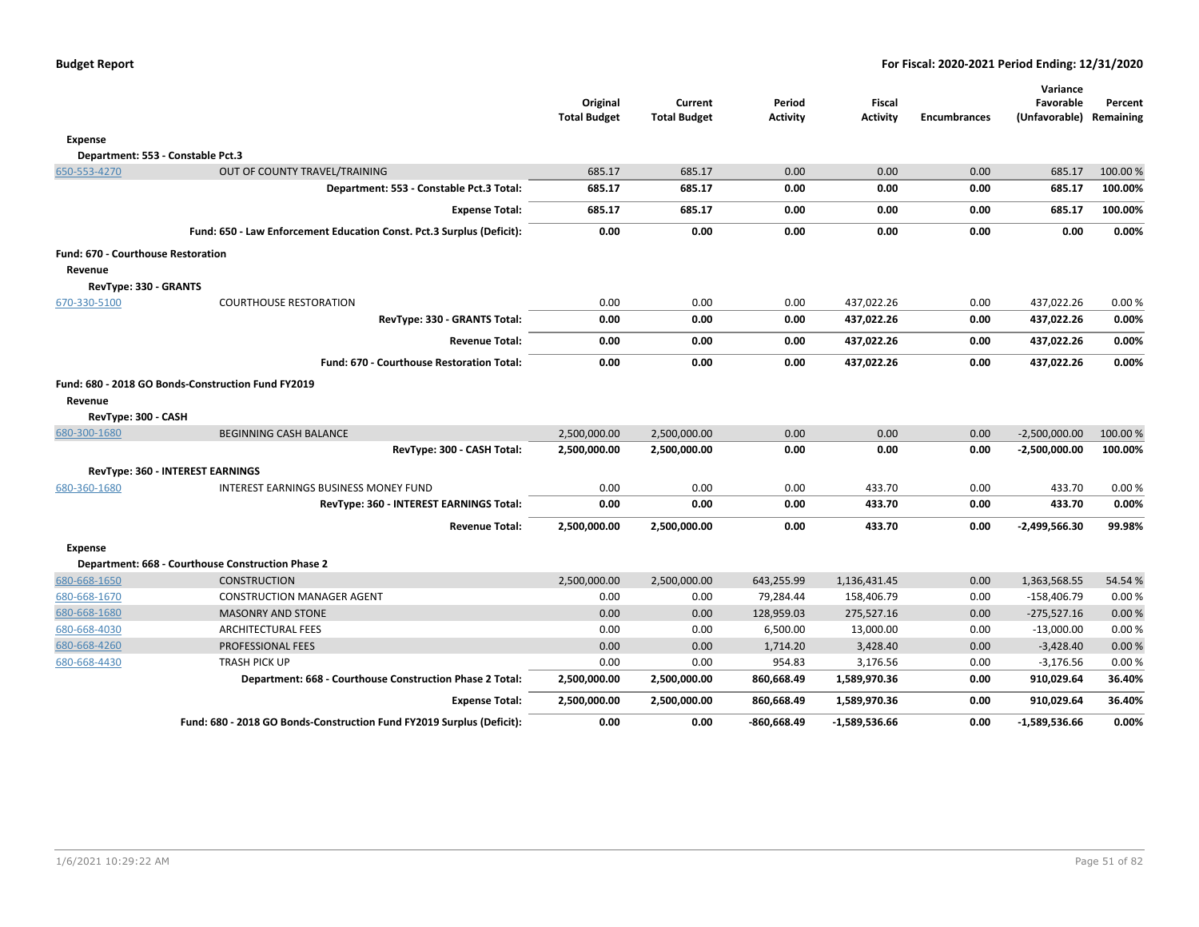|                                                      |                                                                       | Original<br><b>Total Budget</b> | Current<br><b>Total Budget</b> | Period<br><b>Activity</b> | <b>Fiscal</b><br><b>Activity</b> | <b>Encumbrances</b> | Variance<br>Favorable<br>(Unfavorable) Remaining | Percent  |
|------------------------------------------------------|-----------------------------------------------------------------------|---------------------------------|--------------------------------|---------------------------|----------------------------------|---------------------|--------------------------------------------------|----------|
| <b>Expense</b>                                       |                                                                       |                                 |                                |                           |                                  |                     |                                                  |          |
|                                                      | Department: 553 - Constable Pct.3                                     |                                 |                                |                           |                                  |                     |                                                  |          |
| 650-553-4270                                         | OUT OF COUNTY TRAVEL/TRAINING                                         | 685.17                          | 685.17                         | 0.00                      | 0.00                             | 0.00                | 685.17                                           | 100.00 % |
|                                                      | Department: 553 - Constable Pct.3 Total:                              | 685.17                          | 685.17                         | 0.00                      | 0.00                             | 0.00                | 685.17                                           | 100.00%  |
|                                                      | <b>Expense Total:</b>                                                 | 685.17                          | 685.17                         | 0.00                      | 0.00                             | 0.00                | 685.17                                           | 100.00%  |
|                                                      | Fund: 650 - Law Enforcement Education Const. Pct.3 Surplus (Deficit): | 0.00                            | 0.00                           | 0.00                      | 0.00                             | 0.00                | 0.00                                             | 0.00%    |
| <b>Fund: 670 - Courthouse Restoration</b><br>Revenue |                                                                       |                                 |                                |                           |                                  |                     |                                                  |          |
| RevType: 330 - GRANTS                                |                                                                       |                                 |                                |                           |                                  |                     |                                                  |          |
| 670-330-5100                                         | <b>COURTHOUSE RESTORATION</b>                                         | 0.00                            | 0.00                           | 0.00                      | 437,022.26                       | 0.00                | 437,022.26                                       | 0.00%    |
|                                                      | RevType: 330 - GRANTS Total:                                          | 0.00                            | 0.00                           | 0.00                      | 437,022.26                       | 0.00                | 437,022.26                                       | 0.00%    |
|                                                      | <b>Revenue Total:</b>                                                 | 0.00                            | 0.00                           | 0.00                      | 437,022.26                       | 0.00                | 437,022.26                                       | 0.00%    |
|                                                      | Fund: 670 - Courthouse Restoration Total:                             | 0.00                            | 0.00                           | 0.00                      | 437,022.26                       | 0.00                | 437,022.26                                       | 0.00%    |
| Revenue                                              | Fund: 680 - 2018 GO Bonds-Construction Fund FY2019                    |                                 |                                |                           |                                  |                     |                                                  |          |
| RevType: 300 - CASH<br>680-300-1680                  | <b>BEGINNING CASH BALANCE</b>                                         | 2,500,000.00                    | 2,500,000.00                   | 0.00                      | 0.00                             | 0.00                | $-2,500,000.00$                                  | 100.00 % |
|                                                      | RevType: 300 - CASH Total:                                            | 2,500,000.00                    | 2,500,000.00                   | 0.00                      | 0.00                             | 0.00                | -2,500,000.00                                    | 100.00%  |
|                                                      | RevType: 360 - INTEREST EARNINGS                                      |                                 |                                |                           |                                  |                     |                                                  |          |
| 680-360-1680                                         | INTEREST EARNINGS BUSINESS MONEY FUND                                 | 0.00                            | 0.00                           | 0.00                      | 433.70                           | 0.00                | 433.70                                           | 0.00%    |
|                                                      | RevType: 360 - INTEREST EARNINGS Total:                               | 0.00                            | 0.00                           | 0.00                      | 433.70                           | 0.00                | 433.70                                           | 0.00%    |
|                                                      | <b>Revenue Total:</b>                                                 | 2,500,000.00                    | 2,500,000.00                   | 0.00                      | 433.70                           | 0.00                | $-2,499,566.30$                                  | 99.98%   |
| <b>Expense</b>                                       |                                                                       |                                 |                                |                           |                                  |                     |                                                  |          |
|                                                      | Department: 668 - Courthouse Construction Phase 2                     |                                 |                                |                           |                                  |                     |                                                  |          |
| 680-668-1650                                         | <b>CONSTRUCTION</b>                                                   | 2,500,000.00                    | 2,500,000.00                   | 643,255.99                | 1,136,431.45                     | 0.00                | 1,363,568.55                                     | 54.54 %  |
| 680-668-1670                                         | <b>CONSTRUCTION MANAGER AGENT</b>                                     | 0.00                            | 0.00                           | 79,284.44                 | 158,406.79                       | 0.00                | $-158,406.79$                                    | 0.00%    |
| 680-668-1680                                         | <b>MASONRY AND STONE</b>                                              | 0.00                            | 0.00                           | 128,959.03                | 275,527.16                       | 0.00                | $-275,527.16$                                    | 0.00%    |
| 680-668-4030                                         | <b>ARCHITECTURAL FEES</b>                                             | 0.00                            | 0.00                           | 6,500.00                  | 13,000.00                        | 0.00                | $-13,000.00$                                     | 0.00 %   |
| 680-668-4260                                         | <b>PROFESSIONAL FEES</b>                                              | 0.00                            | 0.00                           | 1,714.20                  | 3,428.40                         | 0.00                | $-3,428.40$                                      | 0.00%    |
| 680-668-4430                                         | <b>TRASH PICK UP</b>                                                  | 0.00                            | 0.00                           | 954.83                    | 3,176.56                         | 0.00                | $-3,176.56$                                      | 0.00 %   |
|                                                      | Department: 668 - Courthouse Construction Phase 2 Total:              | 2,500,000.00                    | 2,500,000.00                   | 860,668.49                | 1,589,970.36                     | 0.00                | 910,029.64                                       | 36.40%   |
|                                                      | <b>Expense Total:</b>                                                 | 2,500,000.00                    | 2,500,000.00                   | 860,668.49                | 1,589,970.36                     | 0.00                | 910,029.64                                       | 36.40%   |
|                                                      | Fund: 680 - 2018 GO Bonds-Construction Fund FY2019 Surplus (Deficit): | 0.00                            | 0.00                           | -860,668.49               | -1,589,536.66                    | 0.00                | $-1,589,536.66$                                  | 0.00%    |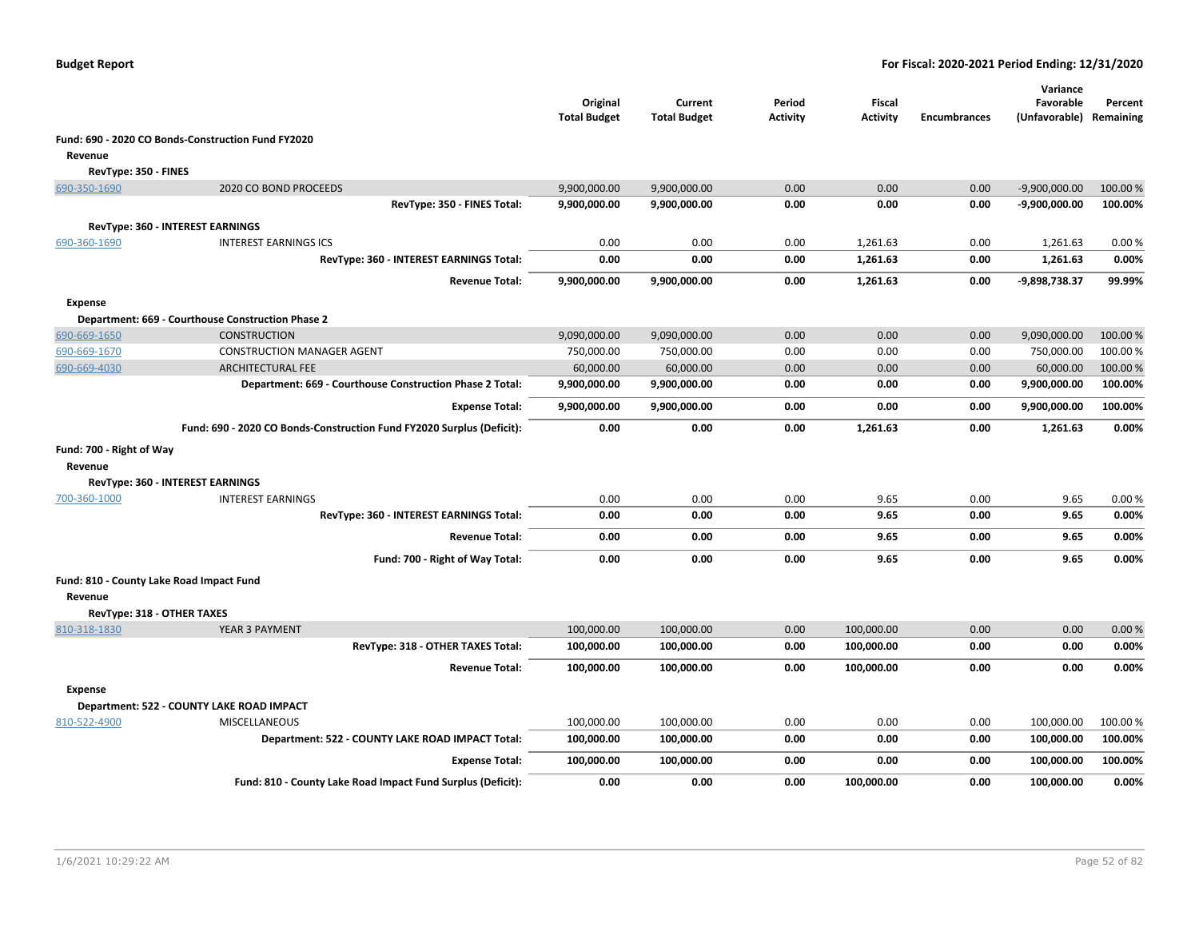|                                          |                                                                       | Original<br><b>Total Budget</b> | Current<br><b>Total Budget</b> | Period<br><b>Activity</b> | <b>Fiscal</b><br><b>Activity</b> | <b>Encumbrances</b> | Variance<br>Favorable<br>(Unfavorable) Remaining | Percent  |
|------------------------------------------|-----------------------------------------------------------------------|---------------------------------|--------------------------------|---------------------------|----------------------------------|---------------------|--------------------------------------------------|----------|
|                                          | Fund: 690 - 2020 CO Bonds-Construction Fund FY2020                    |                                 |                                |                           |                                  |                     |                                                  |          |
| Revenue                                  |                                                                       |                                 |                                |                           |                                  |                     |                                                  |          |
| RevType: 350 - FINES                     |                                                                       |                                 |                                |                           |                                  |                     |                                                  |          |
| 690-350-1690                             | 2020 CO BOND PROCEEDS                                                 | 9,900,000.00                    | 9,900,000.00                   | 0.00                      | 0.00                             | 0.00                | $-9,900,000.00$                                  | 100.00%  |
|                                          | RevType: 350 - FINES Total:                                           | 9,900,000.00                    | 9,900,000.00                   | 0.00                      | 0.00                             | 0.00                | $-9,900,000.00$                                  | 100.00%  |
|                                          | RevType: 360 - INTEREST EARNINGS                                      |                                 |                                |                           |                                  |                     |                                                  |          |
| 690-360-1690                             | <b>INTEREST EARNINGS ICS</b>                                          | 0.00                            | 0.00                           | 0.00                      | 1,261.63                         | 0.00                | 1,261.63                                         | 0.00%    |
|                                          | RevType: 360 - INTEREST EARNINGS Total:                               | 0.00                            | 0.00                           | 0.00                      | 1,261.63                         | 0.00                | 1,261.63                                         | 0.00%    |
|                                          | <b>Revenue Total:</b>                                                 | 9,900,000.00                    | 9,900,000.00                   | 0.00                      | 1,261.63                         | 0.00                | -9,898,738.37                                    | 99.99%   |
| <b>Expense</b>                           |                                                                       |                                 |                                |                           |                                  |                     |                                                  |          |
|                                          | Department: 669 - Courthouse Construction Phase 2                     |                                 |                                |                           |                                  |                     |                                                  |          |
| 690-669-1650                             | <b>CONSTRUCTION</b>                                                   | 9,090,000.00                    | 9,090,000.00                   | 0.00                      | 0.00                             | 0.00                | 9,090,000.00                                     | 100.00 % |
| 690-669-1670                             | <b>CONSTRUCTION MANAGER AGENT</b>                                     | 750,000.00                      | 750,000.00                     | 0.00                      | 0.00                             | 0.00                | 750,000.00                                       | 100.00%  |
| 690-669-4030                             | <b>ARCHITECTURAL FEE</b>                                              | 60,000.00                       | 60,000.00                      | 0.00                      | 0.00                             | 0.00                | 60,000.00                                        | 100.00%  |
|                                          | Department: 669 - Courthouse Construction Phase 2 Total:              | 9,900,000.00                    | 9,900,000.00                   | 0.00                      | 0.00                             | 0.00                | 9,900,000.00                                     | 100.00%  |
|                                          | <b>Expense Total:</b>                                                 | 9,900,000.00                    | 9,900,000.00                   | 0.00                      | 0.00                             | 0.00                | 9,900,000.00                                     | 100.00%  |
|                                          | Fund: 690 - 2020 CO Bonds-Construction Fund FY2020 Surplus (Deficit): | 0.00                            | 0.00                           | 0.00                      | 1,261.63                         | 0.00                | 1,261.63                                         | 0.00%    |
| Fund: 700 - Right of Way                 |                                                                       |                                 |                                |                           |                                  |                     |                                                  |          |
| Revenue                                  |                                                                       |                                 |                                |                           |                                  |                     |                                                  |          |
|                                          | <b>RevType: 360 - INTEREST EARNINGS</b>                               |                                 |                                |                           |                                  |                     |                                                  |          |
| 700-360-1000                             | <b>INTEREST EARNINGS</b>                                              | 0.00                            | 0.00                           | 0.00                      | 9.65                             | 0.00                | 9.65                                             | 0.00%    |
|                                          | RevType: 360 - INTEREST EARNINGS Total:                               | 0.00                            | 0.00                           | 0.00                      | 9.65                             | 0.00                | 9.65                                             | 0.00%    |
|                                          | <b>Revenue Total:</b>                                                 | 0.00                            | 0.00                           | 0.00                      | 9.65                             | 0.00                | 9.65                                             | 0.00%    |
|                                          | Fund: 700 - Right of Way Total:                                       | 0.00                            | 0.00                           | 0.00                      | 9.65                             | 0.00                | 9.65                                             | 0.00%    |
| Fund: 810 - County Lake Road Impact Fund |                                                                       |                                 |                                |                           |                                  |                     |                                                  |          |
| Revenue                                  |                                                                       |                                 |                                |                           |                                  |                     |                                                  |          |
| RevType: 318 - OTHER TAXES               |                                                                       |                                 |                                |                           |                                  |                     |                                                  |          |
| 810-318-1830                             | YEAR 3 PAYMENT                                                        | 100,000.00                      | 100,000.00                     | 0.00                      | 100,000.00                       | 0.00                | 0.00                                             | 0.00%    |
|                                          | RevType: 318 - OTHER TAXES Total:                                     | 100,000.00                      | 100,000.00                     | 0.00                      | 100,000.00                       | 0.00                | 0.00                                             | 0.00%    |
|                                          | <b>Revenue Total:</b>                                                 | 100,000.00                      | 100,000.00                     | 0.00                      | 100,000.00                       | 0.00                | 0.00                                             | 0.00%    |
| <b>Expense</b>                           |                                                                       |                                 |                                |                           |                                  |                     |                                                  |          |
|                                          | Department: 522 - COUNTY LAKE ROAD IMPACT                             |                                 |                                |                           |                                  |                     |                                                  |          |
| 810-522-4900                             | MISCELLANEOUS                                                         | 100,000.00                      | 100,000.00                     | 0.00                      | 0.00                             | 0.00                | 100,000.00                                       | 100.00%  |
|                                          | Department: 522 - COUNTY LAKE ROAD IMPACT Total:                      | 100,000.00                      | 100,000.00                     | 0.00                      | 0.00                             | 0.00                | 100,000.00                                       | 100.00%  |
|                                          | <b>Expense Total:</b>                                                 | 100,000.00                      | 100,000.00                     | 0.00                      | 0.00                             | 0.00                | 100,000.00                                       | 100.00%  |
|                                          | Fund: 810 - County Lake Road Impact Fund Surplus (Deficit):           | 0.00                            | 0.00                           | 0.00                      | 100.000.00                       | 0.00                | 100.000.00                                       | 0.00%    |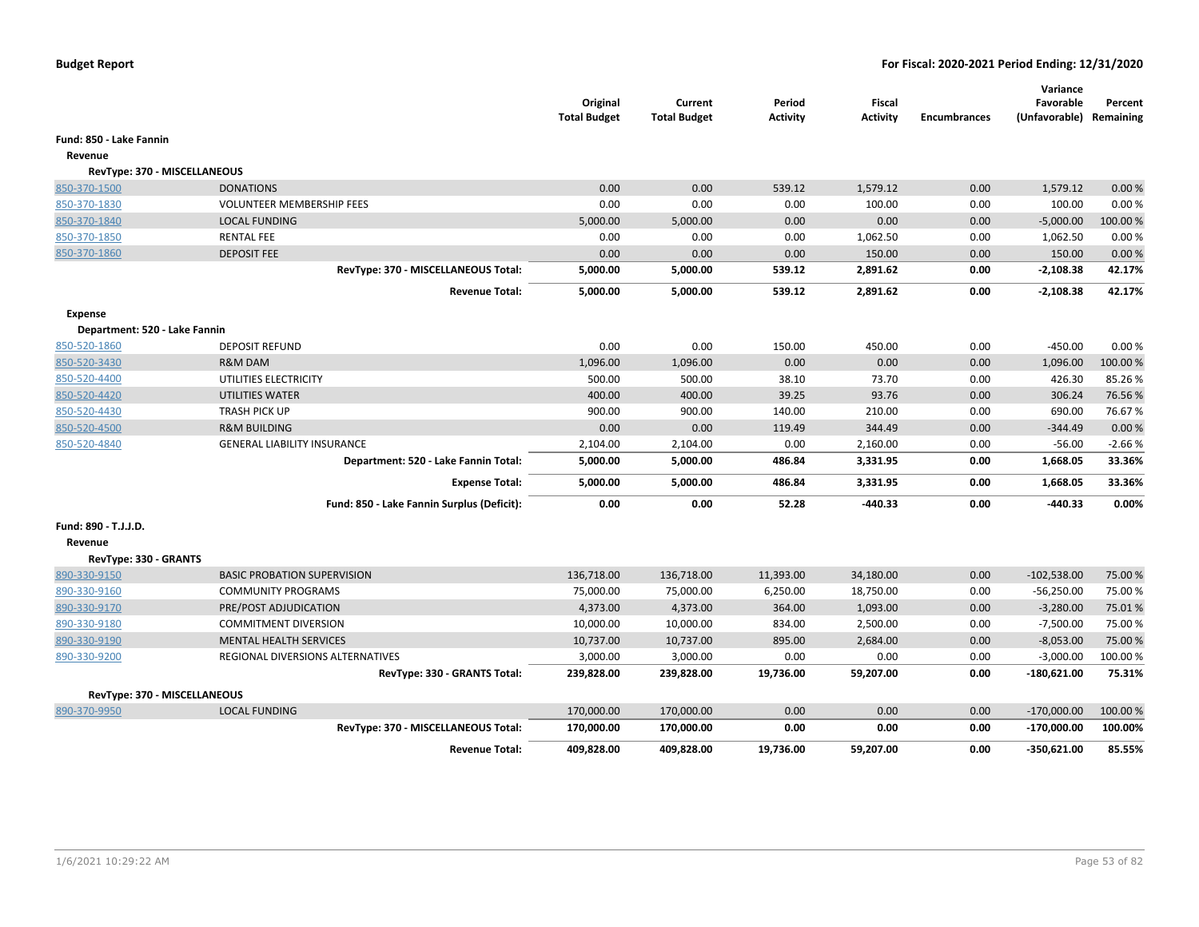|                               |                                            | Original<br><b>Total Budget</b> | Current<br><b>Total Budget</b> | Period<br>Activity | <b>Fiscal</b><br><b>Activity</b> | <b>Encumbrances</b> | Variance<br>Favorable<br>(Unfavorable) | Percent<br>Remaining |
|-------------------------------|--------------------------------------------|---------------------------------|--------------------------------|--------------------|----------------------------------|---------------------|----------------------------------------|----------------------|
| Fund: 850 - Lake Fannin       |                                            |                                 |                                |                    |                                  |                     |                                        |                      |
| Revenue                       |                                            |                                 |                                |                    |                                  |                     |                                        |                      |
| RevType: 370 - MISCELLANEOUS  |                                            |                                 |                                |                    |                                  |                     |                                        |                      |
| 850-370-1500                  | <b>DONATIONS</b>                           | 0.00                            | 0.00                           | 539.12             | 1,579.12                         | 0.00                | 1,579.12                               | 0.00%                |
| 850-370-1830                  | <b>VOLUNTEER MEMBERSHIP FEES</b>           | 0.00                            | 0.00                           | 0.00               | 100.00                           | 0.00                | 100.00                                 | 0.00%                |
| 850-370-1840                  | <b>LOCAL FUNDING</b>                       | 5,000.00                        | 5,000.00                       | 0.00               | 0.00                             | 0.00                | $-5,000.00$                            | 100.00%              |
| 850-370-1850                  | <b>RENTAL FEE</b>                          | 0.00                            | 0.00                           | 0.00               | 1,062.50                         | 0.00                | 1,062.50                               | 0.00%                |
| 850-370-1860                  | <b>DEPOSIT FEE</b>                         | 0.00                            | 0.00                           | 0.00               | 150.00                           | 0.00                | 150.00                                 | 0.00%                |
|                               | RevType: 370 - MISCELLANEOUS Total:        | 5,000.00                        | 5,000.00                       | 539.12             | 2,891.62                         | 0.00                | $-2,108.38$                            | 42.17%               |
|                               | <b>Revenue Total:</b>                      | 5,000.00                        | 5,000.00                       | 539.12             | 2,891.62                         | 0.00                | $-2,108.38$                            | 42.17%               |
| <b>Expense</b>                |                                            |                                 |                                |                    |                                  |                     |                                        |                      |
| Department: 520 - Lake Fannin |                                            |                                 |                                |                    |                                  |                     |                                        |                      |
| 850-520-1860                  | <b>DEPOSIT REFUND</b>                      | 0.00                            | 0.00                           | 150.00             | 450.00                           | 0.00                | $-450.00$                              | 0.00%                |
| 850-520-3430                  | <b>R&amp;M DAM</b>                         | 1,096.00                        | 1,096.00                       | 0.00               | 0.00                             | 0.00                | 1,096.00                               | 100.00%              |
| 850-520-4400                  | UTILITIES ELECTRICITY                      | 500.00                          | 500.00                         | 38.10              | 73.70                            | 0.00                | 426.30                                 | 85.26%               |
| 850-520-4420                  | UTILITIES WATER                            | 400.00                          | 400.00                         | 39.25              | 93.76                            | 0.00                | 306.24                                 | 76.56%               |
| 850-520-4430                  | <b>TRASH PICK UP</b>                       | 900.00                          | 900.00                         | 140.00             | 210.00                           | 0.00                | 690.00                                 | 76.67%               |
| 850-520-4500                  | <b>R&amp;M BUILDING</b>                    | 0.00                            | 0.00                           | 119.49             | 344.49                           | 0.00                | $-344.49$                              | 0.00%                |
| 850-520-4840                  | <b>GENERAL LIABILITY INSURANCE</b>         | 2,104.00                        | 2,104.00                       | 0.00               | 2,160.00                         | 0.00                | $-56.00$                               | $-2.66%$             |
|                               | Department: 520 - Lake Fannin Total:       | 5,000.00                        | 5,000.00                       | 486.84             | 3,331.95                         | 0.00                | 1,668.05                               | 33.36%               |
|                               | <b>Expense Total:</b>                      | 5,000.00                        | 5,000.00                       | 486.84             | 3,331.95                         | 0.00                | 1,668.05                               | 33.36%               |
|                               | Fund: 850 - Lake Fannin Surplus (Deficit): | 0.00                            | 0.00                           | 52.28              | $-440.33$                        | 0.00                | -440.33                                | 0.00%                |
| Fund: 890 - T.J.J.D.          |                                            |                                 |                                |                    |                                  |                     |                                        |                      |
| Revenue                       |                                            |                                 |                                |                    |                                  |                     |                                        |                      |
| RevType: 330 - GRANTS         |                                            |                                 |                                |                    |                                  |                     |                                        |                      |
| 890-330-9150                  | <b>BASIC PROBATION SUPERVISION</b>         | 136,718.00                      | 136,718.00                     | 11,393.00          | 34,180.00                        | 0.00                | $-102,538.00$                          | 75.00 %              |
| 890-330-9160                  | <b>COMMUNITY PROGRAMS</b>                  | 75,000.00                       | 75,000.00                      | 6,250.00           | 18,750.00                        | 0.00                | $-56,250.00$                           | 75.00 %              |
| 890-330-9170                  | PRE/POST ADJUDICATION                      | 4,373.00                        | 4,373.00                       | 364.00             | 1,093.00                         | 0.00                | $-3,280.00$                            | 75.01%               |
| 890-330-9180                  | <b>COMMITMENT DIVERSION</b>                | 10,000.00                       | 10,000.00                      | 834.00             | 2,500.00                         | 0.00                | $-7,500.00$                            | 75.00 %              |
| 890-330-9190                  | <b>MENTAL HEALTH SERVICES</b>              | 10,737.00                       | 10,737.00                      | 895.00             | 2,684.00                         | 0.00                | $-8,053.00$                            | 75.00 %              |
| 890-330-9200                  | REGIONAL DIVERSIONS ALTERNATIVES           | 3,000.00                        | 3,000.00                       | 0.00               | 0.00                             | 0.00                | $-3,000.00$                            | 100.00%              |
|                               | RevType: 330 - GRANTS Total:               | 239,828.00                      | 239,828.00                     | 19,736.00          | 59,207.00                        | 0.00                | $-180,621.00$                          | 75.31%               |
| RevType: 370 - MISCELLANEOUS  |                                            |                                 |                                |                    |                                  |                     |                                        |                      |
| 890-370-9950                  | <b>LOCAL FUNDING</b>                       | 170,000.00                      | 170,000.00                     | 0.00               | 0.00                             | 0.00                | $-170,000.00$                          | 100.00 %             |
|                               | RevType: 370 - MISCELLANEOUS Total:        | 170,000.00                      | 170,000.00                     | 0.00               | 0.00                             | 0.00                | $-170,000.00$                          | 100.00%              |
|                               | <b>Revenue Total:</b>                      | 409,828.00                      | 409,828.00                     | 19,736.00          | 59,207.00                        | 0.00                | $-350,621.00$                          | 85.55%               |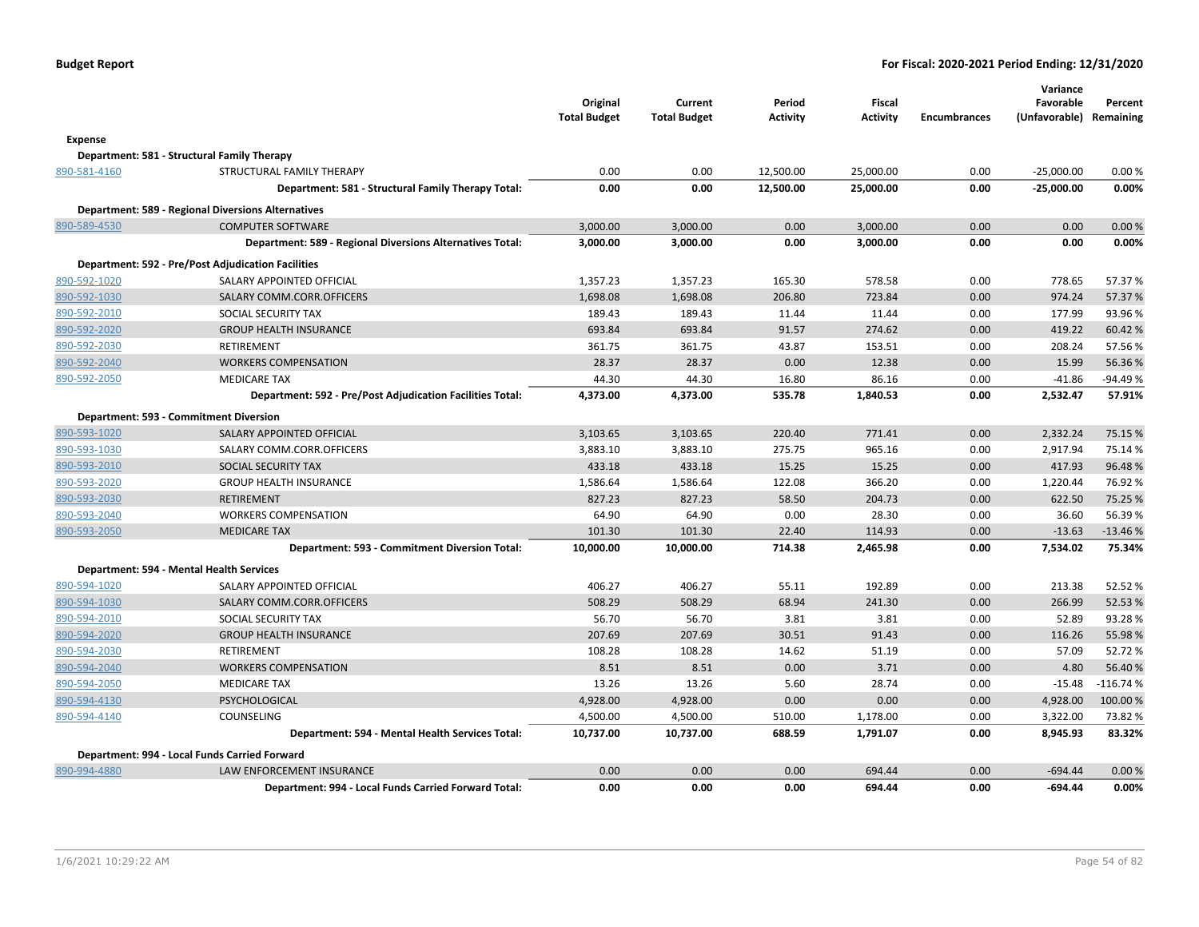|              |                                                           | Original<br><b>Total Budget</b> | Current<br><b>Total Budget</b> | Period<br>Activity | Fiscal<br><b>Activity</b> | <b>Encumbrances</b> | Variance<br>Favorable<br>(Unfavorable) Remaining | Percent    |
|--------------|-----------------------------------------------------------|---------------------------------|--------------------------------|--------------------|---------------------------|---------------------|--------------------------------------------------|------------|
| Expense      |                                                           |                                 |                                |                    |                           |                     |                                                  |            |
|              | Department: 581 - Structural Family Therapy               |                                 |                                |                    |                           |                     |                                                  |            |
| 890-581-4160 | STRUCTURAL FAMILY THERAPY                                 | 0.00                            | 0.00                           | 12,500.00          | 25,000.00                 | 0.00                | $-25,000.00$                                     | 0.00%      |
|              | Department: 581 - Structural Family Therapy Total:        | 0.00                            | 0.00                           | 12,500.00          | 25,000.00                 | 0.00                | $-25,000.00$                                     | 0.00%      |
|              | <b>Department: 589 - Regional Diversions Alternatives</b> |                                 |                                |                    |                           |                     |                                                  |            |
| 890-589-4530 | <b>COMPUTER SOFTWARE</b>                                  | 3,000.00                        | 3,000.00                       | 0.00               | 3,000.00                  | 0.00                | 0.00                                             | 0.00%      |
|              | Department: 589 - Regional Diversions Alternatives Total: | 3,000.00                        | 3,000.00                       | 0.00               | 3,000.00                  | 0.00                | 0.00                                             | 0.00%      |
|              | <b>Department: 592 - Pre/Post Adjudication Facilities</b> |                                 |                                |                    |                           |                     |                                                  |            |
| 890-592-1020 | SALARY APPOINTED OFFICIAL                                 | 1,357.23                        | 1,357.23                       | 165.30             | 578.58                    | 0.00                | 778.65                                           | 57.37 %    |
| 890-592-1030 | SALARY COMM.CORR.OFFICERS                                 | 1,698.08                        | 1,698.08                       | 206.80             | 723.84                    | 0.00                | 974.24                                           | 57.37%     |
| 890-592-2010 | SOCIAL SECURITY TAX                                       | 189.43                          | 189.43                         | 11.44              | 11.44                     | 0.00                | 177.99                                           | 93.96%     |
| 890-592-2020 | <b>GROUP HEALTH INSURANCE</b>                             | 693.84                          | 693.84                         | 91.57              | 274.62                    | 0.00                | 419.22                                           | 60.42 %    |
| 890-592-2030 | RETIREMENT                                                | 361.75                          | 361.75                         | 43.87              | 153.51                    | 0.00                | 208.24                                           | 57.56%     |
| 890-592-2040 | <b>WORKERS COMPENSATION</b>                               | 28.37                           | 28.37                          | 0.00               | 12.38                     | 0.00                | 15.99                                            | 56.36%     |
| 890-592-2050 | <b>MEDICARE TAX</b>                                       | 44.30                           | 44.30                          | 16.80              | 86.16                     | 0.00                | $-41.86$                                         | -94.49%    |
|              | Department: 592 - Pre/Post Adjudication Facilities Total: | 4,373.00                        | 4,373.00                       | 535.78             | 1,840.53                  | 0.00                | 2,532.47                                         | 57.91%     |
|              | Department: 593 - Commitment Diversion                    |                                 |                                |                    |                           |                     |                                                  |            |
| 890-593-1020 | SALARY APPOINTED OFFICIAL                                 | 3,103.65                        | 3,103.65                       | 220.40             | 771.41                    | 0.00                | 2,332.24                                         | 75.15 %    |
| 890-593-1030 | SALARY COMM.CORR.OFFICERS                                 | 3,883.10                        | 3,883.10                       | 275.75             | 965.16                    | 0.00                | 2,917.94                                         | 75.14 %    |
| 890-593-2010 | <b>SOCIAL SECURITY TAX</b>                                | 433.18                          | 433.18                         | 15.25              | 15.25                     | 0.00                | 417.93                                           | 96.48%     |
| 890-593-2020 | <b>GROUP HEALTH INSURANCE</b>                             | 1,586.64                        | 1,586.64                       | 122.08             | 366.20                    | 0.00                | 1,220.44                                         | 76.92%     |
| 890-593-2030 | <b>RETIREMENT</b>                                         | 827.23                          | 827.23                         | 58.50              | 204.73                    | 0.00                | 622.50                                           | 75.25 %    |
| 890-593-2040 | <b>WORKERS COMPENSATION</b>                               | 64.90                           | 64.90                          | 0.00               | 28.30                     | 0.00                | 36.60                                            | 56.39%     |
| 890-593-2050 | <b>MEDICARE TAX</b>                                       | 101.30                          | 101.30                         | 22.40              | 114.93                    | 0.00                | $-13.63$                                         | $-13.46%$  |
|              | Department: 593 - Commitment Diversion Total:             | 10,000.00                       | 10,000.00                      | 714.38             | 2,465.98                  | 0.00                | 7,534.02                                         | 75.34%     |
|              | Department: 594 - Mental Health Services                  |                                 |                                |                    |                           |                     |                                                  |            |
| 890-594-1020 | SALARY APPOINTED OFFICIAL                                 | 406.27                          | 406.27                         | 55.11              | 192.89                    | 0.00                | 213.38                                           | 52.52%     |
| 890-594-1030 | SALARY COMM.CORR.OFFICERS                                 | 508.29                          | 508.29                         | 68.94              | 241.30                    | 0.00                | 266.99                                           | 52.53%     |
| 890-594-2010 | SOCIAL SECURITY TAX                                       | 56.70                           | 56.70                          | 3.81               | 3.81                      | 0.00                | 52.89                                            | 93.28%     |
| 890-594-2020 | <b>GROUP HEALTH INSURANCE</b>                             | 207.69                          | 207.69                         | 30.51              | 91.43                     | 0.00                | 116.26                                           | 55.98 %    |
| 890-594-2030 | RETIREMENT                                                | 108.28                          | 108.28                         | 14.62              | 51.19                     | 0.00                | 57.09                                            | 52.72%     |
| 890-594-2040 | <b>WORKERS COMPENSATION</b>                               | 8.51                            | 8.51                           | 0.00               | 3.71                      | 0.00                | 4.80                                             | 56.40%     |
| 890-594-2050 | <b>MEDICARE TAX</b>                                       | 13.26                           | 13.26                          | 5.60               | 28.74                     | 0.00                | $-15.48$                                         | $-116.74%$ |
| 890-594-4130 | PSYCHOLOGICAL                                             | 4,928.00                        | 4,928.00                       | 0.00               | 0.00                      | 0.00                | 4,928.00                                         | 100.00 %   |
| 890-594-4140 | COUNSELING                                                | 4,500.00                        | 4,500.00                       | 510.00             | 1,178.00                  | 0.00                | 3,322.00                                         | 73.82 %    |
|              | Department: 594 - Mental Health Services Total:           | 10,737.00                       | 10,737.00                      | 688.59             | 1,791.07                  | 0.00                | 8,945.93                                         | 83.32%     |
|              | Department: 994 - Local Funds Carried Forward             |                                 |                                |                    |                           |                     |                                                  |            |
| 890-994-4880 | <b>LAW ENFORCEMENT INSURANCE</b>                          | 0.00                            | 0.00                           | 0.00               | 694.44                    | 0.00                | $-694.44$                                        | 0.00%      |
|              | Department: 994 - Local Funds Carried Forward Total:      | 0.00                            | 0.00                           | 0.00               | 694.44                    | 0.00                | $-694.44$                                        | 0.00%      |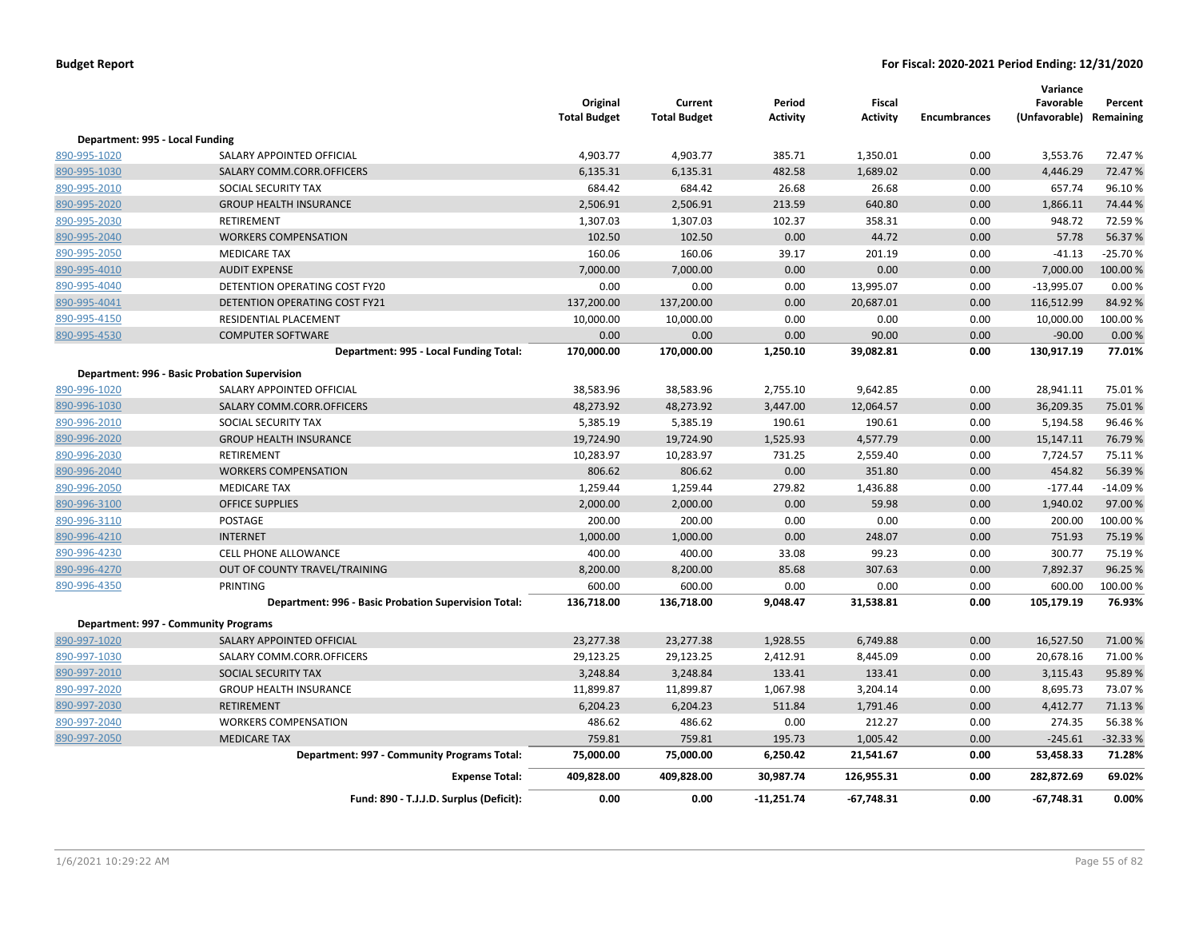|                                 |                                                      | Original<br><b>Total Budget</b> | Current<br><b>Total Budget</b> | Period<br>Activity | <b>Fiscal</b><br><b>Activity</b> | <b>Encumbrances</b> | Variance<br>Favorable<br>(Unfavorable) Remaining | Percent             |
|---------------------------------|------------------------------------------------------|---------------------------------|--------------------------------|--------------------|----------------------------------|---------------------|--------------------------------------------------|---------------------|
| Department: 995 - Local Funding |                                                      |                                 |                                |                    |                                  |                     |                                                  |                     |
| 890-995-1020                    | SALARY APPOINTED OFFICIAL                            | 4,903.77                        | 4,903.77                       | 385.71             | 1,350.01                         | 0.00                | 3,553.76                                         | 72.47%              |
| 890-995-1030                    | SALARY COMM.CORR.OFFICERS                            | 6,135.31                        | 6,135.31                       | 482.58             | 1,689.02                         | 0.00                | 4,446.29                                         | 72.47%              |
| 890-995-2010                    | SOCIAL SECURITY TAX                                  | 684.42                          | 684.42                         | 26.68              | 26.68                            | 0.00                | 657.74                                           | 96.10%              |
| 890-995-2020                    | <b>GROUP HEALTH INSURANCE</b>                        | 2,506.91                        | 2,506.91                       | 213.59             | 640.80                           | 0.00                | 1,866.11                                         | 74.44 %             |
| 890-995-2030                    | RETIREMENT                                           | 1,307.03                        | 1,307.03                       | 102.37             | 358.31                           | 0.00                | 948.72                                           | 72.59%              |
| 890-995-2040                    | <b>WORKERS COMPENSATION</b>                          | 102.50                          | 102.50                         | 0.00               | 44.72                            | 0.00                | 57.78                                            | 56.37%              |
| 890-995-2050                    | <b>MEDICARE TAX</b>                                  | 160.06                          | 160.06                         | 39.17              | 201.19                           | 0.00                | $-41.13$                                         | $-25.70%$           |
| 890-995-4010                    | <b>AUDIT EXPENSE</b>                                 | 7,000.00                        | 7,000.00                       | 0.00               | 0.00                             | 0.00                | 7,000.00                                         | 100.00%             |
| 890-995-4040                    | DETENTION OPERATING COST FY20                        | 0.00                            | 0.00                           | 0.00               | 13,995.07                        | 0.00                | $-13,995.07$                                     | 0.00%               |
| 890-995-4041                    | DETENTION OPERATING COST FY21                        | 137,200.00                      | 137,200.00                     | 0.00               | 20,687.01                        | 0.00                | 116,512.99                                       | 84.92%              |
| 890-995-4150                    | RESIDENTIAL PLACEMENT                                | 10,000.00                       | 10,000.00                      | 0.00               | 0.00                             | 0.00                | 10,000.00                                        | 100.00%             |
| 890-995-4530                    | <b>COMPUTER SOFTWARE</b>                             | 0.00                            | 0.00                           | 0.00               | 90.00                            | 0.00                | $-90.00$                                         | 0.00%               |
|                                 | Department: 995 - Local Funding Total:               | 170,000.00                      | 170,000.00                     | 1,250.10           | 39,082.81                        | 0.00                | 130,917.19                                       | 77.01%              |
|                                 | Department: 996 - Basic Probation Supervision        |                                 |                                |                    |                                  |                     |                                                  |                     |
| 890-996-1020                    | SALARY APPOINTED OFFICIAL                            | 38,583.96                       | 38,583.96                      | 2,755.10           | 9,642.85                         | 0.00                | 28,941.11                                        | 75.01%              |
| 890-996-1030                    | SALARY COMM.CORR.OFFICERS                            | 48,273.92                       | 48,273.92                      | 3,447.00           | 12,064.57                        | 0.00                | 36,209.35                                        | 75.01%              |
| 890-996-2010                    | SOCIAL SECURITY TAX                                  | 5,385.19                        | 5,385.19                       | 190.61             | 190.61                           | 0.00                | 5,194.58                                         | 96.46%              |
| 890-996-2020                    | <b>GROUP HEALTH INSURANCE</b>                        | 19,724.90                       | 19,724.90                      | 1,525.93           | 4,577.79                         | 0.00                | 15,147.11                                        | 76.79%              |
| 890-996-2030                    | RETIREMENT                                           | 10,283.97                       | 10,283.97                      | 731.25             | 2,559.40                         | 0.00                | 7,724.57                                         | 75.11%              |
| 890-996-2040                    | <b>WORKERS COMPENSATION</b>                          | 806.62                          | 806.62                         | 0.00               | 351.80                           | 0.00                | 454.82                                           | 56.39%              |
| 890-996-2050                    | <b>MEDICARE TAX</b>                                  | 1,259.44                        | 1,259.44                       | 279.82             | 1,436.88                         | 0.00                | $-177.44$                                        | $-14.09%$           |
| 890-996-3100                    | <b>OFFICE SUPPLIES</b>                               | 2,000.00                        | 2,000.00                       | 0.00               | 59.98                            | 0.00                | 1,940.02                                         | 97.00%              |
| 890-996-3110                    | POSTAGE                                              | 200.00                          | 200.00                         | 0.00               | 0.00                             | 0.00                | 200.00                                           | 100.00%             |
| 890-996-4210                    | <b>INTERNET</b>                                      | 1,000.00                        | 1,000.00                       | 0.00               | 248.07                           | 0.00                | 751.93                                           | 75.19%              |
| 890-996-4230                    | CELL PHONE ALLOWANCE                                 | 400.00                          | 400.00                         | 33.08              | 99.23                            | 0.00                | 300.77                                           | 75.19%              |
| 890-996-4270                    | OUT OF COUNTY TRAVEL/TRAINING                        | 8,200.00                        | 8,200.00                       | 85.68              | 307.63                           | 0.00                | 7,892.37                                         | 96.25%              |
| 890-996-4350                    | <b>PRINTING</b>                                      | 600.00                          | 600.00                         | 0.00               | 0.00                             | 0.00                | 600.00                                           | 100.00%             |
|                                 | Department: 996 - Basic Probation Supervision Total: | 136,718.00                      | 136,718.00                     | 9,048.47           | 31,538.81                        | 0.00                | 105,179.19                                       | 76.93%              |
|                                 | <b>Department: 997 - Community Programs</b>          |                                 |                                |                    |                                  |                     |                                                  |                     |
| 890-997-1020                    | SALARY APPOINTED OFFICIAL                            | 23,277.38                       | 23,277.38                      | 1,928.55           | 6,749.88                         | 0.00                | 16,527.50                                        | 71.00 %             |
| 890-997-1030                    | SALARY COMM.CORR.OFFICERS                            |                                 |                                |                    | 8,445.09                         | 0.00                | 20,678.16                                        | 71.00%              |
| 890-997-2010                    | <b>SOCIAL SECURITY TAX</b>                           | 29,123.25<br>3,248.84           | 29,123.25<br>3,248.84          | 2,412.91<br>133.41 | 133.41                           | 0.00                | 3,115.43                                         | 95.89%              |
| 890-997-2020                    | <b>GROUP HEALTH INSURANCE</b>                        | 11,899.87                       | 11,899.87                      | 1,067.98           | 3,204.14                         | 0.00                | 8,695.73                                         | 73.07%              |
| 890-997-2030                    | <b>RETIREMENT</b>                                    | 6,204.23                        | 6,204.23                       | 511.84             | 1,791.46                         | 0.00                | 4,412.77                                         | 71.13%              |
|                                 | <b>WORKERS COMPENSATION</b>                          | 486.62                          |                                |                    |                                  | 0.00                | 274.35                                           |                     |
| 890-997-2040<br>890-997-2050    | <b>MEDICARE TAX</b>                                  | 759.81                          | 486.62<br>759.81               | 0.00<br>195.73     | 212.27<br>1,005.42               | 0.00                | $-245.61$                                        | 56.38%<br>$-32.33%$ |
|                                 |                                                      | 75,000.00                       | 75,000.00                      | 6,250.42           | 21,541.67                        | 0.00                | 53,458.33                                        | 71.28%              |
|                                 | Department: 997 - Community Programs Total:          |                                 |                                |                    |                                  |                     |                                                  |                     |
|                                 | <b>Expense Total:</b>                                | 409,828.00                      | 409,828.00                     | 30,987.74          | 126,955.31                       | 0.00                | 282,872.69                                       | 69.02%              |
|                                 | Fund: 890 - T.J.J.D. Surplus (Deficit):              | 0.00                            | 0.00                           | $-11,251.74$       | $-67,748.31$                     | 0.00                | $-67,748.31$                                     | 0.00%               |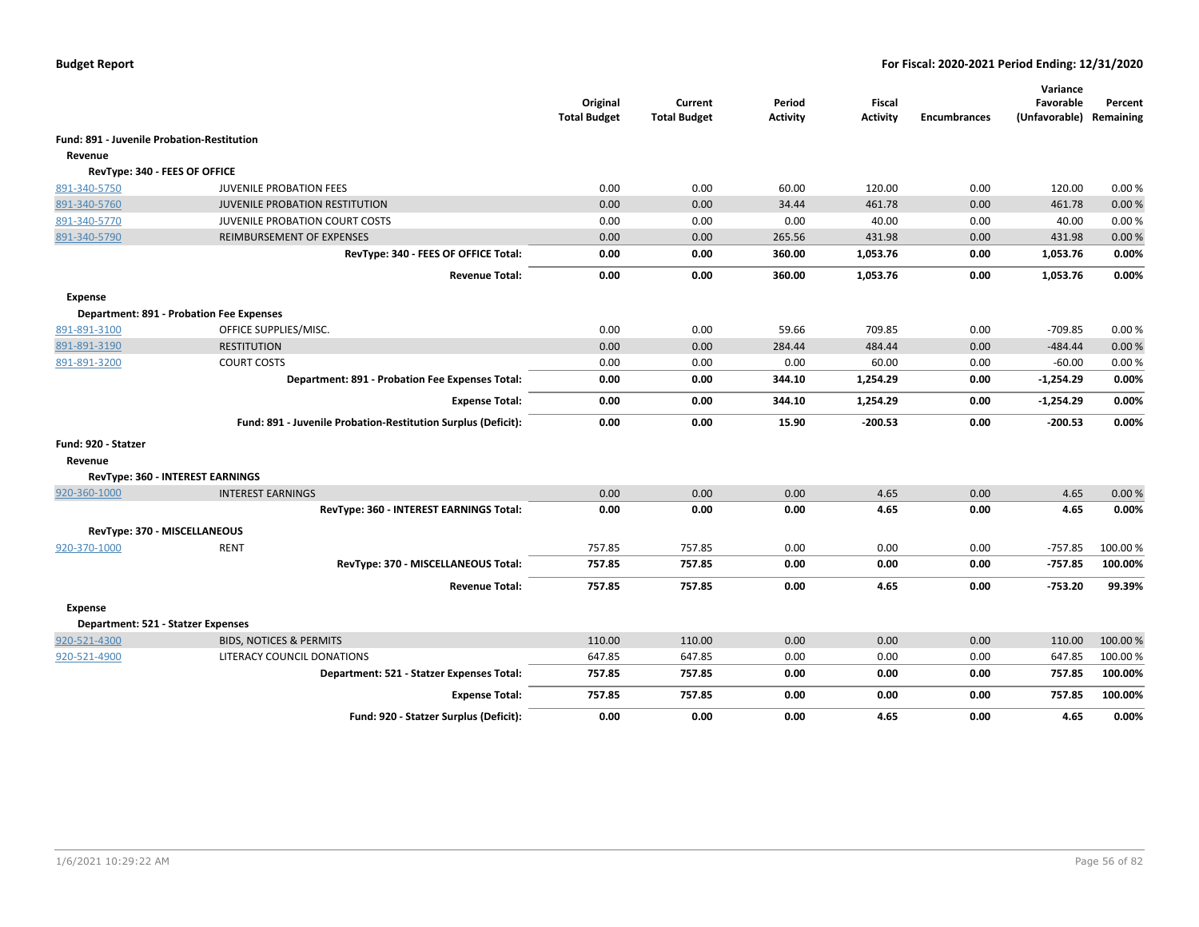|                                            |                                                               | Original<br><b>Total Budget</b> | Current<br><b>Total Budget</b> | Period<br><b>Activity</b> | Fiscal<br>Activity | <b>Encumbrances</b> | Variance<br>Favorable<br>(Unfavorable) Remaining | Percent  |
|--------------------------------------------|---------------------------------------------------------------|---------------------------------|--------------------------------|---------------------------|--------------------|---------------------|--------------------------------------------------|----------|
| Fund: 891 - Juvenile Probation-Restitution |                                                               |                                 |                                |                           |                    |                     |                                                  |          |
| Revenue                                    |                                                               |                                 |                                |                           |                    |                     |                                                  |          |
| RevType: 340 - FEES OF OFFICE              |                                                               |                                 |                                |                           |                    |                     |                                                  |          |
| 891-340-5750                               | <b>JUVENILE PROBATION FEES</b>                                | 0.00                            | 0.00                           | 60.00                     | 120.00             | 0.00                | 120.00                                           | 0.00%    |
| 891-340-5760                               | <b>JUVENILE PROBATION RESTITUTION</b>                         | 0.00                            | 0.00                           | 34.44                     | 461.78             | 0.00                | 461.78                                           | 0.00%    |
| 891-340-5770                               | JUVENILE PROBATION COURT COSTS                                | 0.00                            | 0.00                           | 0.00                      | 40.00              | 0.00                | 40.00                                            | 0.00%    |
| 891-340-5790                               | REIMBURSEMENT OF EXPENSES                                     | 0.00                            | 0.00                           | 265.56                    | 431.98             | 0.00                | 431.98                                           | 0.00%    |
|                                            | RevType: 340 - FEES OF OFFICE Total:                          | 0.00                            | 0.00                           | 360.00                    | 1,053.76           | 0.00                | 1,053.76                                         | 0.00%    |
|                                            | <b>Revenue Total:</b>                                         | 0.00                            | 0.00                           | 360.00                    | 1,053.76           | 0.00                | 1,053.76                                         | 0.00%    |
| Expense                                    |                                                               |                                 |                                |                           |                    |                     |                                                  |          |
|                                            | <b>Department: 891 - Probation Fee Expenses</b>               |                                 |                                |                           |                    |                     |                                                  |          |
| 891-891-3100                               | OFFICE SUPPLIES/MISC.                                         | 0.00                            | 0.00                           | 59.66                     | 709.85             | 0.00                | -709.85                                          | 0.00%    |
| 891-891-3190                               | <b>RESTITUTION</b>                                            | 0.00                            | 0.00                           | 284.44                    | 484.44             | 0.00                | $-484.44$                                        | 0.00%    |
| 891-891-3200                               | <b>COURT COSTS</b>                                            | 0.00                            | 0.00                           | 0.00                      | 60.00              | 0.00                | $-60.00$                                         | 0.00%    |
|                                            | Department: 891 - Probation Fee Expenses Total:               | 0.00                            | 0.00                           | 344.10                    | 1,254.29           | 0.00                | $-1,254.29$                                      | 0.00%    |
|                                            | <b>Expense Total:</b>                                         | 0.00                            | 0.00                           | 344.10                    | 1,254.29           | 0.00                | $-1,254.29$                                      | 0.00%    |
|                                            | Fund: 891 - Juvenile Probation-Restitution Surplus (Deficit): | 0.00                            | 0.00                           | 15.90                     | $-200.53$          | 0.00                | $-200.53$                                        | 0.00%    |
| Fund: 920 - Statzer                        |                                                               |                                 |                                |                           |                    |                     |                                                  |          |
| Revenue                                    |                                                               |                                 |                                |                           |                    |                     |                                                  |          |
|                                            | RevType: 360 - INTEREST EARNINGS                              |                                 |                                |                           |                    |                     |                                                  |          |
| 920-360-1000                               | <b>INTEREST EARNINGS</b>                                      | 0.00                            | 0.00                           | 0.00                      | 4.65               | 0.00                | 4.65                                             | 0.00%    |
|                                            | RevType: 360 - INTEREST EARNINGS Total:                       | 0.00                            | 0.00                           | 0.00                      | 4.65               | 0.00                | 4.65                                             | 0.00%    |
|                                            | RevType: 370 - MISCELLANEOUS                                  |                                 |                                |                           |                    |                     |                                                  |          |
| 920-370-1000                               | <b>RENT</b>                                                   | 757.85                          | 757.85                         | 0.00                      | 0.00               | 0.00                | $-757.85$                                        | 100.00 % |
|                                            | RevType: 370 - MISCELLANEOUS Total:                           | 757.85                          | 757.85                         | 0.00                      | 0.00               | 0.00                | $-757.85$                                        | 100.00%  |
|                                            | <b>Revenue Total:</b>                                         | 757.85                          | 757.85                         | 0.00                      | 4.65               | 0.00                | $-753.20$                                        | 99.39%   |
| Expense                                    |                                                               |                                 |                                |                           |                    |                     |                                                  |          |
| Department: 521 - Statzer Expenses         |                                                               |                                 |                                |                           |                    |                     |                                                  |          |
| 920-521-4300                               | <b>BIDS, NOTICES &amp; PERMITS</b>                            | 110.00                          | 110.00                         | 0.00                      | 0.00               | 0.00                | 110.00                                           | 100.00 % |
| 920-521-4900                               | LITERACY COUNCIL DONATIONS                                    | 647.85                          | 647.85                         | 0.00                      | 0.00               | 0.00                | 647.85                                           | 100.00%  |
|                                            | Department: 521 - Statzer Expenses Total:                     | 757.85                          | 757.85                         | 0.00                      | 0.00               | 0.00                | 757.85                                           | 100.00%  |
|                                            | <b>Expense Total:</b>                                         | 757.85                          | 757.85                         | 0.00                      | 0.00               | 0.00                | 757.85                                           | 100.00%  |
|                                            | Fund: 920 - Statzer Surplus (Deficit):                        | 0.00                            | 0.00                           | 0.00                      | 4.65               | 0.00                | 4.65                                             | 0.00%    |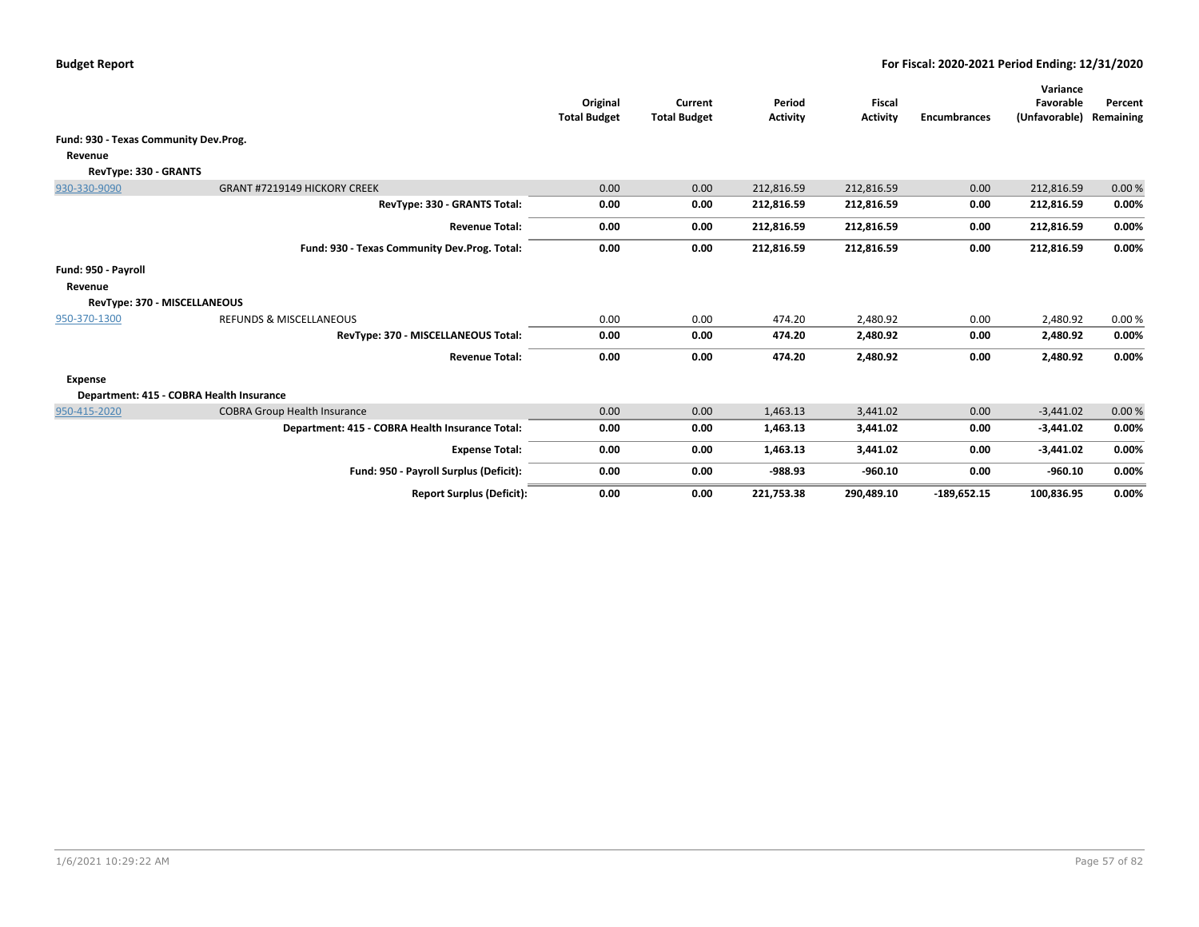|                                       |                                                 | Original<br><b>Total Budget</b> | Current<br><b>Total Budget</b> | Period<br><b>Activity</b> | <b>Fiscal</b><br><b>Activity</b> | <b>Encumbrances</b> | Variance<br>Favorable<br>(Unfavorable) | Percent<br>Remaining |
|---------------------------------------|-------------------------------------------------|---------------------------------|--------------------------------|---------------------------|----------------------------------|---------------------|----------------------------------------|----------------------|
| Fund: 930 - Texas Community Dev.Prog. |                                                 |                                 |                                |                           |                                  |                     |                                        |                      |
| Revenue                               |                                                 |                                 |                                |                           |                                  |                     |                                        |                      |
| RevType: 330 - GRANTS                 |                                                 |                                 |                                |                           |                                  |                     |                                        |                      |
| 930-330-9090                          | GRANT #7219149 HICKORY CREEK                    | 0.00                            | 0.00                           | 212,816.59                | 212,816.59                       | 0.00                | 212,816.59                             | 0.00%                |
|                                       | RevType: 330 - GRANTS Total:                    | 0.00                            | 0.00                           | 212,816.59                | 212,816.59                       | 0.00                | 212,816.59                             | 0.00%                |
|                                       | <b>Revenue Total:</b>                           | 0.00                            | 0.00                           | 212,816.59                | 212,816.59                       | 0.00                | 212,816.59                             | 0.00%                |
|                                       | Fund: 930 - Texas Community Dev.Prog. Total:    | 0.00                            | 0.00                           | 212,816.59                | 212,816.59                       | 0.00                | 212,816.59                             | 0.00%                |
| Fund: 950 - Payroll                   |                                                 |                                 |                                |                           |                                  |                     |                                        |                      |
| Revenue                               |                                                 |                                 |                                |                           |                                  |                     |                                        |                      |
| RevType: 370 - MISCELLANEOUS          |                                                 |                                 |                                |                           |                                  |                     |                                        |                      |
| 950-370-1300                          | <b>REFUNDS &amp; MISCELLANEOUS</b>              | 0.00                            | 0.00                           | 474.20                    | 2,480.92                         | 0.00                | 2,480.92                               | 0.00%                |
|                                       | RevType: 370 - MISCELLANEOUS Total:             | 0.00                            | 0.00                           | 474.20                    | 2,480.92                         | 0.00                | 2,480.92                               | 0.00%                |
|                                       | <b>Revenue Total:</b>                           | 0.00                            | 0.00                           | 474.20                    | 2,480.92                         | 0.00                | 2,480.92                               | 0.00%                |
| <b>Expense</b>                        |                                                 |                                 |                                |                           |                                  |                     |                                        |                      |
|                                       | Department: 415 - COBRA Health Insurance        |                                 |                                |                           |                                  |                     |                                        |                      |
| 950-415-2020                          | <b>COBRA Group Health Insurance</b>             | 0.00                            | 0.00                           | 1.463.13                  | 3,441.02                         | 0.00                | $-3,441.02$                            | 0.00%                |
|                                       | Department: 415 - COBRA Health Insurance Total: | 0.00                            | 0.00                           | 1,463.13                  | 3,441.02                         | 0.00                | $-3,441.02$                            | 0.00%                |
|                                       | <b>Expense Total:</b>                           | 0.00                            | 0.00                           | 1,463.13                  | 3,441.02                         | 0.00                | $-3,441.02$                            | 0.00%                |
|                                       | Fund: 950 - Payroll Surplus (Deficit):          | 0.00                            | 0.00                           | $-988.93$                 | $-960.10$                        | 0.00                | $-960.10$                              | 0.00%                |
|                                       | <b>Report Surplus (Deficit):</b>                | 0.00                            | 0.00                           | 221,753.38                | 290.489.10                       | $-189,652.15$       | 100.836.95                             | 0.00%                |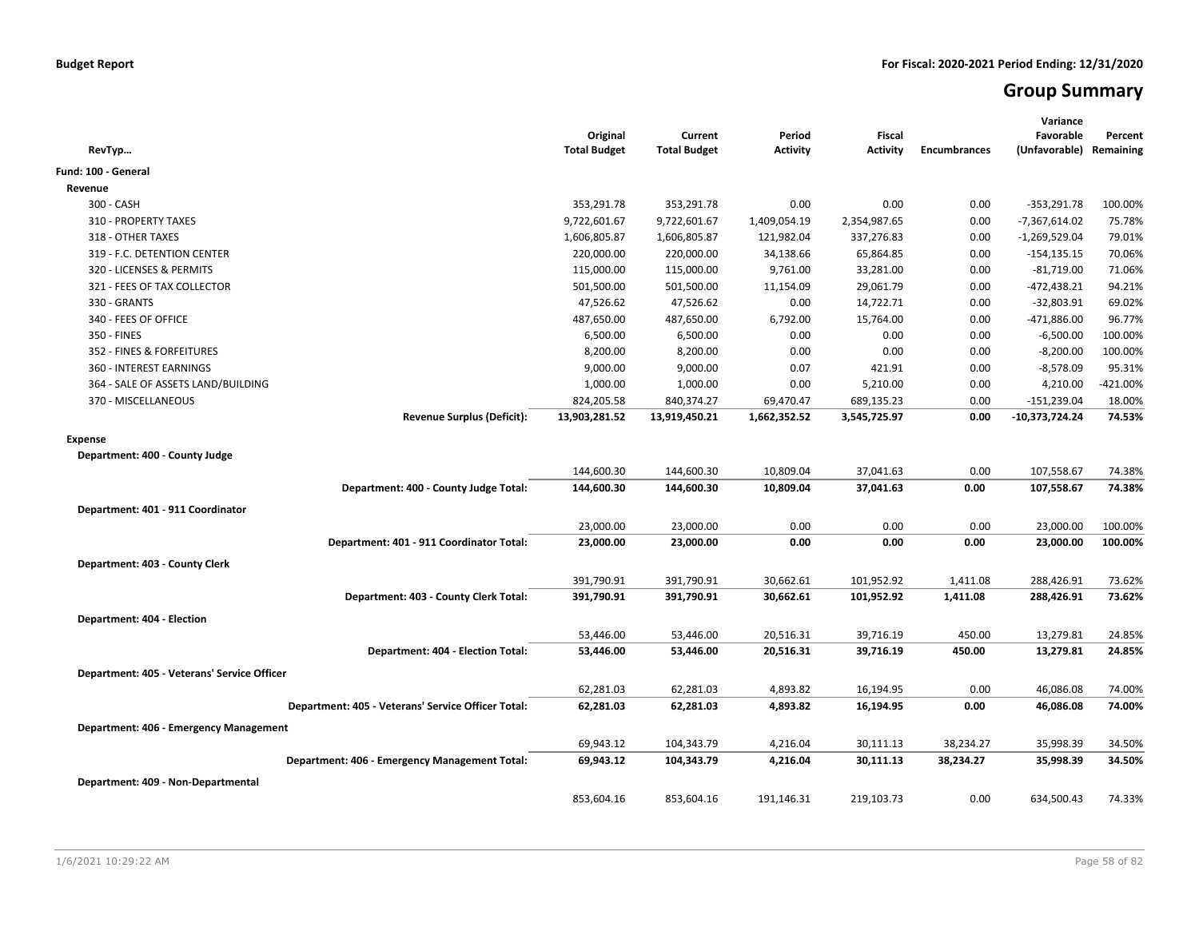# **Group Summary**

| RevTyp                                             | Original<br><b>Total Budget</b> | Current<br><b>Total Budget</b> | Period<br><b>Activity</b> | <b>Fiscal</b><br><b>Activity</b> | <b>Encumbrances</b> | Variance<br>Favorable<br>(Unfavorable) | Percent<br>Remaining |
|----------------------------------------------------|---------------------------------|--------------------------------|---------------------------|----------------------------------|---------------------|----------------------------------------|----------------------|
| Fund: 100 - General                                |                                 |                                |                           |                                  |                     |                                        |                      |
| Revenue                                            |                                 |                                |                           |                                  |                     |                                        |                      |
| 300 - CASH                                         | 353,291.78                      | 353,291.78                     | 0.00                      | 0.00                             | 0.00                | $-353,291.78$                          | 100.00%              |
| 310 - PROPERTY TAXES                               | 9,722,601.67                    | 9,722,601.67                   | 1,409,054.19              | 2,354,987.65                     | 0.00                | -7,367,614.02                          | 75.78%               |
| 318 - OTHER TAXES                                  | 1,606,805.87                    | 1,606,805.87                   | 121,982.04                | 337,276.83                       | 0.00                | -1,269,529.04                          | 79.01%               |
| 319 - F.C. DETENTION CENTER                        | 220,000.00                      | 220,000.00                     | 34,138.66                 | 65,864.85                        | 0.00                | $-154, 135.15$                         | 70.06%               |
| 320 - LICENSES & PERMITS                           | 115,000.00                      | 115,000.00                     | 9,761.00                  | 33,281.00                        | 0.00                | $-81,719.00$                           | 71.06%               |
| 321 - FEES OF TAX COLLECTOR                        | 501,500.00                      | 501,500.00                     | 11,154.09                 | 29,061.79                        | 0.00                | $-472,438.21$                          | 94.21%               |
| 330 - GRANTS                                       | 47,526.62                       | 47,526.62                      | 0.00                      | 14,722.71                        | 0.00                | $-32,803.91$                           | 69.02%               |
| 340 - FEES OF OFFICE                               | 487,650.00                      | 487,650.00                     | 6,792.00                  | 15,764.00                        | 0.00                | -471,886.00                            | 96.77%               |
| 350 - FINES                                        | 6,500.00                        | 6,500.00                       | 0.00                      | 0.00                             | 0.00                | $-6,500.00$                            | 100.00%              |
| 352 - FINES & FORFEITURES                          | 8,200.00                        | 8,200.00                       | 0.00                      | 0.00                             | 0.00                | $-8,200.00$                            | 100.00%              |
| 360 - INTEREST EARNINGS                            | 9,000.00                        | 9,000.00                       | 0.07                      | 421.91                           | 0.00                | $-8,578.09$                            | 95.31%               |
| 364 - SALE OF ASSETS LAND/BUILDING                 | 1,000.00                        | 1,000.00                       | 0.00                      | 5,210.00                         | 0.00                | 4,210.00                               | $-421.00%$           |
| 370 - MISCELLANEOUS                                | 824,205.58                      | 840,374.27                     | 69,470.47                 | 689,135.23                       | 0.00                | $-151,239.04$                          | 18.00%               |
| <b>Revenue Surplus (Deficit):</b>                  | 13,903,281.52                   | 13,919,450.21                  | 1,662,352.52              | 3,545,725.97                     | 0.00                | $-10,373,724.24$                       | 74.53%               |
| <b>Expense</b>                                     |                                 |                                |                           |                                  |                     |                                        |                      |
| Department: 400 - County Judge                     |                                 |                                |                           |                                  |                     |                                        |                      |
|                                                    | 144,600.30                      | 144,600.30                     | 10,809.04                 | 37,041.63                        | 0.00                | 107,558.67                             | 74.38%               |
| Department: 400 - County Judge Total:              | 144,600.30                      | 144,600.30                     | 10,809.04                 | 37,041.63                        | 0.00                | 107,558.67                             | 74.38%               |
|                                                    |                                 |                                |                           |                                  |                     |                                        |                      |
| Department: 401 - 911 Coordinator                  |                                 |                                |                           |                                  |                     |                                        |                      |
|                                                    | 23,000.00                       | 23,000.00                      | 0.00                      | 0.00                             | 0.00                | 23,000.00                              | 100.00%              |
| Department: 401 - 911 Coordinator Total:           | 23,000.00                       | 23,000.00                      | 0.00                      | 0.00                             | 0.00                | 23,000.00                              | 100.00%              |
| Department: 403 - County Clerk                     |                                 |                                |                           |                                  |                     |                                        |                      |
|                                                    | 391,790.91                      | 391,790.91                     | 30,662.61                 | 101,952.92                       | 1,411.08            | 288,426.91                             | 73.62%               |
| Department: 403 - County Clerk Total:              | 391,790.91                      | 391,790.91                     | 30,662.61                 | 101,952.92                       | 1,411.08            | 288,426.91                             | 73.62%               |
| Department: 404 - Election                         |                                 |                                |                           |                                  |                     |                                        |                      |
|                                                    | 53,446.00                       | 53,446.00                      | 20,516.31                 | 39,716.19                        | 450.00              | 13,279.81                              | 24.85%               |
| Department: 404 - Election Total:                  | 53,446.00                       | 53,446.00                      | 20,516.31                 | 39,716.19                        | 450.00              | 13,279.81                              | 24.85%               |
|                                                    |                                 |                                |                           |                                  |                     |                                        |                      |
| Department: 405 - Veterans' Service Officer        |                                 |                                |                           |                                  |                     |                                        |                      |
|                                                    | 62,281.03                       | 62,281.03                      | 4,893.82                  | 16,194.95                        | 0.00                | 46,086.08                              | 74.00%               |
| Department: 405 - Veterans' Service Officer Total: | 62,281.03                       | 62,281.03                      | 4,893.82                  | 16,194.95                        | 0.00                | 46,086.08                              | 74.00%               |
| Department: 406 - Emergency Management             |                                 |                                |                           |                                  |                     |                                        |                      |
|                                                    | 69,943.12                       | 104,343.79                     | 4,216.04                  | 30,111.13                        | 38,234.27           | 35,998.39                              | 34.50%               |
| Department: 406 - Emergency Management Total:      | 69,943.12                       | 104,343.79                     | 4,216.04                  | 30,111.13                        | 38,234.27           | 35,998.39                              | 34.50%               |
| Department: 409 - Non-Departmental                 |                                 |                                |                           |                                  |                     |                                        |                      |
|                                                    | 853,604.16                      | 853,604.16                     | 191,146.31                | 219,103.73                       | 0.00                | 634,500.43                             | 74.33%               |
|                                                    |                                 |                                |                           |                                  |                     |                                        |                      |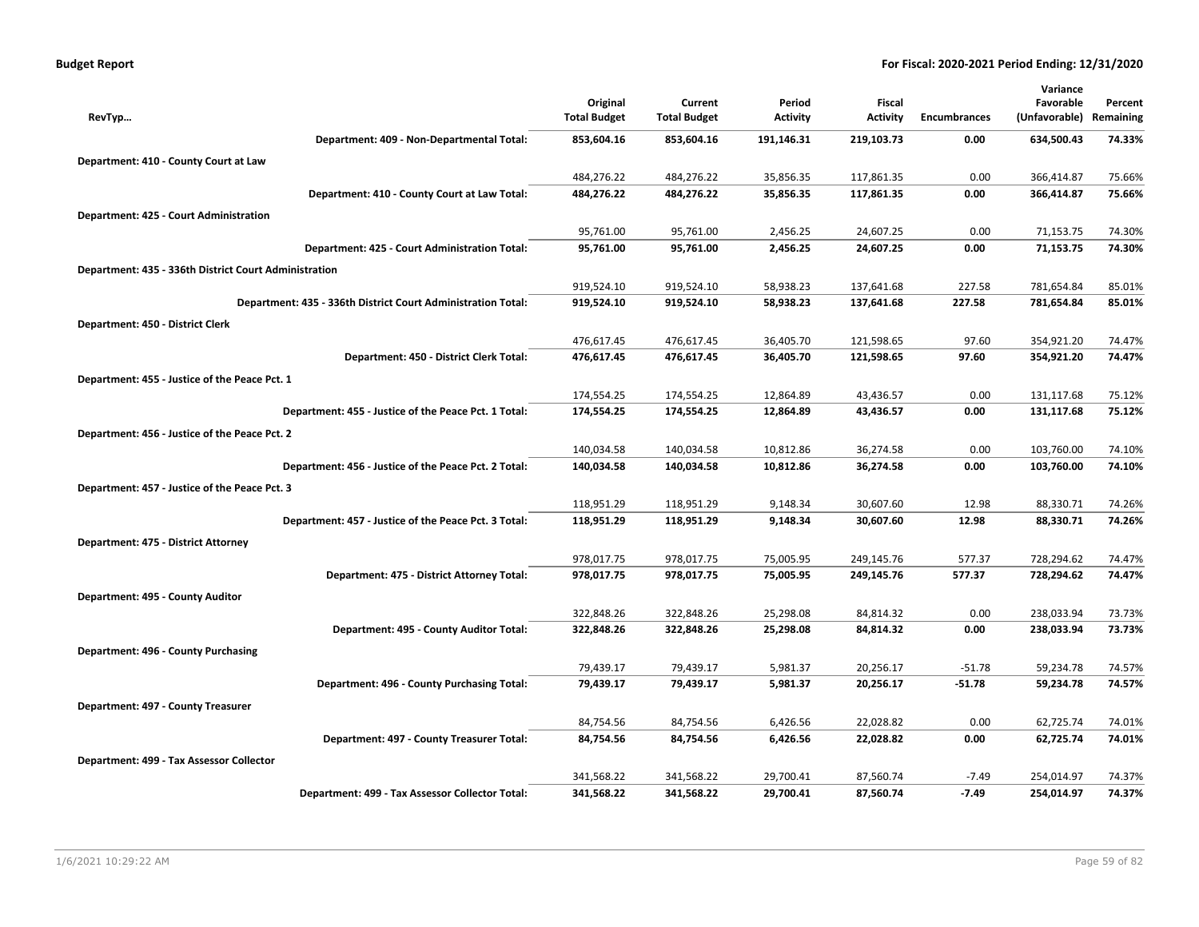| <b>Budget Report</b> |  |
|----------------------|--|
|----------------------|--|

|                                                              |                     |                     |                 |                 |                     | Variance      |           |
|--------------------------------------------------------------|---------------------|---------------------|-----------------|-----------------|---------------------|---------------|-----------|
|                                                              | Original            | Current             | Period          | Fiscal          |                     | Favorable     | Percent   |
| RevTyp                                                       | <b>Total Budget</b> | <b>Total Budget</b> | <b>Activity</b> | <b>Activity</b> | <b>Encumbrances</b> | (Unfavorable) | Remaining |
| Department: 409 - Non-Departmental Total:                    | 853,604.16          | 853,604.16          | 191,146.31      | 219,103.73      | 0.00                | 634,500.43    | 74.33%    |
| Department: 410 - County Court at Law                        |                     |                     |                 |                 |                     |               |           |
|                                                              | 484,276.22          | 484,276.22          | 35,856.35       | 117,861.35      | 0.00                | 366,414.87    | 75.66%    |
| Department: 410 - County Court at Law Total:                 | 484,276.22          | 484,276.22          | 35,856.35       | 117,861.35      | 0.00                | 366,414.87    | 75.66%    |
| Department: 425 - Court Administration                       |                     |                     |                 |                 |                     |               |           |
|                                                              | 95,761.00           | 95,761.00           | 2,456.25        | 24,607.25       | 0.00                | 71,153.75     | 74.30%    |
| Department: 425 - Court Administration Total:                | 95,761.00           | 95,761.00           | 2,456.25        | 24,607.25       | 0.00                | 71,153.75     | 74.30%    |
| Department: 435 - 336th District Court Administration        |                     |                     |                 |                 |                     |               |           |
|                                                              | 919,524.10          | 919,524.10          | 58,938.23       | 137,641.68      | 227.58              | 781,654.84    | 85.01%    |
| Department: 435 - 336th District Court Administration Total: | 919,524.10          | 919,524.10          | 58,938.23       | 137,641.68      | 227.58              | 781,654.84    | 85.01%    |
| Department: 450 - District Clerk                             |                     |                     |                 |                 |                     |               |           |
|                                                              | 476,617.45          | 476,617.45          | 36,405.70       | 121,598.65      | 97.60               | 354,921.20    | 74.47%    |
| Department: 450 - District Clerk Total:                      | 476,617.45          | 476,617.45          | 36,405.70       | 121,598.65      | 97.60               | 354,921.20    | 74.47%    |
| Department: 455 - Justice of the Peace Pct. 1                |                     |                     |                 |                 |                     |               |           |
|                                                              | 174,554.25          | 174,554.25          | 12,864.89       | 43,436.57       | 0.00                | 131,117.68    | 75.12%    |
| Department: 455 - Justice of the Peace Pct. 1 Total:         | 174,554.25          | 174,554.25          | 12,864.89       | 43,436.57       | 0.00                | 131,117.68    | 75.12%    |
| Department: 456 - Justice of the Peace Pct. 2                |                     |                     |                 |                 |                     |               |           |
|                                                              | 140,034.58          | 140,034.58          | 10,812.86       | 36,274.58       | 0.00                | 103,760.00    | 74.10%    |
| Department: 456 - Justice of the Peace Pct. 2 Total:         | 140,034.58          | 140,034.58          | 10,812.86       | 36,274.58       | 0.00                | 103,760.00    | 74.10%    |
| Department: 457 - Justice of the Peace Pct. 3                |                     |                     |                 |                 |                     |               |           |
|                                                              | 118,951.29          | 118,951.29          | 9,148.34        | 30,607.60       | 12.98               | 88,330.71     | 74.26%    |
| Department: 457 - Justice of the Peace Pct. 3 Total:         | 118,951.29          | 118,951.29          | 9,148.34        | 30,607.60       | 12.98               | 88,330.71     | 74.26%    |
| Department: 475 - District Attorney                          |                     |                     |                 |                 |                     |               |           |
|                                                              | 978,017.75          | 978,017.75          | 75,005.95       | 249,145.76      | 577.37              | 728,294.62    | 74.47%    |
| Department: 475 - District Attorney Total:                   | 978,017.75          | 978,017.75          | 75,005.95       | 249,145.76      | 577.37              | 728,294.62    | 74.47%    |
| Department: 495 - County Auditor                             |                     |                     |                 |                 |                     |               |           |
|                                                              | 322,848.26          | 322,848.26          | 25,298.08       | 84,814.32       | 0.00                | 238,033.94    | 73.73%    |
| Department: 495 - County Auditor Total:                      | 322,848.26          | 322,848.26          | 25,298.08       | 84,814.32       | 0.00                | 238,033.94    | 73.73%    |
| Department: 496 - County Purchasing                          |                     |                     |                 |                 |                     |               |           |
|                                                              | 79,439.17           | 79,439.17           | 5,981.37        | 20,256.17       | $-51.78$            | 59,234.78     | 74.57%    |
| Department: 496 - County Purchasing Total:                   | 79,439.17           | 79,439.17           | 5,981.37        | 20,256.17       | $-51.78$            | 59,234.78     | 74.57%    |
| Department: 497 - County Treasurer                           |                     |                     |                 |                 |                     |               |           |
|                                                              | 84,754.56           | 84,754.56           | 6,426.56        | 22,028.82       | 0.00                | 62,725.74     | 74.01%    |
| Department: 497 - County Treasurer Total:                    | 84,754.56           | 84,754.56           | 6,426.56        | 22,028.82       | 0.00                | 62,725.74     | 74.01%    |
| Department: 499 - Tax Assessor Collector                     |                     |                     |                 |                 |                     |               |           |
|                                                              | 341,568.22          | 341,568.22          | 29,700.41       | 87,560.74       | $-7.49$             | 254,014.97    | 74.37%    |
| Department: 499 - Tax Assessor Collector Total:              | 341,568.22          | 341,568.22          | 29,700.41       | 87,560.74       | $-7.49$             | 254,014.97    | 74.37%    |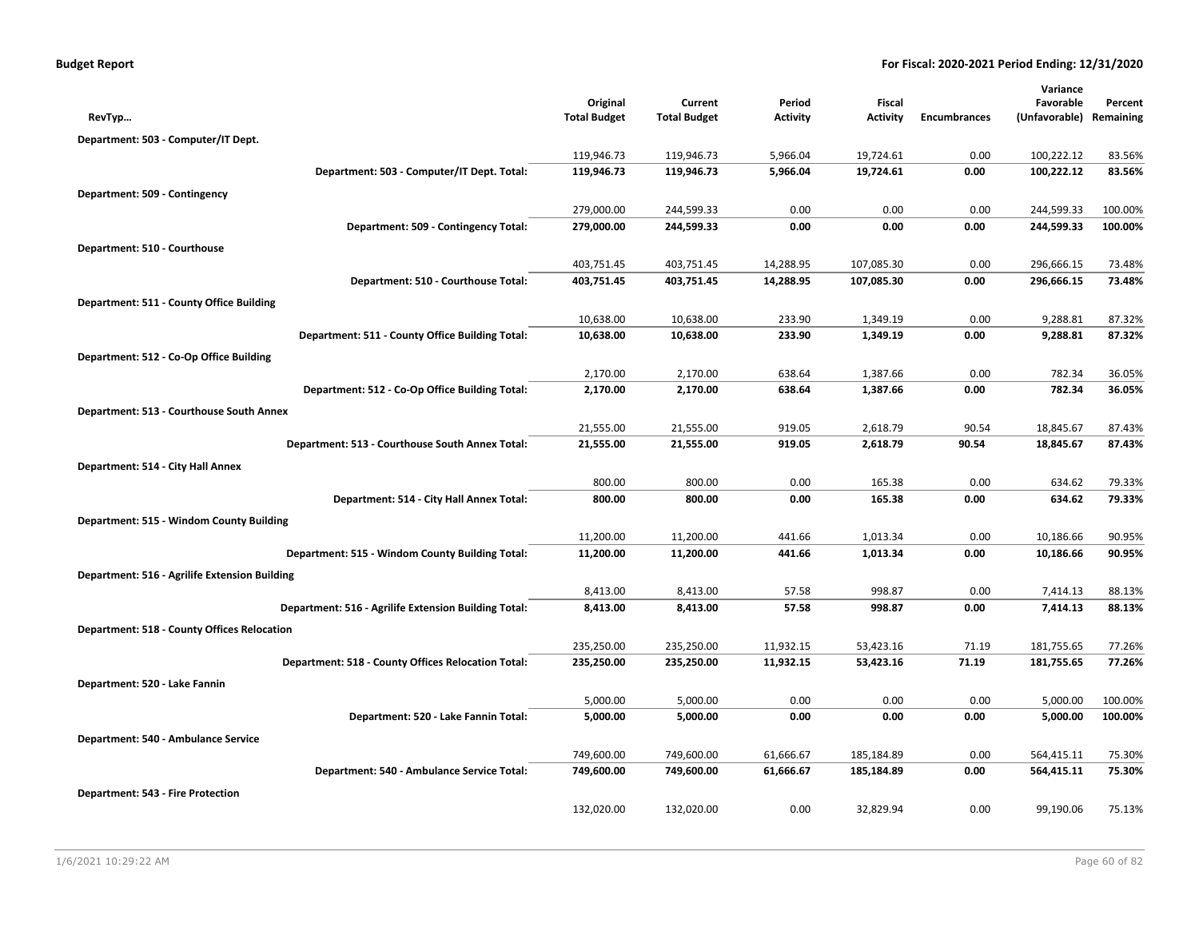| <b>Budget Report</b> |  |  |  |  |
|----------------------|--|--|--|--|
|----------------------|--|--|--|--|

|                                                      |                      |                      |                 |              |                     | Variance             |                    |
|------------------------------------------------------|----------------------|----------------------|-----------------|--------------|---------------------|----------------------|--------------------|
|                                                      | Original             | Current              | Period          | Fiscal       |                     | Favorable            | Percent            |
| RevTyp                                               | <b>Total Budget</b>  | <b>Total Budget</b>  | <b>Activity</b> | Activity     | <b>Encumbrances</b> | (Unfavorable)        | Remaining          |
| Department: 503 - Computer/IT Dept.                  |                      |                      |                 |              |                     |                      |                    |
|                                                      | 119,946.73           | 119,946.73           | 5,966.04        | 19,724.61    | 0.00                | 100,222.12           | 83.56%             |
| Department: 503 - Computer/IT Dept. Total:           | 119,946.73           | 119,946.73           | 5,966.04        | 19,724.61    | 0.00                | 100,222.12           | 83.56%             |
| Department: 509 - Contingency                        |                      |                      |                 |              |                     |                      |                    |
|                                                      | 279,000.00           | 244,599.33           | 0.00            | 0.00         | 0.00                | 244,599.33           | 100.00%            |
| Department: 509 - Contingency Total:                 | 279,000.00           | 244,599.33           | 0.00            | 0.00         | 0.00                | 244,599.33           | 100.00%            |
| Department: 510 - Courthouse                         |                      |                      |                 |              |                     |                      |                    |
|                                                      | 403,751.45           | 403,751.45           | 14,288.95       | 107,085.30   | 0.00                | 296,666.15           | 73.48%             |
| Department: 510 - Courthouse Total:                  | 403,751.45           | 403,751.45           | 14,288.95       | 107,085.30   | 0.00                | 296,666.15           | 73.48%             |
| Department: 511 - County Office Building             |                      |                      |                 |              |                     |                      |                    |
|                                                      | 10,638.00            | 10,638.00            | 233.90          | 1,349.19     | 0.00                | 9,288.81             | 87.32%             |
| Department: 511 - County Office Building Total:      | 10,638.00            | 10,638.00            | 233.90          | 1,349.19     | 0.00                | 9,288.81             | 87.32%             |
| Department: 512 - Co-Op Office Building              |                      |                      |                 |              |                     |                      |                    |
|                                                      | 2,170.00             | 2,170.00             | 638.64          | 1,387.66     | 0.00                | 782.34               | 36.05%             |
| Department: 512 - Co-Op Office Building Total:       | 2,170.00             | 2,170.00             | 638.64          | 1,387.66     | 0.00                | 782.34               | 36.05%             |
| Department: 513 - Courthouse South Annex             |                      |                      |                 |              |                     |                      |                    |
|                                                      | 21,555.00            | 21,555.00            | 919.05          | 2,618.79     | 90.54               | 18,845.67            | 87.43%             |
| Department: 513 - Courthouse South Annex Total:      | 21,555.00            | 21,555.00            | 919.05          | 2,618.79     | 90.54               | 18,845.67            | 87.43%             |
| Department: 514 - City Hall Annex                    |                      |                      |                 |              |                     |                      |                    |
|                                                      | 800.00               | 800.00               | 0.00            | 165.38       | 0.00                | 634.62               | 79.33%             |
| Department: 514 - City Hall Annex Total:             | 800.00               | 800.00               | 0.00            | 165.38       | 0.00                | 634.62               | 79.33%             |
| Department: 515 - Windom County Building             |                      |                      |                 |              |                     |                      |                    |
|                                                      | 11,200.00            | 11,200.00            | 441.66          | 1.013.34     | 0.00                | 10,186.66            | 90.95%             |
| Department: 515 - Windom County Building Total:      | 11,200.00            | 11,200.00            | 441.66          | 1,013.34     | 0.00                | 10,186.66            | 90.95%             |
| Department: 516 - Agrilife Extension Building        |                      |                      |                 |              |                     |                      |                    |
|                                                      | 8,413.00             | 8,413.00             | 57.58           | 998.87       | 0.00                | 7,414.13             | 88.13%             |
| Department: 516 - Agrilife Extension Building Total: | 8,413.00             | 8,413.00             | 57.58           | 998.87       | 0.00                | 7,414.13             | 88.13%             |
|                                                      |                      |                      |                 |              |                     |                      |                    |
| <b>Department: 518 - County Offices Relocation</b>   | 235,250.00           | 235,250.00           | 11,932.15       | 53,423.16    | 71.19               | 181,755.65           | 77.26%             |
| Department: 518 - County Offices Relocation Total:   | 235,250.00           | 235,250.00           | 11,932.15       | 53,423.16    | 71.19               | 181,755.65           | 77.26%             |
|                                                      |                      |                      |                 |              |                     |                      |                    |
| Department: 520 - Lake Fannin                        |                      |                      |                 |              |                     |                      |                    |
| Department: 520 - Lake Fannin Total:                 | 5,000.00<br>5,000.00 | 5,000.00<br>5,000.00 | 0.00<br>0.00    | 0.00<br>0.00 | 0.00<br>0.00        | 5,000.00<br>5,000.00 | 100.00%<br>100.00% |
|                                                      |                      |                      |                 |              |                     |                      |                    |
| Department: 540 - Ambulance Service                  |                      |                      |                 |              |                     |                      |                    |
|                                                      | 749,600.00           | 749,600.00           | 61,666.67       | 185,184.89   | 0.00                | 564,415.11           | 75.30%             |
| Department: 540 - Ambulance Service Total:           | 749,600.00           | 749,600.00           | 61,666.67       | 185,184.89   | 0.00                | 564,415.11           | 75.30%             |
| <b>Department: 543 - Fire Protection</b>             |                      |                      |                 |              |                     |                      |                    |
|                                                      | 132,020.00           | 132,020.00           | 0.00            | 32,829.94    | 0.00                | 99,190.06            | 75.13%             |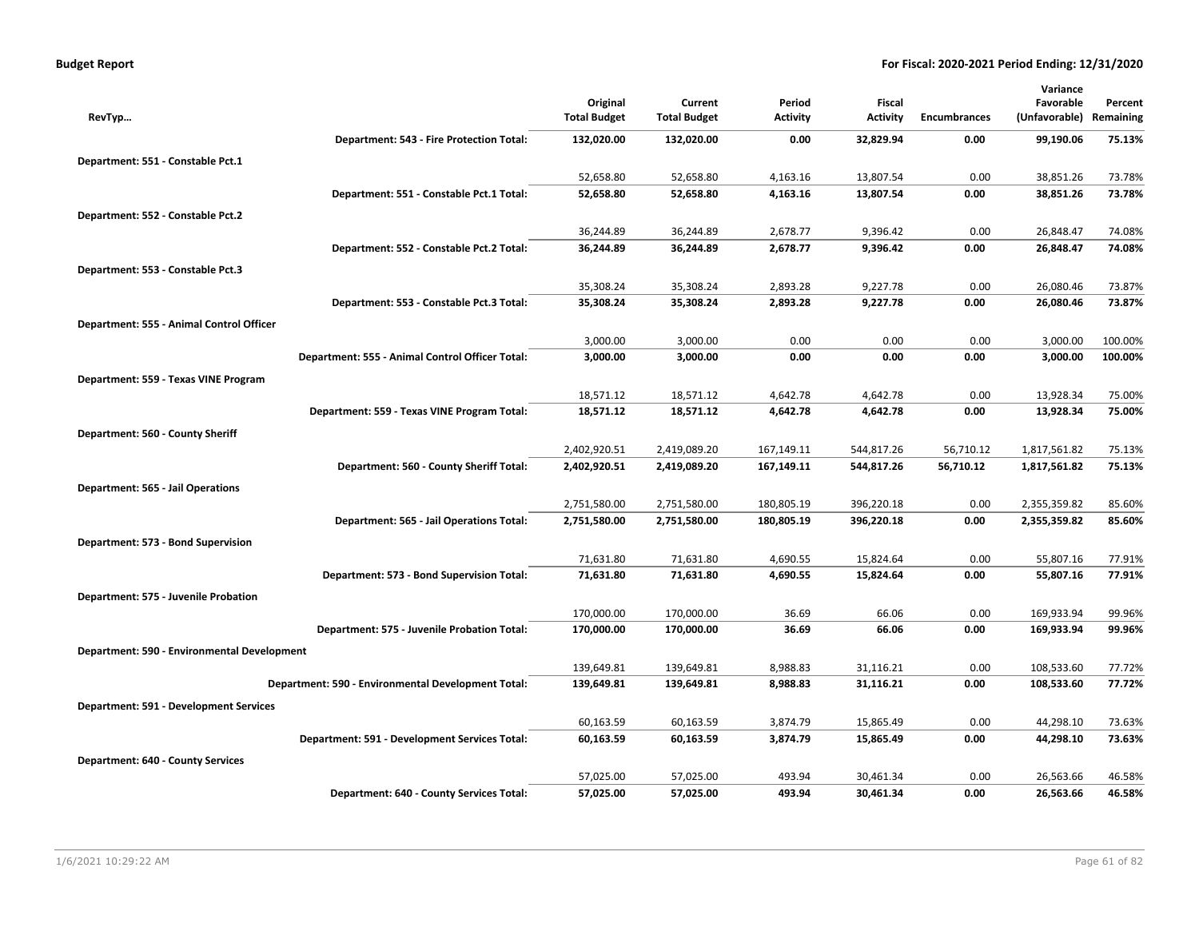|                                             |                                                    |                     |                     |            |                 |                     | Variance      |           |
|---------------------------------------------|----------------------------------------------------|---------------------|---------------------|------------|-----------------|---------------------|---------------|-----------|
|                                             |                                                    | Original            | Current             | Period     | Fiscal          |                     | Favorable     | Percent   |
| RevTyp                                      |                                                    | <b>Total Budget</b> | <b>Total Budget</b> | Activity   | <b>Activity</b> | <b>Encumbrances</b> | (Unfavorable) | Remaining |
|                                             | Department: 543 - Fire Protection Total:           | 132,020.00          | 132,020.00          | 0.00       | 32,829.94       | 0.00                | 99,190.06     | 75.13%    |
| Department: 551 - Constable Pct.1           |                                                    |                     |                     |            |                 |                     |               |           |
|                                             |                                                    | 52,658.80           | 52,658.80           | 4,163.16   | 13,807.54       | 0.00                | 38,851.26     | 73.78%    |
|                                             | Department: 551 - Constable Pct.1 Total:           | 52,658.80           | 52,658.80           | 4,163.16   | 13,807.54       | 0.00                | 38,851.26     | 73.78%    |
| Department: 552 - Constable Pct.2           |                                                    |                     |                     |            |                 |                     |               |           |
|                                             |                                                    | 36,244.89           | 36,244.89           | 2,678.77   | 9,396.42        | 0.00                | 26,848.47     | 74.08%    |
|                                             | Department: 552 - Constable Pct.2 Total:           | 36,244.89           | 36,244.89           | 2,678.77   | 9,396.42        | 0.00                | 26,848.47     | 74.08%    |
| Department: 553 - Constable Pct.3           |                                                    |                     |                     |            |                 |                     |               |           |
|                                             |                                                    | 35,308.24           | 35,308.24           | 2,893.28   | 9,227.78        | 0.00                | 26,080.46     | 73.87%    |
|                                             | Department: 553 - Constable Pct.3 Total:           | 35,308.24           | 35,308.24           | 2,893.28   | 9,227.78        | 0.00                | 26,080.46     | 73.87%    |
| Department: 555 - Animal Control Officer    |                                                    |                     |                     |            |                 |                     |               |           |
|                                             |                                                    | 3,000.00            | 3,000.00            | 0.00       | 0.00            | 0.00                | 3,000.00      | 100.00%   |
|                                             | Department: 555 - Animal Control Officer Total:    | 3,000.00            | 3,000.00            | 0.00       | 0.00            | 0.00                | 3,000.00      | 100.00%   |
| Department: 559 - Texas VINE Program        |                                                    |                     |                     |            |                 |                     |               |           |
|                                             |                                                    | 18,571.12           | 18,571.12           | 4,642.78   | 4,642.78        | 0.00                | 13,928.34     | 75.00%    |
|                                             | Department: 559 - Texas VINE Program Total:        | 18,571.12           | 18,571.12           | 4,642.78   | 4,642.78        | 0.00                | 13,928.34     | 75.00%    |
| Department: 560 - County Sheriff            |                                                    |                     |                     |            |                 |                     |               |           |
|                                             |                                                    | 2,402,920.51        | 2,419,089.20        | 167,149.11 | 544,817.26      | 56,710.12           | 1,817,561.82  | 75.13%    |
|                                             | Department: 560 - County Sheriff Total:            | 2,402,920.51        | 2,419,089.20        | 167,149.11 | 544,817.26      | 56,710.12           | 1,817,561.82  | 75.13%    |
| <b>Department: 565 - Jail Operations</b>    |                                                    |                     |                     |            |                 |                     |               |           |
|                                             |                                                    | 2,751,580.00        | 2,751,580.00        | 180,805.19 | 396,220.18      | 0.00                | 2,355,359.82  | 85.60%    |
|                                             | Department: 565 - Jail Operations Total:           | 2,751,580.00        | 2,751,580.00        | 180,805.19 | 396,220.18      | 0.00                | 2,355,359.82  | 85.60%    |
| Department: 573 - Bond Supervision          |                                                    |                     |                     |            |                 |                     |               |           |
|                                             |                                                    | 71,631.80           | 71,631.80           | 4,690.55   | 15,824.64       | 0.00                | 55,807.16     | 77.91%    |
|                                             | Department: 573 - Bond Supervision Total:          | 71,631.80           | 71,631.80           | 4,690.55   | 15,824.64       | 0.00                | 55,807.16     | 77.91%    |
| Department: 575 - Juvenile Probation        |                                                    |                     |                     |            |                 |                     |               |           |
|                                             |                                                    | 170,000.00          | 170,000.00          | 36.69      | 66.06           | 0.00                | 169,933.94    | 99.96%    |
|                                             | Department: 575 - Juvenile Probation Total:        | 170,000.00          | 170,000.00          | 36.69      | 66.06           | 0.00                | 169,933.94    | 99.96%    |
| Department: 590 - Environmental Development |                                                    |                     |                     |            |                 |                     |               |           |
|                                             |                                                    | 139,649.81          | 139,649.81          | 8,988.83   | 31,116.21       | 0.00                | 108,533.60    | 77.72%    |
|                                             | Department: 590 - Environmental Development Total: | 139,649.81          | 139,649.81          | 8,988.83   | 31,116.21       | 0.00                | 108,533.60    | 77.72%    |
| Department: 591 - Development Services      |                                                    |                     |                     |            |                 |                     |               |           |
|                                             |                                                    | 60,163.59           | 60,163.59           | 3,874.79   | 15,865.49       | 0.00                | 44,298.10     | 73.63%    |
|                                             | Department: 591 - Development Services Total:      | 60,163.59           | 60,163.59           | 3,874.79   | 15,865.49       | 0.00                | 44,298.10     | 73.63%    |
| <b>Department: 640 - County Services</b>    |                                                    |                     |                     |            |                 |                     |               |           |
|                                             |                                                    | 57,025.00           | 57,025.00           | 493.94     | 30,461.34       | 0.00                | 26,563.66     | 46.58%    |
|                                             | Department: 640 - County Services Total:           | 57,025.00           | 57,025.00           | 493.94     | 30,461.34       | 0.00                | 26,563.66     | 46.58%    |
|                                             |                                                    |                     |                     |            |                 |                     |               |           |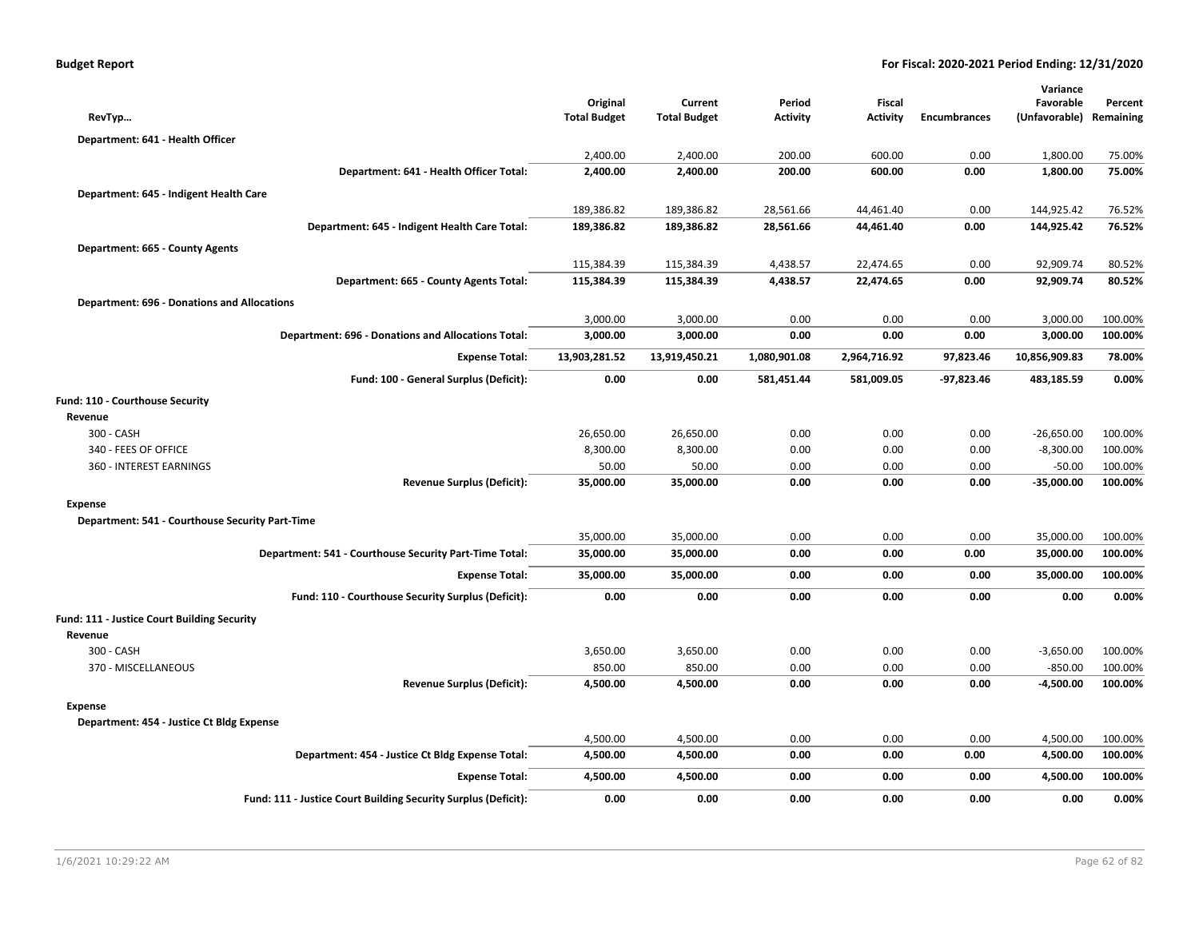| RevTyp                                             |                                                                | Original<br><b>Total Budget</b> | Current<br><b>Total Budget</b> | Period<br><b>Activity</b> | Fiscal<br><b>Activity</b> | <b>Encumbrances</b> | Variance<br>Favorable<br>(Unfavorable) | Percent<br>Remaining |
|----------------------------------------------------|----------------------------------------------------------------|---------------------------------|--------------------------------|---------------------------|---------------------------|---------------------|----------------------------------------|----------------------|
| Department: 641 - Health Officer                   |                                                                |                                 |                                |                           |                           |                     |                                        |                      |
|                                                    |                                                                | 2,400.00                        | 2,400.00                       | 200.00                    | 600.00                    | 0.00                | 1,800.00                               | 75.00%               |
|                                                    | Department: 641 - Health Officer Total:                        | 2,400.00                        | 2,400.00                       | 200.00                    | 600.00                    | 0.00                | 1,800.00                               | 75.00%               |
|                                                    |                                                                |                                 |                                |                           |                           |                     |                                        |                      |
| Department: 645 - Indigent Health Care             |                                                                | 189,386.82                      |                                |                           | 44,461.40                 | 0.00                |                                        | 76.52%               |
|                                                    | Department: 645 - Indigent Health Care Total:                  | 189,386.82                      | 189,386.82<br>189,386.82       | 28,561.66<br>28,561.66    | 44,461.40                 | 0.00                | 144,925.42<br>144,925.42               | 76.52%               |
|                                                    |                                                                |                                 |                                |                           |                           |                     |                                        |                      |
| Department: 665 - County Agents                    |                                                                |                                 |                                |                           |                           |                     |                                        |                      |
|                                                    |                                                                | 115,384.39                      | 115,384.39                     | 4,438.57                  | 22,474.65                 | 0.00                | 92,909.74                              | 80.52%               |
|                                                    | Department: 665 - County Agents Total:                         | 115,384.39                      | 115,384.39                     | 4,438.57                  | 22,474.65                 | 0.00                | 92,909.74                              | 80.52%               |
| <b>Department: 696 - Donations and Allocations</b> |                                                                |                                 |                                |                           |                           |                     |                                        |                      |
|                                                    |                                                                | 3,000.00                        | 3,000.00                       | 0.00                      | 0.00                      | 0.00                | 3,000.00                               | 100.00%              |
|                                                    | <b>Department: 696 - Donations and Allocations Total:</b>      | 3,000.00                        | 3,000.00                       | 0.00                      | 0.00                      | 0.00                | 3,000.00                               | 100.00%              |
|                                                    | <b>Expense Total:</b>                                          | 13,903,281.52                   | 13,919,450.21                  | 1,080,901.08              | 2,964,716.92              | 97,823.46           | 10,856,909.83                          | 78.00%               |
|                                                    | Fund: 100 - General Surplus (Deficit):                         | 0.00                            | 0.00                           | 581,451.44                | 581,009.05                | $-97,823.46$        | 483,185.59                             | 0.00%                |
| Fund: 110 - Courthouse Security                    |                                                                |                                 |                                |                           |                           |                     |                                        |                      |
| Revenue                                            |                                                                |                                 |                                |                           |                           |                     |                                        |                      |
| 300 - CASH                                         |                                                                | 26,650.00                       | 26,650.00                      | 0.00                      | 0.00                      | 0.00                | $-26,650.00$                           | 100.00%              |
| 340 - FEES OF OFFICE                               |                                                                | 8,300.00                        | 8,300.00                       | 0.00                      | 0.00                      | 0.00                | $-8,300.00$                            | 100.00%              |
| 360 - INTEREST EARNINGS                            |                                                                | 50.00                           | 50.00                          | 0.00                      | 0.00                      | 0.00                | $-50.00$                               | 100.00%              |
|                                                    | <b>Revenue Surplus (Deficit):</b>                              | 35,000.00                       | 35,000.00                      | 0.00                      | 0.00                      | 0.00                | $-35,000.00$                           | 100.00%              |
| <b>Expense</b>                                     |                                                                |                                 |                                |                           |                           |                     |                                        |                      |
| Department: 541 - Courthouse Security Part-Time    |                                                                |                                 |                                |                           |                           |                     |                                        |                      |
|                                                    |                                                                | 35,000.00                       | 35,000.00                      | 0.00                      | 0.00                      | 0.00                | 35,000.00                              | 100.00%              |
|                                                    | Department: 541 - Courthouse Security Part-Time Total:         | 35,000.00                       | 35,000.00                      | 0.00                      | 0.00                      | 0.00                | 35,000.00                              | 100.00%              |
|                                                    | <b>Expense Total:</b>                                          | 35,000.00                       | 35,000.00                      | 0.00                      | 0.00                      | 0.00                | 35,000.00                              | 100.00%              |
|                                                    |                                                                |                                 |                                |                           |                           |                     |                                        |                      |
|                                                    | Fund: 110 - Courthouse Security Surplus (Deficit):             | 0.00                            | 0.00                           | 0.00                      | 0.00                      | 0.00                | 0.00                                   | 0.00%                |
| Fund: 111 - Justice Court Building Security        |                                                                |                                 |                                |                           |                           |                     |                                        |                      |
| Revenue                                            |                                                                |                                 |                                |                           |                           |                     |                                        |                      |
| 300 - CASH                                         |                                                                | 3,650.00                        | 3,650.00                       | 0.00                      | 0.00                      | 0.00                | $-3,650.00$                            | 100.00%              |
| 370 - MISCELLANEOUS                                |                                                                | 850.00                          | 850.00                         | 0.00                      | 0.00                      | 0.00                | $-850.00$                              | 100.00%              |
|                                                    | <b>Revenue Surplus (Deficit):</b>                              | 4,500.00                        | 4,500.00                       | 0.00                      | 0.00                      | 0.00                | $-4,500.00$                            | 100.00%              |
| <b>Expense</b>                                     |                                                                |                                 |                                |                           |                           |                     |                                        |                      |
| Department: 454 - Justice Ct Bldg Expense          |                                                                |                                 |                                |                           |                           |                     |                                        |                      |
|                                                    |                                                                | 4,500.00                        | 4,500.00                       | 0.00                      | 0.00                      | 0.00                | 4,500.00                               | 100.00%              |
|                                                    | Department: 454 - Justice Ct Bldg Expense Total:               | 4,500.00                        | 4,500.00                       | 0.00                      | 0.00                      | 0.00                | 4,500.00                               | 100.00%              |
|                                                    | <b>Expense Total:</b>                                          | 4,500.00                        | 4,500.00                       | 0.00                      | 0.00                      | 0.00                | 4,500.00                               | 100.00%              |
|                                                    | Fund: 111 - Justice Court Building Security Surplus (Deficit): | 0.00                            | 0.00                           | 0.00                      | 0.00                      | 0.00                | 0.00                                   | 0.00%                |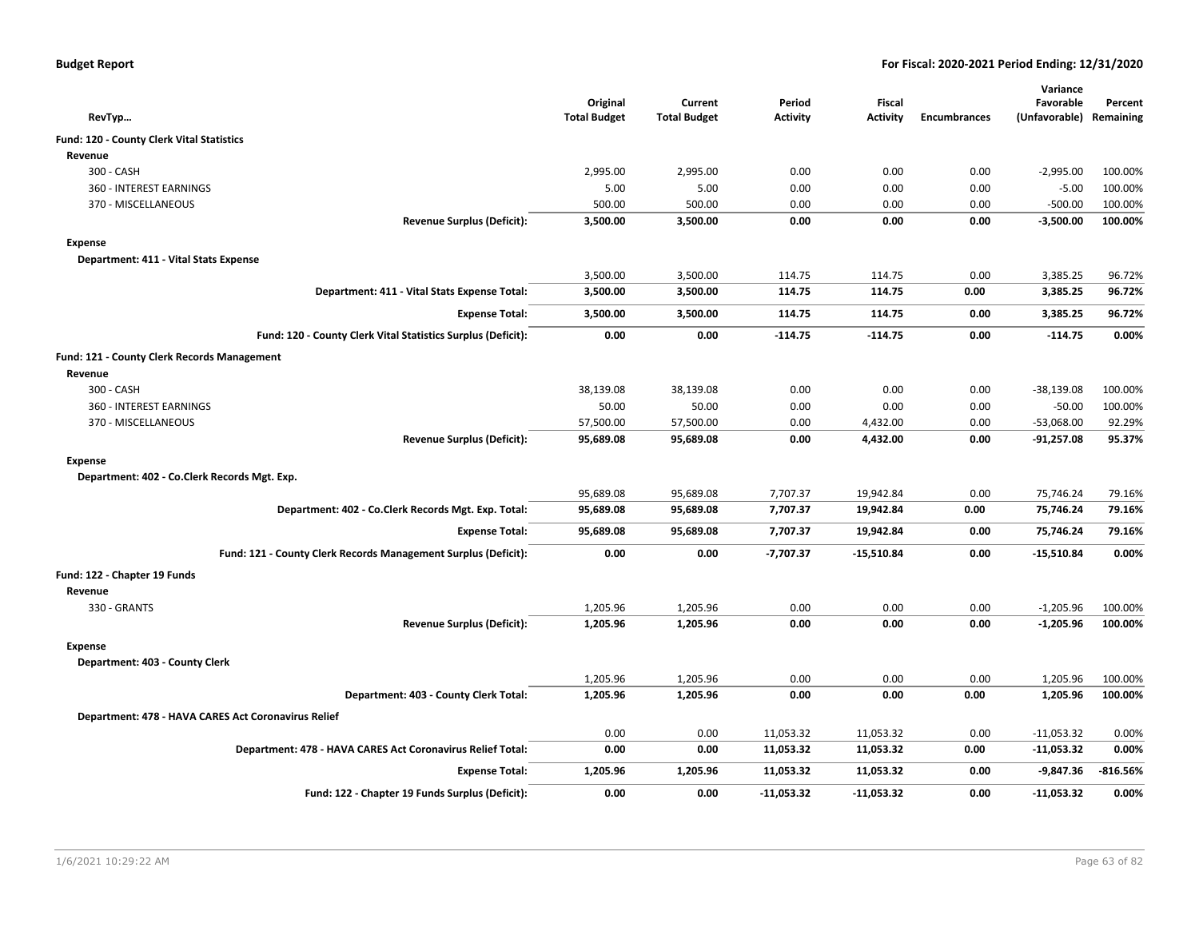| <b>Budget Report</b> |  |
|----------------------|--|
|----------------------|--|

|                                                                |                                 |                                |                           |                    |                     | Variance                   |                      |
|----------------------------------------------------------------|---------------------------------|--------------------------------|---------------------------|--------------------|---------------------|----------------------------|----------------------|
| RevTyp                                                         | Original<br><b>Total Budget</b> | Current<br><b>Total Budget</b> | Period<br><b>Activity</b> | Fiscal<br>Activity | <b>Encumbrances</b> | Favorable<br>(Unfavorable) | Percent<br>Remaining |
| <b>Fund: 120 - County Clerk Vital Statistics</b>               |                                 |                                |                           |                    |                     |                            |                      |
| Revenue                                                        |                                 |                                |                           |                    |                     |                            |                      |
| 300 - CASH                                                     | 2,995.00                        | 2,995.00                       | 0.00                      | 0.00               | 0.00                | $-2,995.00$                | 100.00%              |
| 360 - INTEREST EARNINGS                                        | 5.00                            | 5.00                           | 0.00                      | 0.00               | 0.00                | $-5.00$                    | 100.00%              |
| 370 - MISCELLANEOUS                                            | 500.00                          | 500.00                         | 0.00                      | 0.00               | 0.00                | $-500.00$                  | 100.00%              |
| <b>Revenue Surplus (Deficit):</b>                              | 3,500.00                        | 3,500.00                       | 0.00                      | 0.00               | 0.00                | $-3,500.00$                | 100.00%              |
| Expense                                                        |                                 |                                |                           |                    |                     |                            |                      |
| Department: 411 - Vital Stats Expense                          |                                 |                                |                           |                    |                     |                            |                      |
|                                                                | 3,500.00                        | 3,500.00                       | 114.75                    | 114.75             | 0.00                | 3,385.25                   | 96.72%               |
| Department: 411 - Vital Stats Expense Total:                   | 3,500.00                        | 3,500.00                       | 114.75                    | 114.75             | 0.00                | 3,385.25                   | 96.72%               |
| <b>Expense Total:</b>                                          | 3,500.00                        | 3,500.00                       | 114.75                    | 114.75             | 0.00                | 3,385.25                   | 96.72%               |
| Fund: 120 - County Clerk Vital Statistics Surplus (Deficit):   | 0.00                            | 0.00                           | $-114.75$                 | $-114.75$          | 0.00                | $-114.75$                  | 0.00%                |
| Fund: 121 - County Clerk Records Management                    |                                 |                                |                           |                    |                     |                            |                      |
| Revenue                                                        |                                 |                                |                           |                    |                     |                            |                      |
| 300 - CASH                                                     | 38,139.08                       | 38,139.08                      | 0.00                      | 0.00               | 0.00                | $-38,139.08$               | 100.00%              |
| 360 - INTEREST EARNINGS                                        | 50.00                           | 50.00                          | 0.00                      | 0.00               | 0.00                | $-50.00$                   | 100.00%              |
| 370 - MISCELLANEOUS                                            | 57,500.00                       | 57,500.00                      | 0.00                      | 4,432.00           | 0.00                | $-53,068.00$               | 92.29%               |
| <b>Revenue Surplus (Deficit):</b>                              | 95,689.08                       | 95,689.08                      | 0.00                      | 4,432.00           | 0.00                | $-91,257.08$               | 95.37%               |
| Expense                                                        |                                 |                                |                           |                    |                     |                            |                      |
| Department: 402 - Co.Clerk Records Mgt. Exp.                   |                                 |                                |                           |                    |                     |                            |                      |
|                                                                | 95,689.08                       | 95,689.08                      | 7,707.37                  | 19,942.84          | 0.00                | 75,746.24                  | 79.16%               |
| Department: 402 - Co.Clerk Records Mgt. Exp. Total:            | 95,689.08                       | 95,689.08                      | 7,707.37                  | 19,942.84          | 0.00                | 75,746.24                  | 79.16%               |
| <b>Expense Total:</b>                                          | 95,689.08                       | 95,689.08                      | 7,707.37                  | 19,942.84          | 0.00                | 75,746.24                  | 79.16%               |
| Fund: 121 - County Clerk Records Management Surplus (Deficit): | 0.00                            | 0.00                           | $-7,707.37$               | $-15,510.84$       | 0.00                | $-15,510.84$               | 0.00%                |
| Fund: 122 - Chapter 19 Funds                                   |                                 |                                |                           |                    |                     |                            |                      |
| Revenue                                                        |                                 |                                |                           |                    |                     |                            |                      |
| 330 - GRANTS                                                   | 1,205.96                        | 1,205.96                       | 0.00                      | 0.00               | 0.00                | $-1,205.96$                | 100.00%              |
| <b>Revenue Surplus (Deficit):</b>                              | 1,205.96                        | 1,205.96                       | 0.00                      | 0.00               | 0.00                | $-1,205.96$                | 100.00%              |
| Expense                                                        |                                 |                                |                           |                    |                     |                            |                      |
| Department: 403 - County Clerk                                 |                                 |                                |                           |                    |                     |                            |                      |
|                                                                | 1,205.96                        | 1,205.96                       | 0.00                      | 0.00               | 0.00                | 1,205.96                   | 100.00%              |
| Department: 403 - County Clerk Total:                          | 1,205.96                        | 1,205.96                       | 0.00                      | 0.00               | 0.00                | 1,205.96                   | 100.00%              |
| Department: 478 - HAVA CARES Act Coronavirus Relief            |                                 |                                |                           |                    |                     |                            |                      |
|                                                                | 0.00                            | 0.00                           | 11,053.32                 | 11,053.32          | 0.00                | $-11,053.32$               | 0.00%                |
| Department: 478 - HAVA CARES Act Coronavirus Relief Total:     | 0.00                            | 0.00                           | 11,053.32                 | 11,053.32          | 0.00                | $-11,053.32$               | 0.00%                |
| <b>Expense Total:</b>                                          | 1,205.96                        | 1,205.96                       | 11,053.32                 | 11,053.32          | 0.00                | -9,847.36                  | $-816.56%$           |
| Fund: 122 - Chapter 19 Funds Surplus (Deficit):                | 0.00                            | 0.00                           | $-11,053.32$              | $-11,053.32$       | 0.00                | $-11,053.32$               | 0.00%                |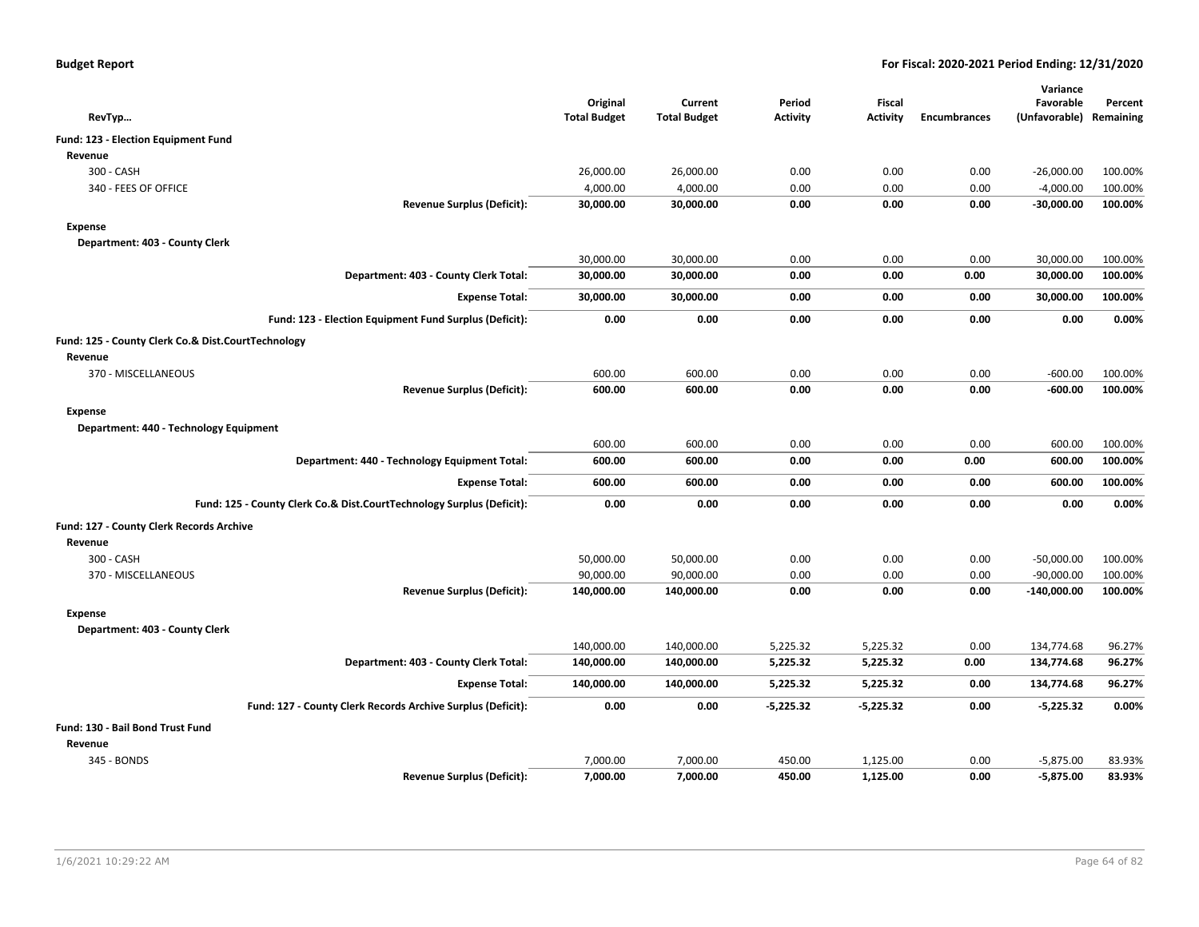| <b>Budget Report</b> |  |  |
|----------------------|--|--|
|----------------------|--|--|

|                                                                       |                                 |                     |                 |                                  |                     | Variance                |         |
|-----------------------------------------------------------------------|---------------------------------|---------------------|-----------------|----------------------------------|---------------------|-------------------------|---------|
|                                                                       | Original<br><b>Total Budget</b> | Current             | Period          | <b>Fiscal</b><br><b>Activity</b> | <b>Encumbrances</b> | Favorable               | Percent |
| RevTyp                                                                |                                 | <b>Total Budget</b> | <b>Activity</b> |                                  |                     | (Unfavorable) Remaining |         |
| Fund: 123 - Election Equipment Fund                                   |                                 |                     |                 |                                  |                     |                         |         |
| Revenue                                                               |                                 |                     |                 |                                  |                     |                         |         |
| 300 - CASH                                                            | 26,000.00                       | 26,000.00           | 0.00            | 0.00                             | 0.00                | $-26,000.00$            | 100.00% |
| 340 - FEES OF OFFICE                                                  | 4,000.00                        | 4,000.00            | 0.00            | 0.00                             | 0.00                | $-4,000.00$             | 100.00% |
| <b>Revenue Surplus (Deficit):</b>                                     | 30,000.00                       | 30,000.00           | 0.00            | 0.00                             | 0.00                | $-30,000.00$            | 100.00% |
| <b>Expense</b>                                                        |                                 |                     |                 |                                  |                     |                         |         |
| Department: 403 - County Clerk                                        |                                 |                     |                 |                                  |                     |                         |         |
|                                                                       | 30,000.00                       | 30,000.00           | 0.00            | 0.00                             | 0.00                | 30,000.00               | 100.00% |
| Department: 403 - County Clerk Total:                                 | 30,000.00                       | 30,000.00           | 0.00            | 0.00                             | 0.00                | 30,000.00               | 100.00% |
| <b>Expense Total:</b>                                                 | 30,000.00                       | 30,000.00           | 0.00            | 0.00                             | 0.00                | 30,000.00               | 100.00% |
| Fund: 123 - Election Equipment Fund Surplus (Deficit):                | 0.00                            | 0.00                | 0.00            | 0.00                             | 0.00                | 0.00                    | 0.00%   |
| Fund: 125 - County Clerk Co.& Dist.CourtTechnology                    |                                 |                     |                 |                                  |                     |                         |         |
| Revenue                                                               |                                 |                     |                 |                                  |                     |                         |         |
| 370 - MISCELLANEOUS                                                   | 600.00                          | 600.00              | 0.00            | 0.00                             | 0.00                | $-600.00$               | 100.00% |
| <b>Revenue Surplus (Deficit):</b>                                     | 600.00                          | 600.00              | 0.00            | 0.00                             | 0.00                | $-600.00$               | 100.00% |
| <b>Expense</b>                                                        |                                 |                     |                 |                                  |                     |                         |         |
| Department: 440 - Technology Equipment                                |                                 |                     |                 |                                  |                     |                         |         |
|                                                                       | 600.00                          | 600.00              | 0.00            | 0.00                             | 0.00                | 600.00                  | 100.00% |
| Department: 440 - Technology Equipment Total:                         | 600.00                          | 600.00              | 0.00            | 0.00                             | 0.00                | 600.00                  | 100.00% |
| <b>Expense Total:</b>                                                 | 600.00                          | 600.00              | 0.00            | 0.00                             | 0.00                | 600.00                  | 100.00% |
| Fund: 125 - County Clerk Co.& Dist.CourtTechnology Surplus (Deficit): | 0.00                            | 0.00                | 0.00            | 0.00                             | 0.00                | 0.00                    | 0.00%   |
| Fund: 127 - County Clerk Records Archive                              |                                 |                     |                 |                                  |                     |                         |         |
| Revenue                                                               |                                 |                     |                 |                                  |                     |                         |         |
| 300 - CASH                                                            | 50,000.00                       | 50,000.00           | 0.00            | 0.00                             | 0.00                | $-50,000.00$            | 100.00% |
| 370 - MISCELLANEOUS                                                   | 90,000.00                       | 90,000.00           | 0.00            | 0.00                             | 0.00                | $-90,000.00$            | 100.00% |
| <b>Revenue Surplus (Deficit):</b>                                     | 140,000.00                      | 140,000.00          | 0.00            | 0.00                             | 0.00                | $-140,000.00$           | 100.00% |
| <b>Expense</b>                                                        |                                 |                     |                 |                                  |                     |                         |         |
| Department: 403 - County Clerk                                        |                                 |                     |                 |                                  |                     |                         |         |
|                                                                       | 140,000.00                      | 140,000.00          | 5,225.32        | 5,225.32                         | 0.00                | 134,774.68              | 96.27%  |
| Department: 403 - County Clerk Total:                                 | 140,000.00                      | 140,000.00          | 5,225.32        | 5,225.32                         | 0.00                | 134,774.68              | 96.27%  |
| <b>Expense Total:</b>                                                 | 140,000.00                      | 140,000.00          | 5,225.32        | 5,225.32                         | 0.00                | 134,774.68              | 96.27%  |
| Fund: 127 - County Clerk Records Archive Surplus (Deficit):           | 0.00                            | 0.00                | $-5,225.32$     | $-5,225.32$                      | 0.00                | $-5,225.32$             | 0.00%   |
| Fund: 130 - Bail Bond Trust Fund                                      |                                 |                     |                 |                                  |                     |                         |         |
| Revenue                                                               |                                 |                     |                 |                                  |                     |                         |         |
| 345 - BONDS                                                           | 7,000.00                        | 7,000.00            | 450.00          | 1,125.00                         | 0.00                | $-5,875.00$             | 83.93%  |
| <b>Revenue Surplus (Deficit):</b>                                     | 7,000.00                        | 7,000.00            | 450.00          | 1,125.00                         | 0.00                | $-5,875.00$             | 83.93%  |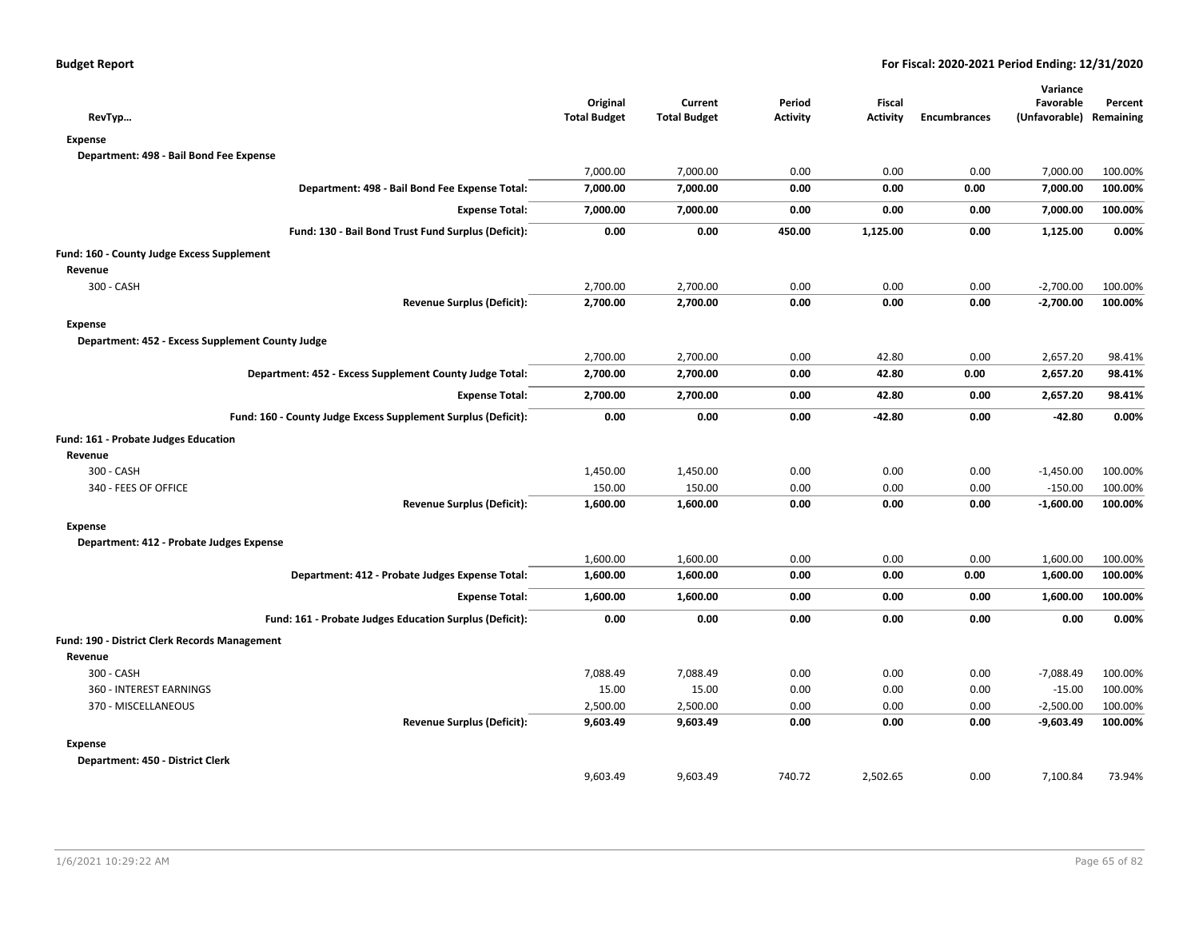| RevTyp                                                        | Original<br><b>Total Budget</b> | Current<br><b>Total Budget</b> | Period<br><b>Activity</b> | Fiscal<br><b>Activity</b> | <b>Encumbrances</b> | Variance<br>Favorable<br>(Unfavorable) Remaining | Percent |
|---------------------------------------------------------------|---------------------------------|--------------------------------|---------------------------|---------------------------|---------------------|--------------------------------------------------|---------|
| <b>Expense</b>                                                |                                 |                                |                           |                           |                     |                                                  |         |
| Department: 498 - Bail Bond Fee Expense                       |                                 |                                |                           |                           |                     |                                                  |         |
|                                                               | 7,000.00                        | 7,000.00                       | 0.00                      | 0.00                      | 0.00                | 7,000.00                                         | 100.00% |
| Department: 498 - Bail Bond Fee Expense Total:                | 7,000.00                        | 7,000.00                       | 0.00                      | 0.00                      | 0.00                | 7,000.00                                         | 100.00% |
| <b>Expense Total:</b>                                         | 7,000.00                        | 7,000.00                       | 0.00                      | 0.00                      | 0.00                | 7,000.00                                         | 100.00% |
| Fund: 130 - Bail Bond Trust Fund Surplus (Deficit):           | 0.00                            | 0.00                           | 450.00                    | 1,125.00                  | 0.00                | 1,125.00                                         | 0.00%   |
| Fund: 160 - County Judge Excess Supplement                    |                                 |                                |                           |                           |                     |                                                  |         |
| Revenue                                                       |                                 |                                |                           |                           |                     |                                                  |         |
| 300 - CASH                                                    | 2,700.00                        | 2,700.00                       | 0.00                      | 0.00                      | 0.00                | $-2,700.00$                                      | 100.00% |
| <b>Revenue Surplus (Deficit):</b>                             | 2,700.00                        | 2,700.00                       | 0.00                      | 0.00                      | 0.00                | $-2,700.00$                                      | 100.00% |
| <b>Expense</b>                                                |                                 |                                |                           |                           |                     |                                                  |         |
| Department: 452 - Excess Supplement County Judge              |                                 |                                |                           |                           |                     |                                                  |         |
|                                                               | 2,700.00                        | 2,700.00                       | 0.00                      | 42.80                     | 0.00                | 2,657.20                                         | 98.41%  |
| Department: 452 - Excess Supplement County Judge Total:       | 2,700.00                        | 2,700.00                       | 0.00                      | 42.80                     | 0.00                | 2,657.20                                         | 98.41%  |
| <b>Expense Total:</b>                                         | 2,700.00                        | 2,700.00                       | 0.00                      | 42.80                     | 0.00                | 2,657.20                                         | 98.41%  |
| Fund: 160 - County Judge Excess Supplement Surplus (Deficit): | 0.00                            | 0.00                           | 0.00                      | $-42.80$                  | 0.00                | $-42.80$                                         | 0.00%   |
| Fund: 161 - Probate Judges Education                          |                                 |                                |                           |                           |                     |                                                  |         |
| Revenue                                                       |                                 |                                |                           |                           |                     |                                                  |         |
| 300 - CASH                                                    | 1,450.00                        | 1,450.00                       | 0.00                      | 0.00                      | 0.00                | $-1,450.00$                                      | 100.00% |
| 340 - FEES OF OFFICE                                          | 150.00                          | 150.00                         | 0.00                      | 0.00                      | 0.00                | $-150.00$                                        | 100.00% |
| <b>Revenue Surplus (Deficit):</b>                             | 1,600.00                        | 1,600.00                       | 0.00                      | 0.00                      | 0.00                | $-1,600.00$                                      | 100.00% |
| <b>Expense</b>                                                |                                 |                                |                           |                           |                     |                                                  |         |
| Department: 412 - Probate Judges Expense                      |                                 |                                |                           |                           |                     |                                                  |         |
|                                                               | 1,600.00                        | 1,600.00                       | 0.00                      | 0.00                      | 0.00                | 1,600.00                                         | 100.00% |
| Department: 412 - Probate Judges Expense Total:               | 1,600.00                        | 1,600.00                       | 0.00                      | 0.00                      | 0.00                | 1,600.00                                         | 100.00% |
| <b>Expense Total:</b>                                         | 1,600.00                        | 1,600.00                       | 0.00                      | 0.00                      | 0.00                | 1,600.00                                         | 100.00% |
| Fund: 161 - Probate Judges Education Surplus (Deficit):       | 0.00                            | 0.00                           | 0.00                      | 0.00                      | 0.00                | 0.00                                             | 0.00%   |
| Fund: 190 - District Clerk Records Management                 |                                 |                                |                           |                           |                     |                                                  |         |
| Revenue                                                       |                                 |                                |                           |                           |                     |                                                  |         |
| 300 - CASH                                                    | 7,088.49                        | 7,088.49                       | 0.00                      | 0.00                      | 0.00                | $-7,088.49$                                      | 100.00% |
| 360 - INTEREST EARNINGS                                       | 15.00                           | 15.00                          | 0.00                      | 0.00                      | 0.00                | $-15.00$                                         | 100.00% |
| 370 - MISCELLANEOUS                                           | 2,500.00                        | 2,500.00                       | 0.00                      | 0.00                      | 0.00                | $-2,500.00$                                      | 100.00% |
| <b>Revenue Surplus (Deficit):</b>                             | 9,603.49                        | 9,603.49                       | 0.00                      | 0.00                      | 0.00                | $-9,603.49$                                      | 100.00% |
| <b>Expense</b>                                                |                                 |                                |                           |                           |                     |                                                  |         |
| Department: 450 - District Clerk                              |                                 |                                |                           |                           |                     |                                                  |         |
|                                                               | 9,603.49                        | 9,603.49                       | 740.72                    | 2,502.65                  | 0.00                | 7,100.84                                         | 73.94%  |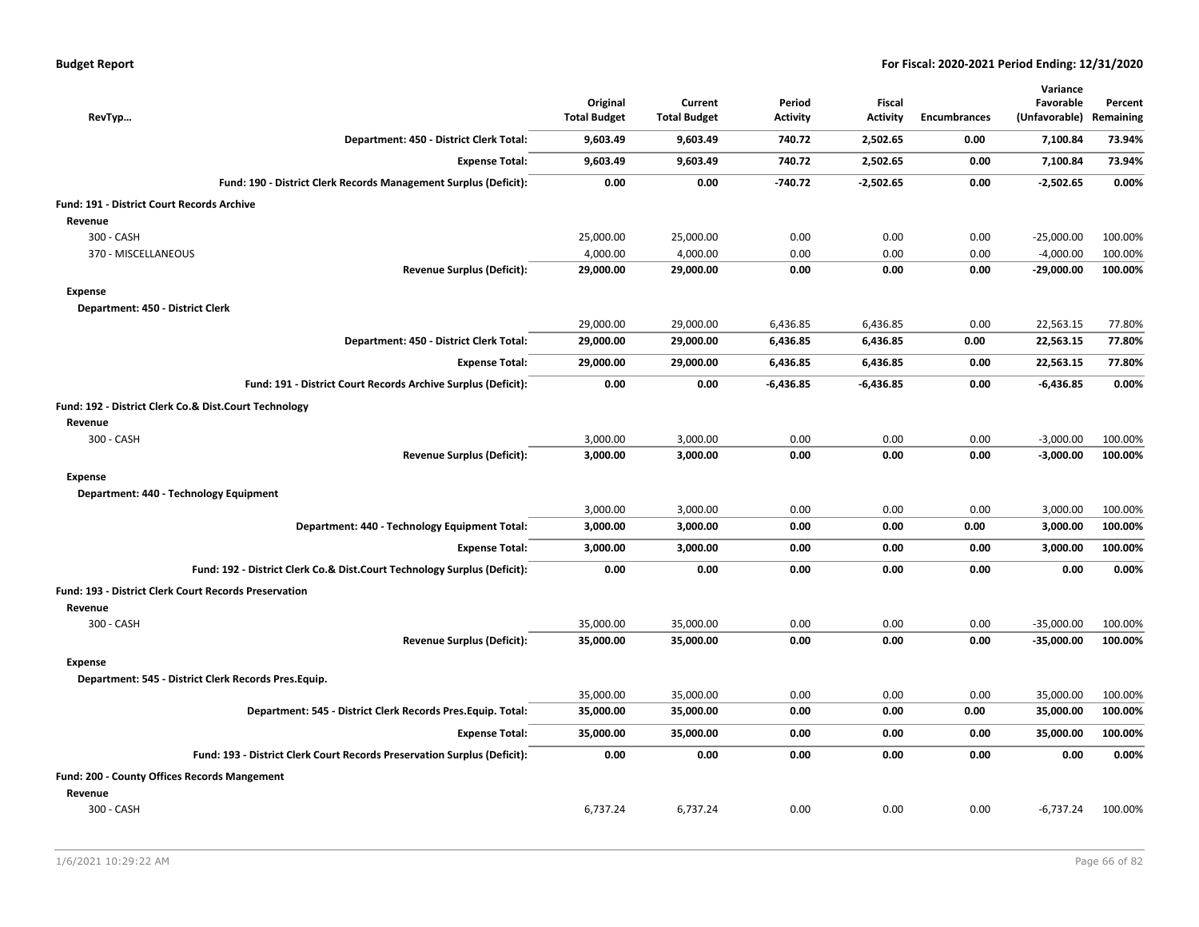| RevTyp                                                                   | Original<br><b>Total Budget</b> | Current<br><b>Total Budget</b> | Period<br><b>Activity</b> | <b>Fiscal</b><br><b>Activity</b> | <b>Encumbrances</b> | Variance<br>Favorable<br>(Unfavorable) | Percent<br>Remaining |
|--------------------------------------------------------------------------|---------------------------------|--------------------------------|---------------------------|----------------------------------|---------------------|----------------------------------------|----------------------|
| Department: 450 - District Clerk Total:                                  | 9,603.49                        | 9,603.49                       | 740.72                    | 2,502.65                         | 0.00                | 7,100.84                               | 73.94%               |
| <b>Expense Total:</b>                                                    | 9,603.49                        | 9,603.49                       | 740.72                    | 2,502.65                         | 0.00                | 7,100.84                               | 73.94%               |
| Fund: 190 - District Clerk Records Management Surplus (Deficit):         | 0.00                            | 0.00                           | $-740.72$                 | $-2,502.65$                      | 0.00                | $-2,502.65$                            | 0.00%                |
| <b>Fund: 191 - District Court Records Archive</b>                        |                                 |                                |                           |                                  |                     |                                        |                      |
| Revenue                                                                  |                                 |                                |                           |                                  |                     |                                        |                      |
| 300 - CASH                                                               | 25,000.00                       | 25,000.00                      | 0.00                      | 0.00                             | 0.00                | $-25,000.00$                           | 100.00%              |
| 370 - MISCELLANEOUS                                                      | 4,000.00                        | 4,000.00                       | 0.00                      | 0.00                             | 0.00                | $-4,000.00$                            | 100.00%              |
| <b>Revenue Surplus (Deficit):</b>                                        | 29,000.00                       | 29,000.00                      | 0.00                      | 0.00                             | 0.00                | $-29,000.00$                           | 100.00%              |
| <b>Expense</b>                                                           |                                 |                                |                           |                                  |                     |                                        |                      |
| Department: 450 - District Clerk                                         |                                 |                                |                           |                                  |                     |                                        |                      |
|                                                                          | 29,000.00                       | 29,000.00                      | 6,436.85                  | 6,436.85                         | 0.00                | 22,563.15                              | 77.80%               |
| Department: 450 - District Clerk Total:                                  | 29,000.00                       | 29,000.00                      | 6,436.85                  | 6,436.85                         | 0.00                | 22,563.15                              | 77.80%               |
| <b>Expense Total:</b>                                                    | 29,000.00                       | 29,000.00                      | 6,436.85                  | 6,436.85                         | 0.00                | 22,563.15                              | 77.80%               |
| Fund: 191 - District Court Records Archive Surplus (Deficit):            | 0.00                            | 0.00                           | $-6,436.85$               | -6,436.85                        | 0.00                | $-6,436.85$                            | 0.00%                |
| Fund: 192 - District Clerk Co.& Dist.Court Technology<br>Revenue         |                                 |                                |                           |                                  |                     |                                        |                      |
| 300 - CASH                                                               | 3,000.00                        | 3,000.00                       | 0.00                      | 0.00                             | 0.00                | $-3,000.00$                            | 100.00%              |
| <b>Revenue Surplus (Deficit):</b>                                        | 3,000.00                        | 3,000.00                       | 0.00                      | 0.00                             | 0.00                | $-3,000.00$                            | 100.00%              |
| <b>Expense</b>                                                           |                                 |                                |                           |                                  |                     |                                        |                      |
| Department: 440 - Technology Equipment                                   |                                 |                                |                           |                                  |                     |                                        |                      |
|                                                                          | 3,000.00                        | 3,000.00                       | 0.00                      | 0.00                             | 0.00                | 3,000.00                               | 100.00%              |
| Department: 440 - Technology Equipment Total:                            | 3,000.00                        | 3,000.00                       | 0.00                      | 0.00                             | 0.00                | 3,000.00                               | 100.00%              |
| <b>Expense Total:</b>                                                    | 3,000.00                        | 3,000.00                       | 0.00                      | 0.00                             | 0.00                | 3,000.00                               | 100.00%              |
| Fund: 192 - District Clerk Co.& Dist.Court Technology Surplus (Deficit): | 0.00                            | 0.00                           | 0.00                      | 0.00                             | 0.00                | 0.00                                   | 0.00%                |
| <b>Fund: 193 - District Clerk Court Records Preservation</b><br>Revenue  |                                 |                                |                           |                                  |                     |                                        |                      |
| 300 - CASH                                                               | 35,000.00                       | 35,000.00                      | 0.00                      | 0.00                             | 0.00                | $-35,000.00$                           | 100.00%              |
| <b>Revenue Surplus (Deficit):</b>                                        | 35,000.00                       | 35,000.00                      | 0.00                      | 0.00                             | 0.00                | $-35,000.00$                           | 100.00%              |
| <b>Expense</b><br>Department: 545 - District Clerk Records Pres.Equip.   |                                 |                                |                           |                                  |                     |                                        |                      |
|                                                                          | 35,000.00                       | 35,000.00                      | 0.00                      | 0.00                             | 0.00                | 35,000.00                              | 100.00%              |
| Department: 545 - District Clerk Records Pres. Equip. Total:             | 35,000.00                       | 35,000.00                      | 0.00                      | 0.00                             | 0.00                | 35,000.00                              | 100.00%              |
| <b>Expense Total:</b>                                                    | 35,000.00                       | 35,000.00                      | 0.00                      | 0.00                             | 0.00                | 35,000.00                              | 100.00%              |
| Fund: 193 - District Clerk Court Records Preservation Surplus (Deficit): | 0.00                            | 0.00                           | 0.00                      | 0.00                             | 0.00                | 0.00                                   | 0.00%                |
| <b>Fund: 200 - County Offices Records Mangement</b>                      |                                 |                                |                           |                                  |                     |                                        |                      |
| Revenue                                                                  |                                 |                                |                           |                                  |                     |                                        |                      |
| 300 - CASH                                                               | 6,737.24                        | 6,737.24                       | 0.00                      | 0.00                             | 0.00                | $-6,737.24$                            | 100.00%              |
|                                                                          |                                 |                                |                           |                                  |                     |                                        |                      |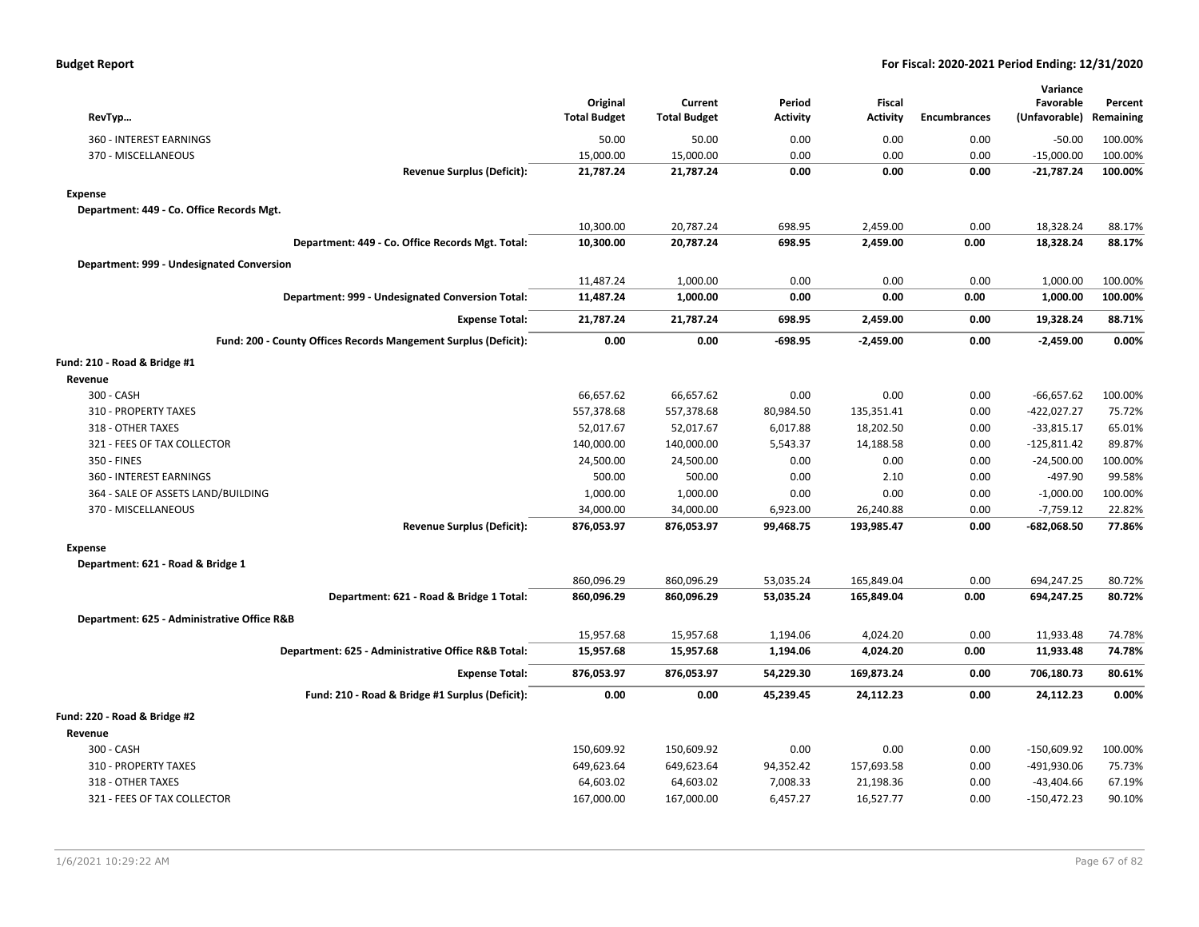| RevTyp                                                          | Original<br><b>Total Budget</b> | Current<br><b>Total Budget</b> | Period<br><b>Activity</b> | <b>Fiscal</b><br><b>Activity</b> | <b>Encumbrances</b> | Variance<br>Favorable<br>(Unfavorable) | Percent<br>Remaining |
|-----------------------------------------------------------------|---------------------------------|--------------------------------|---------------------------|----------------------------------|---------------------|----------------------------------------|----------------------|
| 360 - INTEREST EARNINGS                                         | 50.00                           | 50.00                          | 0.00                      | 0.00                             | 0.00                | $-50.00$                               | 100.00%              |
| 370 - MISCELLANEOUS                                             | 15,000.00                       | 15,000.00                      | 0.00                      | 0.00                             | 0.00                | $-15,000.00$                           | 100.00%              |
| <b>Revenue Surplus (Deficit):</b>                               | 21,787.24                       | 21,787.24                      | 0.00                      | 0.00                             | 0.00                | $-21,787.24$                           | 100.00%              |
| <b>Expense</b>                                                  |                                 |                                |                           |                                  |                     |                                        |                      |
| Department: 449 - Co. Office Records Mgt.                       |                                 |                                |                           |                                  |                     |                                        |                      |
|                                                                 | 10,300.00                       | 20,787.24                      | 698.95                    | 2,459.00                         | 0.00                | 18,328.24                              | 88.17%               |
| Department: 449 - Co. Office Records Mgt. Total:                | 10,300.00                       | 20,787.24                      | 698.95                    | 2,459.00                         | 0.00                | 18,328.24                              | 88.17%               |
| Department: 999 - Undesignated Conversion                       |                                 |                                |                           |                                  |                     |                                        |                      |
|                                                                 | 11,487.24                       | 1,000.00                       | 0.00                      | 0.00                             | 0.00                | 1,000.00                               | 100.00%              |
| Department: 999 - Undesignated Conversion Total:                | 11,487.24                       | 1,000.00                       | 0.00                      | 0.00                             | 0.00                | 1,000.00                               | 100.00%              |
| <b>Expense Total:</b>                                           | 21,787.24                       | 21,787.24                      | 698.95                    | 2,459.00                         | 0.00                | 19,328.24                              | 88.71%               |
| Fund: 200 - County Offices Records Mangement Surplus (Deficit): | 0.00                            | 0.00                           | -698.95                   | $-2,459.00$                      | 0.00                | $-2,459.00$                            | 0.00%                |
| Fund: 210 - Road & Bridge #1                                    |                                 |                                |                           |                                  |                     |                                        |                      |
| Revenue                                                         |                                 |                                |                           |                                  |                     |                                        |                      |
| 300 - CASH                                                      | 66,657.62                       | 66,657.62                      | 0.00                      | 0.00                             | 0.00                | $-66,657.62$                           | 100.00%              |
| 310 - PROPERTY TAXES                                            | 557,378.68                      | 557,378.68                     | 80,984.50                 | 135,351.41                       | 0.00                | $-422,027.27$                          | 75.72%               |
| 318 - OTHER TAXES                                               | 52,017.67                       | 52,017.67                      | 6,017.88                  | 18,202.50                        | 0.00                | $-33,815.17$                           | 65.01%               |
| 321 - FEES OF TAX COLLECTOR                                     | 140,000.00                      | 140,000.00                     | 5,543.37                  | 14,188.58                        | 0.00                | $-125,811.42$                          | 89.87%               |
| 350 - FINES                                                     | 24,500.00                       | 24,500.00                      | 0.00                      | 0.00                             | 0.00                | $-24,500.00$                           | 100.00%              |
| 360 - INTEREST EARNINGS                                         | 500.00                          | 500.00                         | 0.00                      | 2.10                             | 0.00                | -497.90                                | 99.58%               |
| 364 - SALE OF ASSETS LAND/BUILDING                              | 1,000.00                        | 1,000.00                       | 0.00                      | 0.00                             | 0.00                | $-1,000.00$                            | 100.00%              |
| 370 - MISCELLANEOUS                                             | 34,000.00                       | 34,000.00                      | 6,923.00                  | 26,240.88                        | 0.00                | $-7,759.12$                            | 22.82%               |
| <b>Revenue Surplus (Deficit):</b>                               | 876,053.97                      | 876,053.97                     | 99,468.75                 | 193,985.47                       | 0.00                | -682,068.50                            | 77.86%               |
| <b>Expense</b>                                                  |                                 |                                |                           |                                  |                     |                                        |                      |
| Department: 621 - Road & Bridge 1                               |                                 |                                |                           |                                  |                     |                                        |                      |
|                                                                 | 860,096.29                      | 860,096.29                     | 53,035.24                 | 165,849.04                       | 0.00                | 694,247.25                             | 80.72%               |
| Department: 621 - Road & Bridge 1 Total:                        | 860,096.29                      | 860,096.29                     | 53,035.24                 | 165,849.04                       | 0.00                | 694,247.25                             | 80.72%               |
| Department: 625 - Administrative Office R&B                     |                                 |                                |                           |                                  |                     |                                        |                      |
|                                                                 | 15,957.68                       | 15,957.68                      | 1,194.06                  | 4,024.20                         | 0.00                | 11,933.48                              | 74.78%               |
| Department: 625 - Administrative Office R&B Total:              | 15,957.68                       | 15,957.68                      | 1,194.06                  | 4,024.20                         | 0.00                | 11,933.48                              | 74.78%               |
| <b>Expense Total:</b>                                           | 876,053.97                      | 876,053.97                     | 54,229.30                 | 169,873.24                       | 0.00                | 706,180.73                             | 80.61%               |
| Fund: 210 - Road & Bridge #1 Surplus (Deficit):                 | 0.00                            | 0.00                           | 45,239.45                 | 24,112.23                        | 0.00                | 24,112.23                              | 0.00%                |
| Fund: 220 - Road & Bridge #2                                    |                                 |                                |                           |                                  |                     |                                        |                      |
| Revenue                                                         |                                 |                                |                           |                                  |                     |                                        |                      |
| 300 - CASH                                                      | 150,609.92                      | 150,609.92                     | 0.00                      | 0.00                             | 0.00                | $-150,609.92$                          | 100.00%              |
| 310 - PROPERTY TAXES                                            | 649,623.64                      | 649,623.64                     | 94,352.42                 | 157,693.58                       | 0.00                | -491,930.06                            | 75.73%               |
| 318 - OTHER TAXES                                               | 64,603.02                       | 64,603.02                      | 7,008.33                  | 21,198.36                        | 0.00                | $-43,404.66$                           | 67.19%               |
| 321 - FEES OF TAX COLLECTOR                                     | 167,000.00                      | 167,000.00                     | 6,457.27                  | 16,527.77                        | 0.00                | $-150,472.23$                          | 90.10%               |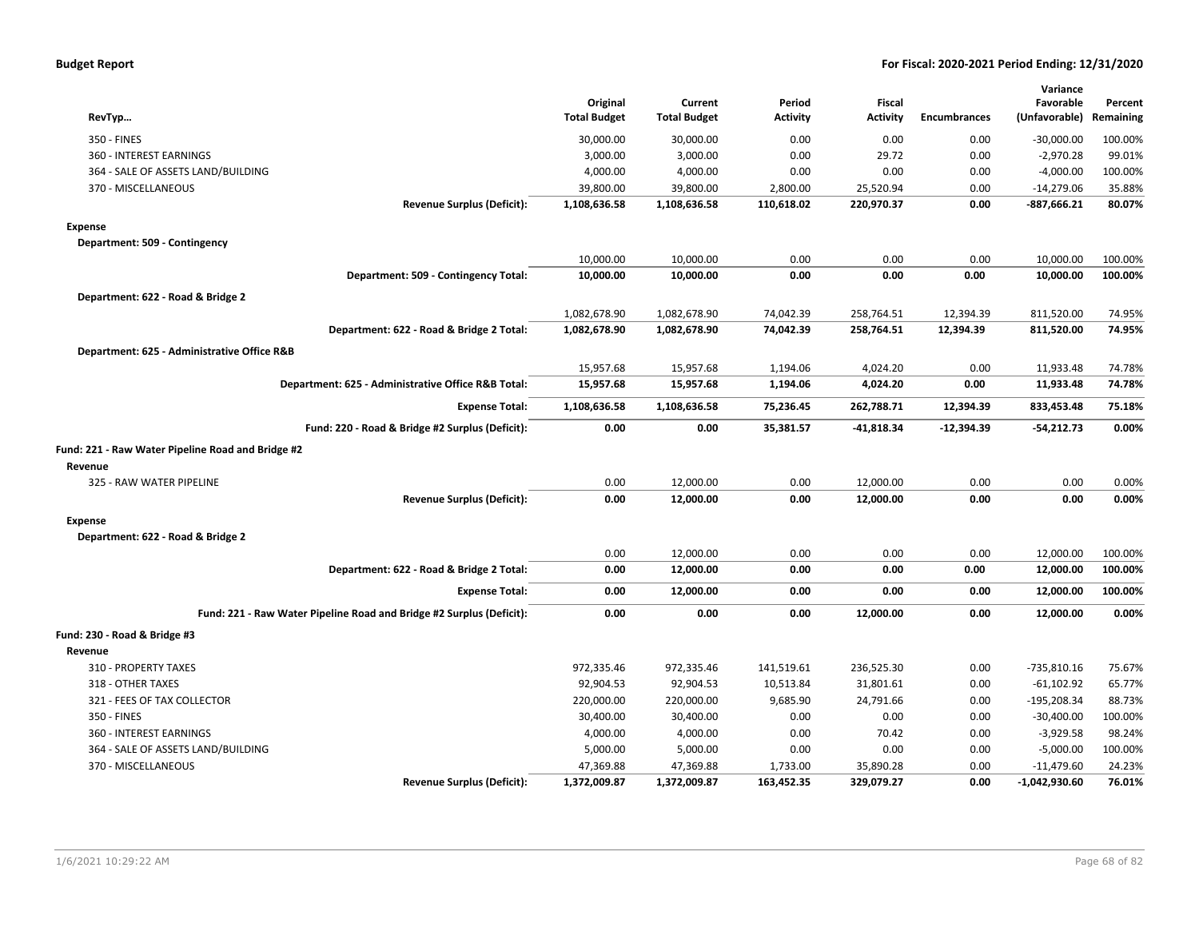| <b>Budget Report</b> |  |
|----------------------|--|
|----------------------|--|

| RevTyp                                                               | Original<br><b>Total Budget</b> | Current<br><b>Total Budget</b> | Period<br><b>Activity</b> | <b>Fiscal</b><br><b>Activity</b> | <b>Encumbrances</b> | Variance<br>Favorable<br>(Unfavorable) | Percent<br>Remaining |
|----------------------------------------------------------------------|---------------------------------|--------------------------------|---------------------------|----------------------------------|---------------------|----------------------------------------|----------------------|
| 350 - FINES                                                          | 30,000.00                       | 30,000.00                      | 0.00                      | 0.00                             | 0.00                | $-30,000.00$                           | 100.00%              |
| 360 - INTEREST EARNINGS                                              | 3,000.00                        | 3,000.00                       | 0.00                      | 29.72                            | 0.00                | $-2,970.28$                            | 99.01%               |
| 364 - SALE OF ASSETS LAND/BUILDING                                   | 4,000.00                        | 4,000.00                       | 0.00                      | 0.00                             | 0.00                | $-4,000.00$                            | 100.00%              |
| 370 - MISCELLANEOUS                                                  | 39,800.00                       | 39,800.00                      | 2,800.00                  | 25,520.94                        | 0.00                | $-14,279.06$                           | 35.88%               |
| <b>Revenue Surplus (Deficit):</b>                                    | 1,108,636.58                    | 1,108,636.58                   | 110,618.02                | 220,970.37                       | 0.00                | $-887,666.21$                          | 80.07%               |
| <b>Expense</b>                                                       |                                 |                                |                           |                                  |                     |                                        |                      |
| Department: 509 - Contingency                                        |                                 |                                |                           |                                  |                     |                                        |                      |
|                                                                      | 10,000.00                       | 10,000.00                      | 0.00                      | 0.00                             | 0.00                | 10,000.00                              | 100.00%              |
| Department: 509 - Contingency Total:                                 | 10,000.00                       | 10,000.00                      | 0.00                      | 0.00                             | 0.00                | 10,000.00                              | 100.00%              |
| Department: 622 - Road & Bridge 2                                    |                                 |                                |                           |                                  |                     |                                        |                      |
|                                                                      | 1,082,678.90                    | 1,082,678.90                   | 74,042.39                 | 258,764.51                       | 12,394.39           | 811,520.00                             | 74.95%               |
| Department: 622 - Road & Bridge 2 Total:                             | 1,082,678.90                    | 1,082,678.90                   | 74,042.39                 | 258,764.51                       | 12,394.39           | 811,520.00                             | 74.95%               |
| Department: 625 - Administrative Office R&B                          |                                 |                                |                           |                                  |                     |                                        |                      |
|                                                                      | 15,957.68                       | 15,957.68                      | 1,194.06                  | 4,024.20                         | 0.00                | 11,933.48                              | 74.78%               |
| Department: 625 - Administrative Office R&B Total:                   | 15,957.68                       | 15,957.68                      | 1,194.06                  | 4,024.20                         | 0.00                | 11,933.48                              | 74.78%               |
| <b>Expense Total:</b>                                                | 1,108,636.58                    | 1,108,636.58                   | 75,236.45                 | 262,788.71                       | 12,394.39           | 833,453.48                             | 75.18%               |
| Fund: 220 - Road & Bridge #2 Surplus (Deficit):                      | 0.00                            | 0.00                           | 35,381.57                 | $-41,818.34$                     | $-12,394.39$        | $-54,212.73$                           | 0.00%                |
| Fund: 221 - Raw Water Pipeline Road and Bridge #2                    |                                 |                                |                           |                                  |                     |                                        |                      |
| Revenue                                                              |                                 |                                |                           |                                  |                     |                                        |                      |
| 325 - RAW WATER PIPELINE                                             | 0.00                            | 12,000.00                      | 0.00                      | 12,000.00                        | 0.00                | 0.00                                   | 0.00%                |
| <b>Revenue Surplus (Deficit):</b>                                    | 0.00                            | 12,000.00                      | 0.00                      | 12,000.00                        | 0.00                | 0.00                                   | 0.00%                |
| <b>Expense</b>                                                       |                                 |                                |                           |                                  |                     |                                        |                      |
| Department: 622 - Road & Bridge 2                                    |                                 |                                |                           |                                  |                     |                                        |                      |
|                                                                      | 0.00                            | 12,000.00                      | 0.00                      | 0.00                             | 0.00                | 12,000.00                              | 100.00%              |
| Department: 622 - Road & Bridge 2 Total:                             | 0.00                            | 12,000.00                      | 0.00                      | 0.00                             | 0.00                | 12,000.00                              | 100.00%              |
| <b>Expense Total:</b>                                                | 0.00                            | 12,000.00                      | 0.00                      | 0.00                             | 0.00                | 12,000.00                              | 100.00%              |
| Fund: 221 - Raw Water Pipeline Road and Bridge #2 Surplus (Deficit): | 0.00                            | 0.00                           | 0.00                      | 12,000.00                        | 0.00                | 12,000.00                              | 0.00%                |
| Fund: 230 - Road & Bridge #3                                         |                                 |                                |                           |                                  |                     |                                        |                      |
| Revenue                                                              |                                 |                                |                           |                                  |                     |                                        |                      |
| 310 - PROPERTY TAXES                                                 | 972,335.46                      | 972,335.46                     | 141,519.61                | 236,525.30                       | 0.00                | $-735,810.16$                          | 75.67%               |
| 318 - OTHER TAXES                                                    | 92,904.53                       | 92,904.53                      | 10,513.84                 | 31,801.61                        | 0.00                | $-61,102.92$                           | 65.77%               |
| 321 - FEES OF TAX COLLECTOR                                          | 220,000.00                      | 220,000.00                     | 9,685.90                  | 24,791.66                        | 0.00                | $-195,208.34$                          | 88.73%               |
| 350 - FINES                                                          | 30,400.00                       | 30,400.00                      | 0.00                      | 0.00                             | 0.00                | $-30,400.00$                           | 100.00%              |
| 360 - INTEREST EARNINGS                                              | 4,000.00                        | 4,000.00                       | 0.00                      | 70.42                            | 0.00                | $-3,929.58$                            | 98.24%               |
| 364 - SALE OF ASSETS LAND/BUILDING                                   | 5,000.00                        | 5,000.00                       | 0.00                      | 0.00                             | 0.00                | $-5,000.00$                            | 100.00%              |
| 370 - MISCELLANEOUS                                                  | 47,369.88                       | 47,369.88                      | 1,733.00                  | 35,890.28                        | 0.00                | $-11,479.60$                           | 24.23%               |
| <b>Revenue Surplus (Deficit):</b>                                    | 1,372,009.87                    | 1,372,009.87                   | 163,452.35                | 329,079.27                       | 0.00                | $-1,042,930.60$                        | 76.01%               |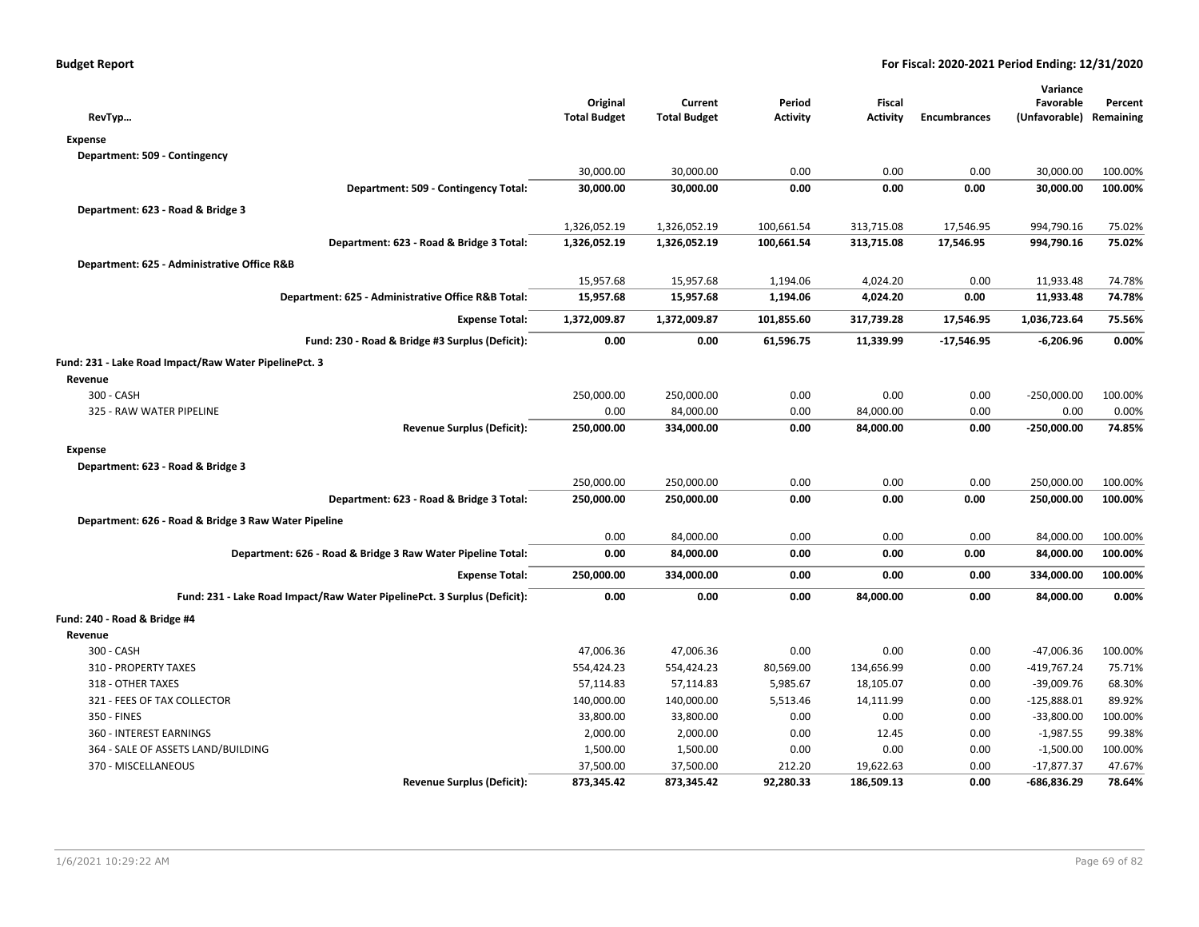| RevTyp                                                                   | Original<br><b>Total Budget</b> | Current<br><b>Total Budget</b> | Period<br>Activity | Fiscal<br>Activity | <b>Encumbrances</b> | Variance<br>Favorable<br>(Unfavorable) | Percent<br>Remaining |
|--------------------------------------------------------------------------|---------------------------------|--------------------------------|--------------------|--------------------|---------------------|----------------------------------------|----------------------|
| <b>Expense</b>                                                           |                                 |                                |                    |                    |                     |                                        |                      |
| Department: 509 - Contingency                                            |                                 |                                |                    |                    |                     |                                        |                      |
|                                                                          | 30,000.00                       | 30,000.00                      | 0.00               | 0.00               | 0.00                | 30,000.00                              | 100.00%              |
| Department: 509 - Contingency Total:                                     | 30,000.00                       | 30,000.00                      | 0.00               | 0.00               | 0.00                | 30,000.00                              | 100.00%              |
| Department: 623 - Road & Bridge 3                                        |                                 |                                |                    |                    |                     |                                        |                      |
|                                                                          | 1,326,052.19                    | 1,326,052.19                   | 100,661.54         | 313,715.08         | 17,546.95           | 994,790.16                             | 75.02%               |
| Department: 623 - Road & Bridge 3 Total:                                 | 1,326,052.19                    | 1,326,052.19                   | 100,661.54         | 313,715.08         | 17,546.95           | 994,790.16                             | 75.02%               |
| Department: 625 - Administrative Office R&B                              |                                 |                                |                    |                    |                     |                                        |                      |
|                                                                          | 15,957.68                       | 15,957.68                      | 1,194.06           | 4,024.20           | 0.00                | 11,933.48                              | 74.78%               |
| Department: 625 - Administrative Office R&B Total:                       | 15,957.68                       | 15,957.68                      | 1,194.06           | 4,024.20           | 0.00                | 11,933.48                              | 74.78%               |
| <b>Expense Total:</b>                                                    | 1,372,009.87                    | 1,372,009.87                   | 101,855.60         | 317,739.28         | 17,546.95           | 1,036,723.64                           | 75.56%               |
| Fund: 230 - Road & Bridge #3 Surplus (Deficit):                          | 0.00                            | 0.00                           | 61,596.75          | 11,339.99          | $-17,546.95$        | $-6,206.96$                            | 0.00%                |
| Fund: 231 - Lake Road Impact/Raw Water PipelinePct. 3                    |                                 |                                |                    |                    |                     |                                        |                      |
| Revenue                                                                  |                                 |                                |                    |                    |                     |                                        |                      |
| 300 - CASH                                                               | 250,000.00                      | 250,000.00                     | 0.00               | 0.00               | 0.00                | $-250,000.00$                          | 100.00%              |
| 325 - RAW WATER PIPELINE                                                 | 0.00                            | 84,000.00                      | 0.00               | 84,000.00          | 0.00                | 0.00                                   | 0.00%                |
| <b>Revenue Surplus (Deficit):</b>                                        | 250,000.00                      | 334,000.00                     | 0.00               | 84,000.00          | 0.00                | $-250,000.00$                          | 74.85%               |
| <b>Expense</b>                                                           |                                 |                                |                    |                    |                     |                                        |                      |
| Department: 623 - Road & Bridge 3                                        |                                 |                                |                    |                    |                     |                                        |                      |
|                                                                          | 250,000.00                      | 250,000.00                     | 0.00               | 0.00               | 0.00                | 250,000.00                             | 100.00%              |
| Department: 623 - Road & Bridge 3 Total:                                 | 250,000.00                      | 250,000.00                     | 0.00               | 0.00               | 0.00                | 250,000.00                             | 100.00%              |
| Department: 626 - Road & Bridge 3 Raw Water Pipeline                     |                                 |                                |                    |                    |                     |                                        |                      |
|                                                                          | 0.00                            | 84,000.00                      | 0.00               | 0.00               | 0.00                | 84,000.00                              | 100.00%              |
| Department: 626 - Road & Bridge 3 Raw Water Pipeline Total:              | 0.00                            | 84,000.00                      | 0.00               | 0.00               | 0.00                | 84,000.00                              | 100.00%              |
| <b>Expense Total:</b>                                                    | 250,000.00                      | 334,000.00                     | 0.00               | 0.00               | 0.00                | 334,000.00                             | 100.00%              |
| Fund: 231 - Lake Road Impact/Raw Water PipelinePct. 3 Surplus (Deficit): | 0.00                            | 0.00                           | 0.00               | 84,000.00          | 0.00                | 84,000.00                              | 0.00%                |
| Fund: 240 - Road & Bridge #4                                             |                                 |                                |                    |                    |                     |                                        |                      |
| Revenue                                                                  |                                 |                                |                    |                    |                     |                                        |                      |
| 300 - CASH                                                               | 47,006.36                       | 47,006.36                      | 0.00               | 0.00               | 0.00                | -47,006.36                             | 100.00%              |
| 310 - PROPERTY TAXES                                                     | 554,424.23                      | 554,424.23                     | 80,569.00          | 134,656.99         | 0.00                | $-419,767.24$                          | 75.71%               |
| 318 - OTHER TAXES                                                        | 57,114.83                       | 57,114.83                      | 5,985.67           | 18,105.07          | 0.00                | $-39,009.76$                           | 68.30%               |
| 321 - FEES OF TAX COLLECTOR                                              | 140,000.00                      | 140,000.00                     | 5,513.46           | 14,111.99          | 0.00                | $-125,888.01$                          | 89.92%               |
| 350 - FINES                                                              | 33,800.00                       | 33,800.00                      | 0.00               | 0.00               | 0.00                | $-33,800.00$                           | 100.00%              |
| 360 - INTEREST EARNINGS                                                  | 2,000.00                        | 2,000.00                       | 0.00               | 12.45              | 0.00                | $-1,987.55$                            | 99.38%               |
| 364 - SALE OF ASSETS LAND/BUILDING                                       | 1,500.00                        | 1,500.00                       | 0.00               | 0.00               | 0.00                | $-1,500.00$                            | 100.00%              |
| 370 - MISCELLANEOUS                                                      | 37,500.00                       | 37,500.00                      | 212.20             | 19,622.63          | 0.00                | $-17,877.37$                           | 47.67%               |
| <b>Revenue Surplus (Deficit):</b>                                        | 873,345.42                      | 873,345.42                     | 92,280.33          | 186,509.13         | 0.00                | $-686,836.29$                          | 78.64%               |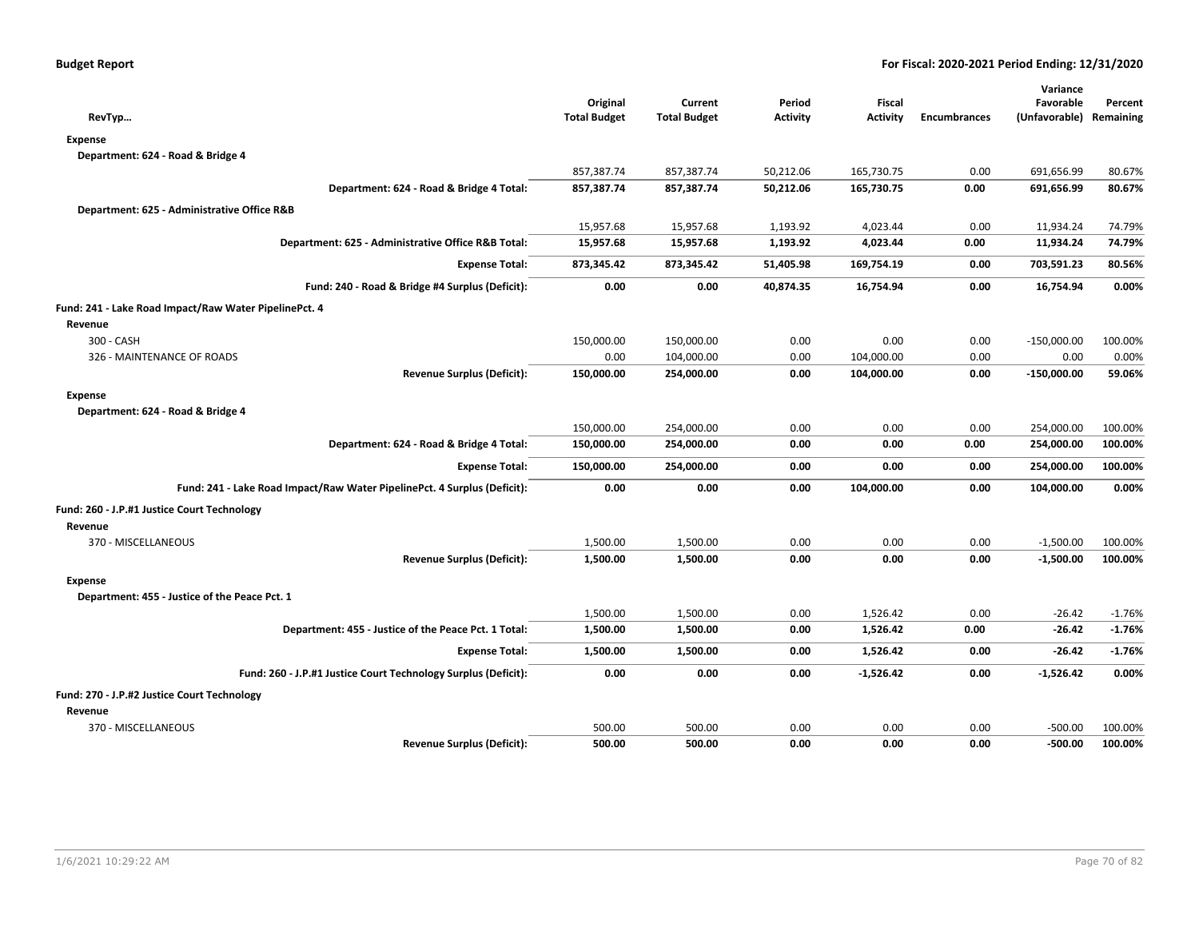|                                                                          |                     |                     |                 |                 |                     | Variance                |          |
|--------------------------------------------------------------------------|---------------------|---------------------|-----------------|-----------------|---------------------|-------------------------|----------|
|                                                                          | Original            | Current             | Period          | Fiscal          |                     | Favorable               | Percent  |
| RevTyp                                                                   | <b>Total Budget</b> | <b>Total Budget</b> | <b>Activity</b> | <b>Activity</b> | <b>Encumbrances</b> | (Unfavorable) Remaining |          |
| <b>Expense</b>                                                           |                     |                     |                 |                 |                     |                         |          |
| Department: 624 - Road & Bridge 4                                        |                     |                     |                 |                 |                     |                         |          |
|                                                                          | 857,387.74          | 857,387.74          | 50,212.06       | 165,730.75      | 0.00                | 691,656.99              | 80.67%   |
| Department: 624 - Road & Bridge 4 Total:                                 | 857,387.74          | 857,387.74          | 50,212.06       | 165,730.75      | 0.00                | 691,656.99              | 80.67%   |
| Department: 625 - Administrative Office R&B                              |                     |                     |                 |                 |                     |                         |          |
|                                                                          | 15,957.68           | 15,957.68           | 1,193.92        | 4,023.44        | 0.00                | 11,934.24               | 74.79%   |
| Department: 625 - Administrative Office R&B Total:                       | 15,957.68           | 15,957.68           | 1,193.92        | 4,023.44        | 0.00                | 11,934.24               | 74.79%   |
| <b>Expense Total:</b>                                                    | 873,345.42          | 873,345.42          | 51,405.98       | 169,754.19      | 0.00                | 703,591.23              | 80.56%   |
| Fund: 240 - Road & Bridge #4 Surplus (Deficit):                          | 0.00                | 0.00                | 40,874.35       | 16,754.94       | 0.00                | 16,754.94               | 0.00%    |
| Fund: 241 - Lake Road Impact/Raw Water PipelinePct. 4                    |                     |                     |                 |                 |                     |                         |          |
| Revenue                                                                  |                     |                     |                 |                 |                     |                         |          |
| 300 - CASH                                                               | 150,000.00          | 150,000.00          | 0.00            | 0.00            | 0.00                | $-150,000.00$           | 100.00%  |
| 326 - MAINTENANCE OF ROADS                                               | 0.00                | 104,000.00          | 0.00            | 104,000.00      | 0.00                | 0.00                    | 0.00%    |
| <b>Revenue Surplus (Deficit):</b>                                        | 150,000.00          | 254,000.00          | 0.00            | 104,000.00      | 0.00                | $-150,000.00$           | 59.06%   |
| <b>Expense</b>                                                           |                     |                     |                 |                 |                     |                         |          |
| Department: 624 - Road & Bridge 4                                        |                     |                     |                 |                 |                     |                         |          |
|                                                                          | 150,000.00          | 254,000.00          | 0.00            | 0.00            | 0.00                | 254,000.00              | 100.00%  |
| Department: 624 - Road & Bridge 4 Total:                                 | 150,000.00          | 254,000.00          | 0.00            | 0.00            | 0.00                | 254,000.00              | 100.00%  |
| <b>Expense Total:</b>                                                    | 150,000.00          | 254,000.00          | 0.00            | 0.00            | 0.00                | 254,000.00              | 100.00%  |
| Fund: 241 - Lake Road Impact/Raw Water PipelinePct. 4 Surplus (Deficit): | 0.00                | 0.00                | 0.00            | 104,000.00      | 0.00                | 104,000.00              | 0.00%    |
| Fund: 260 - J.P.#1 Justice Court Technology                              |                     |                     |                 |                 |                     |                         |          |
| Revenue                                                                  |                     |                     |                 |                 |                     |                         |          |
| 370 - MISCELLANEOUS                                                      | 1,500.00            | 1,500.00            | 0.00            | 0.00            | 0.00                | $-1,500.00$             | 100.00%  |
| <b>Revenue Surplus (Deficit):</b>                                        | 1,500.00            | 1,500.00            | 0.00            | 0.00            | 0.00                | $-1,500.00$             | 100.00%  |
| <b>Expense</b>                                                           |                     |                     |                 |                 |                     |                         |          |
| Department: 455 - Justice of the Peace Pct. 1                            |                     |                     |                 |                 |                     |                         |          |
|                                                                          | 1,500.00            | 1,500.00            | 0.00            | 1,526.42        | 0.00                | $-26.42$                | $-1.76%$ |
| Department: 455 - Justice of the Peace Pct. 1 Total:                     | 1,500.00            | 1,500.00            | 0.00            | 1,526.42        | 0.00                | $-26.42$                | $-1.76%$ |
| <b>Expense Total:</b>                                                    | 1,500.00            | 1,500.00            | 0.00            | 1,526.42        | 0.00                | $-26.42$                | $-1.76%$ |
| Fund: 260 - J.P.#1 Justice Court Technology Surplus (Deficit):           | 0.00                | 0.00                | 0.00            | $-1,526.42$     | 0.00                | -1,526.42               | 0.00%    |
| Fund: 270 - J.P.#2 Justice Court Technology                              |                     |                     |                 |                 |                     |                         |          |
| Revenue                                                                  |                     |                     |                 |                 |                     |                         |          |
| 370 - MISCELLANEOUS                                                      | 500.00              | 500.00              | 0.00            | 0.00            | 0.00                | $-500.00$               | 100.00%  |
| <b>Revenue Surplus (Deficit):</b>                                        | 500.00              | 500.00              | 0.00            | 0.00            | 0.00                | $-500.00$               | 100.00%  |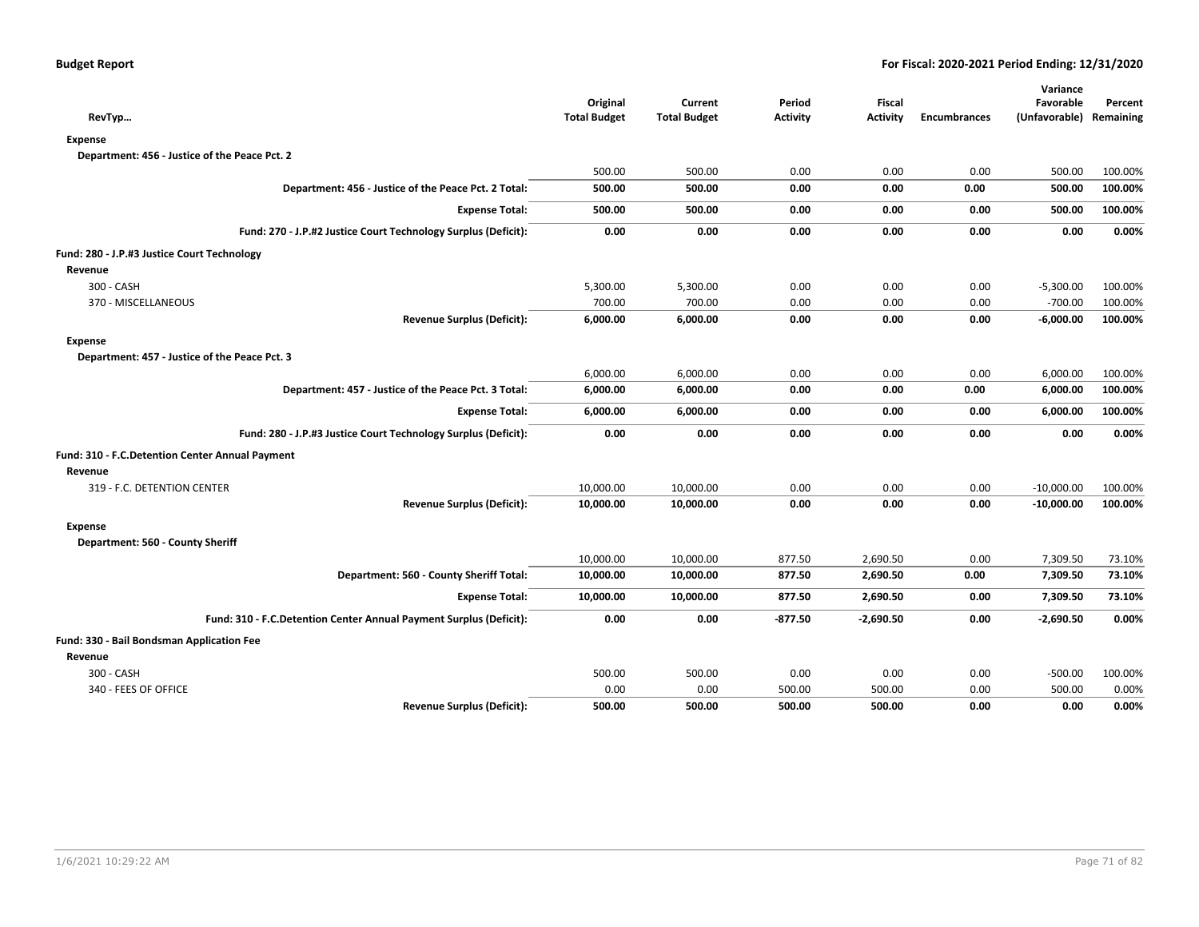|                                                                    |                     |                     |                 |                 |                     | Variance                |         |  |  |
|--------------------------------------------------------------------|---------------------|---------------------|-----------------|-----------------|---------------------|-------------------------|---------|--|--|
|                                                                    | Original            | Current             | Period          | <b>Fiscal</b>   |                     | Favorable               | Percent |  |  |
| RevTyp                                                             | <b>Total Budget</b> | <b>Total Budget</b> | <b>Activity</b> | <b>Activity</b> | <b>Encumbrances</b> | (Unfavorable) Remaining |         |  |  |
| <b>Expense</b>                                                     |                     |                     |                 |                 |                     |                         |         |  |  |
| Department: 456 - Justice of the Peace Pct. 2                      |                     |                     |                 |                 |                     |                         |         |  |  |
|                                                                    | 500.00              | 500.00              | 0.00            | 0.00            | 0.00                | 500.00                  | 100.00% |  |  |
| Department: 456 - Justice of the Peace Pct. 2 Total:               | 500.00              | 500.00              | 0.00            | 0.00            | 0.00                | 500.00                  | 100.00% |  |  |
| <b>Expense Total:</b>                                              | 500.00              | 500.00              | 0.00            | 0.00            | 0.00                | 500.00                  | 100.00% |  |  |
| Fund: 270 - J.P.#2 Justice Court Technology Surplus (Deficit):     | 0.00                | 0.00                | 0.00            | 0.00            | 0.00                | 0.00                    | 0.00%   |  |  |
| Fund: 280 - J.P.#3 Justice Court Technology                        |                     |                     |                 |                 |                     |                         |         |  |  |
| Revenue                                                            |                     |                     |                 |                 |                     |                         |         |  |  |
| 300 - CASH                                                         | 5,300.00            | 5,300.00            | 0.00            | 0.00            | 0.00                | $-5,300.00$             | 100.00% |  |  |
| 370 - MISCELLANEOUS                                                | 700.00              | 700.00              | 0.00            | 0.00            | 0.00                | $-700.00$               | 100.00% |  |  |
| <b>Revenue Surplus (Deficit):</b>                                  | 6,000.00            | 6,000.00            | 0.00            | 0.00            | 0.00                | $-6,000.00$             | 100.00% |  |  |
| <b>Expense</b>                                                     |                     |                     |                 |                 |                     |                         |         |  |  |
| Department: 457 - Justice of the Peace Pct. 3                      |                     |                     |                 |                 |                     |                         |         |  |  |
|                                                                    | 6,000.00            | 6,000.00            | 0.00            | 0.00            | 0.00                | 6,000.00                | 100.00% |  |  |
| Department: 457 - Justice of the Peace Pct. 3 Total:               | 6,000.00            | 6,000.00            | 0.00            | 0.00            | 0.00                | 6,000.00                | 100.00% |  |  |
| <b>Expense Total:</b>                                              | 6,000.00            | 6,000.00            | 0.00            | 0.00            | 0.00                | 6,000.00                | 100.00% |  |  |
| Fund: 280 - J.P.#3 Justice Court Technology Surplus (Deficit):     | 0.00                | 0.00                | 0.00            | 0.00            | 0.00                | 0.00                    | 0.00%   |  |  |
| Fund: 310 - F.C.Detention Center Annual Payment                    |                     |                     |                 |                 |                     |                         |         |  |  |
| Revenue                                                            |                     |                     |                 |                 |                     |                         |         |  |  |
| 319 - F.C. DETENTION CENTER                                        | 10,000.00           | 10,000.00           | 0.00            | 0.00            | 0.00                | $-10,000.00$            | 100.00% |  |  |
| <b>Revenue Surplus (Deficit):</b>                                  | 10,000.00           | 10,000.00           | 0.00            | 0.00            | 0.00                | $-10,000.00$            | 100.00% |  |  |
| <b>Expense</b>                                                     |                     |                     |                 |                 |                     |                         |         |  |  |
| Department: 560 - County Sheriff                                   |                     |                     |                 |                 |                     |                         |         |  |  |
|                                                                    | 10,000.00           | 10,000.00           | 877.50          | 2,690.50        | 0.00                | 7,309.50                | 73.10%  |  |  |
| Department: 560 - County Sheriff Total:                            | 10,000.00           | 10,000.00           | 877.50          | 2,690.50        | 0.00                | 7,309.50                | 73.10%  |  |  |
| <b>Expense Total:</b>                                              | 10,000.00           | 10,000.00           | 877.50          | 2,690.50        | 0.00                | 7,309.50                | 73.10%  |  |  |
| Fund: 310 - F.C.Detention Center Annual Payment Surplus (Deficit): | 0.00                | 0.00                | $-877.50$       | $-2,690.50$     | 0.00                | $-2,690.50$             | 0.00%   |  |  |
| Fund: 330 - Bail Bondsman Application Fee                          |                     |                     |                 |                 |                     |                         |         |  |  |
| Revenue                                                            |                     |                     |                 |                 |                     |                         |         |  |  |
| 300 - CASH                                                         | 500.00              | 500.00              | 0.00            | 0.00            | 0.00                | $-500.00$               | 100.00% |  |  |
| 340 - FEES OF OFFICE                                               | 0.00                | 0.00                | 500.00          | 500.00          | 0.00                | 500.00                  | 0.00%   |  |  |
| <b>Revenue Surplus (Deficit):</b>                                  | 500.00              | 500.00              | 500.00          | 500.00          | 0.00                | 0.00                    | 0.00%   |  |  |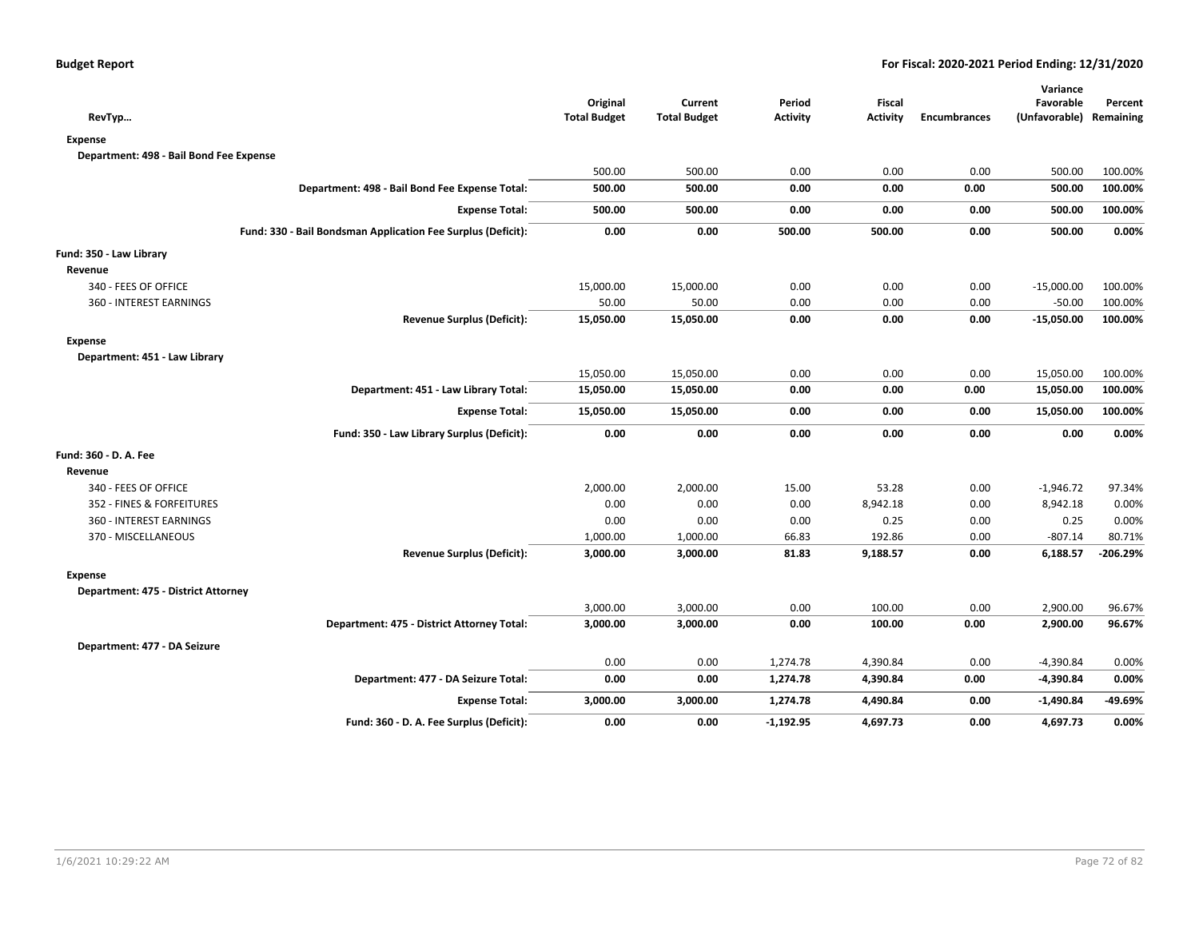|                                                              | Original            | Current             | Period          | <b>Fiscal</b>   |                     | Variance<br>Favorable   | Percent    |
|--------------------------------------------------------------|---------------------|---------------------|-----------------|-----------------|---------------------|-------------------------|------------|
| RevTyp                                                       | <b>Total Budget</b> | <b>Total Budget</b> | <b>Activity</b> | <b>Activity</b> | <b>Encumbrances</b> | (Unfavorable) Remaining |            |
| <b>Expense</b>                                               |                     |                     |                 |                 |                     |                         |            |
| Department: 498 - Bail Bond Fee Expense                      |                     |                     |                 |                 |                     |                         |            |
|                                                              | 500.00              | 500.00              | 0.00            | 0.00            | 0.00                | 500.00                  | 100.00%    |
| Department: 498 - Bail Bond Fee Expense Total:               | 500.00              | 500.00              | 0.00            | 0.00            | 0.00                | 500.00                  | 100.00%    |
| <b>Expense Total:</b>                                        | 500.00              | 500.00              | 0.00            | 0.00            | 0.00                | 500.00                  | 100.00%    |
| Fund: 330 - Bail Bondsman Application Fee Surplus (Deficit): | 0.00                | 0.00                | 500.00          | 500.00          | 0.00                | 500.00                  | 0.00%      |
| Fund: 350 - Law Library                                      |                     |                     |                 |                 |                     |                         |            |
| Revenue                                                      |                     |                     |                 |                 |                     |                         |            |
| 340 - FEES OF OFFICE                                         | 15,000.00           | 15,000.00           | 0.00            | 0.00            | 0.00                | $-15,000.00$            | 100.00%    |
| <b>360 - INTEREST EARNINGS</b>                               | 50.00               | 50.00               | 0.00            | 0.00            | 0.00                | $-50.00$                | 100.00%    |
| <b>Revenue Surplus (Deficit):</b>                            | 15,050.00           | 15,050.00           | 0.00            | 0.00            | 0.00                | $-15,050.00$            | 100.00%    |
| <b>Expense</b>                                               |                     |                     |                 |                 |                     |                         |            |
| Department: 451 - Law Library                                |                     |                     |                 |                 |                     |                         |            |
|                                                              | 15,050.00           | 15,050.00           | 0.00            | 0.00            | 0.00                | 15,050.00               | 100.00%    |
| Department: 451 - Law Library Total:                         | 15,050.00           | 15,050.00           | 0.00            | 0.00            | 0.00                | 15,050.00               | 100.00%    |
| <b>Expense Total:</b>                                        | 15,050.00           | 15,050.00           | 0.00            | 0.00            | 0.00                | 15,050.00               | 100.00%    |
| Fund: 350 - Law Library Surplus (Deficit):                   | 0.00                | 0.00                | 0.00            | 0.00            | 0.00                | 0.00                    | 0.00%      |
| Fund: 360 - D. A. Fee                                        |                     |                     |                 |                 |                     |                         |            |
| Revenue                                                      |                     |                     |                 |                 |                     |                         |            |
| 340 - FEES OF OFFICE                                         | 2,000.00            | 2,000.00            | 15.00           | 53.28           | 0.00                | $-1,946.72$             | 97.34%     |
| 352 - FINES & FORFEITURES                                    | 0.00                | 0.00                | 0.00            | 8,942.18        | 0.00                | 8,942.18                | 0.00%      |
| 360 - INTEREST EARNINGS                                      | 0.00                | 0.00                | 0.00            | 0.25            | 0.00                | 0.25                    | 0.00%      |
| 370 - MISCELLANEOUS                                          | 1,000.00            | 1,000.00            | 66.83           | 192.86          | 0.00                | $-807.14$               | 80.71%     |
| <b>Revenue Surplus (Deficit):</b>                            | 3,000.00            | 3,000.00            | 81.83           | 9,188.57        | 0.00                | 6,188.57                | $-206.29%$ |
| <b>Expense</b>                                               |                     |                     |                 |                 |                     |                         |            |
| Department: 475 - District Attorney                          |                     |                     |                 |                 |                     |                         |            |
|                                                              | 3,000.00            | 3,000.00            | 0.00            | 100.00          | 0.00                | 2,900.00                | 96.67%     |
| Department: 475 - District Attorney Total:                   | 3,000.00            | 3,000.00            | 0.00            | 100.00          | 0.00                | 2,900.00                | 96.67%     |
| Department: 477 - DA Seizure                                 |                     |                     |                 |                 |                     |                         |            |
|                                                              | 0.00                | 0.00                | 1,274.78        | 4,390.84        | 0.00                | -4,390.84               | 0.00%      |
| Department: 477 - DA Seizure Total:                          | 0.00                | 0.00                | 1,274.78        | 4,390.84        | 0.00                | $-4,390.84$             | 0.00%      |
| <b>Expense Total:</b>                                        | 3,000.00            | 3,000.00            | 1,274.78        | 4,490.84        | 0.00                | $-1,490.84$             | -49.69%    |
| Fund: 360 - D. A. Fee Surplus (Deficit):                     | 0.00                | 0.00                | $-1,192.95$     | 4,697.73        | 0.00                | 4,697.73                | 0.00%      |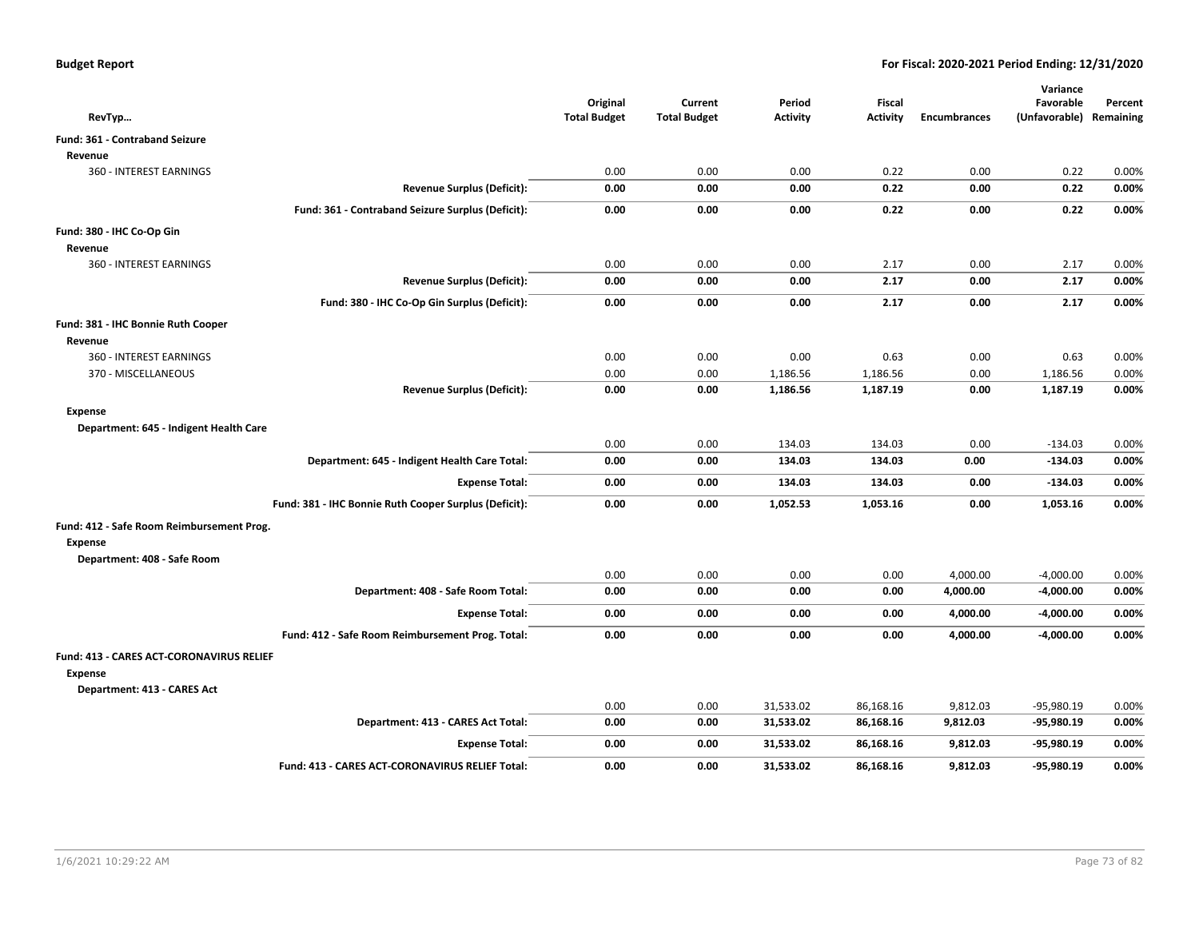| RevTyp                                    |                                                       | Original<br><b>Total Budget</b> | Current<br><b>Total Budget</b> | Period<br><b>Activity</b> | <b>Fiscal</b><br><b>Activity</b> | <b>Encumbrances</b> | Variance<br>Favorable<br>(Unfavorable) | Percent<br>Remaining |
|-------------------------------------------|-------------------------------------------------------|---------------------------------|--------------------------------|---------------------------|----------------------------------|---------------------|----------------------------------------|----------------------|
| Fund: 361 - Contraband Seizure            |                                                       |                                 |                                |                           |                                  |                     |                                        |                      |
| Revenue                                   |                                                       |                                 |                                |                           |                                  |                     |                                        |                      |
| 360 - INTEREST EARNINGS                   |                                                       | 0.00                            | 0.00                           | 0.00                      | 0.22                             | 0.00                | 0.22                                   | 0.00%                |
|                                           | <b>Revenue Surplus (Deficit):</b>                     | 0.00                            | 0.00                           | 0.00                      | 0.22                             | 0.00                | 0.22                                   | 0.00%                |
|                                           | Fund: 361 - Contraband Seizure Surplus (Deficit):     | 0.00                            | 0.00                           | 0.00                      | 0.22                             | 0.00                | 0.22                                   | 0.00%                |
| Fund: 380 - IHC Co-Op Gin                 |                                                       |                                 |                                |                           |                                  |                     |                                        |                      |
| Revenue                                   |                                                       |                                 |                                |                           |                                  |                     |                                        |                      |
| 360 - INTEREST EARNINGS                   |                                                       | 0.00                            | 0.00                           | 0.00                      | 2.17                             | 0.00                | 2.17                                   | 0.00%                |
|                                           | <b>Revenue Surplus (Deficit):</b>                     | 0.00                            | 0.00                           | 0.00                      | 2.17                             | 0.00                | 2.17                                   | 0.00%                |
|                                           | Fund: 380 - IHC Co-Op Gin Surplus (Deficit):          | 0.00                            | 0.00                           | 0.00                      | 2.17                             | 0.00                | 2.17                                   | 0.00%                |
| Fund: 381 - IHC Bonnie Ruth Cooper        |                                                       |                                 |                                |                           |                                  |                     |                                        |                      |
| Revenue                                   |                                                       |                                 |                                |                           |                                  |                     |                                        |                      |
| 360 - INTEREST EARNINGS                   |                                                       | 0.00                            | 0.00                           | 0.00                      | 0.63                             | 0.00                | 0.63                                   | 0.00%                |
| 370 - MISCELLANEOUS                       |                                                       | 0.00                            | 0.00                           | 1,186.56                  | 1,186.56                         | 0.00                | 1,186.56                               | 0.00%                |
|                                           | <b>Revenue Surplus (Deficit):</b>                     | 0.00                            | 0.00                           | 1,186.56                  | 1,187.19                         | 0.00                | 1,187.19                               | 0.00%                |
| Expense                                   |                                                       |                                 |                                |                           |                                  |                     |                                        |                      |
| Department: 645 - Indigent Health Care    |                                                       |                                 |                                |                           |                                  |                     |                                        |                      |
|                                           |                                                       | 0.00                            | 0.00                           | 134.03                    | 134.03                           | 0.00                | $-134.03$                              | 0.00%                |
|                                           | Department: 645 - Indigent Health Care Total:         | 0.00                            | 0.00                           | 134.03                    | 134.03                           | 0.00                | $-134.03$                              | 0.00%                |
|                                           | <b>Expense Total:</b>                                 | 0.00                            | 0.00                           | 134.03                    | 134.03                           | 0.00                | $-134.03$                              | 0.00%                |
|                                           | Fund: 381 - IHC Bonnie Ruth Cooper Surplus (Deficit): | 0.00                            | 0.00                           | 1,052.53                  | 1,053.16                         | 0.00                | 1,053.16                               | 0.00%                |
| Fund: 412 - Safe Room Reimbursement Prog. |                                                       |                                 |                                |                           |                                  |                     |                                        |                      |
| Expense                                   |                                                       |                                 |                                |                           |                                  |                     |                                        |                      |
| Department: 408 - Safe Room               |                                                       |                                 |                                |                           |                                  |                     |                                        |                      |
|                                           |                                                       | 0.00                            | 0.00                           | 0.00                      | 0.00                             | 4,000.00            | $-4,000.00$                            | 0.00%                |
|                                           | Department: 408 - Safe Room Total:                    | 0.00                            | 0.00                           | 0.00                      | 0.00                             | 4,000.00            | $-4,000.00$                            | 0.00%                |
|                                           | <b>Expense Total:</b>                                 | 0.00                            | 0.00                           | 0.00                      | 0.00                             | 4,000.00            | -4,000.00                              | 0.00%                |
|                                           | Fund: 412 - Safe Room Reimbursement Prog. Total:      | 0.00                            | 0.00                           | 0.00                      | 0.00                             | 4,000.00            | $-4,000.00$                            | 0.00%                |
| Fund: 413 - CARES ACT-CORONAVIRUS RELIEF  |                                                       |                                 |                                |                           |                                  |                     |                                        |                      |
| <b>Expense</b>                            |                                                       |                                 |                                |                           |                                  |                     |                                        |                      |
| Department: 413 - CARES Act               |                                                       |                                 |                                |                           |                                  |                     |                                        |                      |
|                                           |                                                       | 0.00                            | 0.00                           | 31,533.02                 | 86,168.16                        | 9,812.03            | $-95,980.19$                           | 0.00%                |
|                                           | Department: 413 - CARES Act Total:                    | 0.00                            | 0.00                           | 31,533.02                 | 86,168.16                        | 9,812.03            | -95,980.19                             | 0.00%                |
|                                           | <b>Expense Total:</b>                                 | 0.00                            | 0.00                           | 31,533.02                 | 86,168.16                        | 9,812.03            | -95,980.19                             | 0.00%                |
|                                           | Fund: 413 - CARES ACT-CORONAVIRUS RELIEF Total:       | 0.00                            | 0.00                           | 31,533.02                 | 86.168.16                        | 9,812.03            | -95,980.19                             | 0.00%                |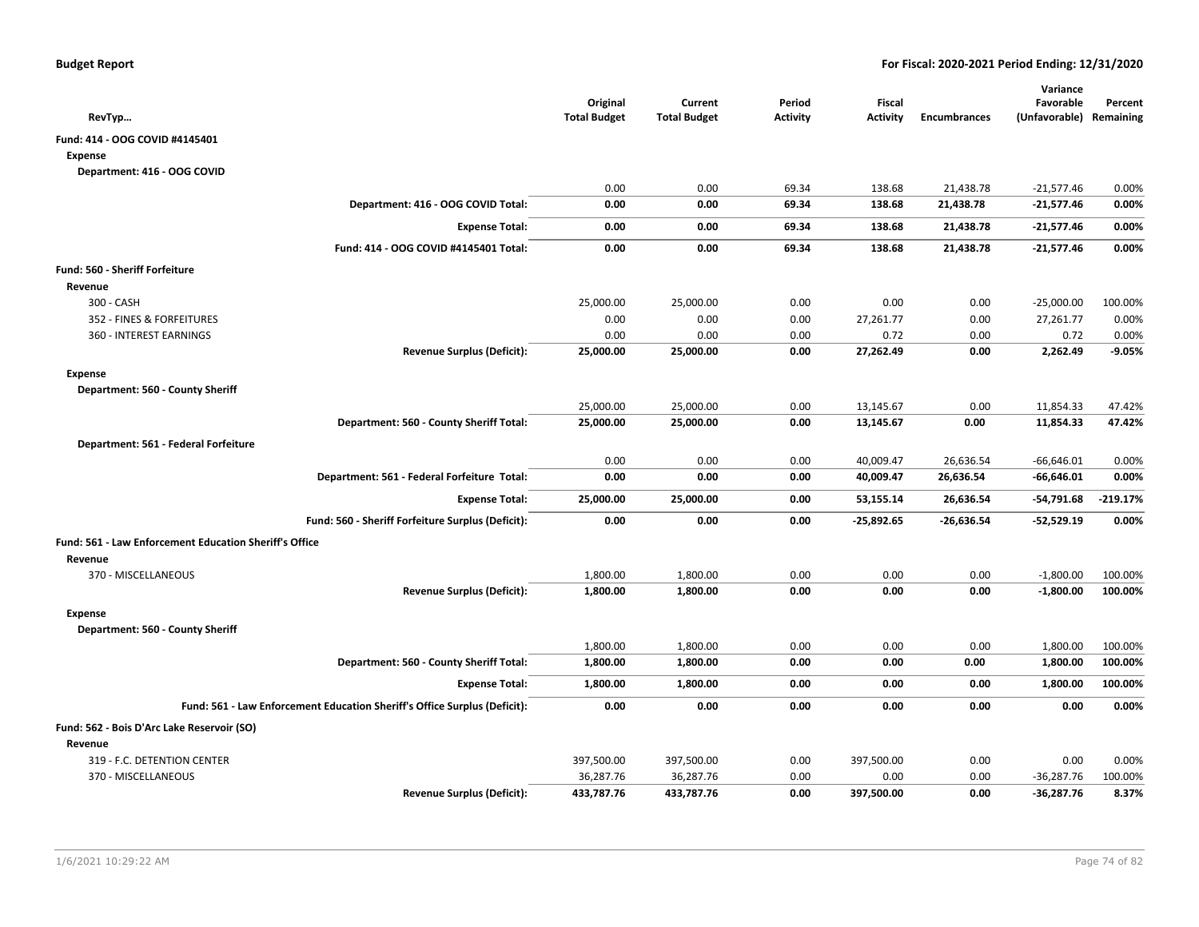| RevTyp                                                                    | Original<br><b>Total Budget</b> | Current<br><b>Total Budget</b> | Period<br><b>Activity</b> | Fiscal<br><b>Activity</b> | <b>Encumbrances</b> | Variance<br>Favorable<br>(Unfavorable) | Percent<br>Remaining |
|---------------------------------------------------------------------------|---------------------------------|--------------------------------|---------------------------|---------------------------|---------------------|----------------------------------------|----------------------|
| Fund: 414 - OOG COVID #4145401                                            |                                 |                                |                           |                           |                     |                                        |                      |
| Expense                                                                   |                                 |                                |                           |                           |                     |                                        |                      |
| Department: 416 - OOG COVID                                               |                                 |                                |                           |                           |                     |                                        |                      |
|                                                                           | 0.00                            | 0.00                           | 69.34                     | 138.68                    | 21,438.78           | $-21,577.46$                           | 0.00%                |
| Department: 416 - OOG COVID Total:                                        | 0.00                            | 0.00                           | 69.34                     | 138.68                    | 21,438.78           | $-21,577.46$                           | 0.00%                |
| <b>Expense Total:</b>                                                     | 0.00                            | 0.00                           | 69.34                     | 138.68                    | 21,438.78           | $-21,577.46$                           | 0.00%                |
| Fund: 414 - OOG COVID #4145401 Total:                                     | 0.00                            | 0.00                           | 69.34                     | 138.68                    | 21,438.78           | $-21,577.46$                           | 0.00%                |
| <b>Fund: 560 - Sheriff Forfeiture</b>                                     |                                 |                                |                           |                           |                     |                                        |                      |
| Revenue                                                                   |                                 |                                |                           |                           |                     |                                        |                      |
| 300 - CASH                                                                | 25,000.00                       | 25,000.00                      | 0.00                      | 0.00                      | 0.00                | $-25,000.00$                           | 100.00%              |
| 352 - FINES & FORFEITURES                                                 | 0.00                            | 0.00                           | 0.00                      | 27,261.77                 | 0.00                | 27,261.77                              | 0.00%                |
| 360 - INTEREST EARNINGS                                                   | 0.00                            | 0.00                           | 0.00                      | 0.72                      | 0.00                | 0.72                                   | 0.00%                |
| <b>Revenue Surplus (Deficit):</b>                                         | 25,000.00                       | 25,000.00                      | 0.00                      | 27,262.49                 | 0.00                | 2,262.49                               | $-9.05%$             |
| Expense                                                                   |                                 |                                |                           |                           |                     |                                        |                      |
| Department: 560 - County Sheriff                                          |                                 |                                |                           |                           |                     |                                        |                      |
|                                                                           | 25,000.00                       | 25,000.00                      | 0.00                      | 13,145.67                 | 0.00                | 11,854.33                              | 47.42%               |
| Department: 560 - County Sheriff Total:                                   | 25,000.00                       | 25,000.00                      | 0.00                      | 13,145.67                 | 0.00                | 11,854.33                              | 47.42%               |
| Department: 561 - Federal Forfeiture                                      |                                 |                                |                           |                           |                     |                                        |                      |
|                                                                           | 0.00                            | 0.00                           | 0.00                      | 40,009.47                 | 26,636.54           | $-66,646.01$                           | 0.00%                |
| Department: 561 - Federal Forfeiture Total:                               | 0.00                            | 0.00                           | 0.00                      | 40,009.47                 | 26,636.54           | $-66,646.01$                           | 0.00%                |
| <b>Expense Total:</b>                                                     | 25,000.00                       | 25,000.00                      | 0.00                      | 53,155.14                 | 26,636.54           | $-54,791.68$                           | $-219.17%$           |
| Fund: 560 - Sheriff Forfeiture Surplus (Deficit):                         | 0.00                            | 0.00                           | 0.00                      | $-25,892.65$              | $-26,636.54$        | $-52,529.19$                           | 0.00%                |
| Fund: 561 - Law Enforcement Education Sheriff's Office                    |                                 |                                |                           |                           |                     |                                        |                      |
| Revenue                                                                   |                                 |                                |                           |                           |                     |                                        |                      |
| 370 - MISCELLANEOUS                                                       | 1,800.00                        | 1,800.00                       | 0.00                      | 0.00                      | 0.00                | $-1,800.00$                            | 100.00%              |
| <b>Revenue Surplus (Deficit):</b>                                         | 1,800.00                        | 1,800.00                       | 0.00                      | 0.00                      | 0.00                | $-1,800.00$                            | 100.00%              |
| Expense                                                                   |                                 |                                |                           |                           |                     |                                        |                      |
| Department: 560 - County Sheriff                                          |                                 |                                |                           |                           |                     |                                        |                      |
|                                                                           | 1,800.00                        | 1,800.00                       | 0.00                      | 0.00                      | 0.00                | 1,800.00                               | 100.00%              |
| Department: 560 - County Sheriff Total:                                   | 1,800.00                        | 1,800.00                       | 0.00                      | 0.00                      | 0.00                | 1,800.00                               | 100.00%              |
| <b>Expense Total:</b>                                                     | 1,800.00                        | 1,800.00                       | 0.00                      | 0.00                      | 0.00                | 1,800.00                               | 100.00%              |
| Fund: 561 - Law Enforcement Education Sheriff's Office Surplus (Deficit): | 0.00                            | 0.00                           | 0.00                      | 0.00                      | 0.00                | 0.00                                   | 0.00%                |
| Fund: 562 - Bois D'Arc Lake Reservoir (SO)                                |                                 |                                |                           |                           |                     |                                        |                      |
| Revenue                                                                   |                                 |                                |                           |                           |                     |                                        |                      |
| 319 - F.C. DETENTION CENTER                                               | 397,500.00                      | 397,500.00                     | 0.00                      | 397,500.00                | 0.00                | 0.00                                   | 0.00%                |
| 370 - MISCELLANEOUS                                                       | 36,287.76                       | 36,287.76                      | 0.00                      | 0.00                      | 0.00                | $-36,287.76$                           | 100.00%              |
| <b>Revenue Surplus (Deficit):</b>                                         | 433,787.76                      | 433,787.76                     | 0.00                      | 397,500.00                | 0.00                | $-36,287.76$                           | 8.37%                |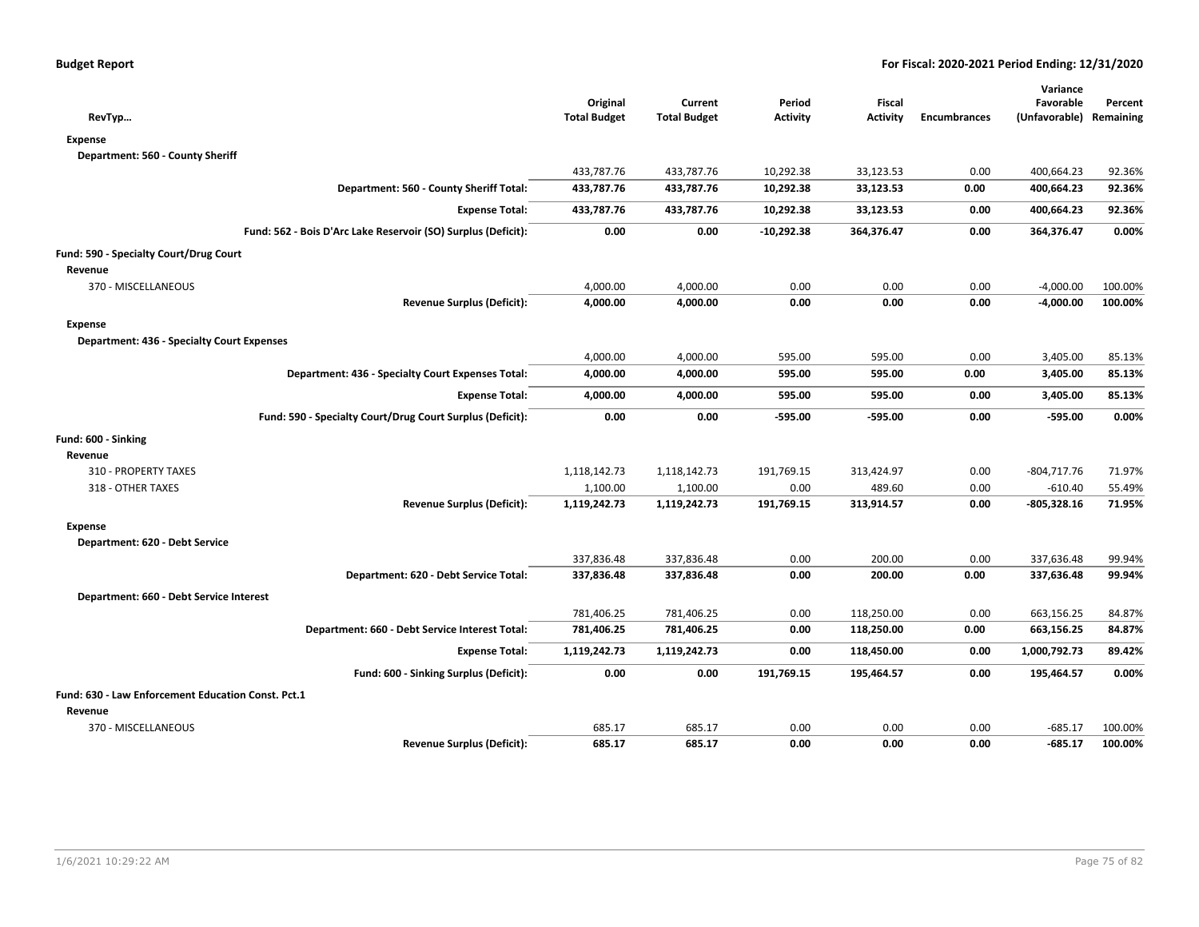|                                                               |                     |                     |                 |                 |                     | Variance      |           |
|---------------------------------------------------------------|---------------------|---------------------|-----------------|-----------------|---------------------|---------------|-----------|
|                                                               | Original            | Current             | Period          | Fiscal          |                     | Favorable     | Percent   |
| RevTyp                                                        | <b>Total Budget</b> | <b>Total Budget</b> | <b>Activity</b> | <b>Activity</b> | <b>Encumbrances</b> | (Unfavorable) | Remaining |
| Expense                                                       |                     |                     |                 |                 |                     |               |           |
| Department: 560 - County Sheriff                              |                     |                     |                 |                 |                     |               |           |
|                                                               | 433,787.76          | 433,787.76          | 10,292.38       | 33,123.53       | 0.00                | 400,664.23    | 92.36%    |
| Department: 560 - County Sheriff Total:                       | 433,787.76          | 433,787.76          | 10,292.38       | 33,123.53       | 0.00                | 400,664.23    | 92.36%    |
| <b>Expense Total:</b>                                         | 433,787.76          | 433,787.76          | 10,292.38       | 33,123.53       | 0.00                | 400,664.23    | 92.36%    |
| Fund: 562 - Bois D'Arc Lake Reservoir (SO) Surplus (Deficit): | 0.00                | 0.00                | $-10,292.38$    | 364,376.47      | 0.00                | 364,376.47    | 0.00%     |
| Fund: 590 - Specialty Court/Drug Court                        |                     |                     |                 |                 |                     |               |           |
| Revenue                                                       |                     |                     |                 |                 |                     |               |           |
| 370 - MISCELLANEOUS                                           | 4,000.00            | 4,000.00            | 0.00            | 0.00            | 0.00                | $-4,000.00$   | 100.00%   |
| <b>Revenue Surplus (Deficit):</b>                             | 4,000.00            | 4,000.00            | 0.00            | 0.00            | 0.00                | $-4,000.00$   | 100.00%   |
| <b>Expense</b>                                                |                     |                     |                 |                 |                     |               |           |
| <b>Department: 436 - Specialty Court Expenses</b>             |                     |                     |                 |                 |                     |               |           |
|                                                               | 4,000.00            | 4,000.00            | 595.00          | 595.00          | 0.00                | 3,405.00      | 85.13%    |
| Department: 436 - Specialty Court Expenses Total:             | 4,000.00            | 4,000.00            | 595.00          | 595.00          | 0.00                | 3,405.00      | 85.13%    |
| <b>Expense Total:</b>                                         | 4,000.00            | 4,000.00            | 595.00          | 595.00          | 0.00                | 3,405.00      | 85.13%    |
| Fund: 590 - Specialty Court/Drug Court Surplus (Deficit):     | 0.00                | 0.00                | $-595.00$       | -595.00         | 0.00                | $-595.00$     | 0.00%     |
| Fund: 600 - Sinking                                           |                     |                     |                 |                 |                     |               |           |
| Revenue                                                       |                     |                     |                 |                 |                     |               |           |
| 310 - PROPERTY TAXES                                          | 1,118,142.73        | 1,118,142.73        | 191,769.15      | 313,424.97      | 0.00                | $-804,717.76$ | 71.97%    |
| 318 - OTHER TAXES                                             | 1,100.00            | 1,100.00            | 0.00            | 489.60          | 0.00                | $-610.40$     | 55.49%    |
| <b>Revenue Surplus (Deficit):</b>                             | 1,119,242.73        | 1,119,242.73        | 191,769.15      | 313,914.57      | 0.00                | -805,328.16   | 71.95%    |
| <b>Expense</b>                                                |                     |                     |                 |                 |                     |               |           |
| Department: 620 - Debt Service                                |                     |                     |                 |                 |                     |               |           |
|                                                               | 337,836.48          | 337,836.48          | 0.00            | 200.00          | 0.00                | 337,636.48    | 99.94%    |
| Department: 620 - Debt Service Total:                         | 337,836.48          | 337,836.48          | 0.00            | 200.00          | 0.00                | 337,636.48    | 99.94%    |
| Department: 660 - Debt Service Interest                       |                     |                     |                 |                 |                     |               |           |
|                                                               | 781,406.25          | 781,406.25          | 0.00            | 118,250.00      | 0.00                | 663,156.25    | 84.87%    |
| Department: 660 - Debt Service Interest Total:                | 781,406.25          | 781,406.25          | 0.00            | 118,250.00      | 0.00                | 663,156.25    | 84.87%    |
| <b>Expense Total:</b>                                         | 1,119,242.73        | 1,119,242.73        | 0.00            | 118,450.00      | 0.00                | 1,000,792.73  | 89.42%    |
| Fund: 600 - Sinking Surplus (Deficit):                        | 0.00                | 0.00                | 191,769.15      | 195,464.57      | 0.00                | 195,464.57    | 0.00%     |
| Fund: 630 - Law Enforcement Education Const. Pct.1            |                     |                     |                 |                 |                     |               |           |
| Revenue                                                       |                     |                     |                 |                 |                     |               |           |
| 370 - MISCELLANEOUS                                           | 685.17              | 685.17              | 0.00            | 0.00            | 0.00                | $-685.17$     | 100.00%   |
| <b>Revenue Surplus (Deficit):</b>                             | 685.17              | 685.17              | 0.00            | 0.00            | 0.00                | $-685.17$     | 100.00%   |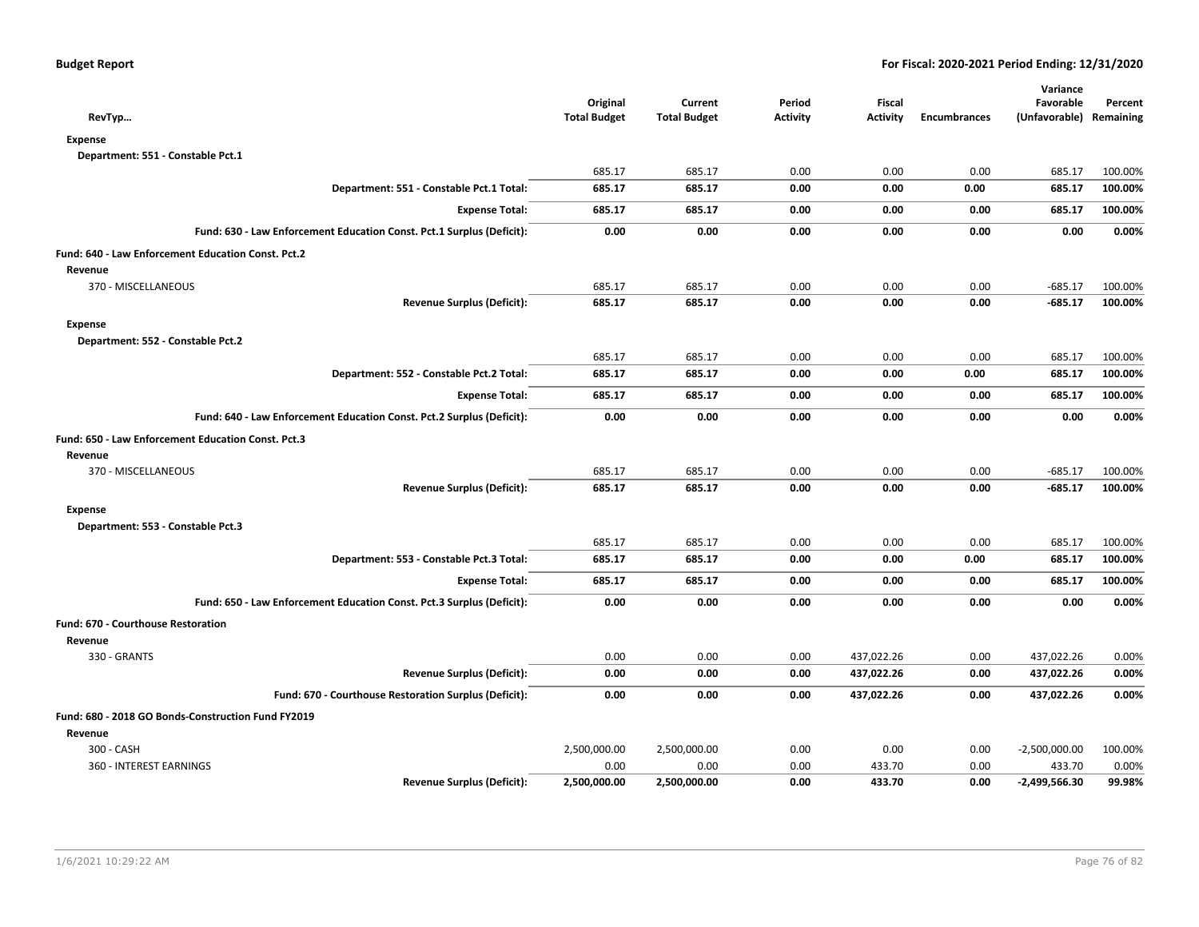| RevTyp                                                                | Original<br><b>Total Budget</b> | Current<br><b>Total Budget</b> | Period<br><b>Activity</b> | Fiscal<br><b>Activity</b> | <b>Encumbrances</b> | Variance<br>Favorable<br>(Unfavorable) Remaining | Percent |
|-----------------------------------------------------------------------|---------------------------------|--------------------------------|---------------------------|---------------------------|---------------------|--------------------------------------------------|---------|
| <b>Expense</b>                                                        |                                 |                                |                           |                           |                     |                                                  |         |
| Department: 551 - Constable Pct.1                                     |                                 |                                |                           |                           |                     |                                                  |         |
|                                                                       | 685.17                          | 685.17                         | 0.00                      | 0.00                      | 0.00                | 685.17                                           | 100.00% |
| Department: 551 - Constable Pct.1 Total:                              | 685.17                          | 685.17                         | 0.00                      | 0.00                      | 0.00                | 685.17                                           | 100.00% |
| <b>Expense Total:</b>                                                 | 685.17                          | 685.17                         | 0.00                      | 0.00                      | 0.00                | 685.17                                           | 100.00% |
| Fund: 630 - Law Enforcement Education Const. Pct.1 Surplus (Deficit): | 0.00                            | 0.00                           | 0.00                      | 0.00                      | 0.00                | 0.00                                             | 0.00%   |
| Fund: 640 - Law Enforcement Education Const. Pct.2                    |                                 |                                |                           |                           |                     |                                                  |         |
| Revenue                                                               |                                 |                                |                           |                           |                     |                                                  |         |
| 370 - MISCELLANEOUS                                                   | 685.17                          | 685.17                         | 0.00                      | 0.00                      | 0.00                | $-685.17$                                        | 100.00% |
| <b>Revenue Surplus (Deficit):</b>                                     | 685.17                          | 685.17                         | 0.00                      | 0.00                      | 0.00                | $-685.17$                                        | 100.00% |
| <b>Expense</b>                                                        |                                 |                                |                           |                           |                     |                                                  |         |
| Department: 552 - Constable Pct.2                                     |                                 |                                |                           |                           |                     |                                                  |         |
|                                                                       | 685.17                          | 685.17                         | 0.00                      | 0.00                      | 0.00                | 685.17                                           | 100.00% |
| Department: 552 - Constable Pct.2 Total:                              | 685.17                          | 685.17                         | 0.00                      | 0.00                      | 0.00                | 685.17                                           | 100.00% |
| <b>Expense Total:</b>                                                 | 685.17                          | 685.17                         | 0.00                      | 0.00                      | 0.00                | 685.17                                           | 100.00% |
| Fund: 640 - Law Enforcement Education Const. Pct.2 Surplus (Deficit): | 0.00                            | 0.00                           | 0.00                      | 0.00                      | 0.00                | 0.00                                             | 0.00%   |
| Fund: 650 - Law Enforcement Education Const. Pct.3                    |                                 |                                |                           |                           |                     |                                                  |         |
| Revenue                                                               |                                 |                                |                           |                           |                     |                                                  |         |
| 370 - MISCELLANEOUS                                                   | 685.17                          | 685.17                         | 0.00                      | 0.00                      | 0.00                | $-685.17$                                        | 100.00% |
| <b>Revenue Surplus (Deficit):</b>                                     | 685.17                          | 685.17                         | 0.00                      | 0.00                      | 0.00                | $-685.17$                                        | 100.00% |
| <b>Expense</b>                                                        |                                 |                                |                           |                           |                     |                                                  |         |
| Department: 553 - Constable Pct.3                                     |                                 |                                |                           |                           |                     |                                                  |         |
|                                                                       | 685.17                          | 685.17                         | 0.00                      | 0.00                      | 0.00                | 685.17                                           | 100.00% |
| Department: 553 - Constable Pct.3 Total:                              | 685.17                          | 685.17                         | 0.00                      | 0.00                      | 0.00                | 685.17                                           | 100.00% |
| <b>Expense Total:</b>                                                 | 685.17                          | 685.17                         | 0.00                      | 0.00                      | 0.00                | 685.17                                           | 100.00% |
| Fund: 650 - Law Enforcement Education Const. Pct.3 Surplus (Deficit): | 0.00                            | 0.00                           | 0.00                      | 0.00                      | 0.00                | 0.00                                             | 0.00%   |
| <b>Fund: 670 - Courthouse Restoration</b>                             |                                 |                                |                           |                           |                     |                                                  |         |
| Revenue                                                               |                                 |                                |                           |                           |                     |                                                  |         |
| 330 - GRANTS                                                          | 0.00                            | 0.00                           | 0.00                      | 437,022.26                | 0.00                | 437,022.26                                       | 0.00%   |
| <b>Revenue Surplus (Deficit):</b>                                     | 0.00                            | 0.00                           | 0.00                      | 437,022.26                | 0.00                | 437,022.26                                       | 0.00%   |
| Fund: 670 - Courthouse Restoration Surplus (Deficit):                 | 0.00                            | 0.00                           | 0.00                      | 437,022.26                | 0.00                | 437,022.26                                       | 0.00%   |
| Fund: 680 - 2018 GO Bonds-Construction Fund FY2019                    |                                 |                                |                           |                           |                     |                                                  |         |
| Revenue                                                               |                                 |                                |                           |                           |                     |                                                  |         |
| 300 - CASH                                                            | 2,500,000.00                    | 2,500,000.00                   | 0.00                      | 0.00                      | 0.00                | $-2,500,000.00$                                  | 100.00% |
| 360 - INTEREST EARNINGS                                               | 0.00                            | 0.00                           | 0.00                      | 433.70                    | 0.00                | 433.70                                           | 0.00%   |
| <b>Revenue Surplus (Deficit):</b>                                     | 2,500,000.00                    | 2,500,000.00                   | 0.00                      | 433.70                    | 0.00                | -2,499,566.30                                    | 99.98%  |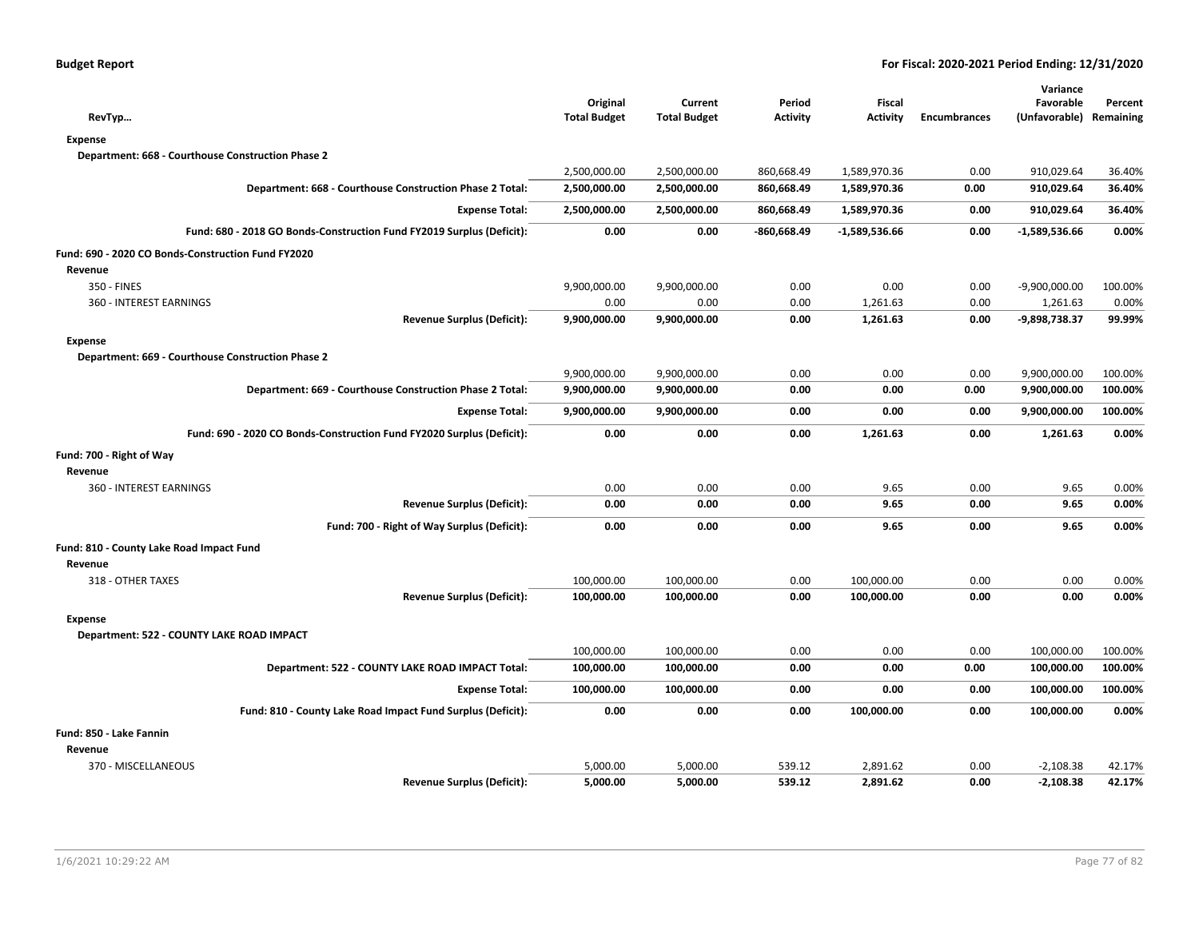| RevTyp                                                                | Original<br><b>Total Budget</b> | Current<br><b>Total Budget</b> | Period<br><b>Activity</b> | <b>Fiscal</b><br><b>Activity</b> | <b>Encumbrances</b> | Variance<br>Favorable<br>(Unfavorable) | Percent<br>Remaining |
|-----------------------------------------------------------------------|---------------------------------|--------------------------------|---------------------------|----------------------------------|---------------------|----------------------------------------|----------------------|
| <b>Expense</b>                                                        |                                 |                                |                           |                                  |                     |                                        |                      |
| Department: 668 - Courthouse Construction Phase 2                     |                                 |                                |                           |                                  |                     |                                        |                      |
|                                                                       | 2,500,000.00                    | 2,500,000.00                   | 860,668.49                | 1,589,970.36                     | 0.00                | 910,029.64                             | 36.40%               |
| Department: 668 - Courthouse Construction Phase 2 Total:              | 2,500,000.00                    | 2,500,000.00                   | 860,668.49                | 1,589,970.36                     | 0.00                | 910,029.64                             | 36.40%               |
| <b>Expense Total:</b>                                                 | 2,500,000.00                    | 2,500,000.00                   | 860,668.49                | 1,589,970.36                     | 0.00                | 910,029.64                             | 36.40%               |
| Fund: 680 - 2018 GO Bonds-Construction Fund FY2019 Surplus (Deficit): | 0.00                            | 0.00                           | $-860,668.49$             | $-1,589,536.66$                  | 0.00                | $-1,589,536.66$                        | 0.00%                |
| Fund: 690 - 2020 CO Bonds-Construction Fund FY2020                    |                                 |                                |                           |                                  |                     |                                        |                      |
| Revenue                                                               |                                 |                                |                           |                                  |                     |                                        |                      |
| 350 - FINES                                                           | 9,900,000.00                    | 9,900,000.00                   | 0.00                      | 0.00                             | 0.00                | $-9,900,000.00$                        | 100.00%              |
| 360 - INTEREST EARNINGS                                               | 0.00                            | 0.00                           | 0.00                      | 1,261.63                         | 0.00                | 1,261.63                               | 0.00%                |
| <b>Revenue Surplus (Deficit):</b>                                     | 9,900,000.00                    | 9,900,000.00                   | 0.00                      | 1,261.63                         | 0.00                | -9,898,738.37                          | 99.99%               |
| <b>Expense</b>                                                        |                                 |                                |                           |                                  |                     |                                        |                      |
| Department: 669 - Courthouse Construction Phase 2                     |                                 |                                |                           |                                  |                     |                                        |                      |
|                                                                       | 9,900,000.00                    | 9,900,000.00                   | 0.00                      | 0.00                             | 0.00                | 9,900,000.00                           | 100.00%              |
| Department: 669 - Courthouse Construction Phase 2 Total:              | 9,900,000.00                    | 9,900,000.00                   | 0.00                      | 0.00                             | 0.00                | 9,900,000.00                           | 100.00%              |
| <b>Expense Total:</b>                                                 | 9,900,000.00                    | 9,900,000.00                   | 0.00                      | 0.00                             | 0.00                | 9,900,000.00                           | 100.00%              |
| Fund: 690 - 2020 CO Bonds-Construction Fund FY2020 Surplus (Deficit): | 0.00                            | 0.00                           | 0.00                      | 1,261.63                         | 0.00                | 1,261.63                               | 0.00%                |
| Fund: 700 - Right of Way                                              |                                 |                                |                           |                                  |                     |                                        |                      |
| Revenue                                                               |                                 |                                |                           |                                  |                     |                                        |                      |
| 360 - INTEREST EARNINGS                                               | 0.00                            | 0.00                           | 0.00                      | 9.65                             | 0.00                | 9.65                                   | 0.00%                |
| <b>Revenue Surplus (Deficit):</b>                                     | 0.00                            | 0.00                           | 0.00                      | 9.65                             | 0.00                | 9.65                                   | 0.00%                |
| Fund: 700 - Right of Way Surplus (Deficit):                           | 0.00                            | 0.00                           | 0.00                      | 9.65                             | 0.00                | 9.65                                   | 0.00%                |
| Fund: 810 - County Lake Road Impact Fund                              |                                 |                                |                           |                                  |                     |                                        |                      |
| Revenue                                                               |                                 |                                |                           |                                  |                     |                                        |                      |
| 318 - OTHER TAXES                                                     | 100,000.00                      | 100,000.00                     | 0.00                      | 100,000.00                       | 0.00                | 0.00                                   | 0.00%                |
| <b>Revenue Surplus (Deficit):</b>                                     | 100,000.00                      | 100,000.00                     | 0.00                      | 100,000.00                       | 0.00                | 0.00                                   | 0.00%                |
| <b>Expense</b>                                                        |                                 |                                |                           |                                  |                     |                                        |                      |
| Department: 522 - COUNTY LAKE ROAD IMPACT                             |                                 |                                |                           |                                  |                     |                                        |                      |
|                                                                       | 100,000.00                      | 100,000.00                     | 0.00                      | 0.00                             | 0.00                | 100,000.00                             | 100.00%              |
| Department: 522 - COUNTY LAKE ROAD IMPACT Total:                      | 100,000.00                      | 100,000.00                     | 0.00                      | 0.00                             | 0.00                | 100,000.00                             | 100.00%              |
| <b>Expense Total:</b>                                                 | 100,000.00                      | 100,000.00                     | 0.00                      | 0.00                             | 0.00                | 100,000.00                             | 100.00%              |
| Fund: 810 - County Lake Road Impact Fund Surplus (Deficit):           | 0.00                            | 0.00                           | 0.00                      | 100,000.00                       | 0.00                | 100,000.00                             | 0.00%                |
| Fund: 850 - Lake Fannin                                               |                                 |                                |                           |                                  |                     |                                        |                      |
| Revenue                                                               |                                 |                                |                           |                                  |                     |                                        |                      |
| 370 - MISCELLANEOUS                                                   | 5,000.00                        | 5,000.00                       | 539.12                    | 2,891.62                         | 0.00                | $-2,108.38$                            | 42.17%               |
| <b>Revenue Surplus (Deficit):</b>                                     | 5,000.00                        | 5,000.00                       | 539.12                    | 2,891.62                         | 0.00                | $-2,108.38$                            | 42.17%               |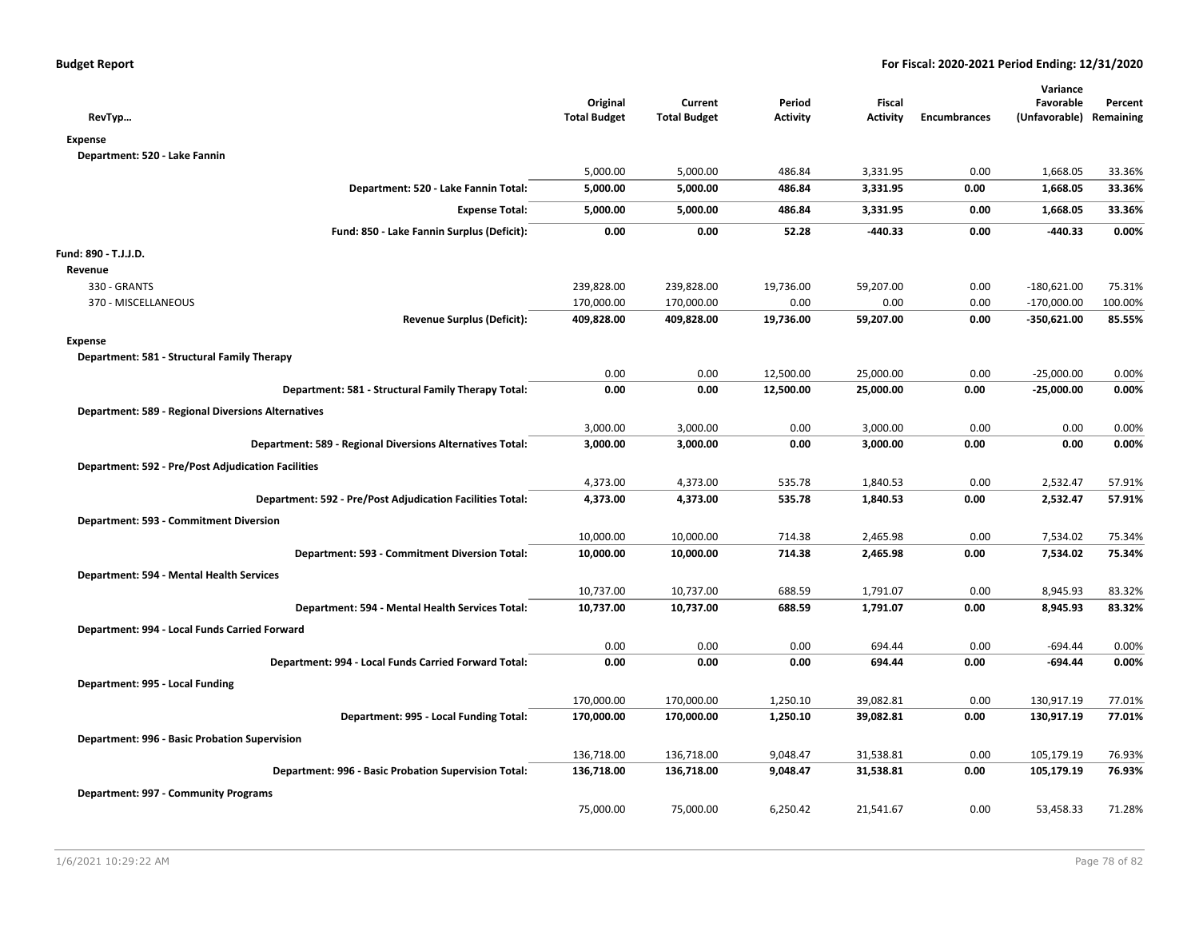| RevTyp                                                    | Original<br><b>Total Budget</b> | Current<br><b>Total Budget</b> | Period<br><b>Activity</b> | <b>Fiscal</b><br><b>Activity</b> | <b>Encumbrances</b> | Variance<br>Favorable<br>(Unfavorable) | Percent<br>Remaining |
|-----------------------------------------------------------|---------------------------------|--------------------------------|---------------------------|----------------------------------|---------------------|----------------------------------------|----------------------|
| <b>Expense</b>                                            |                                 |                                |                           |                                  |                     |                                        |                      |
| Department: 520 - Lake Fannin                             |                                 |                                |                           |                                  |                     |                                        |                      |
|                                                           | 5,000.00                        | 5,000.00                       | 486.84                    | 3,331.95                         | 0.00                | 1,668.05                               | 33.36%               |
| Department: 520 - Lake Fannin Total:                      | 5,000.00                        | 5,000.00                       | 486.84                    | 3,331.95                         | 0.00                | 1,668.05                               | 33.36%               |
| <b>Expense Total:</b>                                     | 5,000.00                        | 5,000.00                       | 486.84                    | 3,331.95                         | 0.00                | 1,668.05                               | 33.36%               |
| Fund: 850 - Lake Fannin Surplus (Deficit):                | 0.00                            | 0.00                           | 52.28                     | $-440.33$                        | 0.00                | $-440.33$                              | 0.00%                |
| Fund: 890 - T.J.J.D.                                      |                                 |                                |                           |                                  |                     |                                        |                      |
| Revenue                                                   |                                 |                                |                           |                                  |                     |                                        |                      |
| 330 - GRANTS                                              | 239,828.00                      | 239,828.00                     | 19,736.00                 | 59,207.00                        | 0.00                | $-180,621.00$                          | 75.31%               |
| 370 - MISCELLANEOUS                                       | 170,000.00                      | 170,000.00                     | 0.00                      | 0.00                             | 0.00                | $-170,000.00$                          | 100.00%              |
| <b>Revenue Surplus (Deficit):</b>                         | 409,828.00                      | 409,828.00                     | 19,736.00                 | 59,207.00                        | 0.00                | $-350,621.00$                          | 85.55%               |
| <b>Expense</b>                                            |                                 |                                |                           |                                  |                     |                                        |                      |
| Department: 581 - Structural Family Therapy               |                                 |                                |                           |                                  |                     |                                        |                      |
|                                                           | 0.00                            | 0.00                           | 12,500.00                 | 25,000.00                        | 0.00                | $-25,000.00$                           | 0.00%                |
| Department: 581 - Structural Family Therapy Total:        | 0.00                            | 0.00                           | 12,500.00                 | 25,000.00                        | 0.00                | $-25,000.00$                           | 0.00%                |
| <b>Department: 589 - Regional Diversions Alternatives</b> |                                 |                                |                           |                                  |                     |                                        |                      |
|                                                           | 3,000.00                        | 3,000.00                       | 0.00                      | 3,000.00                         | 0.00                | 0.00                                   | 0.00%                |
| Department: 589 - Regional Diversions Alternatives Total: | 3,000.00                        | 3,000.00                       | 0.00                      | 3,000.00                         | 0.00                | 0.00                                   | 0.00%                |
| <b>Department: 592 - Pre/Post Adjudication Facilities</b> |                                 |                                |                           |                                  |                     |                                        |                      |
|                                                           | 4,373.00                        | 4,373.00                       | 535.78                    | 1,840.53                         | 0.00                | 2,532.47                               | 57.91%               |
| Department: 592 - Pre/Post Adjudication Facilities Total: | 4,373.00                        | 4,373.00                       | 535.78                    | 1,840.53                         | 0.00                | 2,532.47                               | 57.91%               |
| Department: 593 - Commitment Diversion                    |                                 |                                |                           |                                  |                     |                                        |                      |
|                                                           | 10,000.00                       | 10,000.00                      | 714.38                    | 2,465.98                         | 0.00                | 7,534.02                               | 75.34%               |
| Department: 593 - Commitment Diversion Total:             | 10,000.00                       | 10,000.00                      | 714.38                    | 2,465.98                         | 0.00                | 7,534.02                               | 75.34%               |
| Department: 594 - Mental Health Services                  |                                 |                                |                           |                                  |                     |                                        |                      |
|                                                           | 10,737.00                       | 10,737.00                      | 688.59                    | 1,791.07                         | 0.00                | 8,945.93                               | 83.32%               |
| Department: 594 - Mental Health Services Total:           | 10,737.00                       | 10,737.00                      | 688.59                    | 1,791.07                         | 0.00                | 8,945.93                               | 83.32%               |
| Department: 994 - Local Funds Carried Forward             |                                 |                                |                           |                                  |                     |                                        |                      |
|                                                           | 0.00                            | 0.00                           | 0.00                      | 694.44                           | 0.00                | $-694.44$                              | 0.00%                |
| Department: 994 - Local Funds Carried Forward Total:      | 0.00                            | 0.00                           | 0.00                      | 694.44                           | 0.00                | -694.44                                | 0.00%                |
| Department: 995 - Local Funding                           |                                 |                                |                           |                                  |                     |                                        |                      |
|                                                           | 170,000.00                      | 170,000.00                     | 1,250.10                  | 39,082.81                        | 0.00                | 130,917.19                             | 77.01%               |
| Department: 995 - Local Funding Total:                    | 170,000.00                      | 170,000.00                     | 1,250.10                  | 39,082.81                        | 0.00                | 130,917.19                             | 77.01%               |
|                                                           |                                 |                                |                           |                                  |                     |                                        |                      |
| Department: 996 - Basic Probation Supervision             | 136,718.00                      | 136,718.00                     | 9,048.47                  | 31,538.81                        | 0.00                | 105,179.19                             | 76.93%               |
| Department: 996 - Basic Probation Supervision Total:      | 136,718.00                      | 136,718.00                     | 9,048.47                  | 31,538.81                        | 0.00                | 105,179.19                             | 76.93%               |
|                                                           |                                 |                                |                           |                                  |                     |                                        |                      |
| Department: 997 - Community Programs                      |                                 |                                |                           |                                  |                     |                                        |                      |
|                                                           | 75,000.00                       | 75,000.00                      | 6,250.42                  | 21,541.67                        | 0.00                | 53,458.33                              | 71.28%               |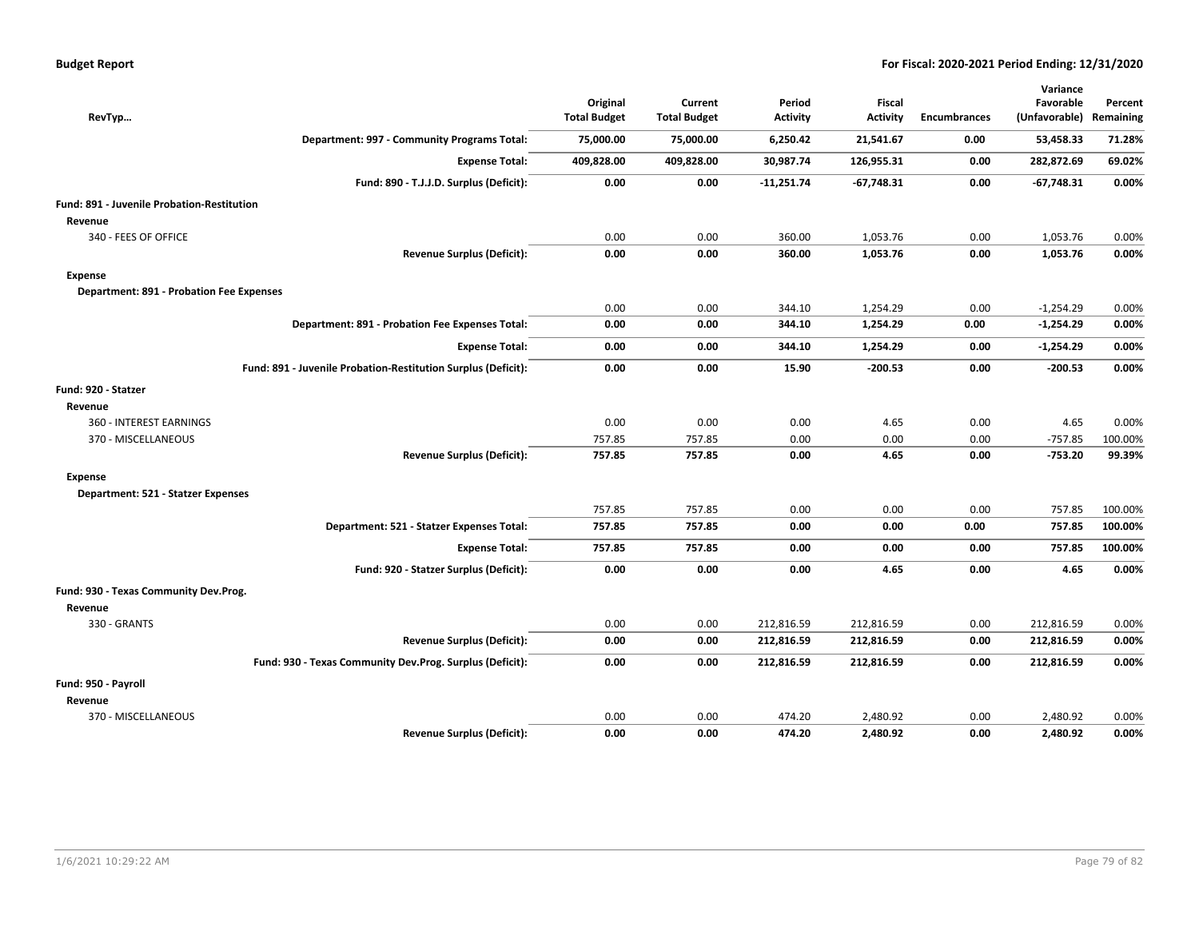| RevTyp                                          |                                                               | Original<br><b>Total Budget</b> | Current<br><b>Total Budget</b> | Period<br><b>Activity</b> | <b>Fiscal</b><br><b>Activity</b> | <b>Encumbrances</b> | Variance<br>Favorable<br>(Unfavorable) | Percent<br>Remaining |
|-------------------------------------------------|---------------------------------------------------------------|---------------------------------|--------------------------------|---------------------------|----------------------------------|---------------------|----------------------------------------|----------------------|
|                                                 | Department: 997 - Community Programs Total:                   | 75,000.00                       | 75,000.00                      | 6,250.42                  | 21,541.67                        | 0.00                | 53,458.33                              | 71.28%               |
|                                                 | <b>Expense Total:</b>                                         | 409,828.00                      | 409,828.00                     | 30,987.74                 | 126,955.31                       | 0.00                | 282,872.69                             | 69.02%               |
|                                                 | Fund: 890 - T.J.J.D. Surplus (Deficit):                       | 0.00                            | 0.00                           | $-11,251.74$              | $-67,748.31$                     | 0.00                | $-67,748.31$                           | 0.00%                |
| Fund: 891 - Juvenile Probation-Restitution      |                                                               |                                 |                                |                           |                                  |                     |                                        |                      |
| Revenue                                         |                                                               |                                 |                                |                           |                                  |                     |                                        |                      |
| 340 - FEES OF OFFICE                            |                                                               | 0.00                            | 0.00                           | 360.00                    | 1,053.76                         | 0.00                | 1,053.76                               | 0.00%                |
|                                                 | <b>Revenue Surplus (Deficit):</b>                             | 0.00                            | 0.00                           | 360.00                    | 1,053.76                         | 0.00                | 1,053.76                               | 0.00%                |
| Expense                                         |                                                               |                                 |                                |                           |                                  |                     |                                        |                      |
| <b>Department: 891 - Probation Fee Expenses</b> |                                                               |                                 |                                |                           |                                  |                     |                                        |                      |
|                                                 |                                                               | 0.00                            | 0.00                           | 344.10                    | 1,254.29                         | 0.00                | $-1,254.29$                            | 0.00%                |
|                                                 | Department: 891 - Probation Fee Expenses Total:               | 0.00                            | 0.00                           | 344.10                    | 1,254.29                         | 0.00                | $-1,254.29$                            | 0.00%                |
|                                                 | <b>Expense Total:</b>                                         | 0.00                            | 0.00                           | 344.10                    | 1,254.29                         | 0.00                | $-1,254.29$                            | 0.00%                |
|                                                 | Fund: 891 - Juvenile Probation-Restitution Surplus (Deficit): | 0.00                            | 0.00                           | 15.90                     | $-200.53$                        | 0.00                | $-200.53$                              | 0.00%                |
| Fund: 920 - Statzer                             |                                                               |                                 |                                |                           |                                  |                     |                                        |                      |
| Revenue                                         |                                                               |                                 |                                |                           |                                  |                     |                                        |                      |
| 360 - INTEREST EARNINGS                         |                                                               | 0.00                            | 0.00                           | 0.00                      | 4.65                             | 0.00                | 4.65                                   | 0.00%                |
| 370 - MISCELLANEOUS                             |                                                               | 757.85                          | 757.85                         | 0.00                      | 0.00                             | 0.00                | $-757.85$                              | 100.00%              |
|                                                 | <b>Revenue Surplus (Deficit):</b>                             | 757.85                          | 757.85                         | 0.00                      | 4.65                             | 0.00                | $-753.20$                              | 99.39%               |
| <b>Expense</b>                                  |                                                               |                                 |                                |                           |                                  |                     |                                        |                      |
| Department: 521 - Statzer Expenses              |                                                               |                                 |                                |                           |                                  |                     |                                        |                      |
|                                                 |                                                               | 757.85                          | 757.85                         | 0.00                      | 0.00                             | 0.00                | 757.85                                 | 100.00%              |
|                                                 | Department: 521 - Statzer Expenses Total:                     | 757.85                          | 757.85                         | 0.00                      | 0.00                             | 0.00                | 757.85                                 | 100.00%              |
|                                                 | <b>Expense Total:</b>                                         | 757.85                          | 757.85                         | 0.00                      | 0.00                             | 0.00                | 757.85                                 | 100.00%              |
|                                                 | Fund: 920 - Statzer Surplus (Deficit):                        | 0.00                            | 0.00                           | 0.00                      | 4.65                             | 0.00                | 4.65                                   | 0.00%                |
| Fund: 930 - Texas Community Dev.Prog.           |                                                               |                                 |                                |                           |                                  |                     |                                        |                      |
| Revenue                                         |                                                               |                                 |                                |                           |                                  |                     |                                        |                      |
| 330 - GRANTS                                    |                                                               | 0.00                            | 0.00                           | 212,816.59                | 212,816.59                       | 0.00                | 212,816.59                             | 0.00%                |
|                                                 | <b>Revenue Surplus (Deficit):</b>                             | 0.00                            | 0.00                           | 212,816.59                | 212,816.59                       | 0.00                | 212,816.59                             | 0.00%                |
|                                                 | Fund: 930 - Texas Community Dev.Prog. Surplus (Deficit):      | 0.00                            | 0.00                           | 212,816.59                | 212,816.59                       | 0.00                | 212,816.59                             | 0.00%                |
| Fund: 950 - Payroll                             |                                                               |                                 |                                |                           |                                  |                     |                                        |                      |
| Revenue                                         |                                                               |                                 |                                |                           |                                  |                     |                                        |                      |
| 370 - MISCELLANEOUS                             |                                                               | 0.00                            | 0.00                           | 474.20                    | 2,480.92                         | 0.00                | 2,480.92                               | 0.00%                |
|                                                 | <b>Revenue Surplus (Deficit):</b>                             | 0.00                            | 0.00                           | 474.20                    | 2,480.92                         | 0.00                | 2,480.92                               | 0.00%                |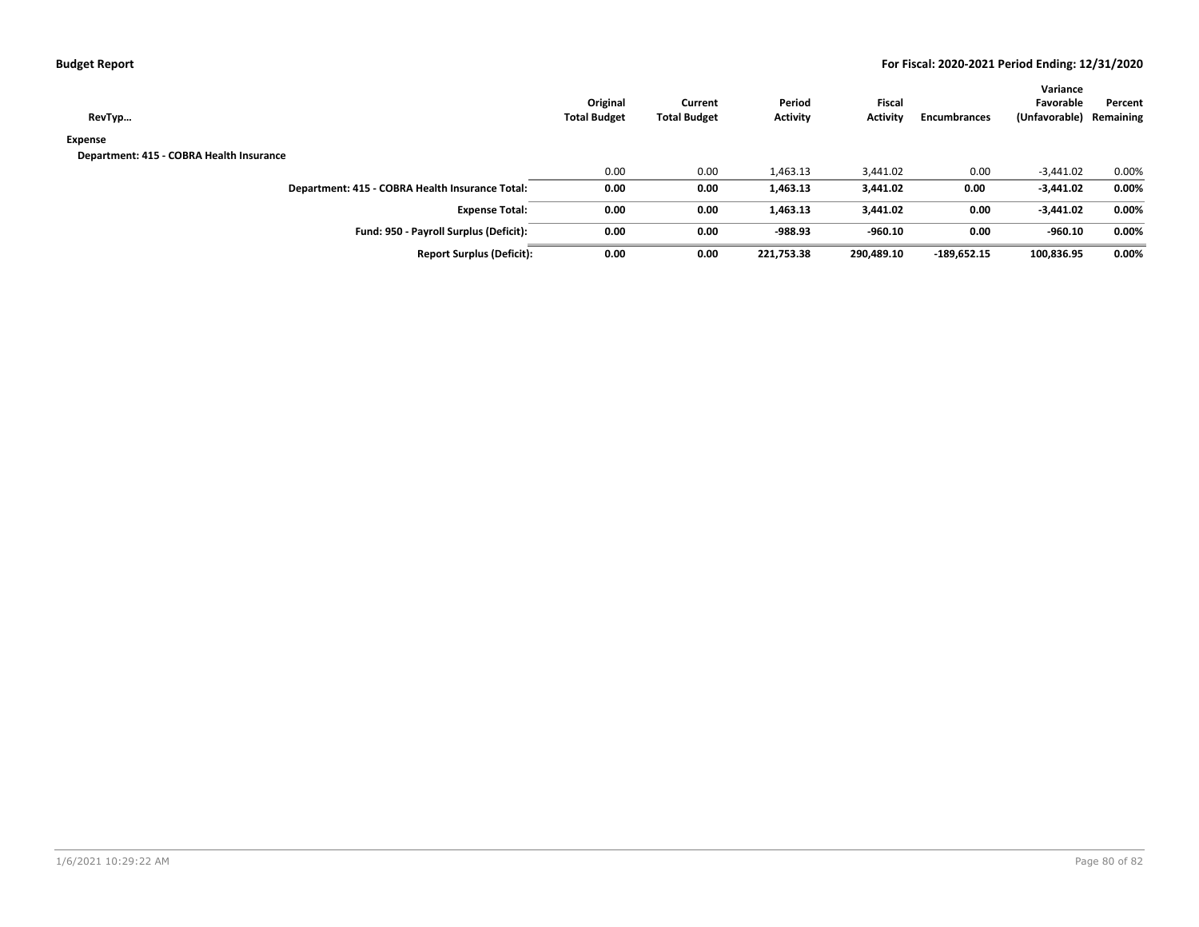| <b>Budget Report</b> |  |  |
|----------------------|--|--|
|----------------------|--|--|

| RevTyp                                          | Original<br><b>Total Budget</b> | Current<br><b>Total Budget</b> | Period<br><b>Activity</b> | <b>Fiscal</b><br>Activity | Encumbrances  | Variance<br>Favorable<br>(Unfavorable) | Percent<br>Remaining |
|-------------------------------------------------|---------------------------------|--------------------------------|---------------------------|---------------------------|---------------|----------------------------------------|----------------------|
| Expense                                         |                                 |                                |                           |                           |               |                                        |                      |
| Department: 415 - COBRA Health Insurance        |                                 |                                |                           |                           |               |                                        |                      |
|                                                 | 0.00                            | 0.00                           | 1,463.13                  | 3,441.02                  | 0.00          | $-3,441.02$                            | 0.00%                |
| Department: 415 - COBRA Health Insurance Total: | 0.00                            | 0.00                           | 1,463.13                  | 3,441.02                  | 0.00          | $-3,441.02$                            | 0.00%                |
| <b>Expense Total:</b>                           | 0.00                            | 0.00                           | 1,463.13                  | 3,441.02                  | 0.00          | $-3,441.02$                            | 0.00%                |
| Fund: 950 - Payroll Surplus (Deficit):          | 0.00                            | 0.00                           | $-988.93$                 | $-960.10$                 | 0.00          | $-960.10$                              | 0.00%                |
| <b>Report Surplus (Deficit):</b>                | 0.00                            | 0.00                           | 221,753.38                | 290,489.10                | $-189,652.15$ | 100,836.95                             | 0.00%                |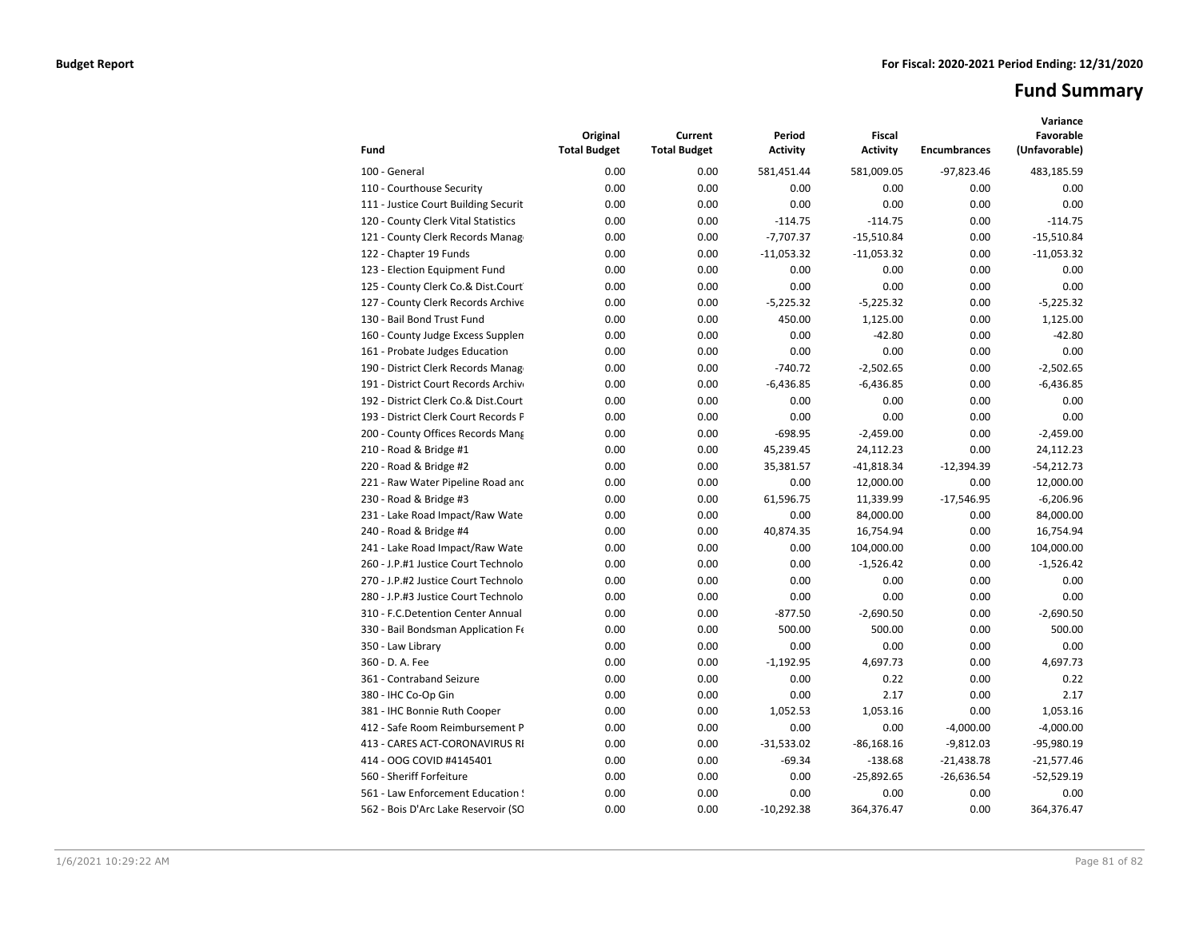# **Fund Summary**

| Fund                                 | Original<br><b>Total Budget</b> | Current<br><b>Total Budget</b> | Period<br><b>Activity</b> | <b>Fiscal</b><br><b>Activity</b> | <b>Encumbrances</b> | Variance<br>Favorable<br>(Unfavorable) |
|--------------------------------------|---------------------------------|--------------------------------|---------------------------|----------------------------------|---------------------|----------------------------------------|
| 100 - General                        | 0.00                            | 0.00                           | 581,451.44                | 581,009.05                       | $-97,823.46$        | 483,185.59                             |
| 110 - Courthouse Security            | 0.00                            | 0.00                           | 0.00                      | 0.00                             | 0.00                | 0.00                                   |
| 111 - Justice Court Building Securit | 0.00                            | 0.00                           | 0.00                      | 0.00                             | 0.00                | 0.00                                   |
| 120 - County Clerk Vital Statistics  | 0.00                            | 0.00                           | $-114.75$                 | $-114.75$                        | 0.00                | $-114.75$                              |
| 121 - County Clerk Records Manag     | 0.00                            | 0.00                           | $-7,707.37$               | $-15,510.84$                     | 0.00                | $-15,510.84$                           |
| 122 - Chapter 19 Funds               | 0.00                            | 0.00                           | $-11,053.32$              | $-11,053.32$                     | 0.00                | $-11,053.32$                           |
| 123 - Election Equipment Fund        | 0.00                            | 0.00                           | 0.00                      | 0.00                             | 0.00                | 0.00                                   |
| 125 - County Clerk Co.& Dist.Court   | 0.00                            | 0.00                           | 0.00                      | 0.00                             | 0.00                | 0.00                                   |
| 127 - County Clerk Records Archive   | 0.00                            | 0.00                           | $-5,225.32$               | $-5,225.32$                      | 0.00                | $-5,225.32$                            |
| 130 - Bail Bond Trust Fund           | 0.00                            | 0.00                           | 450.00                    | 1,125.00                         | 0.00                | 1,125.00                               |
| 160 - County Judge Excess Supplen    | 0.00                            | 0.00                           | 0.00                      | $-42.80$                         | 0.00                | $-42.80$                               |
| 161 - Probate Judges Education       | 0.00                            | 0.00                           | 0.00                      | 0.00                             | 0.00                | 0.00                                   |
| 190 - District Clerk Records Manag   | 0.00                            | 0.00                           | $-740.72$                 | $-2,502.65$                      | 0.00                | $-2,502.65$                            |
| 191 - District Court Records Archive | 0.00                            | 0.00                           | $-6,436.85$               | $-6,436.85$                      | 0.00                | $-6,436.85$                            |
| 192 - District Clerk Co.& Dist.Court | 0.00                            | 0.00                           | 0.00                      | 0.00                             | 0.00                | 0.00                                   |
| 193 - District Clerk Court Records P | 0.00                            | 0.00                           | 0.00                      | 0.00                             | 0.00                | 0.00                                   |
| 200 - County Offices Records Mang    | 0.00                            | 0.00                           | $-698.95$                 | $-2,459.00$                      | 0.00                | $-2,459.00$                            |
| 210 - Road & Bridge #1               | 0.00                            | 0.00                           | 45,239.45                 | 24,112.23                        | 0.00                | 24,112.23                              |
| 220 - Road & Bridge #2               | 0.00                            | 0.00                           | 35,381.57                 | $-41,818.34$                     | $-12,394.39$        | $-54,212.73$                           |
| 221 - Raw Water Pipeline Road and    | 0.00                            | 0.00                           | 0.00                      | 12,000.00                        | 0.00                | 12,000.00                              |
| 230 - Road & Bridge #3               | 0.00                            | 0.00                           | 61,596.75                 | 11,339.99                        | $-17,546.95$        | $-6,206.96$                            |
| 231 - Lake Road Impact/Raw Wate      | 0.00                            | 0.00                           | 0.00                      | 84,000.00                        | 0.00                | 84,000.00                              |
| 240 - Road & Bridge #4               | 0.00                            | 0.00                           | 40,874.35                 | 16,754.94                        | 0.00                | 16,754.94                              |
| 241 - Lake Road Impact/Raw Wate      | 0.00                            | 0.00                           | 0.00                      | 104,000.00                       | 0.00                | 104,000.00                             |
| 260 - J.P.#1 Justice Court Technolo  | 0.00                            | 0.00                           | 0.00                      | $-1,526.42$                      | 0.00                | $-1,526.42$                            |
| 270 - J.P.#2 Justice Court Technolo  | 0.00                            | 0.00                           | 0.00                      | 0.00                             | 0.00                | 0.00                                   |
| 280 - J.P.#3 Justice Court Technolo  | 0.00                            | 0.00                           | 0.00                      | 0.00                             | 0.00                | 0.00                                   |
| 310 - F.C.Detention Center Annual    | 0.00                            | 0.00                           | $-877.50$                 | $-2,690.50$                      | 0.00                | $-2.690.50$                            |
| 330 - Bail Bondsman Application Fe   | 0.00                            | 0.00                           | 500.00                    | 500.00                           | 0.00                | 500.00                                 |
| 350 - Law Library                    | 0.00                            | 0.00                           | 0.00                      | 0.00                             | 0.00                | 0.00                                   |
| 360 - D. A. Fee                      | 0.00                            | 0.00                           | $-1,192.95$               | 4,697.73                         | 0.00                | 4,697.73                               |
| 361 - Contraband Seizure             | 0.00                            | 0.00                           | 0.00                      | 0.22                             | 0.00                | 0.22                                   |
| 380 - IHC Co-Op Gin                  | 0.00                            | 0.00                           | 0.00                      | 2.17                             | 0.00                | 2.17                                   |
| 381 - IHC Bonnie Ruth Cooper         | 0.00                            | 0.00                           | 1,052.53                  | 1,053.16                         | 0.00                | 1,053.16                               |
| 412 - Safe Room Reimbursement P      | 0.00                            | 0.00                           | 0.00                      | 0.00                             | $-4,000.00$         | $-4,000.00$                            |
| 413 - CARES ACT-CORONAVIRUS RI       | 0.00                            | 0.00                           | $-31,533.02$              | $-86,168.16$                     | $-9,812.03$         | -95,980.19                             |
| 414 - OOG COVID #4145401             | 0.00                            | 0.00                           | $-69.34$                  | $-138.68$                        | $-21,438.78$        | $-21,577.46$                           |
| 560 - Sheriff Forfeiture             | 0.00                            | 0.00                           | 0.00                      | $-25,892.65$                     | $-26,636.54$        | $-52,529.19$                           |
| 561 - Law Enforcement Education !    | 0.00                            | 0.00                           | 0.00                      | 0.00                             | 0.00                | 0.00                                   |
| 562 - Bois D'Arc Lake Reservoir (SO  | 0.00                            | 0.00                           | $-10,292.38$              | 364,376.47                       | 0.00                | 364,376.47                             |